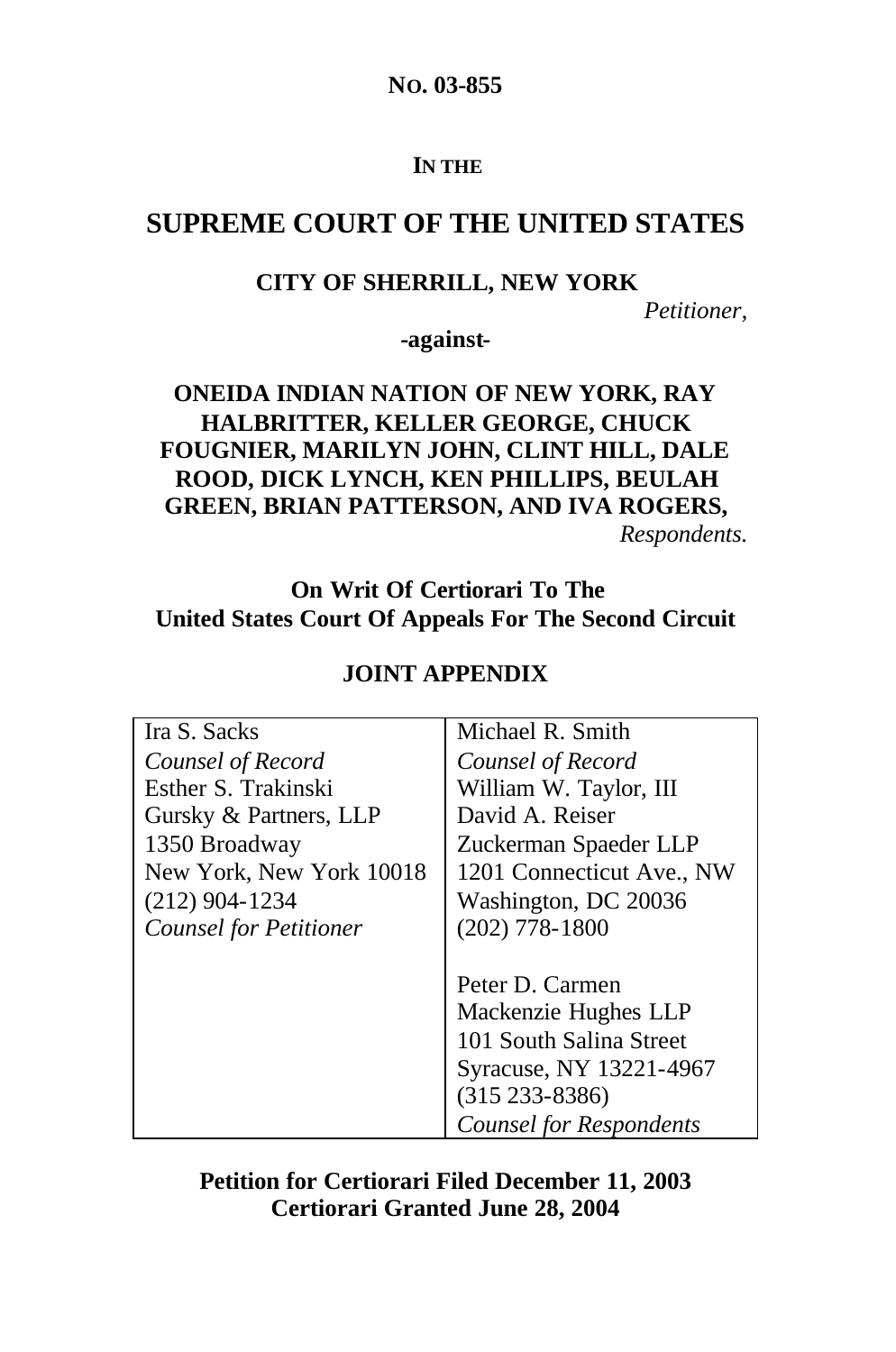**NO. 03-855**

#### **IN THE**

# **SUPREME COURT OF THE UNITED STATES**

#### **CITY OF SHERRILL, NEW YORK**

*Petitioner,*

**-against-**

## **ONEIDA INDIAN NATION OF NEW YORK, RAY HALBRITTER, KELLER GEORGE, CHUCK FOUGNIER, MARILYN JOHN, CLINT HILL, DALE ROOD, DICK LYNCH, KEN PHILLIPS, BEULAH GREEN, BRIAN PATTERSON, AND IVA ROGERS,** *Respondents.*

# **On Writ Of Certiorari To The United States Court Of Appeals For The Second Circuit**

| Ira S. Sacks                  | Michael R. Smith               |
|-------------------------------|--------------------------------|
| Counsel of Record             | Counsel of Record              |
| Esther S. Trakinski           | William W. Taylor, III         |
| Gursky & Partners, LLP        | David A. Reiser                |
| 1350 Broadway                 | Zuckerman Spaeder LLP          |
| New York, New York 10018      | 1201 Connecticut Ave., NW      |
| $(212)$ 904-1234              | Washington, DC 20036           |
| <b>Counsel for Petitioner</b> | $(202)$ 778-1800               |
|                               |                                |
|                               | Peter D. Carmen                |
|                               | Mackenzie Hughes LLP           |
|                               | 101 South Salina Street        |
|                               | Syracuse, NY 13221-4967        |
|                               | $(315 233 - 8386)$             |
|                               | <b>Counsel for Respondents</b> |

### **JOINT APPENDIX**

**Petition for Certiorari Filed December 11, 2003 Certiorari Granted June 28, 2004**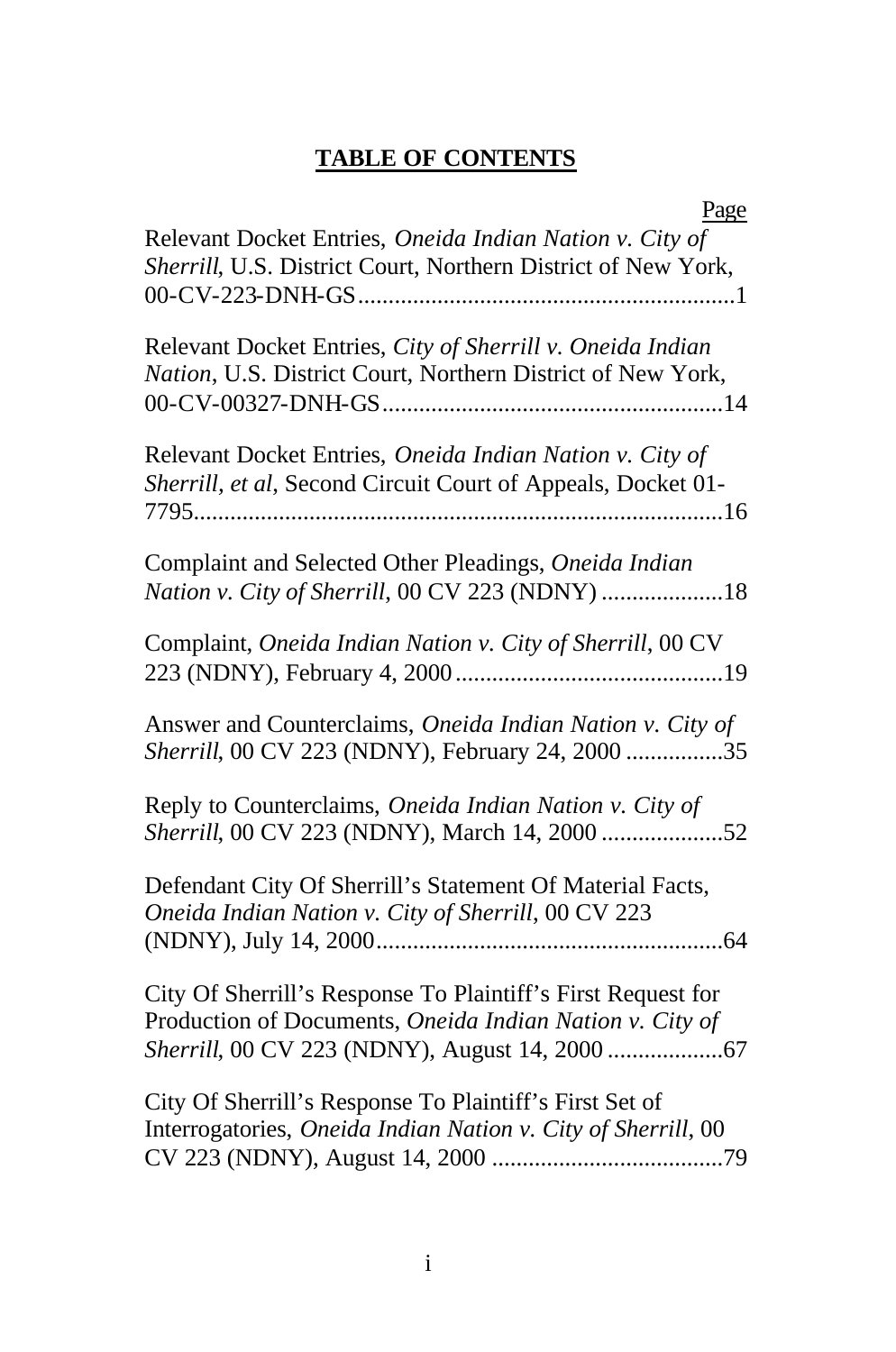# **TABLE OF CONTENTS**

| Page                                                                                                                      |
|---------------------------------------------------------------------------------------------------------------------------|
| Relevant Docket Entries, Oneida Indian Nation v. City of<br>Sherrill, U.S. District Court, Northern District of New York, |
| Relevant Docket Entries, City of Sherrill v. Oneida Indian<br>Nation, U.S. District Court, Northern District of New York, |
| Relevant Docket Entries, Oneida Indian Nation v. City of<br>Sherrill, et al, Second Circuit Court of Appeals, Docket 01-  |
| Complaint and Selected Other Pleadings, Oneida Indian<br>Nation v. City of Sherrill, 00 CV 223 (NDNY) 18                  |
| Complaint, Oneida Indian Nation v. City of Sherrill, 00 CV                                                                |
| Answer and Counterclaims, Oneida Indian Nation v. City of<br>Sherrill, 00 CV 223 (NDNY), February 24, 2000 35             |
| Reply to Counterclaims, Oneida Indian Nation v. City of<br>Sherrill, 00 CV 223 (NDNY), March 14, 2000 52                  |
| Defendant City Of Sherrill's Statement Of Material Facts,<br>Oneida Indian Nation v. City of Sherrill, 00 CV 223          |
| City Of Sherrill's Response To Plaintiff's First Request for<br>Production of Documents, Oneida Indian Nation v. City of  |
| City Of Sherrill's Response To Plaintiff's First Set of<br>Interrogatories, Oneida Indian Nation v. City of Sherrill, 00  |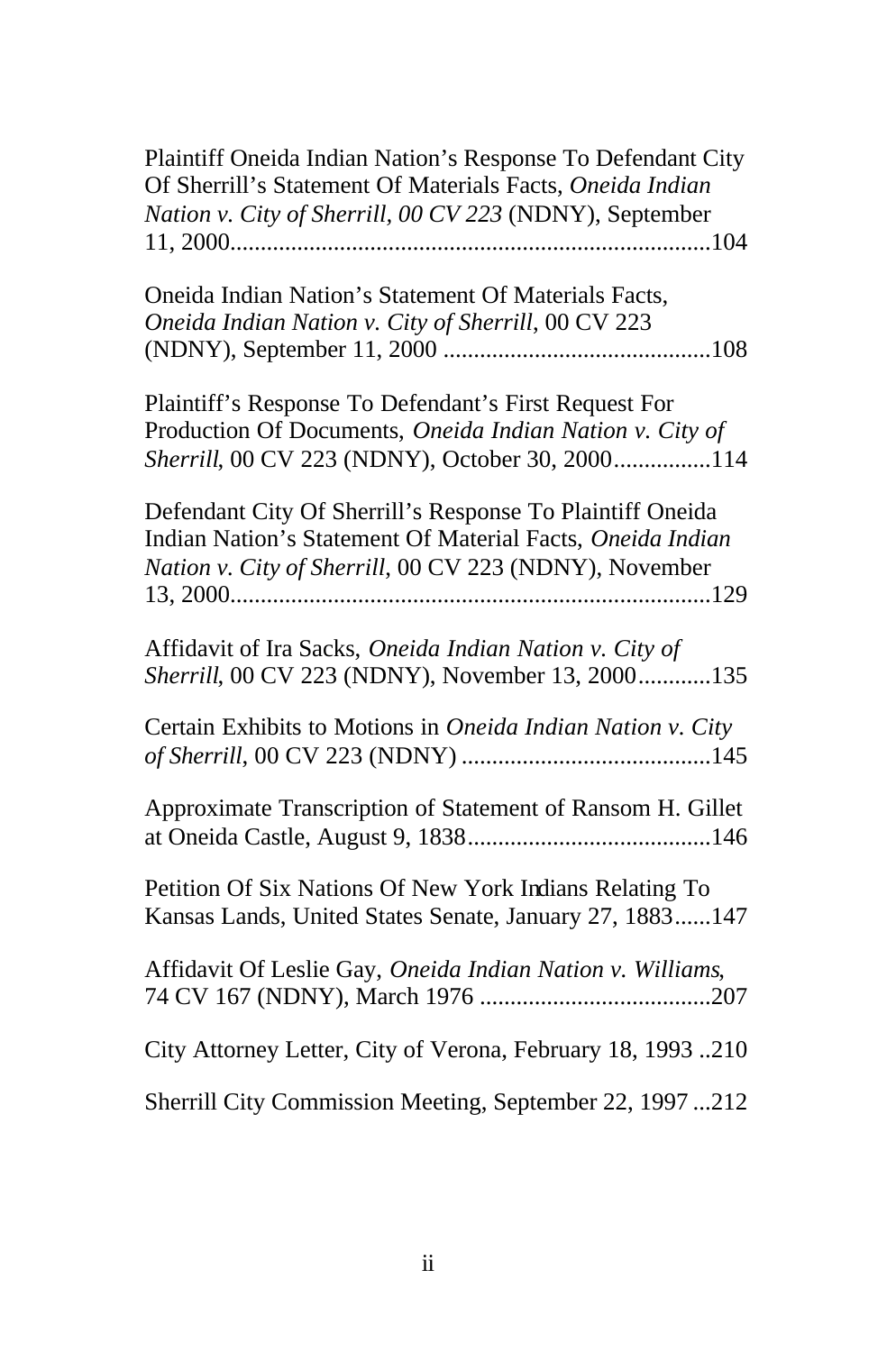| Plaintiff Oneida Indian Nation's Response To Defendant City<br>Of Sherrill's Statement Of Materials Facts, Oneida Indian<br>Nation v. City of Sherrill, 00 CV 223 (NDNY), September |
|-------------------------------------------------------------------------------------------------------------------------------------------------------------------------------------|
| Oneida Indian Nation's Statement Of Materials Facts,<br>Oneida Indian Nation v. City of Sherrill, 00 CV 223                                                                         |
| Plaintiff's Response To Defendant's First Request For<br>Production Of Documents, Oneida Indian Nation v. City of<br>Sherrill, 00 CV 223 (NDNY), October 30, 2000114                |
| Defendant City Of Sherrill's Response To Plaintiff Oneida<br>Indian Nation's Statement Of Material Facts, Oneida Indian<br>Nation v. City of Sherrill, 00 CV 223 (NDNY), November   |
| Affidavit of Ira Sacks, Oneida Indian Nation v. City of<br>Sherrill, 00 CV 223 (NDNY), November 13, 2000135                                                                         |
| Certain Exhibits to Motions in Oneida Indian Nation v. City                                                                                                                         |
| Approximate Transcription of Statement of Ransom H. Gillet                                                                                                                          |
| Petition Of Six Nations Of New York Indians Relating To<br>Kansas Lands, United States Senate, January 27, 1883147                                                                  |
| Affidavit Of Leslie Gay, Oneida Indian Nation v. Williams,                                                                                                                          |
| City Attorney Letter, City of Verona, February 18, 1993 210                                                                                                                         |
| Sherrill City Commission Meeting, September 22, 1997 212                                                                                                                            |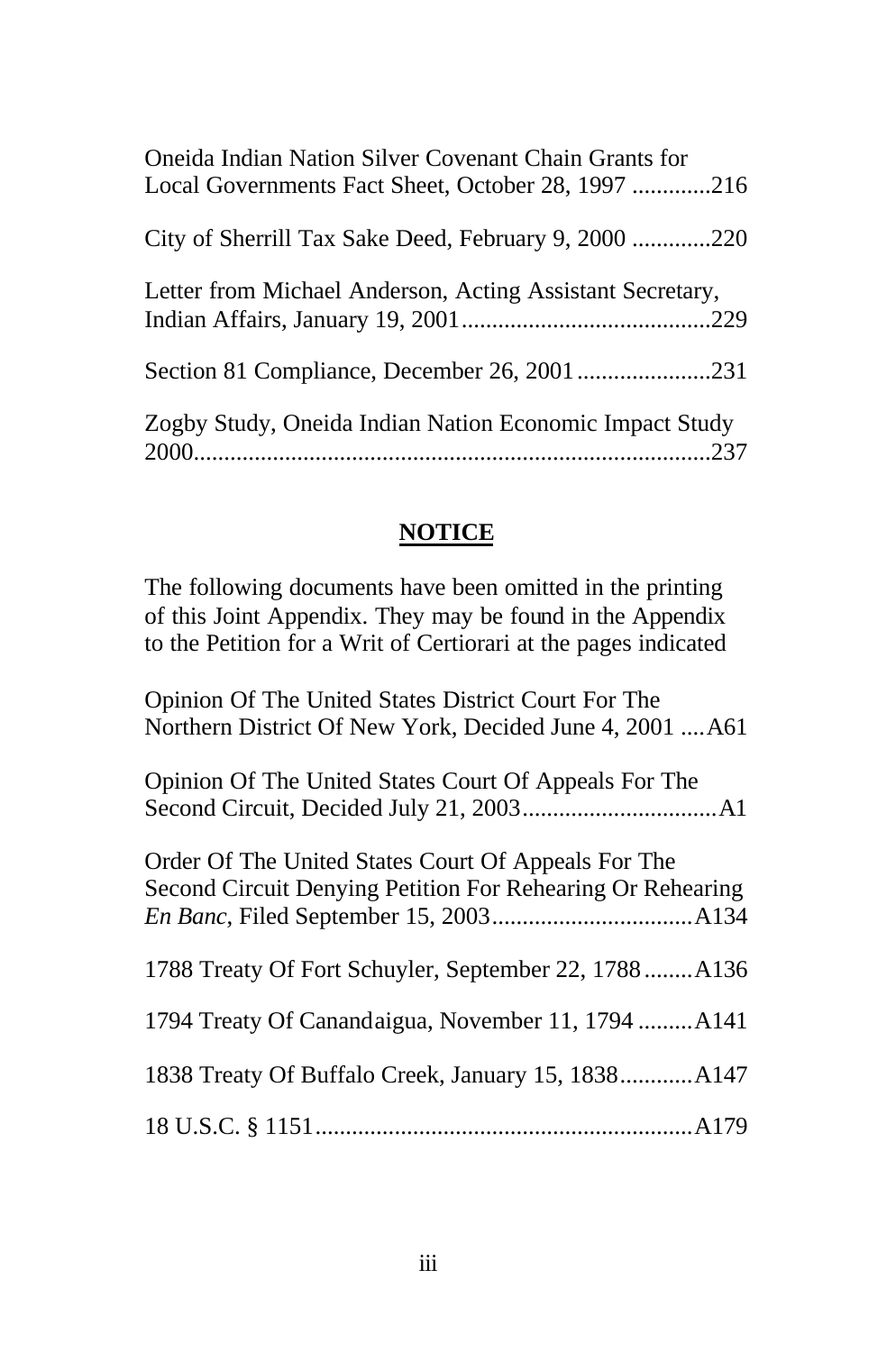| Oneida Indian Nation Silver Covenant Chain Grants for<br>Local Governments Fact Sheet, October 28, 1997216 |
|------------------------------------------------------------------------------------------------------------|
| City of Sherrill Tax Sake Deed, February 9, 2000 220                                                       |
| Letter from Michael Anderson, Acting Assistant Secretary,                                                  |
|                                                                                                            |
| Zogby Study, Oneida Indian Nation Economic Impact Study                                                    |

# **NOTICE**

The following documents have been omitted in the printing of this Joint Appendix. They may be found in the Appendix to the Petition for a Writ of Certiorari at the pages indicated

| Opinion Of The United States District Court For The<br>Northern District Of New York, Decided June 4, 2001  A61   |
|-------------------------------------------------------------------------------------------------------------------|
| Opinion Of The United States Court Of Appeals For The                                                             |
| Order Of The United States Court Of Appeals For The<br>Second Circuit Denying Petition For Rehearing Or Rehearing |
| 1788 Treaty Of Fort Schuyler, September 22, 1788A136                                                              |
| 1794 Treaty Of Canandaigua, November 11, 1794  A141                                                               |
| 1838 Treaty Of Buffalo Creek, January 15, 1838 A147                                                               |
|                                                                                                                   |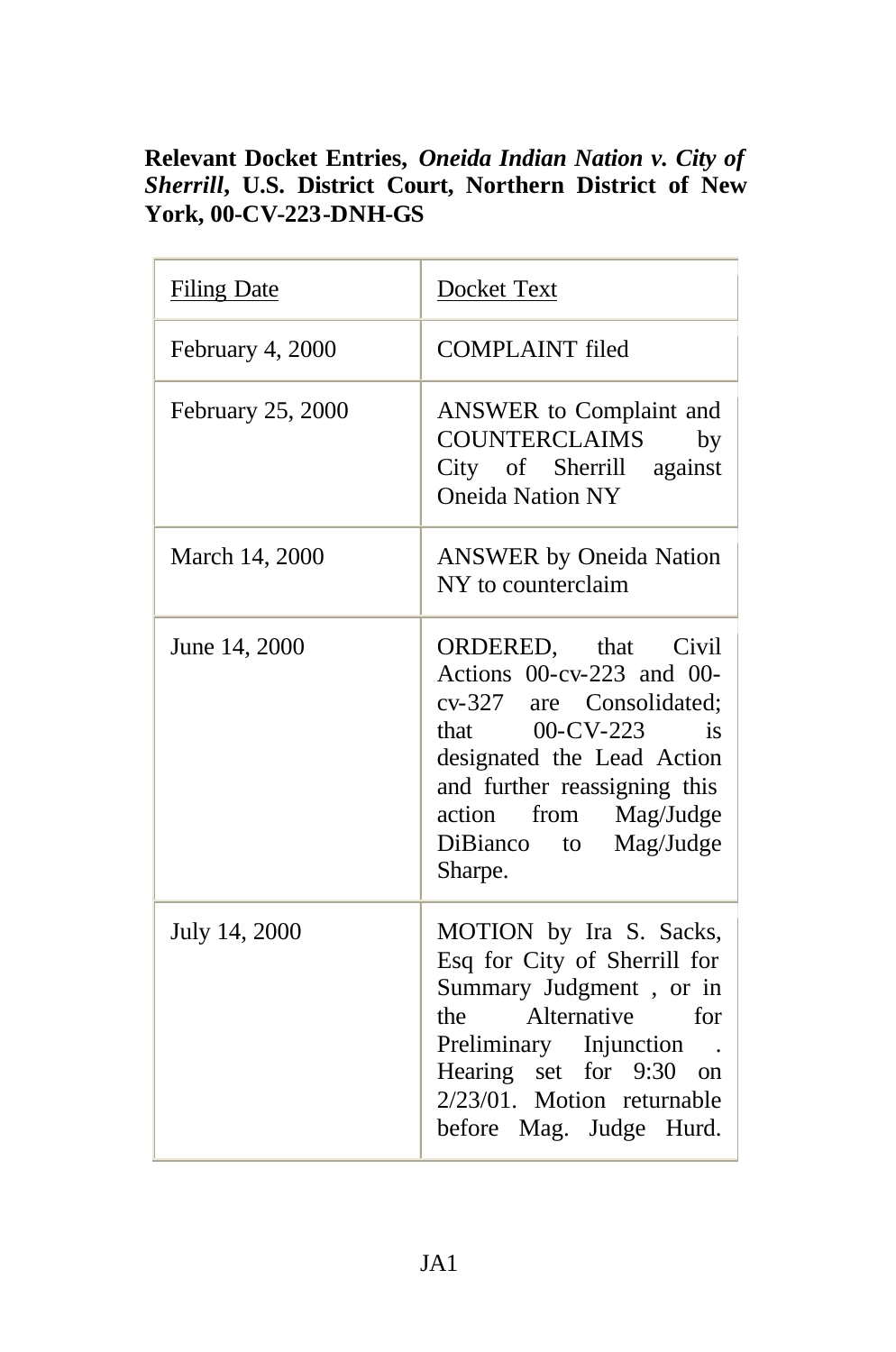## **Relevant Docket Entries,** *Oneida Indian Nation v. City of Sherrill***, U.S. District Court, Northern District of New York, 00-CV-223-DNH-GS**

| <b>Filing Date</b> | Docket Text                                                                                                                                                                                                                         |
|--------------------|-------------------------------------------------------------------------------------------------------------------------------------------------------------------------------------------------------------------------------------|
| February 4, 2000   | <b>COMPLAINT</b> filed                                                                                                                                                                                                              |
| February 25, 2000  | ANSWER to Complaint and<br><b>COUNTERCLAIMS</b><br>by<br>City of Sherrill against<br><b>Oneida Nation NY</b>                                                                                                                        |
| March 14, 2000     | <b>ANSWER</b> by Oneida Nation<br>NY to counterclaim                                                                                                                                                                                |
| June 14, 2000      | ORDERED, that Civil<br>Actions $00-cv-223$ and $00-$<br>cv-327 are Consolidated:<br>that $00$ -CV-223 is<br>designated the Lead Action<br>and further reassigning this<br>action from Mag/Judge<br>DiBianco to Mag/Judge<br>Sharpe. |
| July 14, 2000      | MOTION by Ira S. Sacks,<br>Esq for City of Sherrill for<br>Summary Judgment, or in<br>Alternative for<br>the<br>Preliminary Injunction.<br>Hearing set for 9:30 on<br>2/23/01. Motion returnable<br>before Mag. Judge Hurd.         |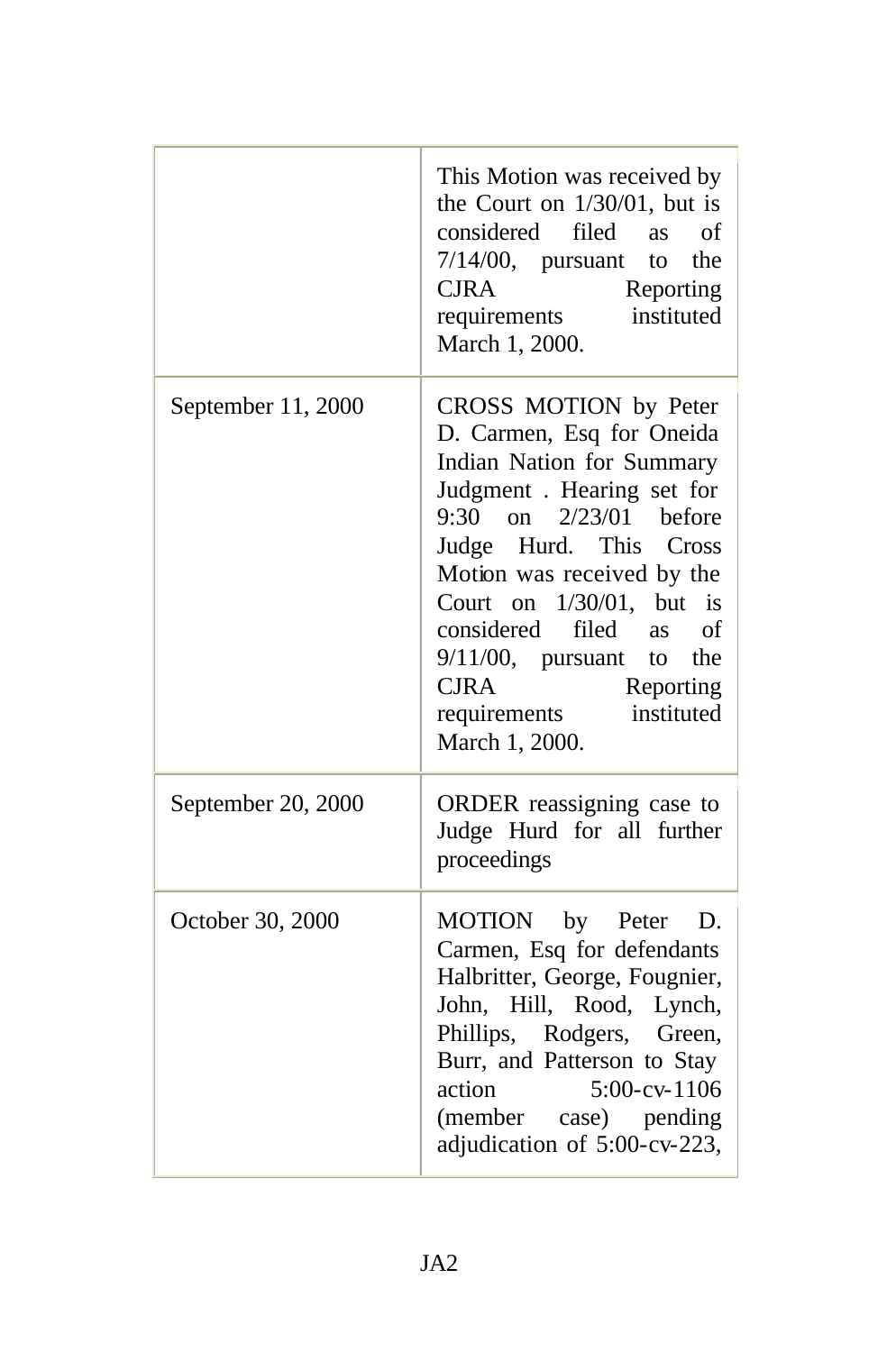|                    | This Motion was received by<br>the Court on $1/30/01$ , but is<br>considered filed<br>of<br><b>as</b><br>$7/14/00$ , pursuant<br>the<br>to<br><b>CJRA</b><br>Reporting<br>instituted<br>requirements<br>March 1, 2000.                                                                                                                                                                                       |
|--------------------|--------------------------------------------------------------------------------------------------------------------------------------------------------------------------------------------------------------------------------------------------------------------------------------------------------------------------------------------------------------------------------------------------------------|
| September 11, 2000 | CROSS MOTION by Peter<br>D. Carmen, Esq for Oneida<br>Indian Nation for Summary<br>Judgment . Hearing set for<br>$9:30$ on<br>$2/23/01$ before<br>Judge Hurd. This<br>Cross<br>Motion was received by the<br>$1/30/01$ ,<br>Court on<br>but<br>is<br>filed<br>of<br>considered<br><b>as</b><br>$9/11/00$ , pursuant<br>the<br>to<br><b>CJRA</b><br>Reporting<br>instituted<br>requirements<br>March 1, 2000. |
| September 20, 2000 | ORDER reassigning case to<br>Judge Hurd for all further<br>proceedings                                                                                                                                                                                                                                                                                                                                       |
| October 30, 2000   | MOTION by Peter<br>D.<br>Carmen, Esq for defendants<br>Halbritter, George, Fougnier,<br>John, Hill, Rood, Lynch,<br>Phillips, Rodgers, Green,<br>Burr, and Patterson to Stay<br>action<br>$5:00$ -cv- $1106$<br>(member case) pending<br>adjudication of 5:00-cv-223,                                                                                                                                        |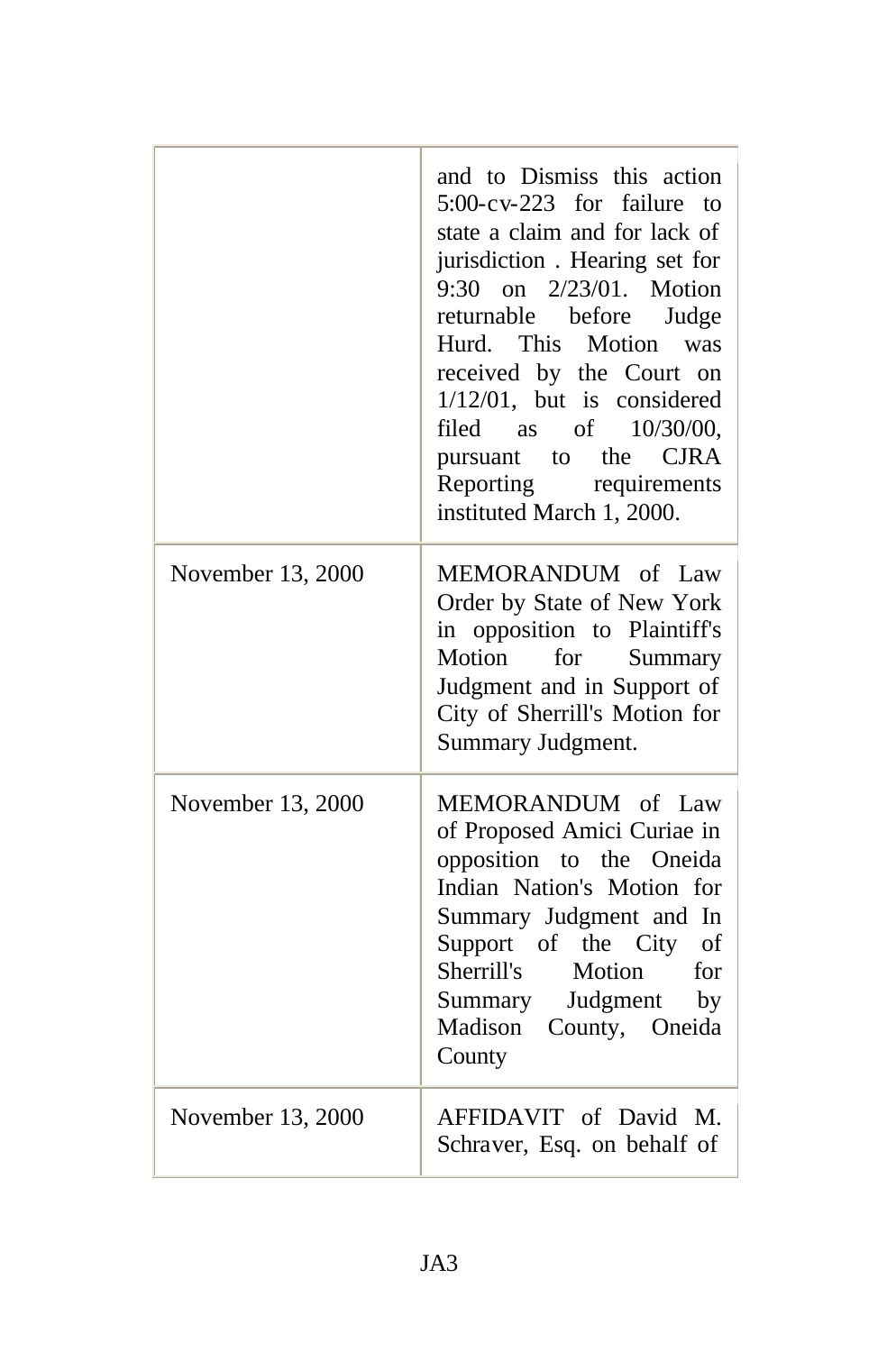|                   | and to Dismiss this action<br>$5:00$ -cv-223 for<br><i>failure</i><br>to<br>state a claim and for lack of<br>jurisdiction. Hearing set for<br>9:30 on 2/23/01. Motion<br>returnable before<br>Judge<br>Hurd. This<br>Motion was<br>received by the Court on<br>$1/12/01$ , but is considered<br>filed as of $10/30/00$ ,<br>pursuant to the CJRA<br>Reporting requirements<br>instituted March 1, 2000. |
|-------------------|---------------------------------------------------------------------------------------------------------------------------------------------------------------------------------------------------------------------------------------------------------------------------------------------------------------------------------------------------------------------------------------------------------|
| November 13, 2000 | MEMORANDUM of Law<br>Order by State of New York<br>in opposition to Plaintiff's<br>Motion for<br>Summary<br>Judgment and in Support of<br>City of Sherrill's Motion for<br>Summary Judgment.                                                                                                                                                                                                            |
| November 13, 2000 | MEMORANDUM of Law<br>of Proposed Amici Curiae in<br>opposition to the Oneida<br>Indian Nation's Motion for<br>Summary Judgment and In<br>Support of the City of<br>Sherrill's<br>Motion<br>for<br>Summary Judgment by<br>Madison<br>County, Oneida<br>County                                                                                                                                            |
| November 13, 2000 | AFFIDAVIT of David M.<br>Schraver, Esq. on behalf of                                                                                                                                                                                                                                                                                                                                                    |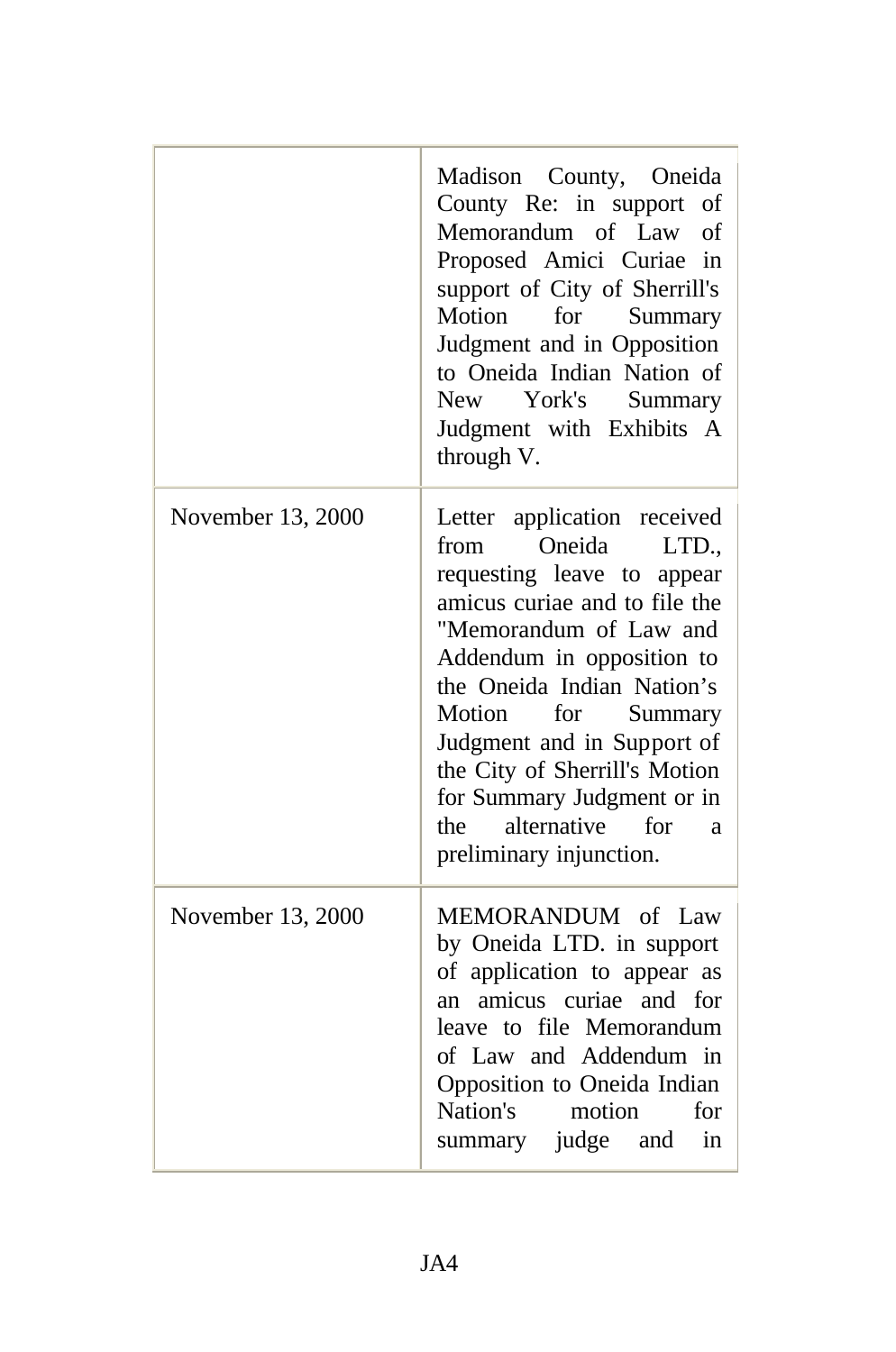|                   | Madison County, Oneida<br>County Re: in support<br>of<br>Memorandum of Law<br>of<br>Proposed Amici Curiae<br>in<br>support of City of Sherrill's<br>Motion<br>for<br>Summary<br>Judgment and in Opposition<br>to Oneida Indian Nation of<br>York's<br>New \,<br>Summary<br>Judgment with Exhibits A<br>through V.                                                                                |
|-------------------|--------------------------------------------------------------------------------------------------------------------------------------------------------------------------------------------------------------------------------------------------------------------------------------------------------------------------------------------------------------------------------------------------|
| November 13, 2000 | Letter application received<br>Oneida<br>from<br>LTD.,<br>requesting leave to appear<br>amicus curiae and to file the<br>"Memorandum of Law and<br>Addendum in opposition to<br>the Oneida Indian Nation's<br>for<br>Summary<br>Motion<br>Judgment and in Support of<br>the City of Sherrill's Motion<br>for Summary Judgment or in<br>alternative<br>for<br>the<br>a<br>preliminary injunction. |
| November 13, 2000 | MEMORANDUM of Law<br>by Oneida LTD. in support<br>of application to appear as<br>an amicus curiae and for<br>leave to file Memorandum<br>of Law and Addendum in<br>Opposition to Oneida Indian<br>Nation's<br>motion<br>for<br>summary judge and<br>in                                                                                                                                           |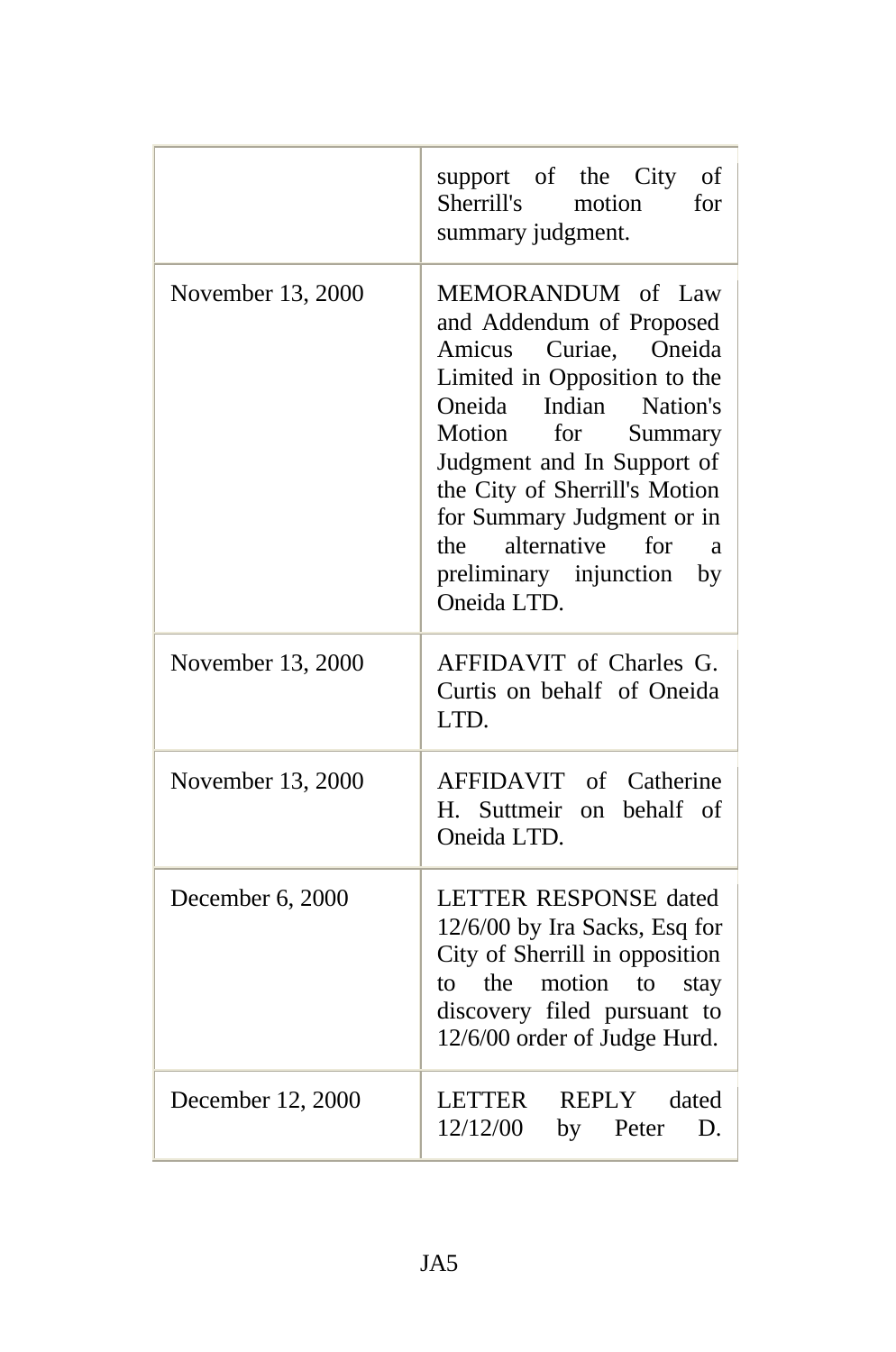|                   | support of the City<br>of<br>Sherrill's<br>motion<br>for<br>summary judgment.                                                                                                                                                                                                                                                                 |
|-------------------|-----------------------------------------------------------------------------------------------------------------------------------------------------------------------------------------------------------------------------------------------------------------------------------------------------------------------------------------------|
| November 13, 2000 | MEMORANDUM of Law<br>and Addendum of Proposed<br>Amicus Curiae,<br>Oneida<br>Limited in Opposition to the<br>Indian Nation's<br>Oneida<br>Motion<br>for<br>Summary<br>Judgment and In Support of<br>the City of Sherrill's Motion<br>for Summary Judgment or in<br>alternative for<br>the<br>a<br>preliminary injunction<br>by<br>Oneida LTD. |
| November 13, 2000 | AFFIDAVIT of Charles G.<br>Curtis on behalf of Oneida<br>LTD.                                                                                                                                                                                                                                                                                 |
| November 13, 2000 | AFFIDAVIT of Catherine<br>H. Suttmeir<br>behalf of<br>on<br>Oneida LTD.                                                                                                                                                                                                                                                                       |
| December 6, 2000  | <b>LETTER RESPONSE dated</b><br>12/6/00 by Ira Sacks, Esq for<br>City of Sherrill in opposition<br>the<br>motion<br>to<br>to<br>stay<br>discovery filed pursuant to<br>12/6/00 order of Judge Hurd.                                                                                                                                           |
| December 12, 2000 | LETTER<br>REPLY dated<br>12/12/00<br>by Peter D.                                                                                                                                                                                                                                                                                              |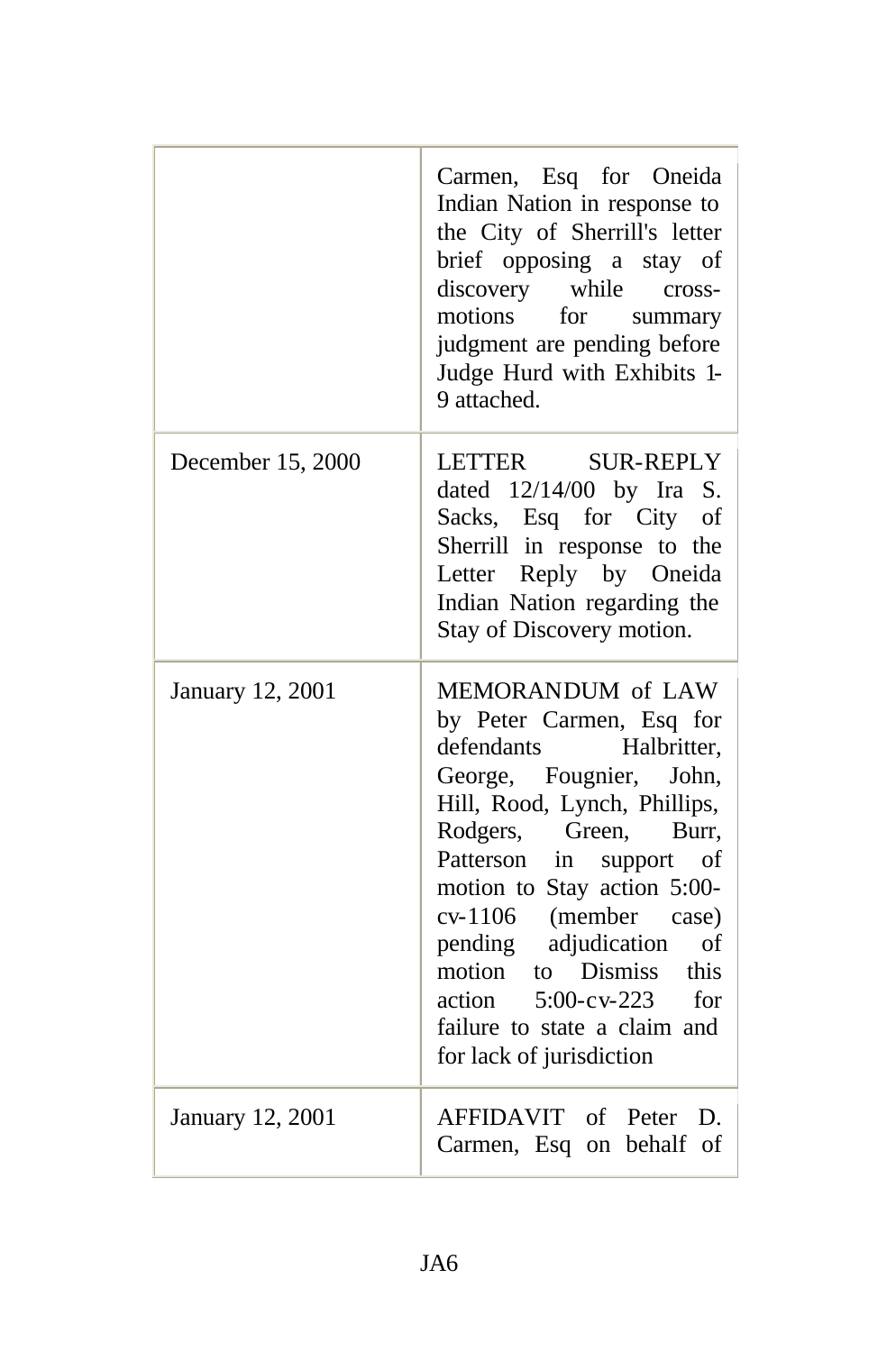|                   | Carmen, Esq for Oneida<br>Indian Nation in response to<br>the City of Sherrill's letter<br>brief opposing a stay of<br>discovery while<br>cross-<br>motions<br>for<br>summary<br>judgment are pending before<br>Judge Hurd with Exhibits 1-<br>9 attached.                                                                                                                                                     |
|-------------------|----------------------------------------------------------------------------------------------------------------------------------------------------------------------------------------------------------------------------------------------------------------------------------------------------------------------------------------------------------------------------------------------------------------|
| December 15, 2000 | LETTER<br><b>SUR-REPLY</b><br>dated $12/14/00$ by Ira S.<br>Sacks, Esq for City<br>of<br>Sherrill in response to the<br>Letter Reply by Oneida<br>Indian Nation regarding the<br>Stay of Discovery motion.                                                                                                                                                                                                     |
| January 12, 2001  | MEMORANDUM of LAW<br>by Peter Carmen, Esq for<br>defendants<br>Halbritter,<br>George, Fougnier, John,<br>Hill, Rood, Lynch, Phillips,<br>Rodgers, Green,<br>Burr,<br>Patterson in support<br>οf<br>motion to Stay action 5:00-<br>cv-1106 (member case)<br>pending adjudication<br>of<br>to Dismiss this<br>motion<br>$5:00$ -cv-223 for<br>action<br>failure to state a claim and<br>for lack of jurisdiction |
| January 12, 2001  | AFFIDAVIT of Peter D.<br>Carmen, Esq on behalf of                                                                                                                                                                                                                                                                                                                                                              |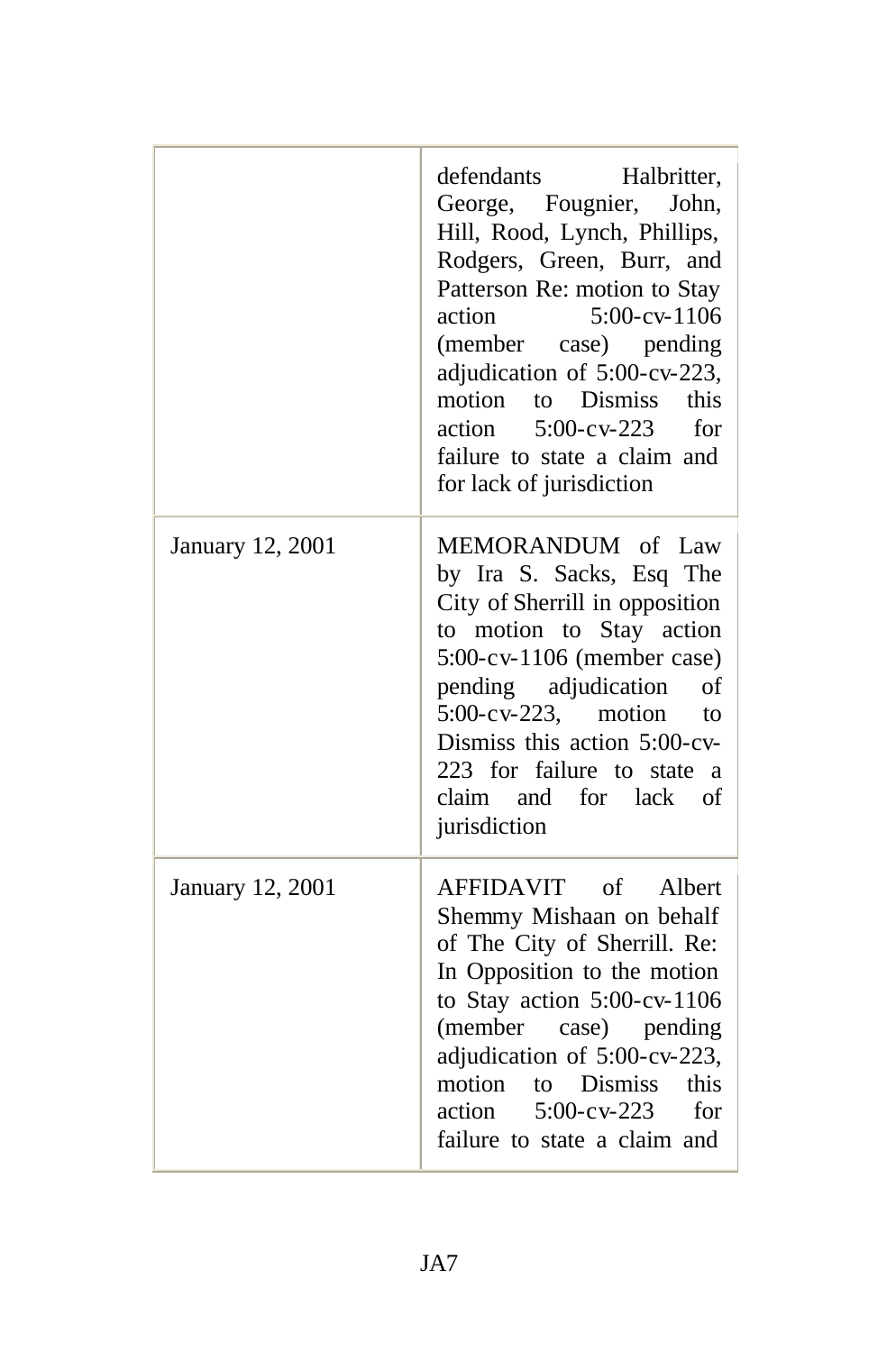|                  | defendants<br>Halbritter,<br>George, Fougnier, John,<br>Hill, Rood, Lynch, Phillips,<br>Rodgers, Green, Burr, and<br>Patterson Re: motion to Stay<br>$5:00$ -cv- $1106$<br>action<br>(member case) pending<br>adjudication of 5:00-cv-223,<br>motion to Dismiss this<br>action<br>$5:00$ -cv-223<br>for<br>failure to state a claim and<br>for lack of jurisdiction |
|------------------|---------------------------------------------------------------------------------------------------------------------------------------------------------------------------------------------------------------------------------------------------------------------------------------------------------------------------------------------------------------------|
| January 12, 2001 | MEMORANDUM of Law<br>by Ira S. Sacks, Esq The<br>City of Sherrill in opposition<br>to motion to Stay action<br>5:00-cv-1106 (member case)<br>pending adjudication<br>of<br>$5:00$ -cv-223, motion<br>to<br>Dismiss this action 5:00-cv-<br>223 for failure to state a<br>claim and for lack<br>of<br>jurisdiction                                                   |
| January 12, 2001 | AFFIDAVIT of Albert<br>Shemmy Mishaan on behalf<br>of The City of Sherrill. Re:<br>In Opposition to the motion<br>to Stay action 5:00-cv-1106<br>(member case) pending<br>adjudication of 5:00-cv-223,<br>motion to Dismiss<br>this<br>action<br>$5:00$ -cv-223<br>for<br>failure to state a claim and                                                              |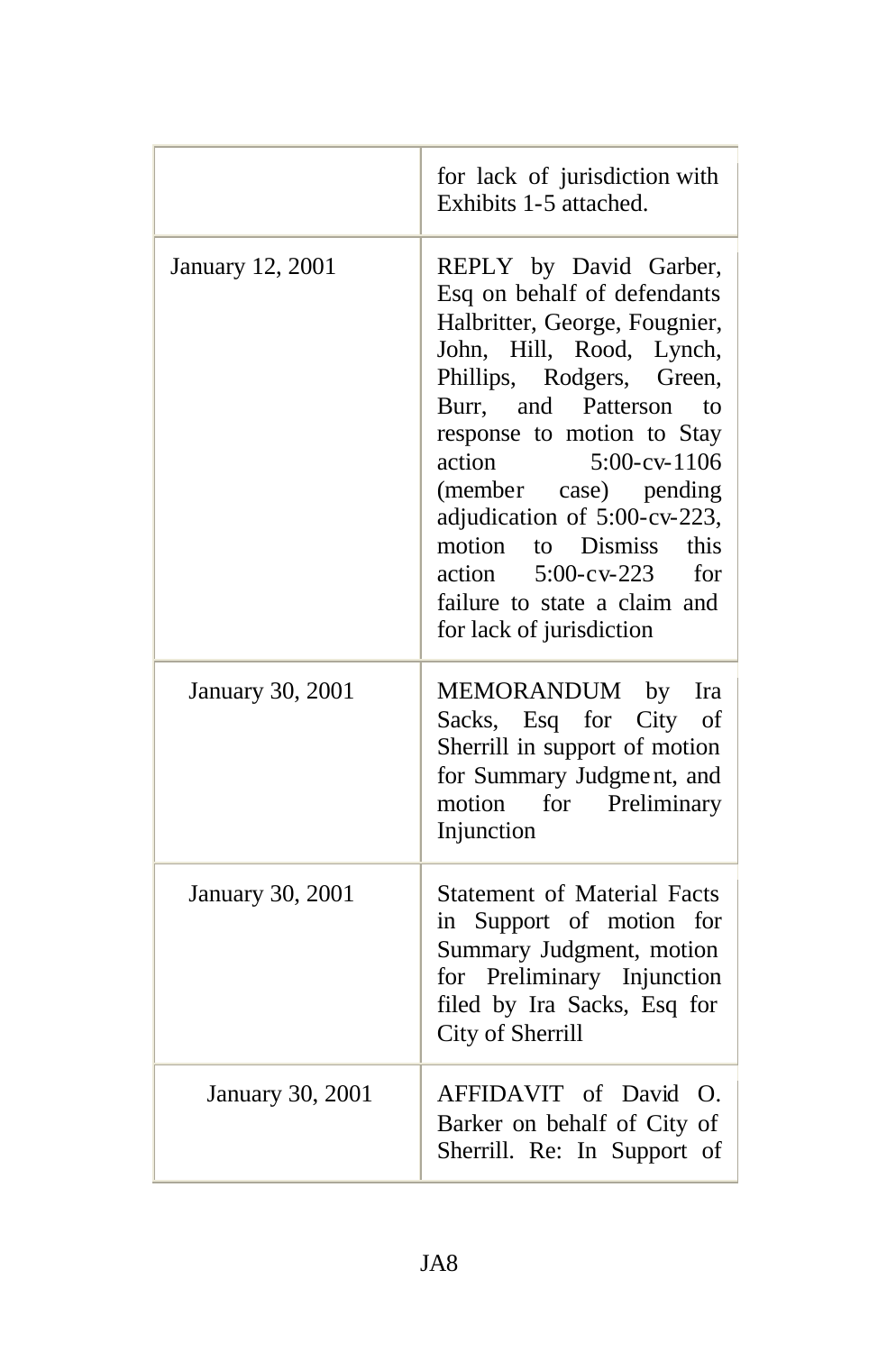|                         | for lack of jurisdiction with<br>Exhibits 1-5 attached.                                                                                                                                                                                                                                                                                                                                                                   |
|-------------------------|---------------------------------------------------------------------------------------------------------------------------------------------------------------------------------------------------------------------------------------------------------------------------------------------------------------------------------------------------------------------------------------------------------------------------|
| January 12, 2001        | REPLY by David Garber,<br>Esq on behalf of defendants<br>Halbritter, George, Fougnier,<br>John, Hill, Rood, Lynch,<br>Phillips, Rodgers, Green,<br>Burr, and Patterson<br>to<br>response to motion to Stay<br>action<br>5:00-cv-1106<br>(member case) pending<br>adjudication of 5:00-cv-223,<br>motion to Dismiss<br>this<br>action<br>$5:00$ -cv-223<br>for<br>failure to state a claim and<br>for lack of jurisdiction |
| January 30, 2001        | MEMORANDUM by<br>Ira<br>Sacks, Esq for City<br>of<br>Sherrill in support of motion<br>for Summary Judgment, and<br>motion for Preliminary<br>Injunction                                                                                                                                                                                                                                                                   |
| <b>January 30, 2001</b> | <b>Statement of Material Facts</b><br>in Support of motion<br>for<br>Summary Judgment, motion<br>for Preliminary Injunction<br>filed by Ira Sacks, Esq for<br>City of Sherrill                                                                                                                                                                                                                                            |
| <b>January 30, 2001</b> | AFFIDAVIT of David O.<br>Barker on behalf of City of<br>Sherrill. Re: In Support of                                                                                                                                                                                                                                                                                                                                       |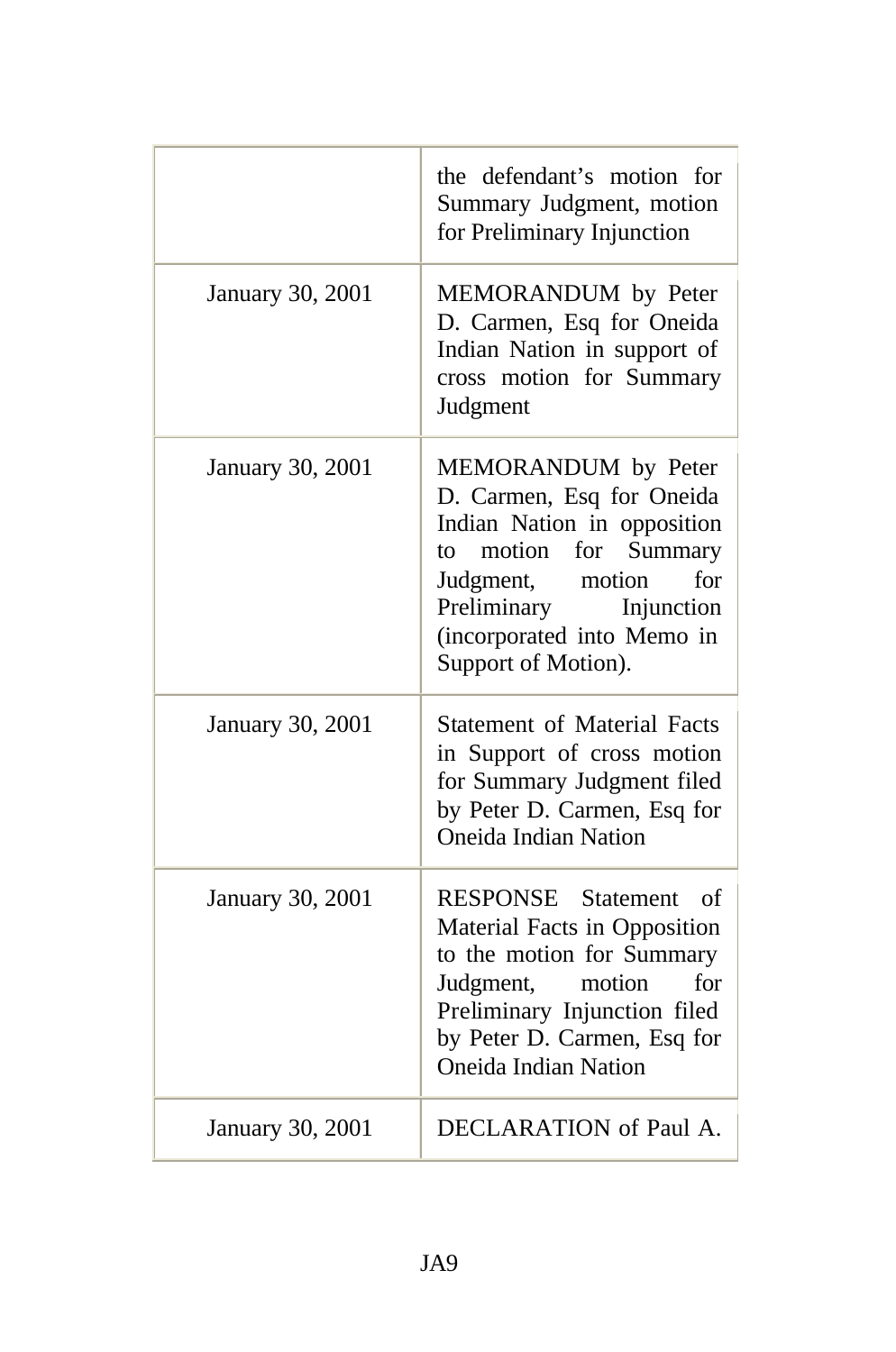|                  | the defendant's motion for<br>Summary Judgment, motion<br>for Preliminary Injunction                                                                                                                                     |
|------------------|--------------------------------------------------------------------------------------------------------------------------------------------------------------------------------------------------------------------------|
| January 30, 2001 | MEMORANDUM by Peter<br>D. Carmen, Esq for Oneida<br>Indian Nation in support of<br>cross motion for Summary<br>Judgment                                                                                                  |
| January 30, 2001 | MEMORANDUM by Peter<br>D. Carmen, Esq for Oneida<br>Indian Nation in opposition<br>motion for<br>Summary<br>to<br>for<br>Judgment, motion<br>Preliminary Injunction<br>(incorporated into Memo in<br>Support of Motion). |
| January 30, 2001 | <b>Statement of Material Facts</b><br>in Support of cross motion<br>for Summary Judgment filed<br>by Peter D. Carmen, Esq for<br><b>Oneida Indian Nation</b>                                                             |
| January 30, 2001 | RESPONSE Statement of<br>Material Facts in Opposition<br>to the motion for Summary<br>Judgment,<br>motion<br>for<br>Preliminary Injunction filed<br>by Peter D. Carmen, Esq for<br><b>Oneida Indian Nation</b>           |
| January 30, 2001 | DECLARATION of Paul A.                                                                                                                                                                                                   |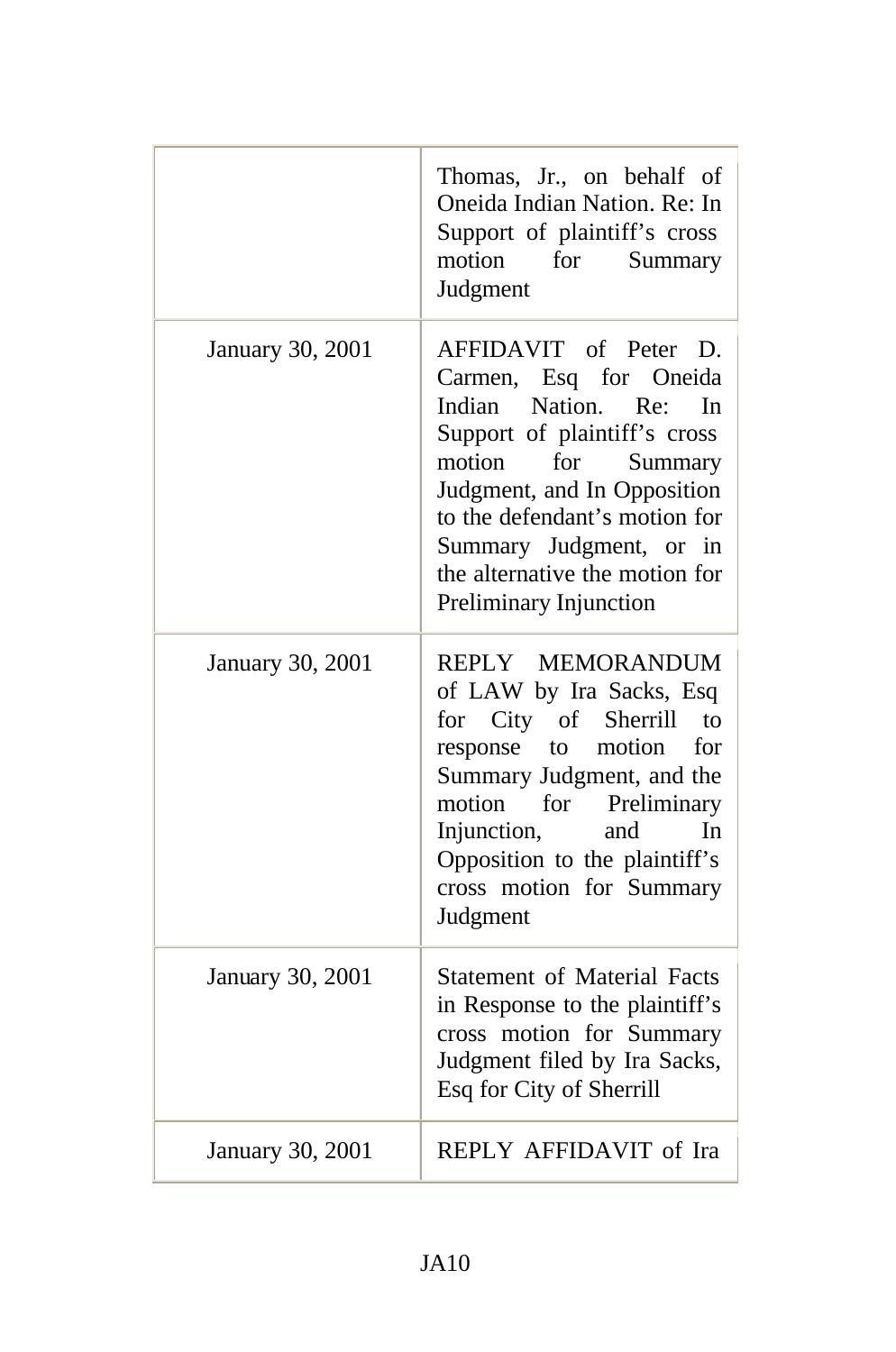|                  | Thomas, Jr., on behalf of<br>Oneida Indian Nation. Re: In<br>Support of plaintiff's cross<br>motion<br>for<br>Summary<br>Judgment                                                                                                                                                                         |
|------------------|-----------------------------------------------------------------------------------------------------------------------------------------------------------------------------------------------------------------------------------------------------------------------------------------------------------|
| January 30, 2001 | AFFIDAVIT of Peter D.<br>Carmen, Esq for Oneida<br>Nation. Re:<br>Indian<br><b>I</b> n<br>Support of plaintiff's cross<br>motion<br>for<br>Summary<br>Judgment, and In Opposition<br>to the defendant's motion for<br>Summary Judgment, or in<br>the alternative the motion for<br>Preliminary Injunction |
| January 30, 2001 | REPLY MEMORANDUM<br>of LAW by Ira Sacks, Esq<br>for City of Sherrill<br>$\mathsf{to}$<br>response<br>to<br>motion<br>for<br>Summary Judgment, and the<br>motion for Preliminary<br>Injunction,<br>In<br>and<br>Opposition to the plaintiff's<br>cross motion for Summary<br>Judgment                      |
| January 30, 2001 | <b>Statement of Material Facts</b><br>in Response to the plaintiff's<br>cross motion for Summary<br>Judgment filed by Ira Sacks,<br>Esq for City of Sherrill                                                                                                                                              |
| January 30, 2001 | REPLY AFFIDAVIT of Ira                                                                                                                                                                                                                                                                                    |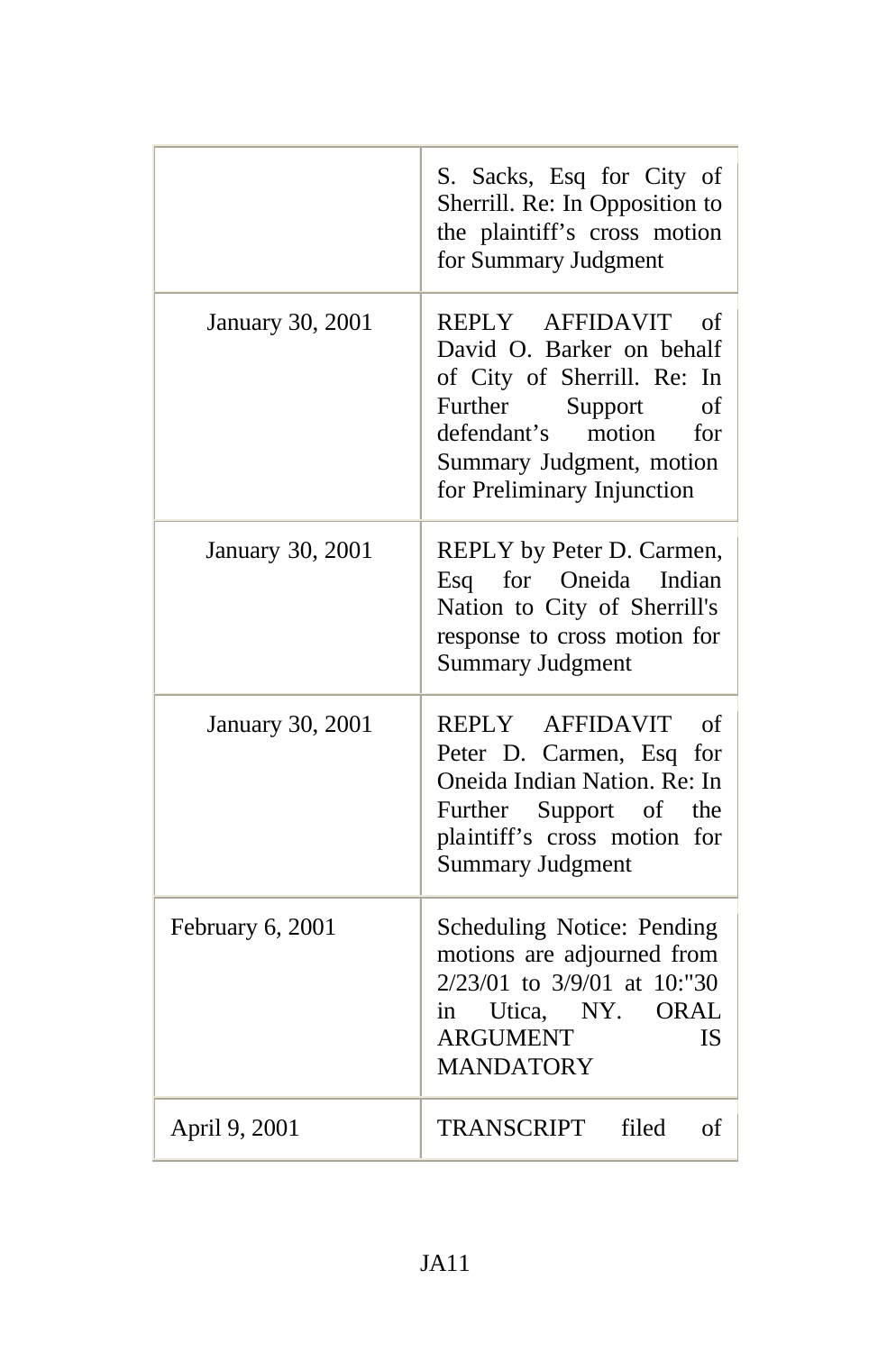|                         | S. Sacks, Esq for City of<br>Sherrill. Re: In Opposition to<br>the plaintiff's cross motion<br>for Summary Judgment                                                                                     |
|-------------------------|---------------------------------------------------------------------------------------------------------------------------------------------------------------------------------------------------------|
| January 30, 2001        | REPLY AFFIDAVIT<br>οf<br>David O. Barker on behalf<br>of City of Sherrill. Re: In<br>Further<br>Support<br>of<br>defendant's<br>motion<br>for<br>Summary Judgment, motion<br>for Preliminary Injunction |
| <b>January 30, 2001</b> | REPLY by Peter D. Carmen,<br>Oneida<br>for<br>Indian<br>Esq<br>Nation to City of Sherrill's<br>response to cross motion for<br><b>Summary Judgment</b>                                                  |
| January 30, 2001        | REPLY AFFIDAVIT<br>of<br>Peter D. Carmen, Esq for<br>Oneida Indian Nation. Re: In<br>Further Support of<br>the<br>plaintiff's cross motion for<br><b>Summary Judgment</b>                               |
| February 6, 2001        | Scheduling Notice: Pending<br>motions are adjourned from<br>2/23/01 to 3/9/01 at 10:"30<br>in Utica, NY. ORAL<br><b>ARGUMENT</b><br><b>IS</b><br><b>MANDATORY</b>                                       |
| April 9, 2001           | TRANSCRIPT<br>filed<br>of                                                                                                                                                                               |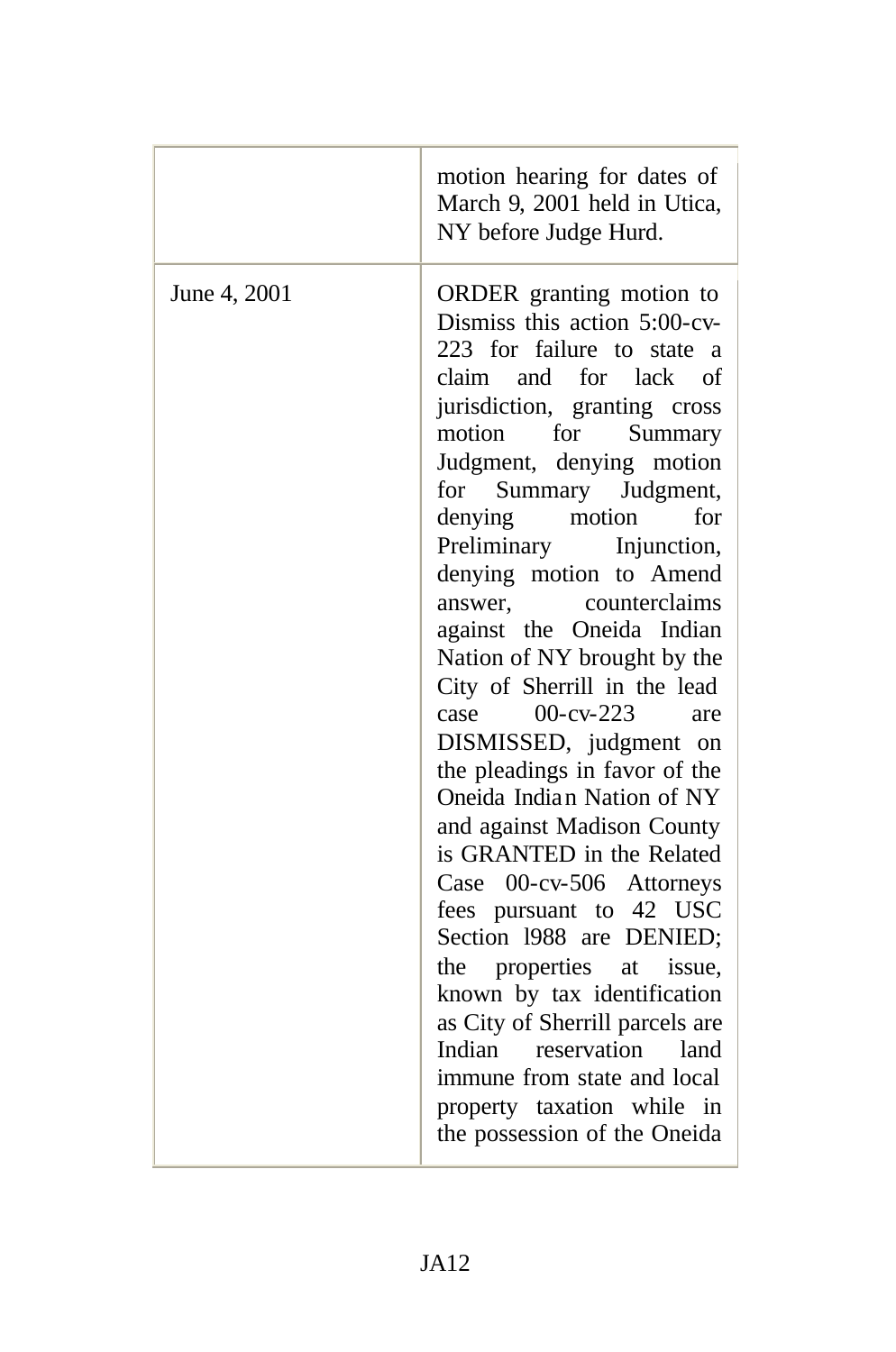|              | motion hearing for dates of<br>March 9, 2001 held in Utica,<br>NY before Judge Hurd.                                                                                                                                                                                                                                                                                                                                                                                                                                                                                                                                                                                                                                                                                                                                                                                                                                                                    |
|--------------|---------------------------------------------------------------------------------------------------------------------------------------------------------------------------------------------------------------------------------------------------------------------------------------------------------------------------------------------------------------------------------------------------------------------------------------------------------------------------------------------------------------------------------------------------------------------------------------------------------------------------------------------------------------------------------------------------------------------------------------------------------------------------------------------------------------------------------------------------------------------------------------------------------------------------------------------------------|
| June 4, 2001 | ORDER granting motion to<br>Dismiss this action 5:00-cv-<br>223 for failure to state a<br>claim and for lack<br>of<br>jurisdiction, granting cross<br>for<br>Summary<br>motion<br>Judgment, denying motion<br>Summary Judgment,<br>for<br>for<br>denying<br>motion<br>Preliminary Injunction,<br>denying motion to Amend<br>counterclaims<br>answer,<br>against the Oneida Indian<br>Nation of NY brought by the<br>City of Sherrill in the lead<br>$00-cv-223$<br>case<br>are<br>DISMISSED, judgment on<br>the pleadings in favor of the<br>Oneida Indian Nation of NY<br>and against Madison County<br>is GRANTED in the Related<br>00-cv-506 Attorneys<br>Case<br>fees pursuant to 42 USC<br>Section 1988 are DENIED;<br>properties at<br>issue,<br>the<br>known by tax identification<br>as City of Sherrill parcels are<br>Indian reservation<br>land<br>immune from state and local<br>property taxation while in<br>the possession of the Oneida |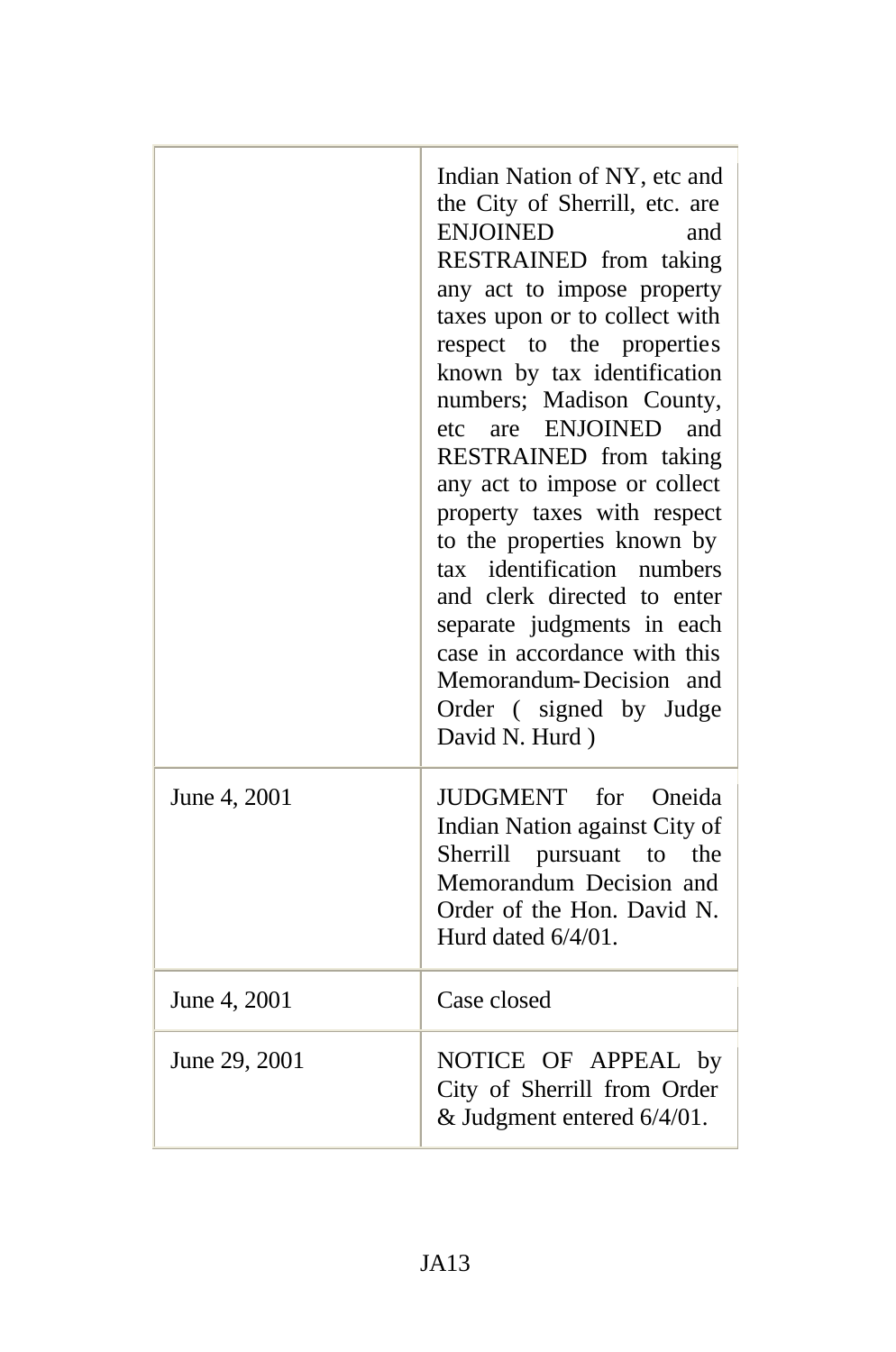|               | Indian Nation of NY, etc and<br>the City of Sherrill, etc. are<br><b>ENJOINED</b><br>and<br>RESTRAINED from taking<br>any act to impose property<br>taxes upon or to collect with<br>respect to the properties<br>known by tax identification<br>numbers; Madison County,<br>etc are ENJOINED<br>and<br>RESTRAINED from taking<br>any act to impose or collect<br>property taxes with respect<br>to the properties known by<br>tax identification<br>numbers<br>and clerk directed to enter<br>separate judgments in each<br>case in accordance with this<br>Memorandum-Decision and<br>Order (signed by Judge<br>David N. Hurd) |
|---------------|----------------------------------------------------------------------------------------------------------------------------------------------------------------------------------------------------------------------------------------------------------------------------------------------------------------------------------------------------------------------------------------------------------------------------------------------------------------------------------------------------------------------------------------------------------------------------------------------------------------------------------|
| June 4, 2001  | JUDGMENT for Oneida<br>Indian Nation against City of<br>Sherrill pursuant to the<br>Memorandum Decision and<br>Order of the Hon. David N.<br>Hurd dated 6/4/01.                                                                                                                                                                                                                                                                                                                                                                                                                                                                  |
| June 4, 2001  | Case closed                                                                                                                                                                                                                                                                                                                                                                                                                                                                                                                                                                                                                      |
| June 29, 2001 | NOTICE OF APPEAL by<br>City of Sherrill from Order<br>& Judgment entered 6/4/01.                                                                                                                                                                                                                                                                                                                                                                                                                                                                                                                                                 |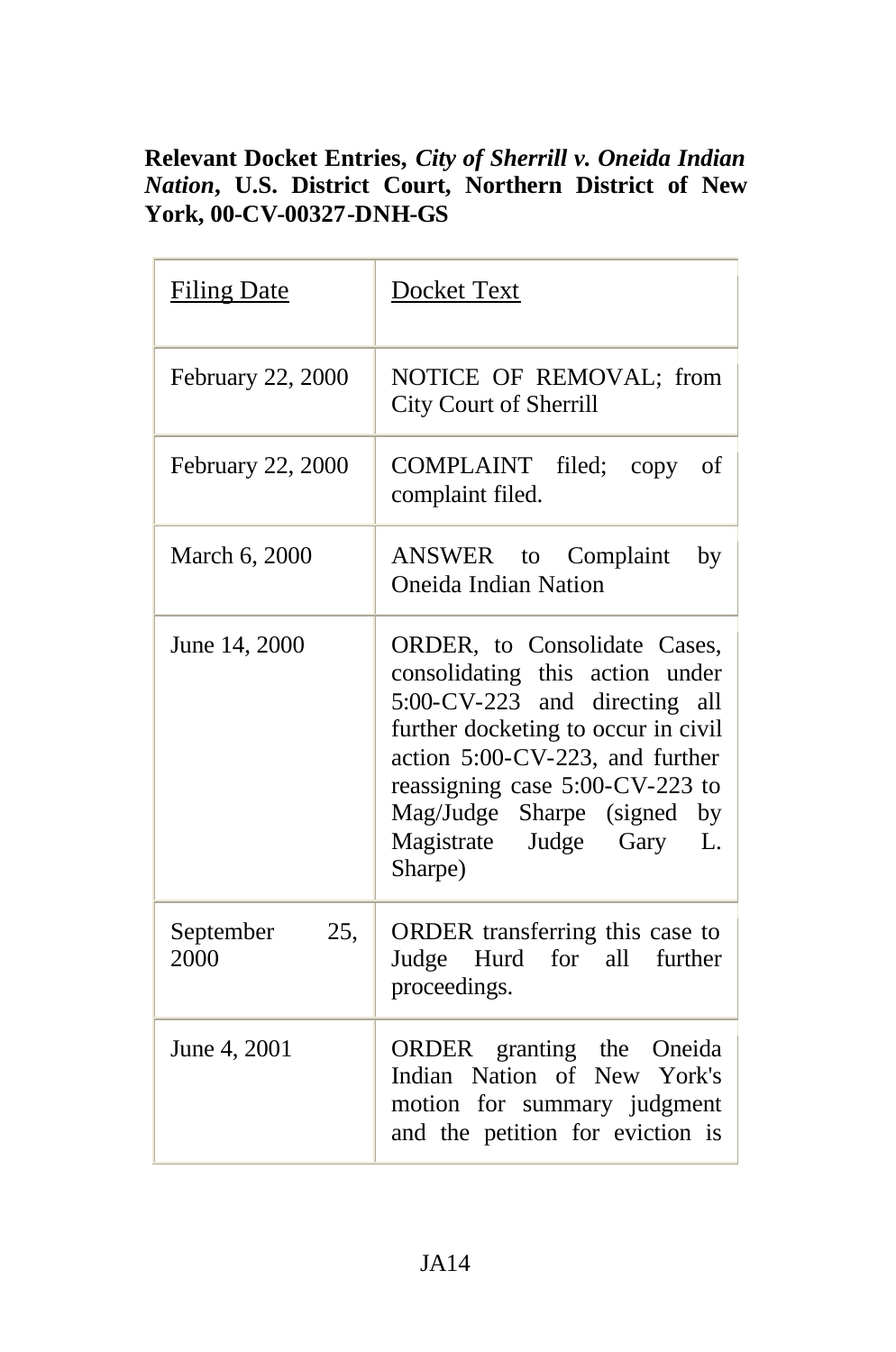## **Relevant Docket Entries,** *City of Sherrill v. Oneida Indian Nation***, U.S. District Court, Northern District of New York, 00-CV-00327-DNH-GS**

| <b>Filing Date</b>       | Docket Text                                                                                                                                                                                                                                                                            |
|--------------------------|----------------------------------------------------------------------------------------------------------------------------------------------------------------------------------------------------------------------------------------------------------------------------------------|
| February 22, 2000        | NOTICE OF REMOVAL; from<br><b>City Court of Sherrill</b>                                                                                                                                                                                                                               |
| February 22, 2000        | COMPLAINT filed; copy<br>οf<br>complaint filed.                                                                                                                                                                                                                                        |
| March 6, 2000            | ANSWER to Complaint<br>by<br><b>Oneida Indian Nation</b>                                                                                                                                                                                                                               |
| June 14, 2000            | ORDER, to Consolidate Cases,<br>consolidating this action under<br>5:00-CV-223 and directing all<br>further docketing to occur in civil<br>action 5:00-CV-223, and further<br>reassigning case 5:00-CV-223 to<br>Mag/Judge Sharpe (signed by<br>Magistrate Judge Gary<br>L.<br>Sharpe) |
| 25,<br>September<br>2000 | ORDER transferring this case to<br>Judge Hurd for all further<br>proceedings.                                                                                                                                                                                                          |
| June 4, 2001             | ORDER granting the Oneida<br>Indian Nation of New York's<br>motion for summary judgment<br>and the petition for eviction is                                                                                                                                                            |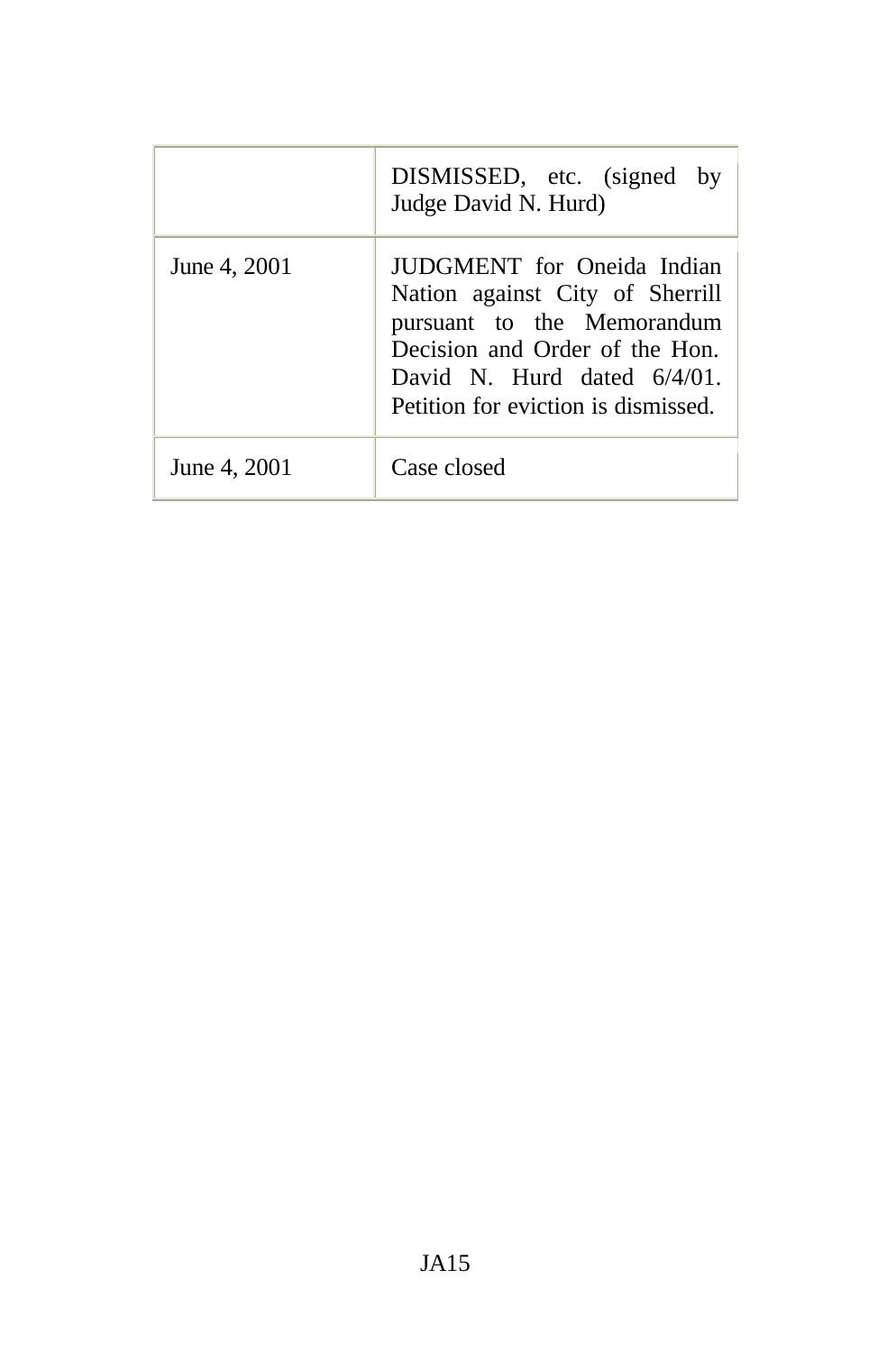|              | DISMISSED, etc. (signed by<br>Judge David N. Hurd)                                                                                                                                                     |
|--------------|--------------------------------------------------------------------------------------------------------------------------------------------------------------------------------------------------------|
| June 4, 2001 | JUDGMENT for Oneida Indian<br>Nation against City of Sherrill<br>pursuant to the Memorandum<br>Decision and Order of the Hon.<br>David N. Hurd dated $6/4/01$ .<br>Petition for eviction is dismissed. |
| June 4, 2001 | Case closed                                                                                                                                                                                            |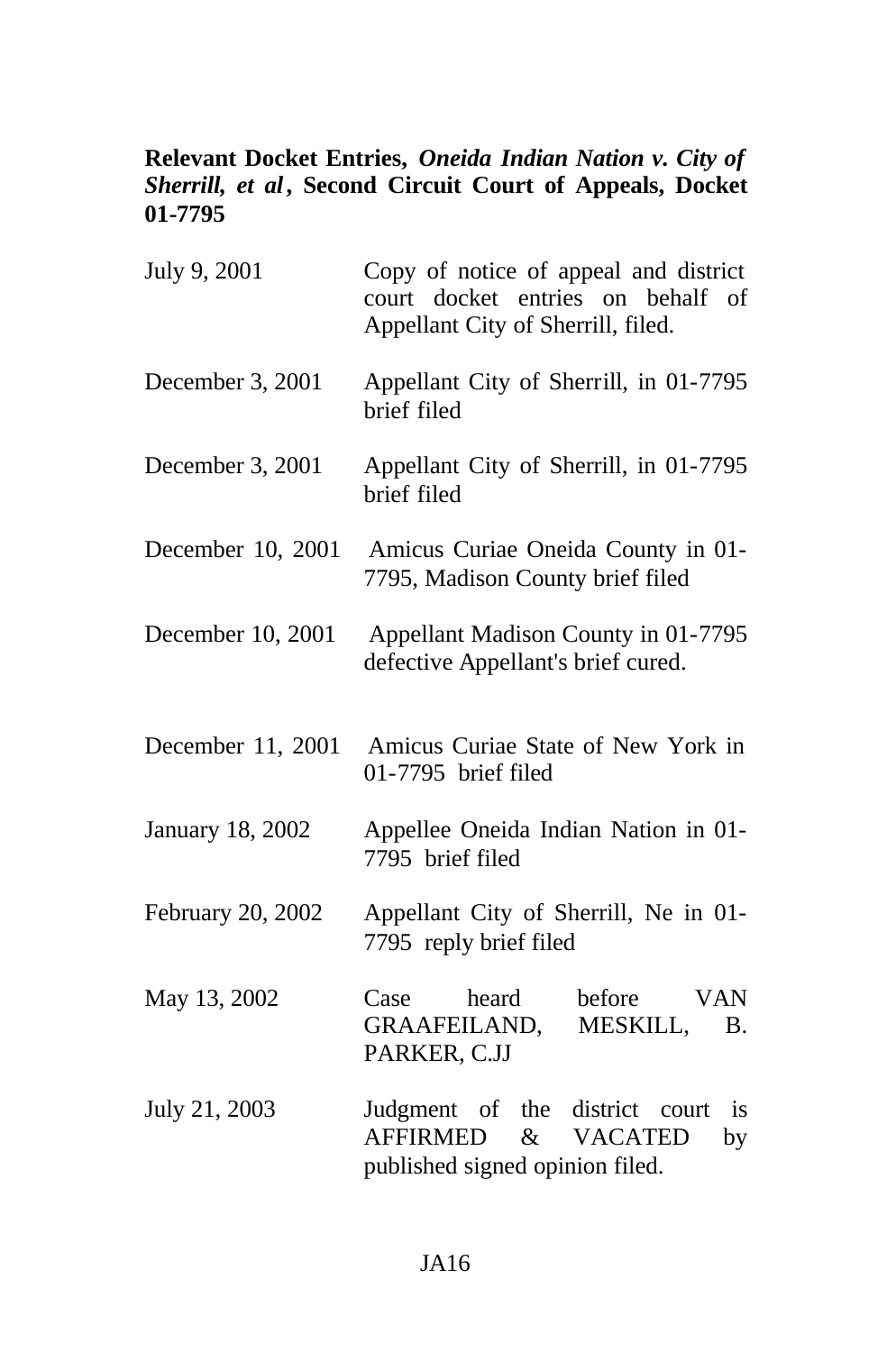### **Relevant Docket Entries,** *Oneida Indian Nation v. City of Sherrill, et al***, Second Circuit Court of Appeals, Docket 01-7795**

| July 9, 2001      | Copy of notice of appeal and district<br>court docket entries on behalf of<br>Appellant City of Sherrill, filed. |
|-------------------|------------------------------------------------------------------------------------------------------------------|
| December 3, 2001  | Appellant City of Sherrill, in 01-7795<br>brief filed                                                            |
| December 3, 2001  | Appellant City of Sherrill, in 01-7795<br>brief filed                                                            |
| December 10, 2001 | Amicus Curiae Oneida County in 01-<br>7795, Madison County brief filed                                           |
| December 10, 2001 | Appellant Madison County in 01-7795<br>defective Appellant's brief cured.                                        |
| December 11, 2001 | Amicus Curiae State of New York in<br>01-7795 brief filed                                                        |
| January 18, 2002  | Appellee Oneida Indian Nation in 01-<br>7795 brief filed                                                         |
| February 20, 2002 | Appellant City of Sherrill, Ne in 01-<br>7795 reply brief filed                                                  |
| May 13, 2002      | heard<br>before<br><b>VAN</b><br>Case<br>GRAAFEILAND, MESKILL,<br><b>B.</b><br>PARKER, C.JJ                      |
| July 21, 2003     | Judgment of the district court<br>is.<br>& VACATED<br><b>AFFIRMED</b><br>by<br>published signed opinion filed.   |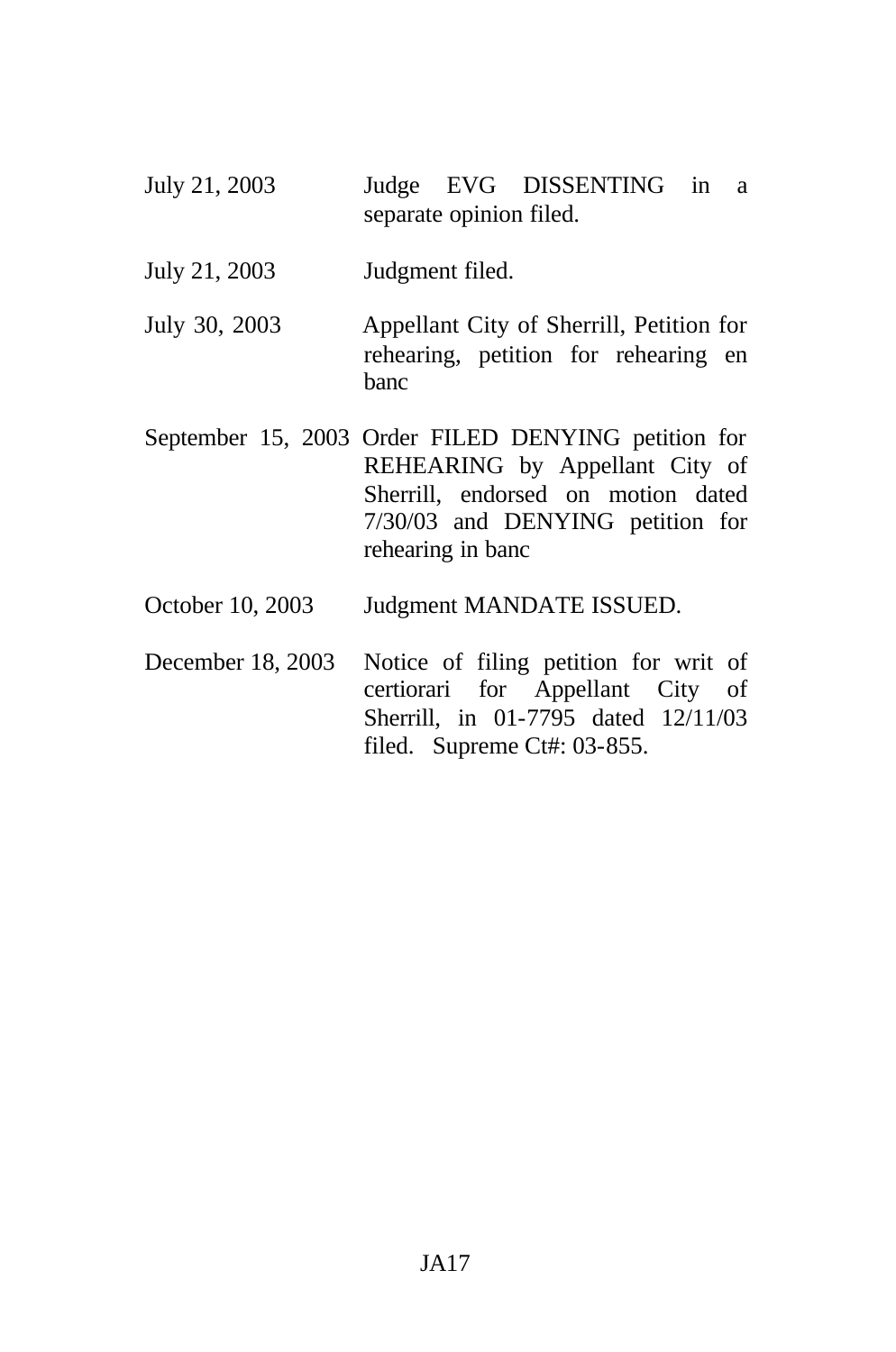- July 21, 2003 Judge EVG DISSENTING in a separate opinion filed.
- July 21, 2003 Judgment filed.
- July 30, 2003 Appellant City of Sherrill, Petition for rehearing, petition for rehearing en banc
- September 15, 2003 Order FILED DENYING petition for REHEARING by Appellant City of Sherrill, endorsed on motion dated 7/30/03 and DENYING petition for rehearing in banc
- October 10, 2003 Judgment MANDATE ISSUED.
- December 18, 2003 Notice of filing petition for writ of certiorari for Appellant City of Sherrill, in 01-7795 dated 12/11/03 filed. Supreme Ct#: 03-855.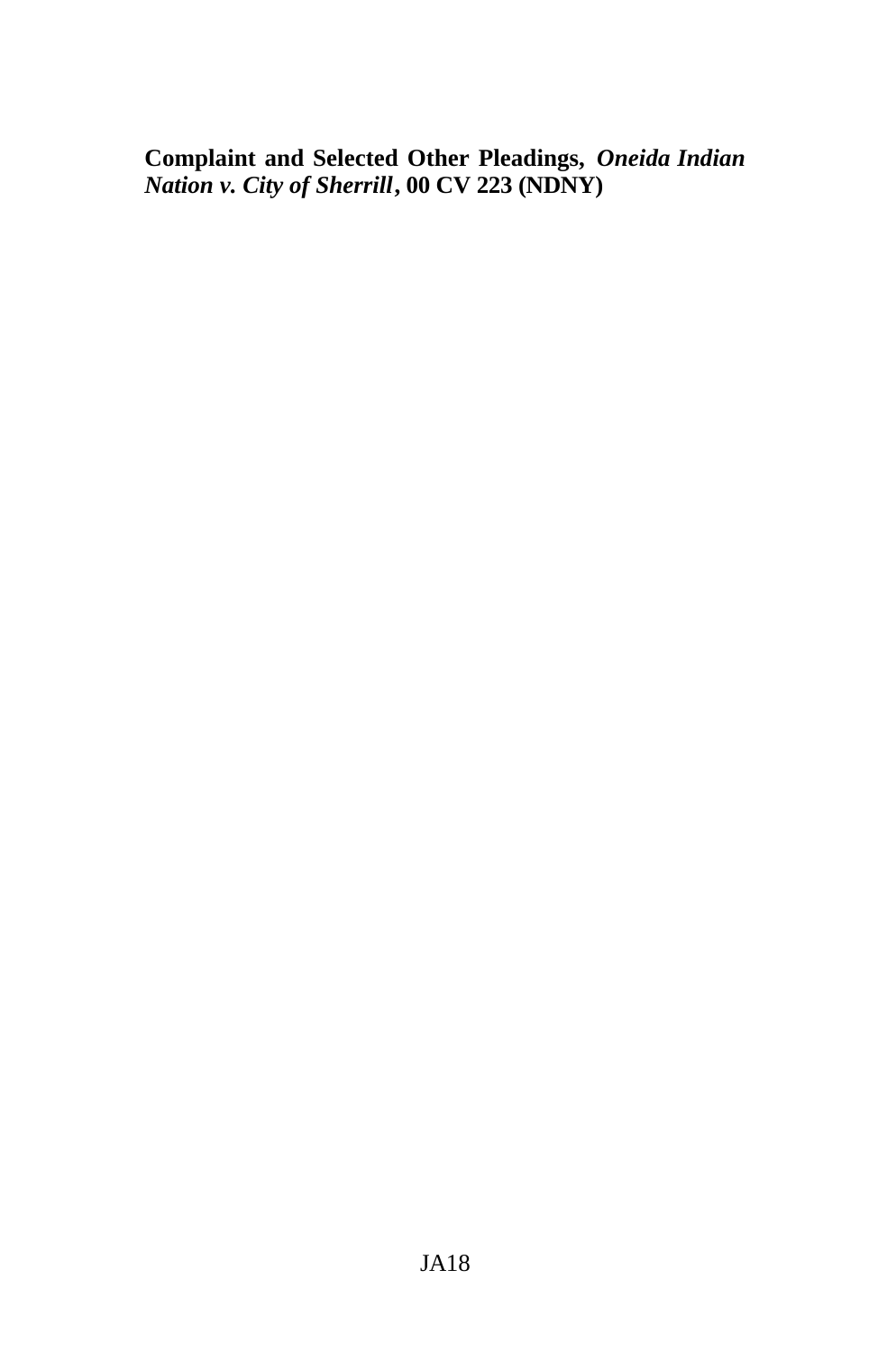**Complaint and Selected Other Pleadings,** *Oneida Indian Nation v. City of Sherrill***, 00 CV 223 (NDNY)**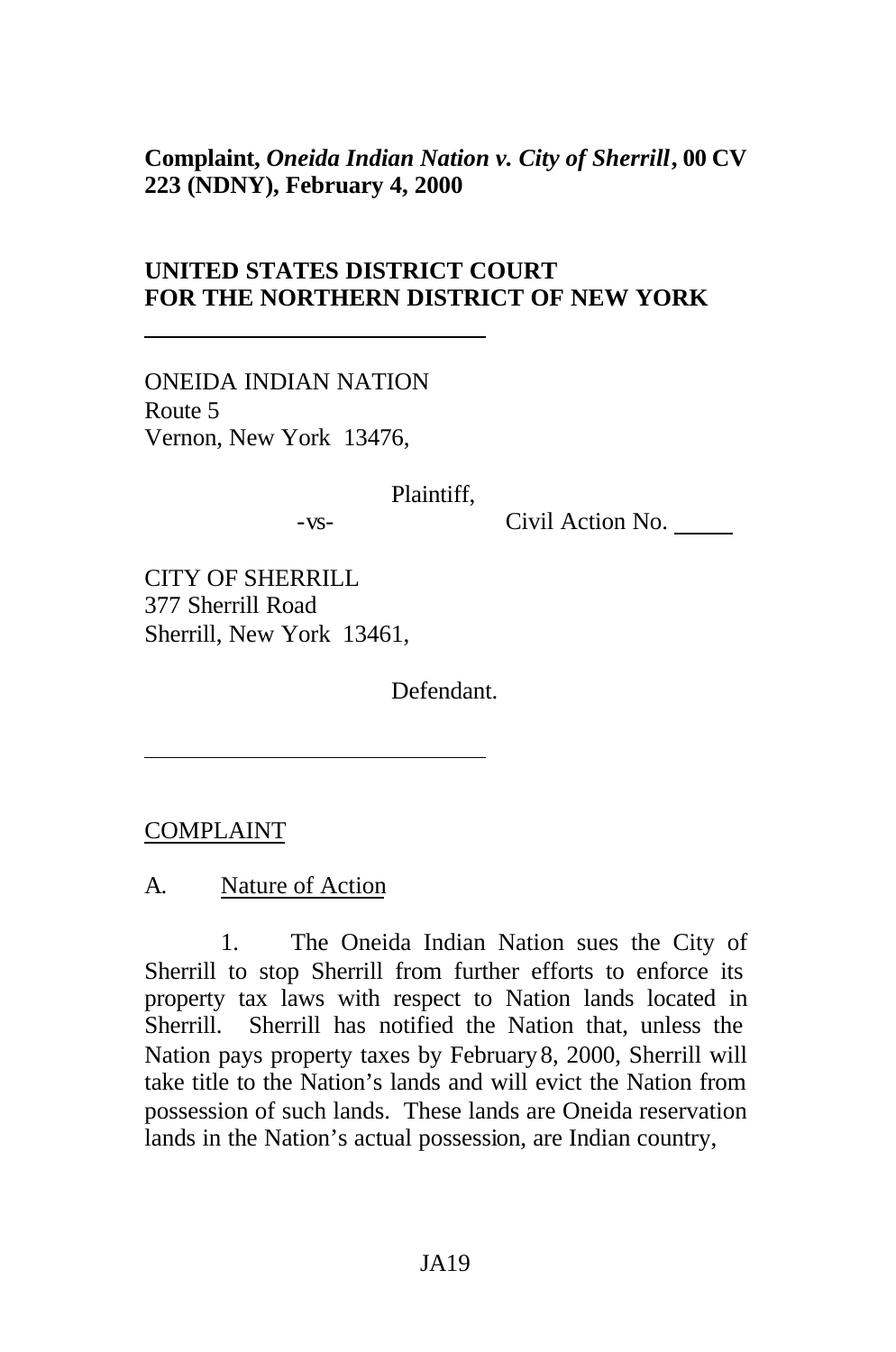#### **Complaint,** *Oneida Indian Nation v. City of Sherrill***, 00 CV 223 (NDNY), February 4, 2000**

### **UNITED STATES DISTRICT COURT FOR THE NORTHERN DISTRICT OF NEW YORK**

ONEIDA INDIAN NATION Route 5 Vernon, New York 13476,

Plaintiff,

-vs- Civil Action No.

CITY OF SHERRILL 377 Sherrill Road Sherrill, New York 13461,

Defendant.

COMPLAINT

A. Nature of Action

1. The Oneida Indian Nation sues the City of Sherrill to stop Sherrill from further efforts to enforce its property tax laws with respect to Nation lands located in Sherrill. Sherrill has notified the Nation that, unless the Nation pays property taxes by February8, 2000, Sherrill will take title to the Nation's lands and will evict the Nation from possession of such lands. These lands are Oneida reservation lands in the Nation's actual possession, are Indian country,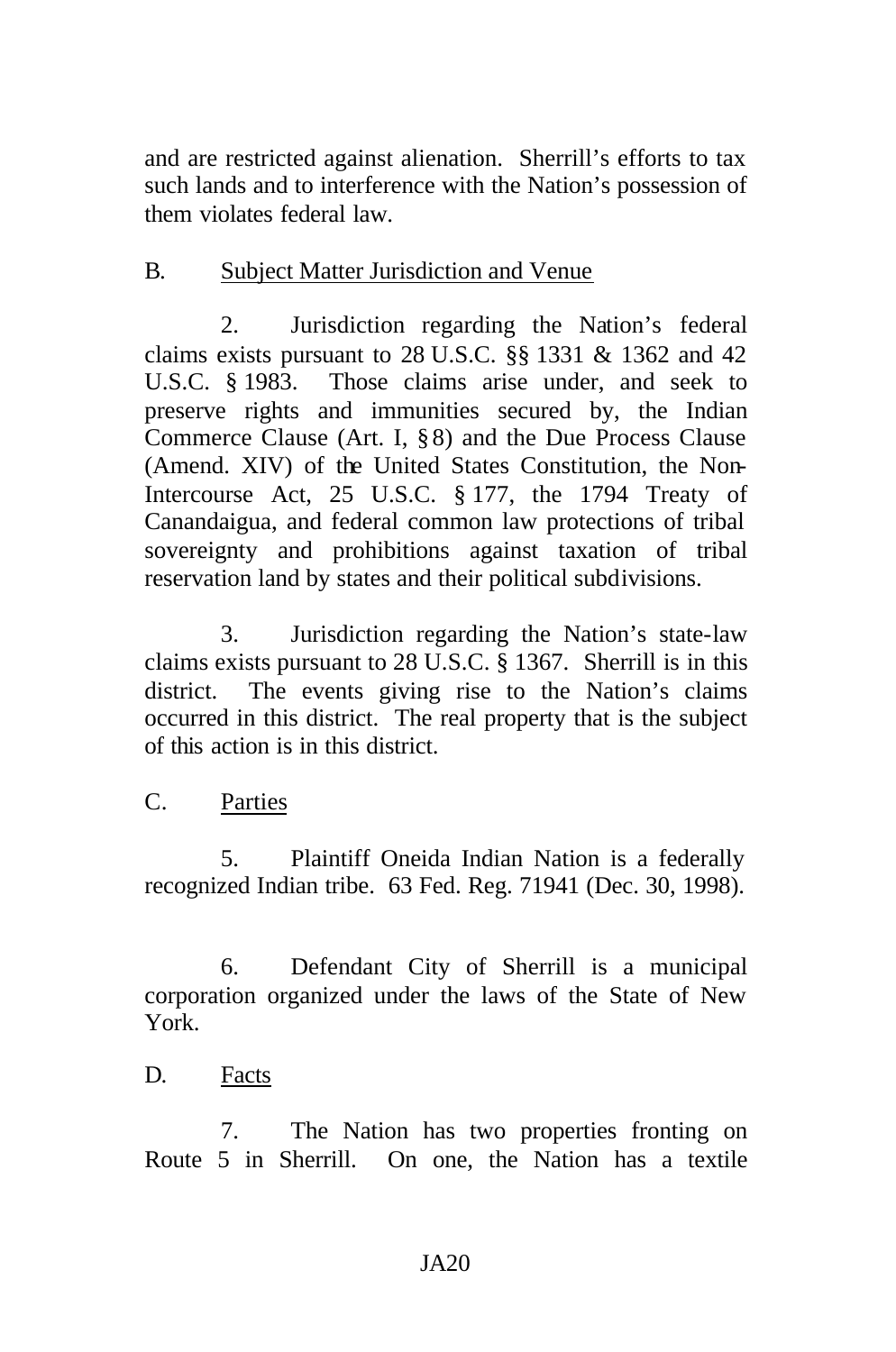and are restricted against alienation. Sherrill's efforts to tax such lands and to interference with the Nation's possession of them violates federal law.

### B. Subject Matter Jurisdiction and Venue

2. Jurisdiction regarding the Nation's federal claims exists pursuant to  $28$  U.S.C.  $\S$ § 1331 & 1362 and 42 U.S.C. § 1983. Those claims arise under, and seek to preserve rights and immunities secured by, the Indian Commerce Clause (Art. I, § 8) and the Due Process Clause (Amend. XIV) of the United States Constitution, the Non-Intercourse Act, 25 U.S.C. § 177, the 1794 Treaty of Canandaigua, and federal common law protections of tribal sovereignty and prohibitions against taxation of tribal reservation land by states and their political subdivisions.

3. Jurisdiction regarding the Nation's state-law claims exists pursuant to 28 U.S.C. § 1367. Sherrill is in this district. The events giving rise to the Nation's claims occurred in this district. The real property that is the subject of this action is in this district.

#### C. Parties

5. Plaintiff Oneida Indian Nation is a federally recognized Indian tribe. 63 Fed. Reg. 71941 (Dec. 30, 1998).

6. Defendant City of Sherrill is a municipal corporation organized under the laws of the State of New York.

#### D. Facts

7. The Nation has two properties fronting on Route 5 in Sherrill. On one, the Nation has a textile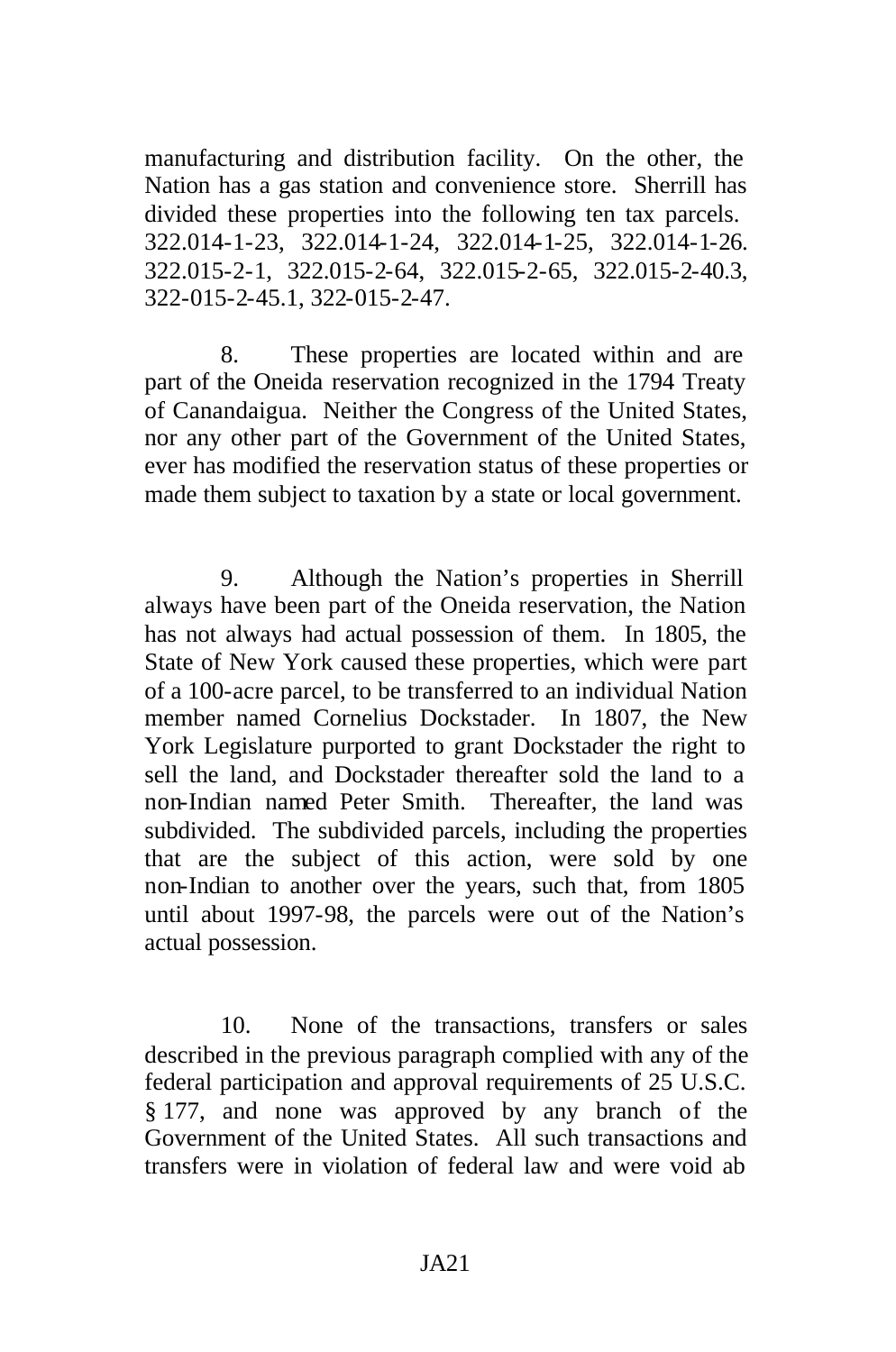manufacturing and distribution facility. On the other, the Nation has a gas station and convenience store. Sherrill has divided these properties into the following ten tax parcels. 322.014-1-23, 322.014-1-24, 322.014-1-25, 322.014-1-26. 322.015-2-1, 322.015-2-64, 322.015-2-65, 322.015-2-40.3, 322-015-2-45.1, 322-015-2-47.

8. These properties are located within and are part of the Oneida reservation recognized in the 1794 Treaty of Canandaigua. Neither the Congress of the United States, nor any other part of the Government of the United States, ever has modified the reservation status of these properties or made them subject to taxation by a state or local government.

9. Although the Nation's properties in Sherrill always have been part of the Oneida reservation, the Nation has not always had actual possession of them. In 1805, the State of New York caused these properties, which were part of a 100-acre parcel, to be transferred to an individual Nation member named Cornelius Dockstader. In 1807, the New York Legislature purported to grant Dockstader the right to sell the land, and Dockstader thereafter sold the land to a non-Indian named Peter Smith. Thereafter, the land was subdivided. The subdivided parcels, including the properties that are the subject of this action, were sold by one non-Indian to another over the years, such that, from 1805 until about 1997-98, the parcels were out of the Nation's actual possession.

10. None of the transactions, transfers or sales described in the previous paragraph complied with any of the federal participation and approval requirements of 25 U.S.C. § 177, and none was approved by any branch of the Government of the United States. All such transactions and transfers were in violation of federal law and were void ab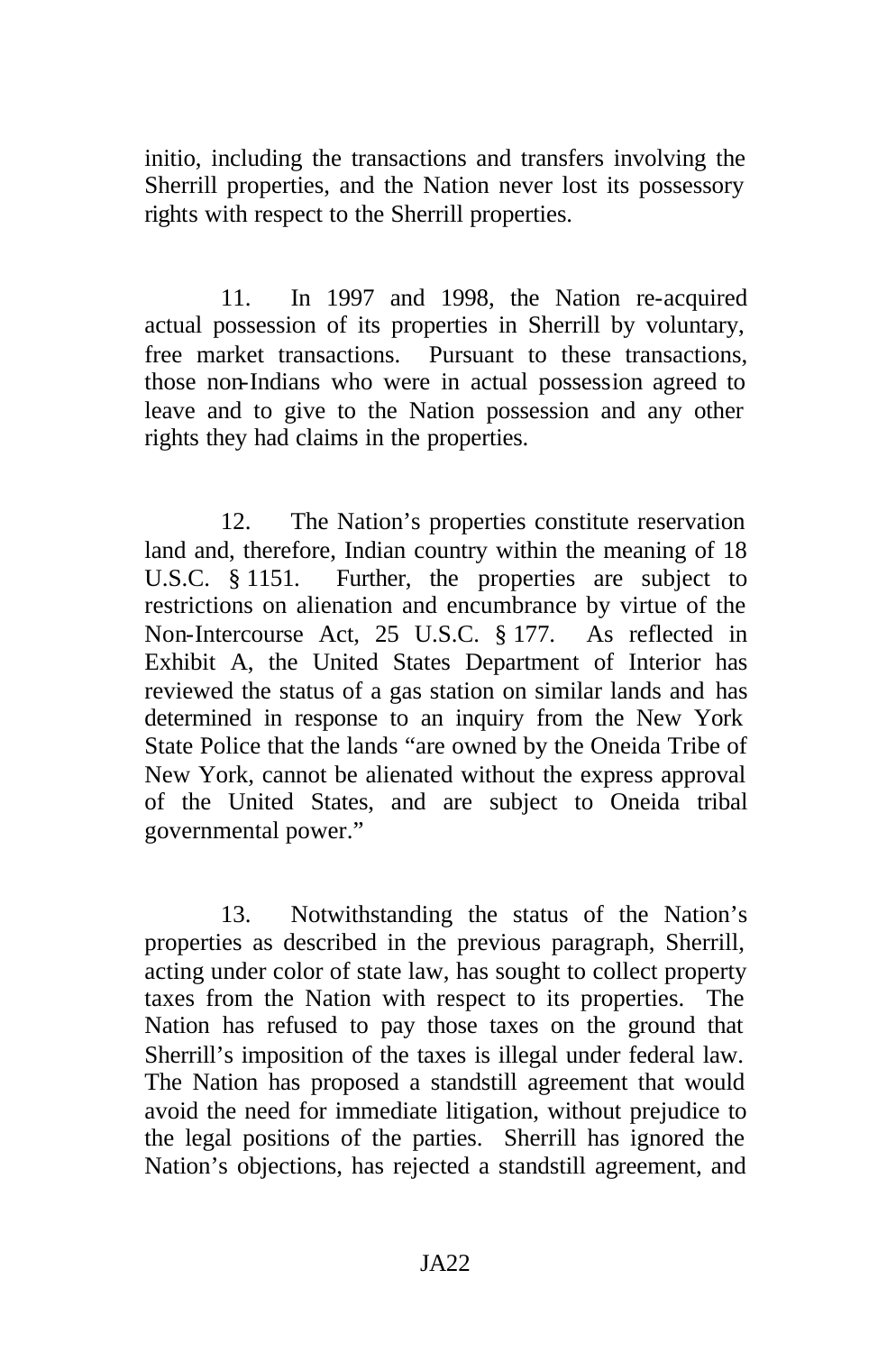initio, including the transactions and transfers involving the Sherrill properties, and the Nation never lost its possessory rights with respect to the Sherrill properties.

11. In 1997 and 1998, the Nation re-acquired actual possession of its properties in Sherrill by voluntary, free market transactions. Pursuant to these transactions, those non-Indians who were in actual possession agreed to leave and to give to the Nation possession and any other rights they had claims in the properties.

12. The Nation's properties constitute reservation land and, therefore, Indian country within the meaning of 18 U.S.C. § 1151. Further, the properties are subject to restrictions on alienation and encumbrance by virtue of the Non-Intercourse Act, 25 U.S.C. § 177. As reflected in Exhibit A, the United States Department of Interior has reviewed the status of a gas station on similar lands and has determined in response to an inquiry from the New York State Police that the lands "are owned by the Oneida Tribe of New York, cannot be alienated without the express approval of the United States, and are subject to Oneida tribal governmental power."

13. Notwithstanding the status of the Nation's properties as described in the previous paragraph, Sherrill, acting under color of state law, has sought to collect property taxes from the Nation with respect to its properties. The Nation has refused to pay those taxes on the ground that Sherrill's imposition of the taxes is illegal under federal law. The Nation has proposed a standstill agreement that would avoid the need for immediate litigation, without prejudice to the legal positions of the parties. Sherrill has ignored the Nation's objections, has rejected a standstill agreement, and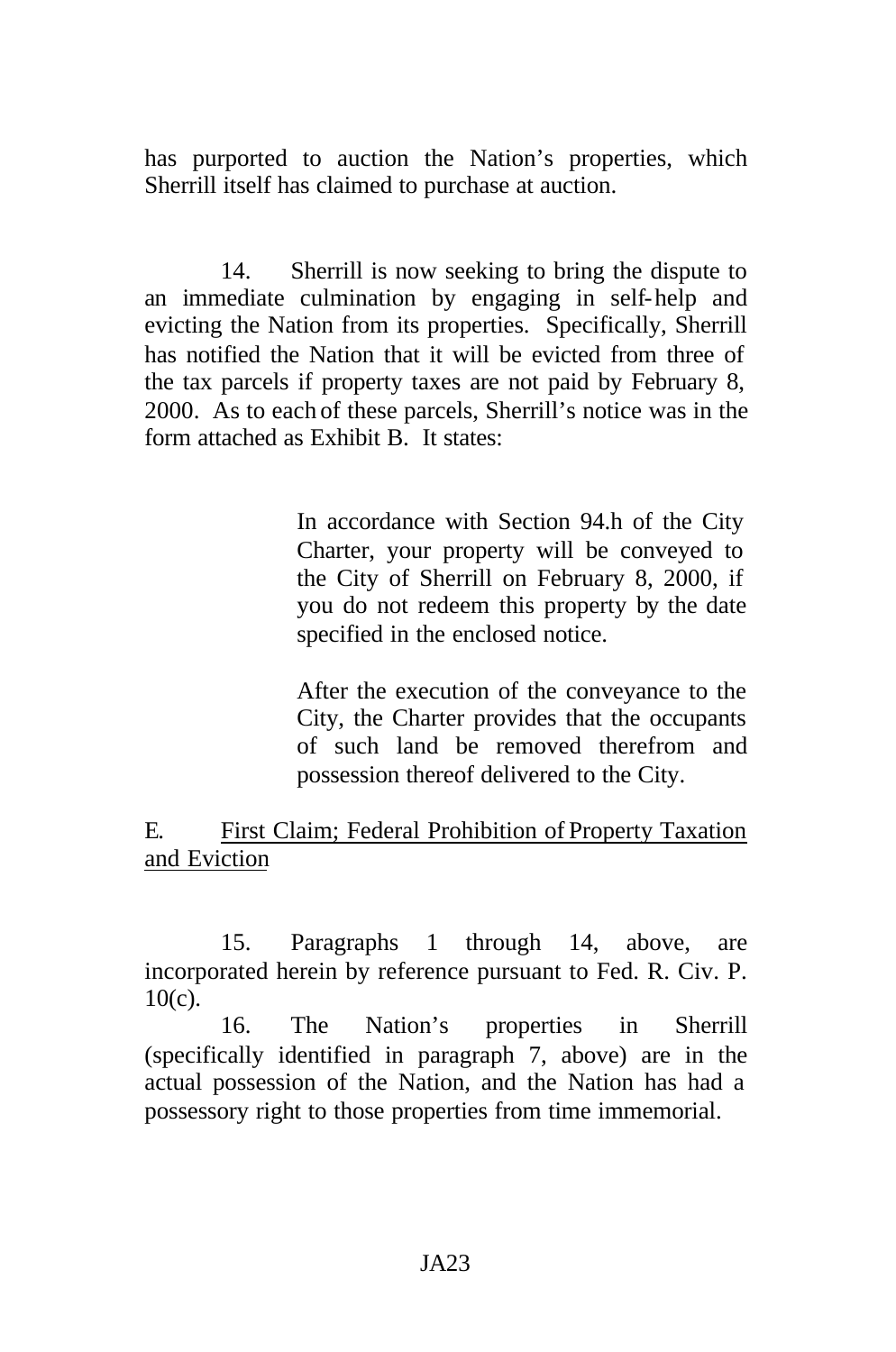has purported to auction the Nation's properties, which Sherrill itself has claimed to purchase at auction.

14. Sherrill is now seeking to bring the dispute to an immediate culmination by engaging in self-help and evicting the Nation from its properties. Specifically, Sherrill has notified the Nation that it will be evicted from three of the tax parcels if property taxes are not paid by February 8, 2000. As to each of these parcels, Sherrill's notice was in the form attached as Exhibit B. It states:

> In accordance with Section 94.h of the City Charter, your property will be conveyed to the City of Sherrill on February 8, 2000, if you do not redeem this property by the date specified in the enclosed notice.

> After the execution of the conveyance to the City, the Charter provides that the occupants of such land be removed therefrom and possession thereof delivered to the City.

### E. First Claim; Federal Prohibition of Property Taxation and Eviction

15. Paragraphs 1 through 14, above, are incorporated herein by reference pursuant to Fed. R. Civ. P.  $10(c)$ .

16. The Nation's properties in Sherrill (specifically identified in paragraph 7, above) are in the actual possession of the Nation, and the Nation has had a possessory right to those properties from time immemorial.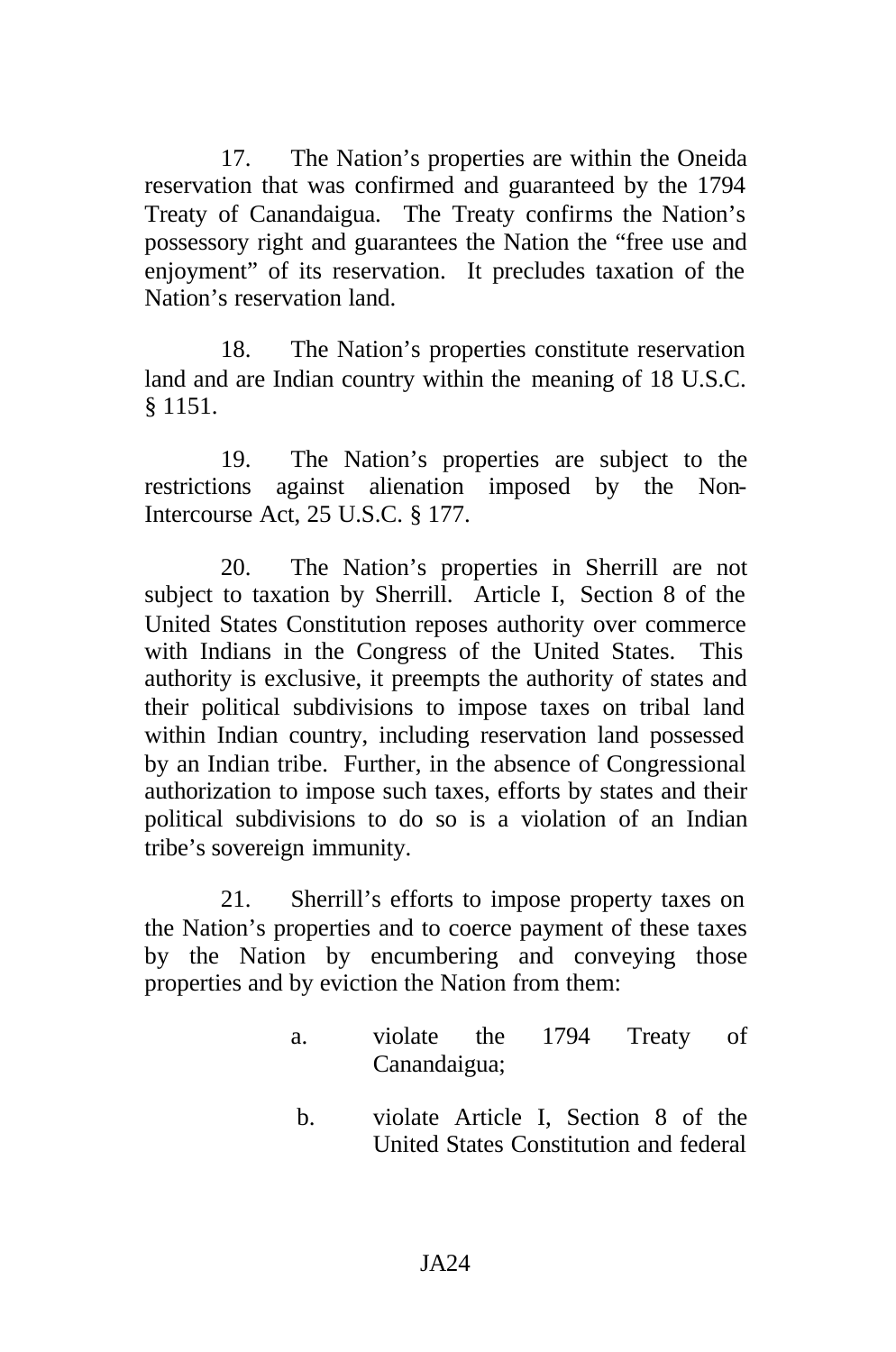17. The Nation's properties are within the Oneida reservation that was confirmed and guaranteed by the 1794 Treaty of Canandaigua. The Treaty confirms the Nation's possessory right and guarantees the Nation the "free use and enjoyment" of its reservation. It precludes taxation of the Nation's reservation land.

18. The Nation's properties constitute reservation land and are Indian country within the meaning of 18 U.S.C. § 1151.

19. The Nation's properties are subject to the restrictions against alienation imposed by the Non-Intercourse Act, 25 U.S.C. § 177.

20. The Nation's properties in Sherrill are not subject to taxation by Sherrill. Article I, Section 8 of the United States Constitution reposes authority over commerce with Indians in the Congress of the United States. This authority is exclusive, it preempts the authority of states and their political subdivisions to impose taxes on tribal land within Indian country, including reservation land possessed by an Indian tribe. Further, in the absence of Congressional authorization to impose such taxes, efforts by states and their political subdivisions to do so is a violation of an Indian tribe's sovereign immunity.

21. Sherrill's efforts to impose property taxes on the Nation's properties and to coerce payment of these taxes by the Nation by encumbering and conveying those properties and by eviction the Nation from them:

- a. violate the 1794 Treaty of Canandaigua;
- b. violate Article I, Section 8 of the United States Constitution and federal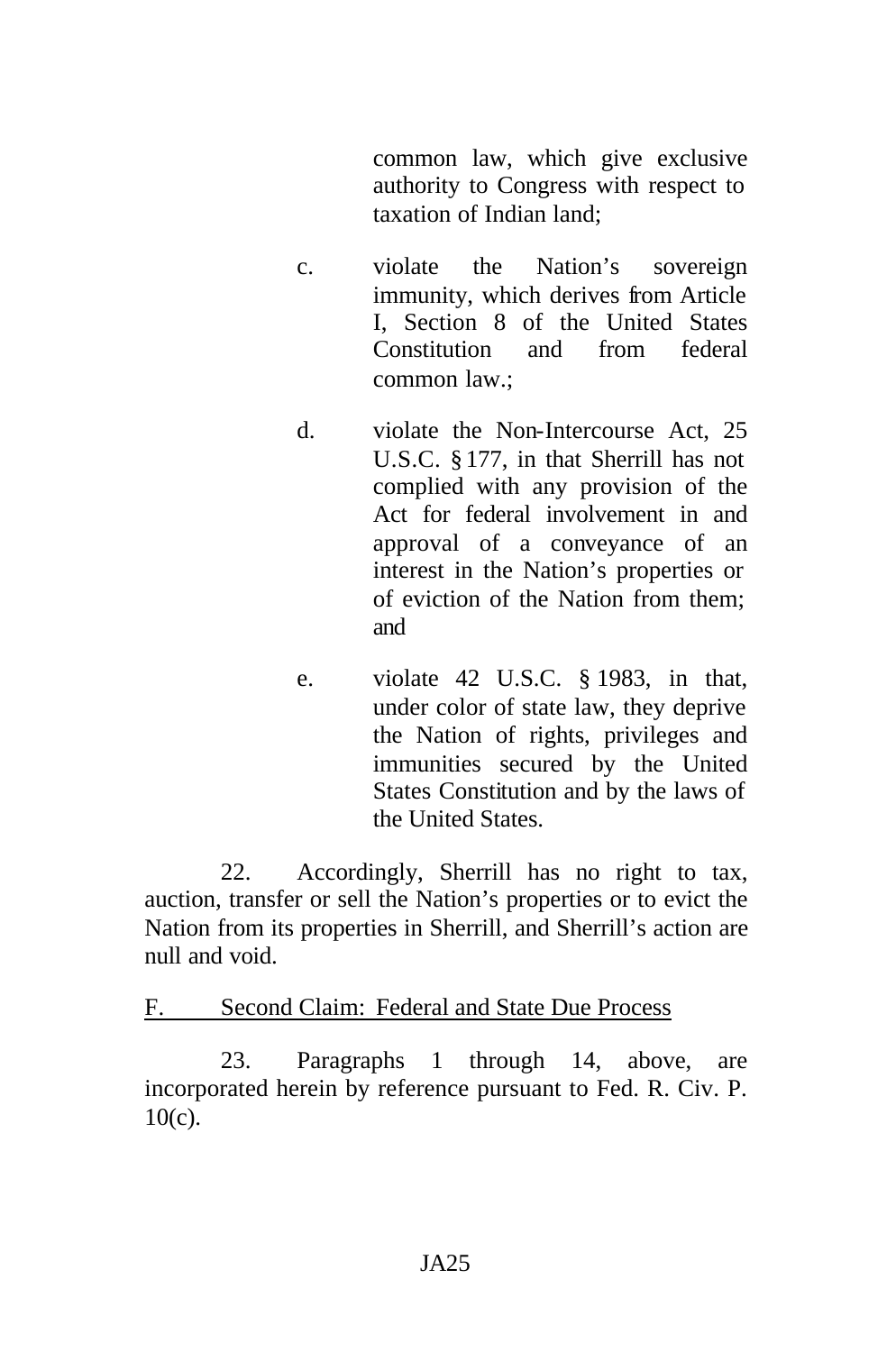common law, which give exclusive authority to Congress with respect to taxation of Indian land;

- c. violate the Nation's sovereign immunity, which derives from Article I, Section 8 of the United States Constitution and from federal common law.;
- d. violate the Non-Intercourse Act, 25 U.S.C. § 177, in that Sherrill has not complied with any provision of the Act for federal involvement in and approval of a conveyance of an interest in the Nation's properties or of eviction of the Nation from them; and
- e. violate 42 U.S.C. § 1983, in that, under color of state law, they deprive the Nation of rights, privileges and immunities secured by the United States Constitution and by the laws of the United States.

22. Accordingly, Sherrill has no right to tax, auction, transfer or sell the Nation's properties or to evict the Nation from its properties in Sherrill, and Sherrill's action are null and void.

F. Second Claim: Federal and State Due Process

23. Paragraphs 1 through 14, above, are incorporated herein by reference pursuant to Fed. R. Civ. P. 10(c).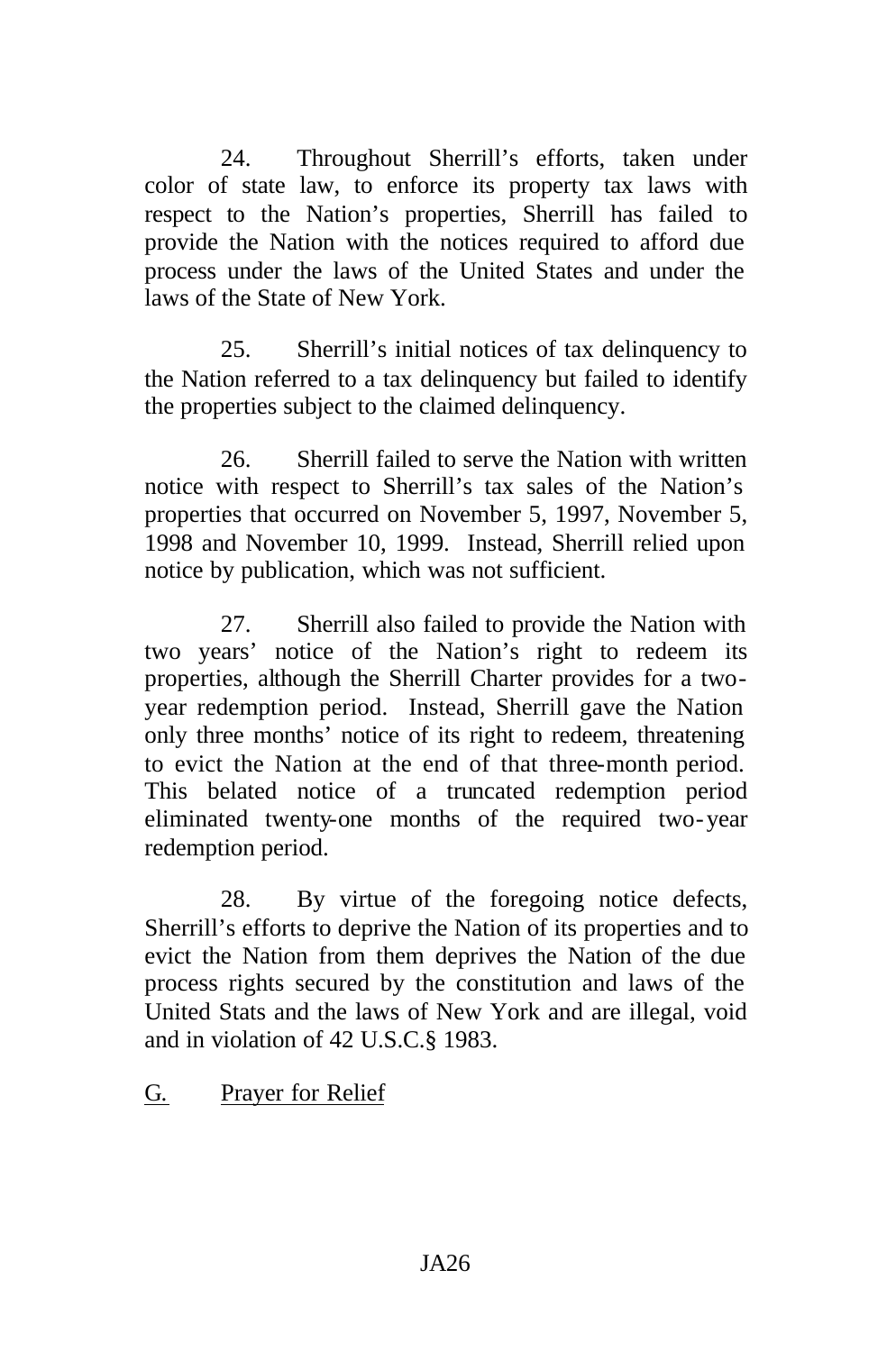24. Throughout Sherrill's efforts, taken under color of state law, to enforce its property tax laws with respect to the Nation's properties, Sherrill has failed to provide the Nation with the notices required to afford due process under the laws of the United States and under the laws of the State of New York.

25. Sherrill's initial notices of tax delinquency to the Nation referred to a tax delinquency but failed to identify the properties subject to the claimed delinquency.

26. Sherrill failed to serve the Nation with written notice with respect to Sherrill's tax sales of the Nation's properties that occurred on November 5, 1997, November 5, 1998 and November 10, 1999. Instead, Sherrill relied upon notice by publication, which was not sufficient.

27. Sherrill also failed to provide the Nation with two years' notice of the Nation's right to redeem its properties, although the Sherrill Charter provides for a twoyear redemption period. Instead, Sherrill gave the Nation only three months' notice of its right to redeem, threatening to evict the Nation at the end of that three-month period. This belated notice of a truncated redemption period eliminated twenty-one months of the required two-year redemption period.

28. By virtue of the foregoing notice defects, Sherrill's efforts to deprive the Nation of its properties and to evict the Nation from them deprives the Nation of the due process rights secured by the constitution and laws of the United Stats and the laws of New York and are illegal, void and in violation of 42 U.S.C.§ 1983.

### G. Prayer for Relief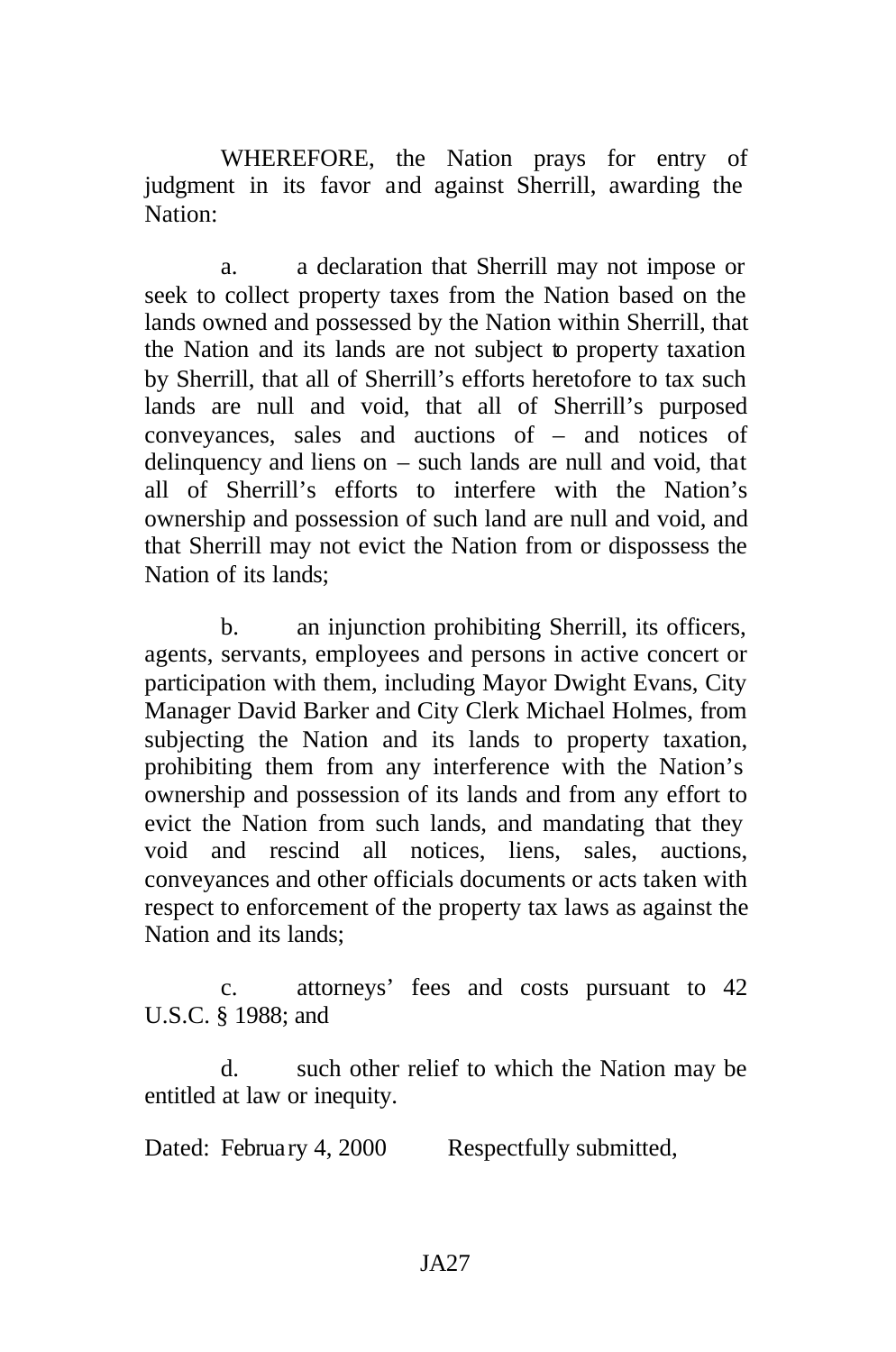WHEREFORE, the Nation prays for entry of judgment in its favor and against Sherrill, awarding the Nation:

a. a declaration that Sherrill may not impose or seek to collect property taxes from the Nation based on the lands owned and possessed by the Nation within Sherrill, that the Nation and its lands are not subject to property taxation by Sherrill, that all of Sherrill's efforts heretofore to tax such lands are null and void, that all of Sherrill's purposed conveyances, sales and auctions of – and notices of delinquency and liens on – such lands are null and void, that all of Sherrill's efforts to interfere with the Nation's ownership and possession of such land are null and void, and that Sherrill may not evict the Nation from or dispossess the Nation of its lands;

b. an injunction prohibiting Sherrill, its officers, agents, servants, employees and persons in active concert or participation with them, including Mayor Dwight Evans, City Manager David Barker and City Clerk Michael Holmes, from subjecting the Nation and its lands to property taxation, prohibiting them from any interference with the Nation's ownership and possession of its lands and from any effort to evict the Nation from such lands, and mandating that they void and rescind all notices, liens, sales, auctions, conveyances and other officials documents or acts taken with respect to enforcement of the property tax laws as against the Nation and its lands;

c. attorneys' fees and costs pursuant to 42 U.S.C. § 1988; and

d. such other relief to which the Nation may be entitled at law or inequity.

Dated: February 4, 2000 Respectfully submitted,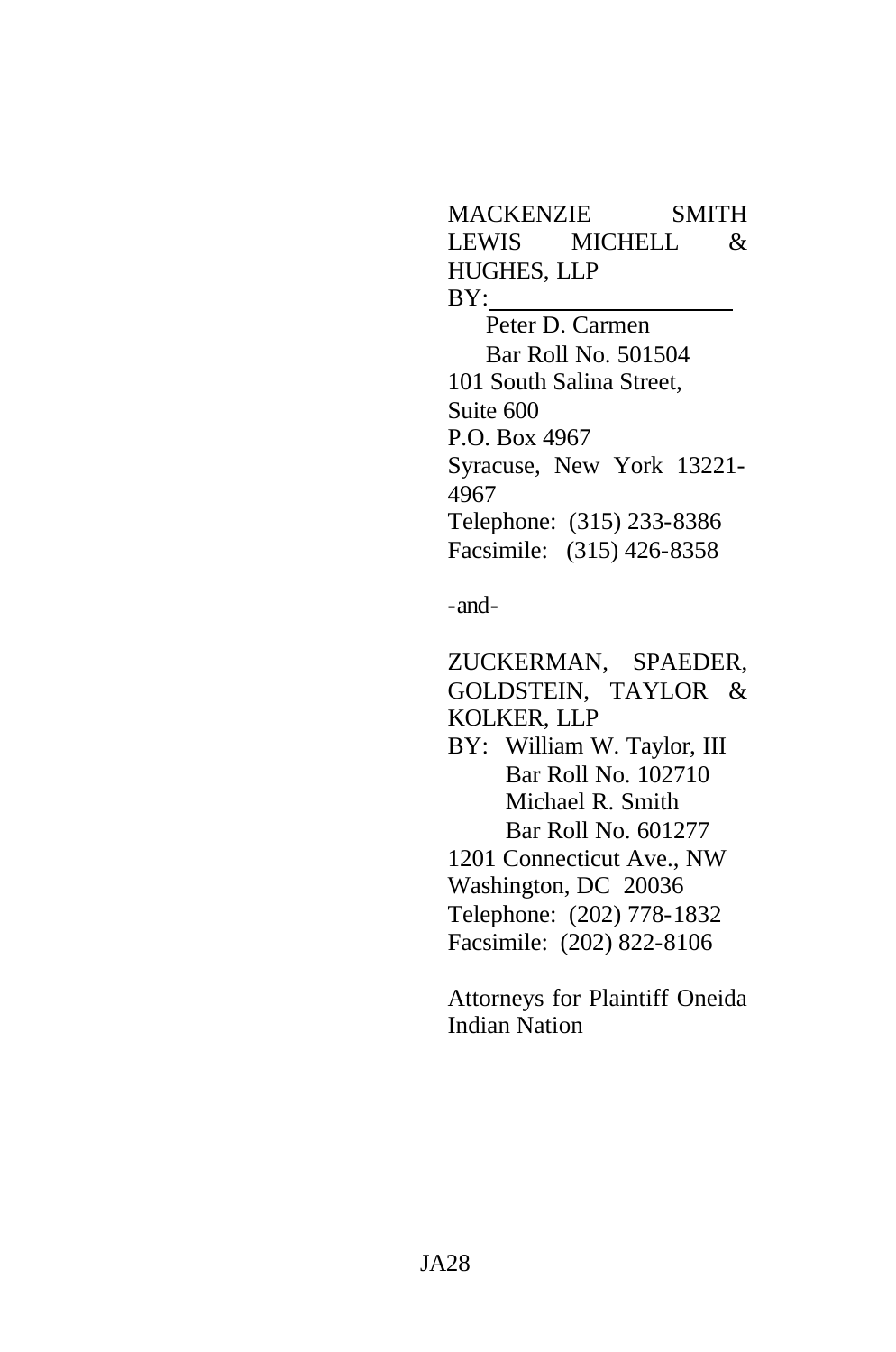MACKENZIE SMITH LEWIS MICHELL & HUGHES, LLP BY:

Peter D. Carmen Bar Roll No. 501504 101 South Salina Street, Suite 600 P.O. Box 4967 Syracuse, New York 13221- 4967 Telephone: (315) 233-8386 Facsimile: (315) 426-8358

-and-

ZUCKERMAN, SPAEDER, GOLDSTEIN, TAYLOR & KOLKER, LLP

- BY: William W. Taylor, III Bar Roll No. 102710 Michael R. Smith Bar Roll No. 601277 1201 Connecticut Ave., NW
- Washington, DC 20036
- 
- Telephone: (202) 778-1832 Facsimile: (202) 822-8106

Attorneys for Plaintiff Oneida Indian Nation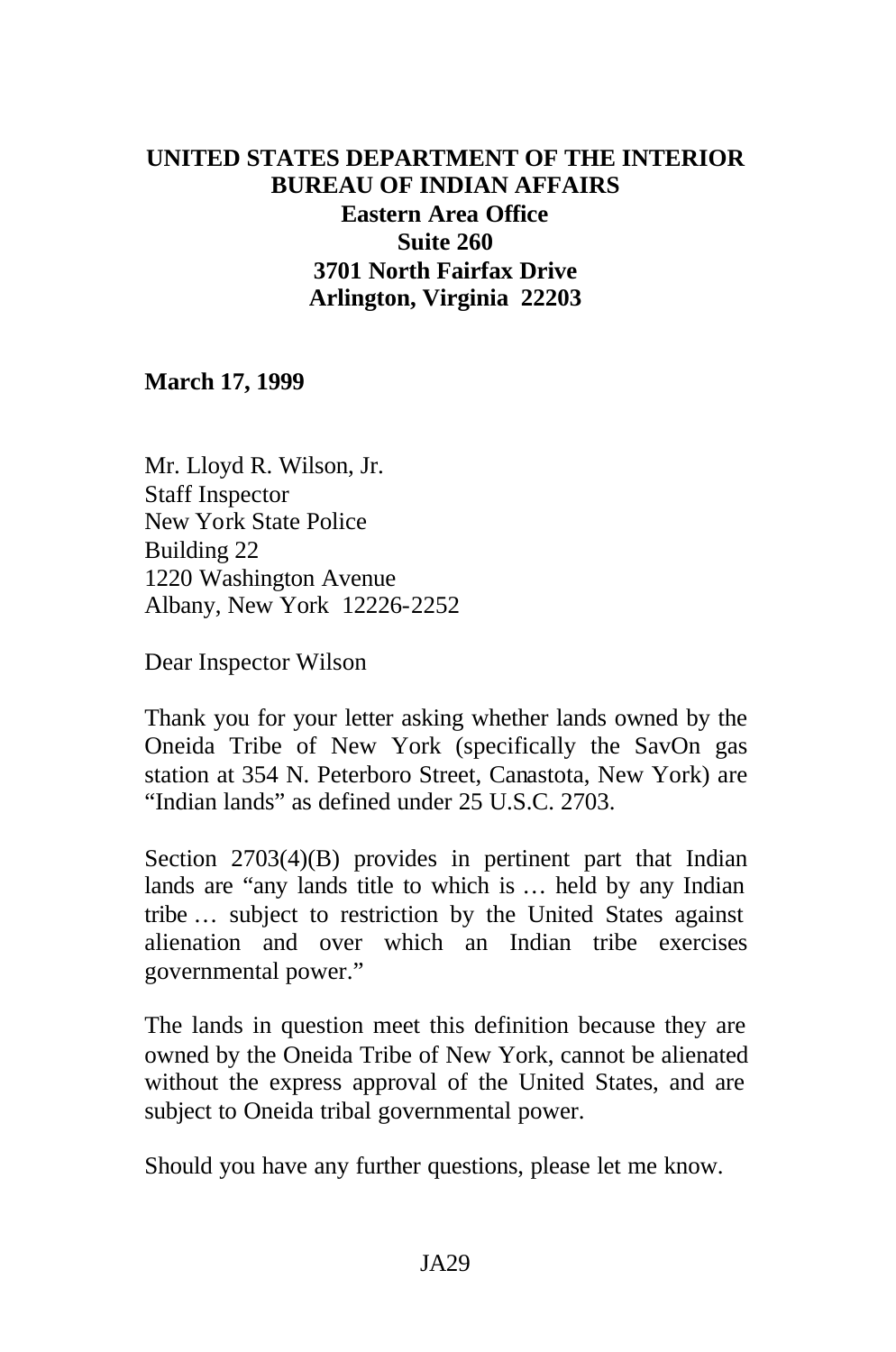# **UNITED STATES DEPARTMENT OF THE INTERIOR BUREAU OF INDIAN AFFAIRS Eastern Area Office Suite 260 3701 North Fairfax Drive Arlington, Virginia 22203**

**March 17, 1999**

Mr. Lloyd R. Wilson, Jr. Staff Inspector New York State Police Building 22 1220 Washington Avenue Albany, New York 12226-2252

Dear Inspector Wilson

Thank you for your letter asking whether lands owned by the Oneida Tribe of New York (specifically the SavOn gas station at 354 N. Peterboro Street, Canastota, New York) are "Indian lands" as defined under 25 U.S.C. 2703.

Section 2703(4)(B) provides in pertinent part that Indian lands are "any lands title to which is … held by any Indian tribe … subject to restriction by the United States against alienation and over which an Indian tribe exercises governmental power."

The lands in question meet this definition because they are owned by the Oneida Tribe of New York, cannot be alienated without the express approval of the United States, and are subject to Oneida tribal governmental power.

Should you have any further questions, please let me know.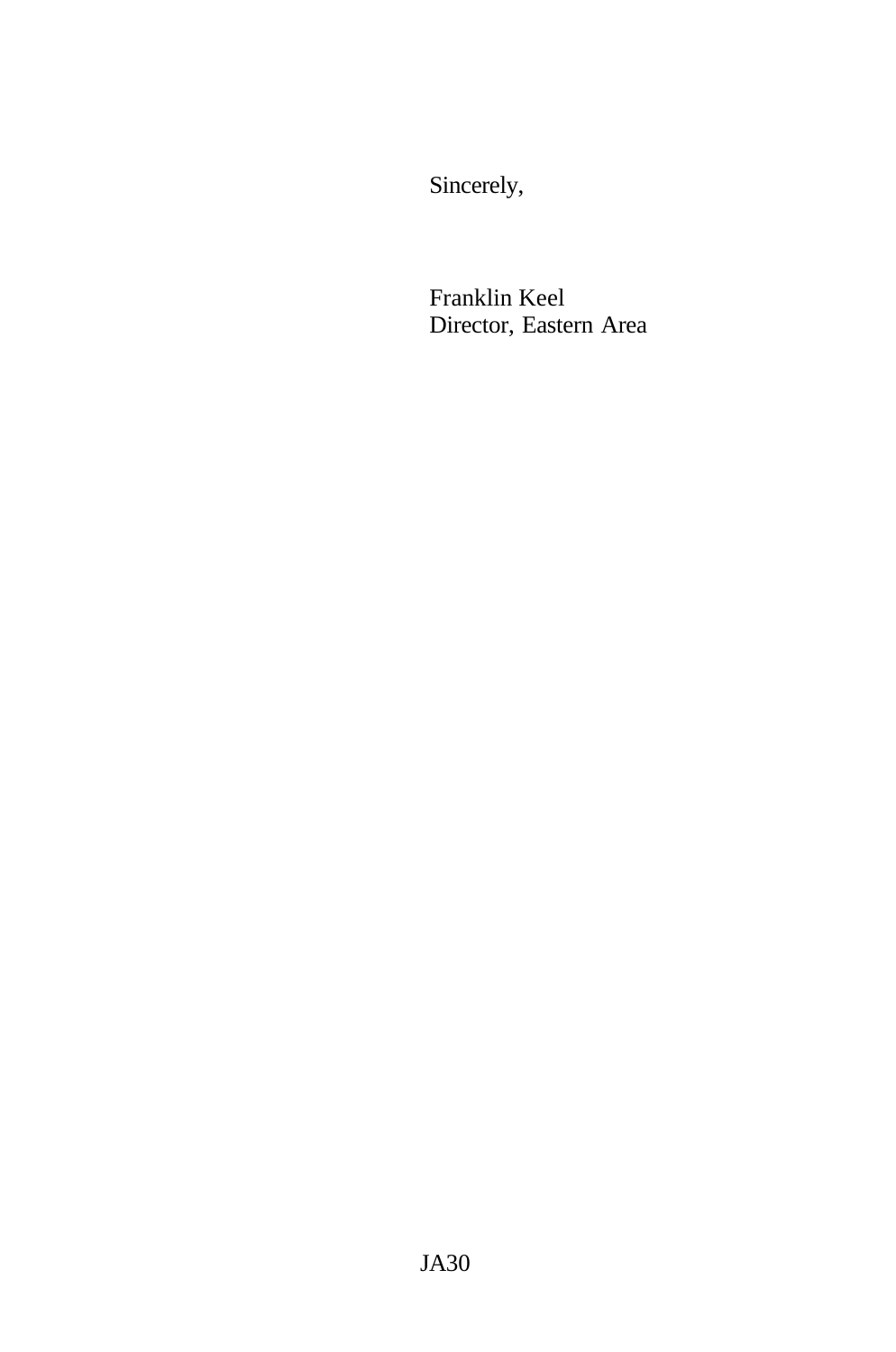Sincerely,

Franklin Keel Director, Eastern Area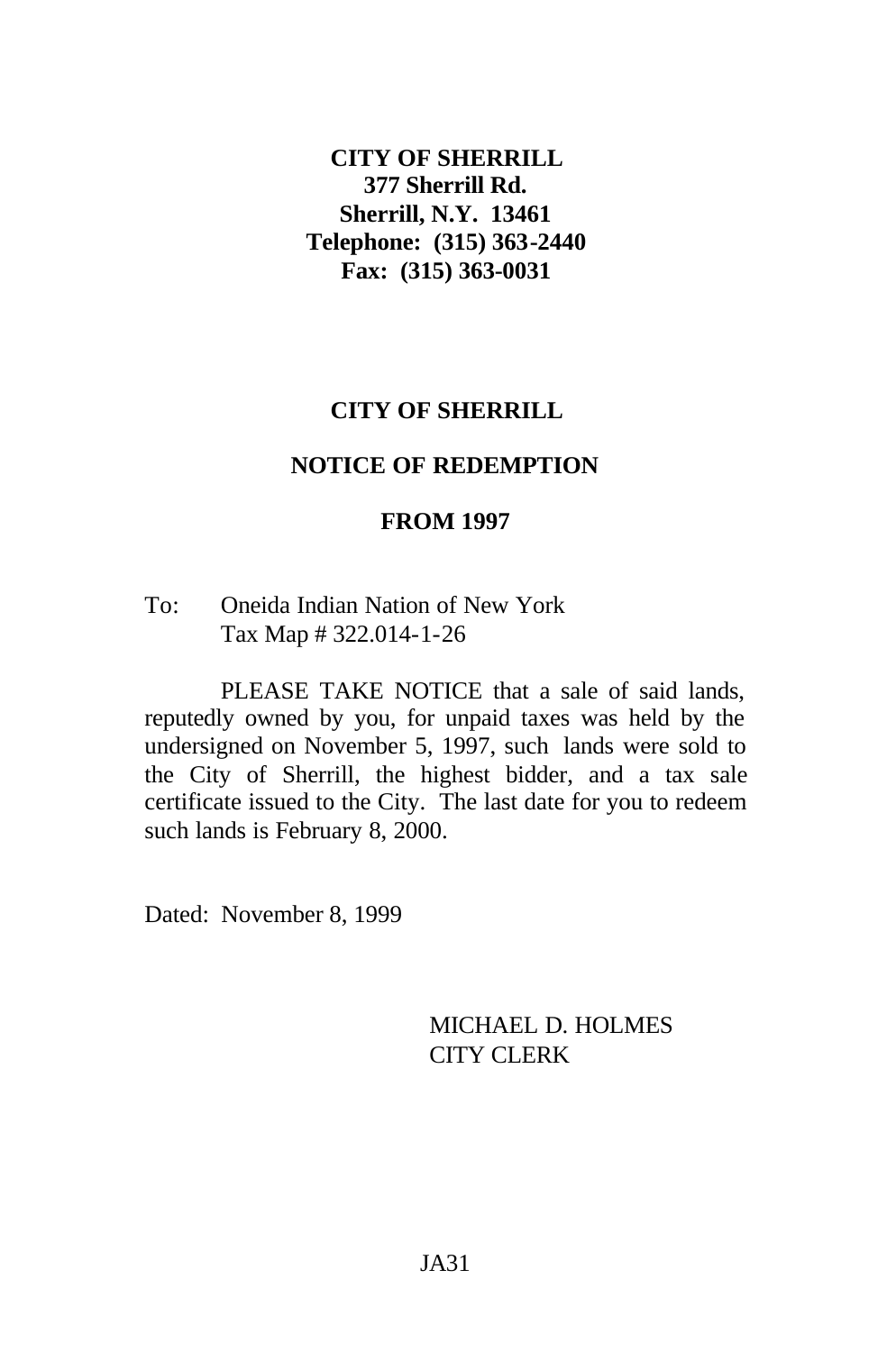### **CITY OF SHERRILL 377 Sherrill Rd. Sherrill, N.Y. 13461 Telephone: (315) 363-2440 Fax: (315) 363-0031**

# **CITY OF SHERRILL**

#### **NOTICE OF REDEMPTION**

#### **FROM 1997**

#### To: Oneida Indian Nation of New York Tax Map # 322.014-1-26

PLEASE TAKE NOTICE that a sale of said lands, reputedly owned by you, for unpaid taxes was held by the undersigned on November 5, 1997, such lands were sold to the City of Sherrill, the highest bidder, and a tax sale certificate issued to the City. The last date for you to redeem such lands is February 8, 2000.

Dated: November 8, 1999

MICHAEL D. HOLMES CITY CLERK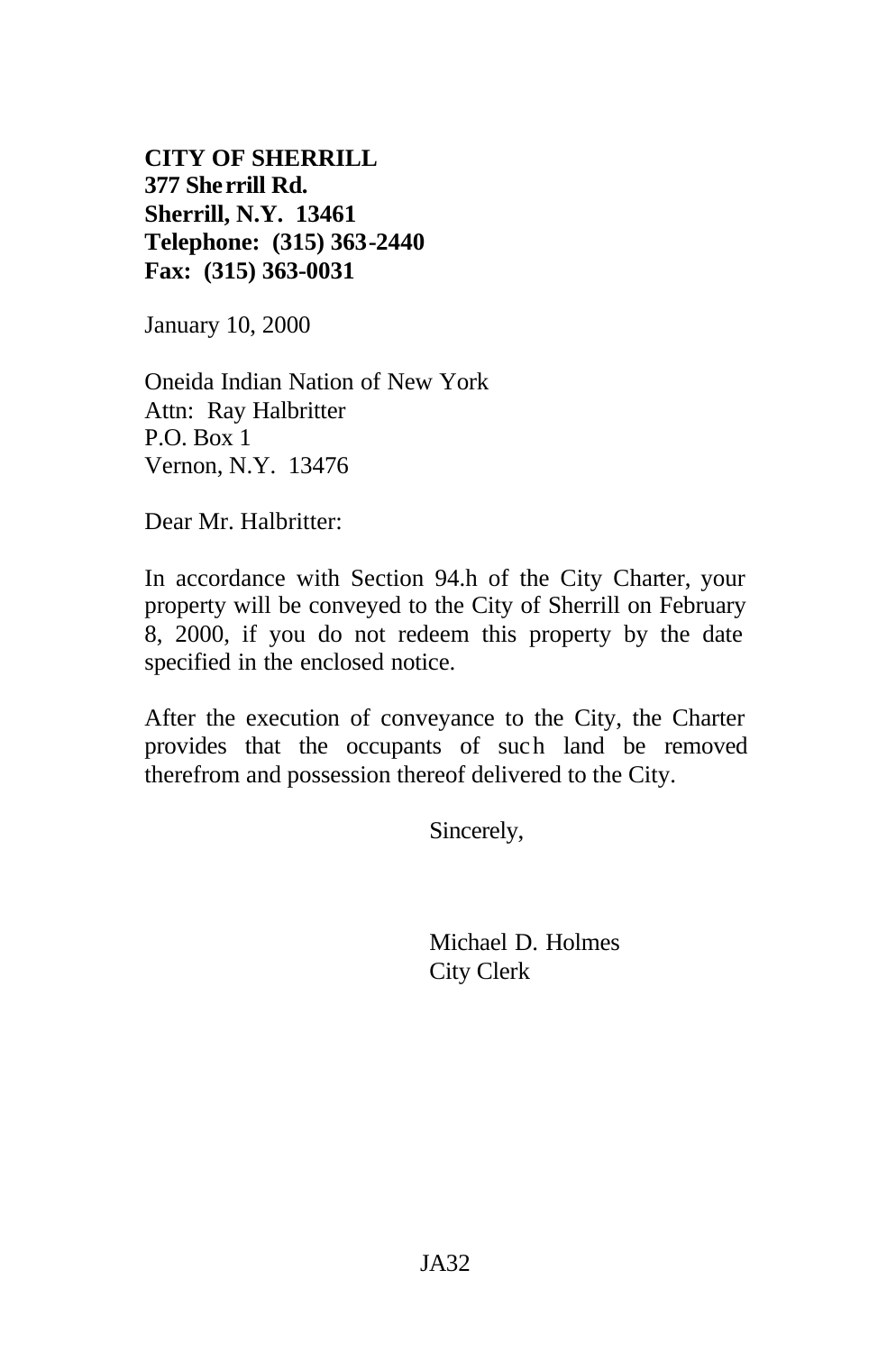**CITY OF SHERRILL 377 Sherrill Rd. Sherrill, N.Y. 13461 Telephone: (315) 363-2440 Fax: (315) 363-0031**

January 10, 2000

Oneida Indian Nation of New York Attn: Ray Halbritter P.O. Box 1 Vernon, N.Y. 13476

Dear Mr. Halbritter:

In accordance with Section 94.h of the City Charter, your property will be conveyed to the City of Sherrill on February 8, 2000, if you do not redeem this property by the date specified in the enclosed notice.

After the execution of conveyance to the City, the Charter provides that the occupants of such land be removed therefrom and possession thereof delivered to the City.

Sincerely,

Michael D. Holmes City Clerk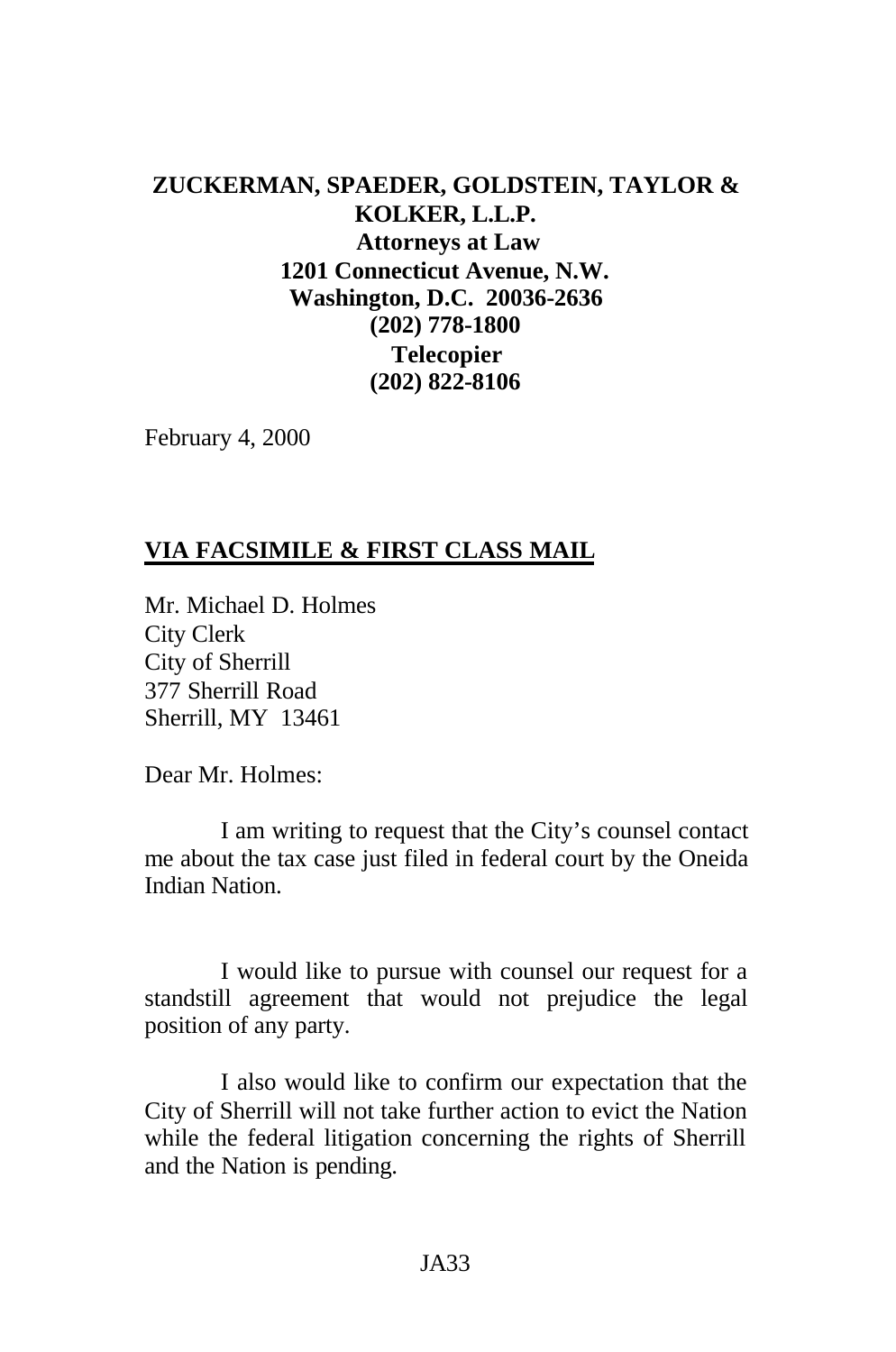## **ZUCKERMAN, SPAEDER, GOLDSTEIN, TAYLOR & KOLKER, L.L.P. Attorneys at Law 1201 Connecticut Avenue, N.W. Washington, D.C. 20036-2636 (202) 778-1800 Telecopier (202) 822-8106**

February 4, 2000

## **VIA FACSIMILE & FIRST CLASS MAIL**

Mr. Michael D. Holmes City Clerk City of Sherrill 377 Sherrill Road Sherrill, MY 13461

Dear Mr. Holmes:

I am writing to request that the City's counsel contact me about the tax case just filed in federal court by the Oneida Indian Nation.

I would like to pursue with counsel our request for a standstill agreement that would not prejudice the legal position of any party.

I also would like to confirm our expectation that the City of Sherrill will not take further action to evict the Nation while the federal litigation concerning the rights of Sherrill and the Nation is pending.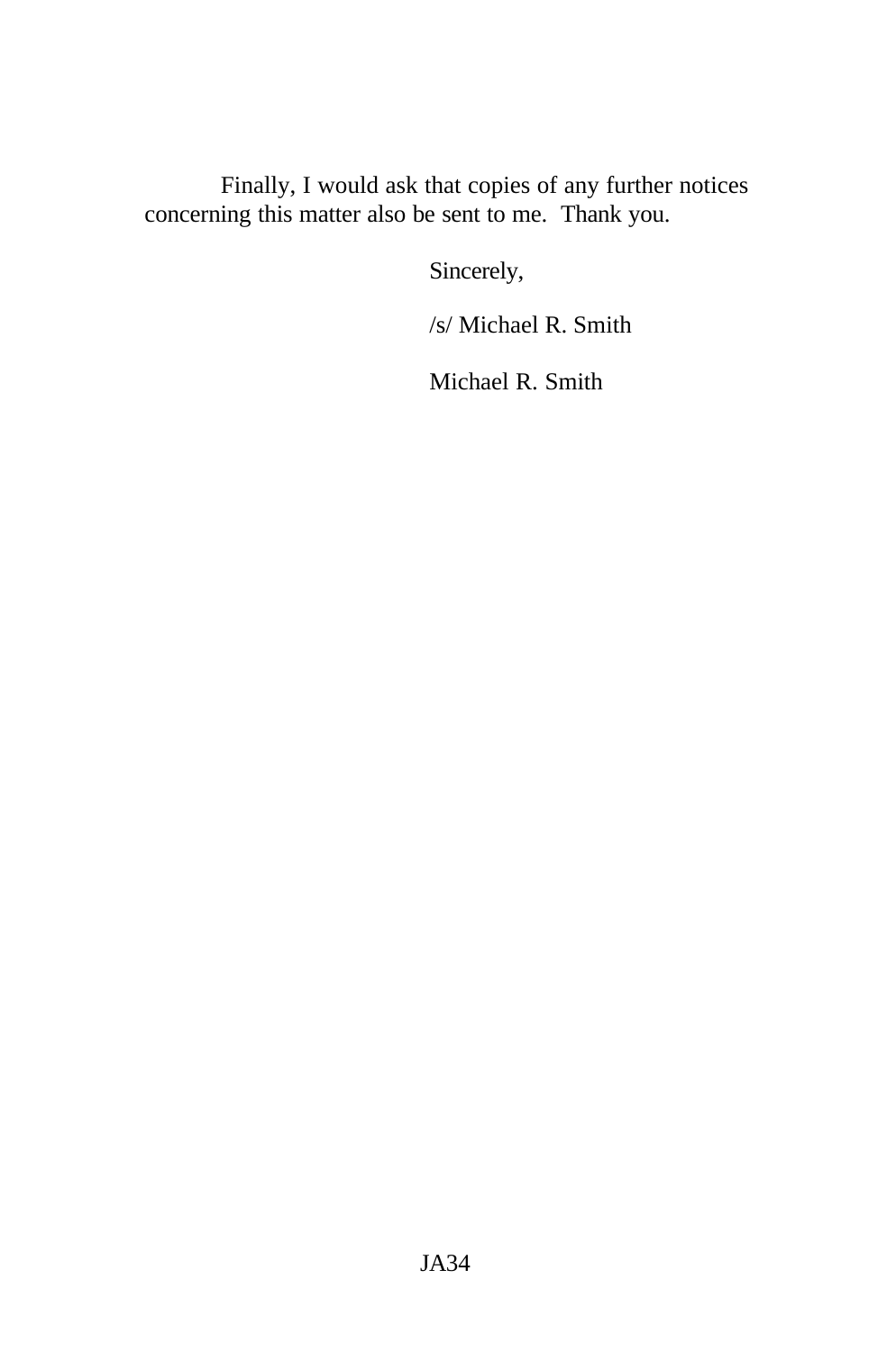Finally, I would ask that copies of any further notices concerning this matter also be sent to me. Thank you.

Sincerely,

/s/ Michael R. Smith

Michael R. Smith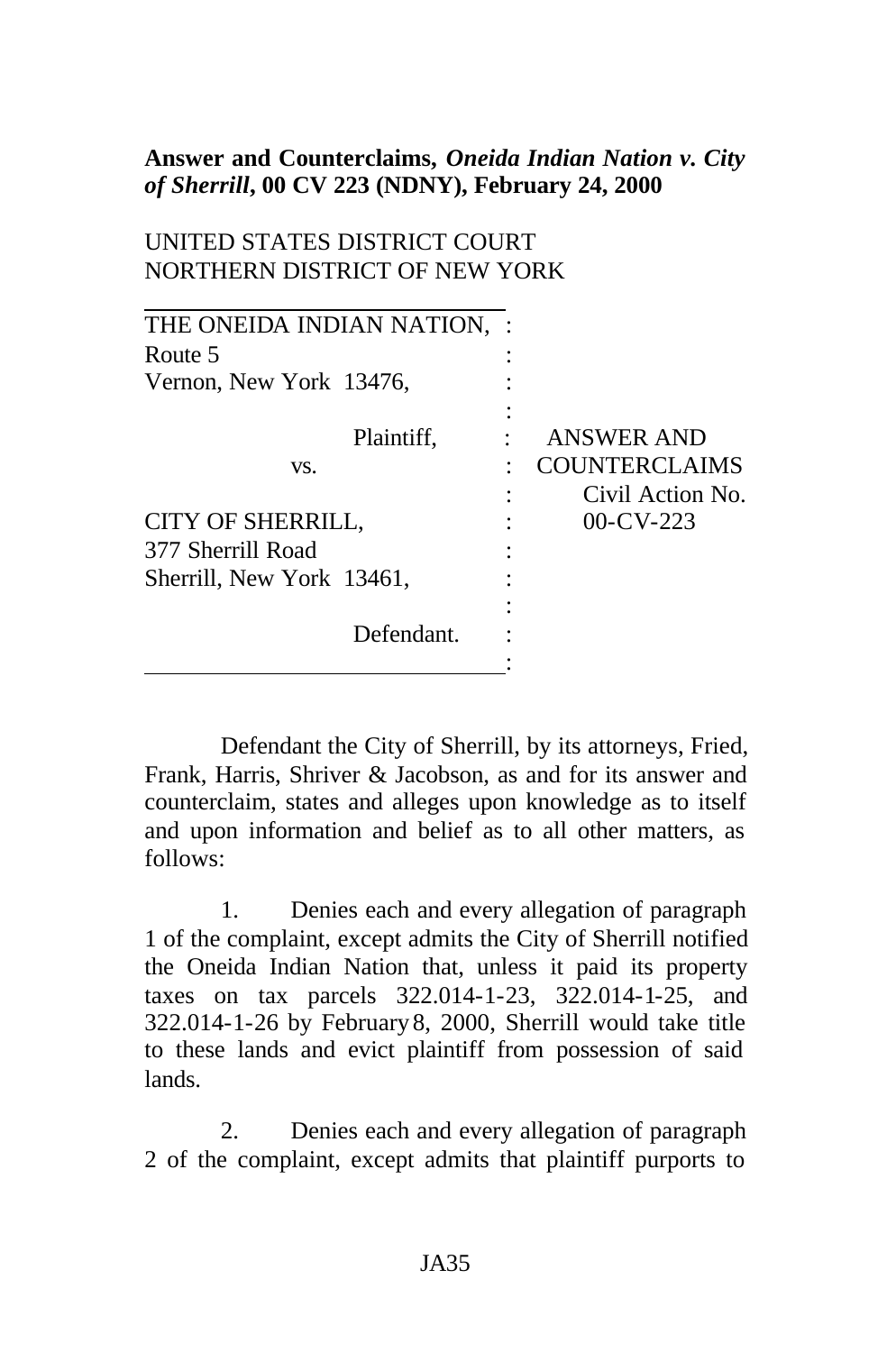### **Answer and Counterclaims,** *Oneida Indian Nation v. City of Sherrill***, 00 CV 223 (NDNY), February 24, 2000**

### UNITED STATES DISTRICT COURT NORTHERN DISTRICT OF NEW YORK

| THE ONEIDA INDIAN NATION, |                      |
|---------------------------|----------------------|
| Route 5                   |                      |
| Vernon, New York 13476,   |                      |
|                           |                      |
| Plaintiff,                | <b>ANSWER AND</b>    |
| VS.                       | <b>COUNTERCLAIMS</b> |
|                           | Civil Action No.     |
| <b>CITY OF SHERRILL,</b>  | $00$ -CV-223         |
| 377 Sherrill Road         |                      |
| Sherrill, New York 13461, |                      |
|                           |                      |
| Defendant.                |                      |
|                           |                      |

Defendant the City of Sherrill, by its attorneys, Fried, Frank, Harris, Shriver & Jacobson, as and for its answer and counterclaim, states and alleges upon knowledge as to itself and upon information and belief as to all other matters, as follows:

1. Denies each and every allegation of paragraph 1 of the complaint, except admits the City of Sherrill notified the Oneida Indian Nation that, unless it paid its property taxes on tax parcels 322.014-1-23, 322.014-1-25, and 322.014-1-26 by February 8, 2000, Sherrill would take title to these lands and evict plaintiff from possession of said lands.

2. Denies each and every allegation of paragraph 2 of the complaint, except admits that plaintiff purports to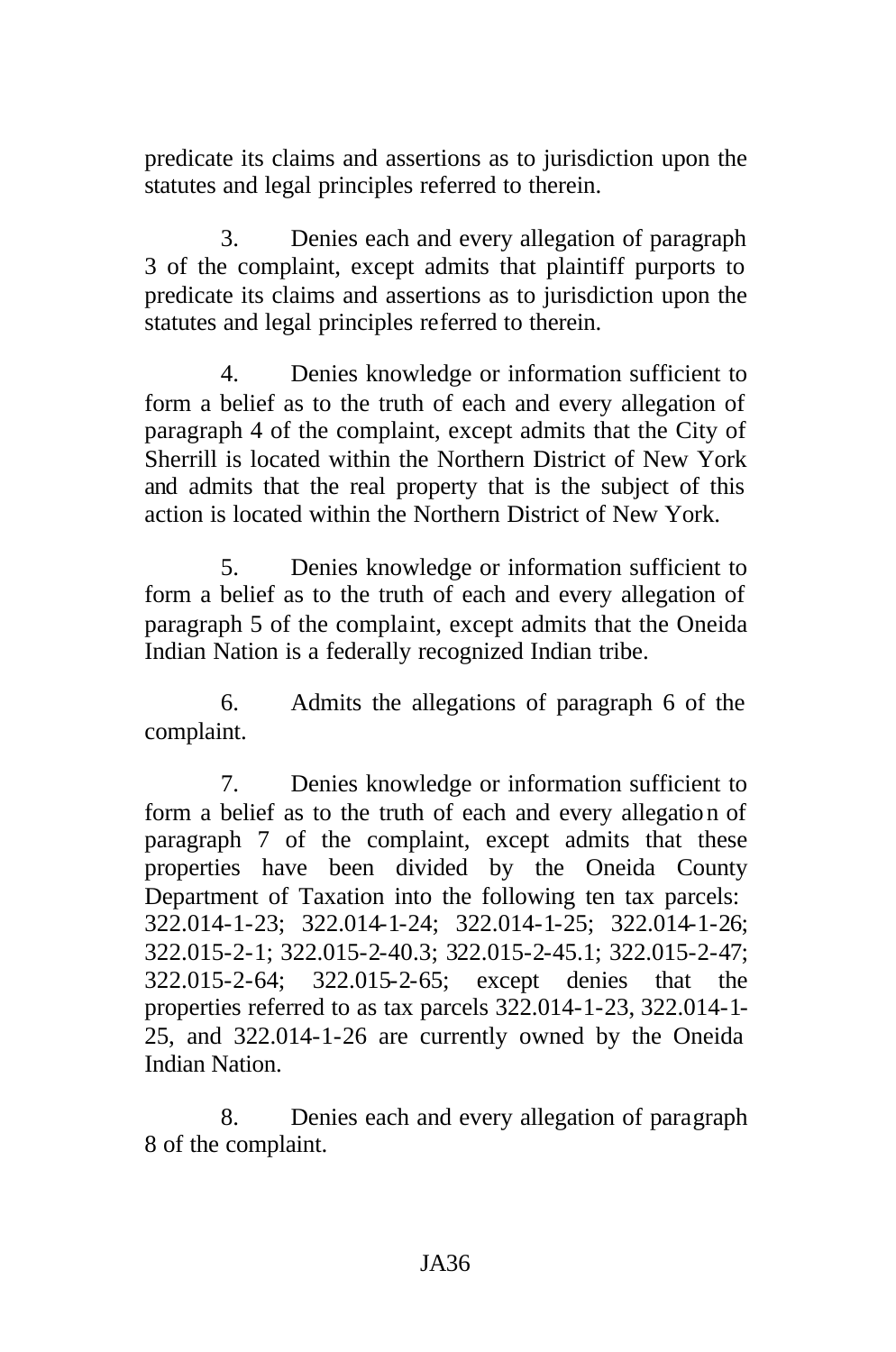predicate its claims and assertions as to jurisdiction upon the statutes and legal principles referred to therein.

3. Denies each and every allegation of paragraph 3 of the complaint, except admits that plaintiff purports to predicate its claims and assertions as to jurisdiction upon the statutes and legal principles referred to therein.

4. Denies knowledge or information sufficient to form a belief as to the truth of each and every allegation of paragraph 4 of the complaint, except admits that the City of Sherrill is located within the Northern District of New York and admits that the real property that is the subject of this action is located within the Northern District of New York.

5. Denies knowledge or information sufficient to form a belief as to the truth of each and every allegation of paragraph 5 of the complaint, except admits that the Oneida Indian Nation is a federally recognized Indian tribe.

6. Admits the allegations of paragraph 6 of the complaint.

7. Denies knowledge or information sufficient to form a belief as to the truth of each and every allegation of paragraph 7 of the complaint, except admits that these properties have been divided by the Oneida County Department of Taxation into the following ten tax parcels: 322.014-1-23; 322.014-1-24; 322.014-1-25; 322.014-1-26; 322.015-2-1; 322.015-2-40.3; 322.015-2-45.1; 322.015-2-47; 322.015-2-64; 322.015-2-65; except denies that the properties referred to as tax parcels 322.014-1-23, 322.014-1- 25, and 322.014-1-26 are currently owned by the Oneida Indian Nation.

8. Denies each and every allegation of paragraph 8 of the complaint.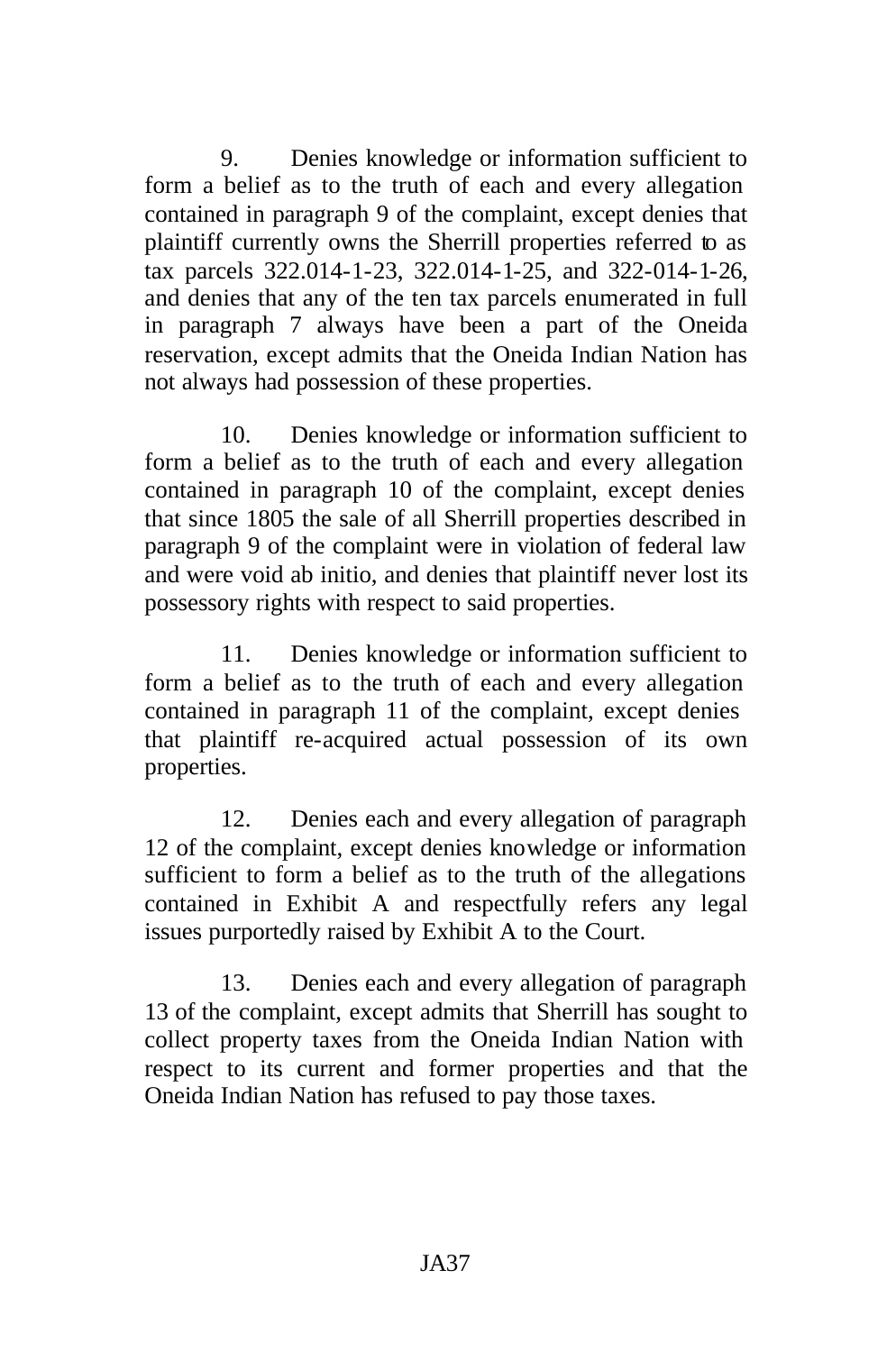9. Denies knowledge or information sufficient to form a belief as to the truth of each and every allegation contained in paragraph 9 of the complaint, except denies that plaintiff currently owns the Sherrill properties referred to as tax parcels 322.014-1-23, 322.014-1-25, and 322-014-1-26, and denies that any of the ten tax parcels enumerated in full in paragraph 7 always have been a part of the Oneida reservation, except admits that the Oneida Indian Nation has not always had possession of these properties.

10. Denies knowledge or information sufficient to form a belief as to the truth of each and every allegation contained in paragraph 10 of the complaint, except denies that since 1805 the sale of all Sherrill properties described in paragraph 9 of the complaint were in violation of federal law and were void ab initio, and denies that plaintiff never lost its possessory rights with respect to said properties.

11. Denies knowledge or information sufficient to form a belief as to the truth of each and every allegation contained in paragraph 11 of the complaint, except denies that plaintiff re-acquired actual possession of its own properties.

12. Denies each and every allegation of paragraph 12 of the complaint, except denies knowledge or information sufficient to form a belief as to the truth of the allegations contained in Exhibit A and respectfully refers any legal issues purportedly raised by Exhibit A to the Court.

13. Denies each and every allegation of paragraph 13 of the complaint, except admits that Sherrill has sought to collect property taxes from the Oneida Indian Nation with respect to its current and former properties and that the Oneida Indian Nation has refused to pay those taxes.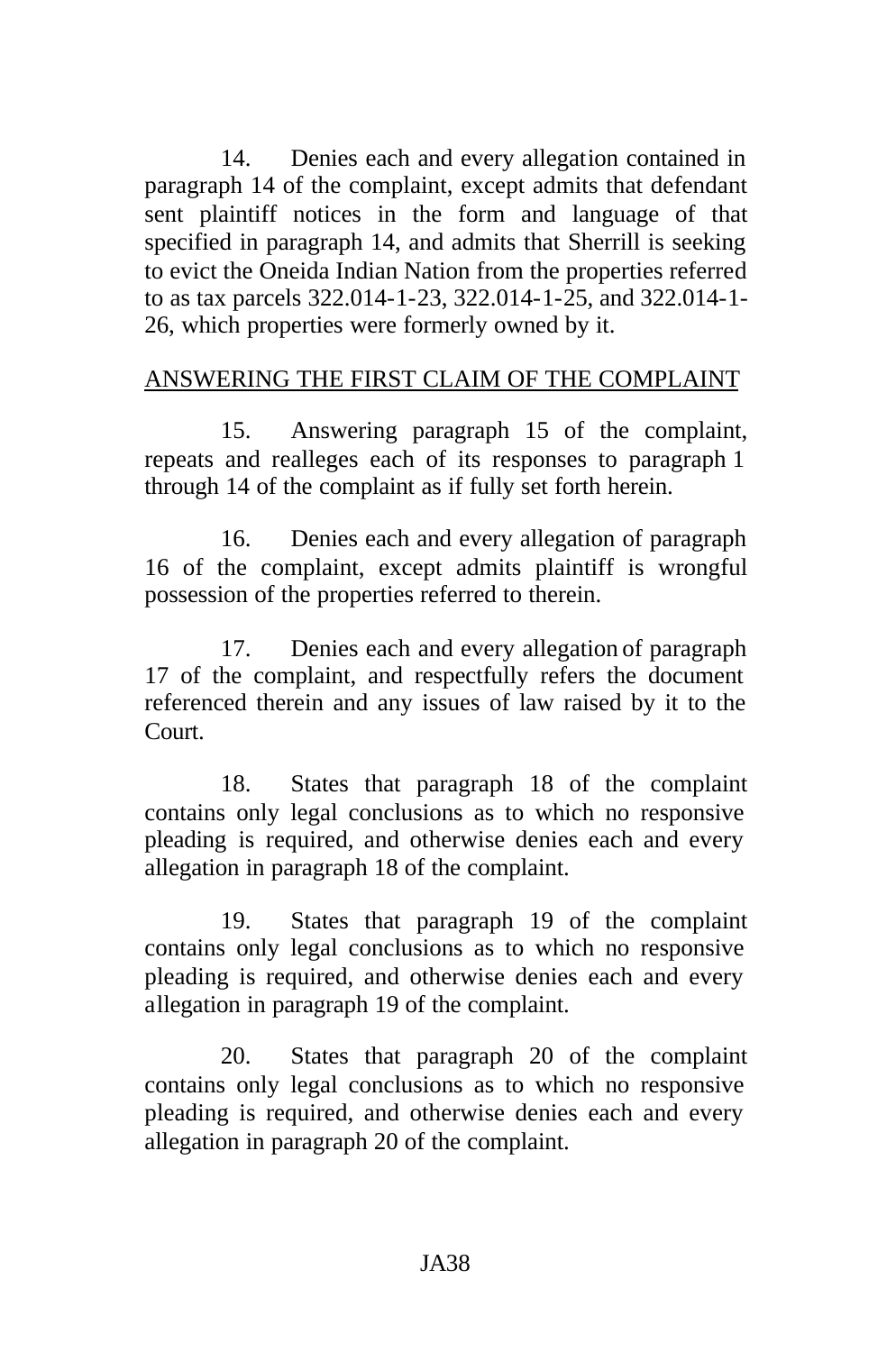14. Denies each and every allegation contained in paragraph 14 of the complaint, except admits that defendant sent plaintiff notices in the form and language of that specified in paragraph 14, and admits that Sherrill is seeking to evict the Oneida Indian Nation from the properties referred to as tax parcels 322.014-1-23, 322.014-1-25, and 322.014-1- 26, which properties were formerly owned by it.

## ANSWERING THE FIRST CLAIM OF THE COMPLAINT

15. Answering paragraph 15 of the complaint, repeats and realleges each of its responses to paragraph 1 through 14 of the complaint as if fully set forth herein.

16. Denies each and every allegation of paragraph 16 of the complaint, except admits plaintiff is wrongful possession of the properties referred to therein.

17. Denies each and every allegation of paragraph 17 of the complaint, and respectfully refers the document referenced therein and any issues of law raised by it to the Court.

18. States that paragraph 18 of the complaint contains only legal conclusions as to which no responsive pleading is required, and otherwise denies each and every allegation in paragraph 18 of the complaint.

19. States that paragraph 19 of the complaint contains only legal conclusions as to which no responsive pleading is required, and otherwise denies each and every allegation in paragraph 19 of the complaint.

20. States that paragraph 20 of the complaint contains only legal conclusions as to which no responsive pleading is required, and otherwise denies each and every allegation in paragraph 20 of the complaint.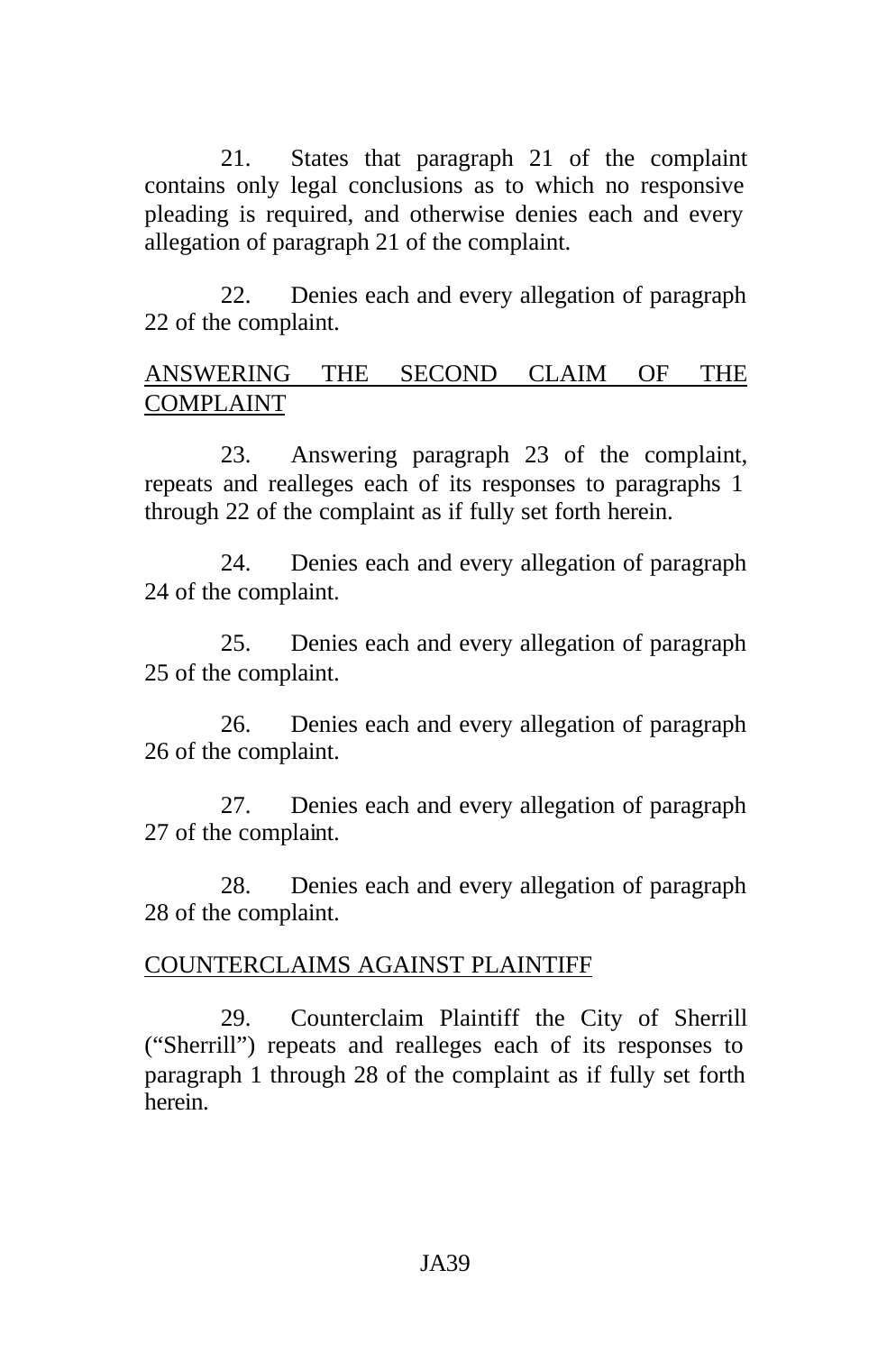21. States that paragraph 21 of the complaint contains only legal conclusions as to which no responsive pleading is required, and otherwise denies each and every allegation of paragraph 21 of the complaint.

22. Denies each and every allegation of paragraph 22 of the complaint.

#### ANSWERING THE SECOND CLAIM OF THE COMPLAINT

23. Answering paragraph 23 of the complaint, repeats and realleges each of its responses to paragraphs 1 through 22 of the complaint as if fully set forth herein.

24. Denies each and every allegation of paragraph 24 of the complaint.

25. Denies each and every allegation of paragraph 25 of the complaint.

26. Denies each and every allegation of paragraph 26 of the complaint.

27. Denies each and every allegation of paragraph 27 of the complaint.

28. Denies each and every allegation of paragraph 28 of the complaint.

### COUNTERCLAIMS AGAINST PLAINTIFF

29. Counterclaim Plaintiff the City of Sherrill ("Sherrill") repeats and realleges each of its responses to paragraph 1 through 28 of the complaint as if fully set forth herein.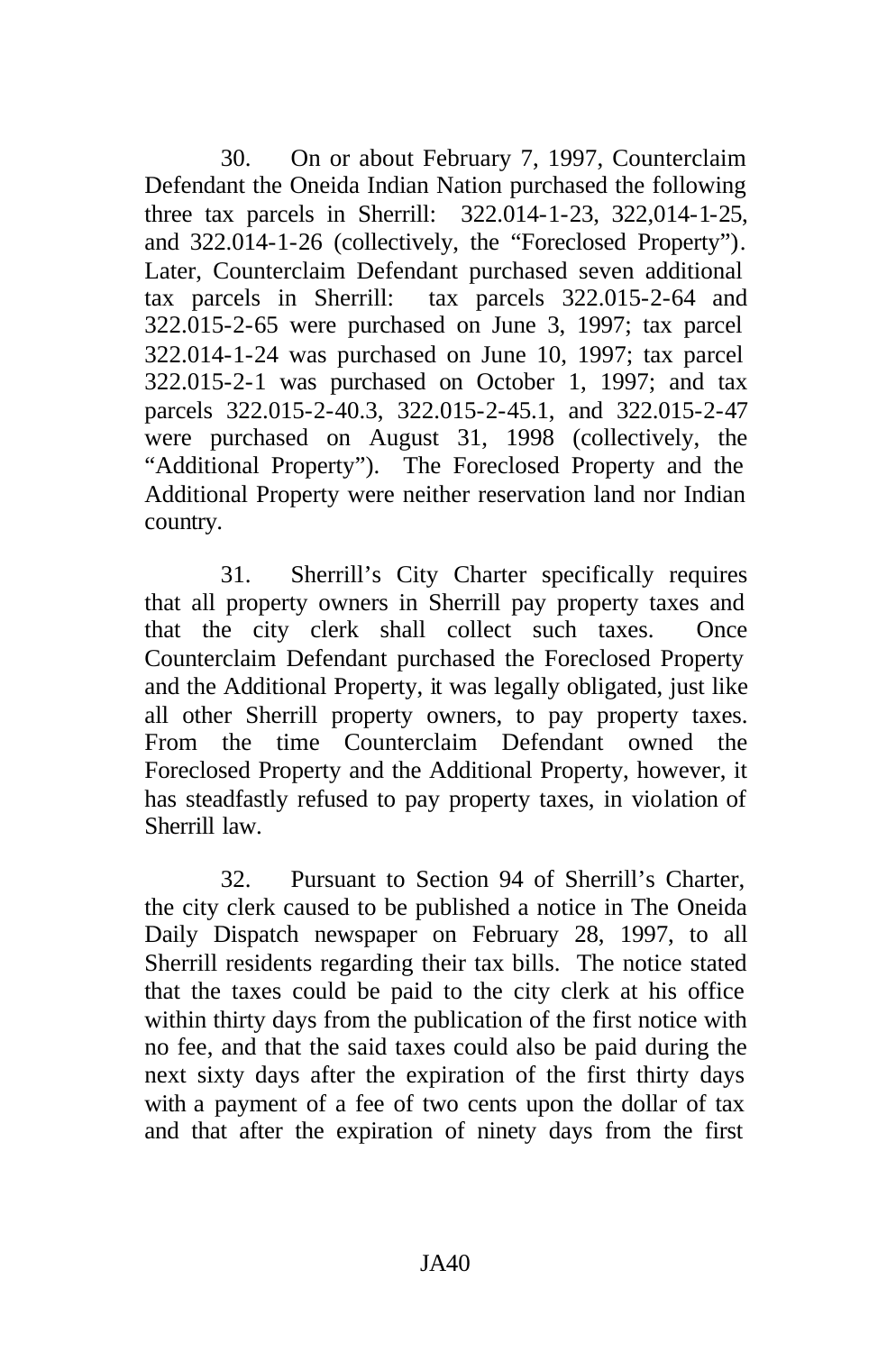30. On or about February 7, 1997, Counterclaim Defendant the Oneida Indian Nation purchased the following three tax parcels in Sherrill: 322.014-1-23, 322,014-1-25, and 322.014-1-26 (collectively, the "Foreclosed Property"). Later, Counterclaim Defendant purchased seven additional tax parcels in Sherrill: tax parcels 322.015-2-64 and 322.015-2-65 were purchased on June 3, 1997; tax parcel 322.014-1-24 was purchased on June 10, 1997; tax parcel 322.015-2-1 was purchased on October 1, 1997; and tax parcels 322.015-2-40.3, 322.015-2-45.1, and 322.015-2-47 were purchased on August 31, 1998 (collectively, the "Additional Property"). The Foreclosed Property and the Additional Property were neither reservation land nor Indian country.

31. Sherrill's City Charter specifically requires that all property owners in Sherrill pay property taxes and that the city clerk shall collect such taxes. Once Counterclaim Defendant purchased the Foreclosed Property and the Additional Property, it was legally obligated, just like all other Sherrill property owners, to pay property taxes. From the time Counterclaim Defendant owned the Foreclosed Property and the Additional Property, however, it has steadfastly refused to pay property taxes, in violation of Sherrill law.

32. Pursuant to Section 94 of Sherrill's Charter, the city clerk caused to be published a notice in The Oneida Daily Dispatch newspaper on February 28, 1997, to all Sherrill residents regarding their tax bills. The notice stated that the taxes could be paid to the city clerk at his office within thirty days from the publication of the first notice with no fee, and that the said taxes could also be paid during the next sixty days after the expiration of the first thirty days with a payment of a fee of two cents upon the dollar of tax and that after the expiration of ninety days from the first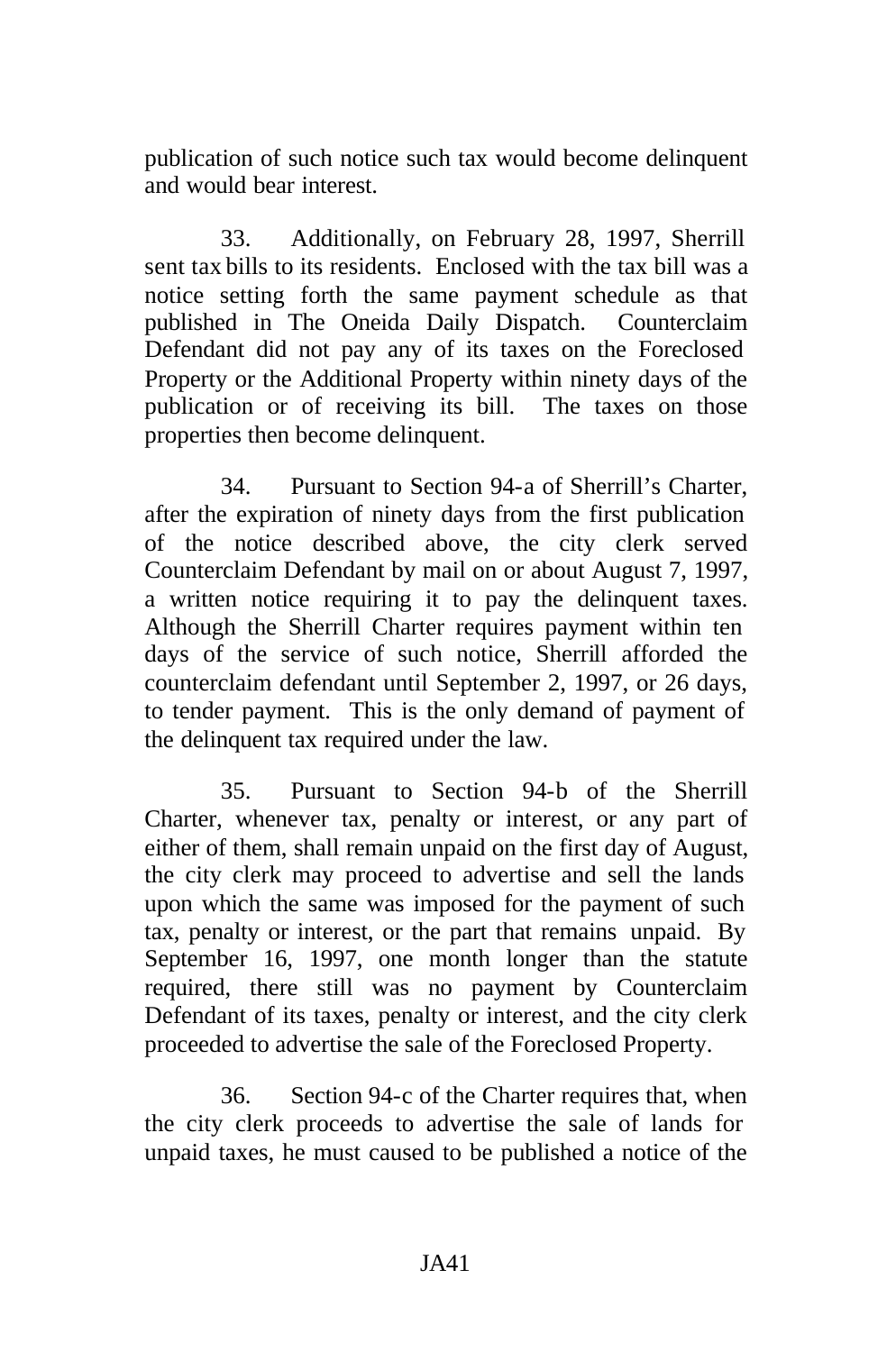publication of such notice such tax would become delinquent and would bear interest.

33. Additionally, on February 28, 1997, Sherrill sent tax bills to its residents. Enclosed with the tax bill was a notice setting forth the same payment schedule as that published in The Oneida Daily Dispatch. Counterclaim Defendant did not pay any of its taxes on the Foreclosed Property or the Additional Property within ninety days of the publication or of receiving its bill. The taxes on those properties then become delinquent.

34. Pursuant to Section 94-a of Sherrill's Charter, after the expiration of ninety days from the first publication of the notice described above, the city clerk served Counterclaim Defendant by mail on or about August 7, 1997, a written notice requiring it to pay the delinquent taxes. Although the Sherrill Charter requires payment within ten days of the service of such notice, Sherrill afforded the counterclaim defendant until September 2, 1997, or 26 days, to tender payment. This is the only demand of payment of the delinquent tax required under the law.

35. Pursuant to Section 94-b of the Sherrill Charter, whenever tax, penalty or interest, or any part of either of them, shall remain unpaid on the first day of August, the city clerk may proceed to advertise and sell the lands upon which the same was imposed for the payment of such tax, penalty or interest, or the part that remains unpaid. By September 16, 1997, one month longer than the statute required, there still was no payment by Counterclaim Defendant of its taxes, penalty or interest, and the city clerk proceeded to advertise the sale of the Foreclosed Property.

36. Section 94-c of the Charter requires that, when the city clerk proceeds to advertise the sale of lands for unpaid taxes, he must caused to be published a notice of the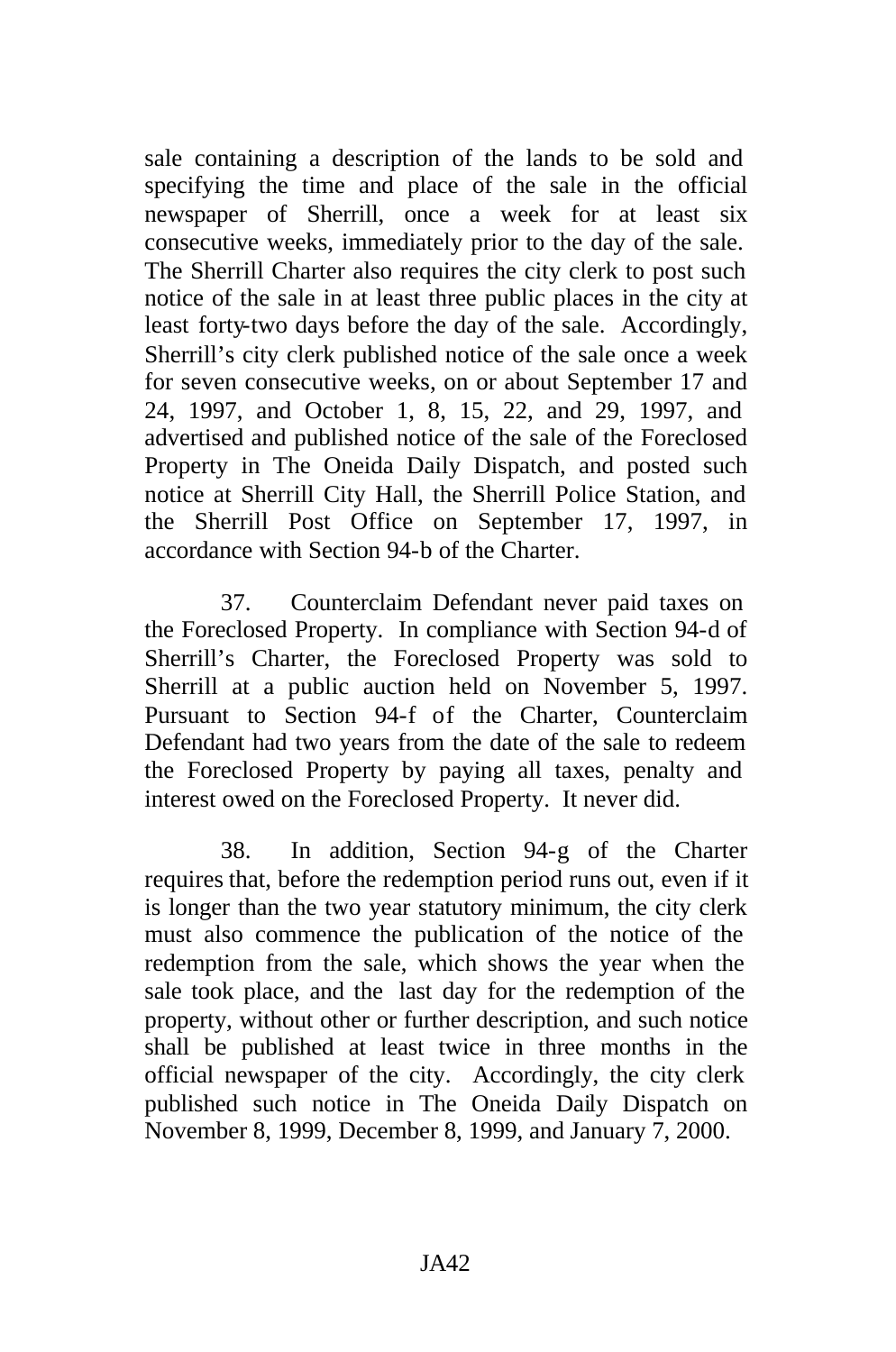sale containing a description of the lands to be sold and specifying the time and place of the sale in the official newspaper of Sherrill, once a week for at least six consecutive weeks, immediately prior to the day of the sale. The Sherrill Charter also requires the city clerk to post such notice of the sale in at least three public places in the city at least forty-two days before the day of the sale. Accordingly, Sherrill's city clerk published notice of the sale once a week for seven consecutive weeks, on or about September 17 and 24, 1997, and October 1, 8, 15, 22, and 29, 1997, and advertised and published notice of the sale of the Foreclosed Property in The Oneida Daily Dispatch, and posted such notice at Sherrill City Hall, the Sherrill Police Station, and the Sherrill Post Office on September 17, 1997, in accordance with Section 94-b of the Charter.

37. Counterclaim Defendant never paid taxes on the Foreclosed Property. In compliance with Section 94-d of Sherrill's Charter, the Foreclosed Property was sold to Sherrill at a public auction held on November 5, 1997. Pursuant to Section 94-f of the Charter, Counterclaim Defendant had two years from the date of the sale to redeem the Foreclosed Property by paying all taxes, penalty and interest owed on the Foreclosed Property. It never did.

38. In addition, Section 94-g of the Charter requires that, before the redemption period runs out, even if it is longer than the two year statutory minimum, the city clerk must also commence the publication of the notice of the redemption from the sale, which shows the year when the sale took place, and the last day for the redemption of the property, without other or further description, and such notice shall be published at least twice in three months in the official newspaper of the city. Accordingly, the city clerk published such notice in The Oneida Daily Dispatch on November 8, 1999, December 8, 1999, and January 7, 2000.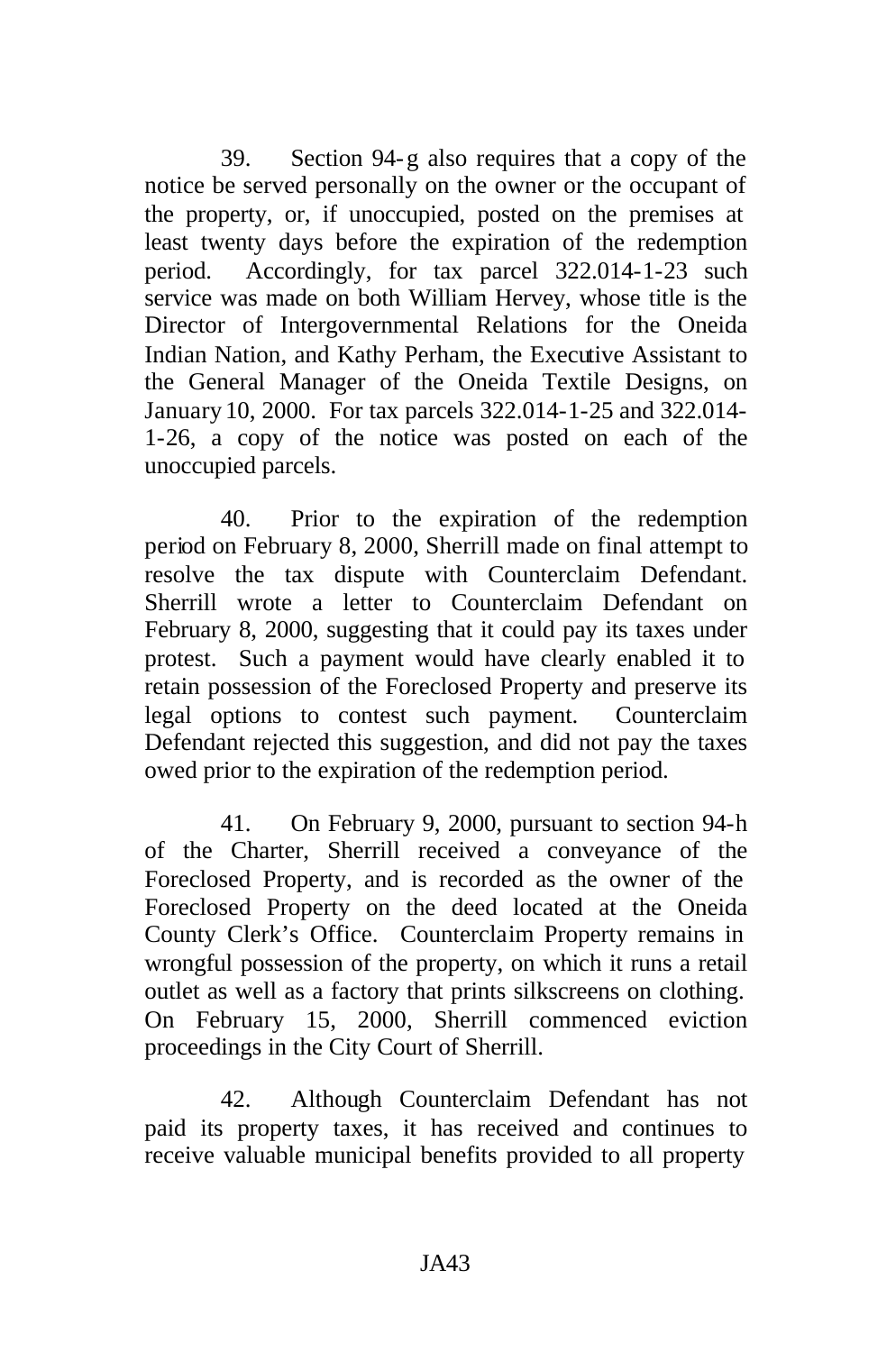39. Section 94-g also requires that a copy of the notice be served personally on the owner or the occupant of the property, or, if unoccupied, posted on the premises at least twenty days before the expiration of the redemption period. Accordingly, for tax parcel 322.014-1-23 such service was made on both William Hervey, whose title is the Director of Intergovernmental Relations for the Oneida Indian Nation, and Kathy Perham, the Executive Assistant to the General Manager of the Oneida Textile Designs, on January 10, 2000. For tax parcels 322.014-1-25 and 322.014- 1-26, a copy of the notice was posted on each of the unoccupied parcels.

40. Prior to the expiration of the redemption period on February 8, 2000, Sherrill made on final attempt to resolve the tax dispute with Counterclaim Defendant. Sherrill wrote a letter to Counterclaim Defendant on February 8, 2000, suggesting that it could pay its taxes under protest. Such a payment would have clearly enabled it to retain possession of the Foreclosed Property and preserve its legal options to contest such payment. Counterclaim Defendant rejected this suggestion, and did not pay the taxes owed prior to the expiration of the redemption period.

41. On February 9, 2000, pursuant to section 94-h of the Charter, Sherrill received a conveyance of the Foreclosed Property, and is recorded as the owner of the Foreclosed Property on the deed located at the Oneida County Clerk's Office. Counterclaim Property remains in wrongful possession of the property, on which it runs a retail outlet as well as a factory that prints silkscreens on clothing. On February 15, 2000, Sherrill commenced eviction proceedings in the City Court of Sherrill.

42. Although Counterclaim Defendant has not paid its property taxes, it has received and continues to receive valuable municipal benefits provided to all property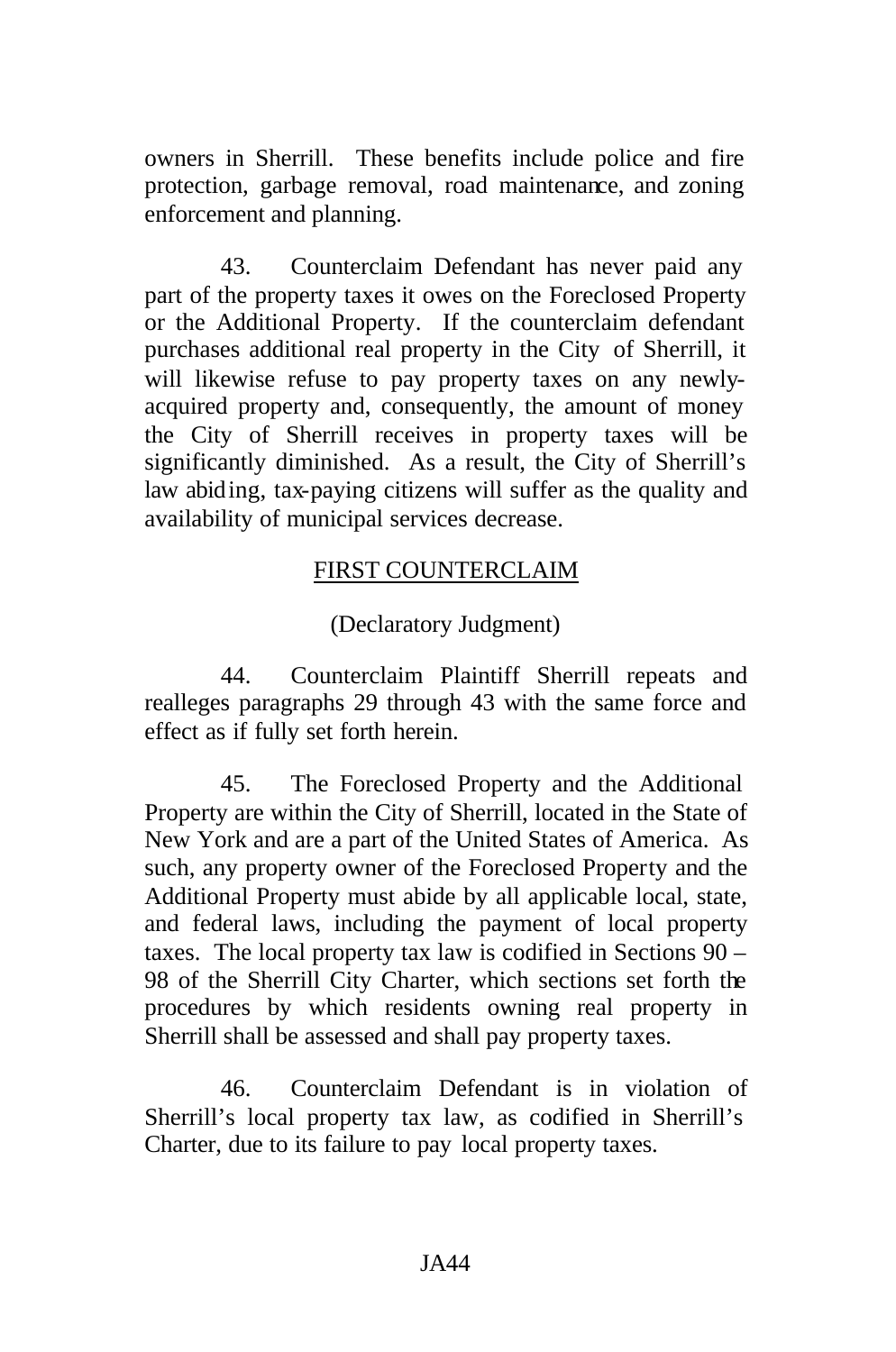owners in Sherrill. These benefits include police and fire protection, garbage removal, road maintenance, and zoning enforcement and planning.

43. Counterclaim Defendant has never paid any part of the property taxes it owes on the Foreclosed Property or the Additional Property. If the counterclaim defendant purchases additional real property in the City of Sherrill, it will likewise refuse to pay property taxes on any newlyacquired property and, consequently, the amount of money the City of Sherrill receives in property taxes will be significantly diminished. As a result, the City of Sherrill's law abiding, tax-paying citizens will suffer as the quality and availability of municipal services decrease.

#### FIRST COUNTERCLAIM

(Declaratory Judgment)

44. Counterclaim Plaintiff Sherrill repeats and realleges paragraphs 29 through 43 with the same force and effect as if fully set forth herein.

45. The Foreclosed Property and the Additional Property are within the City of Sherrill, located in the State of New York and are a part of the United States of America. As such, any property owner of the Foreclosed Property and the Additional Property must abide by all applicable local, state, and federal laws, including the payment of local property taxes. The local property tax law is codified in Sections 90 – 98 of the Sherrill City Charter, which sections set forth the procedures by which residents owning real property in Sherrill shall be assessed and shall pay property taxes.

46. Counterclaim Defendant is in violation of Sherrill's local property tax law, as codified in Sherrill's Charter, due to its failure to pay local property taxes.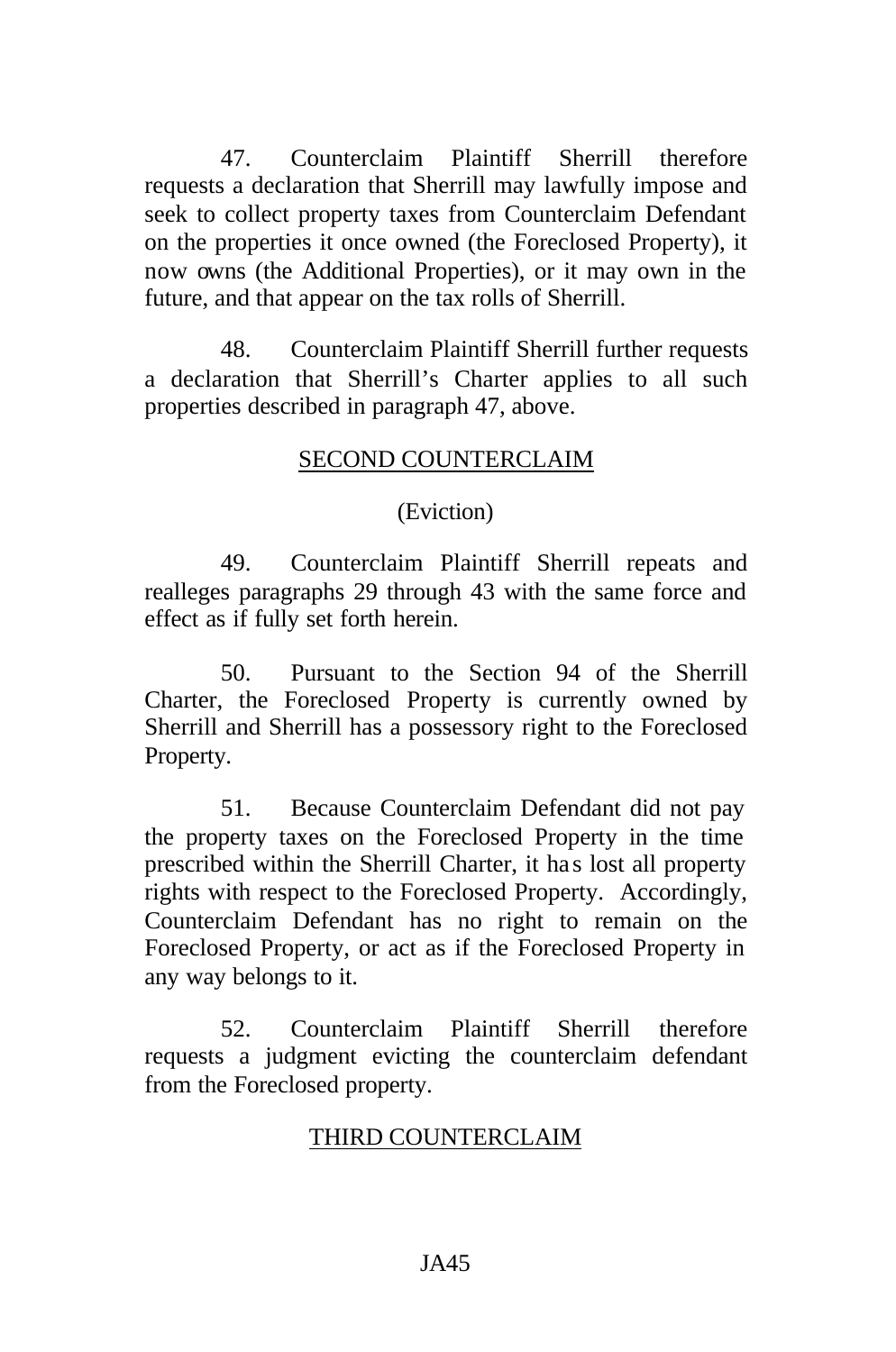47. Counterclaim Plaintiff Sherrill therefore requests a declaration that Sherrill may lawfully impose and seek to collect property taxes from Counterclaim Defendant on the properties it once owned (the Foreclosed Property), it now owns (the Additional Properties), or it may own in the future, and that appear on the tax rolls of Sherrill.

48. Counterclaim Plaintiff Sherrill further requests a declaration that Sherrill's Charter applies to all such properties described in paragraph 47, above.

#### SECOND COUNTERCLAIM

(Eviction)

49. Counterclaim Plaintiff Sherrill repeats and realleges paragraphs 29 through 43 with the same force and effect as if fully set forth herein.

50. Pursuant to the Section 94 of the Sherrill Charter, the Foreclosed Property is currently owned by Sherrill and Sherrill has a possessory right to the Foreclosed Property.

51. Because Counterclaim Defendant did not pay the property taxes on the Foreclosed Property in the time prescribed within the Sherrill Charter, it has lost all property rights with respect to the Foreclosed Property. Accordingly, Counterclaim Defendant has no right to remain on the Foreclosed Property, or act as if the Foreclosed Property in any way belongs to it.

52. Counterclaim Plaintiff Sherrill therefore requests a judgment evicting the counterclaim defendant from the Foreclosed property.

#### THIRD COUNTERCLAIM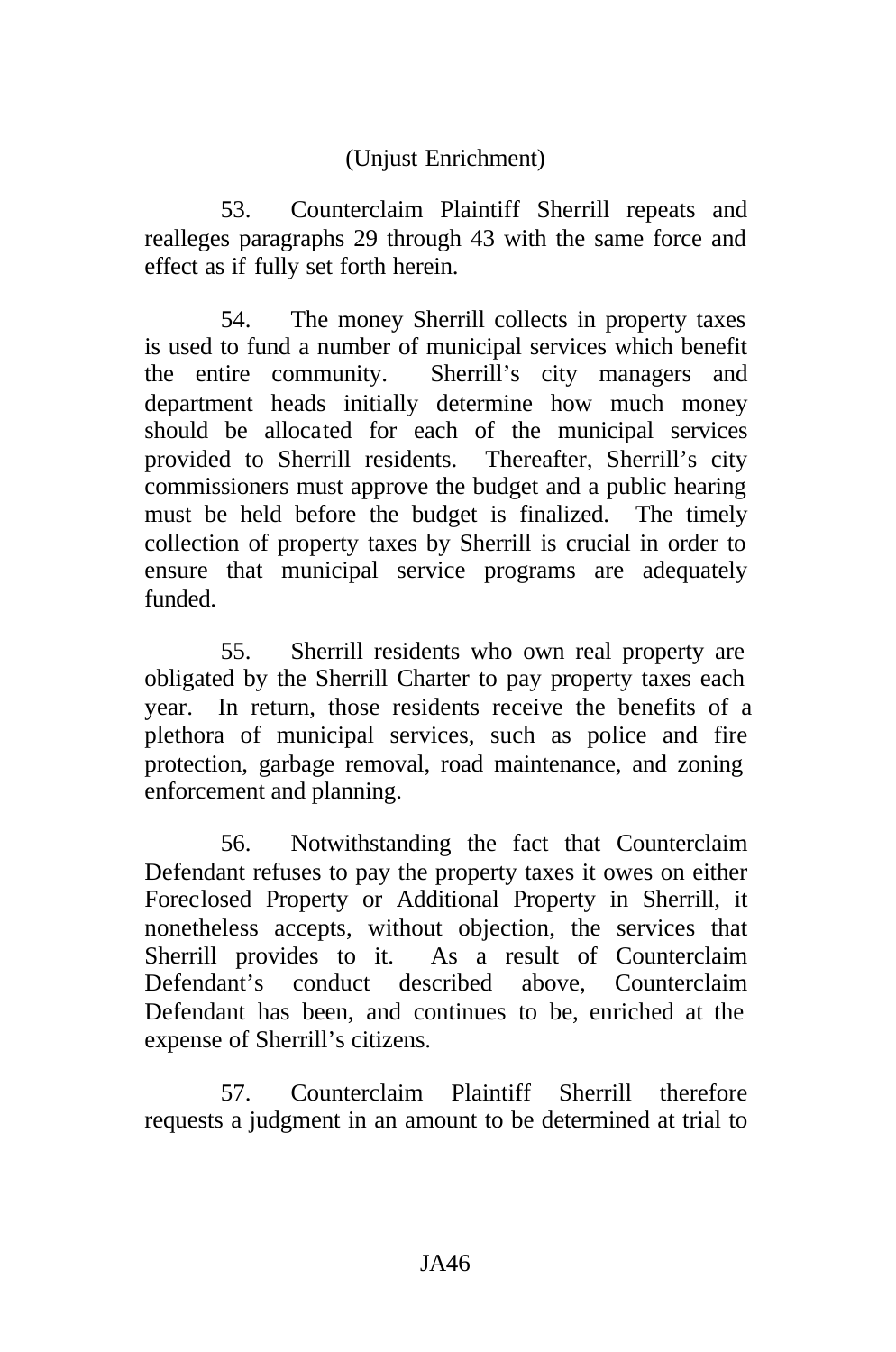## (Unjust Enrichment)

53. Counterclaim Plaintiff Sherrill repeats and realleges paragraphs 29 through 43 with the same force and effect as if fully set forth herein.

54. The money Sherrill collects in property taxes is used to fund a number of municipal services which benefit the entire community. Sherrill's city managers and department heads initially determine how much money should be allocated for each of the municipal services provided to Sherrill residents. Thereafter, Sherrill's city commissioners must approve the budget and a public hearing must be held before the budget is finalized. The timely collection of property taxes by Sherrill is crucial in order to ensure that municipal service programs are adequately funded.

55. Sherrill residents who own real property are obligated by the Sherrill Charter to pay property taxes each year. In return, those residents receive the benefits of a plethora of municipal services, such as police and fire protection, garbage removal, road maintenance, and zoning enforcement and planning.

56. Notwithstanding the fact that Counterclaim Defendant refuses to pay the property taxes it owes on either Foreclosed Property or Additional Property in Sherrill, it nonetheless accepts, without objection, the services that Sherrill provides to it. As a result of Counterclaim Defendant's conduct described above, Counterclaim Defendant has been, and continues to be, enriched at the expense of Sherrill's citizens.

57. Counterclaim Plaintiff Sherrill therefore requests a judgment in an amount to be determined at trial to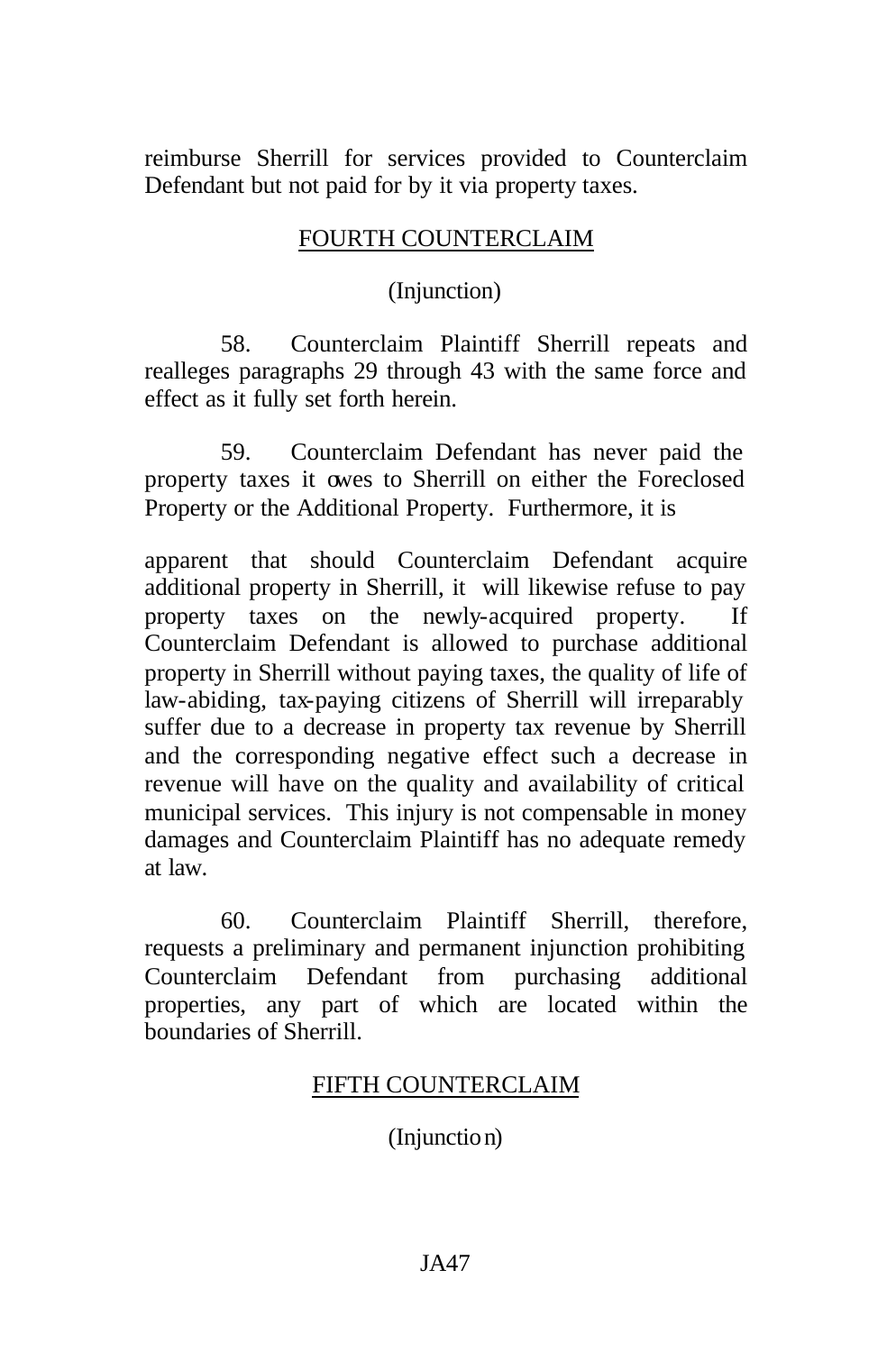reimburse Sherrill for services provided to Counterclaim Defendant but not paid for by it via property taxes.

### FOURTH COUNTERCLAIM

(Injunction)

58. Counterclaim Plaintiff Sherrill repeats and realleges paragraphs 29 through 43 with the same force and effect as it fully set forth herein.

59. Counterclaim Defendant has never paid the property taxes it owes to Sherrill on either the Foreclosed Property or the Additional Property. Furthermore, it is

apparent that should Counterclaim Defendant acquire additional property in Sherrill, it will likewise refuse to pay property taxes on the newly-acquired property. If Counterclaim Defendant is allowed to purchase additional property in Sherrill without paying taxes, the quality of life of law-abiding, tax-paying citizens of Sherrill will irreparably suffer due to a decrease in property tax revenue by Sherrill and the corresponding negative effect such a decrease in revenue will have on the quality and availability of critical municipal services. This injury is not compensable in money damages and Counterclaim Plaintiff has no adequate remedy at law.

60. Counterclaim Plaintiff Sherrill, therefore, requests a preliminary and permanent injunction prohibiting Counterclaim Defendant from purchasing additional properties, any part of which are located within the boundaries of Sherrill.

## FIFTH COUNTERCLAIM

(Injunction)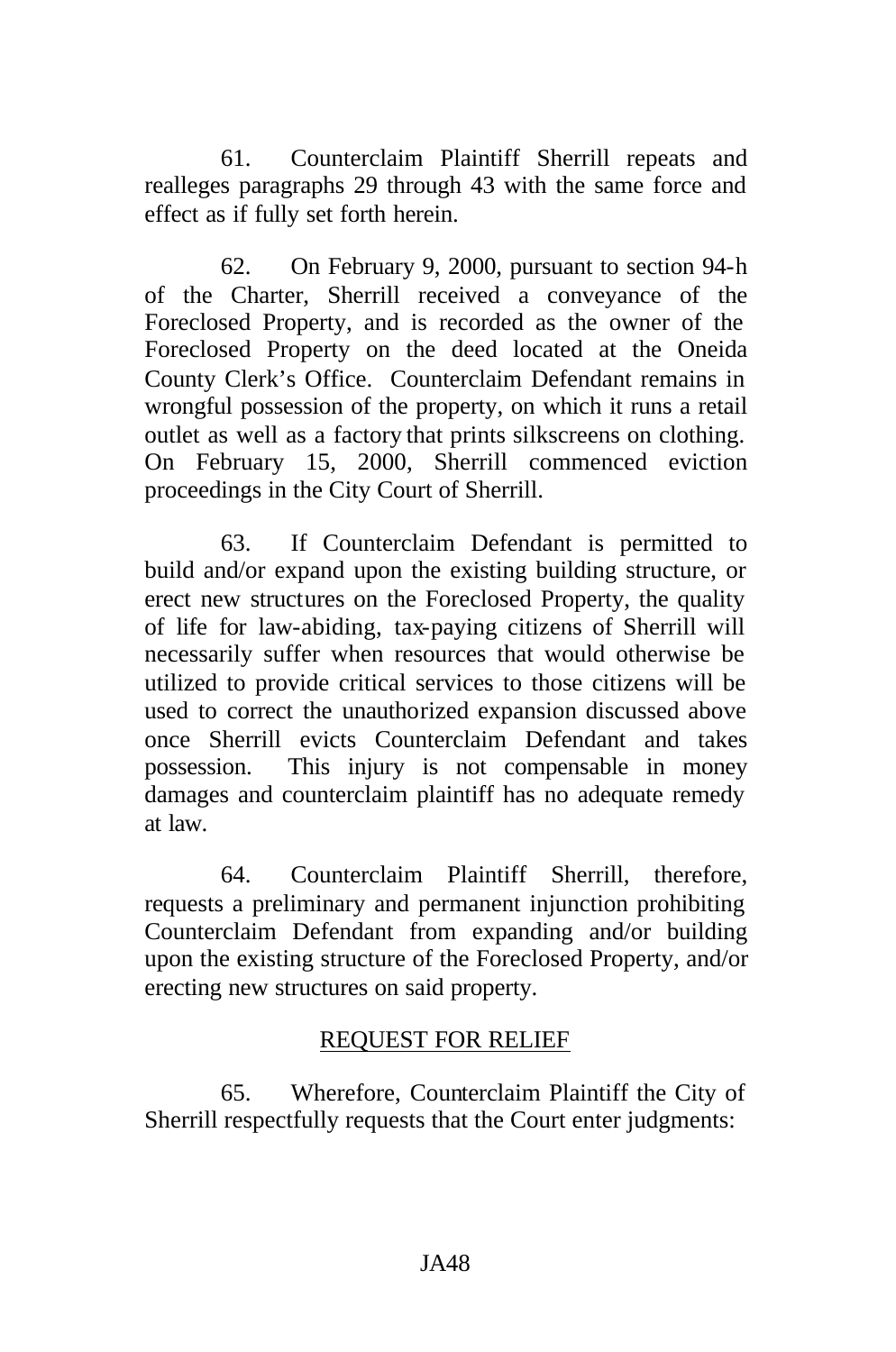61. Counterclaim Plaintiff Sherrill repeats and realleges paragraphs 29 through 43 with the same force and effect as if fully set forth herein.

62. On February 9, 2000, pursuant to section 94-h of the Charter, Sherrill received a conveyance of the Foreclosed Property, and is recorded as the owner of the Foreclosed Property on the deed located at the Oneida County Clerk's Office. Counterclaim Defendant remains in wrongful possession of the property, on which it runs a retail outlet as well as a factory that prints silkscreens on clothing. On February 15, 2000, Sherrill commenced eviction proceedings in the City Court of Sherrill.

63. If Counterclaim Defendant is permitted to build and/or expand upon the existing building structure, or erect new structures on the Foreclosed Property, the quality of life for law-abiding, tax-paying citizens of Sherrill will necessarily suffer when resources that would otherwise be utilized to provide critical services to those citizens will be used to correct the unauthorized expansion discussed above once Sherrill evicts Counterclaim Defendant and takes possession. This injury is not compensable in money damages and counterclaim plaintiff has no adequate remedy at law.

64. Counterclaim Plaintiff Sherrill, therefore, requests a preliminary and permanent injunction prohibiting Counterclaim Defendant from expanding and/or building upon the existing structure of the Foreclosed Property, and/or erecting new structures on said property.

## REQUEST FOR RELIEF

65. Wherefore, Counterclaim Plaintiff the City of Sherrill respectfully requests that the Court enter judgments: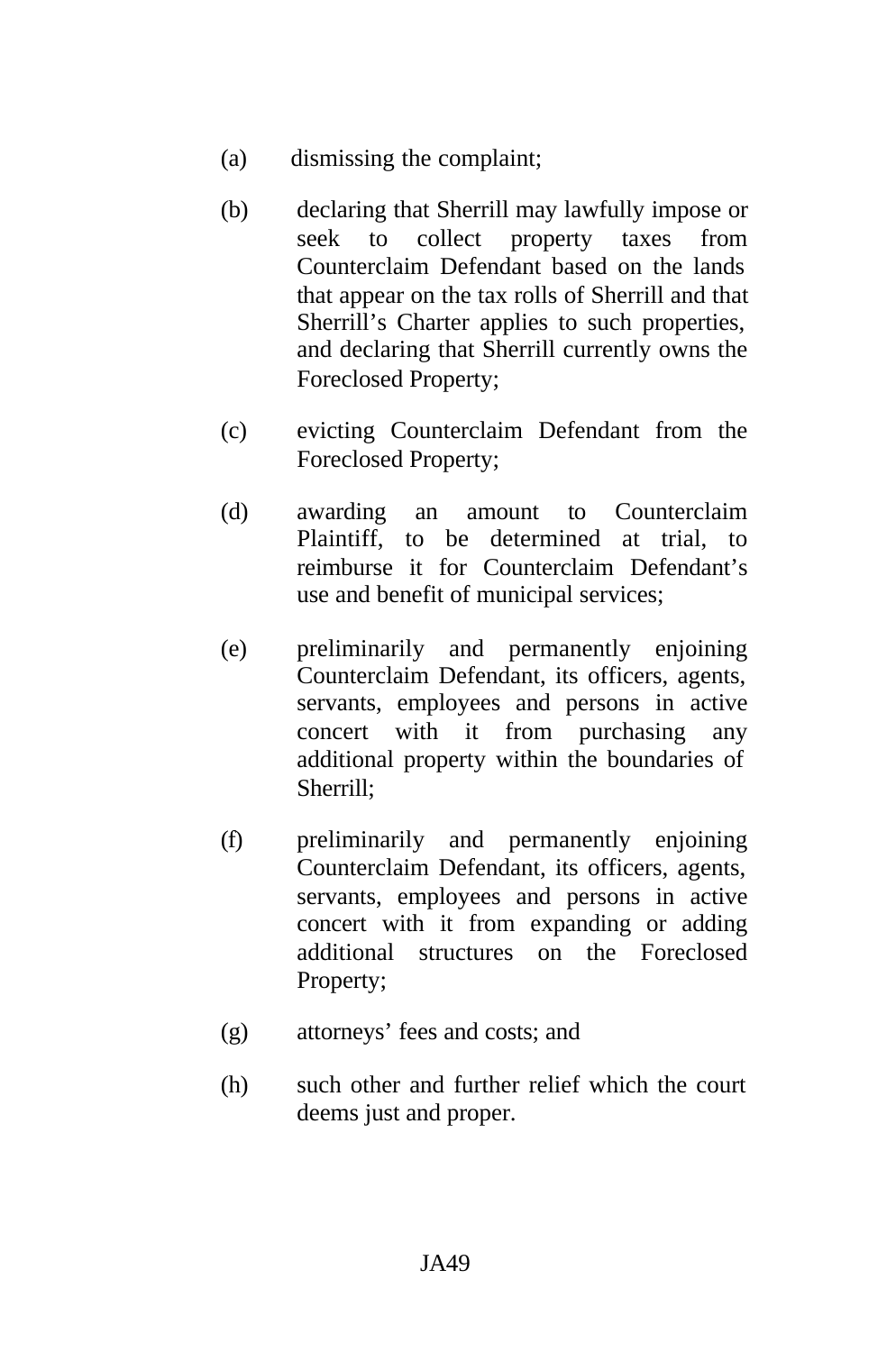- (a) dismissing the complaint;
- (b) declaring that Sherrill may lawfully impose or seek to collect property taxes from Counterclaim Defendant based on the lands that appear on the tax rolls of Sherrill and that Sherrill's Charter applies to such properties, and declaring that Sherrill currently owns the Foreclosed Property;
- (c) evicting Counterclaim Defendant from the Foreclosed Property;
- (d) awarding an amount to Counterclaim Plaintiff, to be determined at trial, to reimburse it for Counterclaim Defendant's use and benefit of municipal services;
- (e) preliminarily and permanently enjoining Counterclaim Defendant, its officers, agents, servants, employees and persons in active concert with it from purchasing any additional property within the boundaries of Sherrill;
- (f) preliminarily and permanently enjoining Counterclaim Defendant, its officers, agents, servants, employees and persons in active concert with it from expanding or adding additional structures on the Foreclosed Property;
- (g) attorneys' fees and costs; and
- (h) such other and further relief which the court deems just and proper.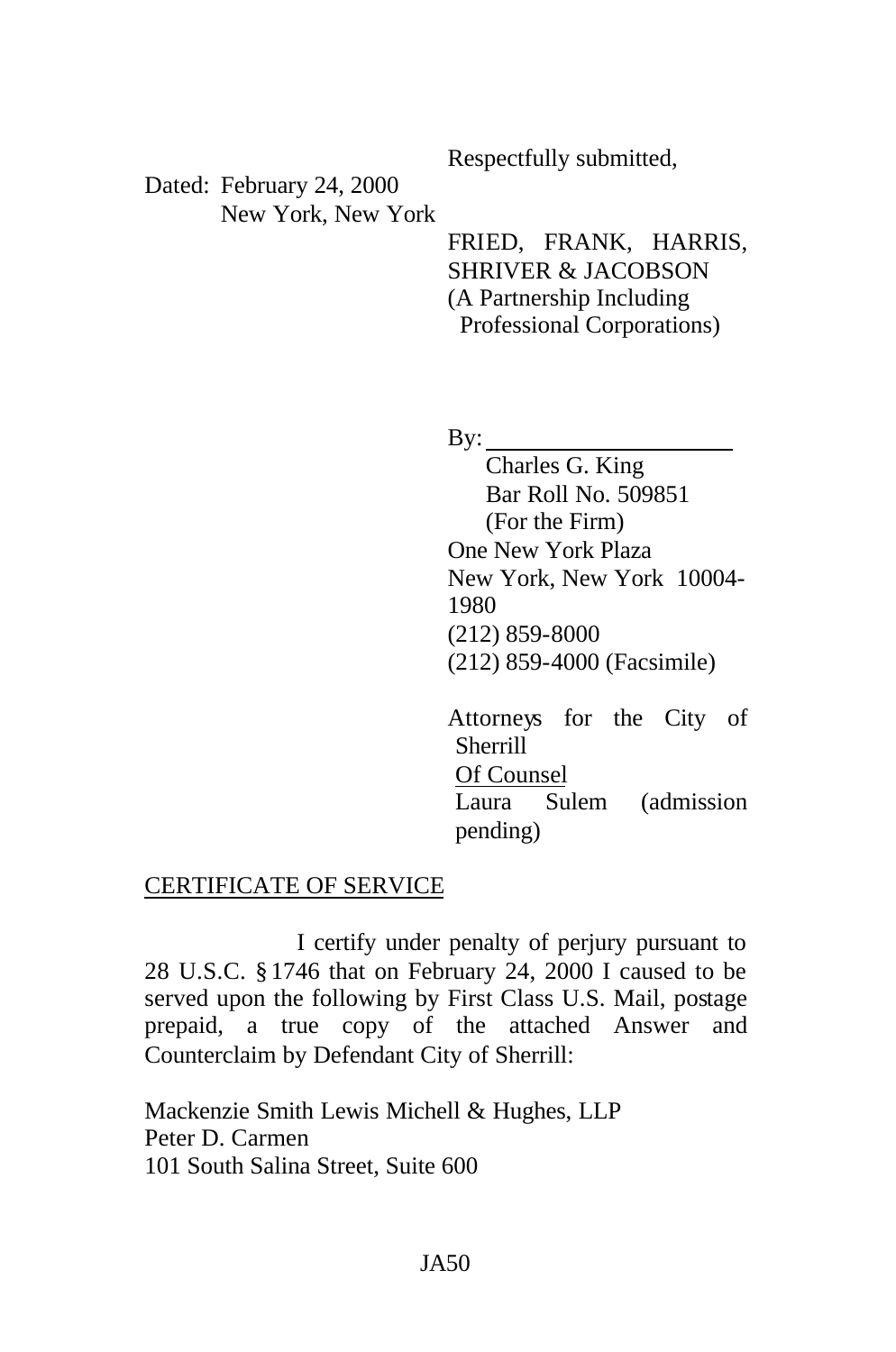Respectfully submitted,

Dated: February 24, 2000 New York, New York

> FRIED, FRANK, HARRIS, SHRIVER & JACOBSON (A Partnership Including Professional Corporations)

By:  $\qquad \qquad$ 

Charles G. King Bar Roll No. 509851 (For the Firm) One New York Plaza New York, New York 10004- 1980 (212) 859-8000 (212) 859-4000 (Facsimile)

Attorneys for the City of Sherrill Of Counsel Laura Sulem (admission pending)

#### CERTIFICATE OF SERVICE

I certify under penalty of perjury pursuant to 28 U.S.C. § 1746 that on February 24, 2000 I caused to be served upon the following by First Class U.S. Mail, postage prepaid, a true copy of the attached Answer and Counterclaim by Defendant City of Sherrill:

Mackenzie Smith Lewis Michell & Hughes, LLP Peter D. Carmen 101 South Salina Street, Suite 600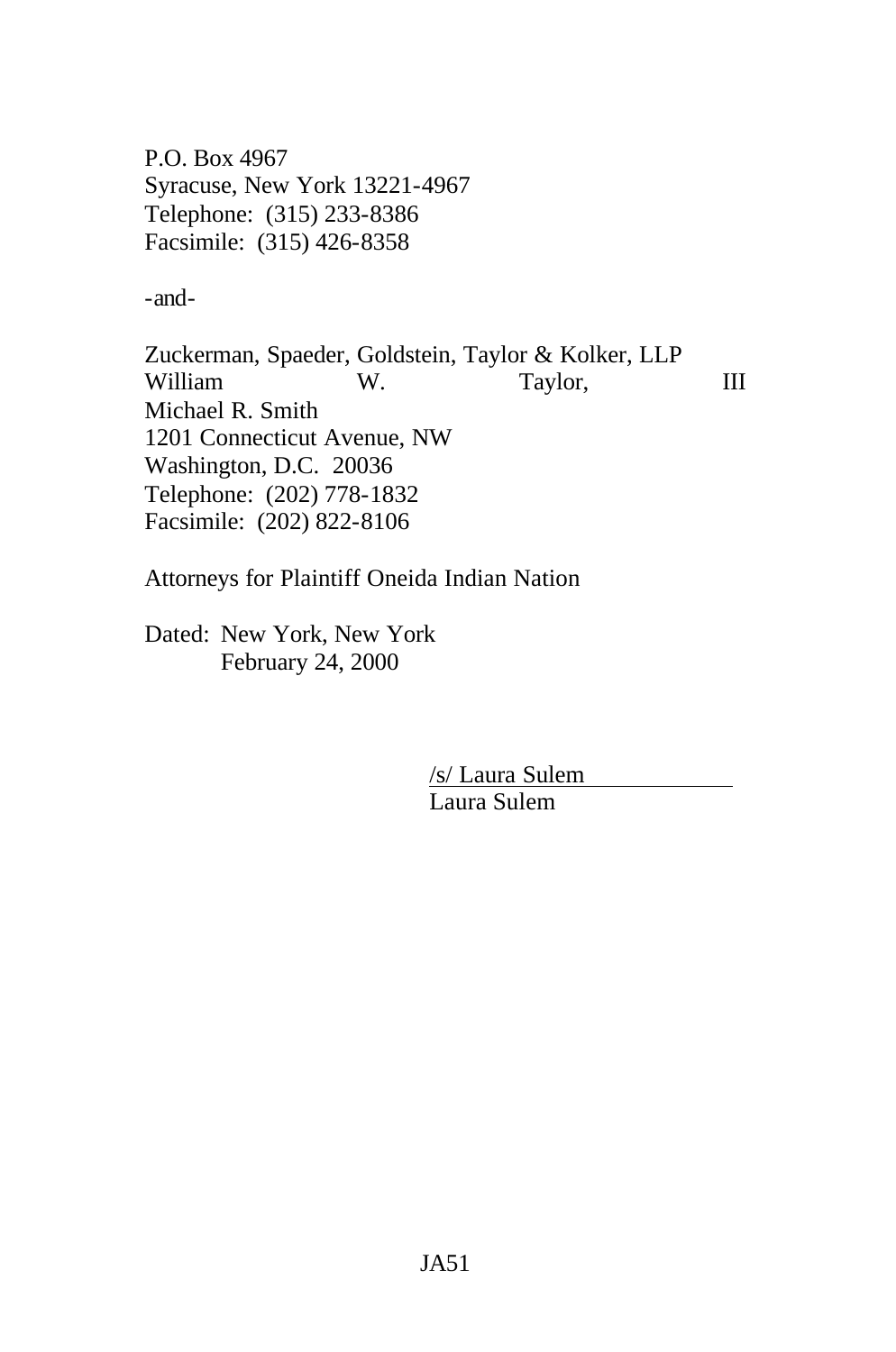P.O. Box 4967 Syracuse, New York 13221-4967 Telephone: (315) 233-8386 Facsimile: (315) 426-8358

-and-

Zuckerman, Spaeder, Goldstein, Taylor & Kolker, LLP William W. Taylor, III Michael R. Smith 1201 Connecticut Avenue, NW Washington, D.C. 20036 Telephone: (202) 778-1832 Facsimile: (202) 822-8106

Attorneys for Plaintiff Oneida Indian Nation

Dated: New York, New York February 24, 2000

> /s/ Laura Sulem Laura Sulem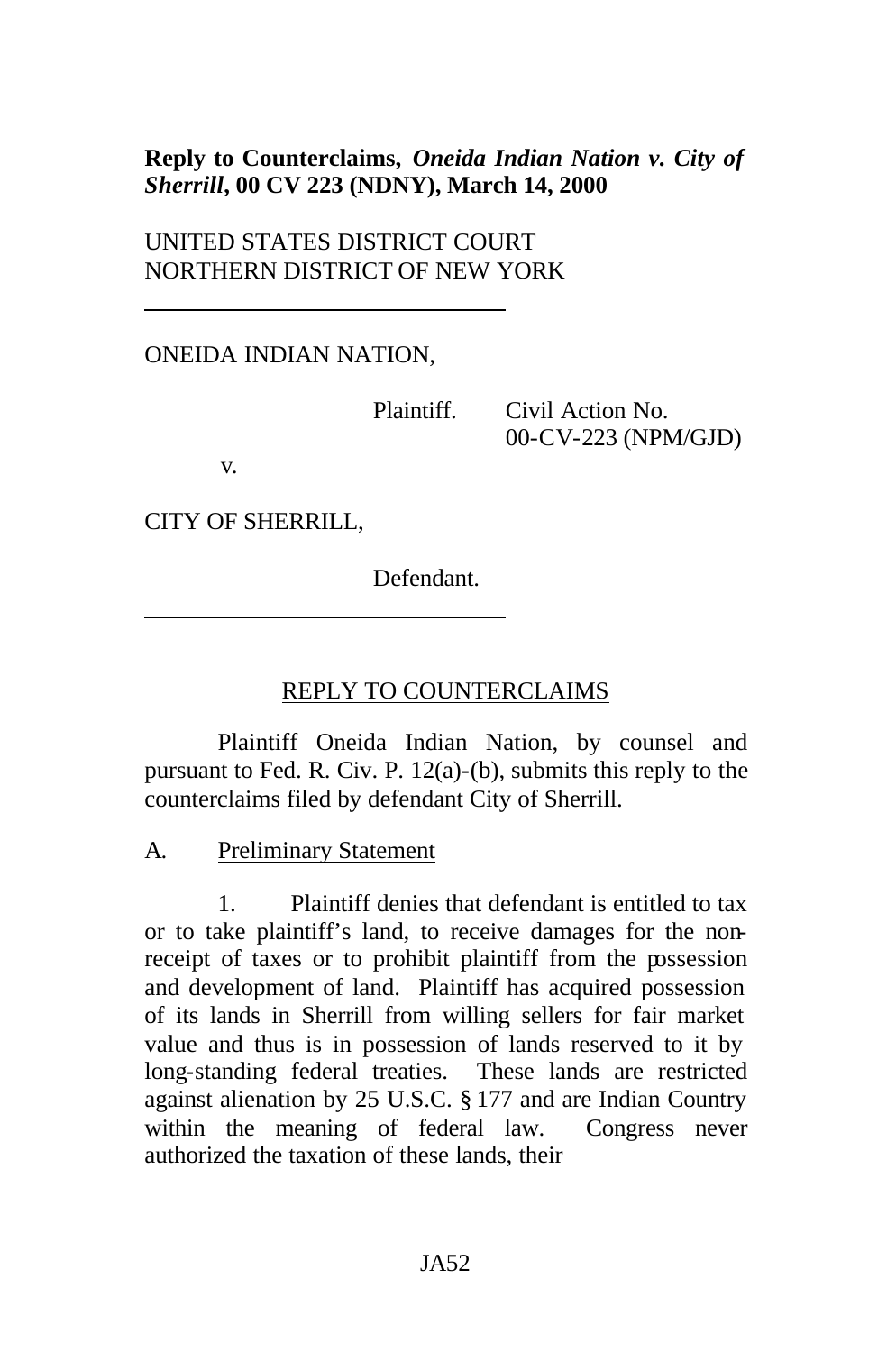## **Reply to Counterclaims,** *Oneida Indian Nation v. City of Sherrill***, 00 CV 223 (NDNY), March 14, 2000**

UNITED STATES DISTRICT COURT NORTHERN DISTRICT OF NEW YORK

ONEIDA INDIAN NATION,

Plaintiff. Civil Action No. 00-CV-223 (NPM/GJD)

v.

CITY OF SHERRILL,

Defendant.

#### REPLY TO COUNTERCLAIMS

Plaintiff Oneida Indian Nation, by counsel and pursuant to Fed. R. Civ. P. 12(a)-(b), submits this reply to the counterclaims filed by defendant City of Sherrill.

A. Preliminary Statement

1. Plaintiff denies that defendant is entitled to tax or to take plaintiff's land, to receive damages for the nonreceipt of taxes or to prohibit plaintiff from the possession and development of land. Plaintiff has acquired possession of its lands in Sherrill from willing sellers for fair market value and thus is in possession of lands reserved to it by long-standing federal treaties. These lands are restricted against alienation by 25 U.S.C. § 177 and are Indian Country within the meaning of federal law. Congress never authorized the taxation of these lands, their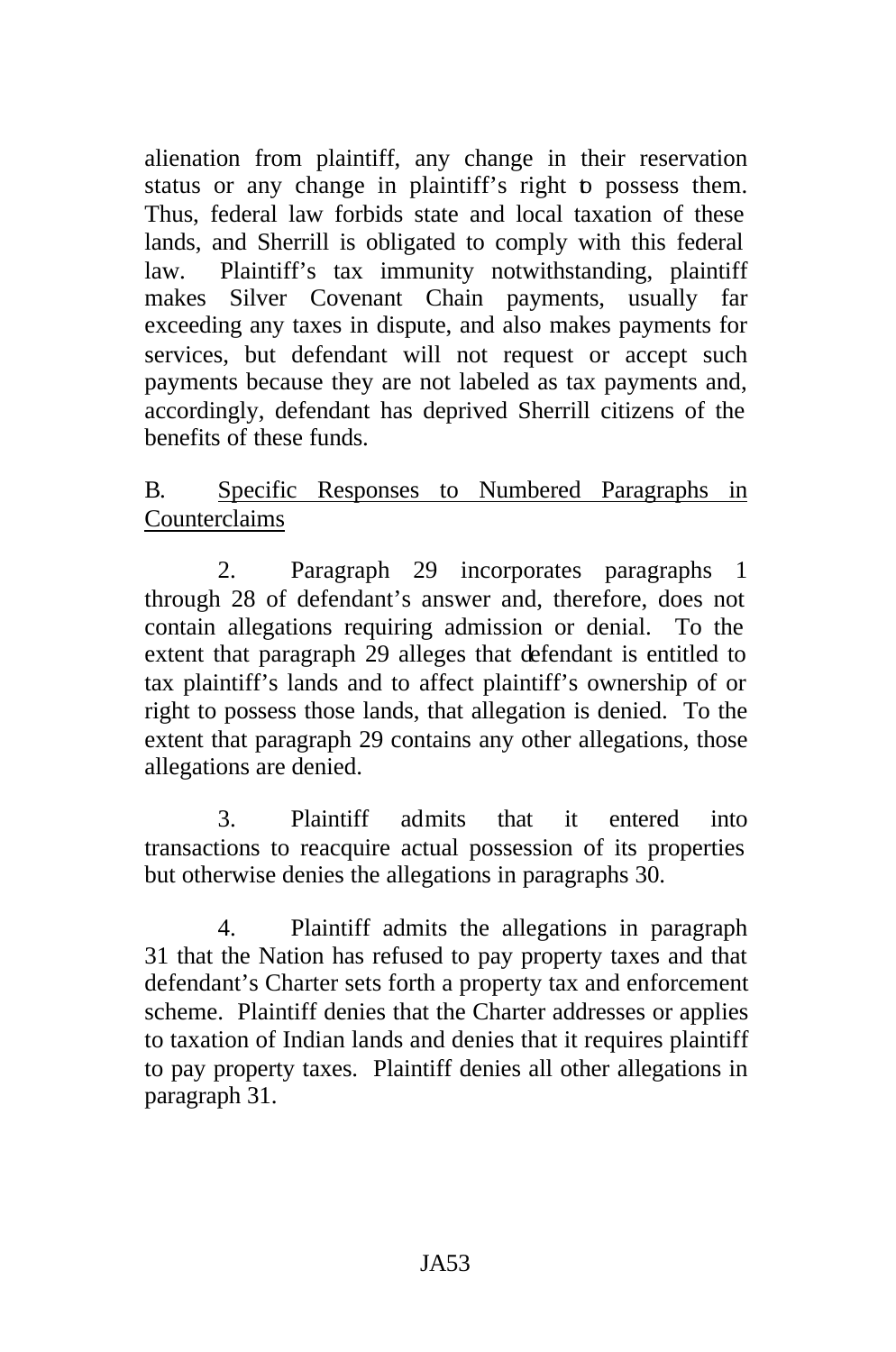alienation from plaintiff, any change in their reservation status or any change in plaintiff's right to possess them. Thus, federal law forbids state and local taxation of these lands, and Sherrill is obligated to comply with this federal law. Plaintiff's tax immunity notwithstanding, plaintiff makes Silver Covenant Chain payments, usually far exceeding any taxes in dispute, and also makes payments for services, but defendant will not request or accept such payments because they are not labeled as tax payments and, accordingly, defendant has deprived Sherrill citizens of the benefits of these funds.

# B. Specific Responses to Numbered Paragraphs in Counterclaims

2. Paragraph 29 incorporates paragraphs 1 through 28 of defendant's answer and, therefore, does not contain allegations requiring admission or denial. To the extent that paragraph 29 alleges that defendant is entitled to tax plaintiff's lands and to affect plaintiff's ownership of or right to possess those lands, that allegation is denied. To the extent that paragraph 29 contains any other allegations, those allegations are denied.

3. Plaintiff admits that it entered into transactions to reacquire actual possession of its properties but otherwise denies the allegations in paragraphs 30.

4. Plaintiff admits the allegations in paragraph 31 that the Nation has refused to pay property taxes and that defendant's Charter sets forth a property tax and enforcement scheme. Plaintiff denies that the Charter addresses or applies to taxation of Indian lands and denies that it requires plaintiff to pay property taxes. Plaintiff denies all other allegations in paragraph 31.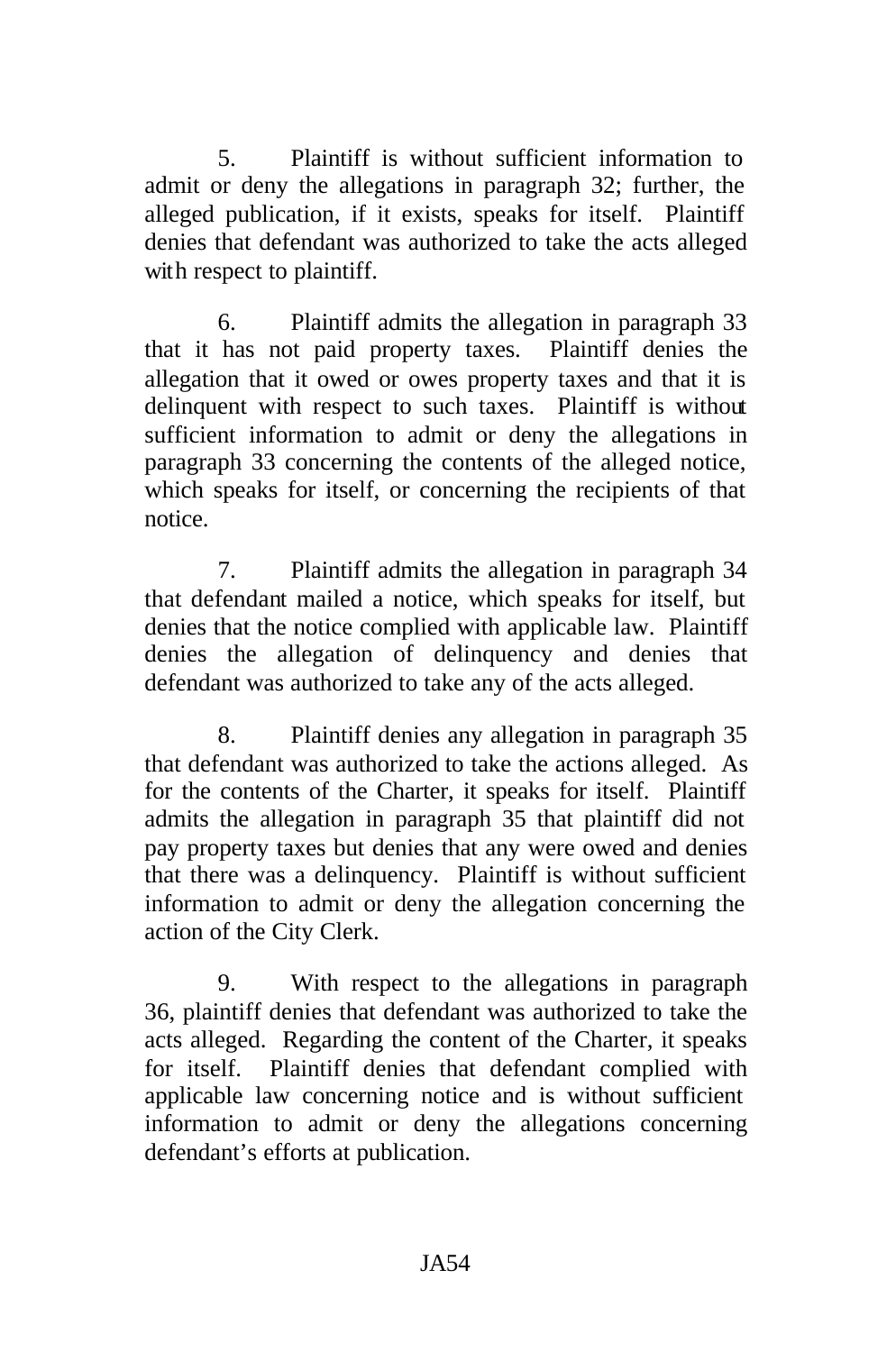5. Plaintiff is without sufficient information to admit or deny the allegations in paragraph 32; further, the alleged publication, if it exists, speaks for itself. Plaintiff denies that defendant was authorized to take the acts alleged with respect to plaintiff.

6. Plaintiff admits the allegation in paragraph 33 that it has not paid property taxes. Plaintiff denies the allegation that it owed or owes property taxes and that it is delinquent with respect to such taxes. Plaintiff is without sufficient information to admit or deny the allegations in paragraph 33 concerning the contents of the alleged notice, which speaks for itself, or concerning the recipients of that notice.

7. Plaintiff admits the allegation in paragraph 34 that defendant mailed a notice, which speaks for itself, but denies that the notice complied with applicable law. Plaintiff denies the allegation of delinquency and denies that defendant was authorized to take any of the acts alleged.

8. Plaintiff denies any allegation in paragraph 35 that defendant was authorized to take the actions alleged. As for the contents of the Charter, it speaks for itself. Plaintiff admits the allegation in paragraph 35 that plaintiff did not pay property taxes but denies that any were owed and denies that there was a delinquency. Plaintiff is without sufficient information to admit or deny the allegation concerning the action of the City Clerk.

9. With respect to the allegations in paragraph 36, plaintiff denies that defendant was authorized to take the acts alleged. Regarding the content of the Charter, it speaks for itself. Plaintiff denies that defendant complied with applicable law concerning notice and is without sufficient information to admit or deny the allegations concerning defendant's efforts at publication.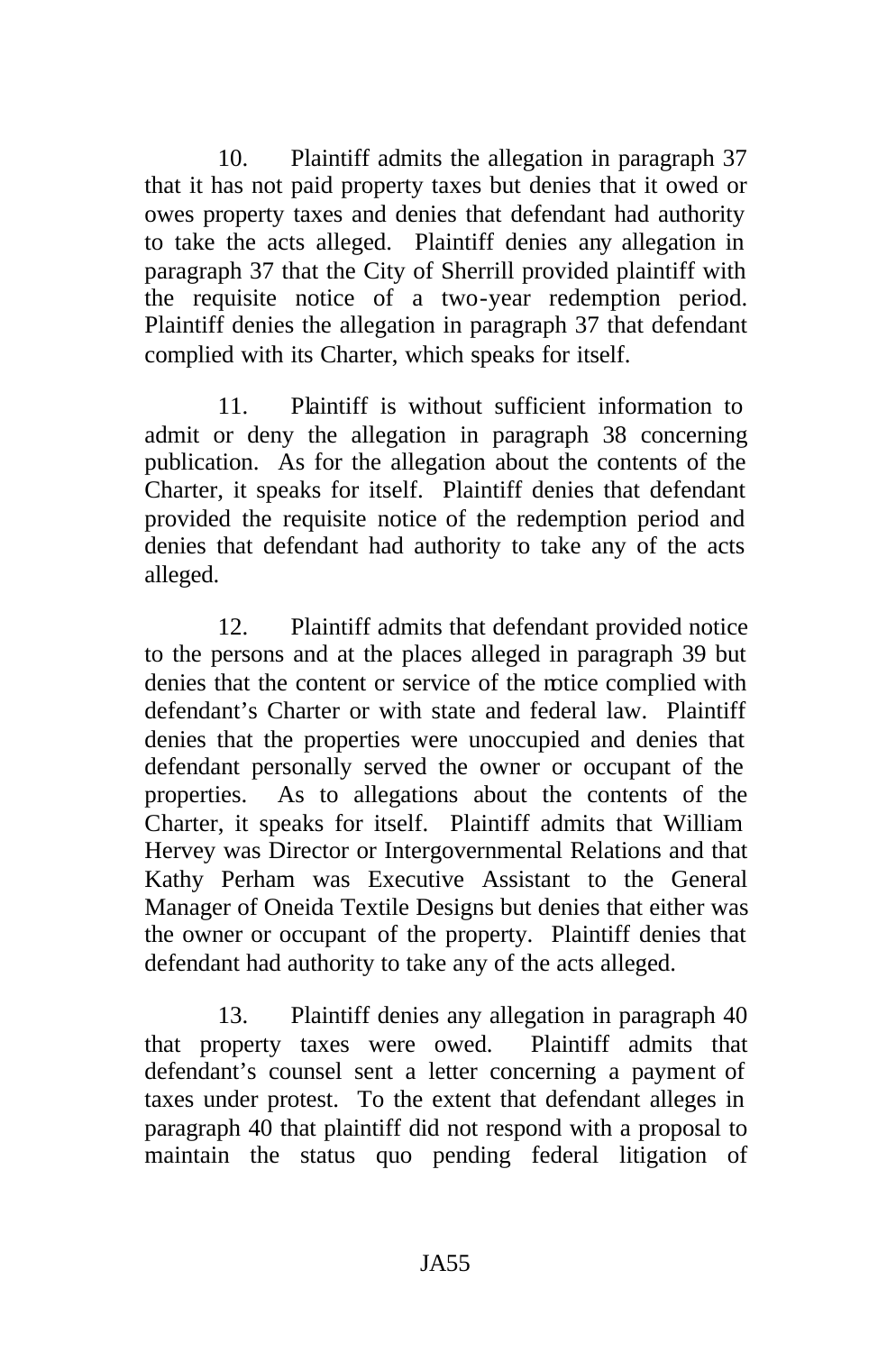10. Plaintiff admits the allegation in paragraph 37 that it has not paid property taxes but denies that it owed or owes property taxes and denies that defendant had authority to take the acts alleged. Plaintiff denies any allegation in paragraph 37 that the City of Sherrill provided plaintiff with the requisite notice of a two-year redemption period. Plaintiff denies the allegation in paragraph 37 that defendant complied with its Charter, which speaks for itself.

11. Plaintiff is without sufficient information to admit or deny the allegation in paragraph 38 concerning publication. As for the allegation about the contents of the Charter, it speaks for itself. Plaintiff denies that defendant provided the requisite notice of the redemption period and denies that defendant had authority to take any of the acts alleged.

12. Plaintiff admits that defendant provided notice to the persons and at the places alleged in paragraph 39 but denies that the content or service of the notice complied with defendant's Charter or with state and federal law. Plaintiff denies that the properties were unoccupied and denies that defendant personally served the owner or occupant of the properties. As to allegations about the contents of the Charter, it speaks for itself. Plaintiff admits that William Hervey was Director or Intergovernmental Relations and that Kathy Perham was Executive Assistant to the General Manager of Oneida Textile Designs but denies that either was the owner or occupant of the property. Plaintiff denies that defendant had authority to take any of the acts alleged.

13. Plaintiff denies any allegation in paragraph 40 that property taxes were owed. Plaintiff admits that defendant's counsel sent a letter concerning a payment of taxes under protest. To the extent that defendant alleges in paragraph 40 that plaintiff did not respond with a proposal to maintain the status quo pending federal litigation of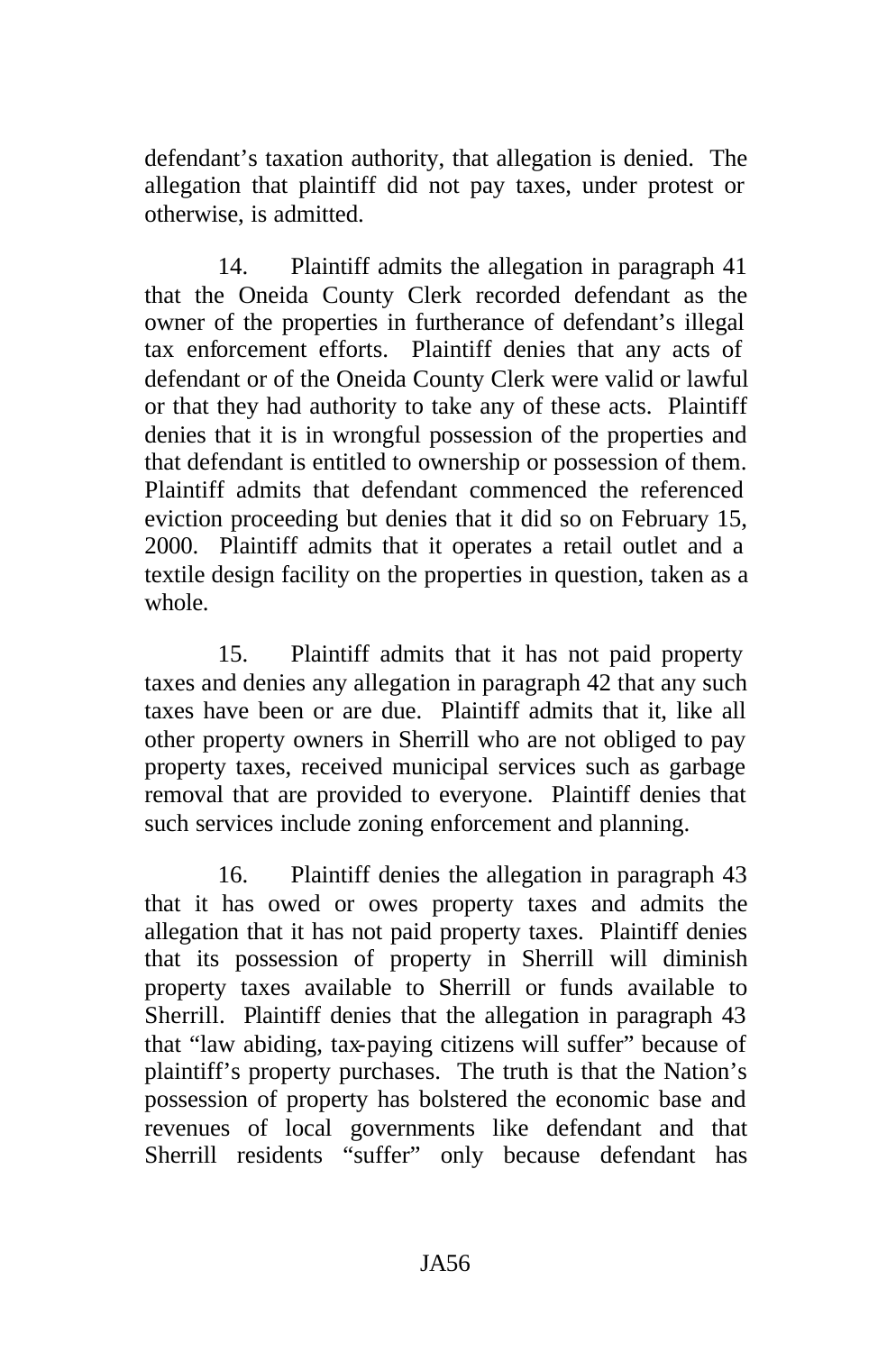defendant's taxation authority, that allegation is denied. The allegation that plaintiff did not pay taxes, under protest or otherwise, is admitted.

14. Plaintiff admits the allegation in paragraph 41 that the Oneida County Clerk recorded defendant as the owner of the properties in furtherance of defendant's illegal tax enforcement efforts. Plaintiff denies that any acts of defendant or of the Oneida County Clerk were valid or lawful or that they had authority to take any of these acts. Plaintiff denies that it is in wrongful possession of the properties and that defendant is entitled to ownership or possession of them. Plaintiff admits that defendant commenced the referenced eviction proceeding but denies that it did so on February 15, 2000. Plaintiff admits that it operates a retail outlet and a textile design facility on the properties in question, taken as a whole.

15. Plaintiff admits that it has not paid property taxes and denies any allegation in paragraph 42 that any such taxes have been or are due. Plaintiff admits that it, like all other property owners in Sherrill who are not obliged to pay property taxes, received municipal services such as garbage removal that are provided to everyone. Plaintiff denies that such services include zoning enforcement and planning.

16. Plaintiff denies the allegation in paragraph 43 that it has owed or owes property taxes and admits the allegation that it has not paid property taxes. Plaintiff denies that its possession of property in Sherrill will diminish property taxes available to Sherrill or funds available to Sherrill. Plaintiff denies that the allegation in paragraph 43 that "law abiding, tax-paying citizens will suffer" because of plaintiff's property purchases. The truth is that the Nation's possession of property has bolstered the economic base and revenues of local governments like defendant and that Sherrill residents "suffer" only because defendant has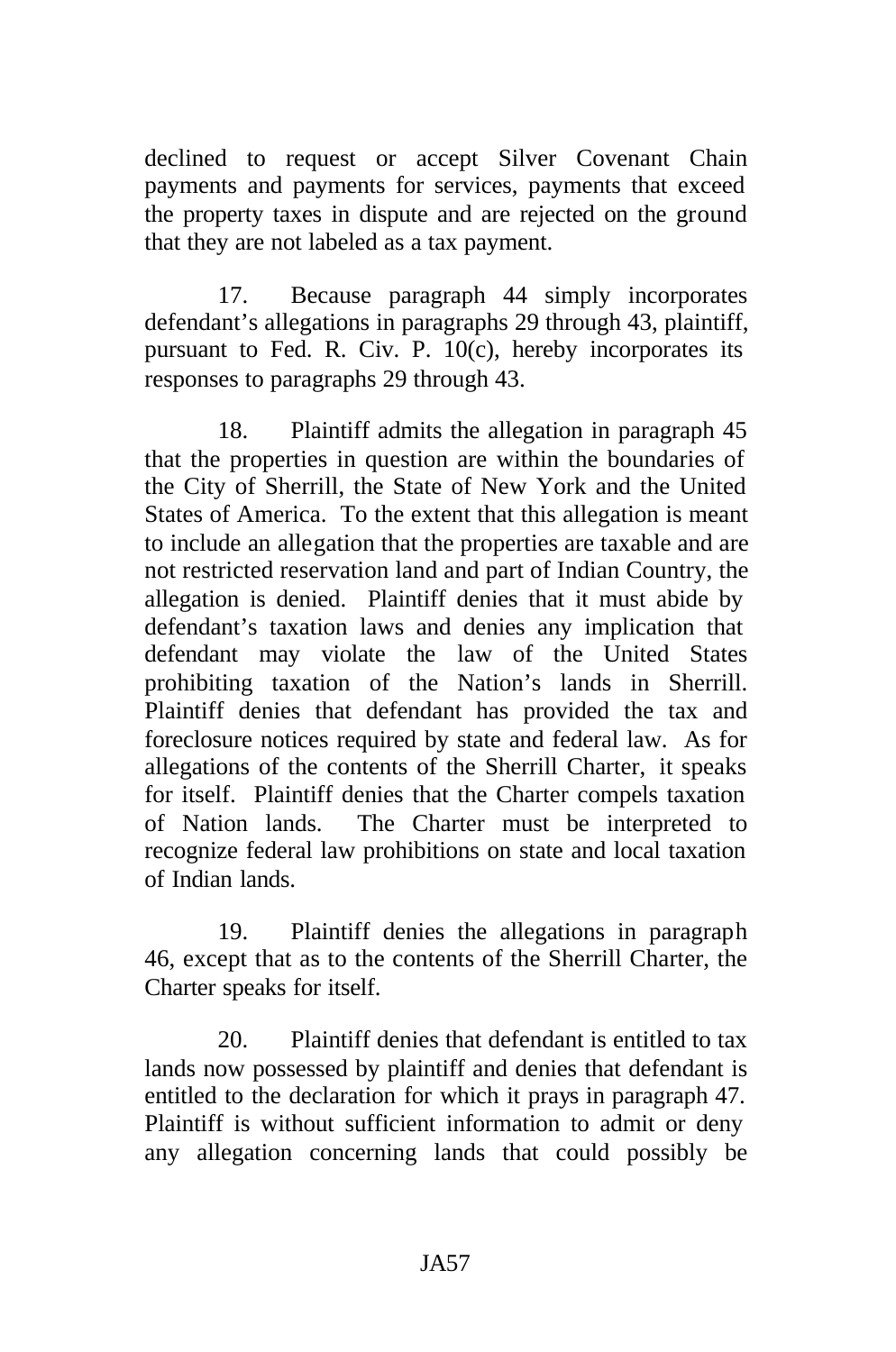declined to request or accept Silver Covenant Chain payments and payments for services, payments that exceed the property taxes in dispute and are rejected on the ground that they are not labeled as a tax payment.

17. Because paragraph 44 simply incorporates defendant's allegations in paragraphs 29 through 43, plaintiff, pursuant to Fed. R. Civ. P. 10(c), hereby incorporates its responses to paragraphs 29 through 43.

18. Plaintiff admits the allegation in paragraph 45 that the properties in question are within the boundaries of the City of Sherrill, the State of New York and the United States of America. To the extent that this allegation is meant to include an allegation that the properties are taxable and are not restricted reservation land and part of Indian Country, the allegation is denied. Plaintiff denies that it must abide by defendant's taxation laws and denies any implication that defendant may violate the law of the United States prohibiting taxation of the Nation's lands in Sherrill. Plaintiff denies that defendant has provided the tax and foreclosure notices required by state and federal law. As for allegations of the contents of the Sherrill Charter, it speaks for itself. Plaintiff denies that the Charter compels taxation of Nation lands. The Charter must be interpreted to recognize federal law prohibitions on state and local taxation of Indian lands.

19. Plaintiff denies the allegations in paragraph 46, except that as to the contents of the Sherrill Charter, the Charter speaks for itself.

20. Plaintiff denies that defendant is entitled to tax lands now possessed by plaintiff and denies that defendant is entitled to the declaration for which it prays in paragraph 47. Plaintiff is without sufficient information to admit or deny any allegation concerning lands that could possibly be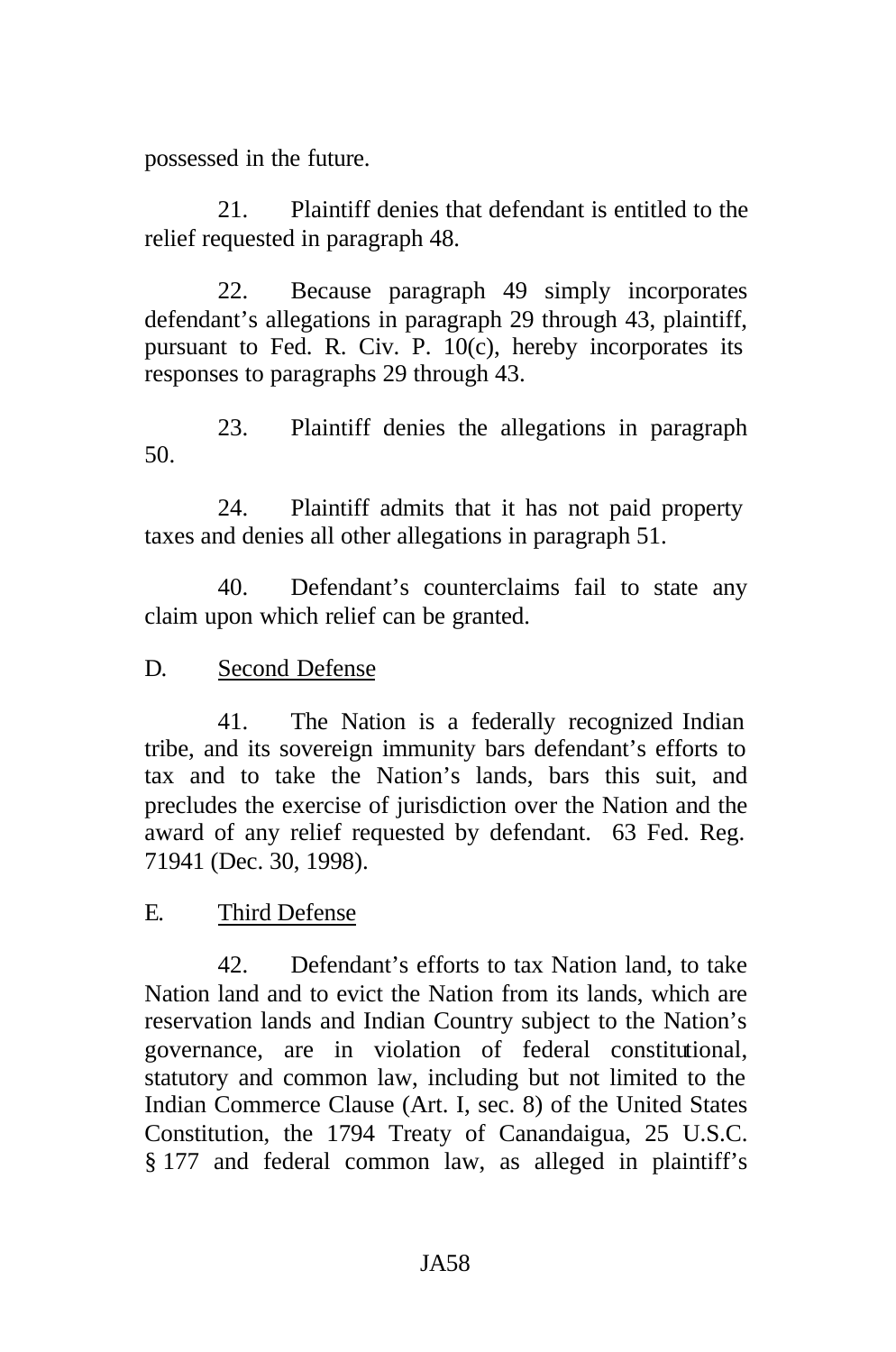possessed in the future.

21. Plaintiff denies that defendant is entitled to the relief requested in paragraph 48.

22. Because paragraph 49 simply incorporates defendant's allegations in paragraph 29 through 43, plaintiff, pursuant to Fed. R. Civ. P. 10(c), hereby incorporates its responses to paragraphs 29 through 43.

23. Plaintiff denies the allegations in paragraph 50.

24. Plaintiff admits that it has not paid property taxes and denies all other allegations in paragraph 51.

40. Defendant's counterclaims fail to state any claim upon which relief can be granted.

D. Second Defense

41. The Nation is a federally recognized Indian tribe, and its sovereign immunity bars defendant's efforts to tax and to take the Nation's lands, bars this suit, and precludes the exercise of jurisdiction over the Nation and the award of any relief requested by defendant. 63 Fed. Reg. 71941 (Dec. 30, 1998).

E. Third Defense

42. Defendant's efforts to tax Nation land, to take Nation land and to evict the Nation from its lands, which are reservation lands and Indian Country subject to the Nation's governance, are in violation of federal constitutional, statutory and common law, including but not limited to the Indian Commerce Clause (Art. I, sec. 8) of the United States Constitution, the 1794 Treaty of Canandaigua, 25 U.S.C. § 177 and federal common law, as alleged in plaintiff's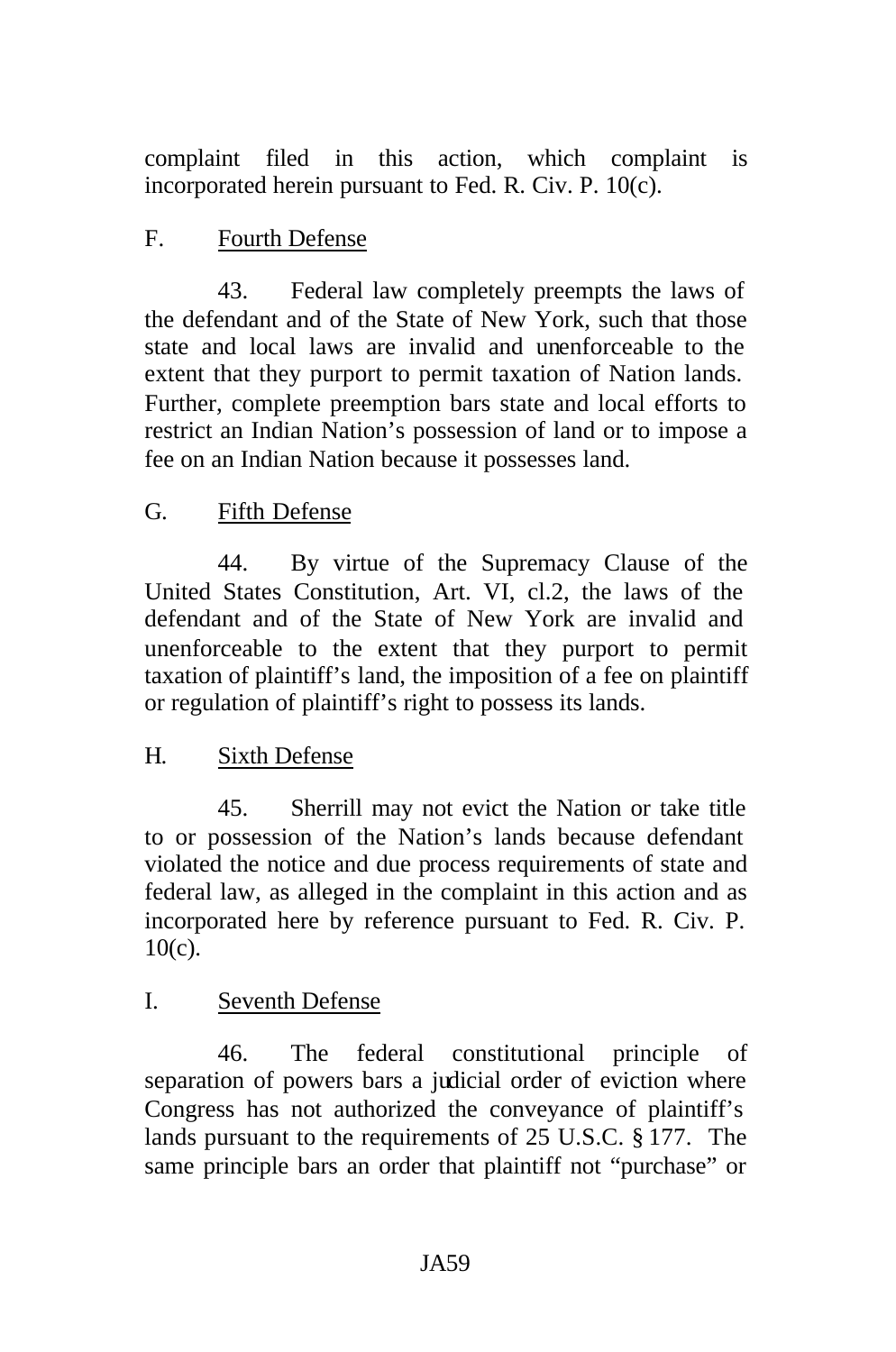complaint filed in this action, which complaint is incorporated herein pursuant to Fed. R. Civ. P. 10(c).

# F. Fourth Defense

43. Federal law completely preempts the laws of the defendant and of the State of New York, such that those state and local laws are invalid and unenforceable to the extent that they purport to permit taxation of Nation lands. Further, complete preemption bars state and local efforts to restrict an Indian Nation's possession of land or to impose a fee on an Indian Nation because it possesses land.

# G. Fifth Defense

44. By virtue of the Supremacy Clause of the United States Constitution, Art. VI, cl.2, the laws of the defendant and of the State of New York are invalid and unenforceable to the extent that they purport to permit taxation of plaintiff's land, the imposition of a fee on plaintiff or regulation of plaintiff's right to possess its lands.

## H. Sixth Defense

45. Sherrill may not evict the Nation or take title to or possession of the Nation's lands because defendant violated the notice and due process requirements of state and federal law, as alleged in the complaint in this action and as incorporated here by reference pursuant to Fed. R. Civ. P. 10(c).

## I. Seventh Defense

46. The federal constitutional principle of separation of powers bars a judicial order of eviction where Congress has not authorized the conveyance of plaintiff's lands pursuant to the requirements of 25 U.S.C. § 177. The same principle bars an order that plaintiff not "purchase" or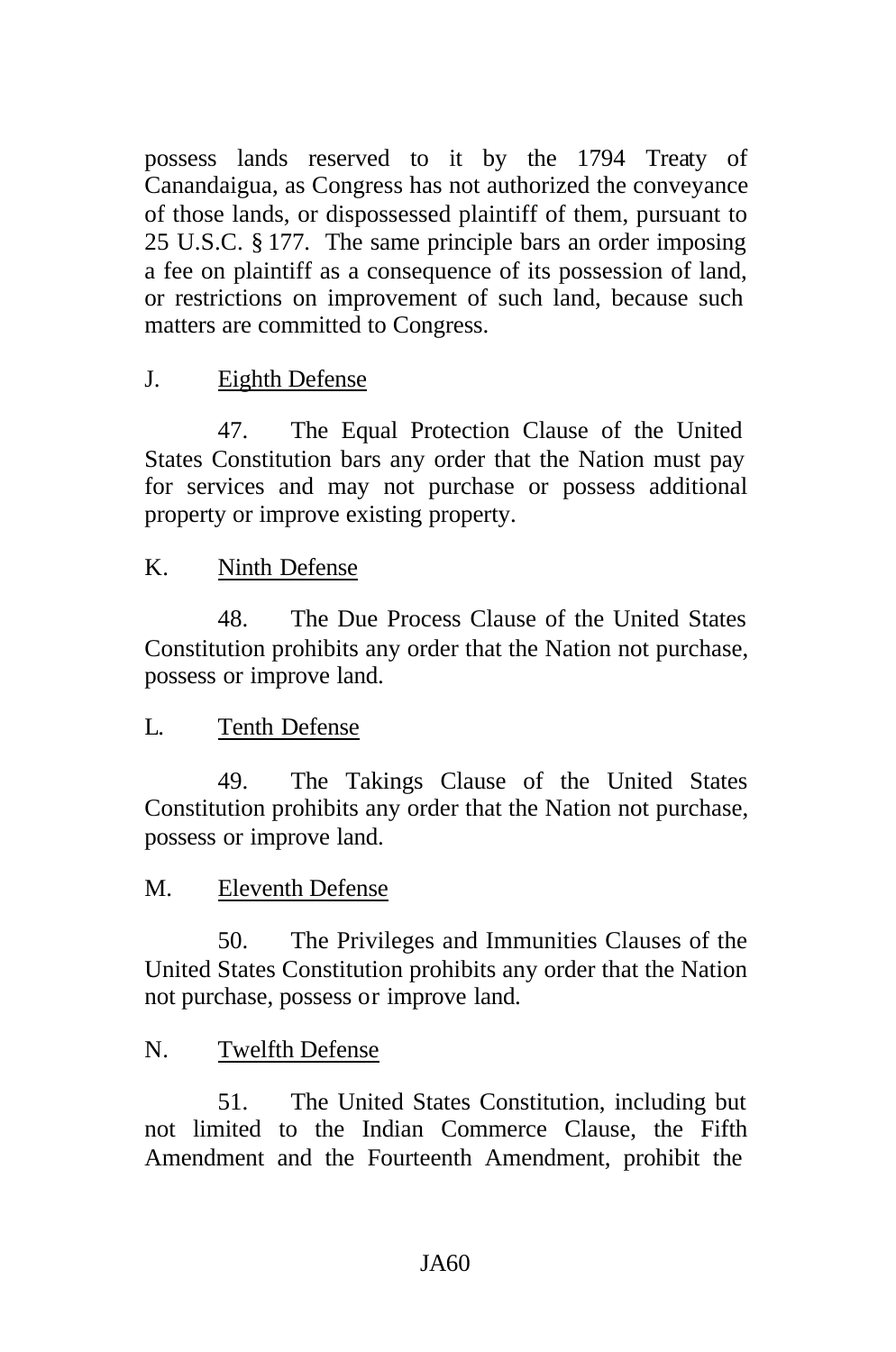possess lands reserved to it by the 1794 Treaty of Canandaigua, as Congress has not authorized the conveyance of those lands, or dispossessed plaintiff of them, pursuant to 25 U.S.C. § 177. The same principle bars an order imposing a fee on plaintiff as a consequence of its possession of land, or restrictions on improvement of such land, because such matters are committed to Congress.

#### J. Eighth Defense

47. The Equal Protection Clause of the United States Constitution bars any order that the Nation must pay for services and may not purchase or possess additional property or improve existing property.

#### K. Ninth Defense

48. The Due Process Clause of the United States Constitution prohibits any order that the Nation not purchase, possess or improve land.

## L. Tenth Defense

49. The Takings Clause of the United States Constitution prohibits any order that the Nation not purchase, possess or improve land.

#### M. Eleventh Defense

50. The Privileges and Immunities Clauses of the United States Constitution prohibits any order that the Nation not purchase, possess or improve land.

#### N. Twelfth Defense

51. The United States Constitution, including but not limited to the Indian Commerce Clause, the Fifth Amendment and the Fourteenth Amendment, prohibit the

#### JA60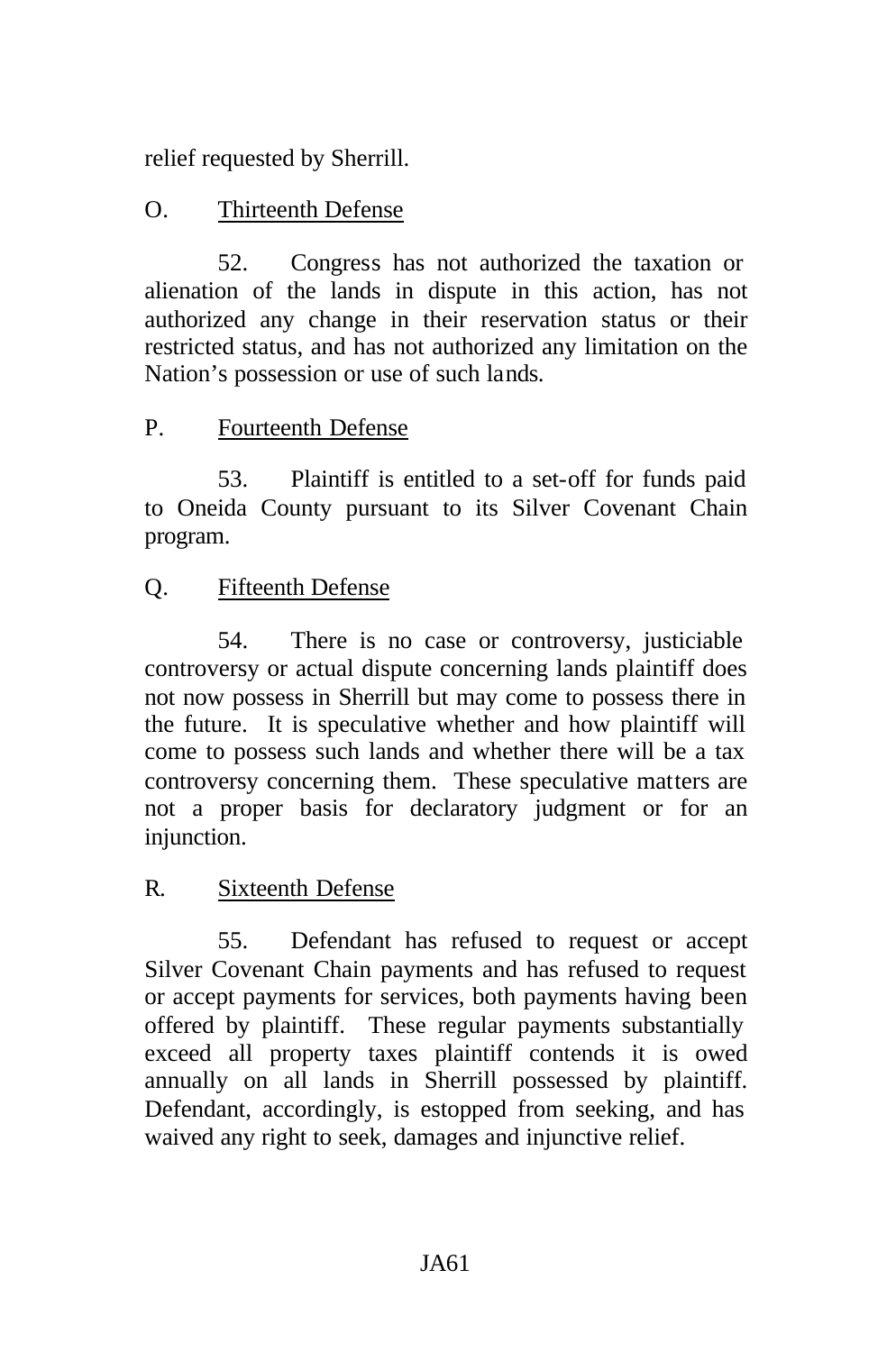relief requested by Sherrill.

# O. Thirteenth Defense

52. Congress has not authorized the taxation or alienation of the lands in dispute in this action, has not authorized any change in their reservation status or their restricted status, and has not authorized any limitation on the Nation's possession or use of such lands.

## P. Fourteenth Defense

53. Plaintiff is entitled to a set-off for funds paid to Oneida County pursuant to its Silver Covenant Chain program.

# Q. Fifteenth Defense

54. There is no case or controversy, justiciable controversy or actual dispute concerning lands plaintiff does not now possess in Sherrill but may come to possess there in the future. It is speculative whether and how plaintiff will come to possess such lands and whether there will be a tax controversy concerning them. These speculative matters are not a proper basis for declaratory judgment or for an injunction.

## R. Sixteenth Defense

55. Defendant has refused to request or accept Silver Covenant Chain payments and has refused to request or accept payments for services, both payments having been offered by plaintiff. These regular payments substantially exceed all property taxes plaintiff contends it is owed annually on all lands in Sherrill possessed by plaintiff. Defendant, accordingly, is estopped from seeking, and has waived any right to seek, damages and injunctive relief.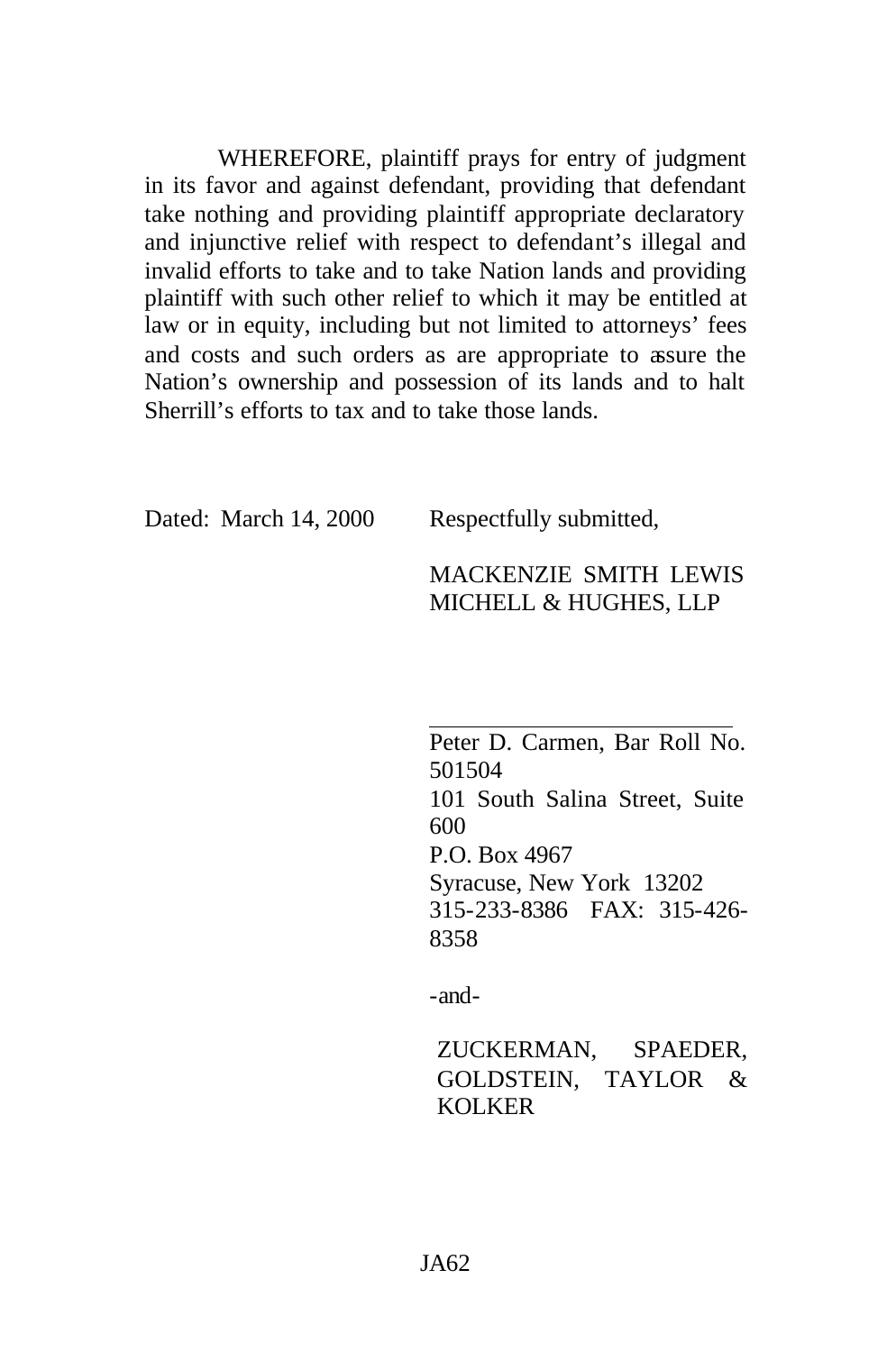WHEREFORE, plaintiff prays for entry of judgment in its favor and against defendant, providing that defendant take nothing and providing plaintiff appropriate declaratory and injunctive relief with respect to defendant's illegal and invalid efforts to take and to take Nation lands and providing plaintiff with such other relief to which it may be entitled at law or in equity, including but not limited to attorneys' fees and costs and such orders as are appropriate to assure the Nation's ownership and possession of its lands and to halt Sherrill's efforts to tax and to take those lands.

Dated: March 14, 2000 Respectfully submitted,

#### MACKENZIE SMITH LEWIS MICHELL & HUGHES, LLP

Peter D. Carmen, Bar Roll No. 501504 101 South Salina Street, Suite 600 P.O. Box 4967 Syracuse, New York 13202 315-233-8386 FAX: 315-426- 8358

-and-

ZUCKERMAN, SPAEDER, GOLDSTEIN, TAYLOR & KOLKER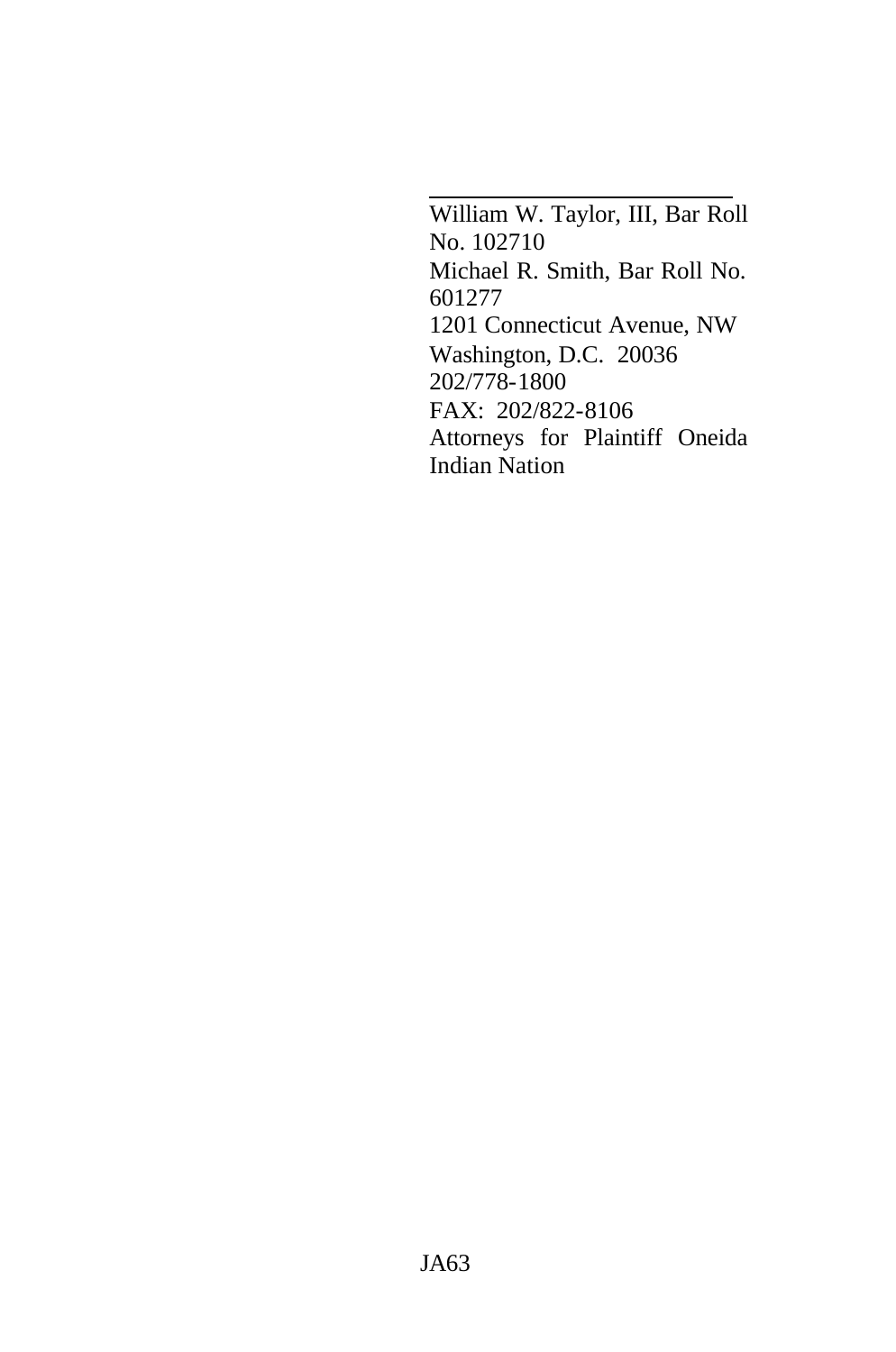William W. Taylor, III, Bar Roll No. 102710 Michael R. Smith, Bar Roll No. 601277 1201 Connecticut Avenue, NW Washington, D.C. 20036 202/778-1800 FAX: 202/822-8106 Attorneys for Plaintiff Oneida Indian Nation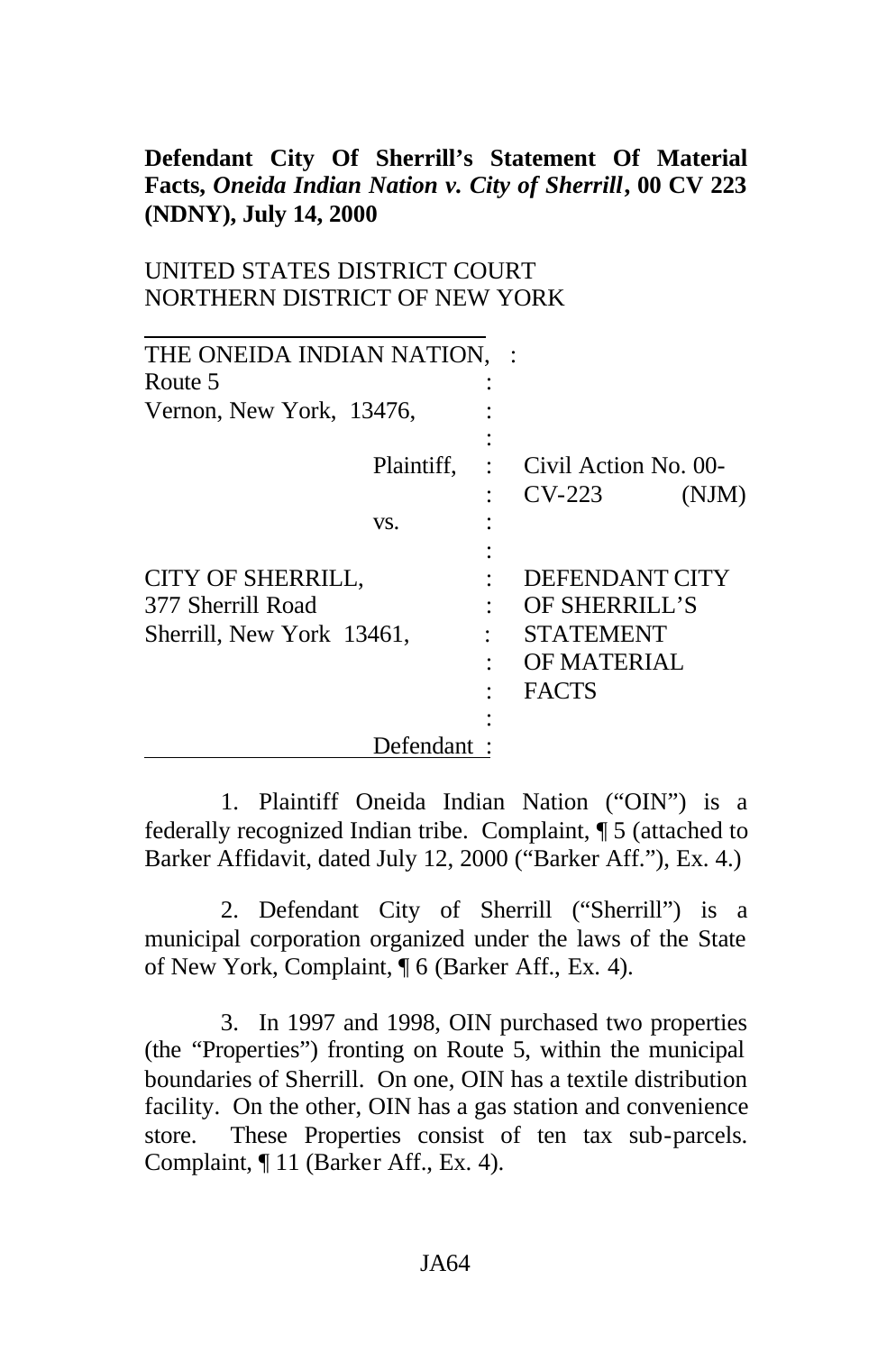#### **Defendant City Of Sherrill's Statement Of Material Facts,** *Oneida Indian Nation v. City of Sherrill***, 00 CV 223 (NDNY), July 14, 2000**

#### UNITED STATES DISTRICT COURT NORTHERN DISTRICT OF NEW YORK

| THE ONEIDA INDIAN NATION,                                                       |                                                                                    |  |
|---------------------------------------------------------------------------------|------------------------------------------------------------------------------------|--|
| Route 5                                                                         |                                                                                    |  |
| Vernon, New York, 13476,                                                        |                                                                                    |  |
| Plaintiff,                                                                      | Civil Action No. 00-<br>$CV-223$<br>(NJM)                                          |  |
| VS.                                                                             |                                                                                    |  |
| <b>CITY OF SHERRILL,</b><br>377 Sherrill Road<br>Sherrill, New York 13461,<br>٠ | DEFENDANT CITY<br>OF SHERRILL'S<br><b>STATEMENT</b><br>OF MATERIAL<br><b>FACTS</b> |  |
| Defendant                                                                       |                                                                                    |  |

1. Plaintiff Oneida Indian Nation ("OIN") is a federally recognized Indian tribe. Complaint, ¶ 5 (attached to Barker Affidavit, dated July 12, 2000 ("Barker Aff."), Ex. 4.)

2. Defendant City of Sherrill ("Sherrill") is a municipal corporation organized under the laws of the State of New York, Complaint, ¶ 6 (Barker Aff., Ex. 4).

3. In 1997 and 1998, OIN purchased two properties (the "Properties") fronting on Route 5, within the municipal boundaries of Sherrill. On one, OIN has a textile distribution facility. On the other, OIN has a gas station and convenience store. These Properties consist of ten tax sub-parcels. Complaint, ¶ 11 (Barker Aff., Ex. 4).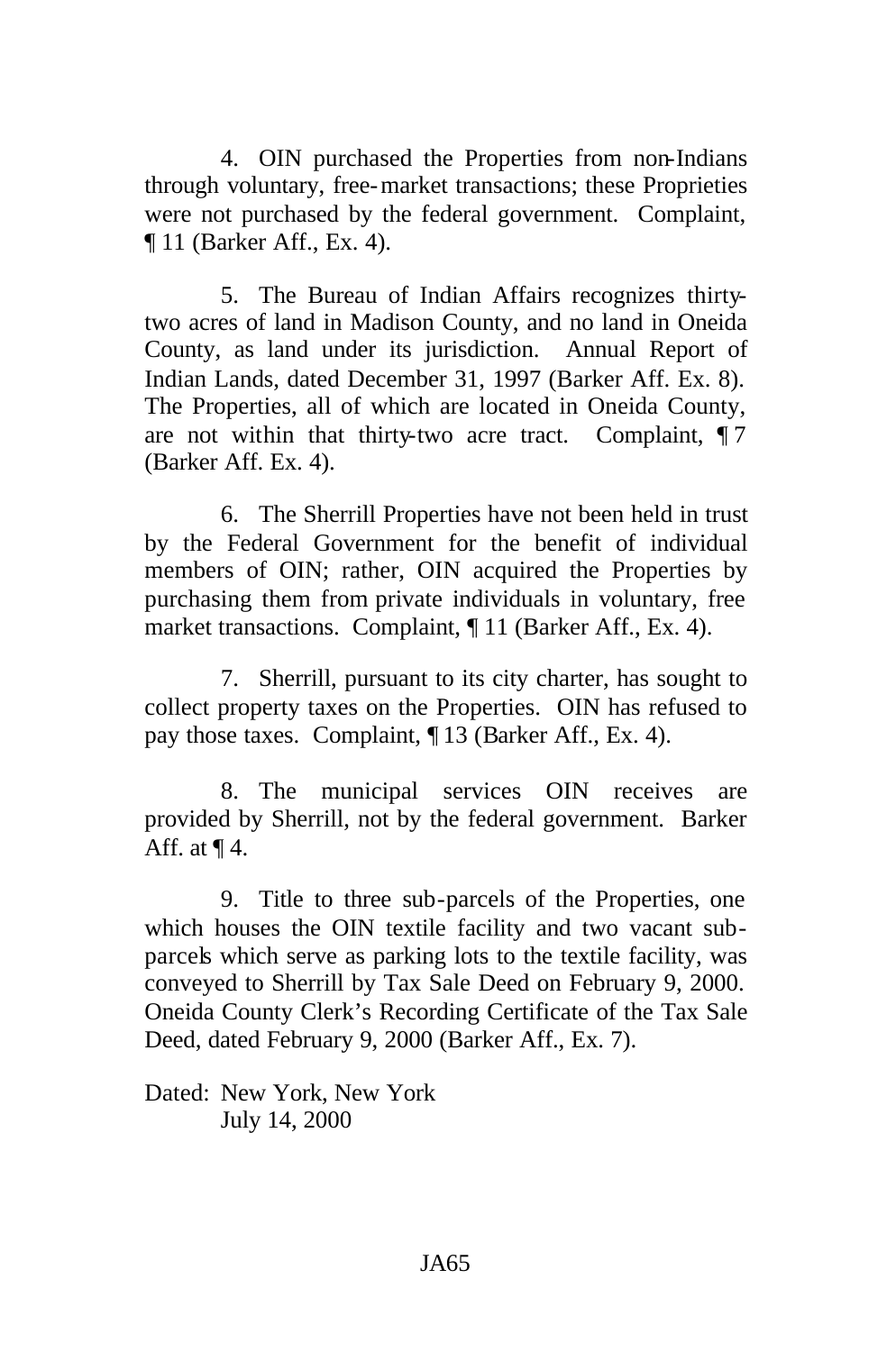4. OIN purchased the Properties from non-Indians through voluntary, free-market transactions; these Proprieties were not purchased by the federal government. Complaint, ¶ 11 (Barker Aff., Ex. 4).

5. The Bureau of Indian Affairs recognizes thirtytwo acres of land in Madison County, and no land in Oneida County, as land under its jurisdiction. Annual Report of Indian Lands, dated December 31, 1997 (Barker Aff. Ex. 8). The Properties, all of which are located in Oneida County, are not within that thirty-two acre tract. Complaint, ¶ 7 (Barker Aff. Ex. 4).

6. The Sherrill Properties have not been held in trust by the Federal Government for the benefit of individual members of OIN; rather, OIN acquired the Properties by purchasing them from private individuals in voluntary, free market transactions. Complaint, ¶ 11 (Barker Aff., Ex. 4).

7. Sherrill, pursuant to its city charter, has sought to collect property taxes on the Properties. OIN has refused to pay those taxes. Complaint, ¶ 13 (Barker Aff., Ex. 4).

8. The municipal services OIN receives are provided by Sherrill, not by the federal government. Barker Aff. at  $\P$ 4.

9. Title to three sub-parcels of the Properties, one which houses the OIN textile facility and two vacant subparcels which serve as parking lots to the textile facility, was conveyed to Sherrill by Tax Sale Deed on February 9, 2000. Oneida County Clerk's Recording Certificate of the Tax Sale Deed, dated February 9, 2000 (Barker Aff., Ex. 7).

Dated: New York, New York July 14, 2000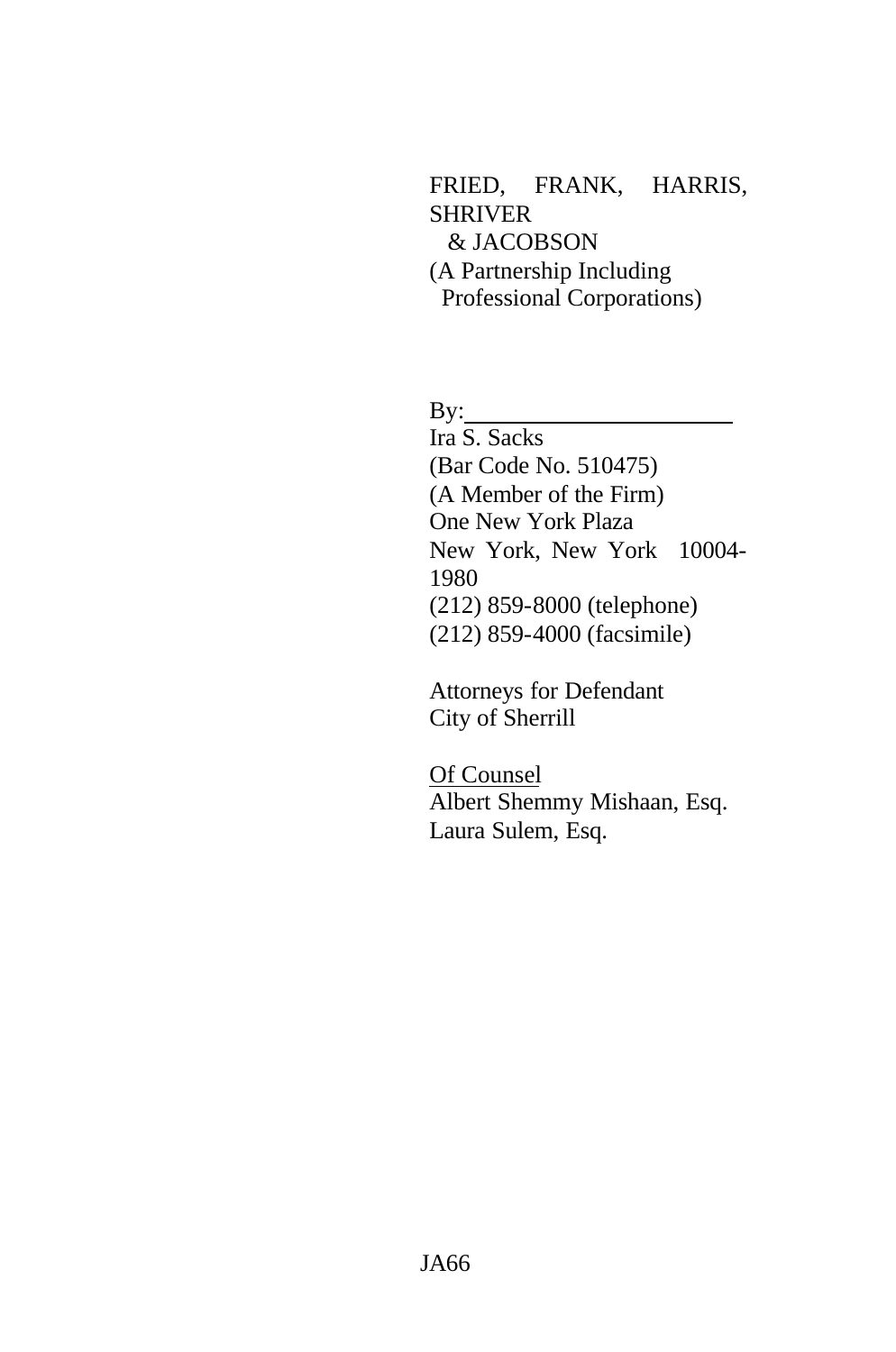FRIED, FRANK, HARRIS, SHRIVER & JACOBSON (A Partnership Including Professional Corporations)

By:

Ira S. Sacks (Bar Code No. 510475) (A Member of the Firm) One New York Plaza New York, New York 10004- 1980 (212) 859-8000 (telephone) (212) 859-4000 (facsimile)

Attorneys for Defendant City of Sherrill

Of Counsel Albert Shemmy Mishaan, Esq. Laura Sulem, Esq.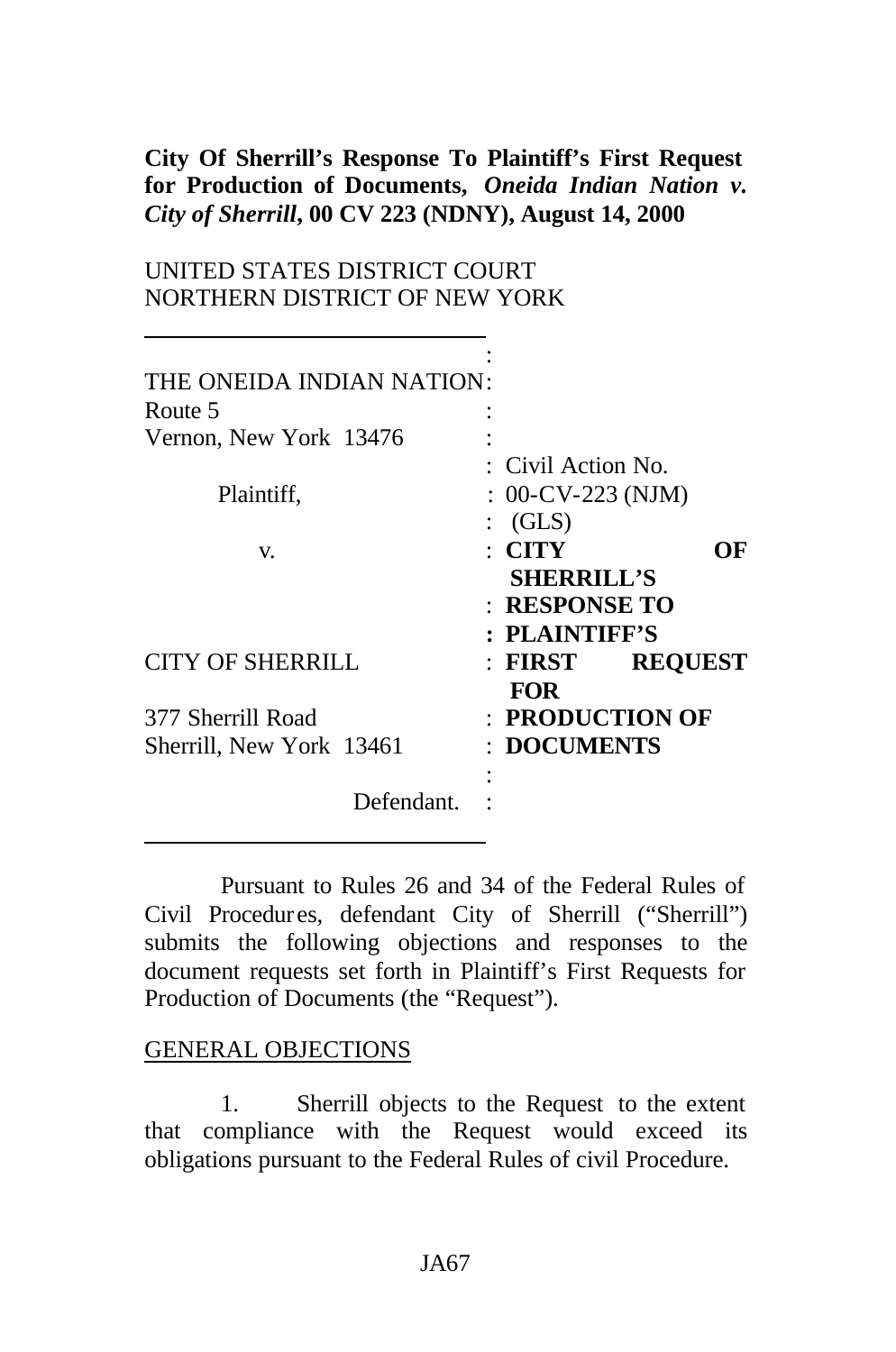### **City Of Sherrill's Response To Plaintiff's First Request for Production of Documents,** *Oneida Indian Nation v. City of Sherrill***, 00 CV 223 (NDNY), August 14, 2000**

### UNITED STATES DISTRICT COURT NORTHERN DISTRICT OF NEW YORK

| THE ONEIDA INDIAN NATION: |                      |                |
|---------------------------|----------------------|----------------|
| Route 5                   |                      |                |
| Vernon, New York 13476    |                      |                |
|                           | : Civil Action No.   |                |
| Plaintiff,                | $: 00$ -CV-223 (NJM) |                |
|                           | $\colon$ (GLS)       |                |
| V.                        | $\colon$ CITY        | OF             |
|                           | <b>SHERRILL'S</b>    |                |
|                           | : RESPONSE TO        |                |
|                           | : PLAINTIFF'S        |                |
| <b>CITY OF SHERRILL</b>   | $:$ FIRST            | <b>REQUEST</b> |
|                           | <b>FOR</b>           |                |
| 377 Sherrill Road         | : PRODUCTION OF      |                |
| Sherrill, New York 13461  | : DOCUMENTS          |                |
|                           |                      |                |
| Defendant.                |                      |                |

Pursuant to Rules 26 and 34 of the Federal Rules of Civil Procedur es, defendant City of Sherrill ("Sherrill") submits the following objections and responses to the document requests set forth in Plaintiff's First Requests for Production of Documents (the "Request").

#### GENERAL OBJECTIONS

1. Sherrill objects to the Request to the extent that compliance with the Request would exceed its obligations pursuant to the Federal Rules of civil Procedure.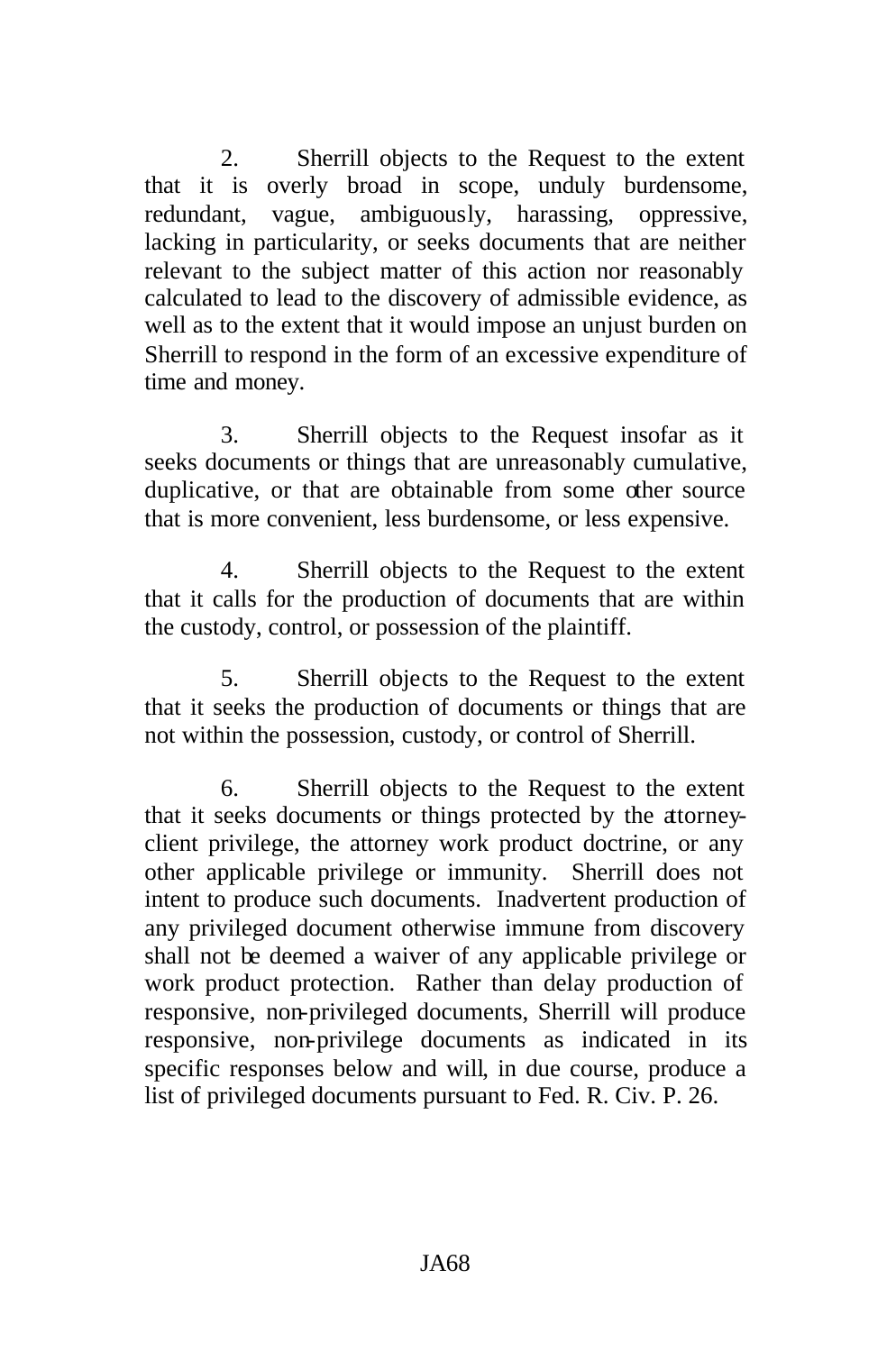2. Sherrill objects to the Request to the extent that it is overly broad in scope, unduly burdensome, redundant, vague, ambiguously, harassing, oppressive, lacking in particularity, or seeks documents that are neither relevant to the subject matter of this action nor reasonably calculated to lead to the discovery of admissible evidence, as well as to the extent that it would impose an unjust burden on Sherrill to respond in the form of an excessive expenditure of time and money.

3. Sherrill objects to the Request insofar as it seeks documents or things that are unreasonably cumulative, duplicative, or that are obtainable from some other source that is more convenient, less burdensome, or less expensive.

4. Sherrill objects to the Request to the extent that it calls for the production of documents that are within the custody, control, or possession of the plaintiff.

5. Sherrill objects to the Request to the extent that it seeks the production of documents or things that are not within the possession, custody, or control of Sherrill.

6. Sherrill objects to the Request to the extent that it seeks documents or things protected by the attorneyclient privilege, the attorney work product doctrine, or any other applicable privilege or immunity. Sherrill does not intent to produce such documents. Inadvertent production of any privileged document otherwise immune from discovery shall not be deemed a waiver of any applicable privilege or work product protection. Rather than delay production of responsive, non-privileged documents, Sherrill will produce responsive, non-privilege documents as indicated in its specific responses below and will, in due course, produce a list of privileged documents pursuant to Fed. R. Civ. P. 26.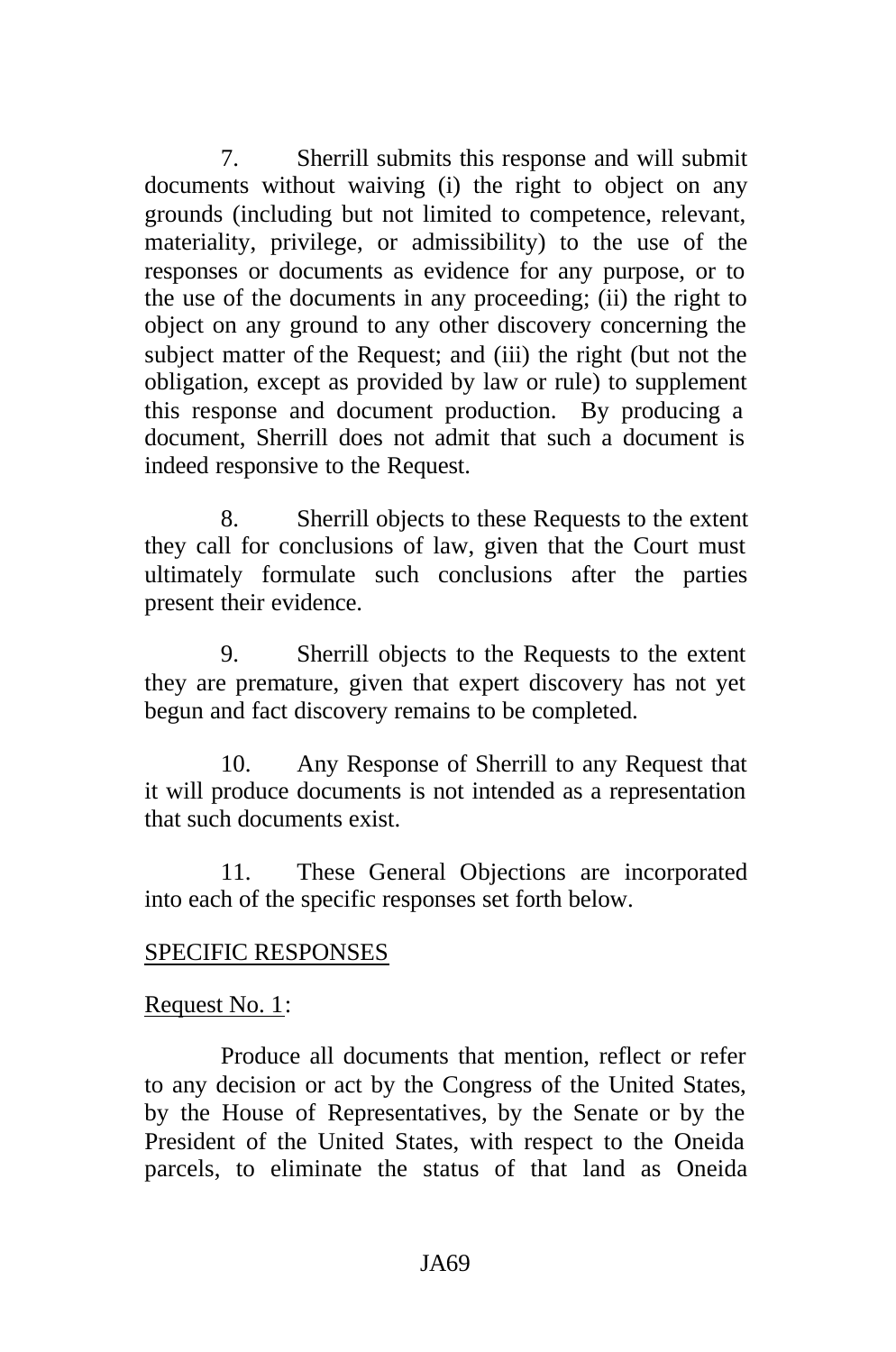7. Sherrill submits this response and will submit documents without waiving (i) the right to object on any grounds (including but not limited to competence, relevant, materiality, privilege, or admissibility) to the use of the responses or documents as evidence for any purpose, or to the use of the documents in any proceeding; (ii) the right to object on any ground to any other discovery concerning the subject matter of the Request; and (iii) the right (but not the obligation, except as provided by law or rule) to supplement this response and document production. By producing a document, Sherrill does not admit that such a document is indeed responsive to the Request.

8. Sherrill objects to these Requests to the extent they call for conclusions of law, given that the Court must ultimately formulate such conclusions after the parties present their evidence.

9. Sherrill objects to the Requests to the extent they are premature, given that expert discovery has not yet begun and fact discovery remains to be completed.

10. Any Response of Sherrill to any Request that it will produce documents is not intended as a representation that such documents exist.

11. These General Objections are incorporated into each of the specific responses set forth below.

### SPECIFIC RESPONSES

#### Request No. 1:

Produce all documents that mention, reflect or refer to any decision or act by the Congress of the United States, by the House of Representatives, by the Senate or by the President of the United States, with respect to the Oneida parcels, to eliminate the status of that land as Oneida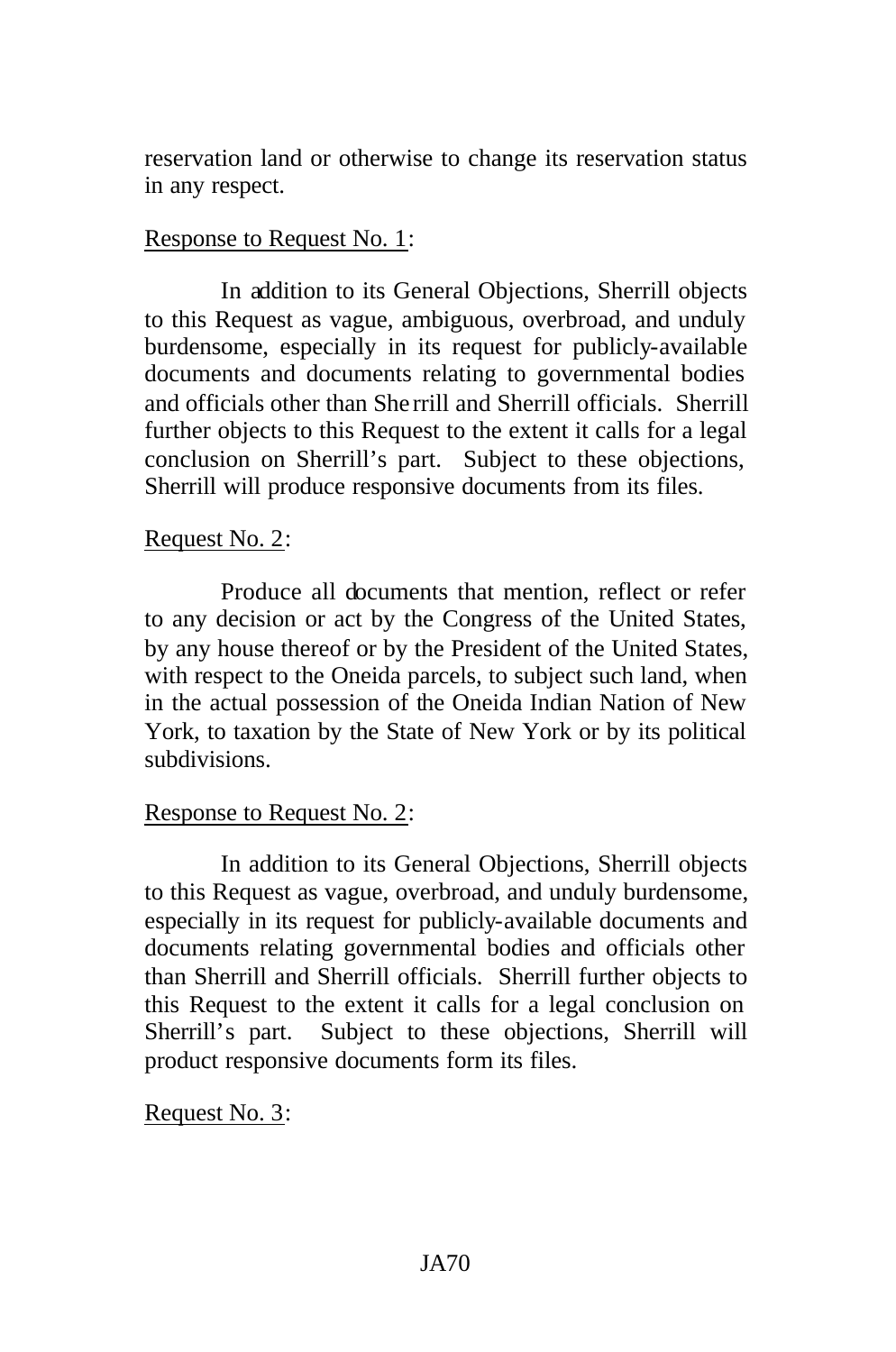reservation land or otherwise to change its reservation status in any respect.

# Response to Request No. 1:

In addition to its General Objections, Sherrill objects to this Request as vague, ambiguous, overbroad, and unduly burdensome, especially in its request for publicly-available documents and documents relating to governmental bodies and officials other than She rrill and Sherrill officials. Sherrill further objects to this Request to the extent it calls for a legal conclusion on Sherrill's part. Subject to these objections, Sherrill will produce responsive documents from its files.

# Request No. 2:

Produce all documents that mention, reflect or refer to any decision or act by the Congress of the United States, by any house thereof or by the President of the United States, with respect to the Oneida parcels, to subject such land, when in the actual possession of the Oneida Indian Nation of New York, to taxation by the State of New York or by its political subdivisions.

# Response to Request No. 2:

In addition to its General Objections, Sherrill objects to this Request as vague, overbroad, and unduly burdensome, especially in its request for publicly-available documents and documents relating governmental bodies and officials other than Sherrill and Sherrill officials. Sherrill further objects to this Request to the extent it calls for a legal conclusion on Sherrill's part. Subject to these objections, Sherrill will product responsive documents form its files.

Request No. 3: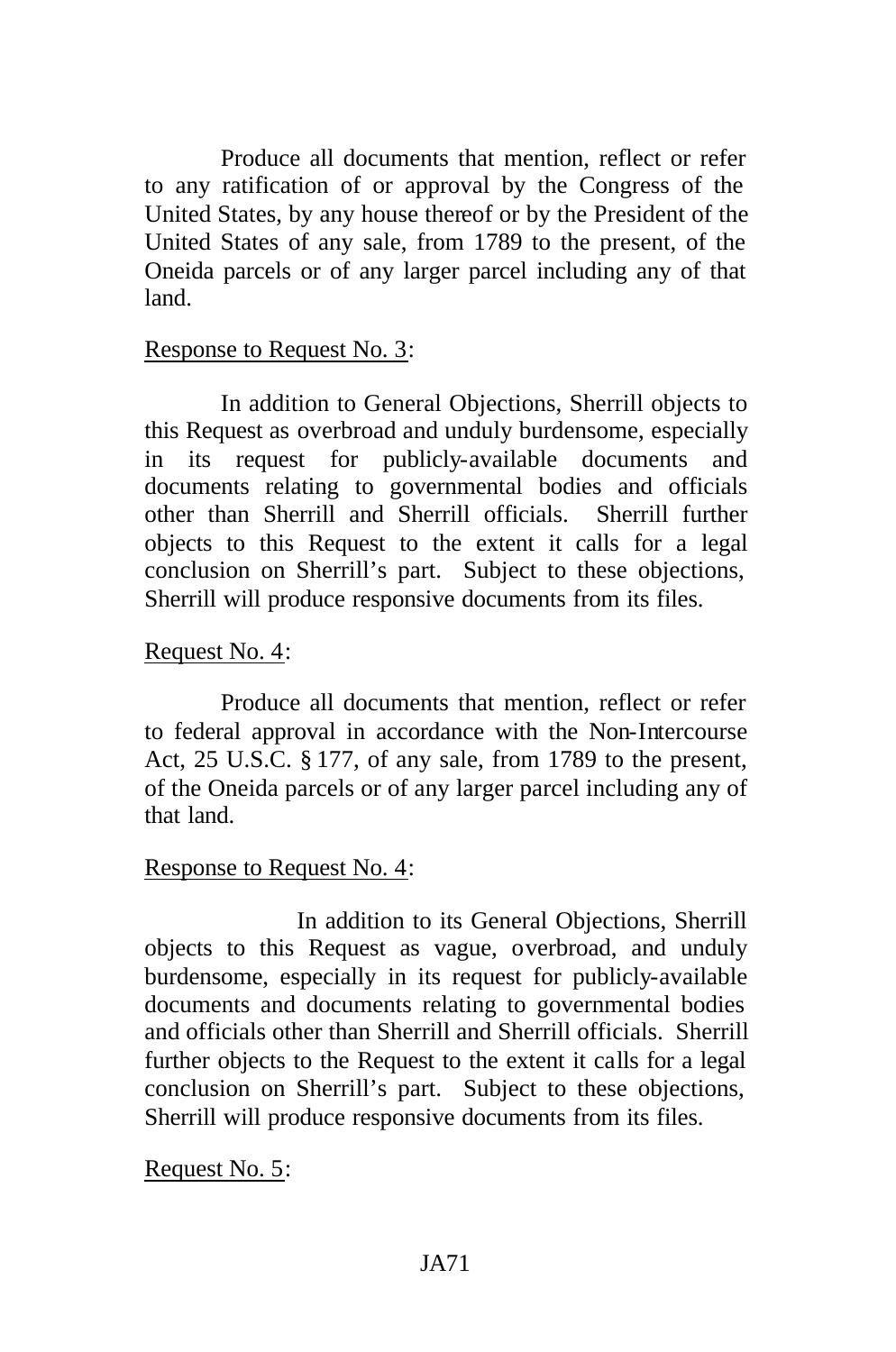Produce all documents that mention, reflect or refer to any ratification of or approval by the Congress of the United States, by any house thereof or by the President of the United States of any sale, from 1789 to the present, of the Oneida parcels or of any larger parcel including any of that land.

### Response to Request No. 3:

In addition to General Objections, Sherrill objects to this Request as overbroad and unduly burdensome, especially in its request for publicly-available documents and documents relating to governmental bodies and officials other than Sherrill and Sherrill officials. Sherrill further objects to this Request to the extent it calls for a legal conclusion on Sherrill's part. Subject to these objections, Sherrill will produce responsive documents from its files.

# Request No. 4:

Produce all documents that mention, reflect or refer to federal approval in accordance with the Non-Intercourse Act, 25 U.S.C. § 177, of any sale, from 1789 to the present, of the Oneida parcels or of any larger parcel including any of that land.

### Response to Request No. 4:

In addition to its General Objections, Sherrill objects to this Request as vague, overbroad, and unduly burdensome, especially in its request for publicly-available documents and documents relating to governmental bodies and officials other than Sherrill and Sherrill officials. Sherrill further objects to the Request to the extent it calls for a legal conclusion on Sherrill's part. Subject to these objections, Sherrill will produce responsive documents from its files.

Request No. 5: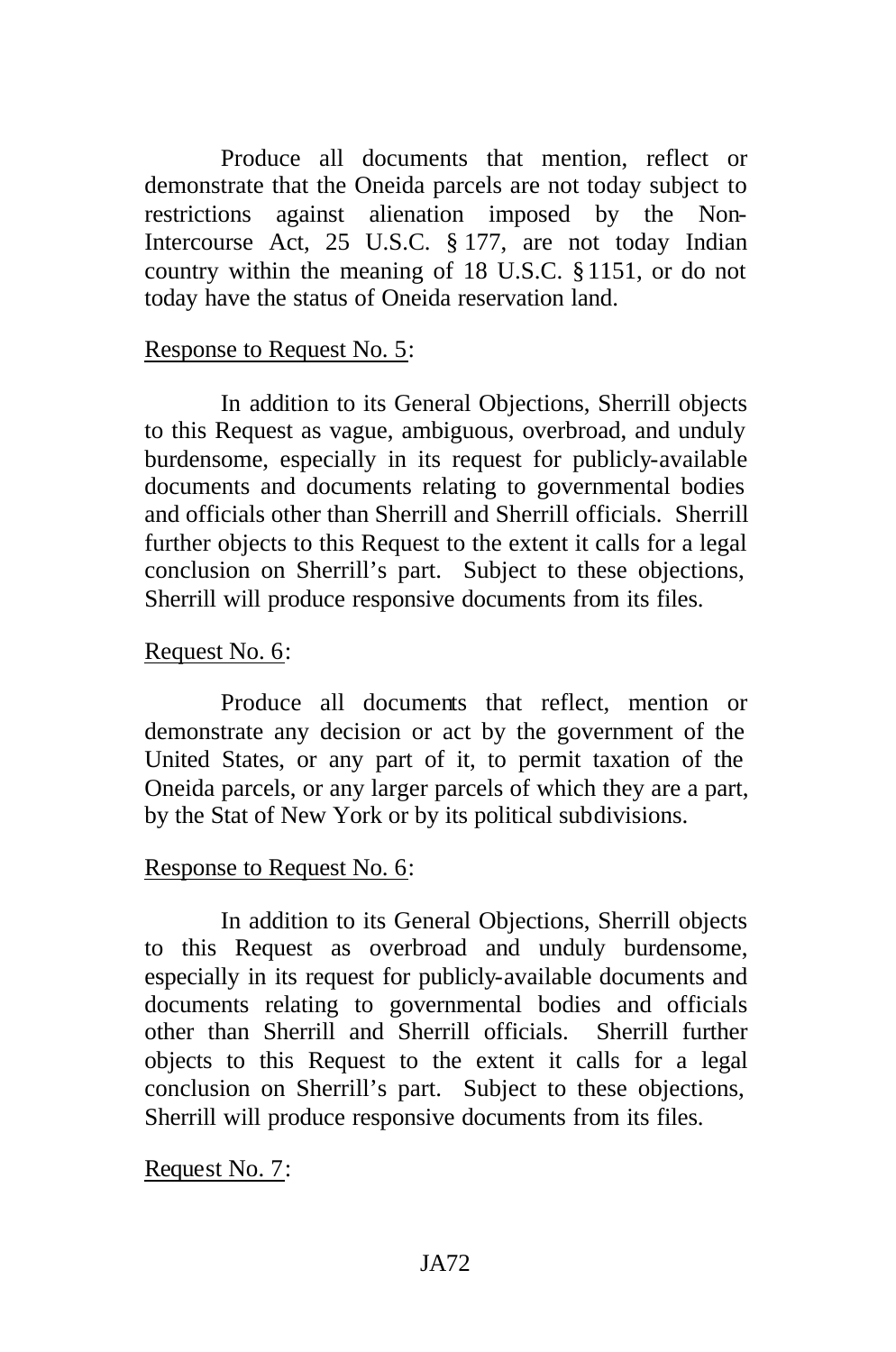Produce all documents that mention, reflect or demonstrate that the Oneida parcels are not today subject to restrictions against alienation imposed by the Non-Intercourse Act, 25 U.S.C. § 177, are not today Indian country within the meaning of 18 U.S.C. §1151, or do not today have the status of Oneida reservation land.

#### Response to Request No. 5:

In addition to its General Objections, Sherrill objects to this Request as vague, ambiguous, overbroad, and unduly burdensome, especially in its request for publicly-available documents and documents relating to governmental bodies and officials other than Sherrill and Sherrill officials. Sherrill further objects to this Request to the extent it calls for a legal conclusion on Sherrill's part. Subject to these objections, Sherrill will produce responsive documents from its files.

#### Request No. 6:

Produce all documents that reflect, mention or demonstrate any decision or act by the government of the United States, or any part of it, to permit taxation of the Oneida parcels, or any larger parcels of which they are a part, by the Stat of New York or by its political subdivisions.

#### Response to Request No. 6:

In addition to its General Objections, Sherrill objects to this Request as overbroad and unduly burdensome, especially in its request for publicly-available documents and documents relating to governmental bodies and officials other than Sherrill and Sherrill officials. Sherrill further objects to this Request to the extent it calls for a legal conclusion on Sherrill's part. Subject to these objections, Sherrill will produce responsive documents from its files.

Request No. 7: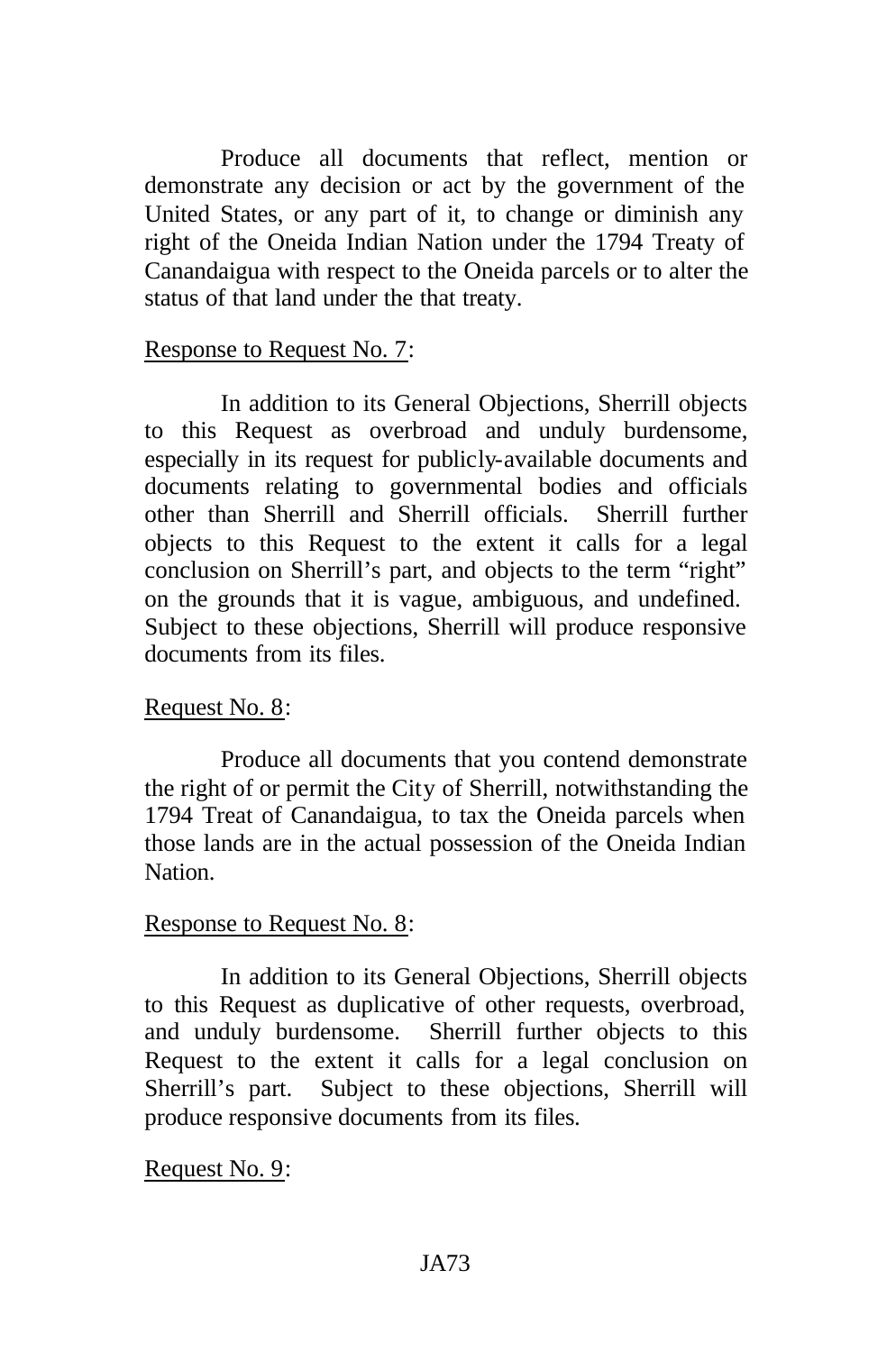Produce all documents that reflect, mention or demonstrate any decision or act by the government of the United States, or any part of it, to change or diminish any right of the Oneida Indian Nation under the 1794 Treaty of Canandaigua with respect to the Oneida parcels or to alter the status of that land under the that treaty.

### Response to Request No. 7:

In addition to its General Objections, Sherrill objects to this Request as overbroad and unduly burdensome, especially in its request for publicly-available documents and documents relating to governmental bodies and officials other than Sherrill and Sherrill officials. Sherrill further objects to this Request to the extent it calls for a legal conclusion on Sherrill's part, and objects to the term "right" on the grounds that it is vague, ambiguous, and undefined. Subject to these objections, Sherrill will produce responsive documents from its files.

### Request No. 8:

Produce all documents that you contend demonstrate the right of or permit the City of Sherrill, notwithstanding the 1794 Treat of Canandaigua, to tax the Oneida parcels when those lands are in the actual possession of the Oneida Indian Nation.

### Response to Request No. 8:

In addition to its General Objections, Sherrill objects to this Request as duplicative of other requests, overbroad, and unduly burdensome. Sherrill further objects to this Request to the extent it calls for a legal conclusion on Sherrill's part. Subject to these objections, Sherrill will produce responsive documents from its files.

Request No. 9: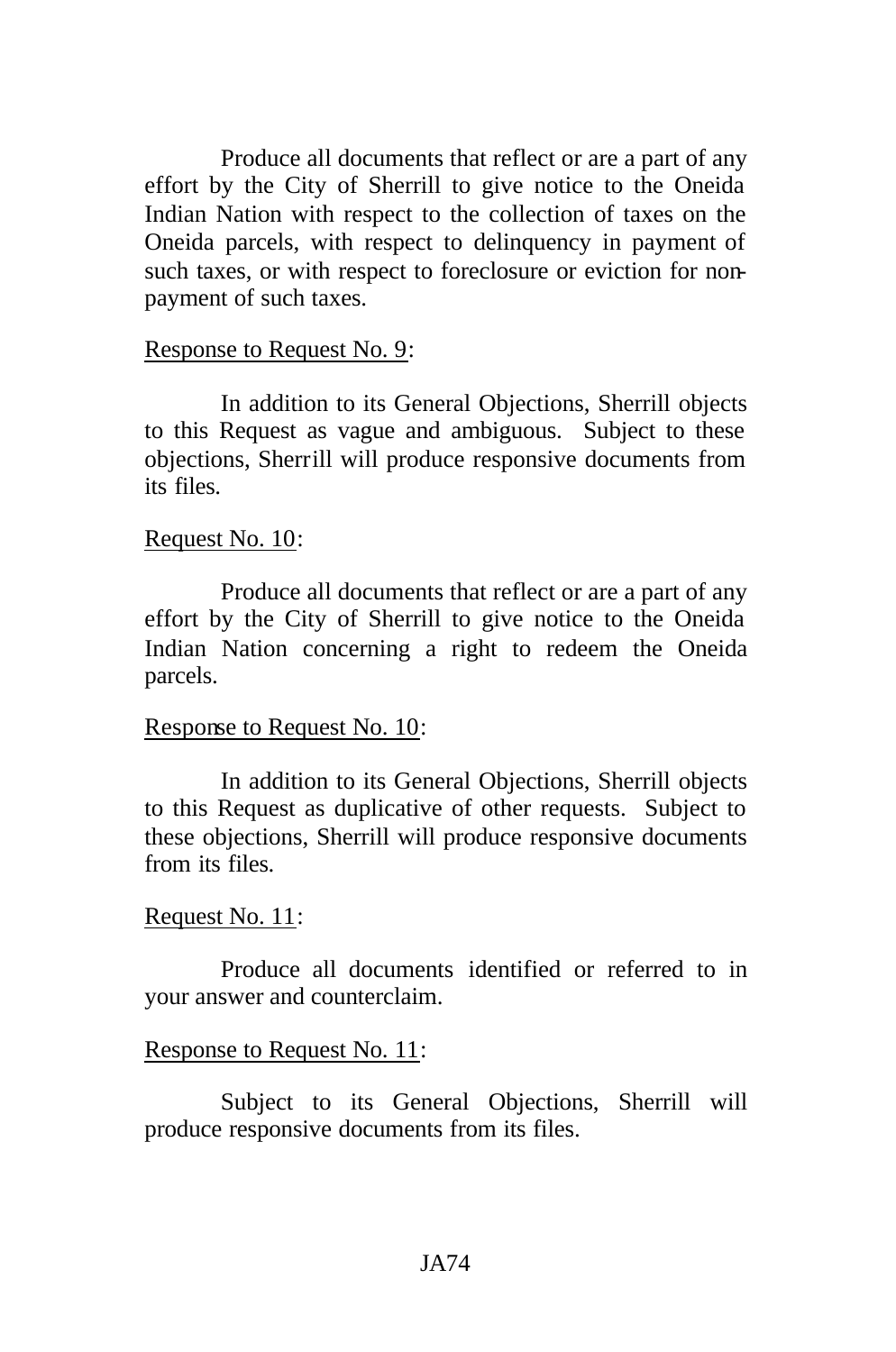Produce all documents that reflect or are a part of any effort by the City of Sherrill to give notice to the Oneida Indian Nation with respect to the collection of taxes on the Oneida parcels, with respect to delinquency in payment of such taxes, or with respect to foreclosure or eviction for nonpayment of such taxes.

#### Response to Request No. 9:

In addition to its General Objections, Sherrill objects to this Request as vague and ambiguous. Subject to these objections, Sherrill will produce responsive documents from its files.

#### Request No. 10:

Produce all documents that reflect or are a part of any effort by the City of Sherrill to give notice to the Oneida Indian Nation concerning a right to redeem the Oneida parcels.

#### Response to Request No. 10:

In addition to its General Objections, Sherrill objects to this Request as duplicative of other requests. Subject to these objections, Sherrill will produce responsive documents from its files.

#### Request No. 11:

Produce all documents identified or referred to in your answer and counterclaim.

#### Response to Request No. 11:

Subject to its General Objections, Sherrill will produce responsive documents from its files.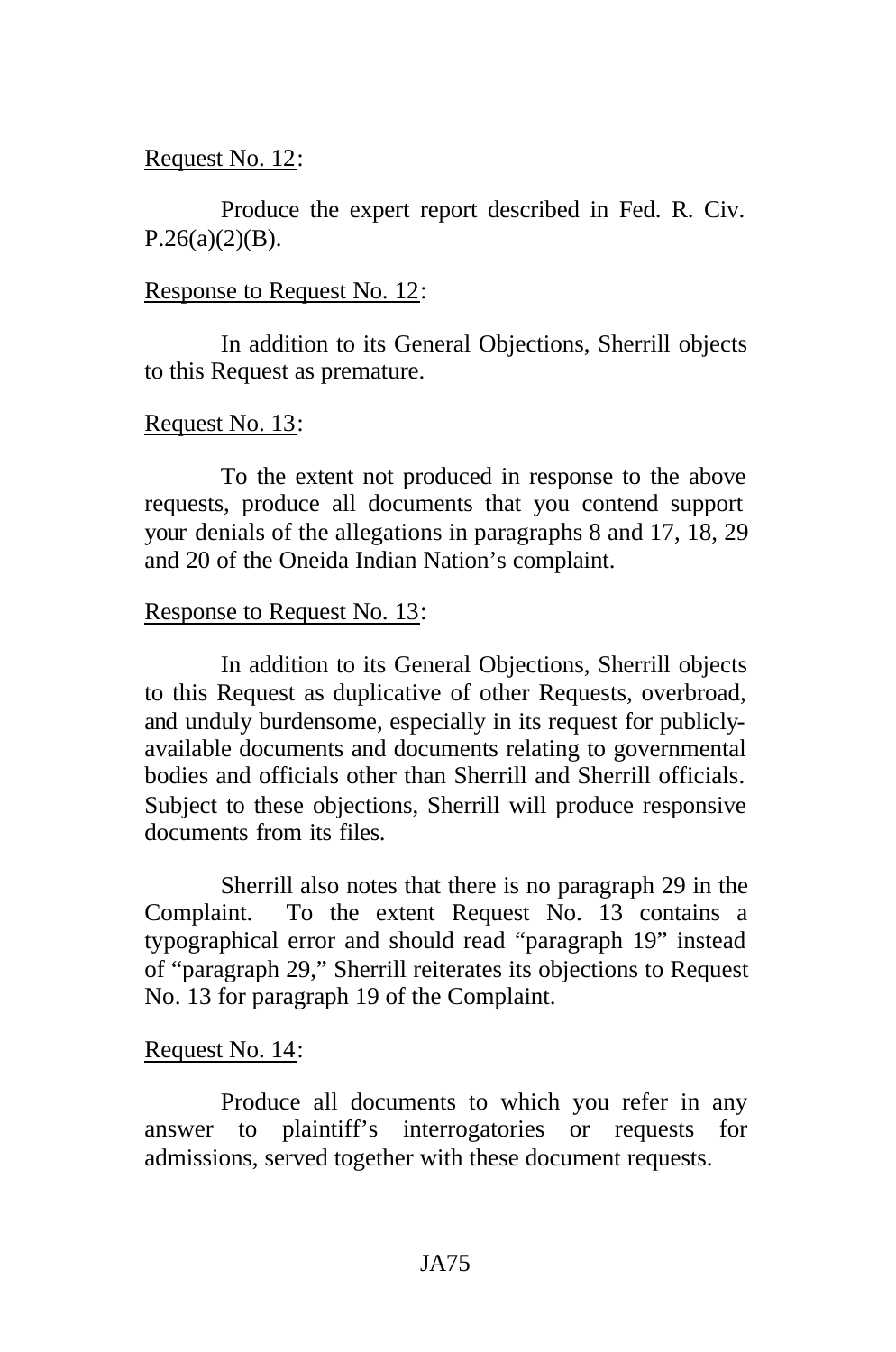### Request No. 12:

Produce the expert report described in Fed. R. Civ.  $P.26(a)(2)(B)$ .

### Response to Request No. 12:

In addition to its General Objections, Sherrill objects to this Request as premature.

# Request No. 13:

To the extent not produced in response to the above requests, produce all documents that you contend support your denials of the allegations in paragraphs 8 and 17, 18, 29 and 20 of the Oneida Indian Nation's complaint.

# Response to Request No. 13:

In addition to its General Objections, Sherrill objects to this Request as duplicative of other Requests, overbroad, and unduly burdensome, especially in its request for publiclyavailable documents and documents relating to governmental bodies and officials other than Sherrill and Sherrill officials. Subject to these objections, Sherrill will produce responsive documents from its files.

Sherrill also notes that there is no paragraph 29 in the Complaint. To the extent Request No. 13 contains a typographical error and should read "paragraph 19" instead of "paragraph 29," Sherrill reiterates its objections to Request No. 13 for paragraph 19 of the Complaint.

# Request No. 14:

Produce all documents to which you refer in any answer to plaintiff's interrogatories or requests for admissions, served together with these document requests.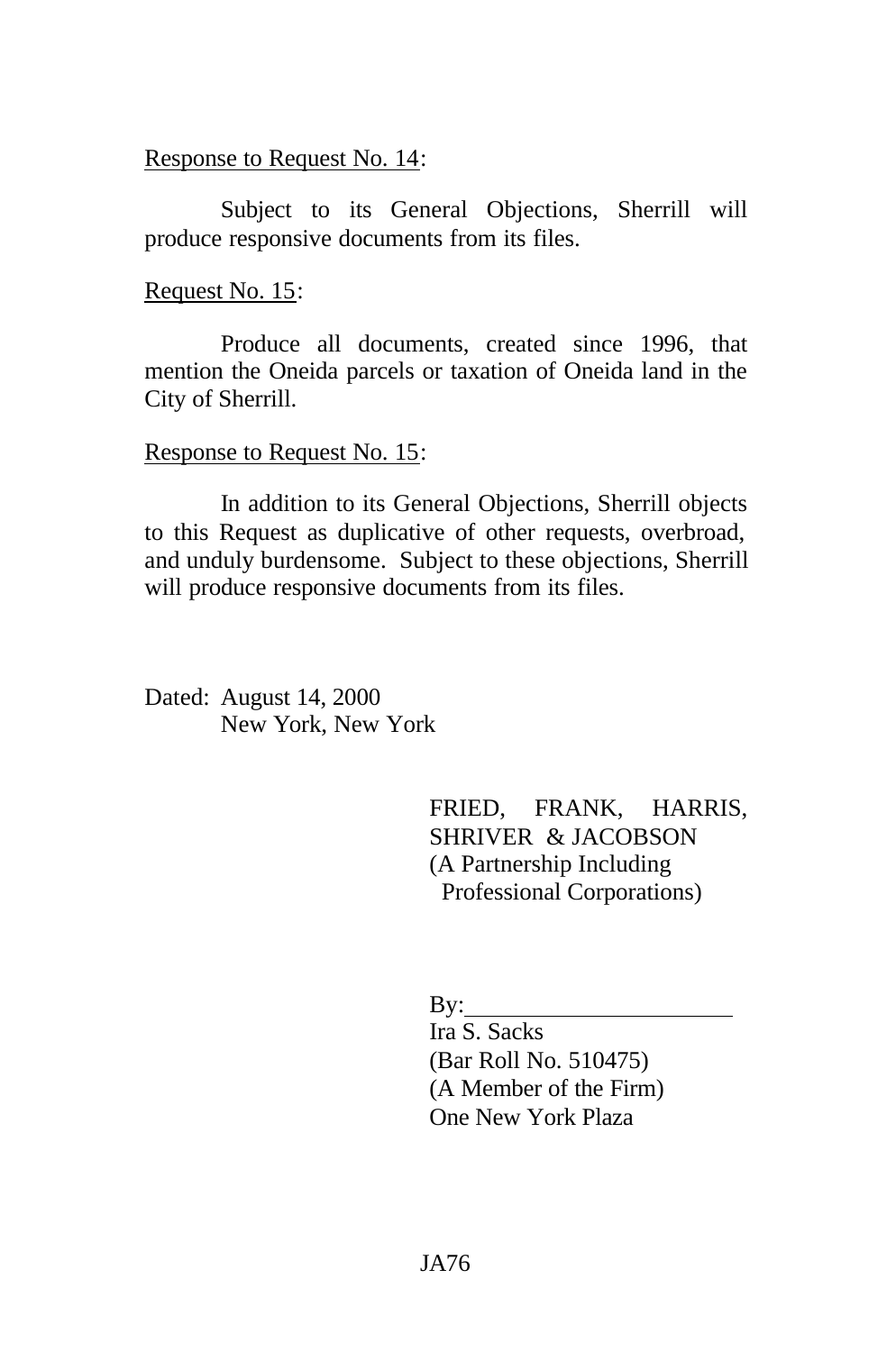#### Response to Request No. 14:

Subject to its General Objections, Sherrill will produce responsive documents from its files.

Request No. 15:

Produce all documents, created since 1996, that mention the Oneida parcels or taxation of Oneida land in the City of Sherrill.

#### Response to Request No. 15:

In addition to its General Objections, Sherrill objects to this Request as duplicative of other requests, overbroad, and unduly burdensome. Subject to these objections, Sherrill will produce responsive documents from its files.

Dated: August 14, 2000 New York, New York

> FRIED, FRANK, HARRIS, SHRIVER & JACOBSON (A Partnership Including Professional Corporations)

By:

Ira S. Sacks (Bar Roll No. 510475) (A Member of the Firm) One New York Plaza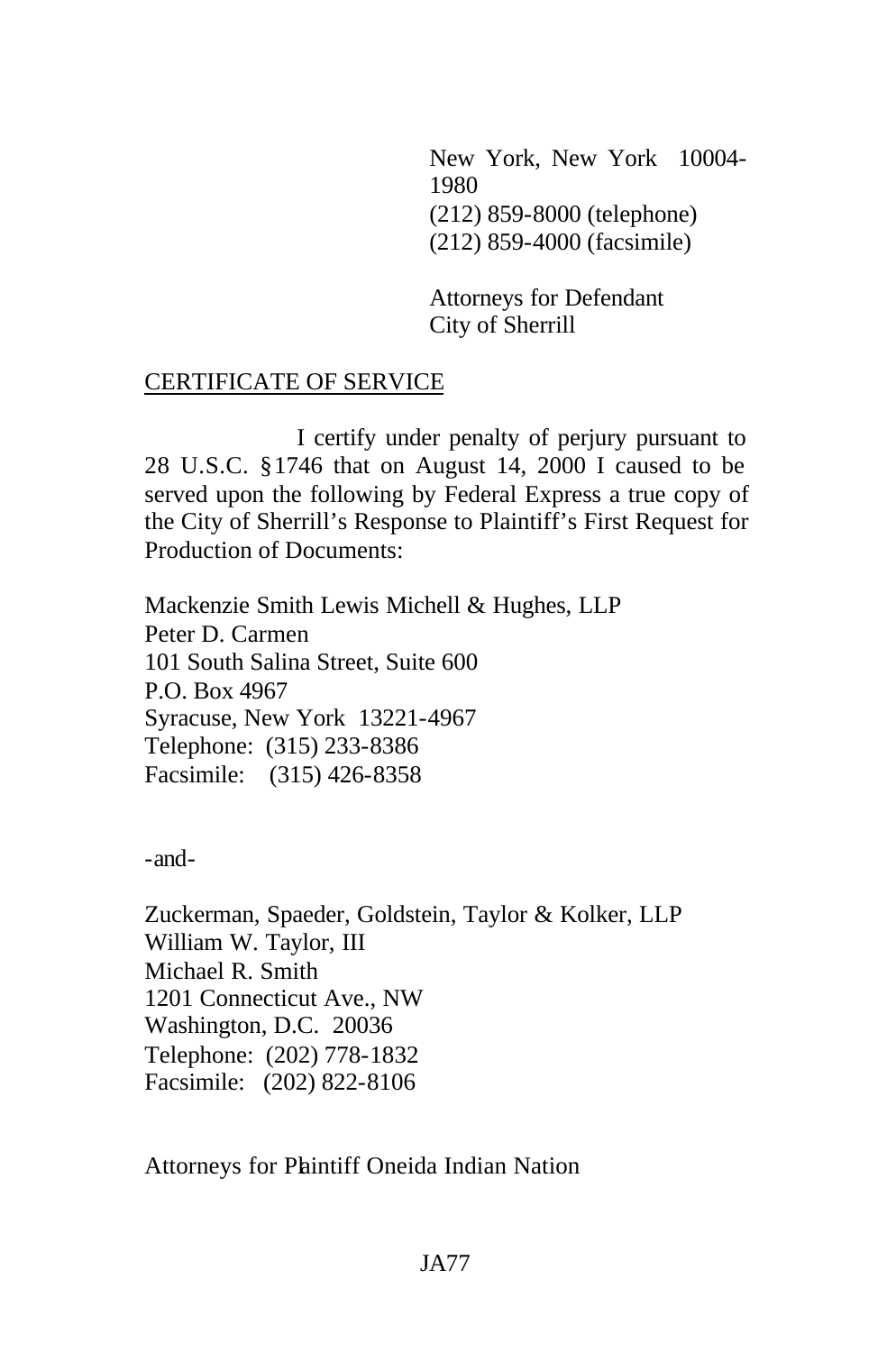New York, New York 10004- 1980 (212) 859-8000 (telephone) (212) 859-4000 (facsimile)

Attorneys for Defendant City of Sherrill

# CERTIFICATE OF SERVICE

I certify under penalty of perjury pursuant to 28 U.S.C. §1746 that on August 14, 2000 I caused to be served upon the following by Federal Express a true copy of the City of Sherrill's Response to Plaintiff's First Request for Production of Documents:

Mackenzie Smith Lewis Michell & Hughes, LLP Peter D. Carmen 101 South Salina Street, Suite 600 P.O. Box 4967 Syracuse, New York 13221-4967 Telephone: (315) 233-8386 Facsimile: (315) 426-8358

-and-

Zuckerman, Spaeder, Goldstein, Taylor & Kolker, LLP William W. Taylor, III Michael R. Smith 1201 Connecticut Ave., NW Washington, D.C. 20036 Telephone: (202) 778-1832 Facsimile: (202) 822-8106

Attorneys for Phintiff Oneida Indian Nation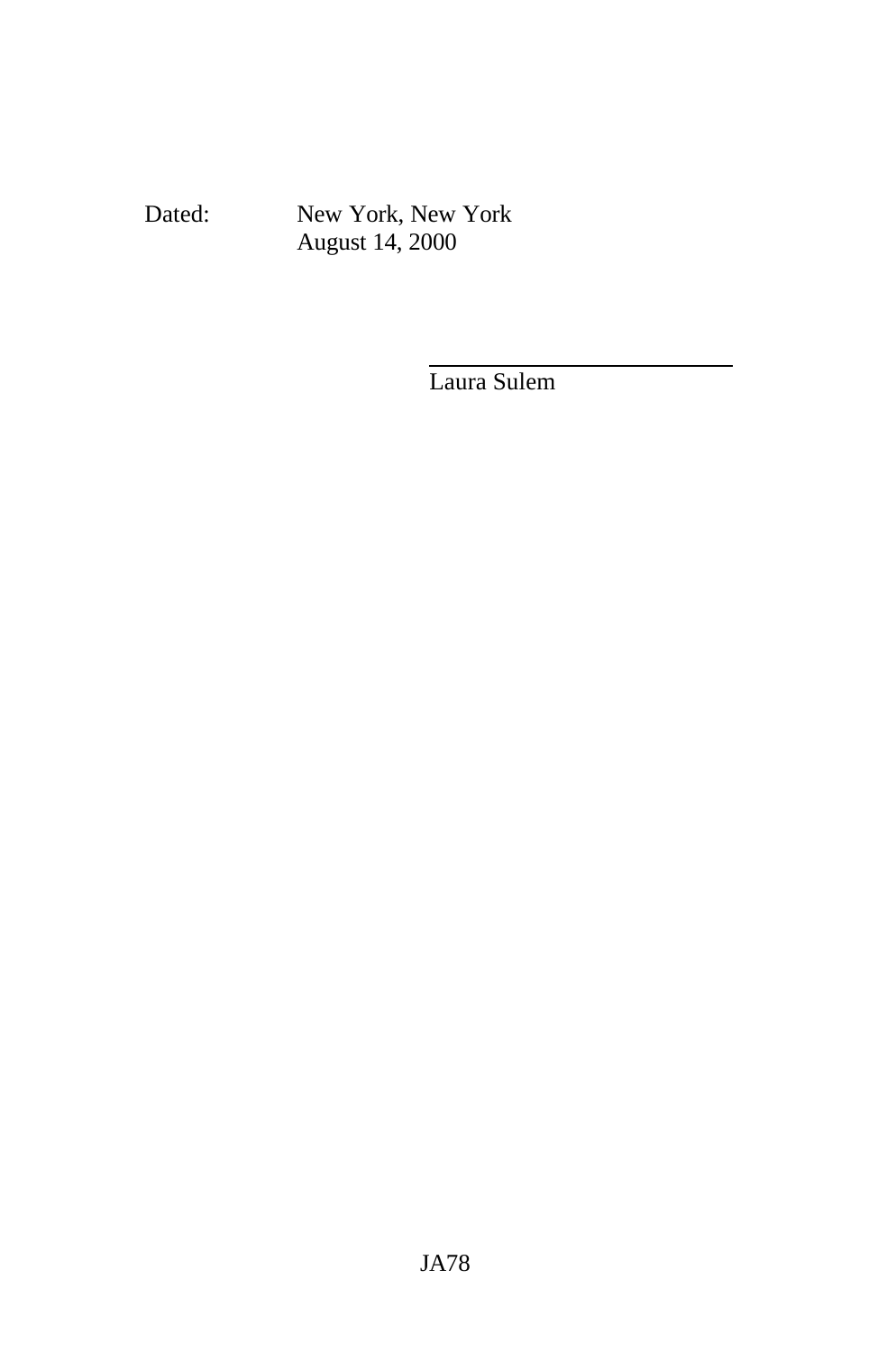Dated: New York, New York August 14, 2000

Laura Sulem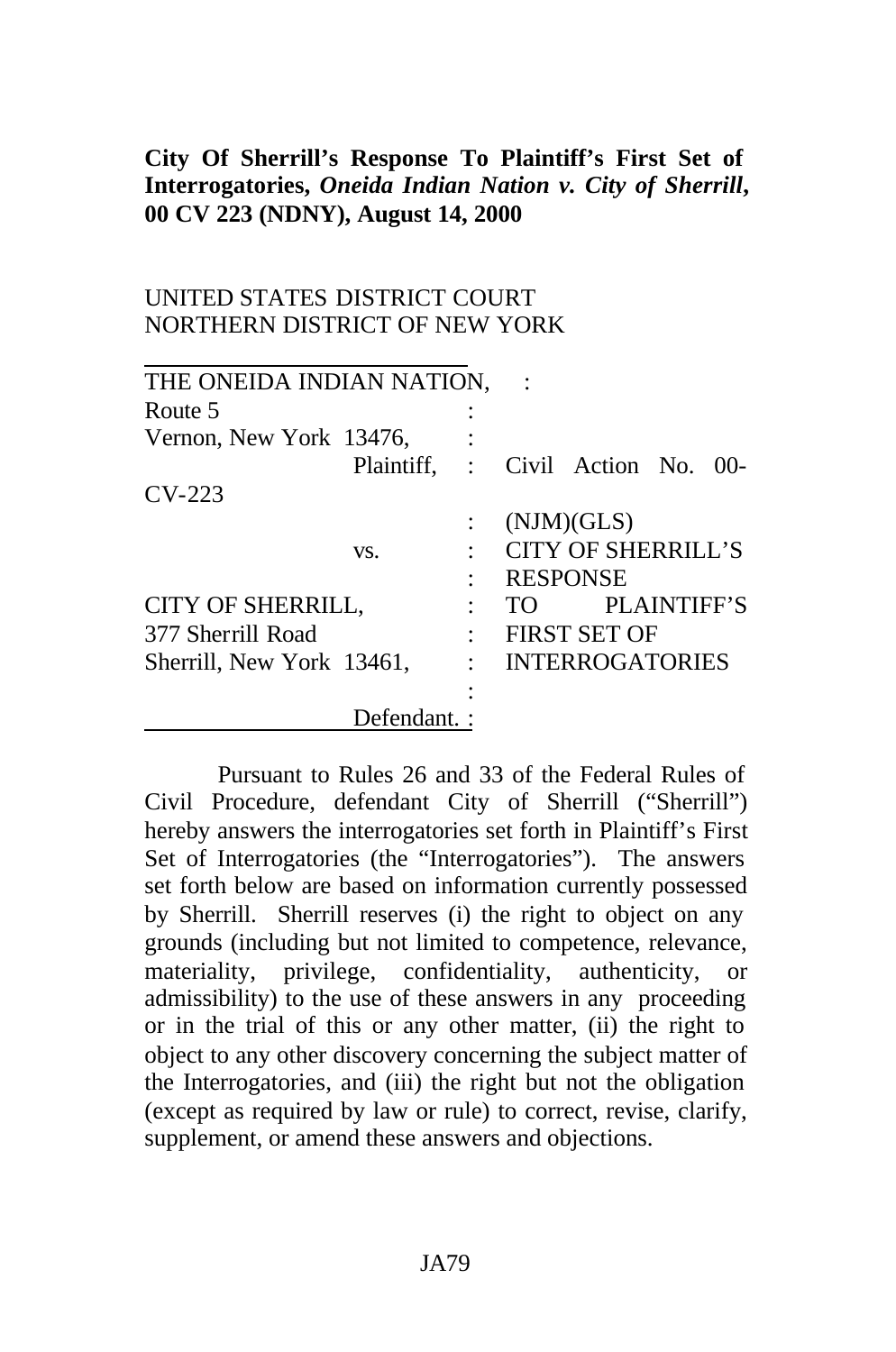# **City Of Sherrill's Response To Plaintiff's First Set of Interrogatories,** *Oneida Indian Nation v. City of Sherrill***, 00 CV 223 (NDNY), August 14, 2000**

# UNITED STATES DISTRICT COURT NORTHERN DISTRICT OF NEW YORK

| THE ONEIDA INDIAN NATION, |              |                |      |                           |                    |  |
|---------------------------|--------------|----------------|------|---------------------------|--------------------|--|
| Route 5                   |              |                |      |                           |                    |  |
| Vernon, New York 13476,   |              |                |      |                           |                    |  |
|                           | Plaintiff, : |                |      | Civil Action No. 00-      |                    |  |
| $CV-223$                  |              |                |      |                           |                    |  |
|                           |              |                |      | (NJM)(GLS)                |                    |  |
| VS.                       |              |                |      | <b>CITY OF SHERRILL'S</b> |                    |  |
|                           |              |                |      | <b>RESPONSE</b>           |                    |  |
| CITY OF SHERRILL,         |              |                | TO T |                           | <b>PLAINTIFF'S</b> |  |
| 377 Sherrill Road         |              | $\ddot{\cdot}$ |      | <b>FIRST SET OF</b>       |                    |  |
| Sherrill, New York 13461, |              | $\bullet$      |      | <b>INTERROGATORIES</b>    |                    |  |
|                           |              |                |      |                           |                    |  |
|                           | Defendant.:  |                |      |                           |                    |  |

Pursuant to Rules 26 and 33 of the Federal Rules of Civil Procedure, defendant City of Sherrill ("Sherrill") hereby answers the interrogatories set forth in Plaintiff's First Set of Interrogatories (the "Interrogatories"). The answers set forth below are based on information currently possessed by Sherrill. Sherrill reserves (i) the right to object on any grounds (including but not limited to competence, relevance, materiality, privilege, confidentiality, authenticity, or admissibility) to the use of these answers in any proceeding or in the trial of this or any other matter, (ii) the right to object to any other discovery concerning the subject matter of the Interrogatories, and (iii) the right but not the obligation (except as required by law or rule) to correct, revise, clarify, supplement, or amend these answers and objections.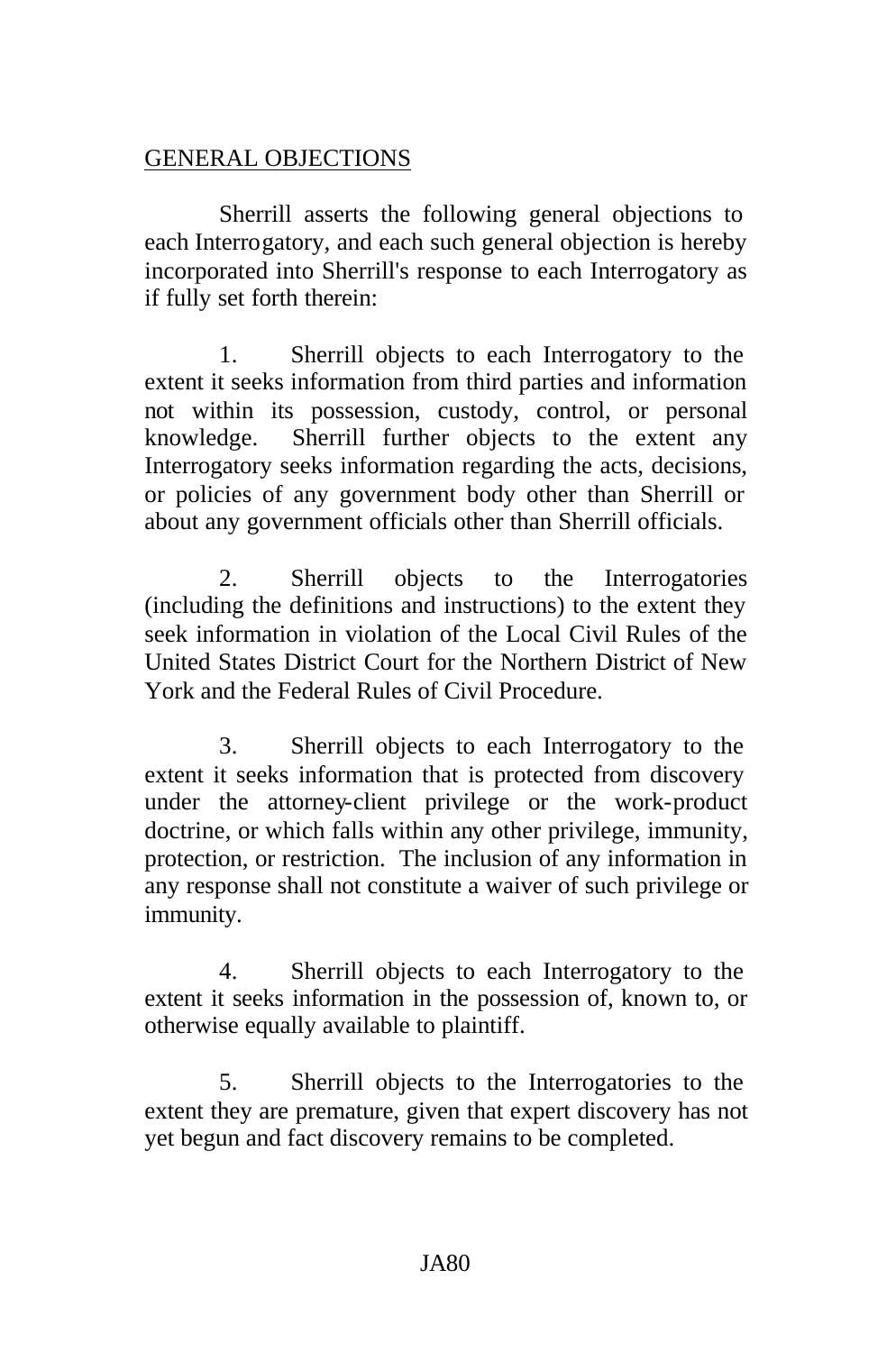# GENERAL OBJECTIONS

Sherrill asserts the following general objections to each Interrogatory, and each such general objection is hereby incorporated into Sherrill's response to each Interrogatory as if fully set forth therein:

1. Sherrill objects to each Interrogatory to the extent it seeks information from third parties and information not within its possession, custody, control, or personal knowledge. Sherrill further objects to the extent any Interrogatory seeks information regarding the acts, decisions, or policies of any government body other than Sherrill or about any government officials other than Sherrill officials.

2. Sherrill objects to the Interrogatories (including the definitions and instructions) to the extent they seek information in violation of the Local Civil Rules of the United States District Court for the Northern District of New York and the Federal Rules of Civil Procedure.

3. Sherrill objects to each Interrogatory to the extent it seeks information that is protected from discovery under the attorney-client privilege or the work-product doctrine, or which falls within any other privilege, immunity, protection, or restriction. The inclusion of any information in any response shall not constitute a waiver of such privilege or immunity.

4. Sherrill objects to each Interrogatory to the extent it seeks information in the possession of, known to, or otherwise equally available to plaintiff.

5. Sherrill objects to the Interrogatories to the extent they are premature, given that expert discovery has not yet begun and fact discovery remains to be completed.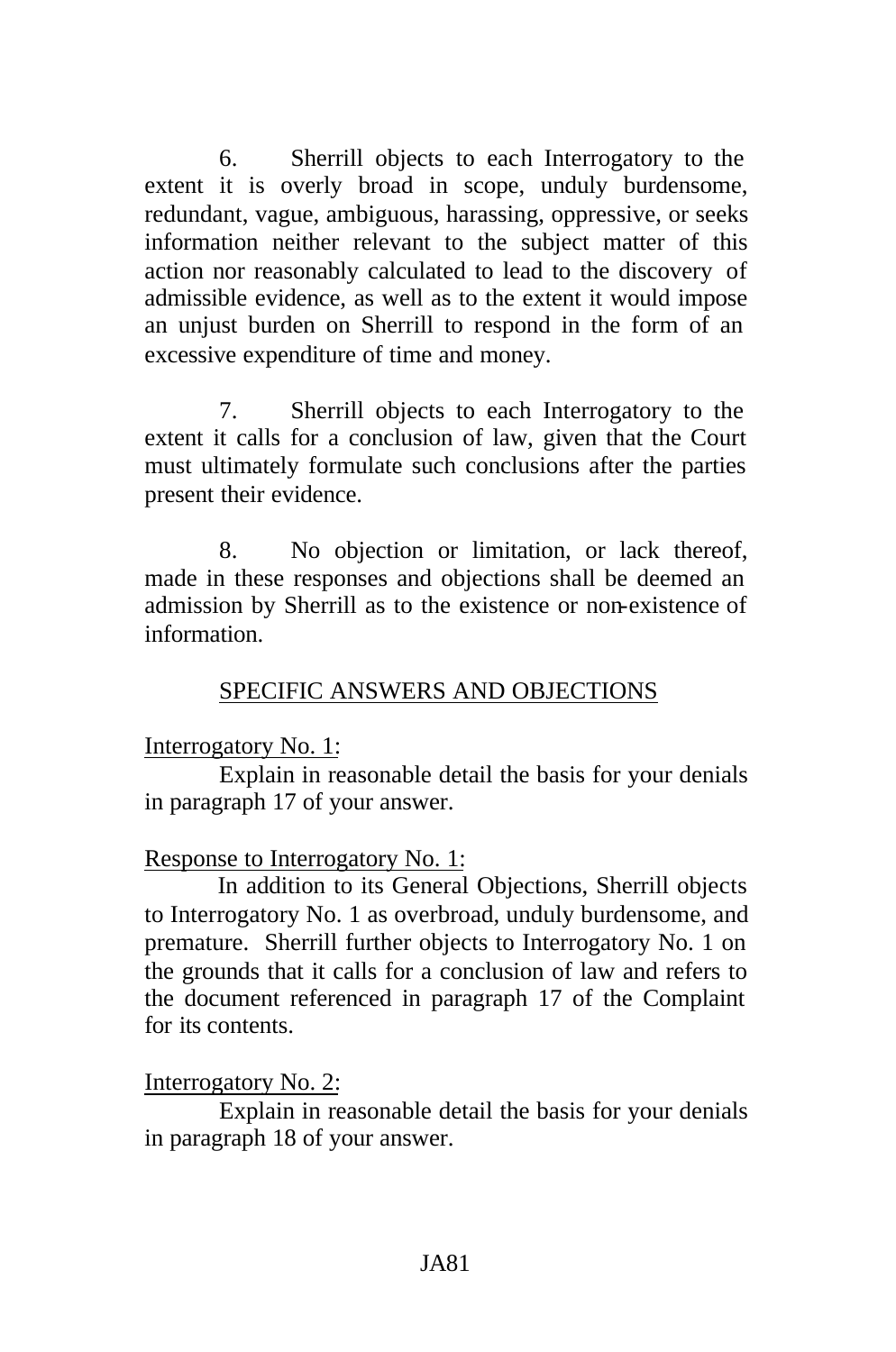6. Sherrill objects to each Interrogatory to the extent it is overly broad in scope, unduly burdensome, redundant, vague, ambiguous, harassing, oppressive, or seeks information neither relevant to the subject matter of this action nor reasonably calculated to lead to the discovery of admissible evidence, as well as to the extent it would impose an unjust burden on Sherrill to respond in the form of an excessive expenditure of time and money.

7. Sherrill objects to each Interrogatory to the extent it calls for a conclusion of law, given that the Court must ultimately formulate such conclusions after the parties present their evidence.

8. No objection or limitation, or lack thereof, made in these responses and objections shall be deemed an admission by Sherrill as to the existence or non-existence of information.

### SPECIFIC ANSWERS AND OBJECTIONS

### Interrogatory No. 1:

Explain in reasonable detail the basis for your denials in paragraph 17 of your answer.

### Response to Interrogatory No. 1:

In addition to its General Objections, Sherrill objects to Interrogatory No. 1 as overbroad, unduly burdensome, and premature. Sherrill further objects to Interrogatory No. 1 on the grounds that it calls for a conclusion of law and refers to the document referenced in paragraph 17 of the Complaint for its contents.

### Interrogatory No. 2:

Explain in reasonable detail the basis for your denials in paragraph 18 of your answer.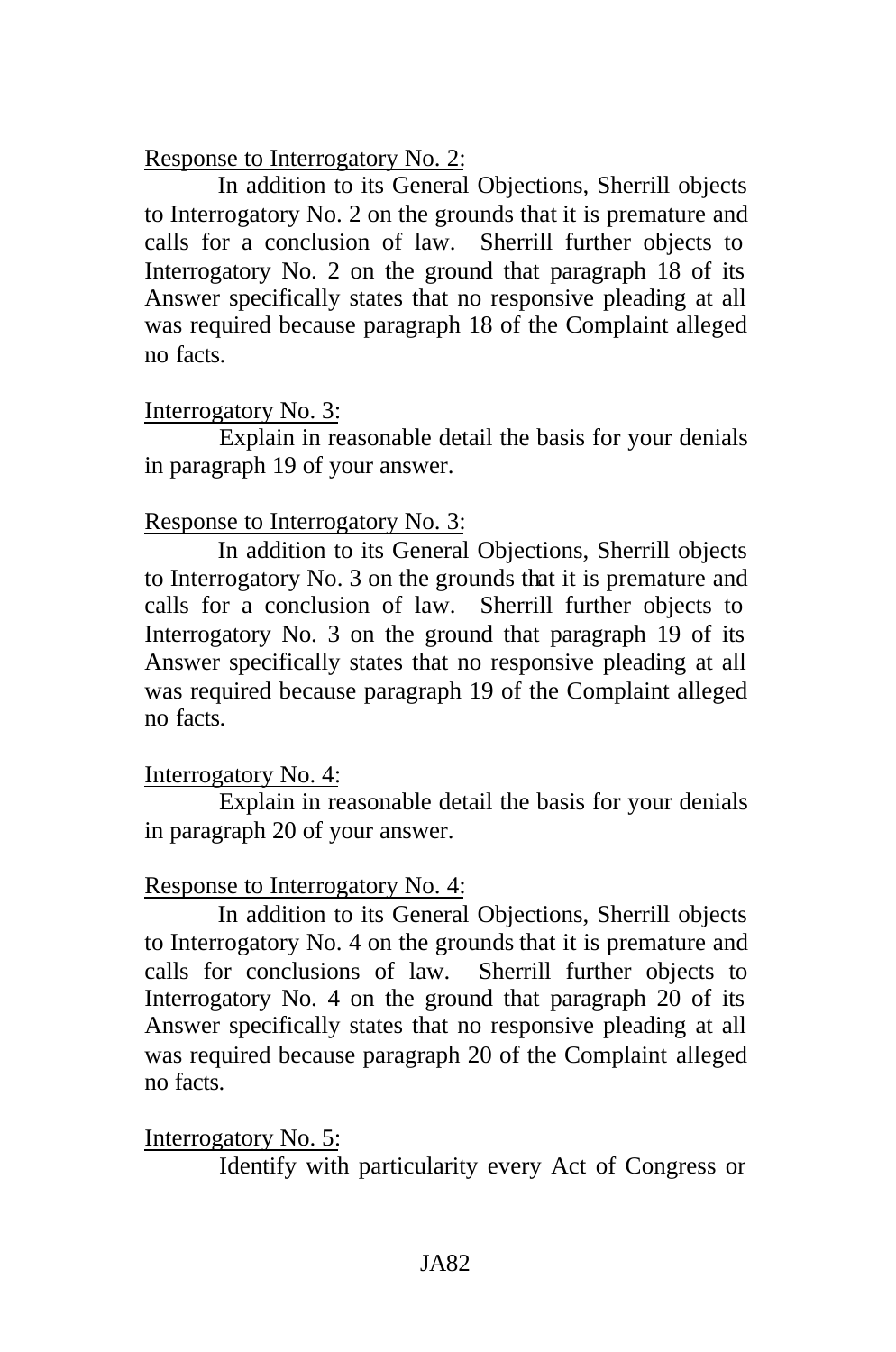Response to Interrogatory No. 2:

In addition to its General Objections, Sherrill objects to Interrogatory No. 2 on the grounds that it is premature and calls for a conclusion of law. Sherrill further objects to Interrogatory No. 2 on the ground that paragraph 18 of its Answer specifically states that no responsive pleading at all was required because paragraph 18 of the Complaint alleged no facts.

# Interrogatory No. 3:

Explain in reasonable detail the basis for your denials in paragraph 19 of your answer.

# Response to Interrogatory No. 3:

In addition to its General Objections, Sherrill objects to Interrogatory No. 3 on the grounds that it is premature and calls for a conclusion of law. Sherrill further objects to Interrogatory No. 3 on the ground that paragraph 19 of its Answer specifically states that no responsive pleading at all was required because paragraph 19 of the Complaint alleged no facts.

# Interrogatory No. 4:

Explain in reasonable detail the basis for your denials in paragraph 20 of your answer.

# Response to Interrogatory No. 4:

In addition to its General Objections, Sherrill objects to Interrogatory No. 4 on the grounds that it is premature and calls for conclusions of law. Sherrill further objects to Interrogatory No. 4 on the ground that paragraph 20 of its Answer specifically states that no responsive pleading at all was required because paragraph 20 of the Complaint alleged no facts.

Interrogatory No. 5:

Identify with particularity every Act of Congress or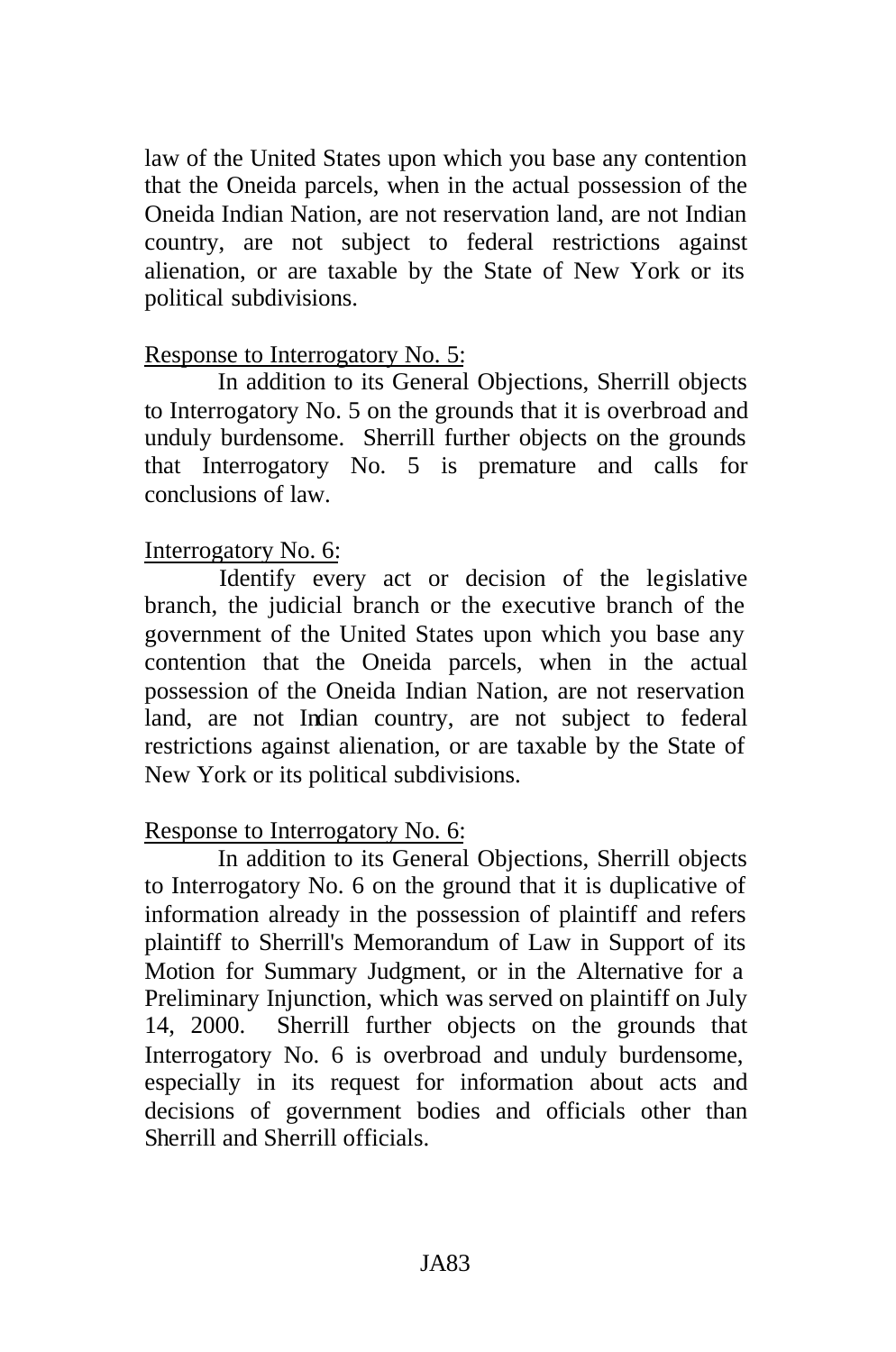law of the United States upon which you base any contention that the Oneida parcels, when in the actual possession of the Oneida Indian Nation, are not reservation land, are not Indian country, are not subject to federal restrictions against alienation, or are taxable by the State of New York or its political subdivisions.

# Response to Interrogatory No. 5:

In addition to its General Objections, Sherrill objects to Interrogatory No. 5 on the grounds that it is overbroad and unduly burdensome. Sherrill further objects on the grounds that Interrogatory No. 5 is premature and calls for conclusions of law.

# Interrogatory No. 6:

Identify every act or decision of the legislative branch, the judicial branch or the executive branch of the government of the United States upon which you base any contention that the Oneida parcels, when in the actual possession of the Oneida Indian Nation, are not reservation land, are not Indian country, are not subject to federal restrictions against alienation, or are taxable by the State of New York or its political subdivisions.

# Response to Interrogatory No. 6:

In addition to its General Objections, Sherrill objects to Interrogatory No. 6 on the ground that it is duplicative of information already in the possession of plaintiff and refers plaintiff to Sherrill's Memorandum of Law in Support of its Motion for Summary Judgment, or in the Alternative for a Preliminary Injunction, which was served on plaintiff on July 14, 2000. Sherrill further objects on the grounds that Interrogatory No. 6 is overbroad and unduly burdensome, especially in its request for information about acts and decisions of government bodies and officials other than Sherrill and Sherrill officials.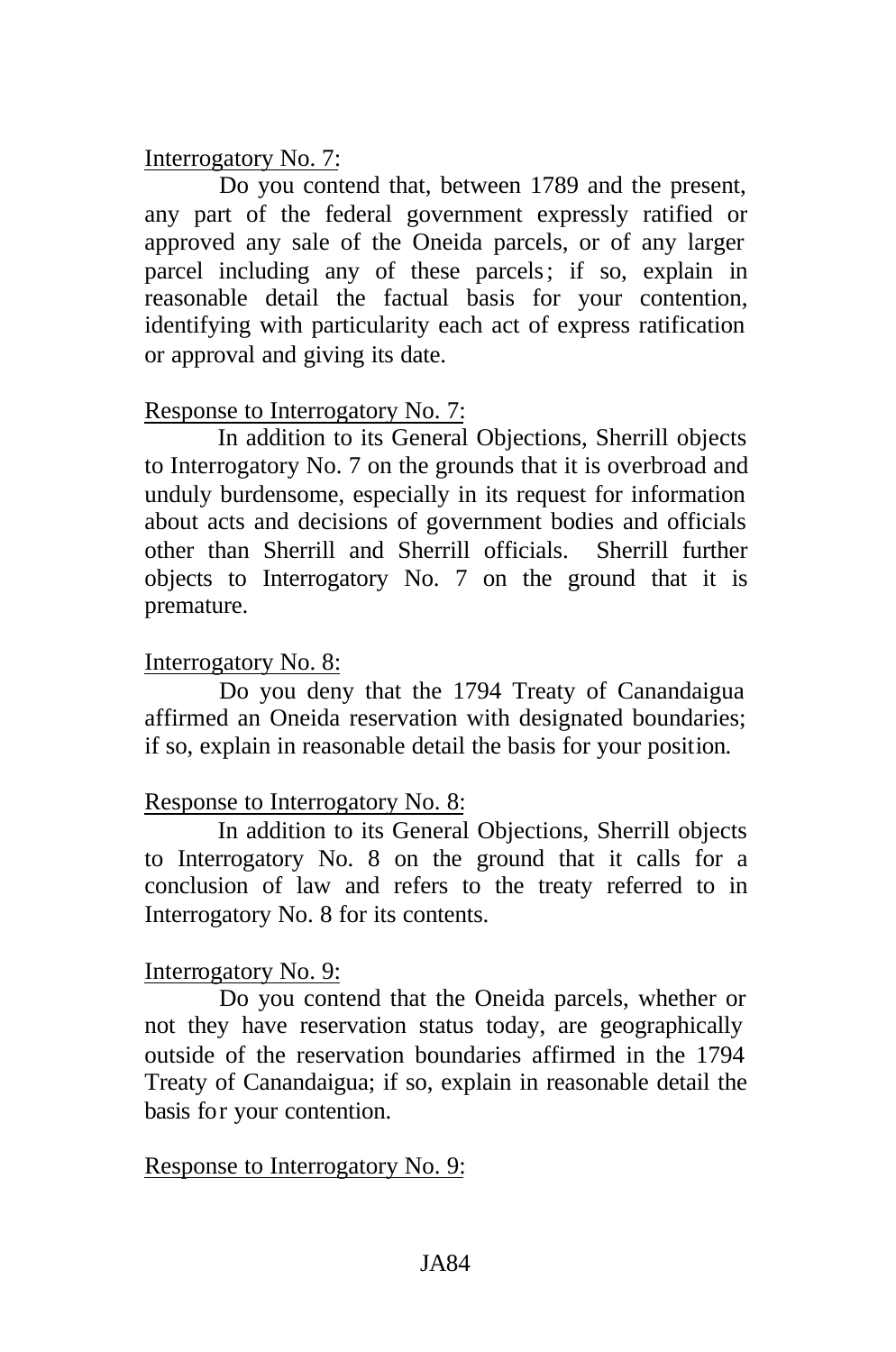# Interrogatory No. 7:

Do you contend that, between 1789 and the present, any part of the federal government expressly ratified or approved any sale of the Oneida parcels, or of any larger parcel including any of these parcels; if so, explain in reasonable detail the factual basis for your contention, identifying with particularity each act of express ratification or approval and giving its date.

# Response to Interrogatory No. 7:

In addition to its General Objections, Sherrill objects to Interrogatory No. 7 on the grounds that it is overbroad and unduly burdensome, especially in its request for information about acts and decisions of government bodies and officials other than Sherrill and Sherrill officials. Sherrill further objects to Interrogatory No. 7 on the ground that it is premature.

# Interrogatory No. 8:

Do you deny that the 1794 Treaty of Canandaigua affirmed an Oneida reservation with designated boundaries; if so, explain in reasonable detail the basis for your position.

# Response to Interrogatory No. 8:

In addition to its General Objections, Sherrill objects to Interrogatory No. 8 on the ground that it calls for a conclusion of law and refers to the treaty referred to in Interrogatory No. 8 for its contents.

# Interrogatory No. 9:

Do you contend that the Oneida parcels, whether or not they have reservation status today, are geographically outside of the reservation boundaries affirmed in the 1794 Treaty of Canandaigua; if so, explain in reasonable detail the basis for your contention.

### Response to Interrogatory No. 9: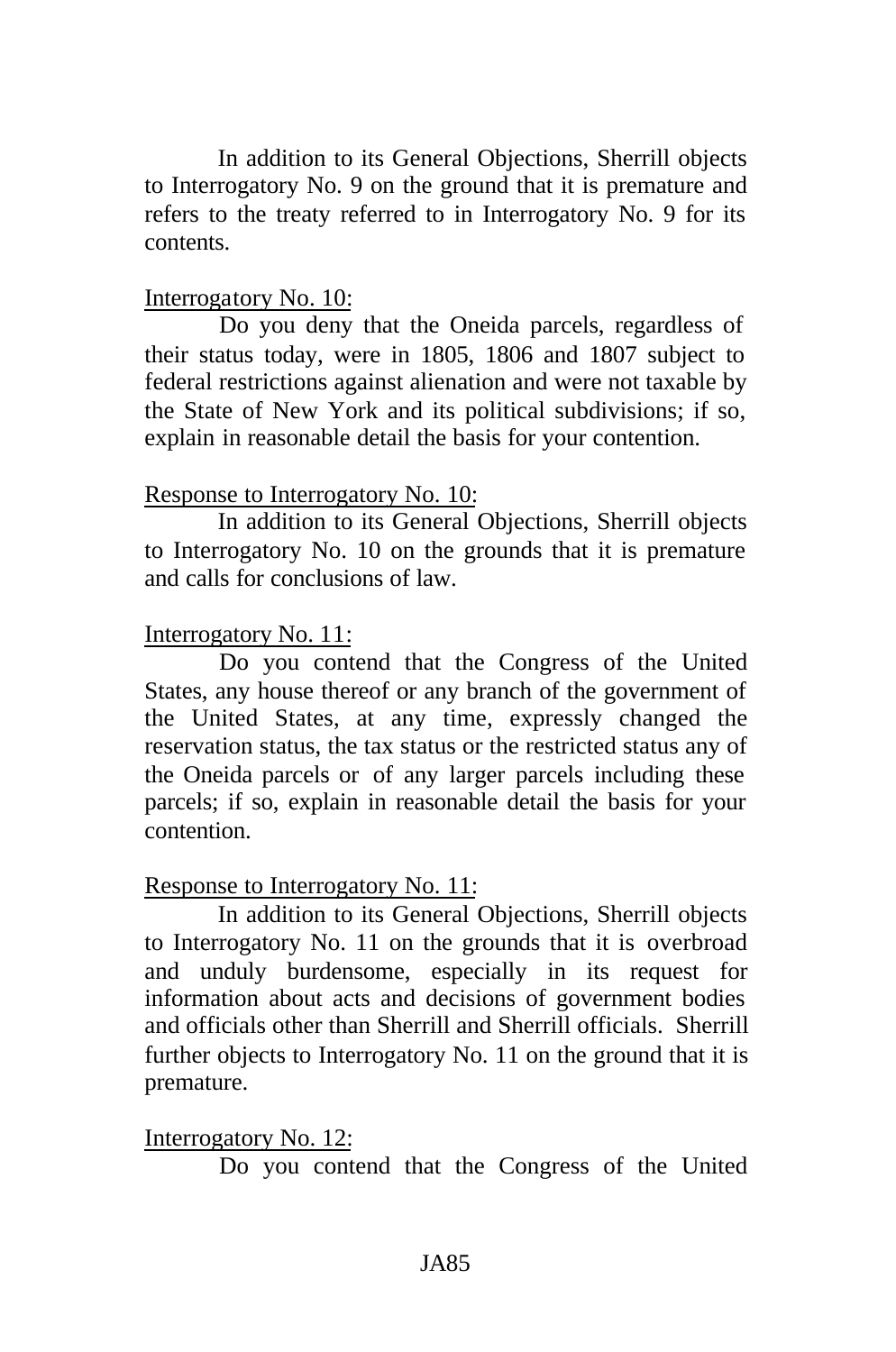In addition to its General Objections, Sherrill objects to Interrogatory No. 9 on the ground that it is premature and refers to the treaty referred to in Interrogatory No. 9 for its contents.

### Interrogatory No. 10:

Do you deny that the Oneida parcels, regardless of their status today, were in 1805, 1806 and 1807 subject to federal restrictions against alienation and were not taxable by the State of New York and its political subdivisions; if so, explain in reasonable detail the basis for your contention.

### Response to Interrogatory No. 10:

In addition to its General Objections, Sherrill objects to Interrogatory No. 10 on the grounds that it is premature and calls for conclusions of law.

# Interrogatory No. 11:

Do you contend that the Congress of the United States, any house thereof or any branch of the government of the United States, at any time, expressly changed the reservation status, the tax status or the restricted status any of the Oneida parcels or of any larger parcels including these parcels; if so, explain in reasonable detail the basis for your contention.

### Response to Interrogatory No. 11:

In addition to its General Objections, Sherrill objects to Interrogatory No. 11 on the grounds that it is overbroad and unduly burdensome, especially in its request for information about acts and decisions of government bodies and officials other than Sherrill and Sherrill officials. Sherrill further objects to Interrogatory No. 11 on the ground that it is premature.

Interrogatory No. 12:

Do you contend that the Congress of the United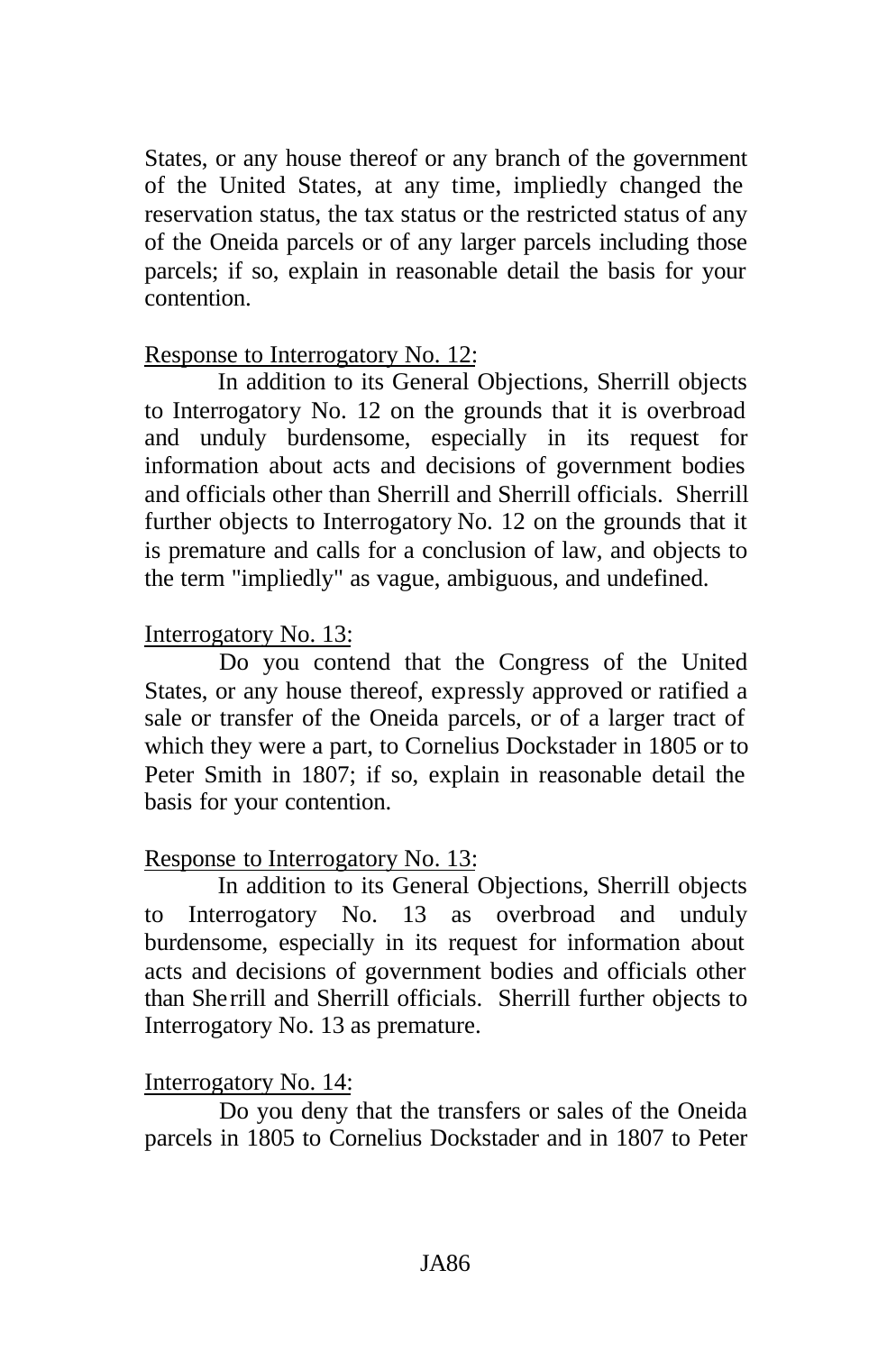States, or any house thereof or any branch of the government of the United States, at any time, impliedly changed the reservation status, the tax status or the restricted status of any of the Oneida parcels or of any larger parcels including those parcels; if so, explain in reasonable detail the basis for your contention.

# Response to Interrogatory No. 12:

In addition to its General Objections, Sherrill objects to Interrogatory No. 12 on the grounds that it is overbroad and unduly burdensome, especially in its request for information about acts and decisions of government bodies and officials other than Sherrill and Sherrill officials. Sherrill further objects to Interrogatory No. 12 on the grounds that it is premature and calls for a conclusion of law, and objects to the term "impliedly" as vague, ambiguous, and undefined.

# Interrogatory No. 13:

Do you contend that the Congress of the United States, or any house thereof, expressly approved or ratified a sale or transfer of the Oneida parcels, or of a larger tract of which they were a part, to Cornelius Dockstader in 1805 or to Peter Smith in 1807; if so, explain in reasonable detail the basis for your contention.

# Response to Interrogatory No. 13:

In addition to its General Objections, Sherrill objects to Interrogatory No. 13 as overbroad and unduly burdensome, especially in its request for information about acts and decisions of government bodies and officials other than Sherrill and Sherrill officials. Sherrill further objects to Interrogatory No. 13 as premature.

# Interrogatory No. 14:

Do you deny that the transfers or sales of the Oneida parcels in 1805 to Cornelius Dockstader and in 1807 to Peter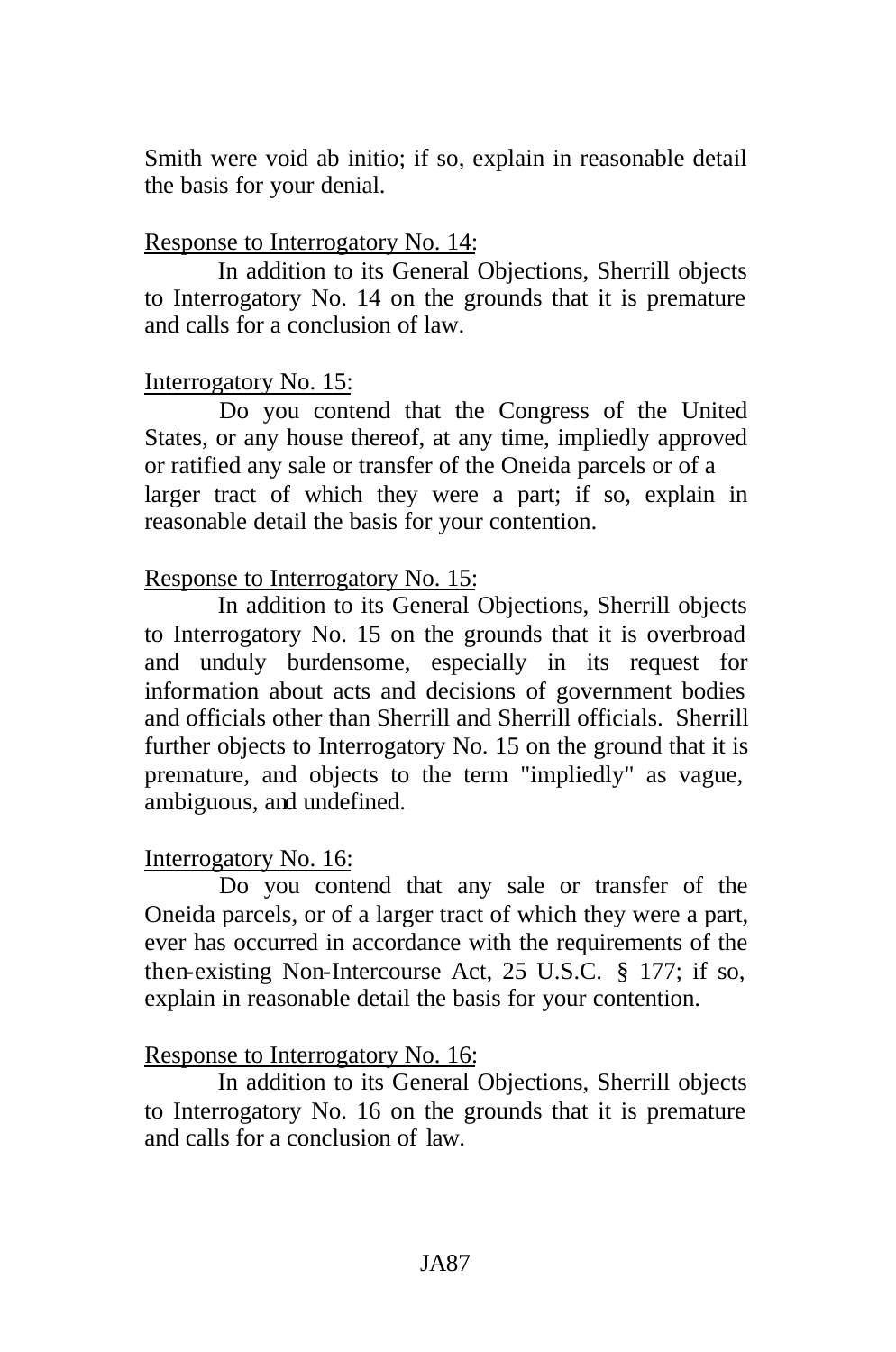Smith were void ab initio; if so, explain in reasonable detail the basis for your denial.

#### Response to Interrogatory No. 14:

In addition to its General Objections, Sherrill objects to Interrogatory No. 14 on the grounds that it is premature and calls for a conclusion of law.

#### Interrogatory No. 15:

Do you contend that the Congress of the United States, or any house thereof, at any time, impliedly approved or ratified any sale or transfer of the Oneida parcels or of a larger tract of which they were a part; if so, explain in reasonable detail the basis for your contention.

### Response to Interrogatory No. 15:

In addition to its General Objections, Sherrill objects to Interrogatory No. 15 on the grounds that it is overbroad and unduly burdensome, especially in its request for information about acts and decisions of government bodies and officials other than Sherrill and Sherrill officials. Sherrill further objects to Interrogatory No. 15 on the ground that it is premature, and objects to the term "impliedly" as vague, ambiguous, and undefined.

### Interrogatory No. 16:

Do you contend that any sale or transfer of the Oneida parcels, or of a larger tract of which they were a part, ever has occurred in accordance with the requirements of the then-existing Non-Intercourse Act, 25 U.S.C. § 177; if so, explain in reasonable detail the basis for your contention.

#### Response to Interrogatory No. 16:

In addition to its General Objections, Sherrill objects to Interrogatory No. 16 on the grounds that it is premature and calls for a conclusion of law.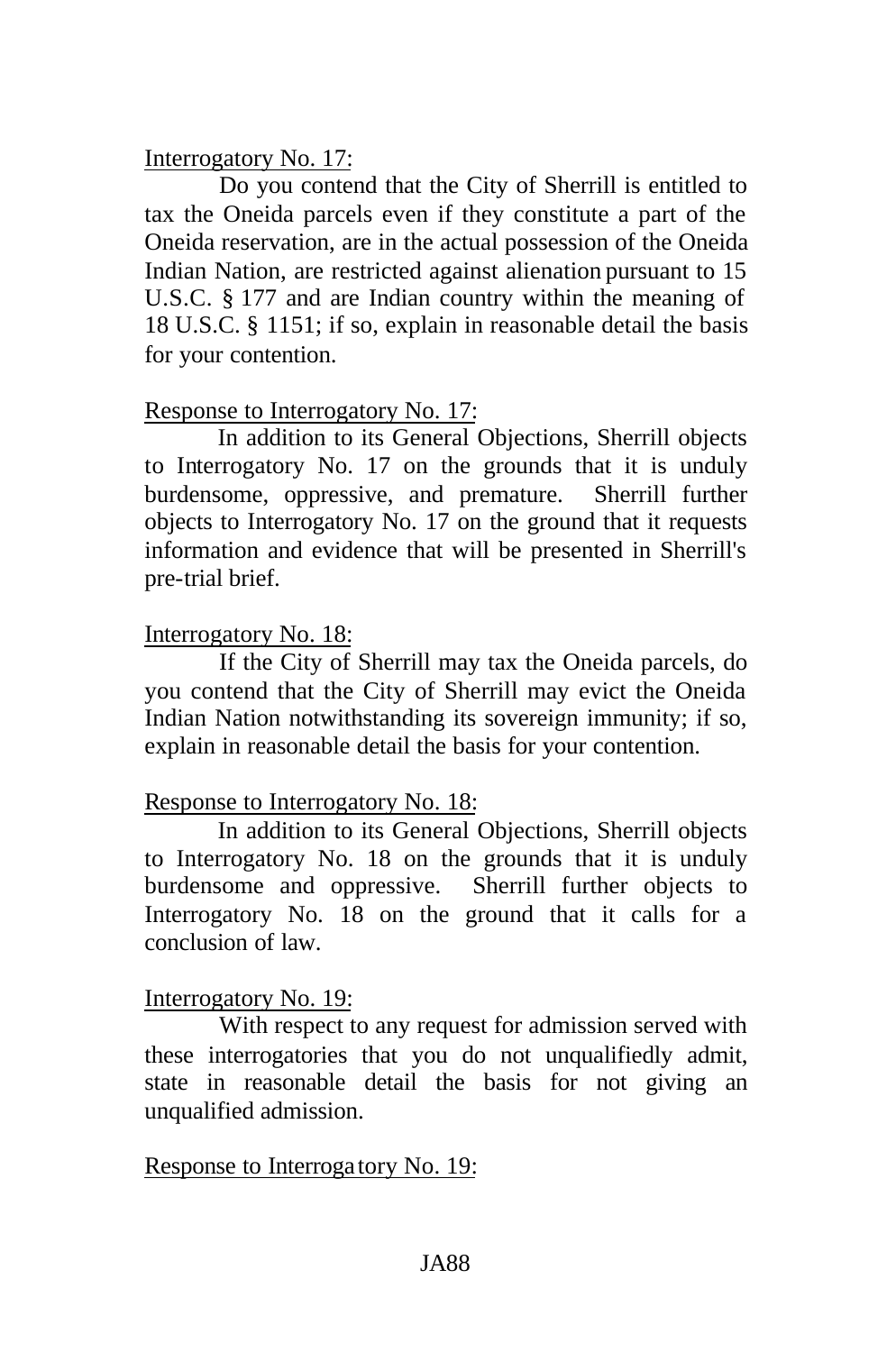# Interrogatory No. 17:

Do you contend that the City of Sherrill is entitled to tax the Oneida parcels even if they constitute a part of the Oneida reservation, are in the actual possession of the Oneida Indian Nation, are restricted against alienation pursuant to 15 U.S.C. § 177 and are Indian country within the meaning of 18 U.S.C. § 1151; if so, explain in reasonable detail the basis for your contention.

# Response to Interrogatory No. 17:

In addition to its General Objections, Sherrill objects to Interrogatory No. 17 on the grounds that it is unduly burdensome, oppressive, and premature. Sherrill further objects to Interrogatory No. 17 on the ground that it requests information and evidence that will be presented in Sherrill's pre-trial brief.

# Interrogatory No. 18:

If the City of Sherrill may tax the Oneida parcels, do you contend that the City of Sherrill may evict the Oneida Indian Nation notwithstanding its sovereign immunity; if so, explain in reasonable detail the basis for your contention.

# Response to Interrogatory No. 18:

In addition to its General Objections, Sherrill objects to Interrogatory No. 18 on the grounds that it is unduly burdensome and oppressive. Sherrill further objects to Interrogatory No. 18 on the ground that it calls for a conclusion of law.

# Interrogatory No. 19:

With respect to any request for admission served with these interrogatories that you do not unqualifiedly admit, state in reasonable detail the basis for not giving an unqualified admission.

# Response to Interroga tory No. 19: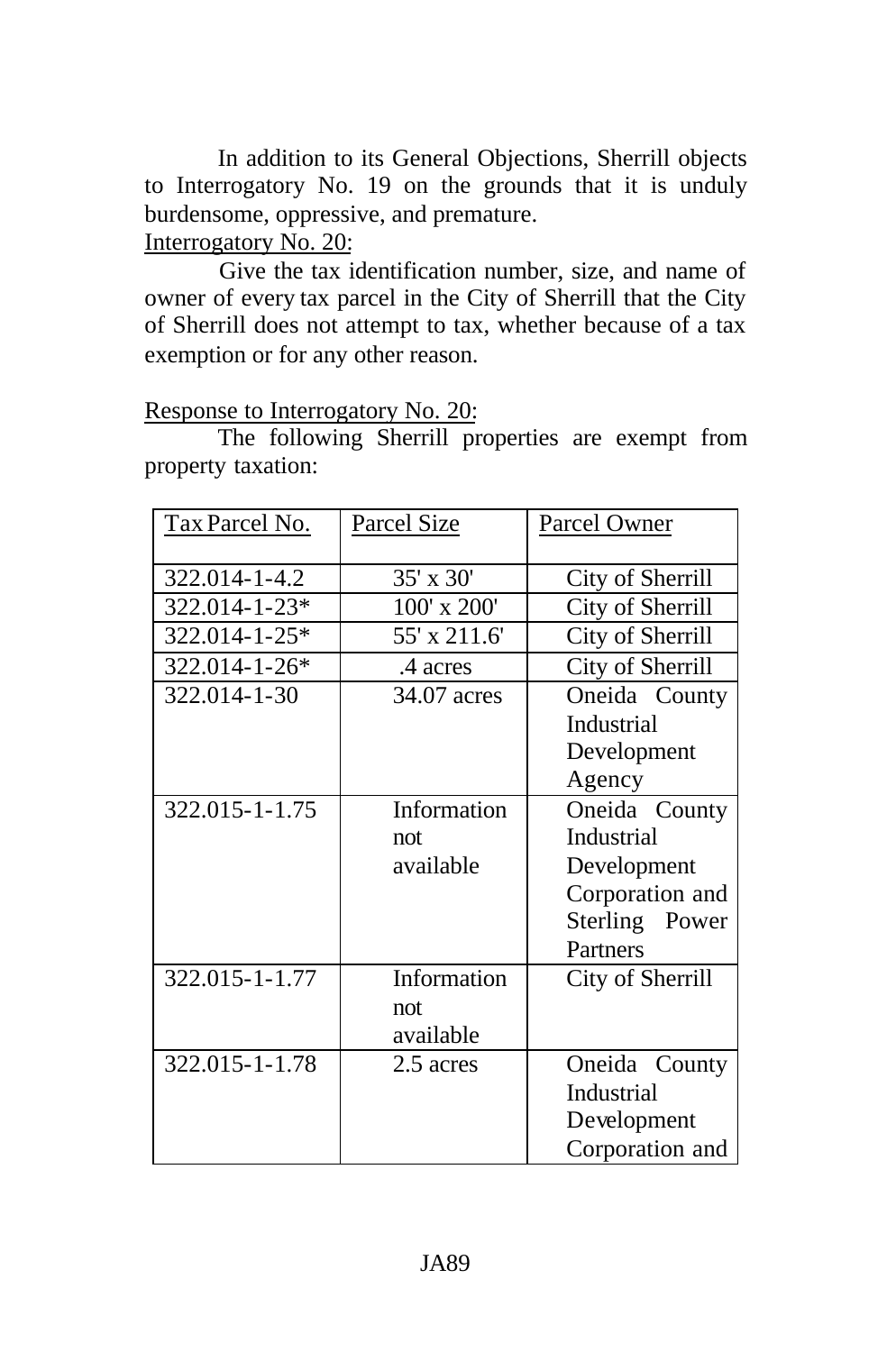In addition to its General Objections, Sherrill objects to Interrogatory No. 19 on the grounds that it is unduly burdensome, oppressive, and premature. Interrogatory No. 20:

Give the tax identification number, size, and name of owner of every tax parcel in the City of Sherrill that the City of Sherrill does not attempt to tax, whether because of a tax exemption or for any other reason.

### Response to Interrogatory No. 20:

The following Sherrill properties are exempt from property taxation:

| Tax Parcel No. | <b>Parcel Size</b> | Parcel Owner      |
|----------------|--------------------|-------------------|
| 322.014-1-4.2  | 35' x 30'          | City of Sherrill  |
| 322.014-1-23*  | 100' x 200'        | City of Sherrill  |
| 322.014-1-25*  | 55' x 211.6'       | City of Sherrill  |
| 322.014-1-26*  | .4 acres           | City of Sherrill  |
| 322.014-1-30   | 34.07 acres        | Oneida County     |
|                |                    | Industrial        |
|                |                    | Development       |
|                |                    | Agency            |
| 322.015-1-1.75 | Information        | Oneida County     |
|                | not                | <b>Industrial</b> |
|                | available          | Development       |
|                |                    | Corporation and   |
|                |                    | Sterling Power    |
|                |                    | Partners          |
| 322.015-1-1.77 | Information        | City of Sherrill  |
|                | not                |                   |
|                | available          |                   |
| 322.015-1-1.78 | 2.5 acres          | Oneida County     |
|                |                    | Industrial        |
|                |                    | Development       |
|                |                    | Corporation and   |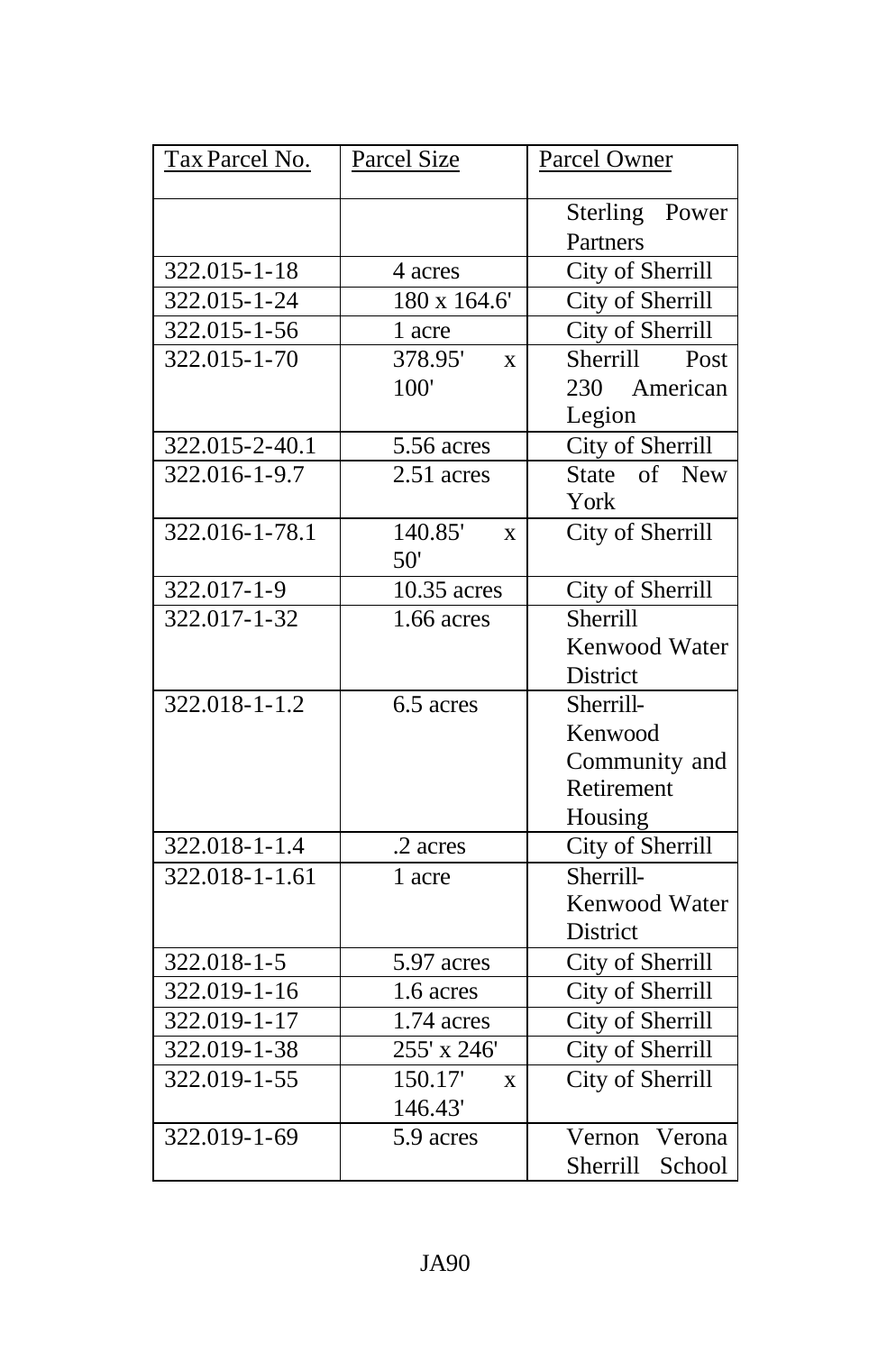| Tax Parcel No.       | Parcel Size                          | Parcel Owner               |
|----------------------|--------------------------------------|----------------------------|
|                      |                                      | Sterling Power<br>Partners |
| 322.015-1-18         | 4 acres                              | City of Sherrill           |
| 322.015-1-24         | 180 x 164.6'                         | City of Sherrill           |
| 322.015-1-56         | 1 acre                               | City of Sherrill           |
| 322.015-1-70         | 378.95'<br>$\bar{X}$                 | Sherrill<br>Post           |
|                      | 100'                                 | 230 American               |
|                      |                                      | Legion                     |
| 322.015-2-40.1       | 5.56 acres                           | City of Sherrill           |
| 322.016-1-9.7        | $2.51$ acres                         | State of New               |
|                      |                                      | York                       |
| 322.016-1-78.1       | 140.85'<br>$\mathbf{X}$              | City of Sherrill           |
|                      | 50'                                  |                            |
| 322.017-1-9          | 10.35 acres                          | City of Sherrill           |
| $322.017 - 1 - 32$   | $\overline{1.66}$ acres              | Sherrill                   |
|                      |                                      | Kenwood Water              |
|                      |                                      | District                   |
| $322.018 - 1 - 1.2$  | $\overline{6}$ .5 acres              | Sherrill-                  |
|                      |                                      | Kenwood                    |
|                      |                                      | Community and              |
|                      |                                      | Retirement                 |
|                      |                                      | Housing                    |
| 322.018-1-1.4        | .2 acres                             | City of Sherrill           |
| $322.018 - 1 - 1.61$ | 1 acre                               | Sherrill-                  |
|                      |                                      | Kenwood Water              |
|                      |                                      | District                   |
| 322.018-1-5          | 5.97 acres                           | City of Sherrill           |
| 322.019-1-16         | 1.6 acres                            | City of Sherrill           |
| 322.019-1-17         | 1.74 acres                           | City of Sherrill           |
| 322.019-1-38         | 255' x 246'                          | City of Sherrill           |
| 322.019-1-55         | $\overline{1}50.17'$<br>$\mathbf{X}$ | City of Sherrill           |
|                      | 146.43'                              |                            |
| $322.019 - 1 - 69$   | 5.9 acres                            | Verona<br>Vernon           |
|                      |                                      | Sherrill<br>School         |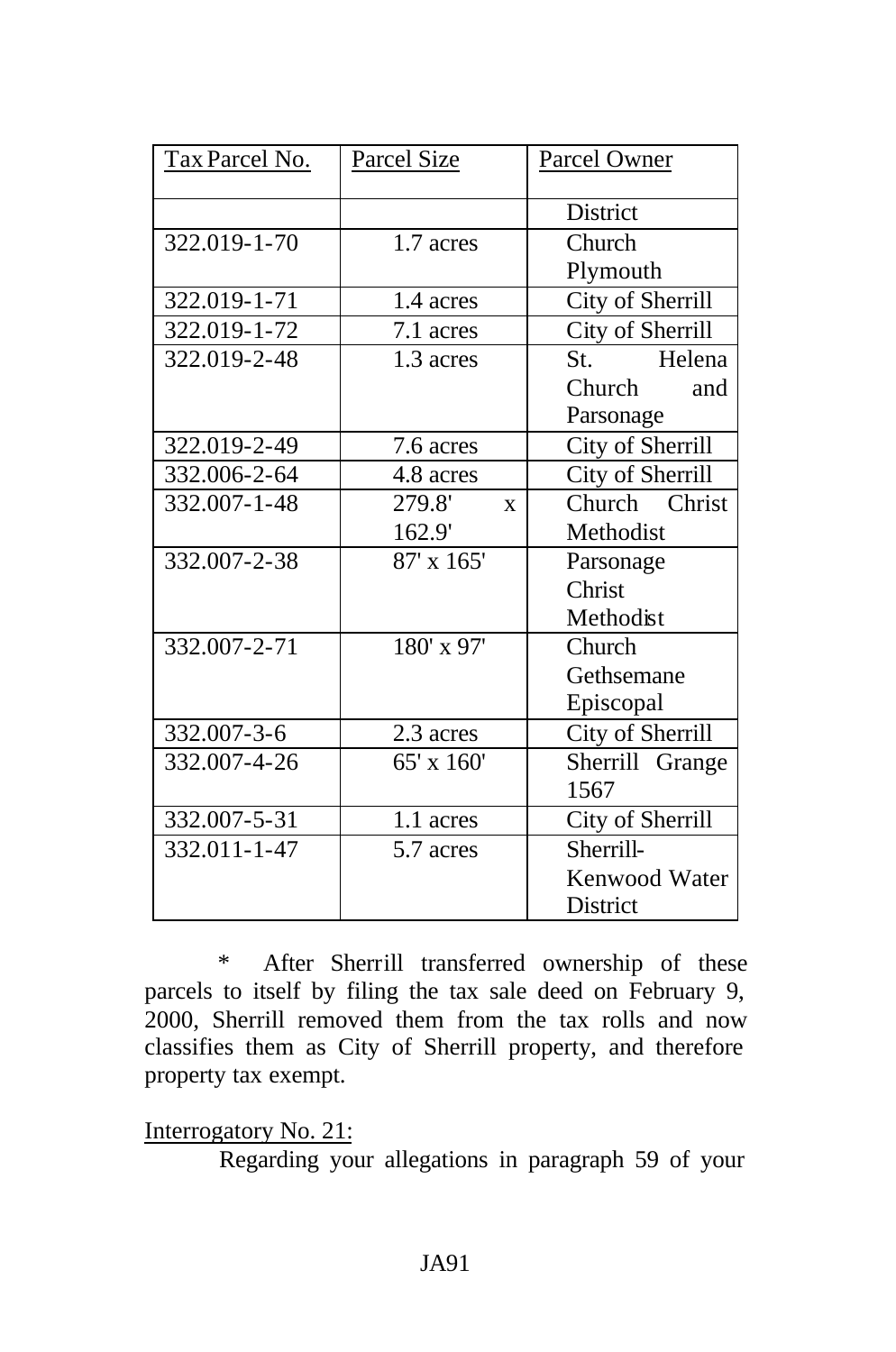| Tax Parcel No. | Parcel Size            | Parcel Owner     |  |
|----------------|------------------------|------------------|--|
|                |                        | District         |  |
| 322.019-1-70   | 1.7 acres              | Church           |  |
|                |                        | Plymouth         |  |
| 322.019-1-71   | 1.4 acres              | City of Sherrill |  |
| 322.019-1-72   | 7.1 acres              | City of Sherrill |  |
| 322.019-2-48   | 1.3 acres              | St. Helena       |  |
|                |                        | Church<br>and    |  |
|                |                        | Parsonage        |  |
| 322.019-2-49   | 7.6 acres              | City of Sherrill |  |
| 332.006-2-64   | 4.8 acres              | City of Sherrill |  |
| 332.007-1-48   | 279.8'<br>$\mathbf{x}$ | Church Christ    |  |
|                | 162.9'                 | Methodist        |  |
| 332.007-2-38   | 87' x 165'             | Parsonage        |  |
|                |                        | Christ           |  |
|                |                        | Methodist        |  |
| 332.007-2-71   | 180' x 97'             | Church           |  |
|                |                        | Gethsemane       |  |
|                |                        | Episcopal        |  |
| 332.007-3-6    | 2.3 acres              | City of Sherrill |  |
| 332.007-4-26   | 65' x 160'             | Sherrill Grange  |  |
|                |                        | 1567             |  |
| 332.007-5-31   | 1.1 acres              | City of Sherrill |  |
| 332.011-1-47   | 5.7 acres              | Sherrill-        |  |
|                |                        | Kenwood Water    |  |
|                |                        | District         |  |

\* After Sherrill transferred ownership of these parcels to itself by filing the tax sale deed on February 9, 2000, Sherrill removed them from the tax rolls and now classifies them as City of Sherrill property, and therefore property tax exempt.

Interrogatory No. 21:

Regarding your allegations in paragraph 59 of your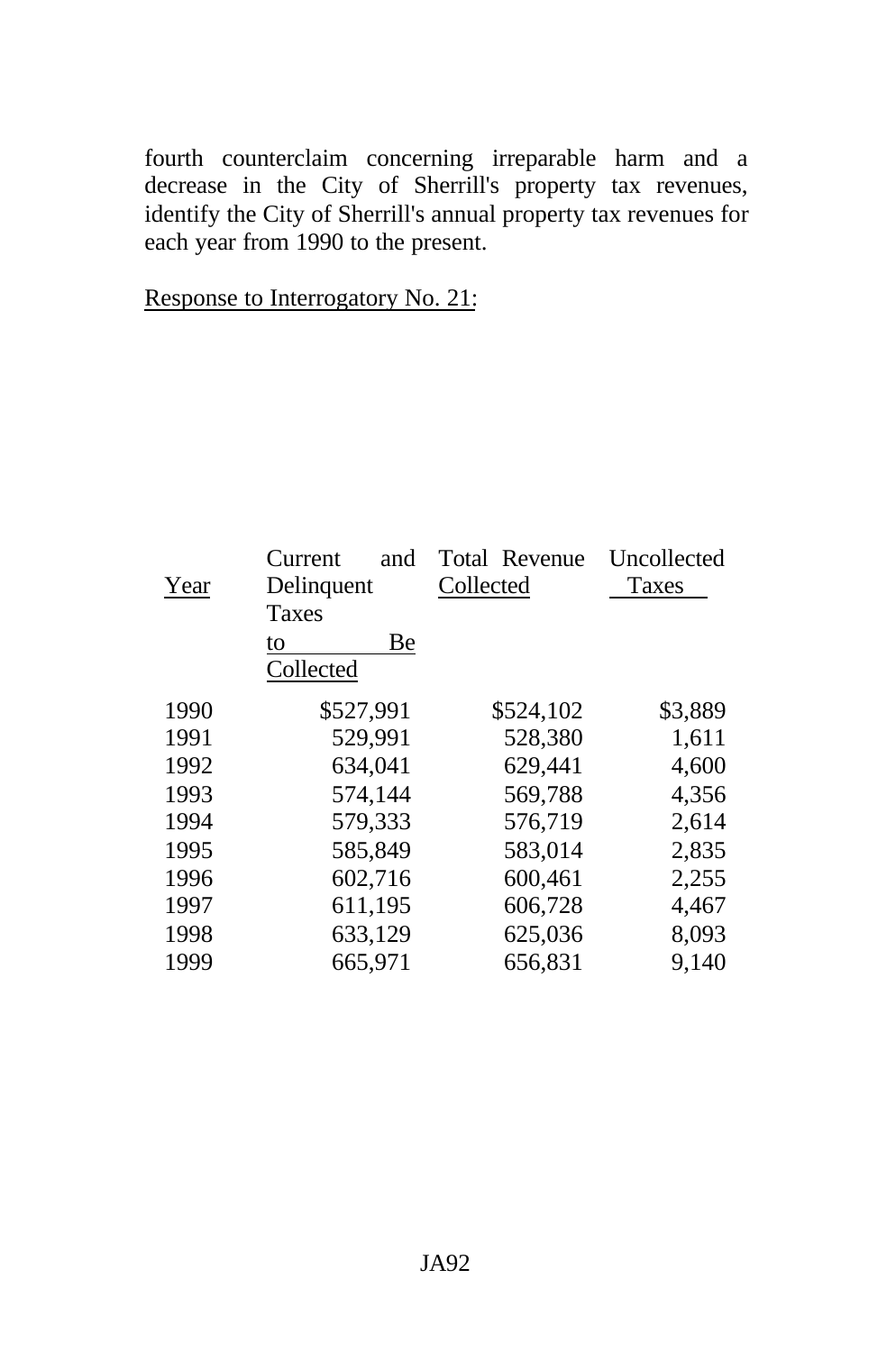fourth counterclaim concerning irreparable harm and a decrease in the City of Sherrill's property tax revenues, identify the City of Sherrill's annual property tax revenues for each year from 1990 to the present.

|  | Response to Interrogatory No. 21: |  |
|--|-----------------------------------|--|
|  |                                   |  |

| Year | Current<br>and<br>Delinquent<br><b>Taxes</b> | Total Revenue<br>Collected | Uncollected<br>Taxes |
|------|----------------------------------------------|----------------------------|----------------------|
|      | Be<br>to<br>Collected                        |                            |                      |
| 1990 | \$527,991                                    | \$524,102                  | \$3,889              |
| 1991 | 529,991                                      | 528,380                    | 1,611                |
| 1992 | 634,041                                      | 629,441                    | 4,600                |
| 1993 | 574,144                                      | 569,788                    | 4,356                |
| 1994 | 579,333                                      | 576,719                    | 2,614                |
| 1995 | 585,849                                      | 583,014                    | 2,835                |
| 1996 | 602,716                                      | 600,461                    | 2,255                |
| 1997 | 611,195                                      | 606,728                    | 4,467                |
| 1998 | 633,129                                      | 625,036                    | 8,093                |
| 1999 | 665,971                                      | 656,831                    | 9,140                |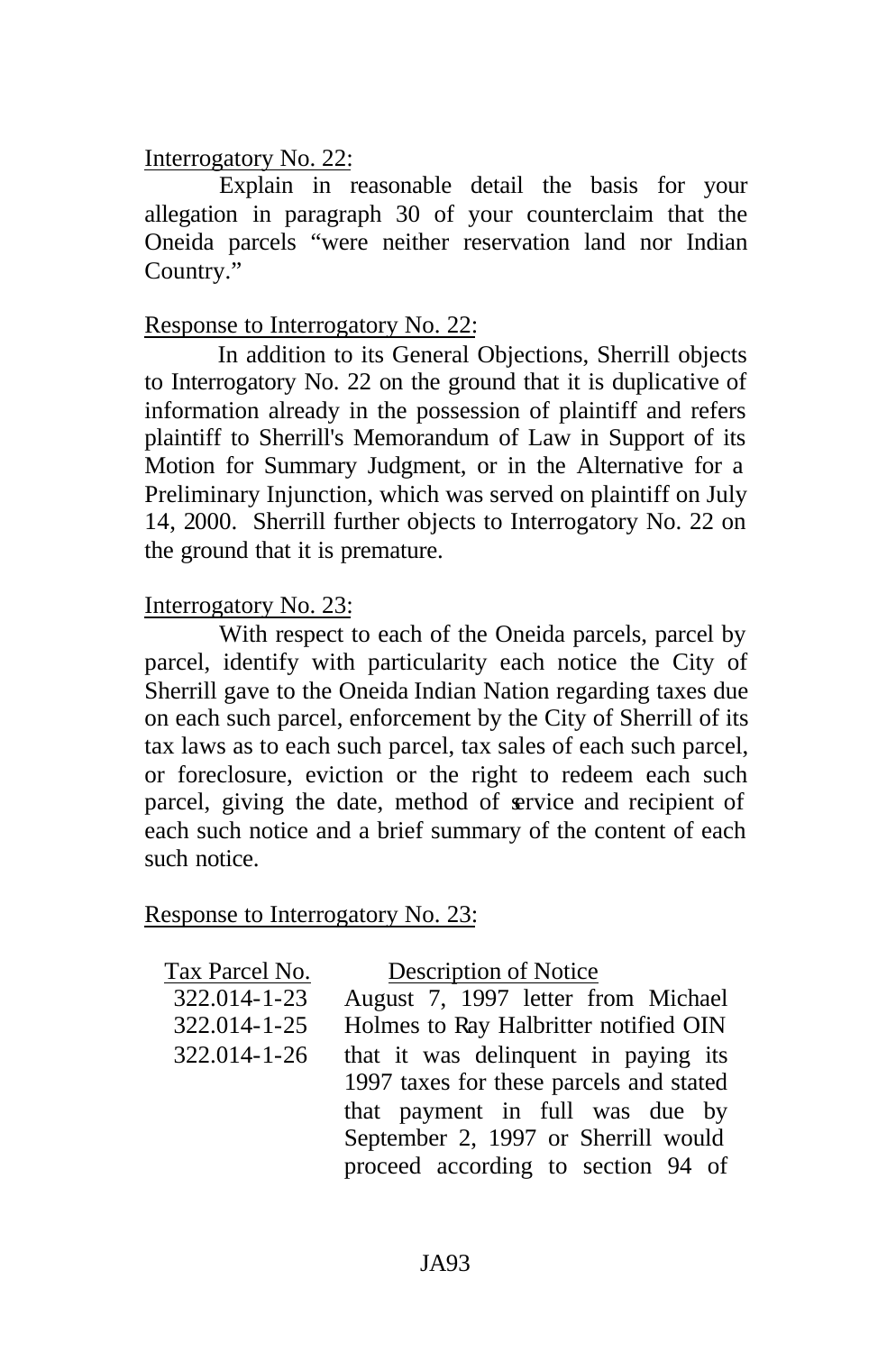### Interrogatory No. 22:

Explain in reasonable detail the basis for your allegation in paragraph 30 of your counterclaim that the Oneida parcels "were neither reservation land nor Indian Country."

# Response to Interrogatory No. 22:

In addition to its General Objections, Sherrill objects to Interrogatory No. 22 on the ground that it is duplicative of information already in the possession of plaintiff and refers plaintiff to Sherrill's Memorandum of Law in Support of its Motion for Summary Judgment, or in the Alternative for a Preliminary Injunction, which was served on plaintiff on July 14, 2000. Sherrill further objects to Interrogatory No. 22 on the ground that it is premature.

# Interrogatory No. 23:

With respect to each of the Oneida parcels, parcel by parcel, identify with particularity each notice the City of Sherrill gave to the Oneida Indian Nation regarding taxes due on each such parcel, enforcement by the City of Sherrill of its tax laws as to each such parcel, tax sales of each such parcel, or foreclosure, eviction or the right to redeem each such parcel, giving the date, method of service and recipient of each such notice and a brief summary of the content of each such notice.

### Response to Interrogatory No. 23:

| Description of Notice |  |  |  |  |
|-----------------------|--|--|--|--|
|-----------------------|--|--|--|--|

| Tax Parcel No. | Description of Notice                   |
|----------------|-----------------------------------------|
| 322.014-1-23   | August 7, 1997 letter from Michael      |
| 322.014-1-25   | Holmes to Ray Halbritter notified OIN   |
| 322.014-1-26   | that it was delinquent in paying its    |
|                | 1997 taxes for these parcels and stated |
|                | that payment in full was due by         |
|                | September 2, 1997 or Sherrill would     |
|                | proceed according to section 94 of      |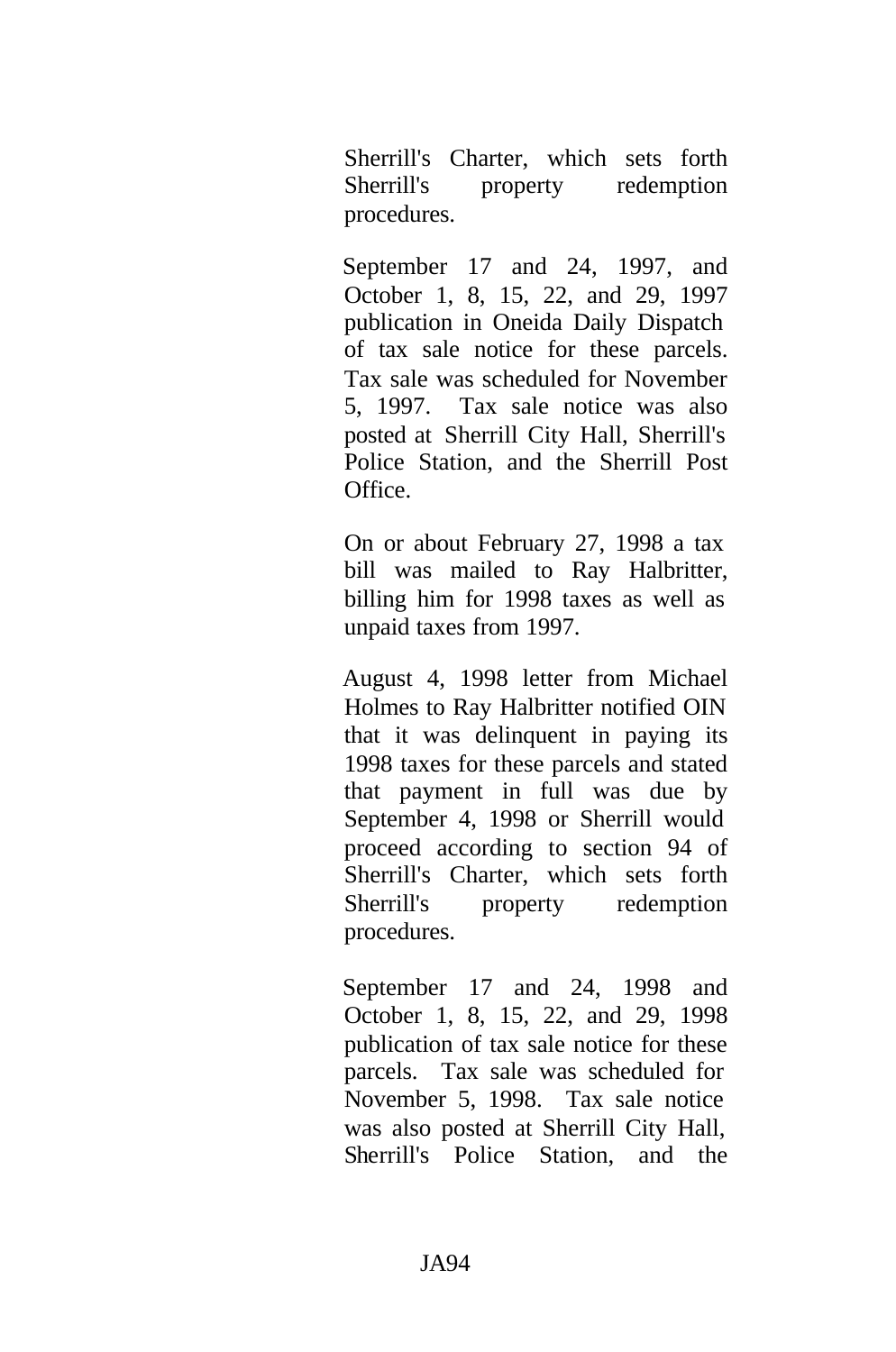Sherrill's Charter, which sets forth Sherrill's property redemption procedures.

September 17 and 24, 1997, and October 1, 8, 15, 22, and 29, 1997 publication in Oneida Daily Dispatch of tax sale notice for these parcels. Tax sale was scheduled for November 5, 1997. Tax sale notice was also posted at Sherrill City Hall, Sherrill's Police Station, and the Sherrill Post Office.

On or about February 27, 1998 a tax bill was mailed to Ray Halbritter, billing him for 1998 taxes as well as unpaid taxes from 1997.

August 4, 1998 letter from Michael Holmes to Ray Halbritter notified OIN that it was delinquent in paying its 1998 taxes for these parcels and stated that payment in full was due by September 4, 1998 or Sherrill would proceed according to section 94 of Sherrill's Charter, which sets forth Sherrill's property redemption procedures.

September 17 and 24, 1998 and October 1, 8, 15, 22, and 29, 1998 publication of tax sale notice for these parcels. Tax sale was scheduled for November 5, 1998. Tax sale notice was also posted at Sherrill City Hall, Sherrill's Police Station, and the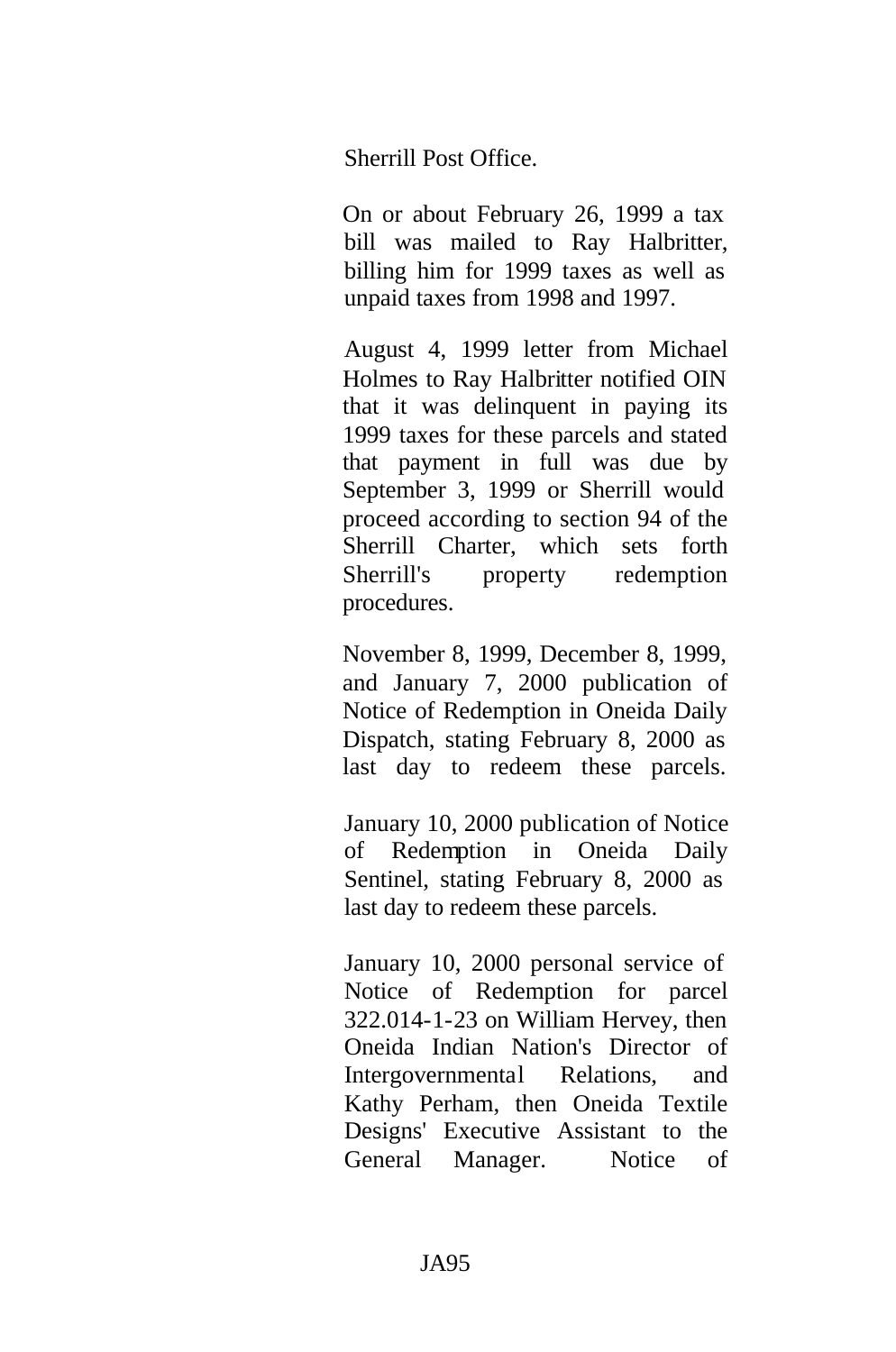Sherrill Post Office.

On or about February 26, 1999 a tax bill was mailed to Ray Halbritter, billing him for 1999 taxes as well as unpaid taxes from 1998 and 1997.

August 4, 1999 letter from Michael Holmes to Ray Halbritter notified OIN that it was delinquent in paying its 1999 taxes for these parcels and stated that payment in full was due by September 3, 1999 or Sherrill would proceed according to section 94 of the Sherrill Charter, which sets forth Sherrill's property redemption procedures.

November 8, 1999, December 8, 1999, and January 7, 2000 publication of Notice of Redemption in Oneida Daily Dispatch, stating February 8, 2000 as last day to redeem these parcels.

January 10, 2000 publication of Notice of Redemption in Oneida Daily Sentinel, stating February 8, 2000 as last day to redeem these parcels.

January 10, 2000 personal service of Notice of Redemption for parcel 322.014-1-23 on William Hervey, then Oneida Indian Nation's Director of Intergovernmental Relations, and Kathy Perham, then Oneida Textile Designs' Executive Assistant to the General Manager. Notice of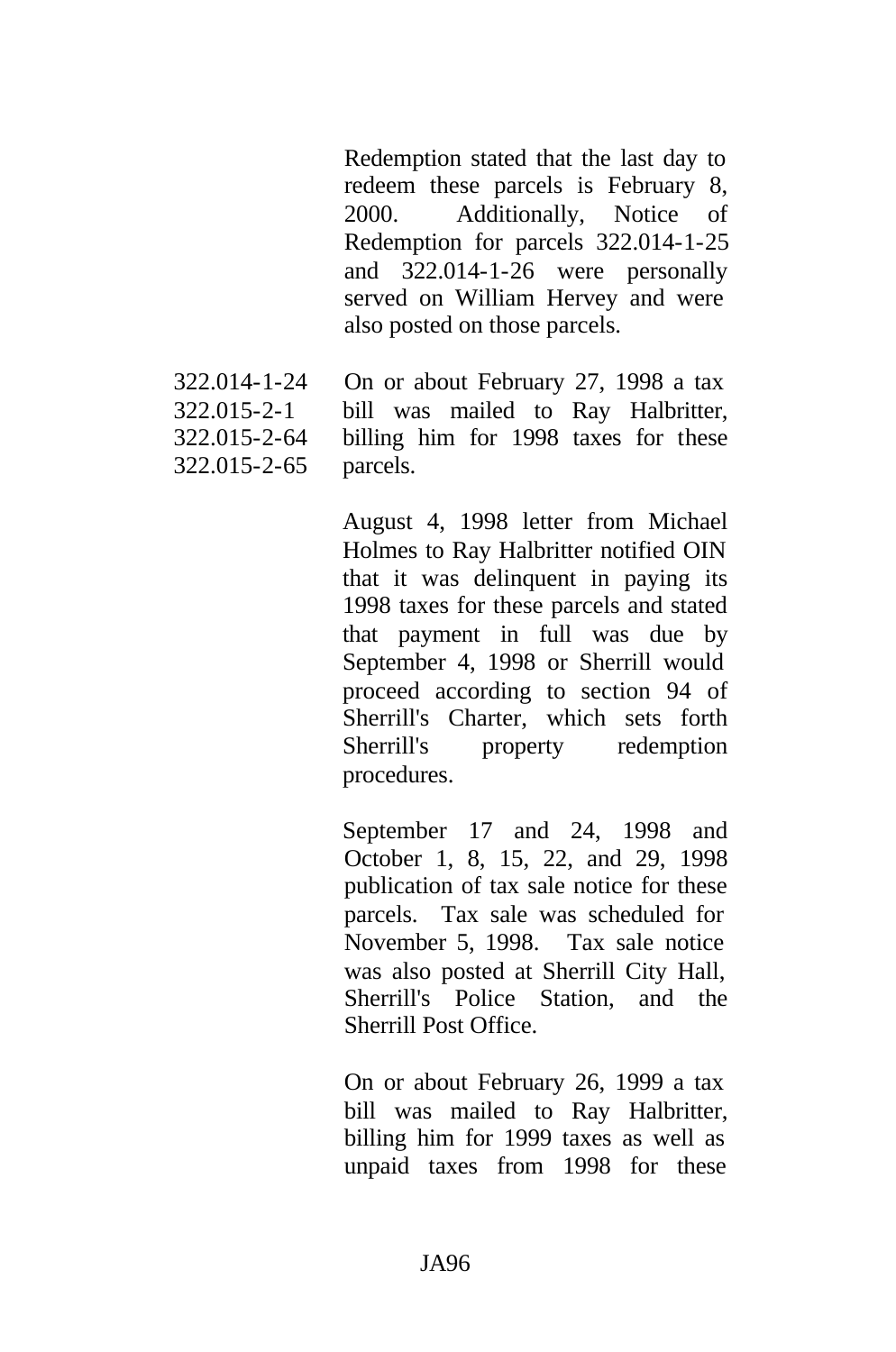Redemption stated that the last day to redeem these parcels is February 8, 2000. Additionally, Notice of Redemption for parcels 322.014-1-25 and 322.014-1-26 were personally served on William Hervey and were also posted on those parcels.

322.014-1-24 322.015-2-1 322.015-2-64 322.015-2-65 On or about February 27, 1998 a tax bill was mailed to Ray Halbritter, billing him for 1998 taxes for these parcels.

> August 4, 1998 letter from Michael Holmes to Ray Halbritter notified OIN that it was delinquent in paying its 1998 taxes for these parcels and stated that payment in full was due by September 4, 1998 or Sherrill would proceed according to section 94 of Sherrill's Charter, which sets forth Sherrill's property redemption procedures.

> September 17 and 24, 1998 and October 1, 8, 15, 22, and 29, 1998 publication of tax sale notice for these parcels. Tax sale was scheduled for November 5, 1998. Tax sale notice was also posted at Sherrill City Hall, Sherrill's Police Station, and the Sherrill Post Office.

On or about February 26, 1999 a tax bill was mailed to Ray Halbritter, billing him for 1999 taxes as well as unpaid taxes from 1998 for these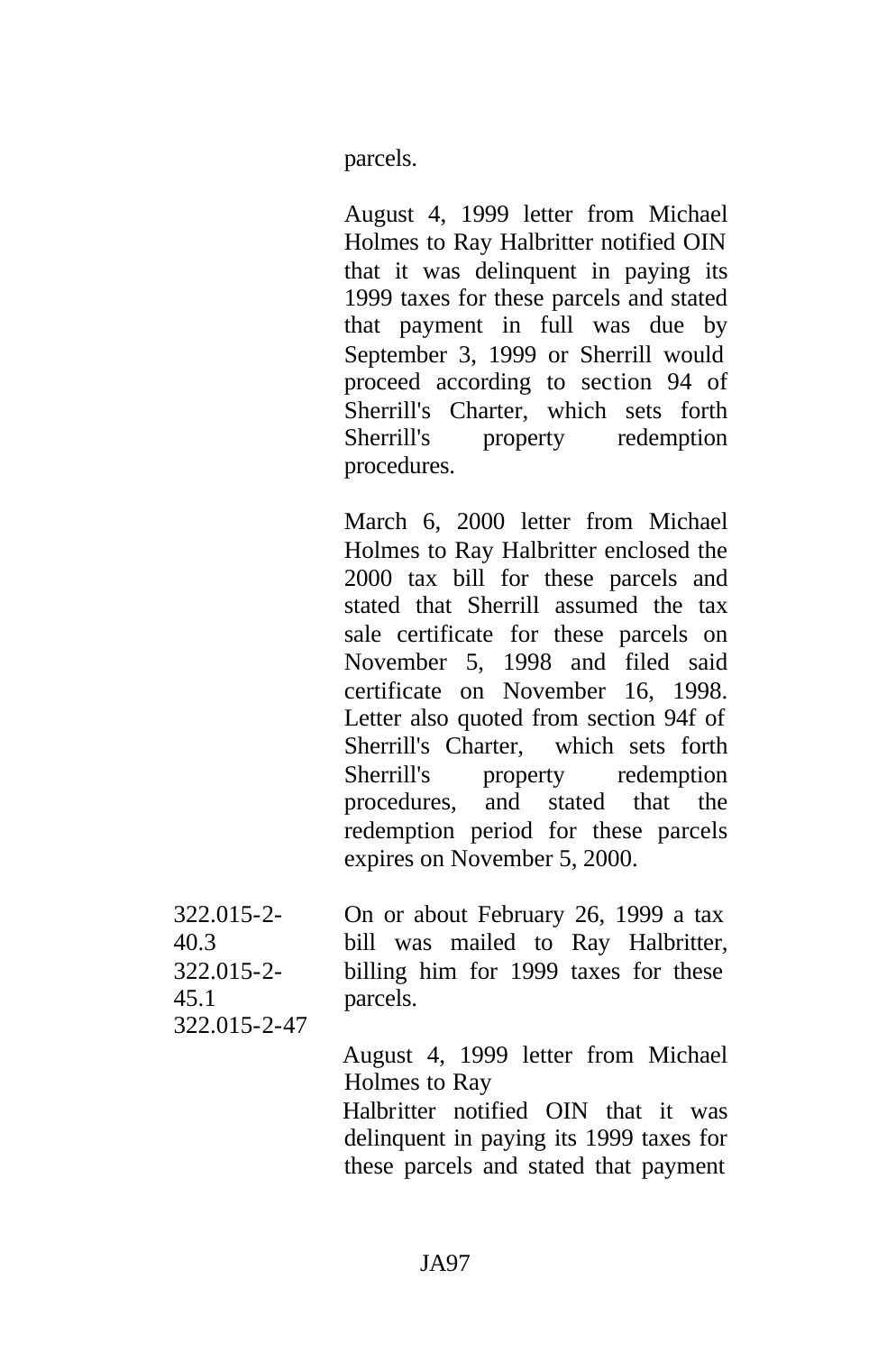parcels.

August 4, 1999 letter from Michael Holmes to Ray Halbritter notified OIN that it was delinquent in paying its 1999 taxes for these parcels and stated that payment in full was due by September 3, 1999 or Sherrill would proceed according to section 94 of Sherrill's Charter, which sets forth Sherrill's property redemption procedures.

March 6, 2000 letter from Michael Holmes to Ray Halbritter enclosed the 2000 tax bill for these parcels and stated that Sherrill assumed the tax sale certificate for these parcels on November 5, 1998 and filed said certificate on November 16, 1998. Letter also quoted from section 94f of Sherrill's Charter, which sets forth Sherrill's property redemption procedures, and stated that the redemption period for these parcels expires on November 5, 2000.

| $322.015 - 2$ | On or about February 26, 1999 a tax  |
|---------------|--------------------------------------|
| 40.3          | bill was mailed to Ray Halbritter,   |
| $322.015 - 2$ | billing him for 1999 taxes for these |
| 45.1          | parcels.                             |

322.015-2-47

August 4, 1999 letter from Michael Holmes to Ray

Halbritter notified OIN that it was delinquent in paying its 1999 taxes for these parcels and stated that payment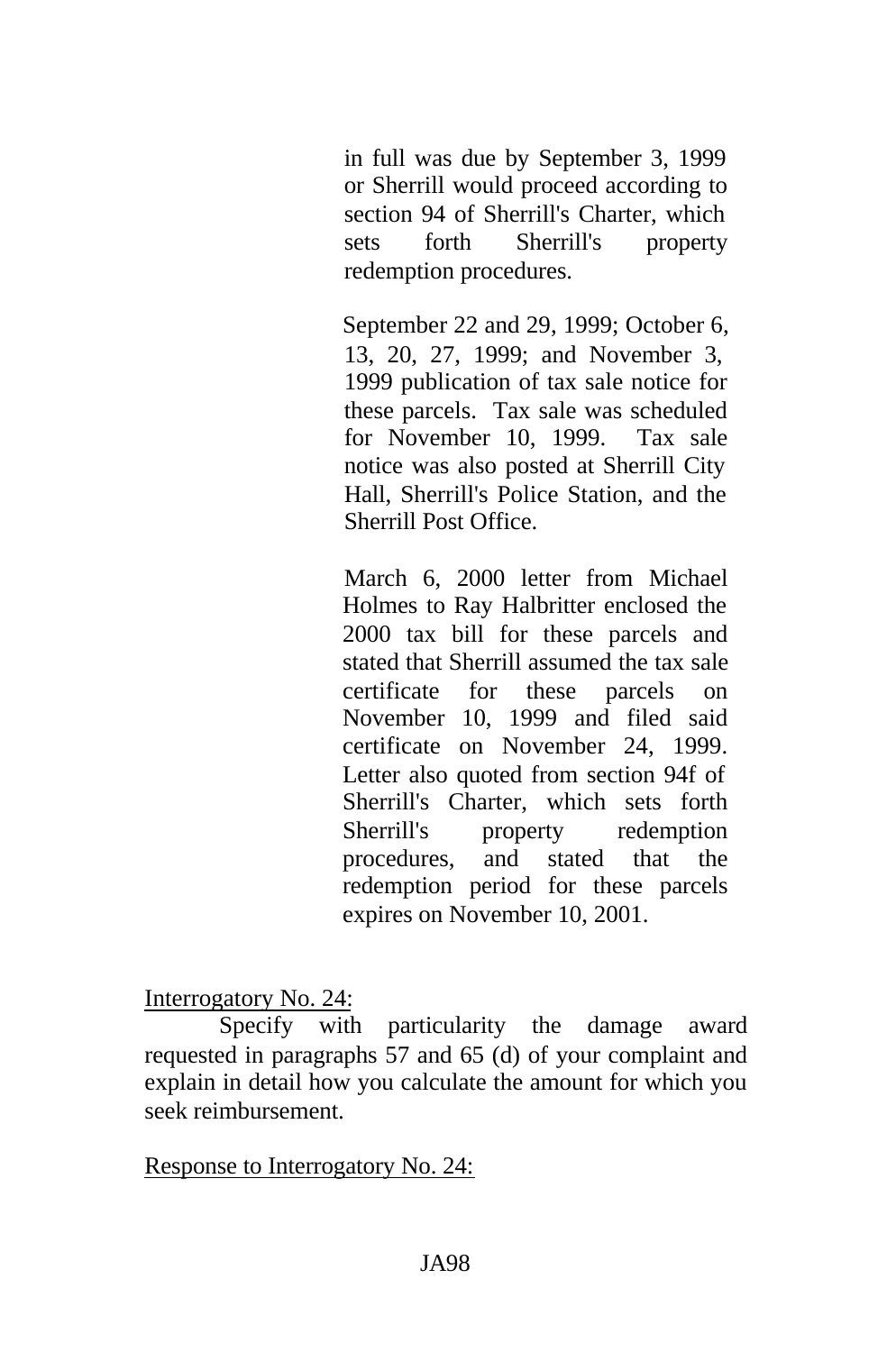in full was due by September 3, 1999 or Sherrill would proceed according to section 94 of Sherrill's Charter, which sets forth Sherrill's property redemption procedures.

September 22 and 29, 1999; October 6, 13, 20, 27, 1999; and November 3, 1999 publication of tax sale notice for these parcels. Tax sale was scheduled for November 10, 1999. Tax sale notice was also posted at Sherrill City Hall, Sherrill's Police Station, and the Sherrill Post Office.

March 6, 2000 letter from Michael Holmes to Ray Halbritter enclosed the 2000 tax bill for these parcels and stated that Sherrill assumed the tax sale certificate for these parcels on November 10, 1999 and filed said certificate on November 24, 1999. Letter also quoted from section 94f of Sherrill's Charter, which sets forth Sherrill's property redemption procedures, and stated that the redemption period for these parcels expires on November 10, 2001.

Interrogatory No. 24:

Specify with particularity the damage award requested in paragraphs 57 and 65 (d) of your complaint and explain in detail how you calculate the amount for which you seek reimbursement.

Response to Interrogatory No. 24: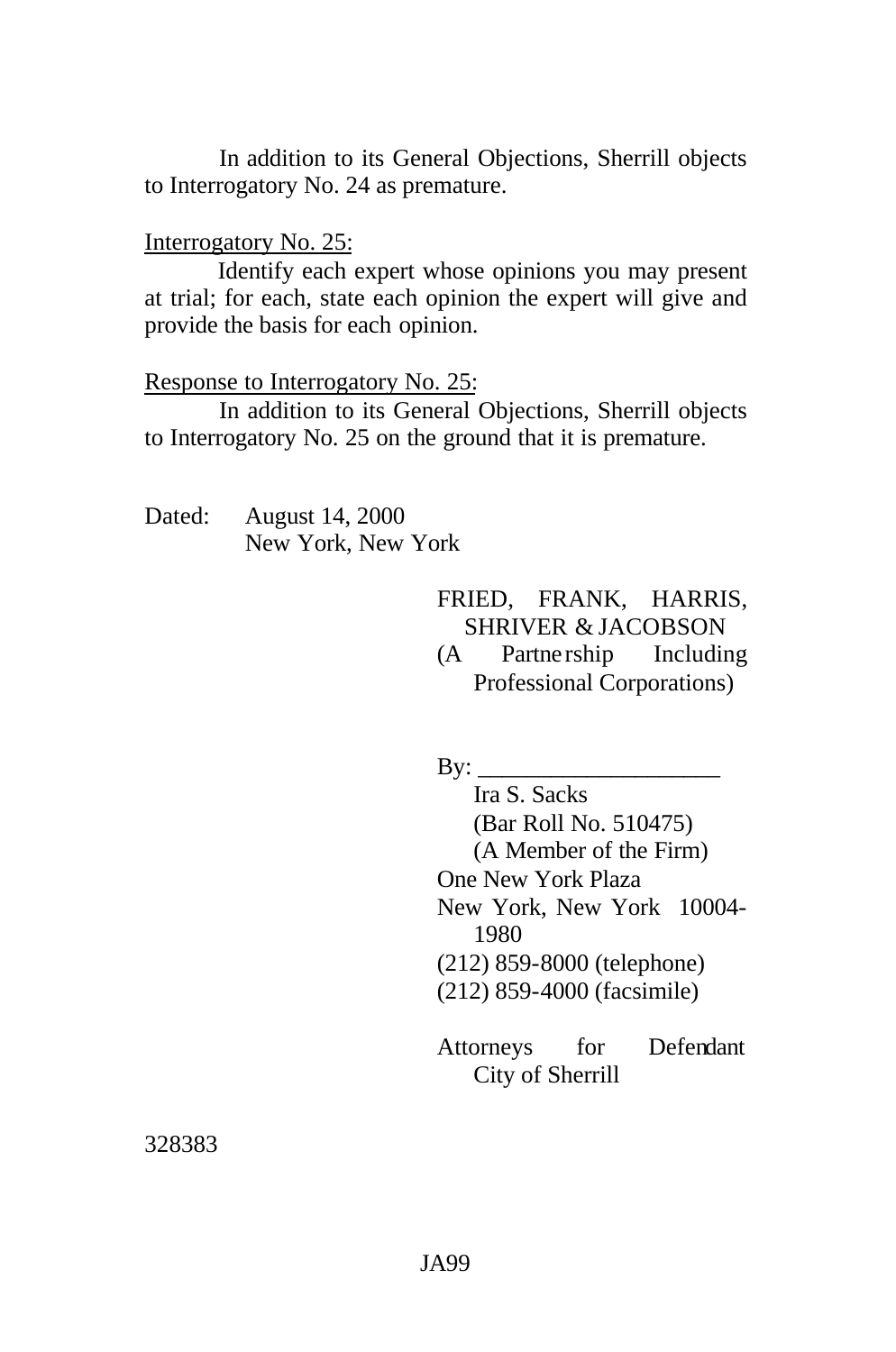In addition to its General Objections, Sherrill objects to Interrogatory No. 24 as premature.

#### Interrogatory No. 25:

Identify each expert whose opinions you may present at trial; for each, state each opinion the expert will give and provide the basis for each opinion.

#### Response to Interrogatory No. 25:

In addition to its General Objections, Sherrill objects to Interrogatory No. 25 on the ground that it is premature.

Dated: August 14, 2000 New York, New York

> FRIED, FRANK, HARRIS, SHRIVER & JACOBSON

> (A Partne rship Including Professional Corporations)

 $\mathbf{B} \mathbf{v}$ :

Ira S. Sacks (Bar Roll No. 510475) (A Member of the Firm) One New York Plaza New York, New York 10004- 1980 (212) 859-8000 (telephone) (212) 859-4000 (facsimile)

Attorneys for Defendant City of Sherrill

328383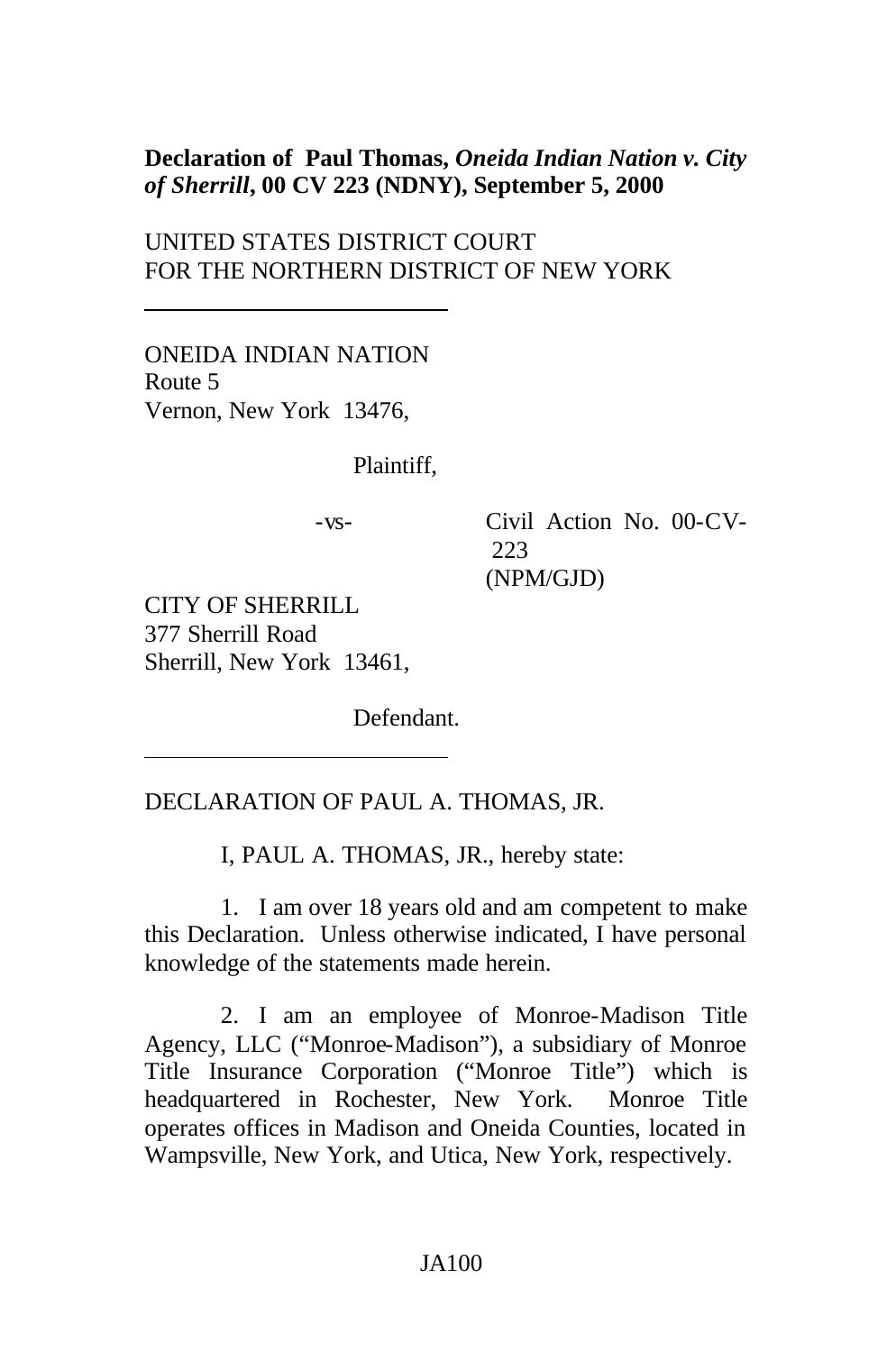### **Declaration of Paul Thomas,** *Oneida Indian Nation v. City of Sherrill***, 00 CV 223 (NDNY), September 5, 2000**

UNITED STATES DISTRICT COURT FOR THE NORTHERN DISTRICT OF NEW YORK

ONEIDA INDIAN NATION Route 5 Vernon, New York 13476,

Plaintiff,

-vs- Civil Action No. 00-CV-223 (NPM/GJD)

CITY OF SHERRILL 377 Sherrill Road Sherrill, New York 13461,

Defendant.

#### DECLARATION OF PAUL A. THOMAS, JR.

I, PAUL A. THOMAS, JR., hereby state:

1. I am over 18 years old and am competent to make this Declaration. Unless otherwise indicated, I have personal knowledge of the statements made herein.

2. I am an employee of Monroe-Madison Title Agency, LLC ("Monroe-Madison"), a subsidiary of Monroe Title Insurance Corporation ("Monroe Title") which is headquartered in Rochester, New York. Monroe Title operates offices in Madison and Oneida Counties, located in Wampsville, New York, and Utica, New York, respectively.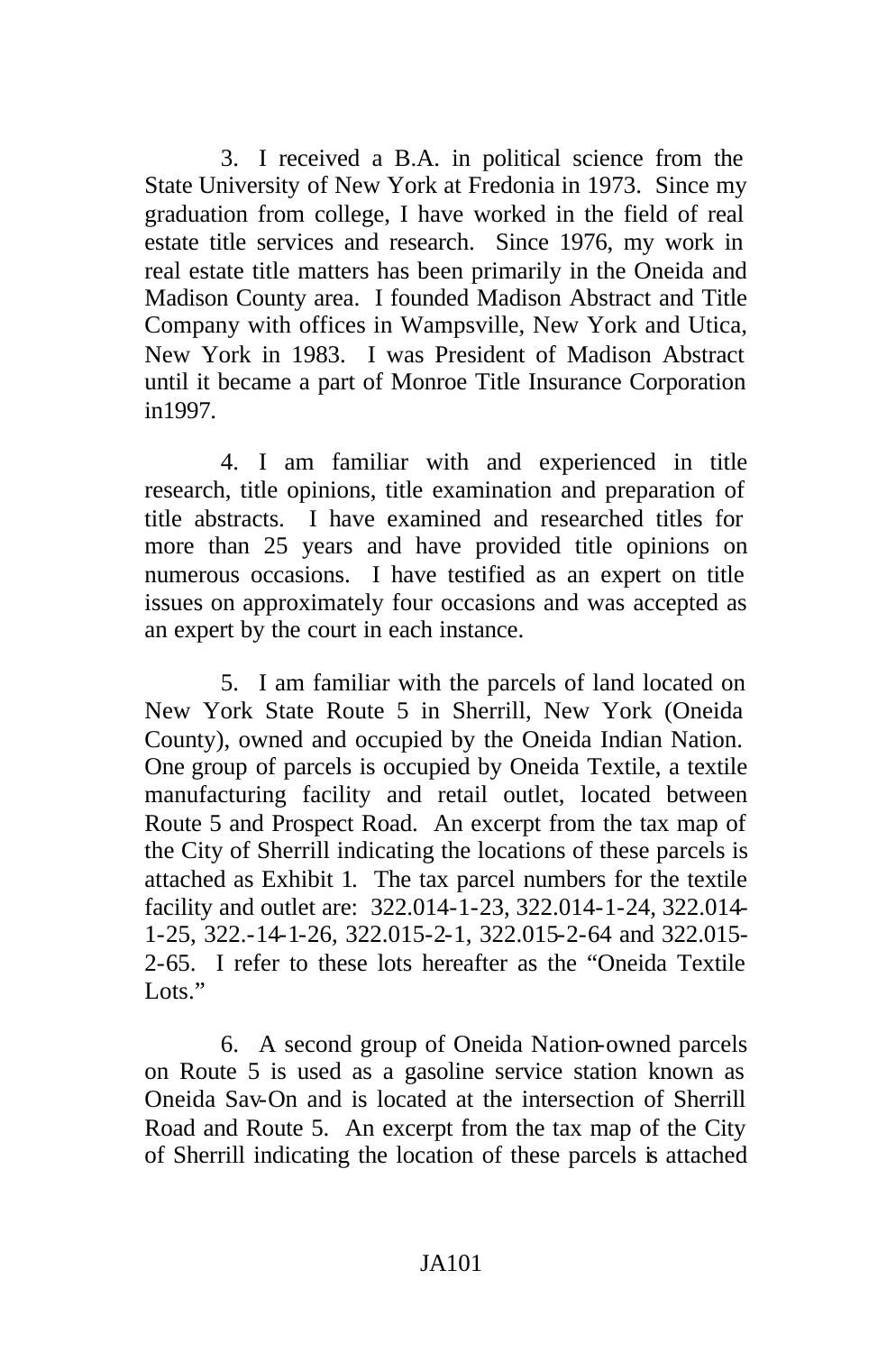3. I received a B.A. in political science from the State University of New York at Fredonia in 1973. Since my graduation from college, I have worked in the field of real estate title services and research. Since 1976, my work in real estate title matters has been primarily in the Oneida and Madison County area. I founded Madison Abstract and Title Company with offices in Wampsville, New York and Utica, New York in 1983. I was President of Madison Abstract until it became a part of Monroe Title Insurance Corporation in1997.

4. I am familiar with and experienced in title research, title opinions, title examination and preparation of title abstracts. I have examined and researched titles for more than 25 years and have provided title opinions on numerous occasions. I have testified as an expert on title issues on approximately four occasions and was accepted as an expert by the court in each instance.

5. I am familiar with the parcels of land located on New York State Route 5 in Sherrill, New York (Oneida County), owned and occupied by the Oneida Indian Nation. One group of parcels is occupied by Oneida Textile, a textile manufacturing facility and retail outlet, located between Route 5 and Prospect Road. An excerpt from the tax map of the City of Sherrill indicating the locations of these parcels is attached as Exhibit 1. The tax parcel numbers for the textile facility and outlet are: 322.014-1-23, 322.014-1-24, 322.014- 1-25, 322.-14-1-26, 322.015-2-1, 322.015-2-64 and 322.015- 2-65. I refer to these lots hereafter as the "Oneida Textile Lots<sup>"</sup>

6. A second group of Oneida Nation-owned parcels on Route 5 is used as a gasoline service station known as Oneida Sav-On and is located at the intersection of Sherrill Road and Route 5. An excerpt from the tax map of the City of Sherrill indicating the location of these parcels is attached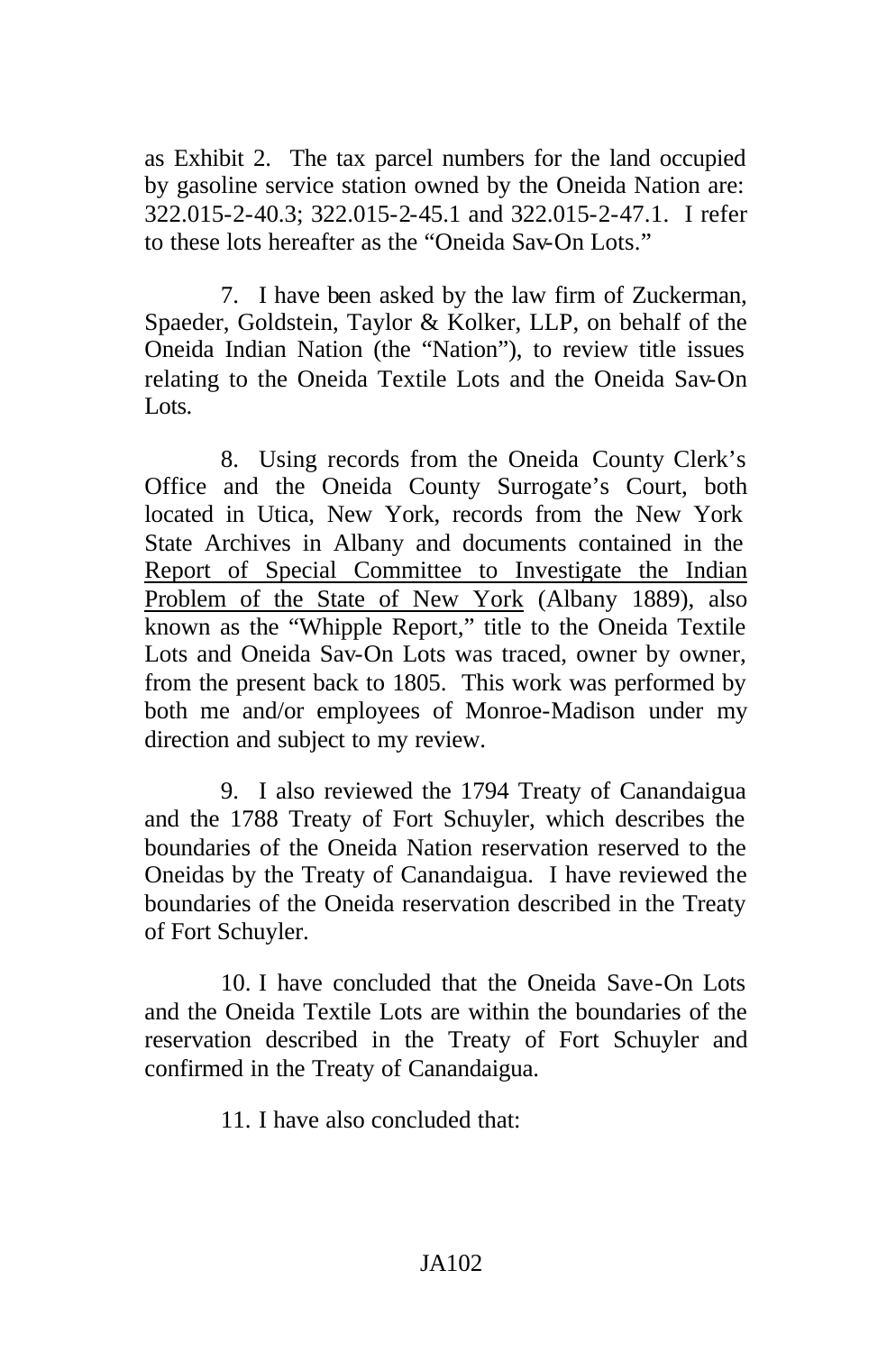as Exhibit 2. The tax parcel numbers for the land occupied by gasoline service station owned by the Oneida Nation are: 322.015-2-40.3; 322.015-2-45.1 and 322.015-2-47.1. I refer to these lots hereafter as the "Oneida Sav-On Lots."

7. I have been asked by the law firm of Zuckerman, Spaeder, Goldstein, Taylor & Kolker, LLP, on behalf of the Oneida Indian Nation (the "Nation"), to review title issues relating to the Oneida Textile Lots and the Oneida Sav-On Lots.

8. Using records from the Oneida County Clerk's Office and the Oneida County Surrogate's Court, both located in Utica, New York, records from the New York State Archives in Albany and documents contained in the Report of Special Committee to Investigate the Indian Problem of the State of New York (Albany 1889), also known as the "Whipple Report," title to the Oneida Textile Lots and Oneida Sav-On Lots was traced, owner by owner, from the present back to 1805. This work was performed by both me and/or employees of Monroe-Madison under my direction and subject to my review.

9. I also reviewed the 1794 Treaty of Canandaigua and the 1788 Treaty of Fort Schuyler, which describes the boundaries of the Oneida Nation reservation reserved to the Oneidas by the Treaty of Canandaigua. I have reviewed the boundaries of the Oneida reservation described in the Treaty of Fort Schuyler.

10. I have concluded that the Oneida Save-On Lots and the Oneida Textile Lots are within the boundaries of the reservation described in the Treaty of Fort Schuyler and confirmed in the Treaty of Canandaigua.

11. I have also concluded that: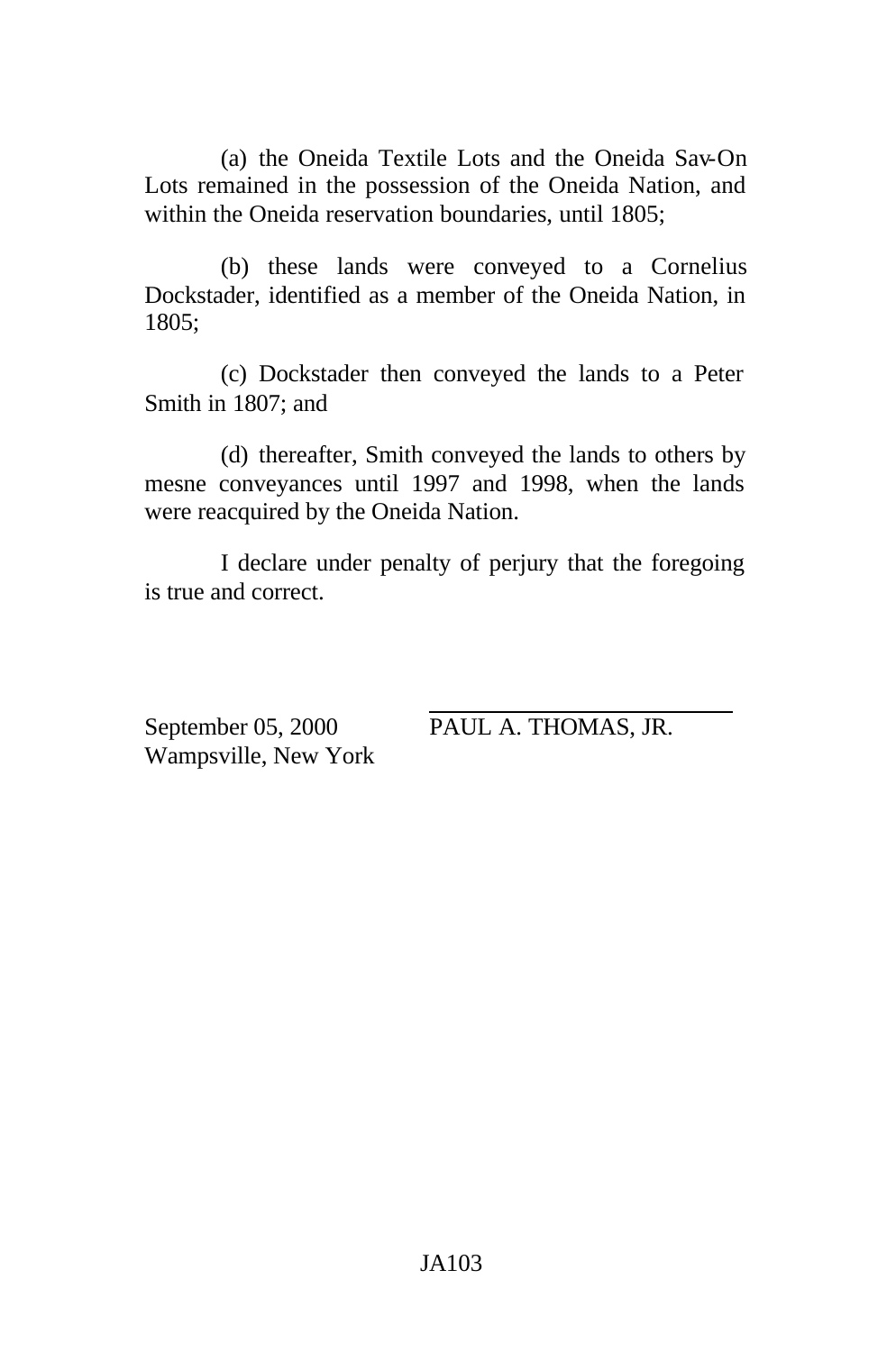(a) the Oneida Textile Lots and the Oneida Sav-On Lots remained in the possession of the Oneida Nation, and within the Oneida reservation boundaries, until 1805;

(b) these lands were conveyed to a Cornelius Dockstader, identified as a member of the Oneida Nation, in 1805;

(c) Dockstader then conveyed the lands to a Peter Smith in 1807; and

(d) thereafter, Smith conveyed the lands to others by mesne conveyances until 1997 and 1998, when the lands were reacquired by the Oneida Nation.

I declare under penalty of perjury that the foregoing is true and correct.

September 05, 2000 PAUL A. THOMAS, JR. Wampsville, New York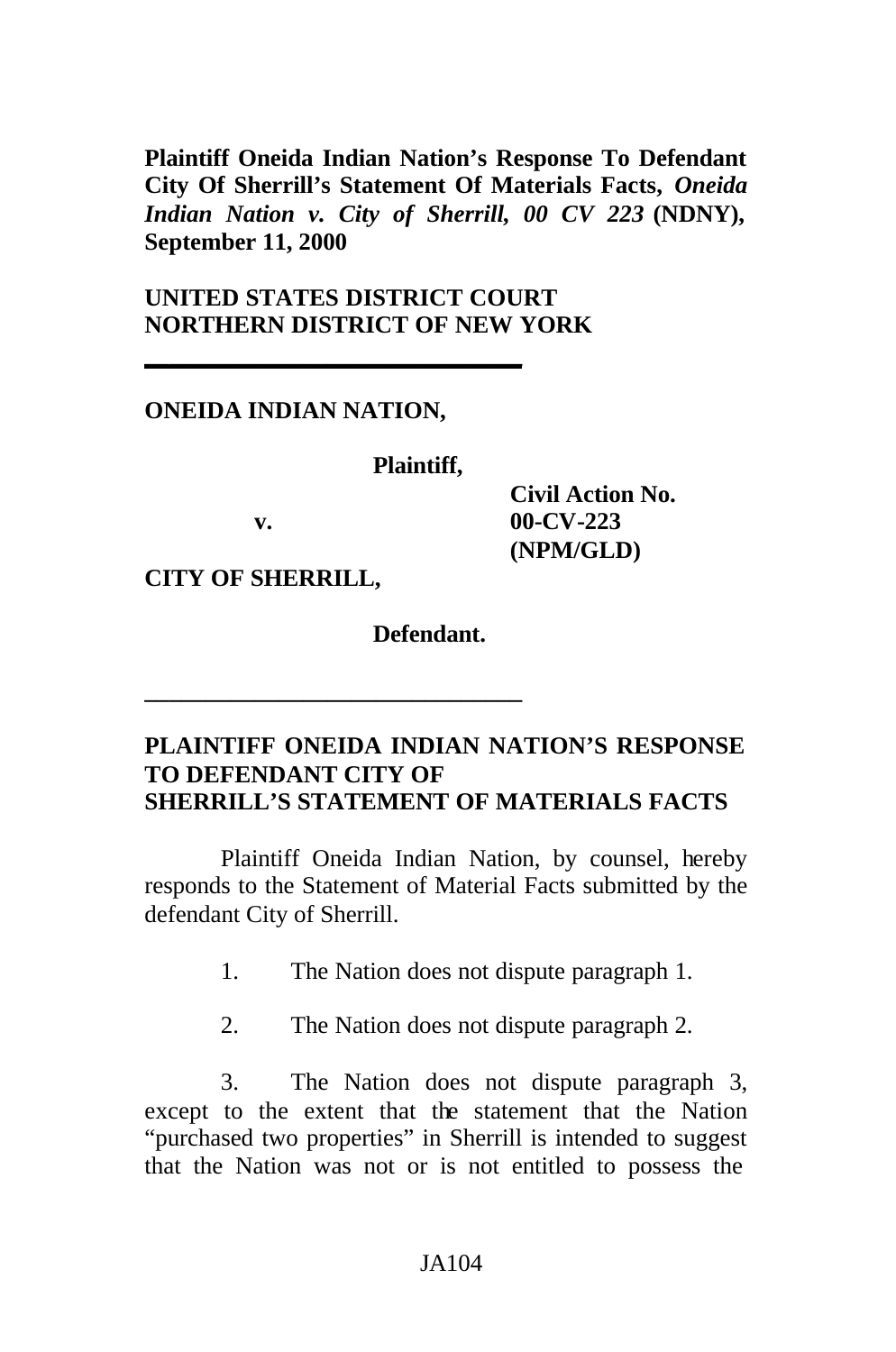**Plaintiff Oneida Indian Nation's Response To Defendant City Of Sherrill's Statement Of Materials Facts,** *Oneida Indian Nation v. City of Sherrill, 00 CV 223* **(NDNY), September 11, 2000**

# **UNITED STATES DISTRICT COURT NORTHERN DISTRICT OF NEW YORK**

**\_\_\_\_\_\_\_\_\_\_\_\_\_\_\_\_\_\_\_\_\_\_\_\_\_\_\_\_\_\_\_**

**\_\_\_\_\_\_\_\_\_\_\_\_\_\_\_\_\_\_\_\_\_\_\_\_\_\_\_\_\_\_\_**

### **ONEIDA INDIAN NATION,**

#### **Plaintiff,**

**Civil Action No. v. 00-CV-223 (NPM/GLD)**

**CITY OF SHERRILL,**

**Defendant.**

### **PLAINTIFF ONEIDA INDIAN NATION'S RESPONSE TO DEFENDANT CITY OF SHERRILL'S STATEMENT OF MATERIALS FACTS**

Plaintiff Oneida Indian Nation, by counsel, hereby responds to the Statement of Material Facts submitted by the defendant City of Sherrill.

- 1. The Nation does not dispute paragraph 1.
- 2. The Nation does not dispute paragraph 2.

3. The Nation does not dispute paragraph 3, except to the extent that the statement that the Nation "purchased two properties" in Sherrill is intended to suggest that the Nation was not or is not entitled to possess the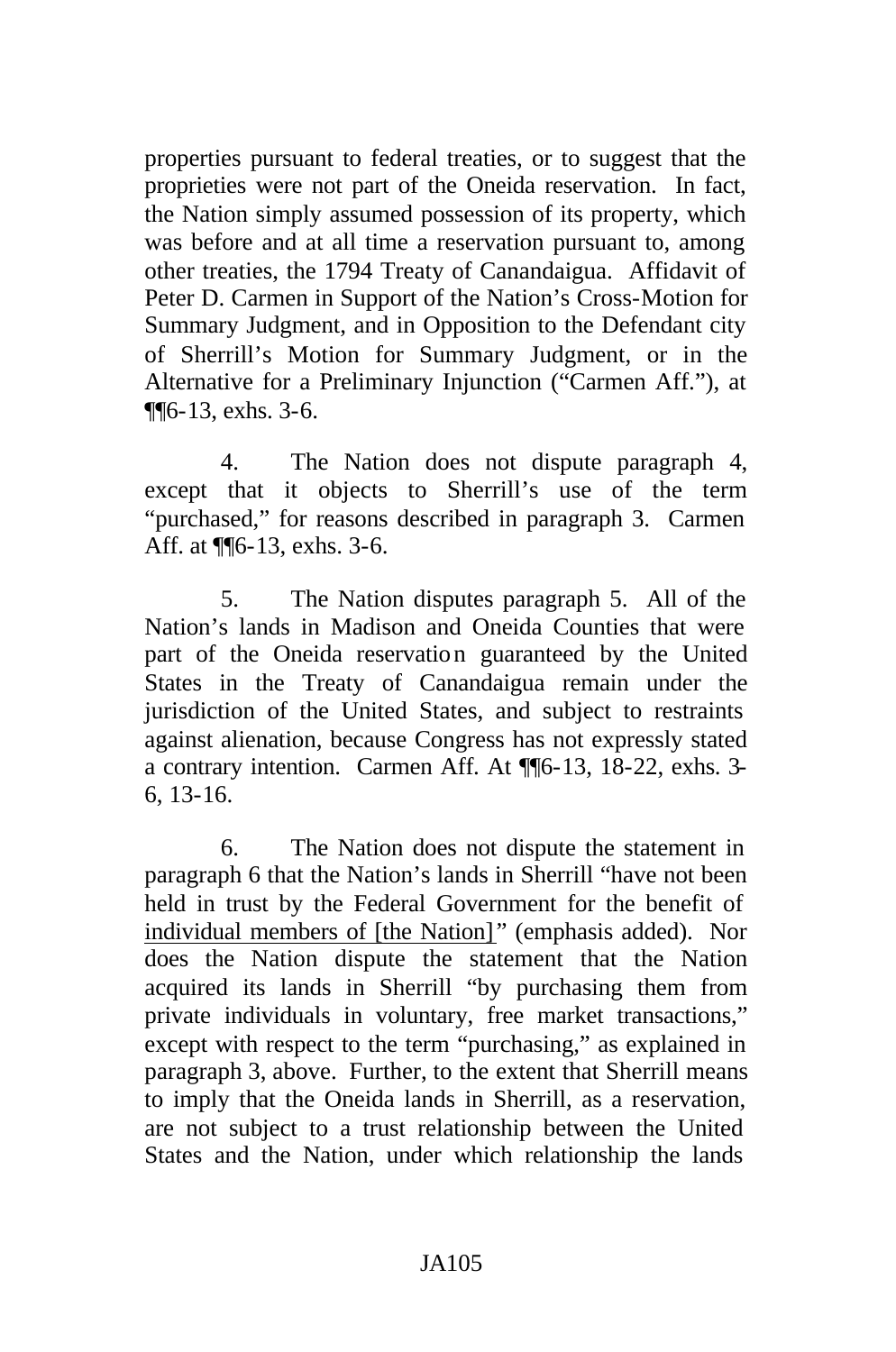properties pursuant to federal treaties, or to suggest that the proprieties were not part of the Oneida reservation. In fact, the Nation simply assumed possession of its property, which was before and at all time a reservation pursuant to, among other treaties, the 1794 Treaty of Canandaigua. Affidavit of Peter D. Carmen in Support of the Nation's Cross-Motion for Summary Judgment, and in Opposition to the Defendant city of Sherrill's Motion for Summary Judgment, or in the Alternative for a Preliminary Injunction ("Carmen Aff."), at ¶¶6-13, exhs. 3-6.

4. The Nation does not dispute paragraph 4, except that it objects to Sherrill's use of the term "purchased," for reasons described in paragraph 3. Carmen Aff. at ¶¶6-13, exhs. 3-6.

5. The Nation disputes paragraph 5. All of the Nation's lands in Madison and Oneida Counties that were part of the Oneida reservation guaranteed by the United States in the Treaty of Canandaigua remain under the jurisdiction of the United States, and subject to restraints against alienation, because Congress has not expressly stated a contrary intention. Carmen Aff. At ¶¶6-13, 18-22, exhs. 3- 6, 13-16.

6. The Nation does not dispute the statement in paragraph 6 that the Nation's lands in Sherrill "have not been held in trust by the Federal Government for the benefit of individual members of [the Nation]" (emphasis added). Nor does the Nation dispute the statement that the Nation acquired its lands in Sherrill "by purchasing them from private individuals in voluntary, free market transactions," except with respect to the term "purchasing," as explained in paragraph 3, above. Further, to the extent that Sherrill means to imply that the Oneida lands in Sherrill, as a reservation, are not subject to a trust relationship between the United States and the Nation, under which relationship the lands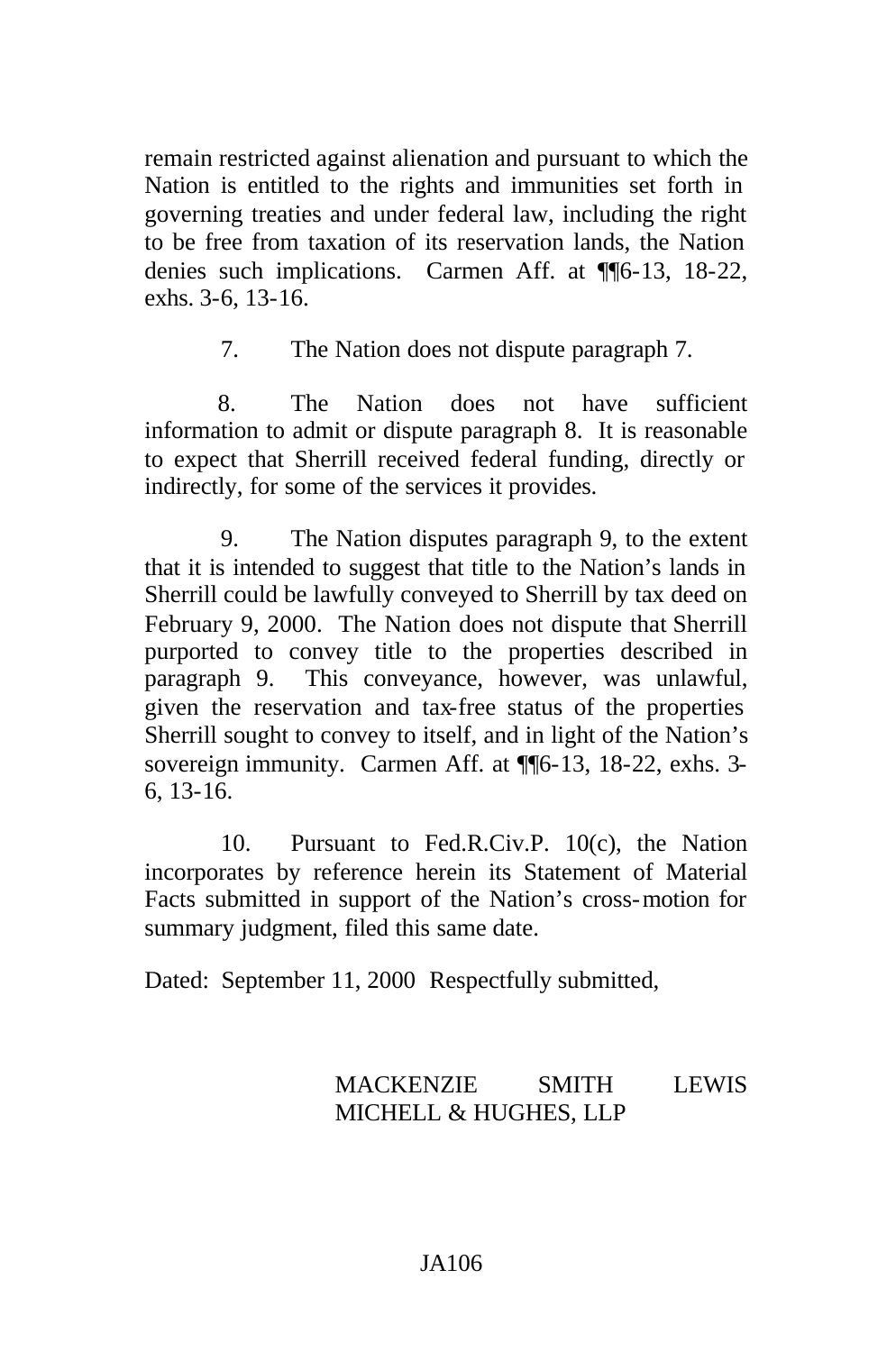remain restricted against alienation and pursuant to which the Nation is entitled to the rights and immunities set forth in governing treaties and under federal law, including the right to be free from taxation of its reservation lands, the Nation denies such implications. Carmen Aff. at ¶¶6-13, 18-22, exhs. 3-6, 13-16.

7. The Nation does not dispute paragraph 7.

8. The Nation does not have sufficient information to admit or dispute paragraph 8. It is reasonable to expect that Sherrill received federal funding, directly or indirectly, for some of the services it provides.

9. The Nation disputes paragraph 9, to the extent that it is intended to suggest that title to the Nation's lands in Sherrill could be lawfully conveyed to Sherrill by tax deed on February 9, 2000. The Nation does not dispute that Sherrill purported to convey title to the properties described in paragraph 9. This conveyance, however, was unlawful, given the reservation and tax-free status of the properties Sherrill sought to convey to itself, and in light of the Nation's sovereign immunity. Carmen Aff. at  $\P$ [6-13, 18-22, exhs. 3-6, 13-16.

10. Pursuant to Fed.R.Civ.P. 10(c), the Nation incorporates by reference herein its Statement of Material Facts submitted in support of the Nation's cross-motion for summary judgment, filed this same date.

Dated: September 11, 2000 Respectfully submitted,

# MACKENZIE SMITH LEWIS MICHELL & HUGHES, LLP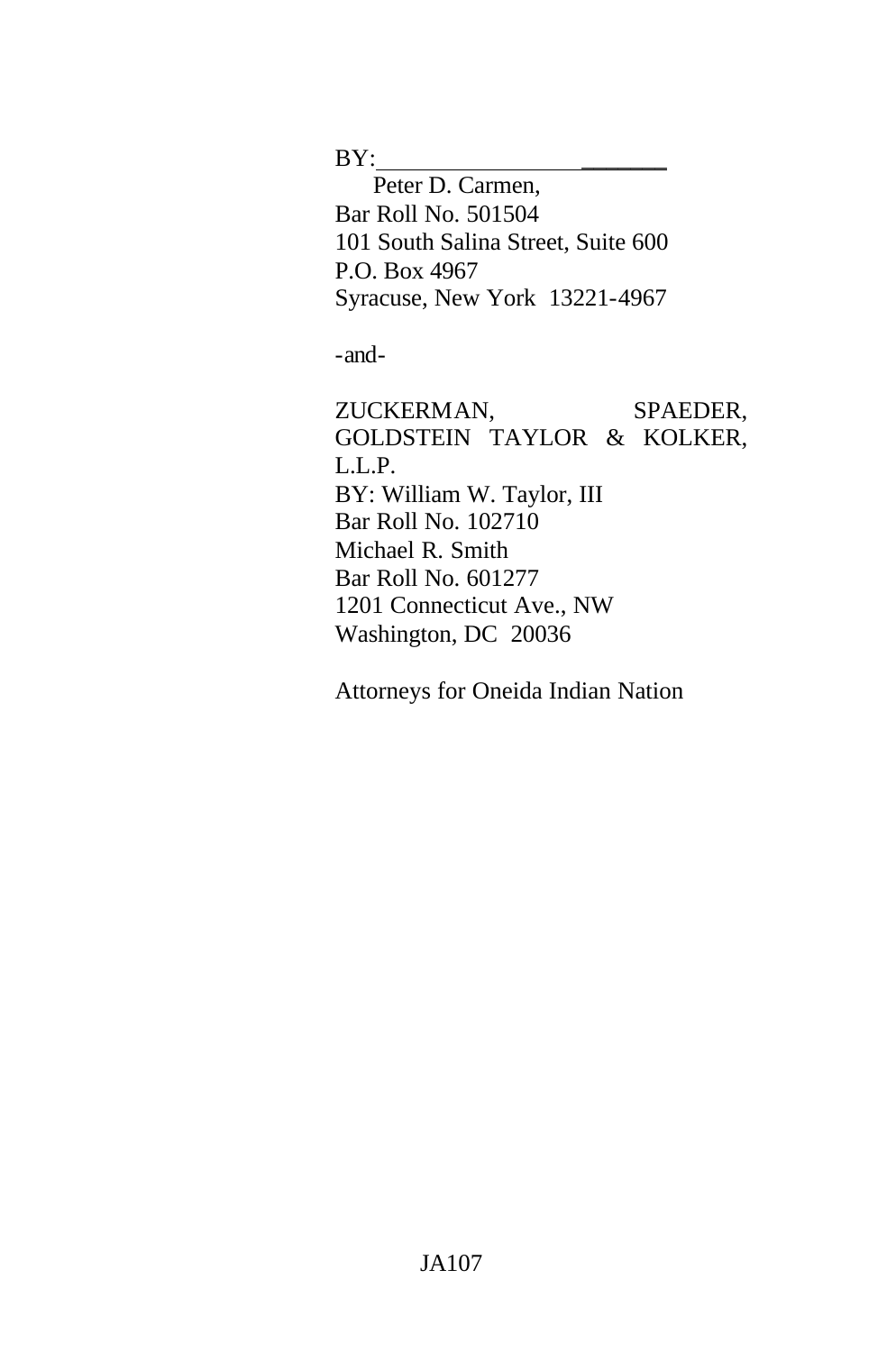$BY:$ 

Peter D. Carmen, Bar Roll No. 501504 101 South Salina Street, Suite 600 P.O. Box 4967 Syracuse, New York 13221-4967

-and-

ZUCKERMAN, SPAEDER, GOLDSTEIN TAYLOR & KOLKER, L.L.P. BY: William W. Taylor, III Bar Roll No. 102710 Michael R. Smith Bar Roll No. 601277 1201 Connecticut Ave., NW Washington, DC 20036

Attorneys for Oneida Indian Nation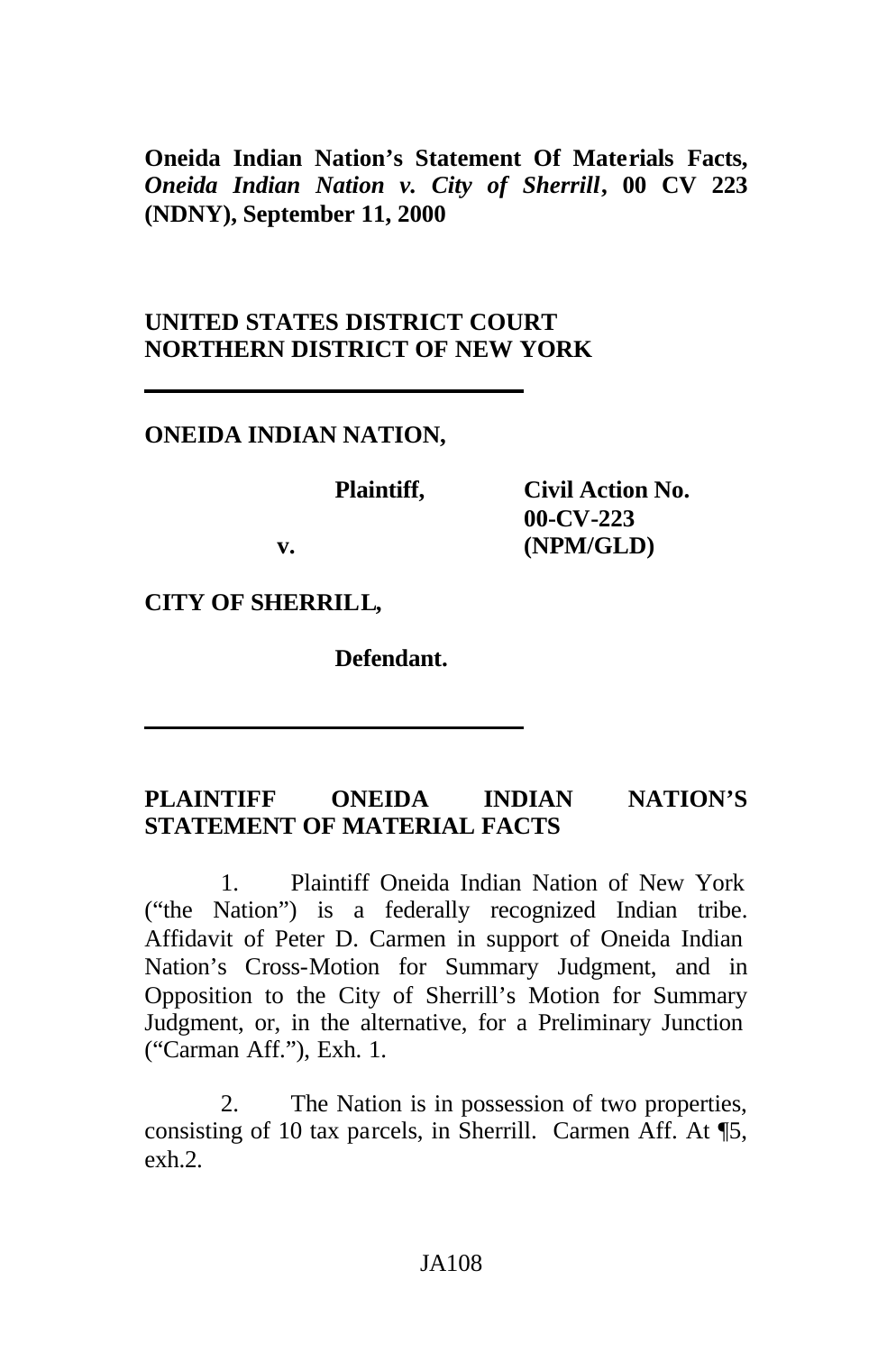**Oneida Indian Nation's Statement Of Materials Facts,** *Oneida Indian Nation v. City of Sherrill***, 00 CV 223 (NDNY), September 11, 2000**

### **UNITED STATES DISTRICT COURT NORTHERN DISTRICT OF NEW YORK**

### **ONEIDA INDIAN NATION,**

| Plaintiff, | <b>Civil Action No.</b> |
|------------|-------------------------|
|            | $00$ -CV-223            |
| v.         | (NPM/GLD)               |

**CITY OF SHERRILL,**

**Defendant.**

# **PLAINTIFF ONEIDA INDIAN NATION'S STATEMENT OF MATERIAL FACTS**

1. Plaintiff Oneida Indian Nation of New York ("the Nation") is a federally recognized Indian tribe. Affidavit of Peter D. Carmen in support of Oneida Indian Nation's Cross-Motion for Summary Judgment, and in Opposition to the City of Sherrill's Motion for Summary Judgment, or, in the alternative, for a Preliminary Junction ("Carman Aff."), Exh. 1.

2. The Nation is in possession of two properties, consisting of 10 tax parcels, in Sherrill. Carmen Aff. At ¶5, exh<sub>2</sub>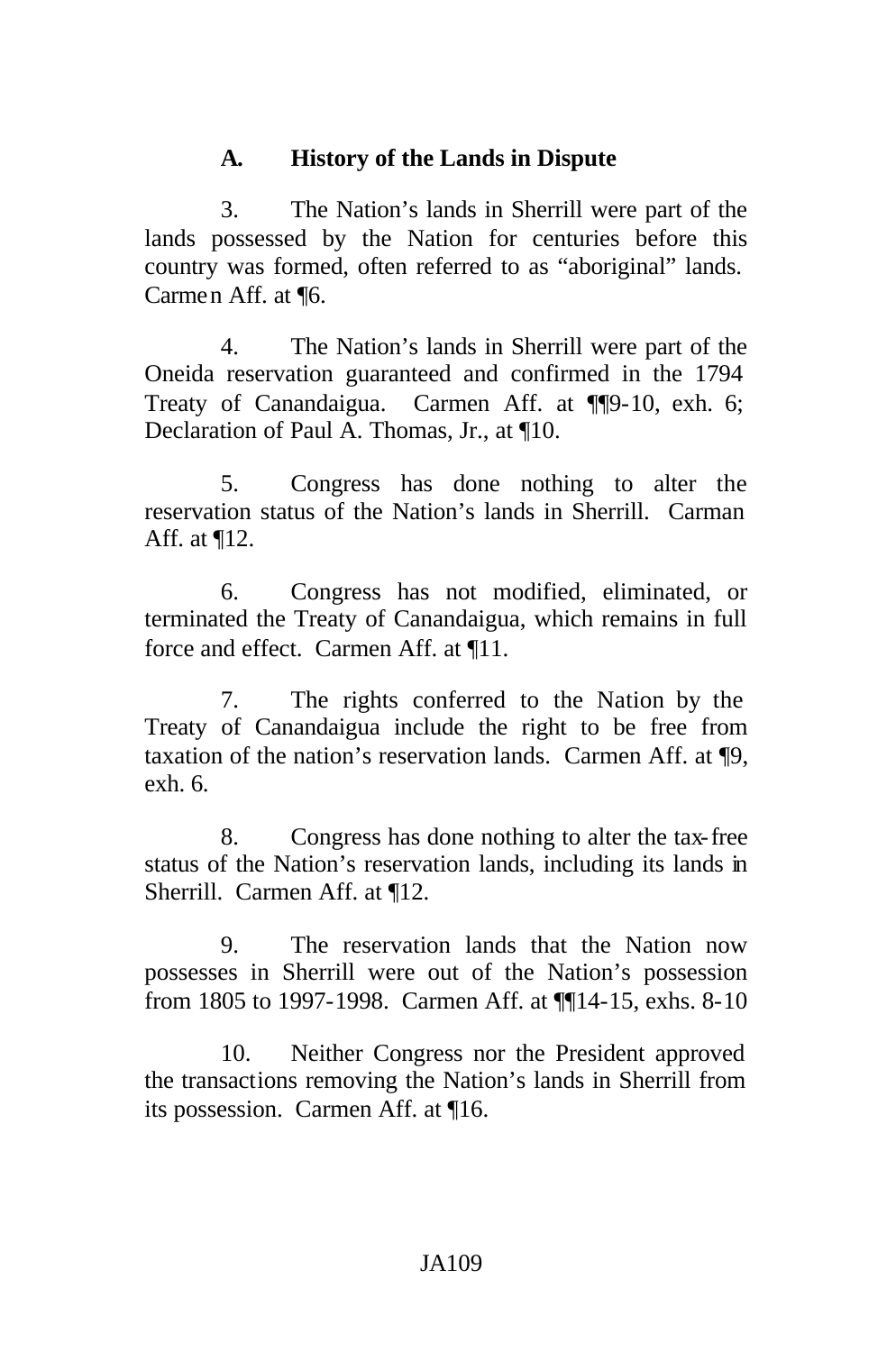# **A. History of the Lands in Dispute**

3. The Nation's lands in Sherrill were part of the lands possessed by the Nation for centuries before this country was formed, often referred to as "aboriginal" lands. Carmen Aff. at ¶6.

4. The Nation's lands in Sherrill were part of the Oneida reservation guaranteed and confirmed in the 1794 Treaty of Canandaigua. Carmen Aff. at ¶¶9-10, exh. 6; Declaration of Paul A. Thomas, Jr., at ¶10.

5. Congress has done nothing to alter the reservation status of the Nation's lands in Sherrill. Carman Aff. at ¶12.

6. Congress has not modified, eliminated, or terminated the Treaty of Canandaigua, which remains in full force and effect. Carmen Aff. at ¶11.

7. The rights conferred to the Nation by the Treaty of Canandaigua include the right to be free from taxation of the nation's reservation lands. Carmen Aff. at ¶9, exh. 6.

8. Congress has done nothing to alter the tax-free status of the Nation's reservation lands, including its lands in Sherrill. Carmen Aff. at ¶12.

9. The reservation lands that the Nation now possesses in Sherrill were out of the Nation's possession from 1805 to 1997-1998. Carmen Aff. at ¶¶14-15, exhs. 8-10

10. Neither Congress nor the President approved the transactions removing the Nation's lands in Sherrill from its possession. Carmen Aff. at ¶16.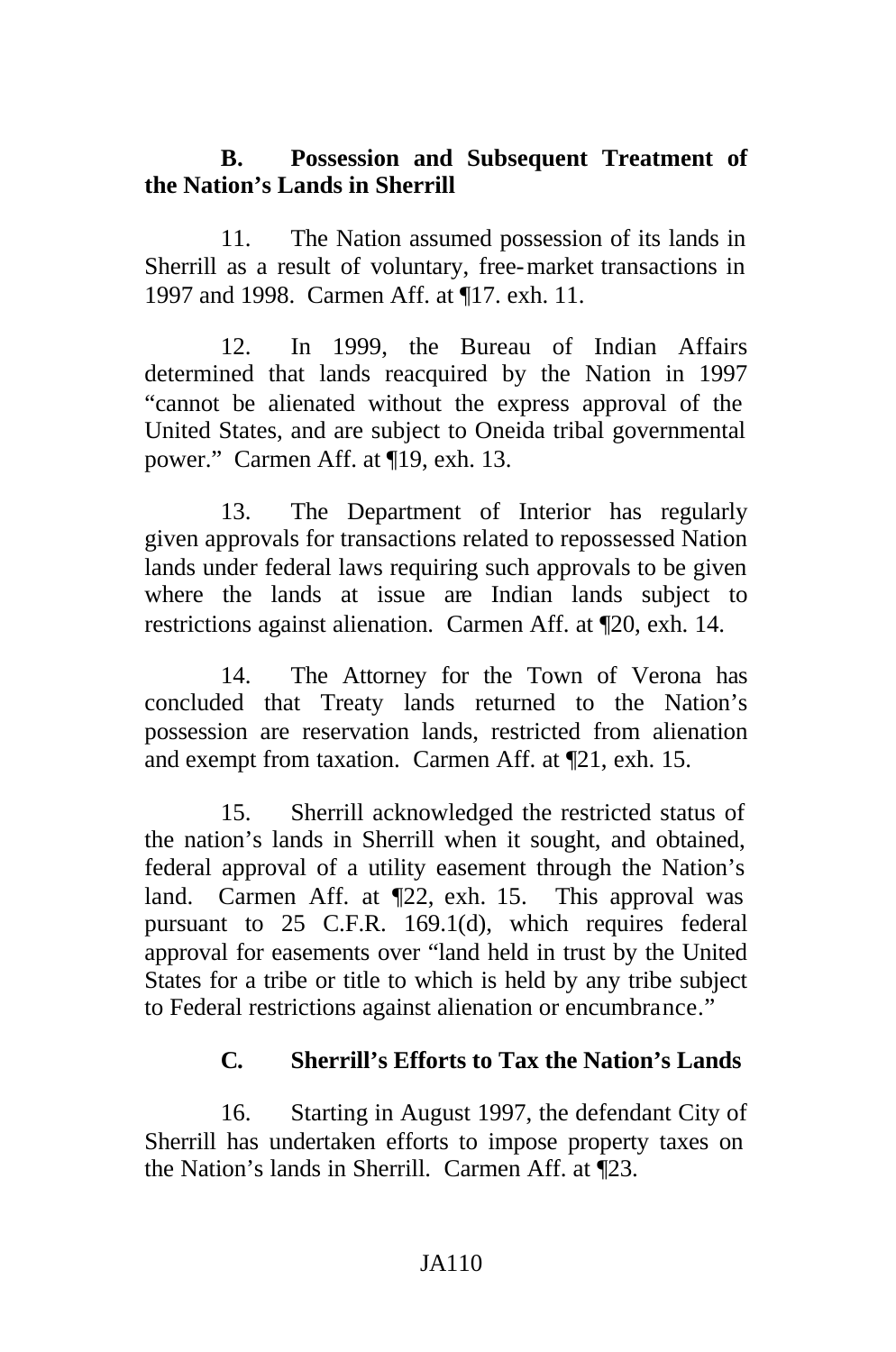# **B. Possession and Subsequent Treatment of the Nation's Lands in Sherrill**

11. The Nation assumed possession of its lands in Sherrill as a result of voluntary, free-market transactions in 1997 and 1998. Carmen Aff. at ¶17. exh. 11.

12. In 1999, the Bureau of Indian Affairs determined that lands reacquired by the Nation in 1997 "cannot be alienated without the express approval of the United States, and are subject to Oneida tribal governmental power." Carmen Aff. at ¶19, exh. 13.

13. The Department of Interior has regularly given approvals for transactions related to repossessed Nation lands under federal laws requiring such approvals to be given where the lands at issue are Indian lands subject to restrictions against alienation. Carmen Aff. at ¶20, exh. 14.

14. The Attorney for the Town of Verona has concluded that Treaty lands returned to the Nation's possession are reservation lands, restricted from alienation and exempt from taxation. Carmen Aff. at ¶21, exh. 15.

15. Sherrill acknowledged the restricted status of the nation's lands in Sherrill when it sought, and obtained, federal approval of a utility easement through the Nation's land. Carmen Aff. at  $\P$ 22, exh. 15. This approval was pursuant to 25 C.F.R. 169.1(d), which requires federal approval for easements over "land held in trust by the United States for a tribe or title to which is held by any tribe subject to Federal restrictions against alienation or encumbrance."

### **C. Sherrill's Efforts to Tax the Nation's Lands**

16. Starting in August 1997, the defendant City of Sherrill has undertaken efforts to impose property taxes on the Nation's lands in Sherrill. Carmen Aff. at ¶23.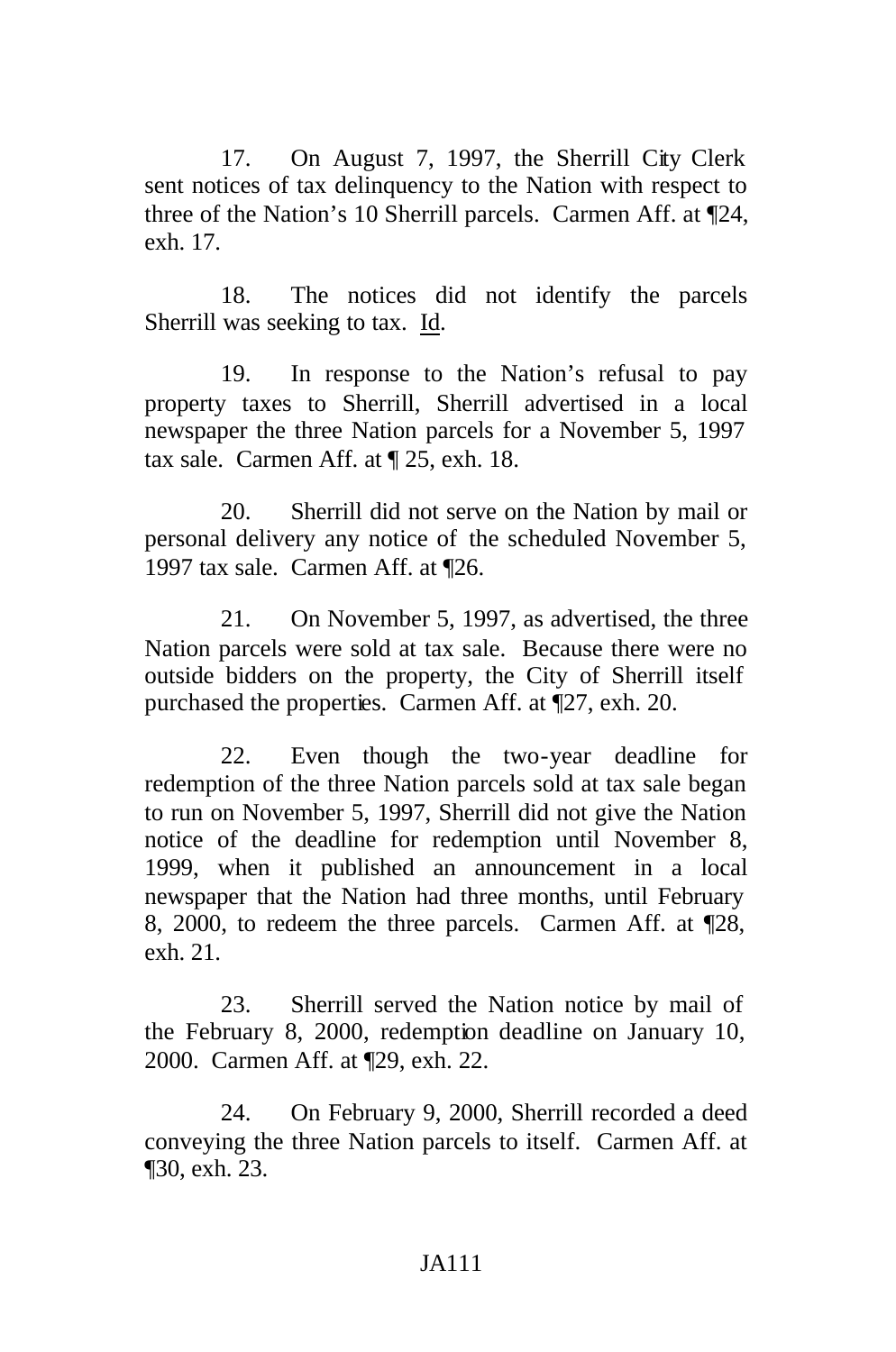17. On August 7, 1997, the Sherrill City Clerk sent notices of tax delinquency to the Nation with respect to three of the Nation's 10 Sherrill parcels. Carmen Aff. at ¶24, exh. 17.

18. The notices did not identify the parcels Sherrill was seeking to tax. Id.

19. In response to the Nation's refusal to pay property taxes to Sherrill, Sherrill advertised in a local newspaper the three Nation parcels for a November 5, 1997 tax sale. Carmen Aff. at ¶ 25, exh. 18.

20. Sherrill did not serve on the Nation by mail or personal delivery any notice of the scheduled November 5, 1997 tax sale. Carmen Aff. at ¶26.

21. On November 5, 1997, as advertised, the three Nation parcels were sold at tax sale. Because there were no outside bidders on the property, the City of Sherrill itself purchased the properties. Carmen Aff. at ¶27, exh. 20.

22. Even though the two-year deadline for redemption of the three Nation parcels sold at tax sale began to run on November 5, 1997, Sherrill did not give the Nation notice of the deadline for redemption until November 8, 1999, when it published an announcement in a local newspaper that the Nation had three months, until February 8, 2000, to redeem the three parcels. Carmen Aff. at ¶28, exh. 21.

23. Sherrill served the Nation notice by mail of the February 8, 2000, redemption deadline on January 10, 2000. Carmen Aff. at ¶29, exh. 22.

24. On February 9, 2000, Sherrill recorded a deed conveying the three Nation parcels to itself. Carmen Aff. at ¶30, exh. 23.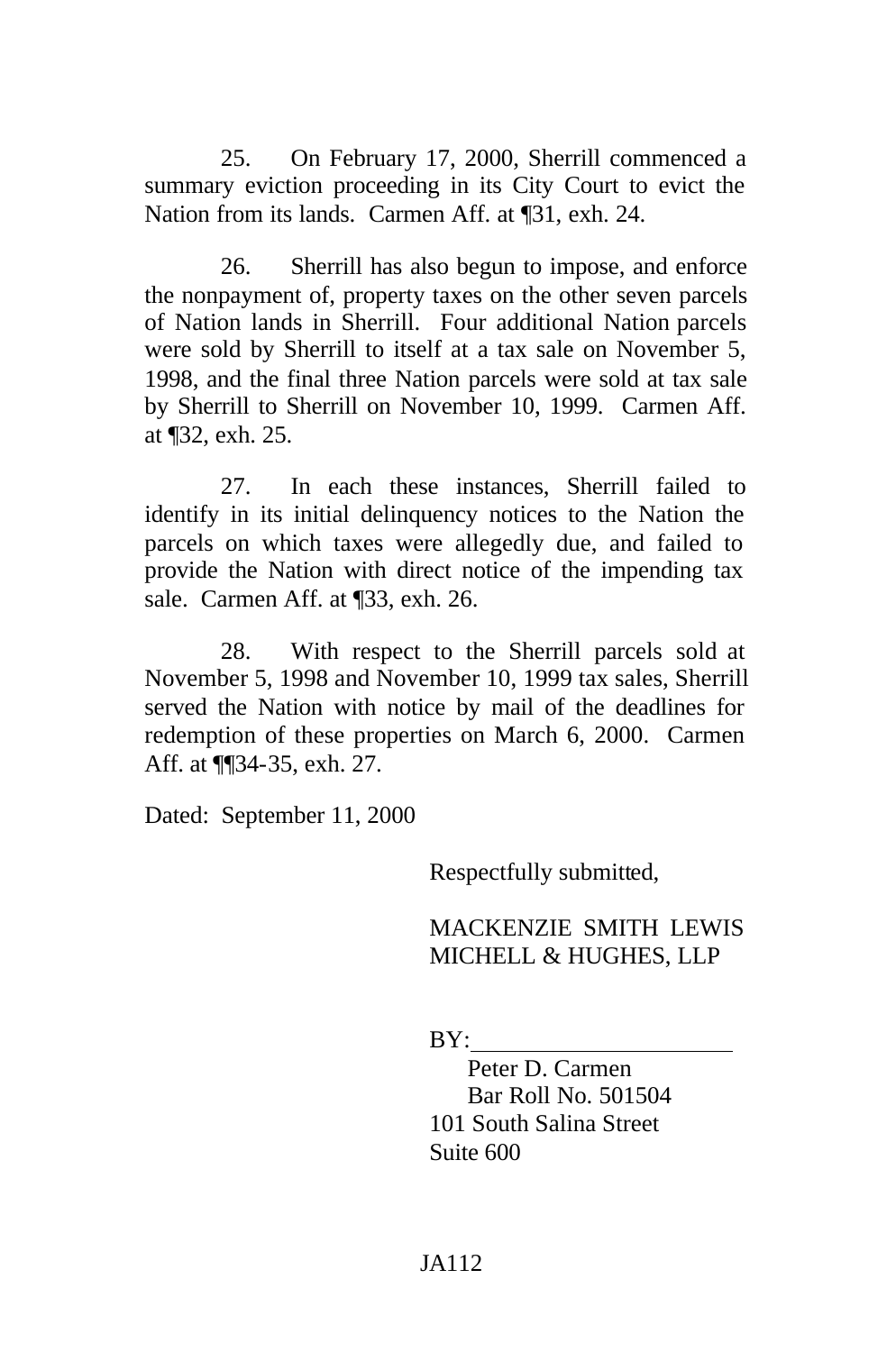25. On February 17, 2000, Sherrill commenced a summary eviction proceeding in its City Court to evict the Nation from its lands. Carmen Aff. at ¶31, exh. 24.

26. Sherrill has also begun to impose, and enforce the nonpayment of, property taxes on the other seven parcels of Nation lands in Sherrill. Four additional Nation parcels were sold by Sherrill to itself at a tax sale on November 5, 1998, and the final three Nation parcels were sold at tax sale by Sherrill to Sherrill on November 10, 1999. Carmen Aff. at ¶32, exh. 25.

27. In each these instances, Sherrill failed to identify in its initial delinquency notices to the Nation the parcels on which taxes were allegedly due, and failed to provide the Nation with direct notice of the impending tax sale. Carmen Aff. at ¶33, exh. 26.

28. With respect to the Sherrill parcels sold at November 5, 1998 and November 10, 1999 tax sales, Sherrill served the Nation with notice by mail of the deadlines for redemption of these properties on March 6, 2000. Carmen Aff. at ¶¶34-35, exh. 27.

Dated: September 11, 2000

Respectfully submitted,

### MACKENZIE SMITH LEWIS MICHELL & HUGHES, LLP

BY:

Peter D. Carmen Bar Roll No. 501504 101 South Salina Street Suite 600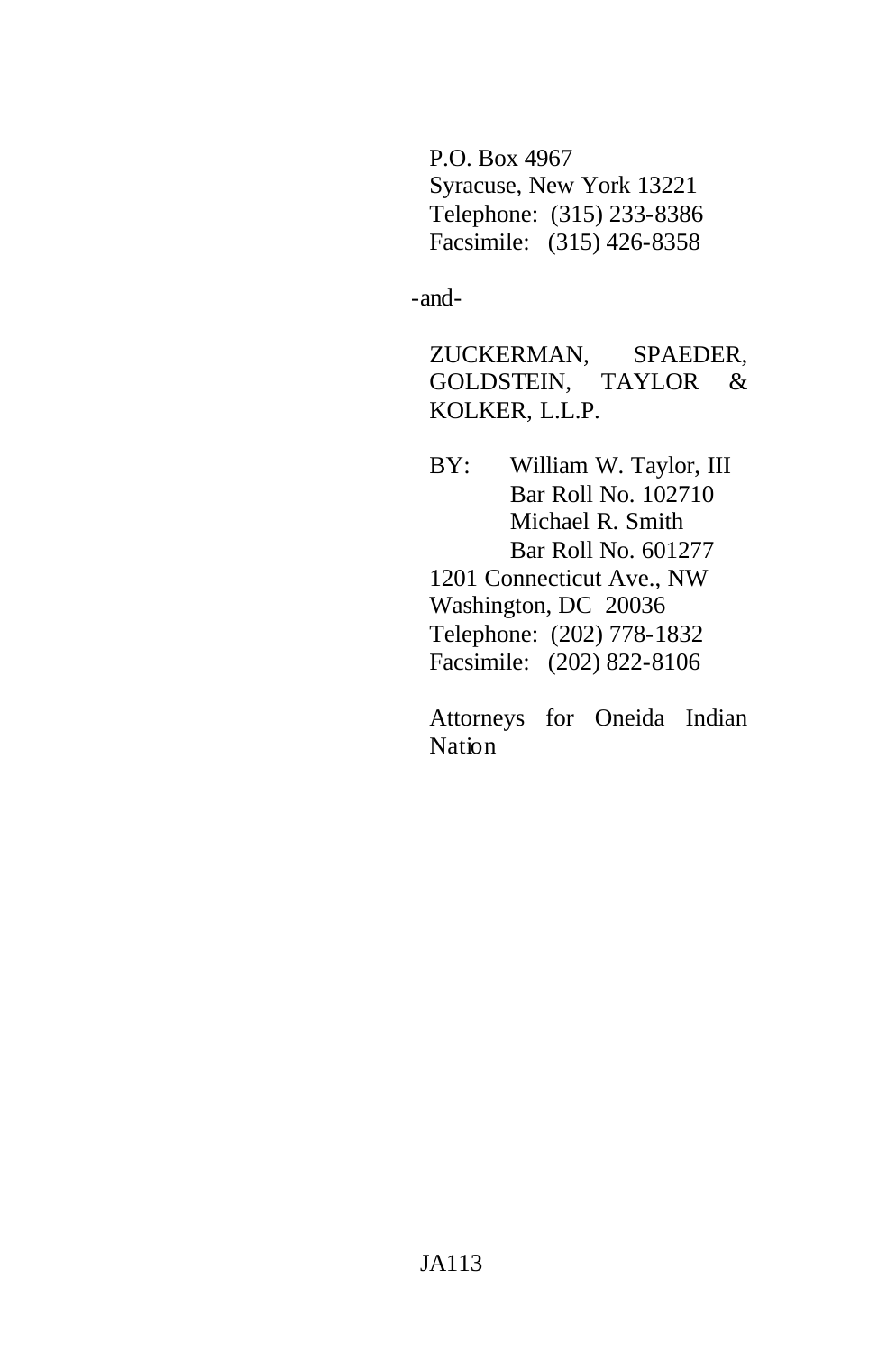P.O. Box 4967 Syracuse, New York 13221 Telephone: (315) 233-8386 Facsimile: (315) 426-8358

-and-

ZUCKERMAN, SPAEDER, GOLDSTEIN, TAYLOR & KOLKER, L.L.P.

BY: William W. Taylor, III Bar Roll No. 102710 Michael R. Smith Bar Roll No. 601277 1201 Connecticut Ave., NW Washington, DC 20036 Telephone: (202) 778-1832 Facsimile: (202) 822-8106

Attorneys for Oneida Indian Nation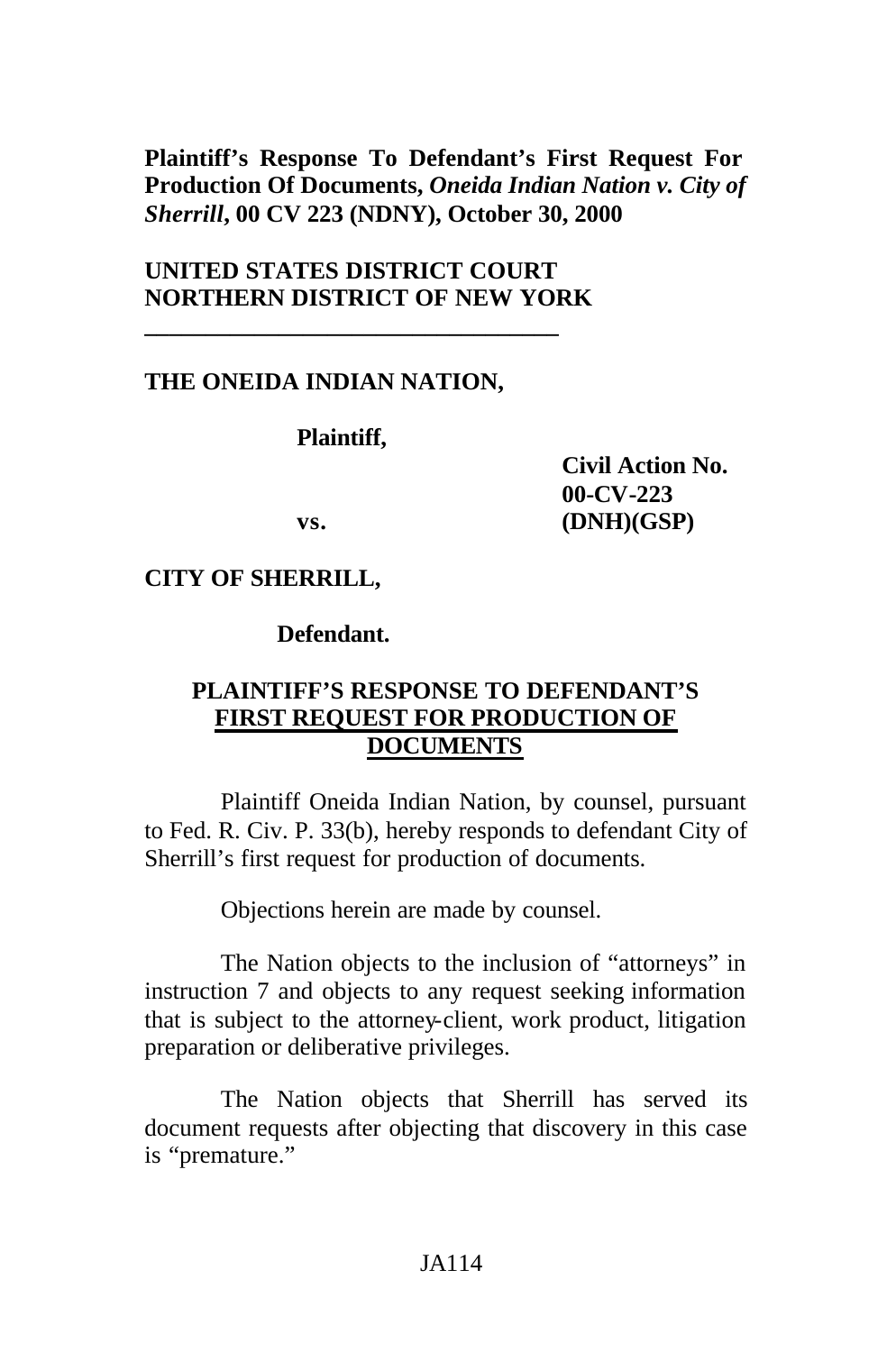**Plaintiff's Response To Defendant's First Request For Production Of Documents,** *Oneida Indian Nation v. City of Sherrill***, 00 CV 223 (NDNY), October 30, 2000**

# **UNITED STATES DISTRICT COURT NORTHERN DISTRICT OF NEW YORK**

**\_\_\_\_\_\_\_\_\_\_\_\_\_\_\_\_\_\_\_\_\_\_\_\_\_\_\_\_\_\_\_\_\_\_**

### **THE ONEIDA INDIAN NATION,**

**Plaintiff,**

**Civil Action No. 00-CV-223 vs. (DNH)(GSP)**

### **CITY OF SHERRILL,**

**Defendant.**

# **PLAINTIFF'S RESPONSE TO DEFENDANT'S FIRST REQUEST FOR PRODUCTION OF DOCUMENTS**

Plaintiff Oneida Indian Nation, by counsel, pursuant to Fed. R. Civ. P. 33(b), hereby responds to defendant City of Sherrill's first request for production of documents.

Objections herein are made by counsel.

The Nation objects to the inclusion of "attorneys" in instruction 7 and objects to any request seeking information that is subject to the attorney-client, work product, litigation preparation or deliberative privileges.

The Nation objects that Sherrill has served its document requests after objecting that discovery in this case is "premature."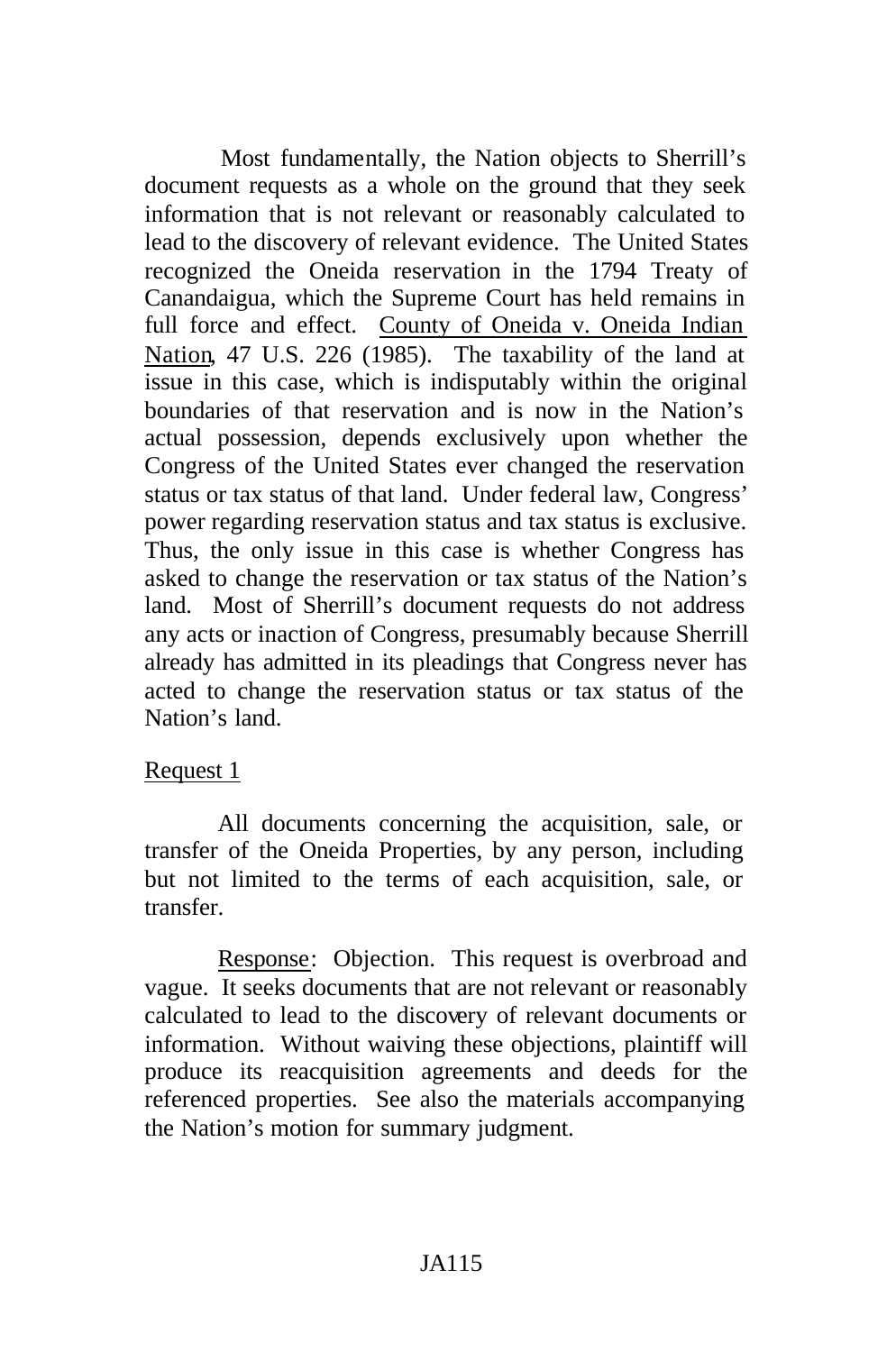Most fundamentally, the Nation objects to Sherrill's document requests as a whole on the ground that they seek information that is not relevant or reasonably calculated to lead to the discovery of relevant evidence. The United States recognized the Oneida reservation in the 1794 Treaty of Canandaigua, which the Supreme Court has held remains in full force and effect. County of Oneida v. Oneida Indian Nation, 47 U.S. 226 (1985). The taxability of the land at issue in this case, which is indisputably within the original boundaries of that reservation and is now in the Nation's actual possession, depends exclusively upon whether the Congress of the United States ever changed the reservation status or tax status of that land. Under federal law, Congress' power regarding reservation status and tax status is exclusive. Thus, the only issue in this case is whether Congress has asked to change the reservation or tax status of the Nation's land. Most of Sherrill's document requests do not address any acts or inaction of Congress, presumably because Sherrill already has admitted in its pleadings that Congress never has acted to change the reservation status or tax status of the Nation's land.

#### Request 1

All documents concerning the acquisition, sale, or transfer of the Oneida Properties, by any person, including but not limited to the terms of each acquisition, sale, or transfer.

Response: Objection. This request is overbroad and vague. It seeks documents that are not relevant or reasonably calculated to lead to the discovery of relevant documents or information. Without waiving these objections, plaintiff will produce its reacquisition agreements and deeds for the referenced properties. See also the materials accompanying the Nation's motion for summary judgment.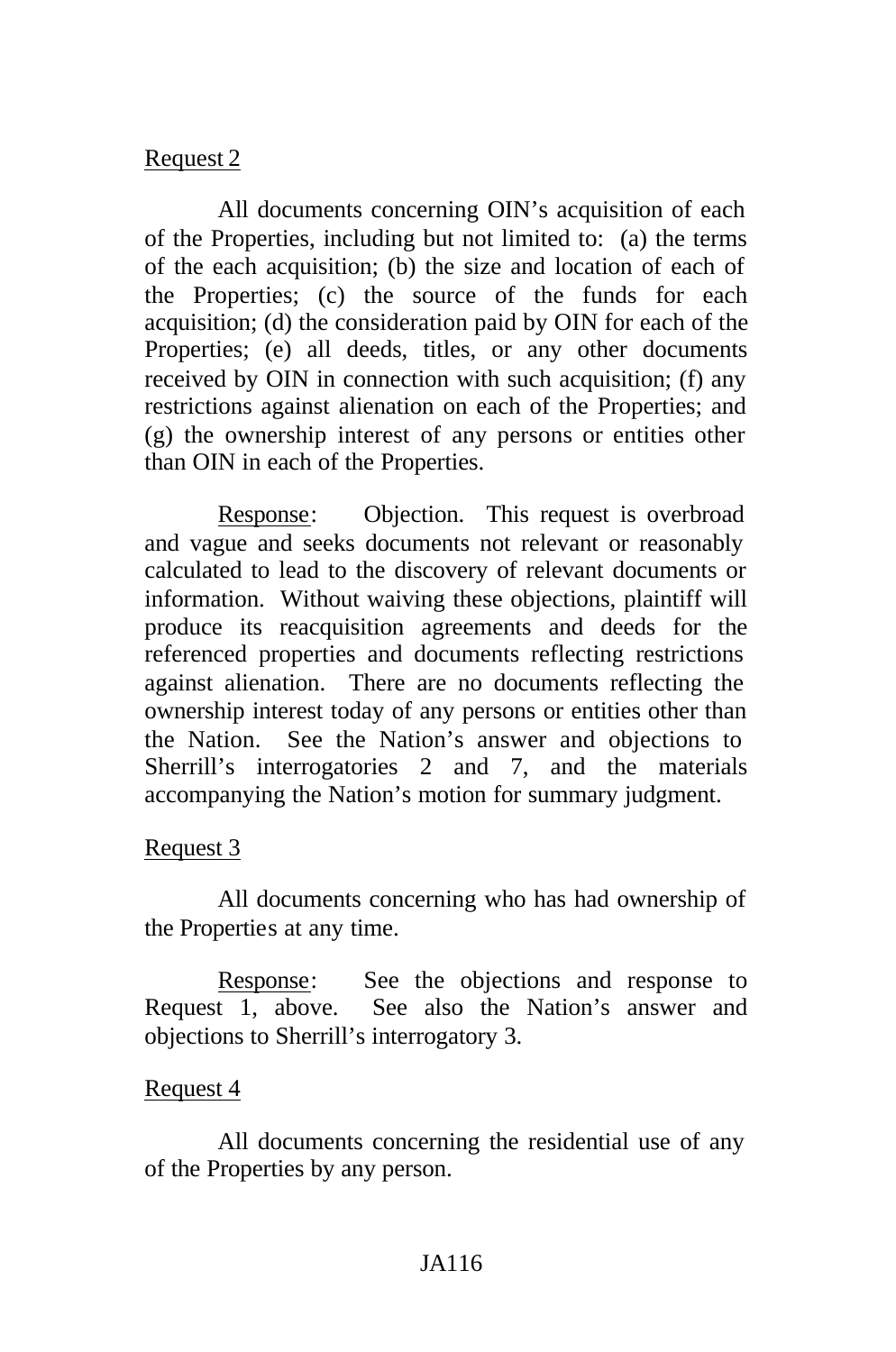## Request 2

All documents concerning OIN's acquisition of each of the Properties, including but not limited to: (a) the terms of the each acquisition; (b) the size and location of each of the Properties; (c) the source of the funds for each acquisition; (d) the consideration paid by OIN for each of the Properties; (e) all deeds, titles, or any other documents received by OIN in connection with such acquisition; (f) any restrictions against alienation on each of the Properties; and (g) the ownership interest of any persons or entities other than OIN in each of the Properties.

Response: Objection. This request is overbroad and vague and seeks documents not relevant or reasonably calculated to lead to the discovery of relevant documents or information. Without waiving these objections, plaintiff will produce its reacquisition agreements and deeds for the referenced properties and documents reflecting restrictions against alienation. There are no documents reflecting the ownership interest today of any persons or entities other than the Nation. See the Nation's answer and objections to Sherrill's interrogatories 2 and 7, and the materials accompanying the Nation's motion for summary judgment.

### Request 3

All documents concerning who has had ownership of the Properties at any time.

Response: See the objections and response to Request 1, above. See also the Nation's answer and objections to Sherrill's interrogatory 3.

### Request 4

All documents concerning the residential use of any of the Properties by any person.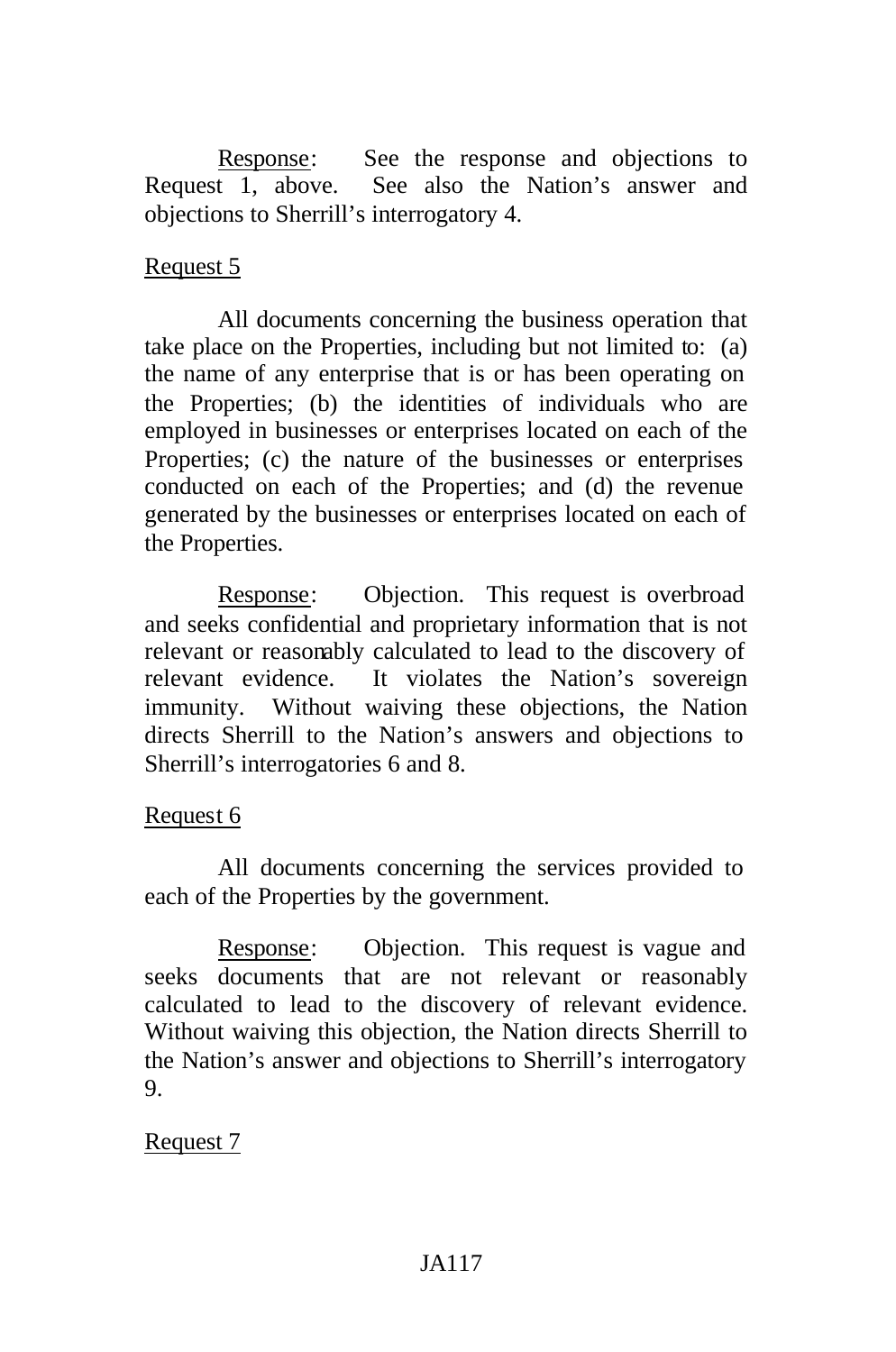Response: See the response and objections to Request 1, above. See also the Nation's answer and objections to Sherrill's interrogatory 4.

# Request 5

All documents concerning the business operation that take place on the Properties, including but not limited to: (a) the name of any enterprise that is or has been operating on the Properties; (b) the identities of individuals who are employed in businesses or enterprises located on each of the Properties; (c) the nature of the businesses or enterprises conducted on each of the Properties; and (d) the revenue generated by the businesses or enterprises located on each of the Properties.

Response: Objection. This request is overbroad and seeks confidential and proprietary information that is not relevant or reasonably calculated to lead to the discovery of relevant evidence. It violates the Nation's sovereign immunity. Without waiving these objections, the Nation directs Sherrill to the Nation's answers and objections to Sherrill's interrogatories 6 and 8.

### Request 6

All documents concerning the services provided to each of the Properties by the government.

Response: Objection. This request is vague and seeks documents that are not relevant or reasonably calculated to lead to the discovery of relevant evidence. Without waiving this objection, the Nation directs Sherrill to the Nation's answer and objections to Sherrill's interrogatory 9.

# Request 7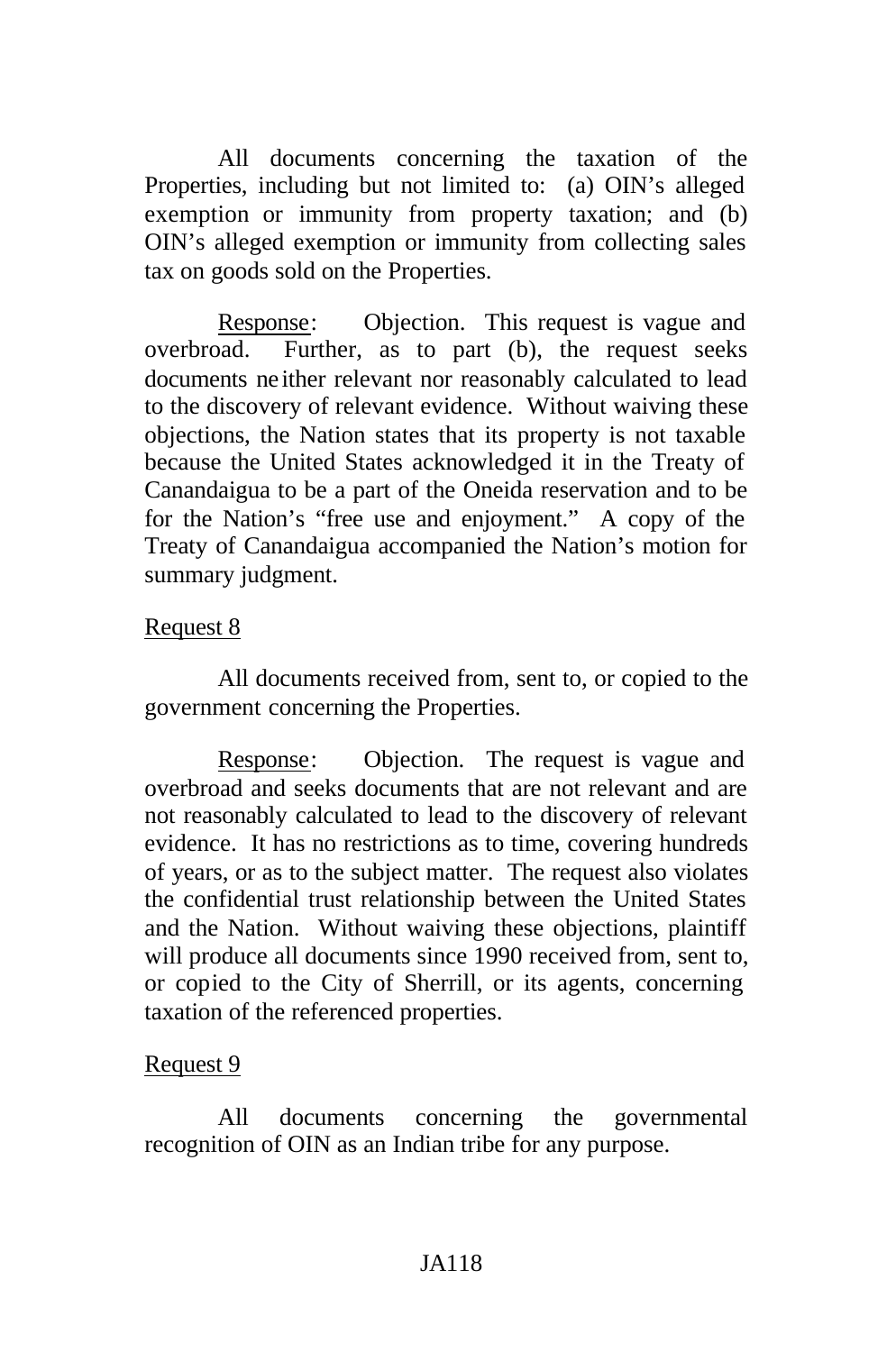All documents concerning the taxation of the Properties, including but not limited to: (a) OIN's alleged exemption or immunity from property taxation; and (b) OIN's alleged exemption or immunity from collecting sales tax on goods sold on the Properties.

Response: Objection. This request is vague and overbroad. Further, as to part (b), the request seeks documents ne ither relevant nor reasonably calculated to lead to the discovery of relevant evidence. Without waiving these objections, the Nation states that its property is not taxable because the United States acknowledged it in the Treaty of Canandaigua to be a part of the Oneida reservation and to be for the Nation's "free use and enjoyment." A copy of the Treaty of Canandaigua accompanied the Nation's motion for summary judgment.

### Request 8

All documents received from, sent to, or copied to the government concerning the Properties.

Response: Objection. The request is vague and overbroad and seeks documents that are not relevant and are not reasonably calculated to lead to the discovery of relevant evidence. It has no restrictions as to time, covering hundreds of years, or as to the subject matter. The request also violates the confidential trust relationship between the United States and the Nation. Without waiving these objections, plaintiff will produce all documents since 1990 received from, sent to, or copied to the City of Sherrill, or its agents, concerning taxation of the referenced properties.

# Request 9

All documents concerning the governmental recognition of OIN as an Indian tribe for any purpose.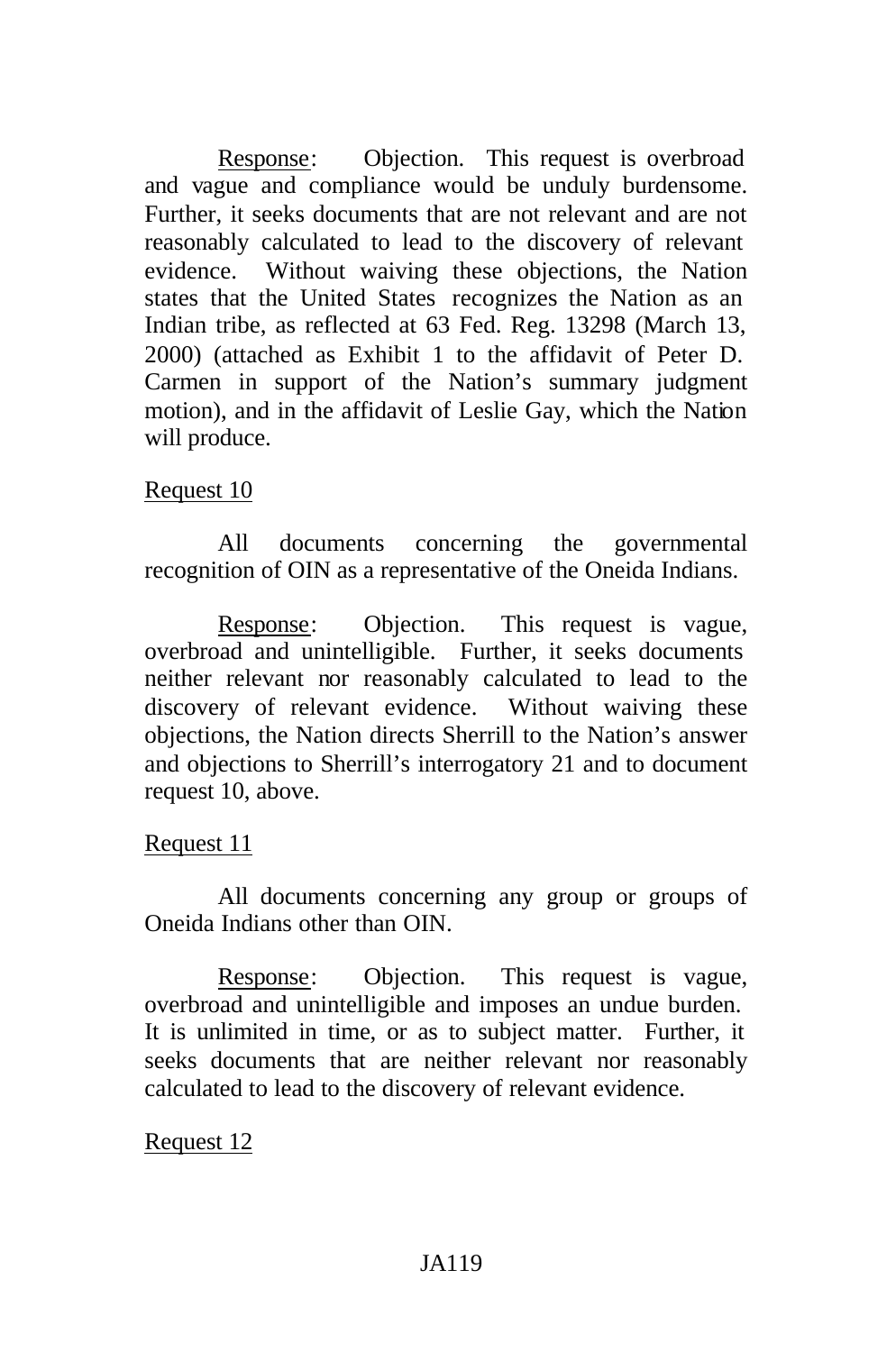Response: Objection. This request is overbroad and vague and compliance would be unduly burdensome. Further, it seeks documents that are not relevant and are not reasonably calculated to lead to the discovery of relevant evidence. Without waiving these objections, the Nation states that the United States recognizes the Nation as an Indian tribe, as reflected at 63 Fed. Reg. 13298 (March 13, 2000) (attached as Exhibit 1 to the affidavit of Peter D. Carmen in support of the Nation's summary judgment motion), and in the affidavit of Leslie Gay, which the Nation will produce.

# Request 10

All documents concerning the governmental recognition of OIN as a representative of the Oneida Indians.

Response: Objection. This request is vague, overbroad and unintelligible. Further, it seeks documents neither relevant nor reasonably calculated to lead to the discovery of relevant evidence. Without waiving these objections, the Nation directs Sherrill to the Nation's answer and objections to Sherrill's interrogatory 21 and to document request 10, above.

### Request 11

All documents concerning any group or groups of Oneida Indians other than OIN.

Response: Objection. This request is vague, overbroad and unintelligible and imposes an undue burden. It is unlimited in time, or as to subject matter. Further, it seeks documents that are neither relevant nor reasonably calculated to lead to the discovery of relevant evidence.

# Request 12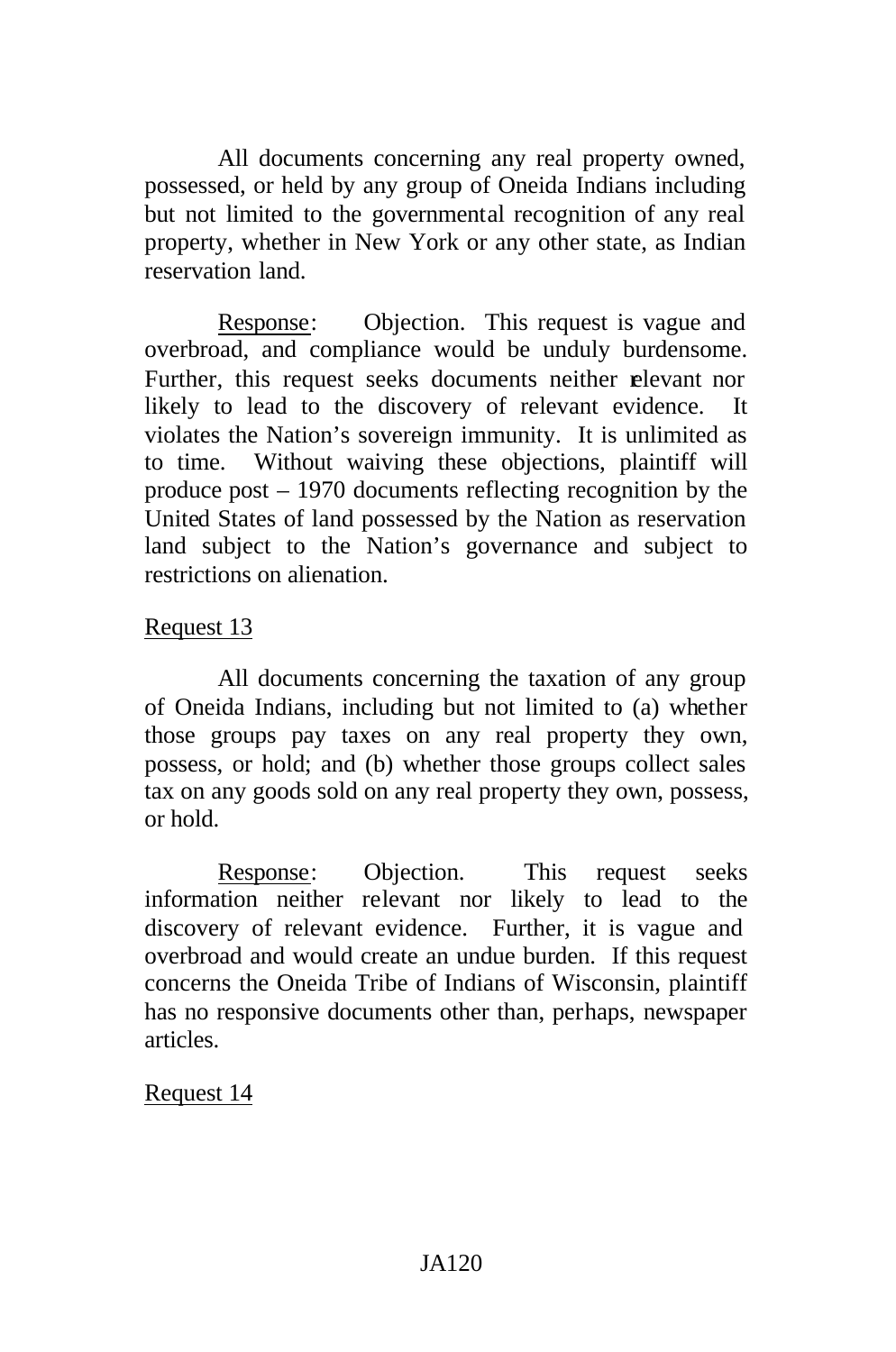All documents concerning any real property owned, possessed, or held by any group of Oneida Indians including but not limited to the governmental recognition of any real property, whether in New York or any other state, as Indian reservation land.

Response: Objection. This request is vague and overbroad, and compliance would be unduly burdensome. Further, this request seeks documents neither relevant nor likely to lead to the discovery of relevant evidence. It violates the Nation's sovereign immunity. It is unlimited as to time. Without waiving these objections, plaintiff will produce post – 1970 documents reflecting recognition by the United States of land possessed by the Nation as reservation land subject to the Nation's governance and subject to restrictions on alienation.

# Request 13

All documents concerning the taxation of any group of Oneida Indians, including but not limited to (a) whether those groups pay taxes on any real property they own, possess, or hold; and (b) whether those groups collect sales tax on any goods sold on any real property they own, possess, or hold.

Response: Objection. This request seeks information neither relevant nor likely to lead to the discovery of relevant evidence. Further, it is vague and overbroad and would create an undue burden. If this request concerns the Oneida Tribe of Indians of Wisconsin, plaintiff has no responsive documents other than, perhaps, newspaper articles.

### Request 14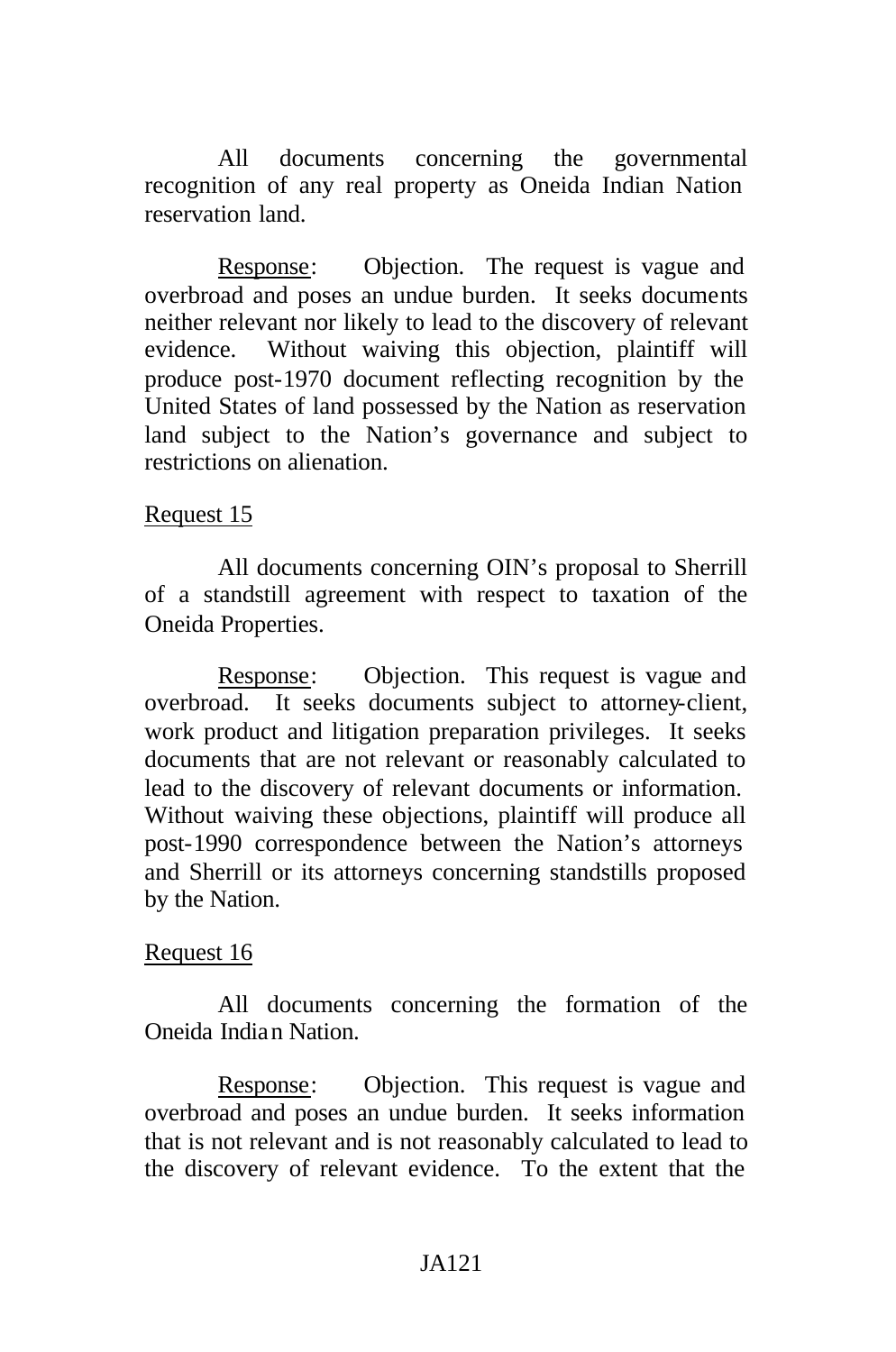All documents concerning the governmental recognition of any real property as Oneida Indian Nation reservation land.

Response: Objection. The request is vague and overbroad and poses an undue burden. It seeks documents neither relevant nor likely to lead to the discovery of relevant evidence. Without waiving this objection, plaintiff will produce post-1970 document reflecting recognition by the United States of land possessed by the Nation as reservation land subject to the Nation's governance and subject to restrictions on alienation.

#### Request 15

All documents concerning OIN's proposal to Sherrill of a standstill agreement with respect to taxation of the Oneida Properties.

Response: Objection. This request is vague and overbroad. It seeks documents subject to attorney-client, work product and litigation preparation privileges. It seeks documents that are not relevant or reasonably calculated to lead to the discovery of relevant documents or information. Without waiving these objections, plaintiff will produce all post-1990 correspondence between the Nation's attorneys and Sherrill or its attorneys concerning standstills proposed by the Nation.

#### Request 16

All documents concerning the formation of the Oneida Indian Nation.

Response: Objection. This request is vague and overbroad and poses an undue burden. It seeks information that is not relevant and is not reasonably calculated to lead to the discovery of relevant evidence. To the extent that the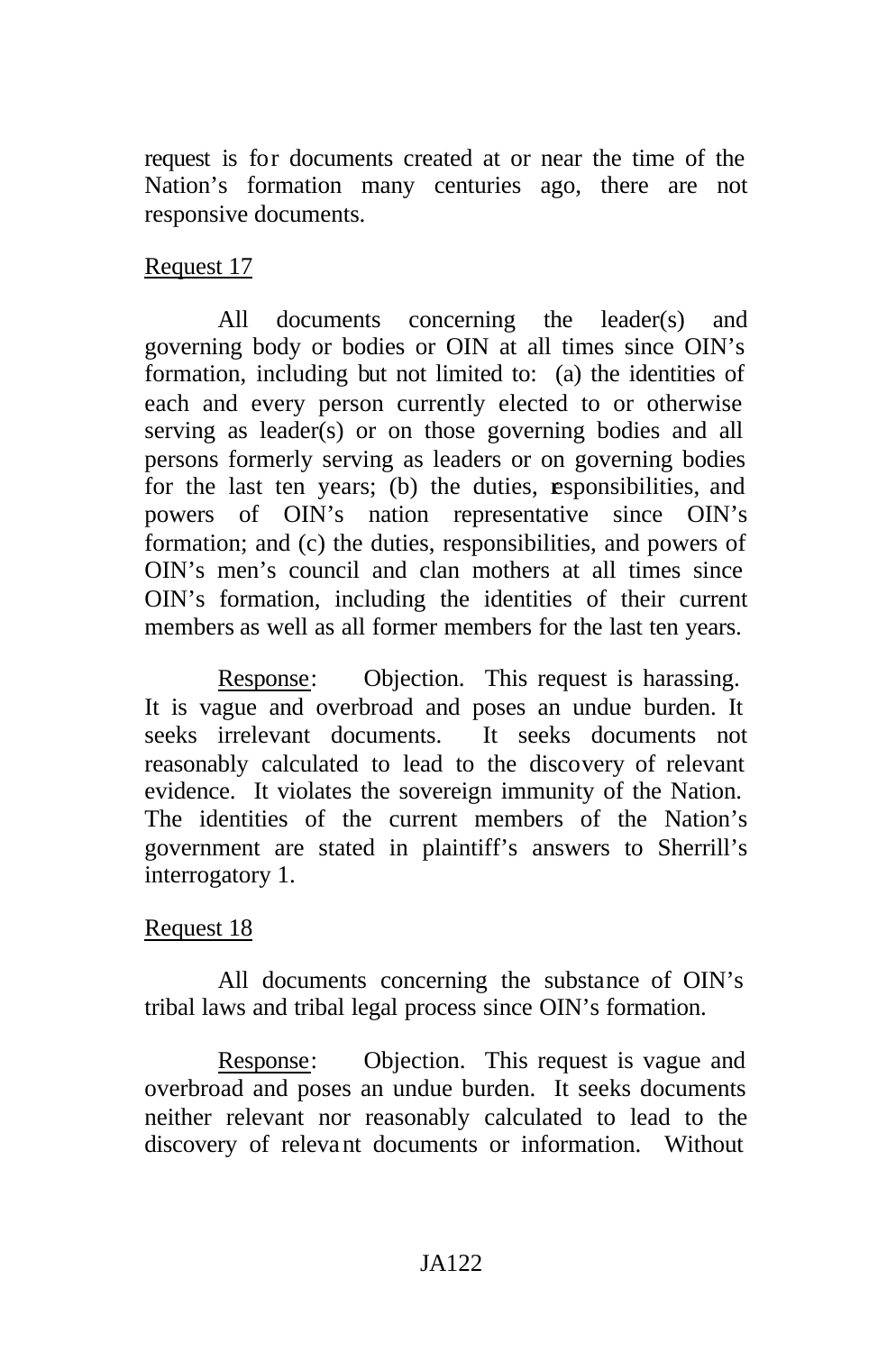request is for documents created at or near the time of the Nation's formation many centuries ago, there are not responsive documents.

# Request 17

All documents concerning the leader(s) and governing body or bodies or OIN at all times since OIN's formation, including but not limited to: (a) the identities of each and every person currently elected to or otherwise serving as leader(s) or on those governing bodies and all persons formerly serving as leaders or on governing bodies for the last ten years; (b) the duties, esponsibilities, and powers of OIN's nation representative since OIN's formation; and (c) the duties, responsibilities, and powers of OIN's men's council and clan mothers at all times since OIN's formation, including the identities of their current members as well as all former members for the last ten years.

Response: Objection. This request is harassing. It is vague and overbroad and poses an undue burden. It seeks irrelevant documents. It seeks documents not reasonably calculated to lead to the discovery of relevant evidence. It violates the sovereign immunity of the Nation. The identities of the current members of the Nation's government are stated in plaintiff's answers to Sherrill's interrogatory 1.

### Request 18

All documents concerning the substance of OIN's tribal laws and tribal legal process since OIN's formation.

Response: Objection. This request is vague and overbroad and poses an undue burden. It seeks documents neither relevant nor reasonably calculated to lead to the discovery of relevant documents or information. Without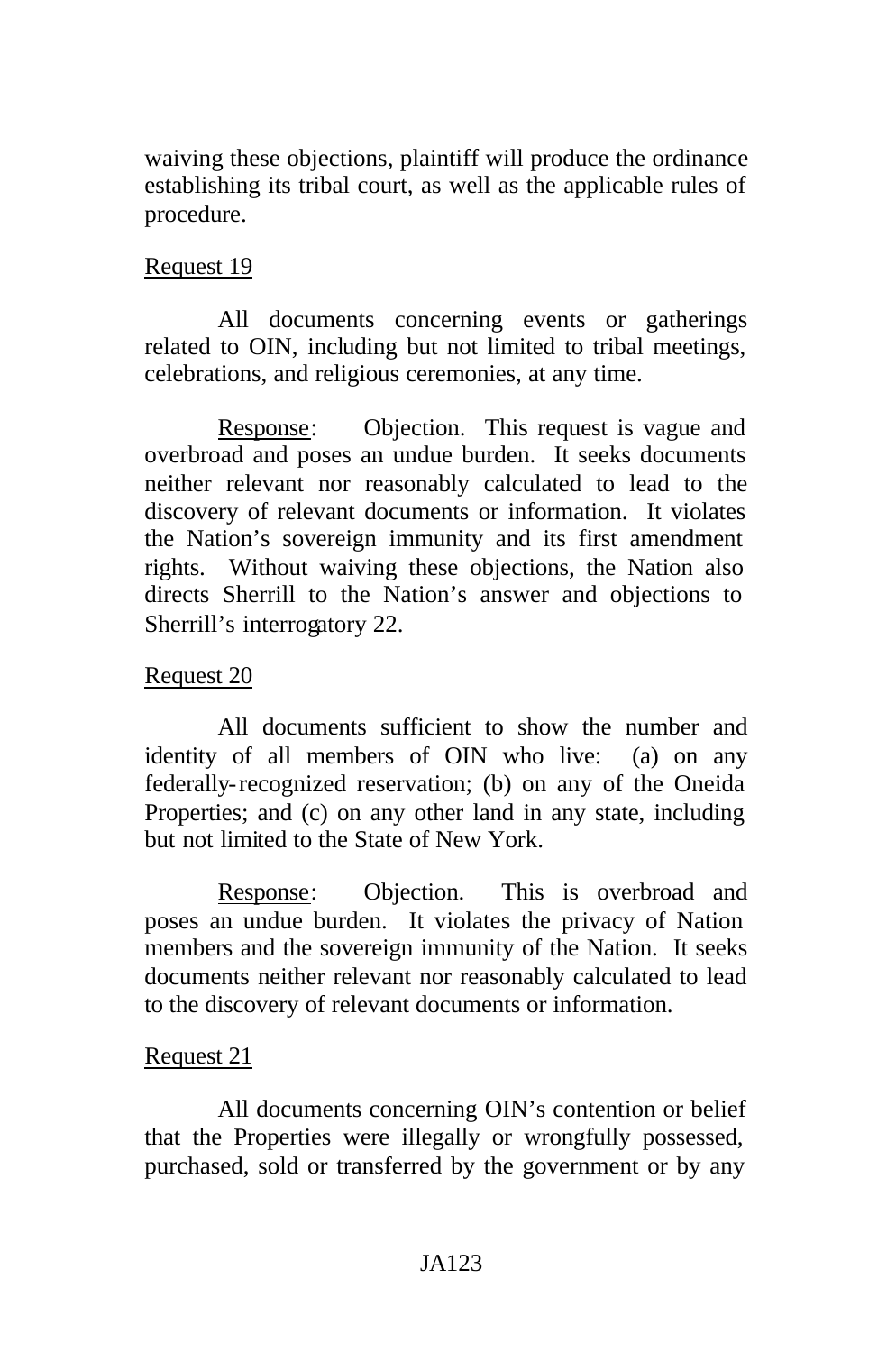waiving these objections, plaintiff will produce the ordinance establishing its tribal court, as well as the applicable rules of procedure.

### Request 19

All documents concerning events or gatherings related to OIN, including but not limited to tribal meetings, celebrations, and religious ceremonies, at any time.

Response: Objection. This request is vague and overbroad and poses an undue burden. It seeks documents neither relevant nor reasonably calculated to lead to the discovery of relevant documents or information. It violates the Nation's sovereign immunity and its first amendment rights. Without waiving these objections, the Nation also directs Sherrill to the Nation's answer and objections to Sherrill's interrogatory 22.

### Request 20

All documents sufficient to show the number and identity of all members of OIN who live: (a) on any federally-recognized reservation; (b) on any of the Oneida Properties; and (c) on any other land in any state, including but not limited to the State of New York.

Response: Objection. This is overbroad and poses an undue burden. It violates the privacy of Nation members and the sovereign immunity of the Nation. It seeks documents neither relevant nor reasonably calculated to lead to the discovery of relevant documents or information.

#### Request 21

All documents concerning OIN's contention or belief that the Properties were illegally or wrongfully possessed, purchased, sold or transferred by the government or by any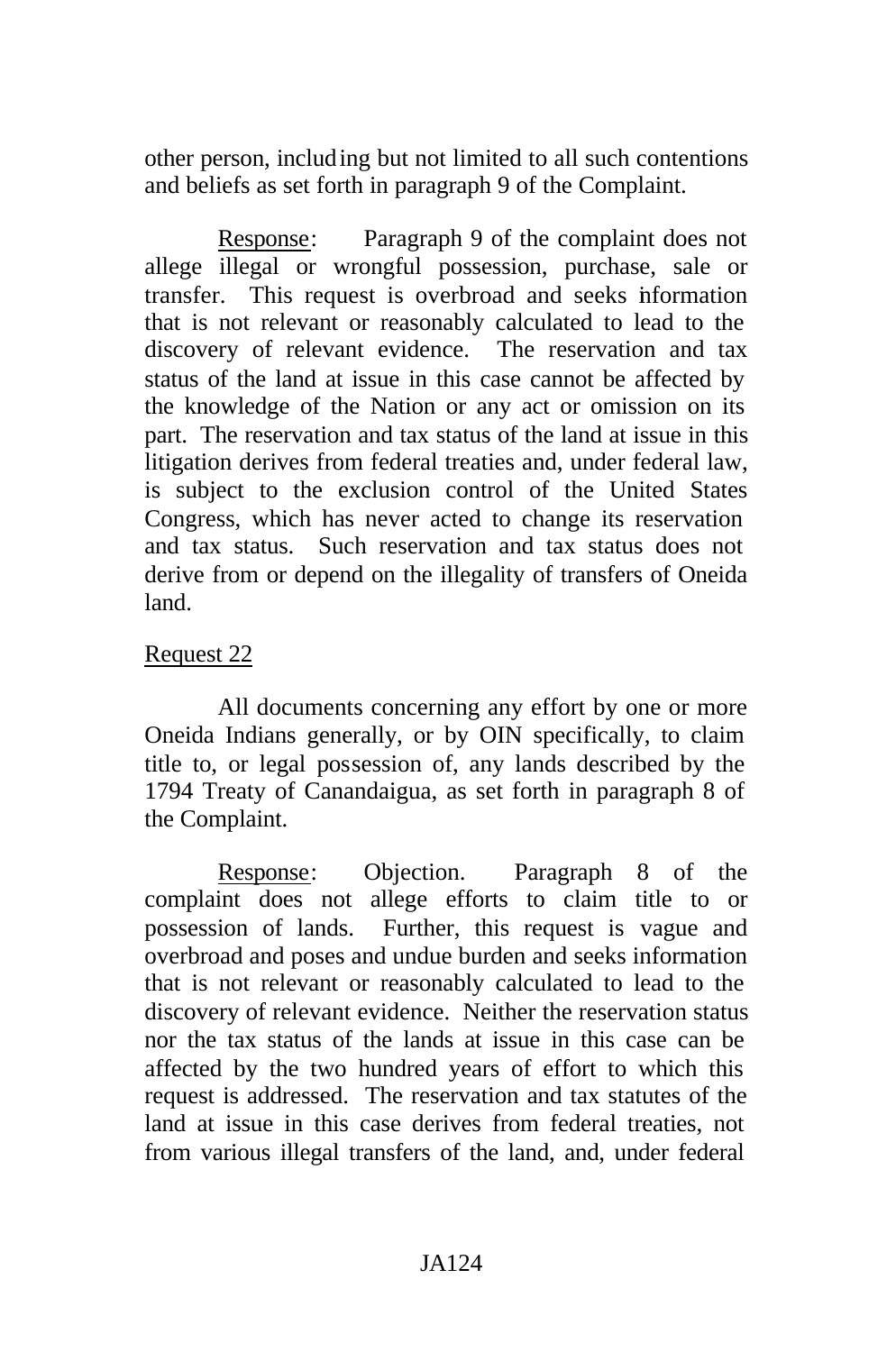other person, including but not limited to all such contentions and beliefs as set forth in paragraph 9 of the Complaint.

Response: Paragraph 9 of the complaint does not allege illegal or wrongful possession, purchase, sale or transfer. This request is overbroad and seeks information that is not relevant or reasonably calculated to lead to the discovery of relevant evidence. The reservation and tax status of the land at issue in this case cannot be affected by the knowledge of the Nation or any act or omission on its part. The reservation and tax status of the land at issue in this litigation derives from federal treaties and, under federal law, is subject to the exclusion control of the United States Congress, which has never acted to change its reservation and tax status. Such reservation and tax status does not derive from or depend on the illegality of transfers of Oneida land.

# Request 22

All documents concerning any effort by one or more Oneida Indians generally, or by OIN specifically, to claim title to, or legal possession of, any lands described by the 1794 Treaty of Canandaigua, as set forth in paragraph 8 of the Complaint.

Response: Objection. Paragraph 8 of the complaint does not allege efforts to claim title to or possession of lands. Further, this request is vague and overbroad and poses and undue burden and seeks information that is not relevant or reasonably calculated to lead to the discovery of relevant evidence. Neither the reservation status nor the tax status of the lands at issue in this case can be affected by the two hundred years of effort to which this request is addressed. The reservation and tax statutes of the land at issue in this case derives from federal treaties, not from various illegal transfers of the land, and, under federal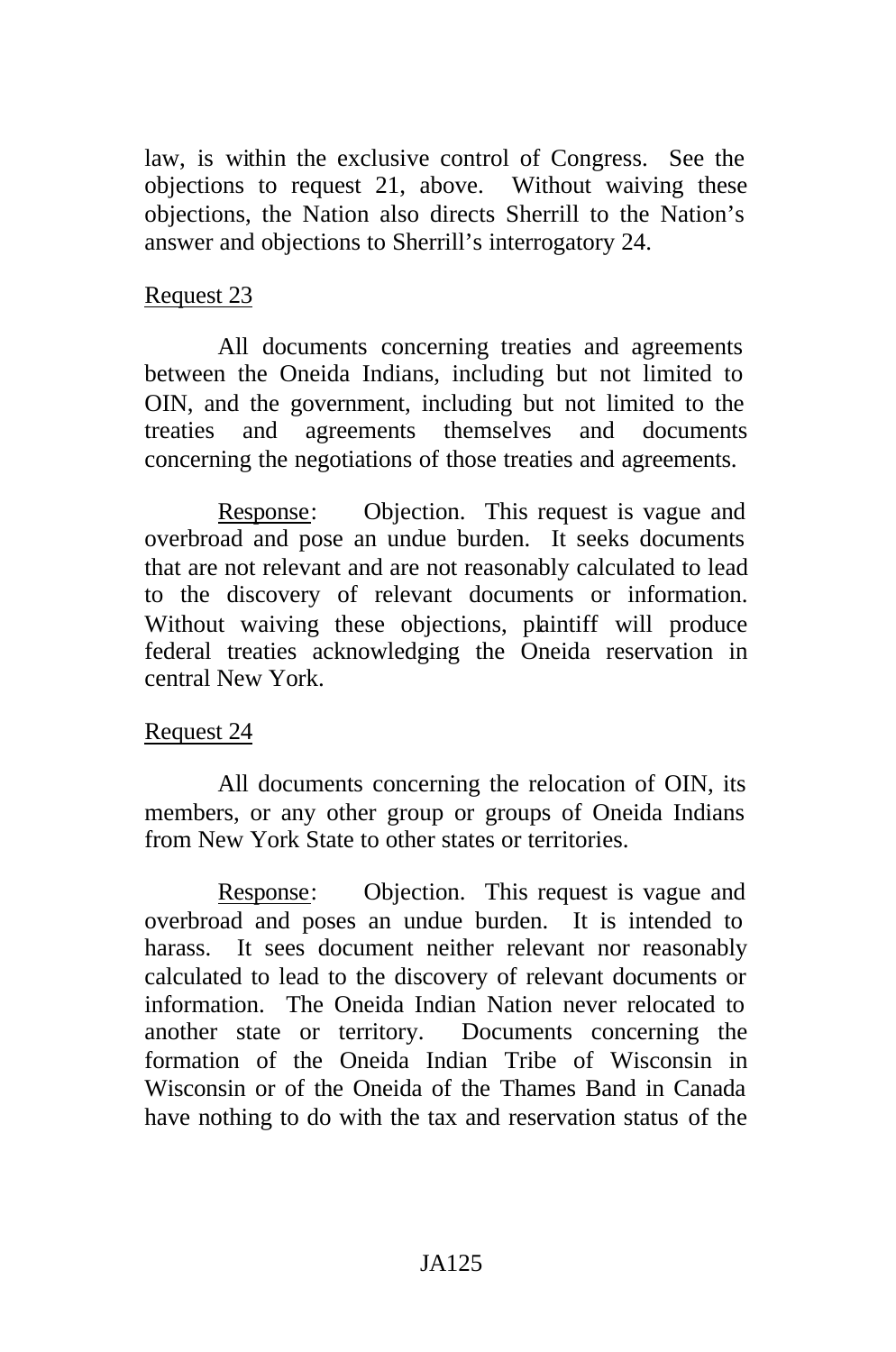law, is within the exclusive control of Congress. See the objections to request 21, above. Without waiving these objections, the Nation also directs Sherrill to the Nation's answer and objections to Sherrill's interrogatory 24.

#### Request 23

All documents concerning treaties and agreements between the Oneida Indians, including but not limited to OIN, and the government, including but not limited to the treaties and agreements themselves and documents concerning the negotiations of those treaties and agreements.

Response: Objection. This request is vague and overbroad and pose an undue burden. It seeks documents that are not relevant and are not reasonably calculated to lead to the discovery of relevant documents or information. Without waiving these objections, plaintiff will produce federal treaties acknowledging the Oneida reservation in central New York.

### Request 24

All documents concerning the relocation of OIN, its members, or any other group or groups of Oneida Indians from New York State to other states or territories.

Response: Objection. This request is vague and overbroad and poses an undue burden. It is intended to harass. It sees document neither relevant nor reasonably calculated to lead to the discovery of relevant documents or information. The Oneida Indian Nation never relocated to another state or territory. Documents concerning the formation of the Oneida Indian Tribe of Wisconsin in Wisconsin or of the Oneida of the Thames Band in Canada have nothing to do with the tax and reservation status of the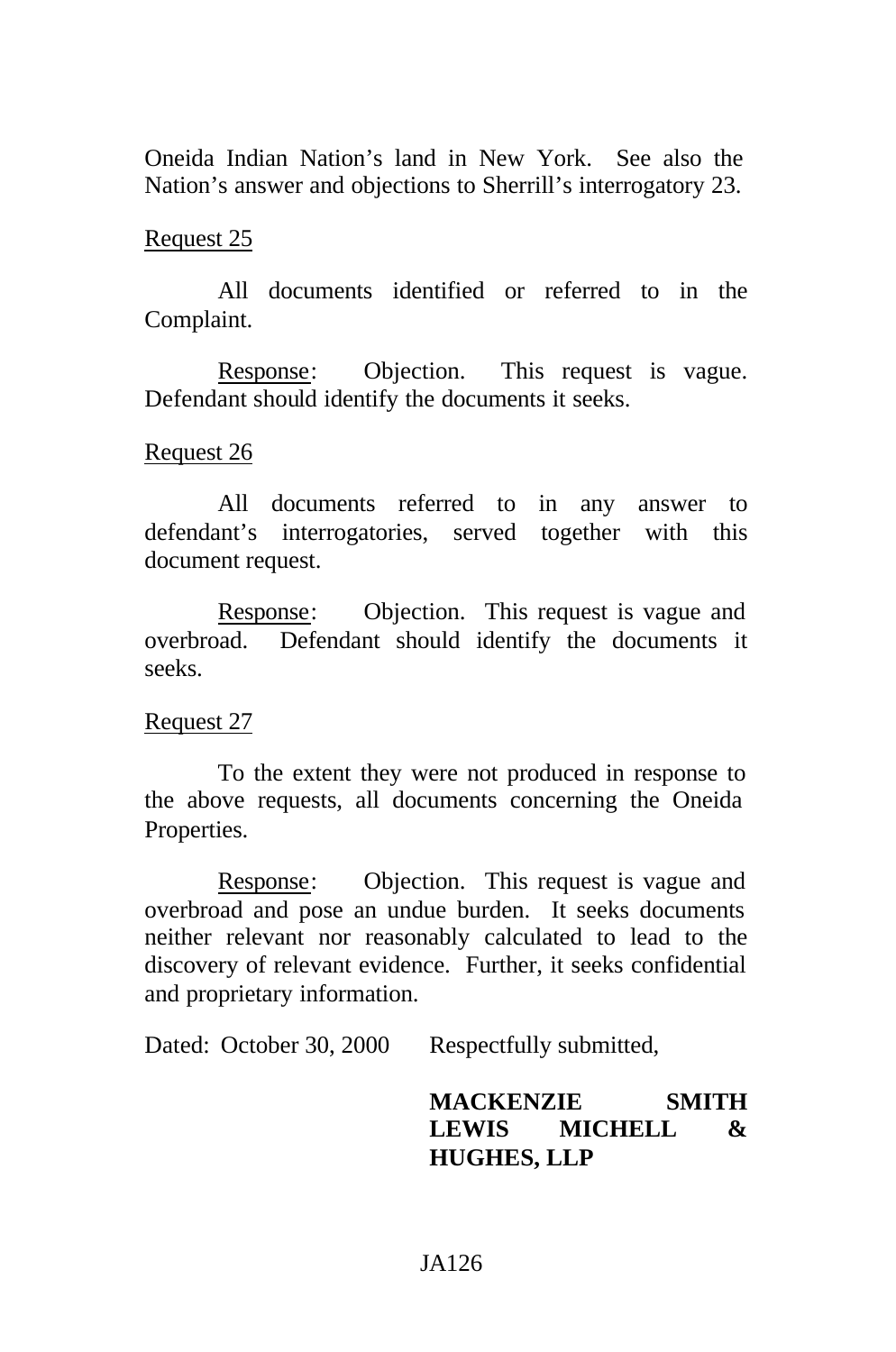Oneida Indian Nation's land in New York. See also the Nation's answer and objections to Sherrill's interrogatory 23.

### Request 25

All documents identified or referred to in the Complaint.

Response: Objection. This request is vague. Defendant should identify the documents it seeks.

### Request 26

All documents referred to in any answer to defendant's interrogatories, served together with this document request.

Response: Objection. This request is vague and overbroad. Defendant should identify the documents it seeks.

#### Request 27

To the extent they were not produced in response to the above requests, all documents concerning the Oneida Properties.

Response: Objection. This request is vague and overbroad and pose an undue burden. It seeks documents neither relevant nor reasonably calculated to lead to the discovery of relevant evidence. Further, it seeks confidential and proprietary information.

Dated: October 30, 2000 Respectfully submitted,

**MACKENZIE SMITH LEWIS MICHELL & HUGHES, LLP**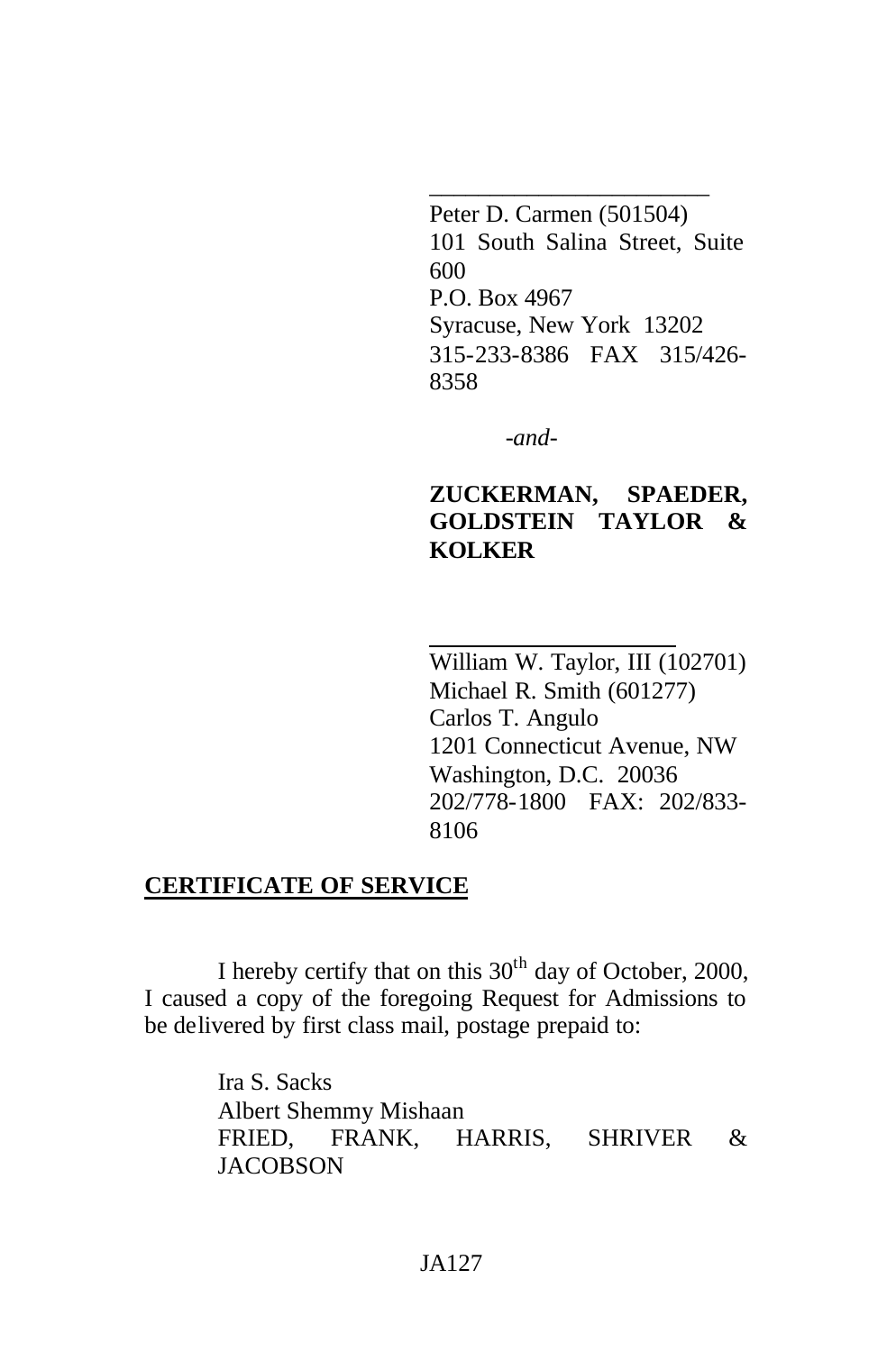\_\_\_\_\_\_\_\_\_\_\_\_\_\_\_\_\_\_\_\_\_\_\_ Peter D. Carmen (501504) 101 South Salina Street, Suite 600 P.O. Box 4967 Syracuse, New York 13202 315-233-8386 FAX 315/426- 8358

*-and-*

# **ZUCKERMAN, SPAEDER, GOLDSTEIN TAYLOR & KOLKER**

William W. Taylor, III (102701) Michael R. Smith (601277) Carlos T. Angulo 1201 Connecticut Avenue, NW Washington, D.C. 20036 202/778-1800 FAX: 202/833- 8106

#### **CERTIFICATE OF SERVICE**

I hereby certify that on this  $30<sup>th</sup>$  day of October, 2000, I caused a copy of the foregoing Request for Admissions to be delivered by first class mail, postage prepaid to:

> Ira S. Sacks Albert Shemmy Mishaan FRIED, FRANK, HARRIS, SHRIVER & **JACOBSON**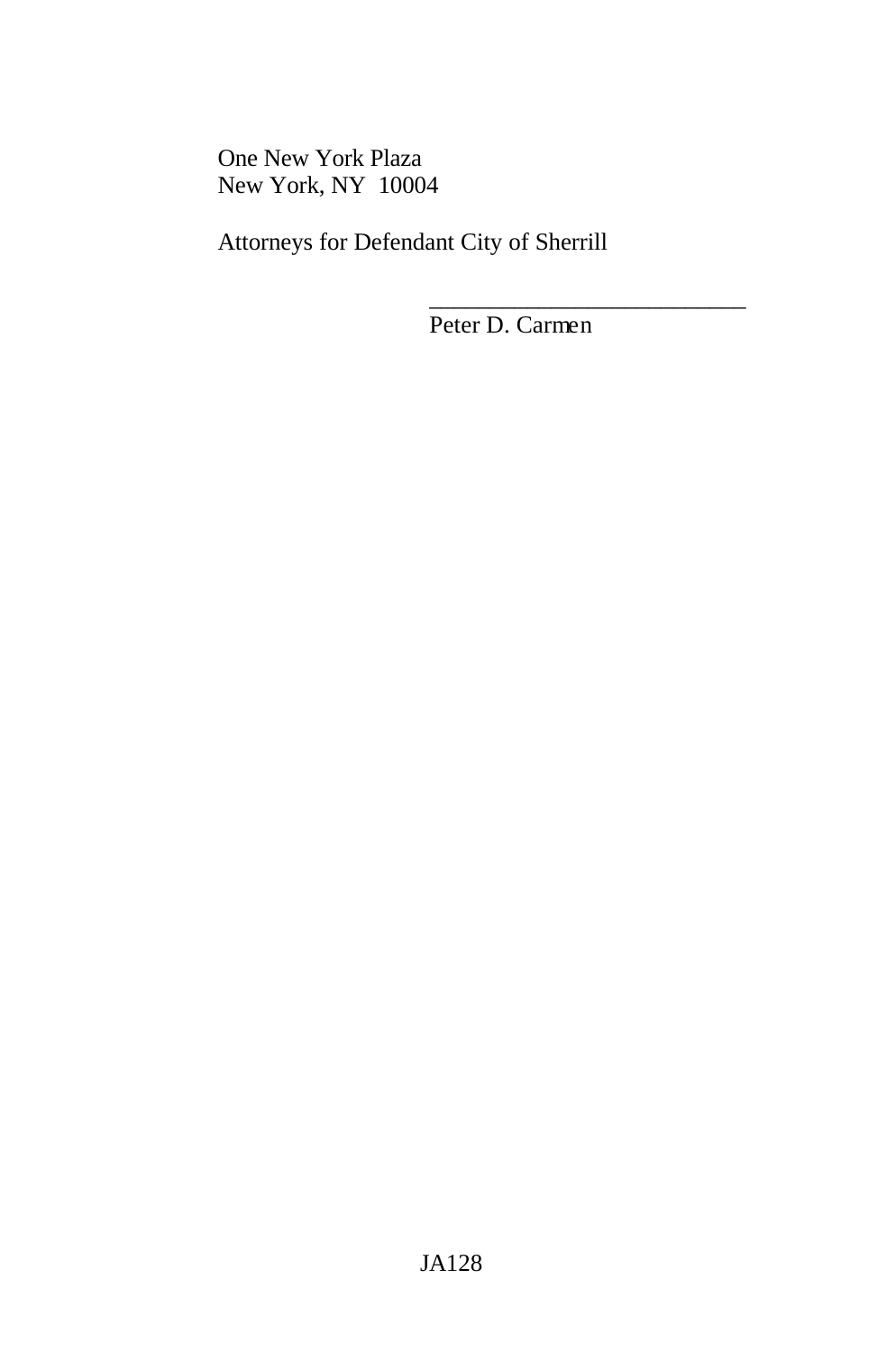One New York Plaza New York, NY 10004

Attorneys for Defendant City of Sherrill

Peter D. Carmen

\_\_\_\_\_\_\_\_\_\_\_\_\_\_\_\_\_\_\_\_\_\_\_\_\_\_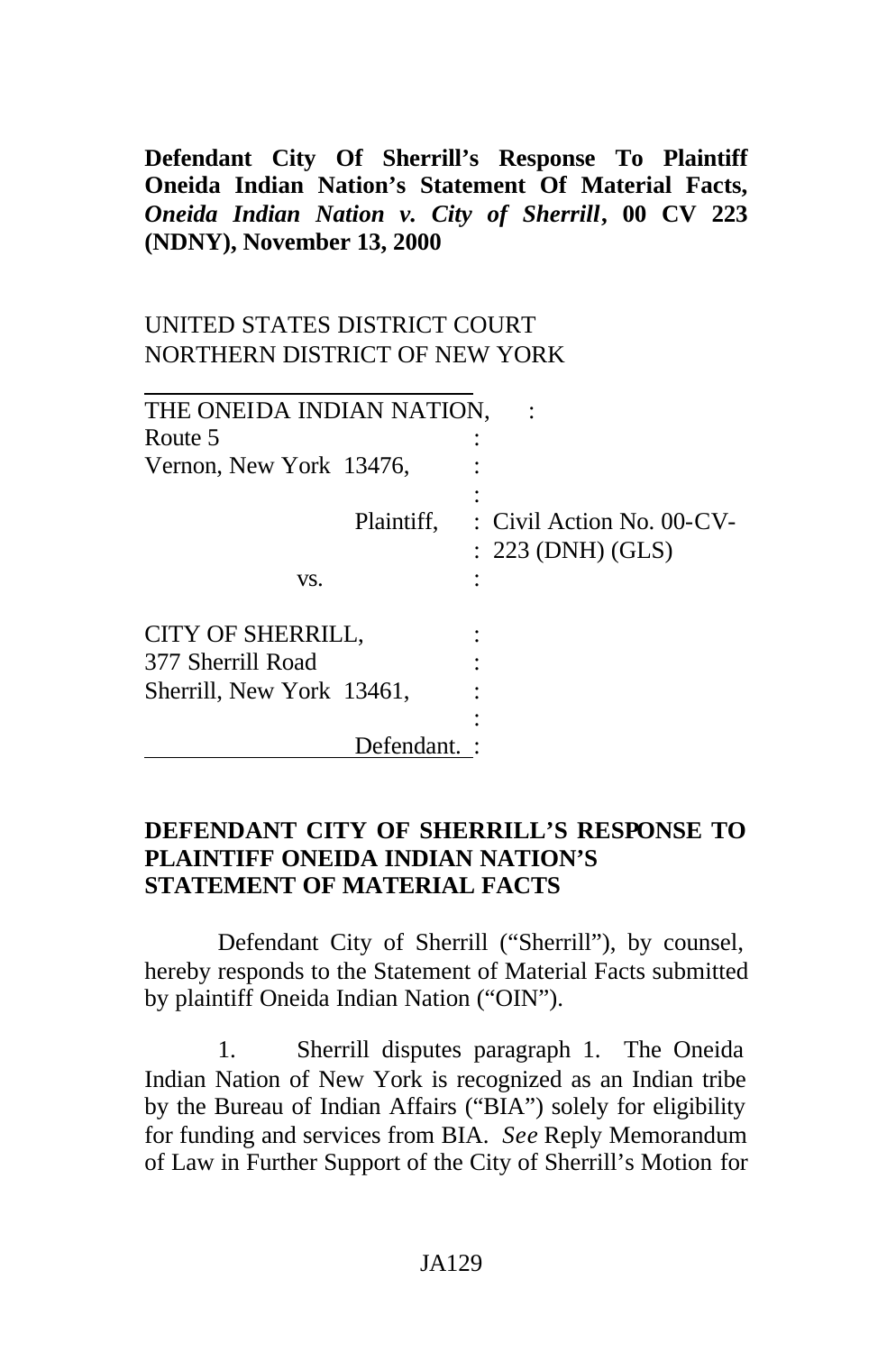**Defendant City Of Sherrill's Response To Plaintiff Oneida Indian Nation's Statement Of Material Facts,** *Oneida Indian Nation v. City of Sherrill***, 00 CV 223 (NDNY), November 13, 2000**

# UNITED STATES DISTRICT COURT NORTHERN DISTRICT OF NEW YORK

| THE ONEIDA INDIAN NATION, |                                                  |
|---------------------------|--------------------------------------------------|
| Route 5                   |                                                  |
| Vernon, New York 13476,   |                                                  |
| Plaintiff,                | : Civil Action No. 00-CV-<br>$: 223$ (DNH) (GLS) |
| VS.                       |                                                  |
| CITY OF SHERRILL,         |                                                  |
| 377 Sherrill Road         |                                                  |
| Sherrill, New York 13461, |                                                  |
|                           |                                                  |
| Defendant.                |                                                  |

### **DEFENDANT CITY OF SHERRILL'S RESPONSE TO PLAINTIFF ONEIDA INDIAN NATION'S STATEMENT OF MATERIAL FACTS**

Defendant City of Sherrill ("Sherrill"), by counsel, hereby responds to the Statement of Material Facts submitted by plaintiff Oneida Indian Nation ("OIN").

1. Sherrill disputes paragraph 1. The Oneida Indian Nation of New York is recognized as an Indian tribe by the Bureau of Indian Affairs ("BIA") solely for eligibility for funding and services from BIA. *See* Reply Memorandum of Law in Further Support of the City of Sherrill's Motion for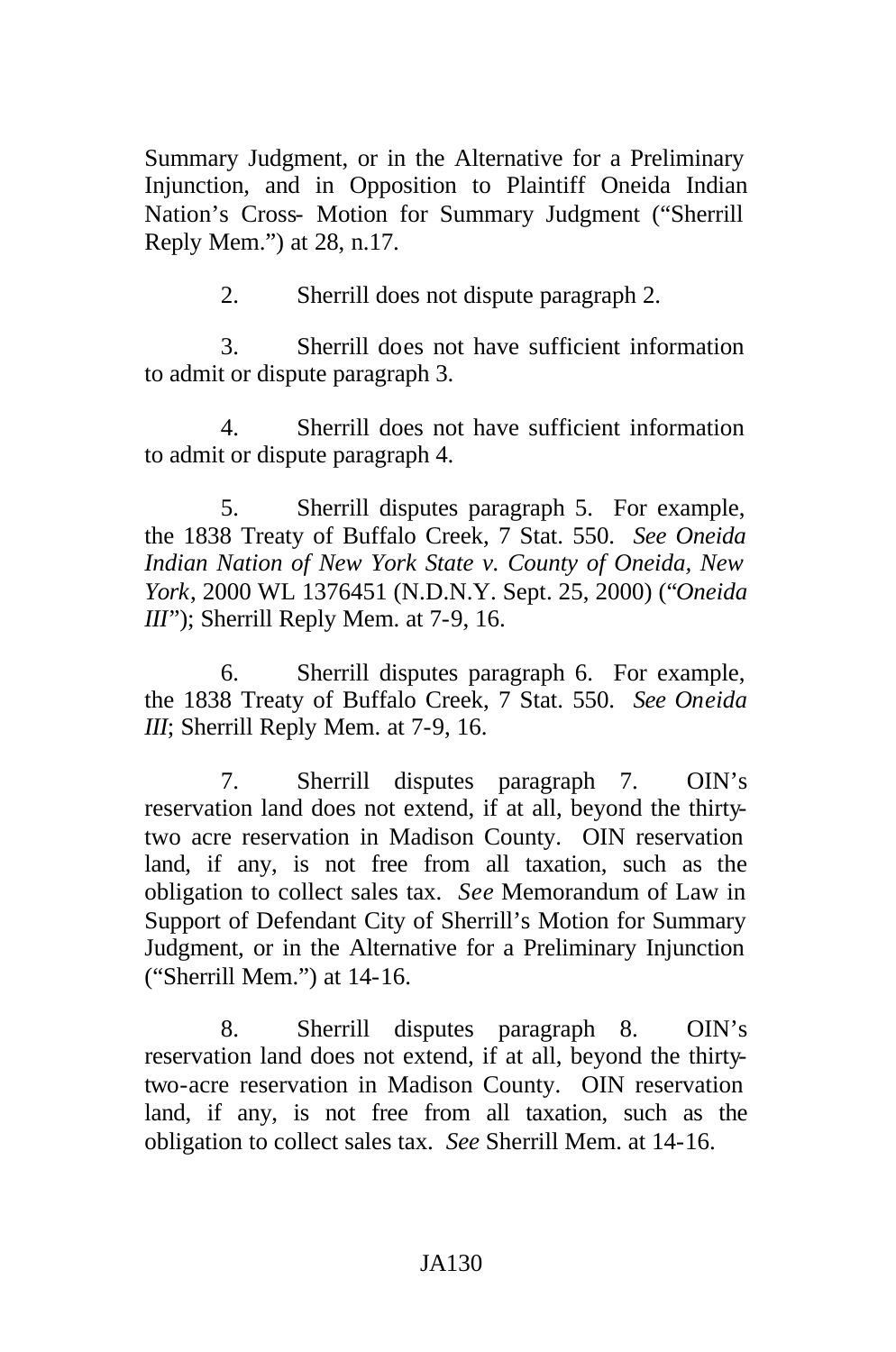Summary Judgment, or in the Alternative for a Preliminary Injunction, and in Opposition to Plaintiff Oneida Indian Nation's Cross- Motion for Summary Judgment ("Sherrill Reply Mem.") at 28, n.17.

2. Sherrill does not dispute paragraph 2.

3. Sherrill does not have sufficient information to admit or dispute paragraph 3.

4. Sherrill does not have sufficient information to admit or dispute paragraph 4.

5. Sherrill disputes paragraph 5. For example, the 1838 Treaty of Buffalo Creek, 7 Stat. 550. *See Oneida Indian Nation of New York State v. County of Oneida, New York*, 2000 WL 1376451 (N.D.N.Y. Sept. 25, 2000) ("*Oneida III*"); Sherrill Reply Mem. at 7-9, 16.

6. Sherrill disputes paragraph 6. For example, the 1838 Treaty of Buffalo Creek, 7 Stat. 550. *See Oneida III*; Sherrill Reply Mem. at 7-9, 16.

7. Sherrill disputes paragraph 7. OIN's reservation land does not extend, if at all, beyond the thirtytwo acre reservation in Madison County. OIN reservation land, if any, is not free from all taxation, such as the obligation to collect sales tax. *See* Memorandum of Law in Support of Defendant City of Sherrill's Motion for Summary Judgment, or in the Alternative for a Preliminary Injunction ("Sherrill Mem.") at 14-16.

8. Sherrill disputes paragraph 8. OIN's reservation land does not extend, if at all, beyond the thirtytwo-acre reservation in Madison County. OIN reservation land, if any, is not free from all taxation, such as the obligation to collect sales tax. *See* Sherrill Mem. at 14-16.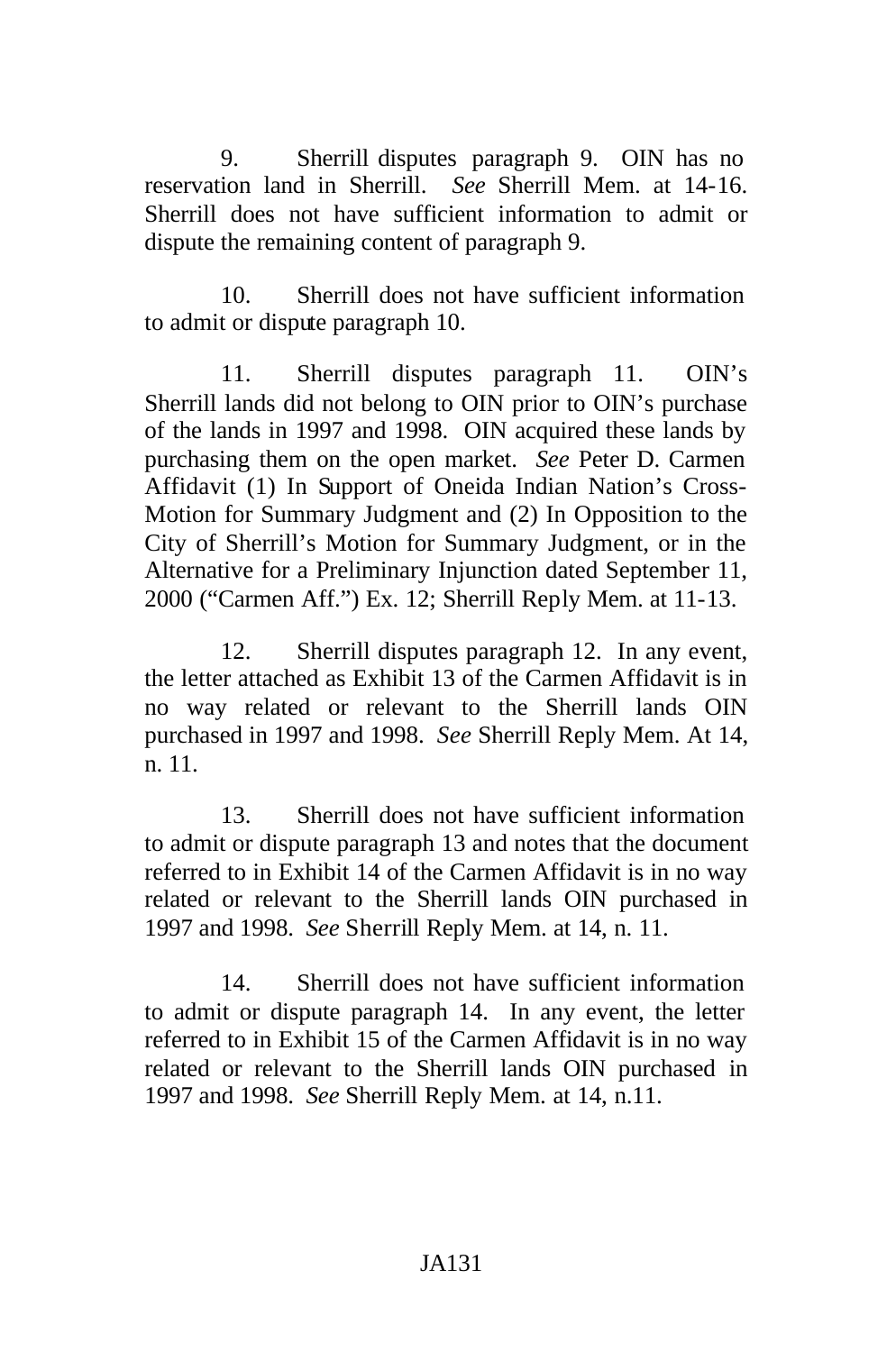9. Sherrill disputes paragraph 9. OIN has no reservation land in Sherrill. *See* Sherrill Mem. at 14-16. Sherrill does not have sufficient information to admit or dispute the remaining content of paragraph 9.

10. Sherrill does not have sufficient information to admit or dispute paragraph 10.

11. Sherrill disputes paragraph 11. OIN's Sherrill lands did not belong to OIN prior to OIN's purchase of the lands in 1997 and 1998. OIN acquired these lands by purchasing them on the open market. *See* Peter D. Carmen Affidavit (1) In Support of Oneida Indian Nation's Cross-Motion for Summary Judgment and (2) In Opposition to the City of Sherrill's Motion for Summary Judgment, or in the Alternative for a Preliminary Injunction dated September 11, 2000 ("Carmen Aff.") Ex. 12; Sherrill Reply Mem. at 11-13.

12. Sherrill disputes paragraph 12. In any event, the letter attached as Exhibit 13 of the Carmen Affidavit is in no way related or relevant to the Sherrill lands OIN purchased in 1997 and 1998. *See* Sherrill Reply Mem. At 14, n. 11.

13. Sherrill does not have sufficient information to admit or dispute paragraph 13 and notes that the document referred to in Exhibit 14 of the Carmen Affidavit is in no way related or relevant to the Sherrill lands OIN purchased in 1997 and 1998. *See* Sherrill Reply Mem. at 14, n. 11.

14. Sherrill does not have sufficient information to admit or dispute paragraph 14. In any event, the letter referred to in Exhibit 15 of the Carmen Affidavit is in no way related or relevant to the Sherrill lands OIN purchased in 1997 and 1998. *See* Sherrill Reply Mem. at 14, n.11.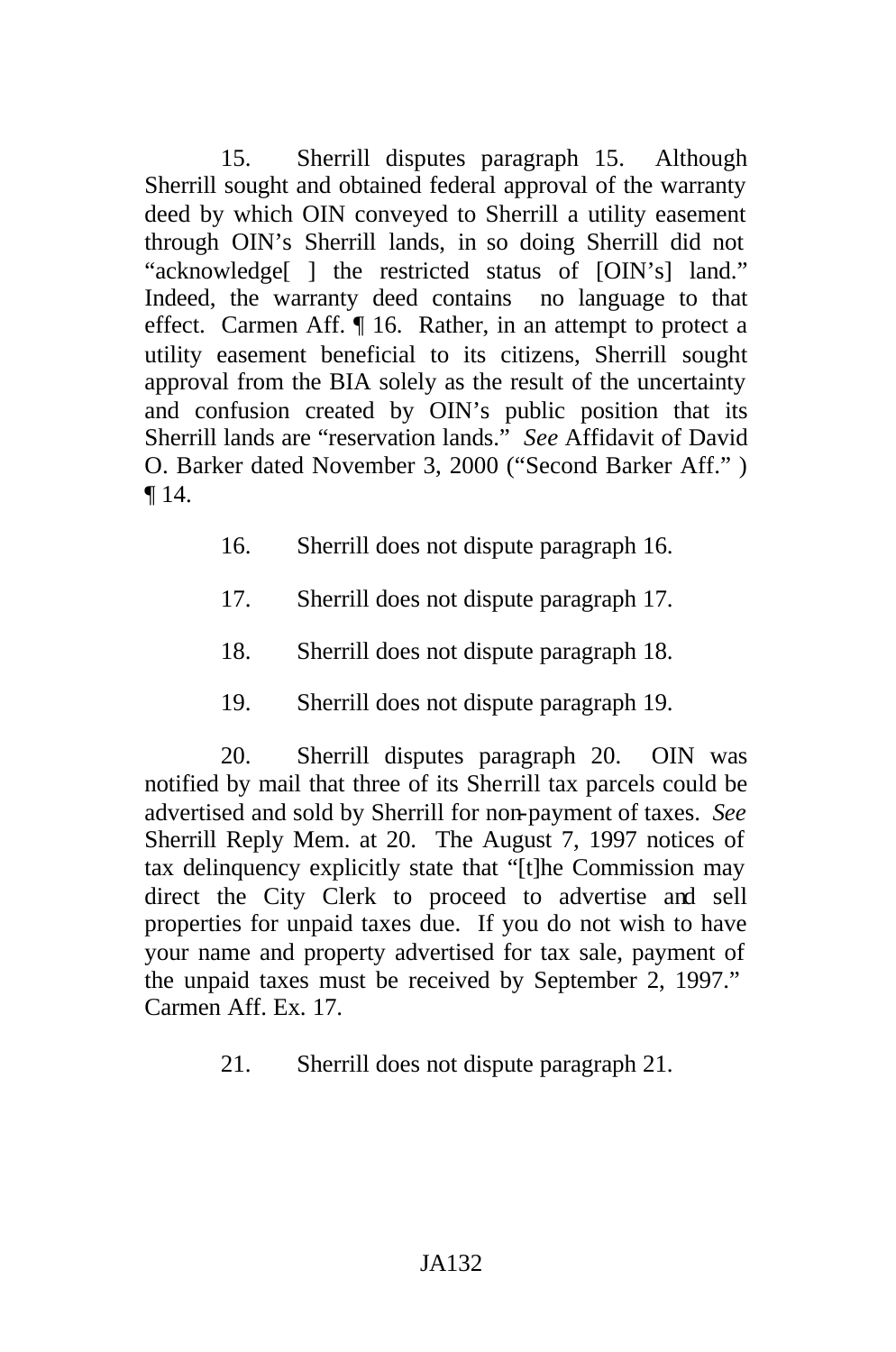15. Sherrill disputes paragraph 15. Although Sherrill sought and obtained federal approval of the warranty deed by which OIN conveyed to Sherrill a utility easement through OIN's Sherrill lands, in so doing Sherrill did not "acknowledge[ ] the restricted status of [OIN's] land." Indeed, the warranty deed contains no language to that effect. Carmen Aff. ¶ 16. Rather, in an attempt to protect a utility easement beneficial to its citizens, Sherrill sought approval from the BIA solely as the result of the uncertainty and confusion created by OIN's public position that its Sherrill lands are "reservation lands." *See* Affidavit of David O. Barker dated November 3, 2000 ("Second Barker Aff." ) ¶ 14.

- 16. Sherrill does not dispute paragraph 16.
- 17. Sherrill does not dispute paragraph 17.
- 18. Sherrill does not dispute paragraph 18.
- 19. Sherrill does not dispute paragraph 19.

20. Sherrill disputes paragraph 20. OIN was notified by mail that three of its Sherrill tax parcels could be advertised and sold by Sherrill for non-payment of taxes. *See* Sherrill Reply Mem. at 20. The August 7, 1997 notices of tax delinquency explicitly state that "[t]he Commission may direct the City Clerk to proceed to advertise and sell properties for unpaid taxes due. If you do not wish to have your name and property advertised for tax sale, payment of the unpaid taxes must be received by September 2, 1997." Carmen Aff. Ex. 17.

21. Sherrill does not dispute paragraph 21.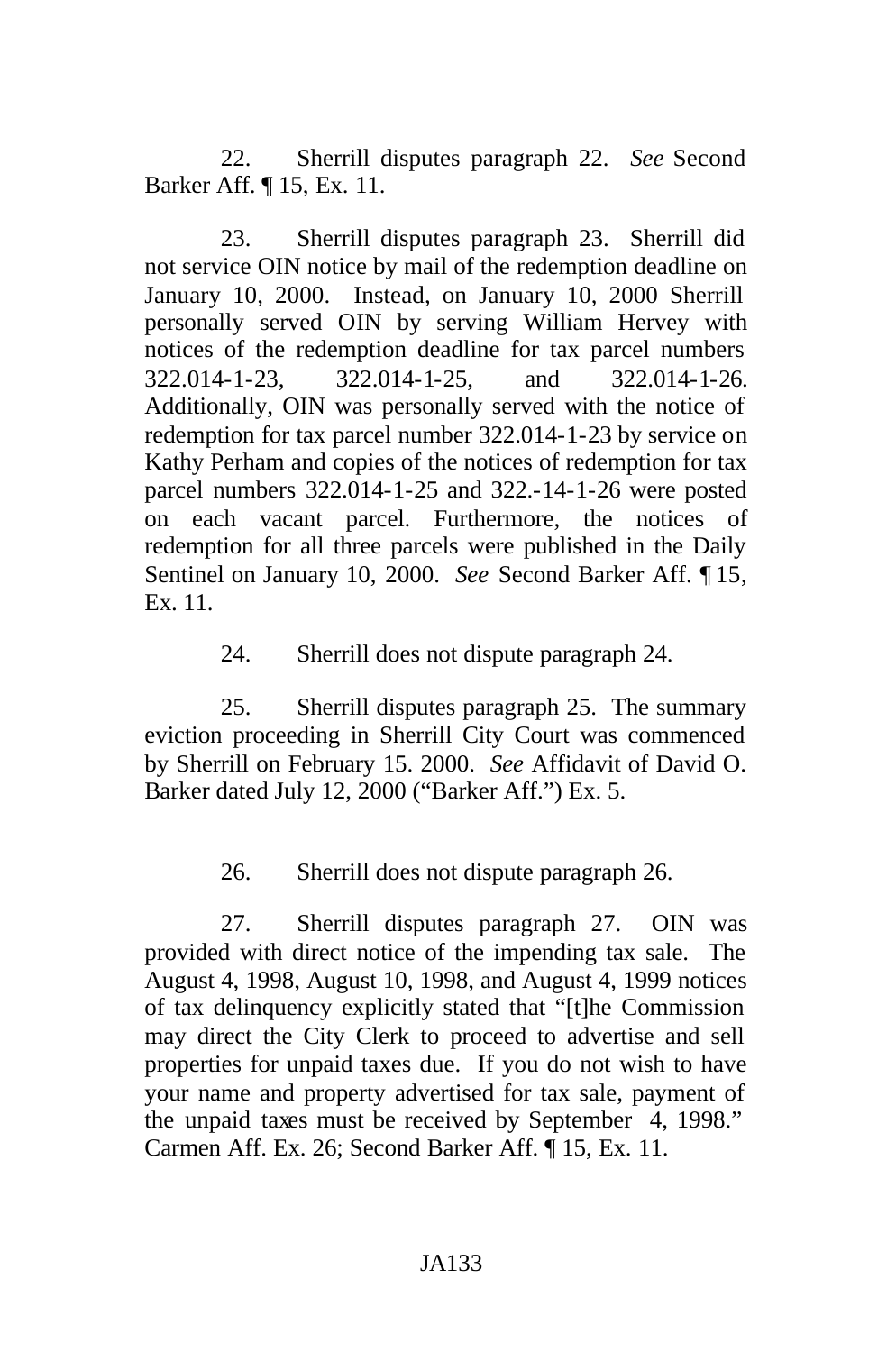22. Sherrill disputes paragraph 22. *See* Second Barker Aff. ¶ 15, Ex. 11.

23. Sherrill disputes paragraph 23. Sherrill did not service OIN notice by mail of the redemption deadline on January 10, 2000. Instead, on January 10, 2000 Sherrill personally served OIN by serving William Hervey with notices of the redemption deadline for tax parcel numbers 322.014-1-23, 322.014-1-25, and 322.014-1-26. Additionally, OIN was personally served with the notice of redemption for tax parcel number 322.014-1-23 by service on Kathy Perham and copies of the notices of redemption for tax parcel numbers 322.014-1-25 and 322.-14-1-26 were posted on each vacant parcel. Furthermore, the notices of redemption for all three parcels were published in the Daily Sentinel on January 10, 2000. *See* Second Barker Aff. ¶ 15, Ex. 11.

24. Sherrill does not dispute paragraph 24.

25. Sherrill disputes paragraph 25. The summary eviction proceeding in Sherrill City Court was commenced by Sherrill on February 15. 2000. *See* Affidavit of David O. Barker dated July 12, 2000 ("Barker Aff.") Ex. 5.

26. Sherrill does not dispute paragraph 26.

27. Sherrill disputes paragraph 27. OIN was provided with direct notice of the impending tax sale. The August 4, 1998, August 10, 1998, and August 4, 1999 notices of tax delinquency explicitly stated that "[t]he Commission may direct the City Clerk to proceed to advertise and sell properties for unpaid taxes due. If you do not wish to have your name and property advertised for tax sale, payment of the unpaid taxes must be received by September 4, 1998." Carmen Aff. Ex. 26; Second Barker Aff. ¶ 15, Ex. 11.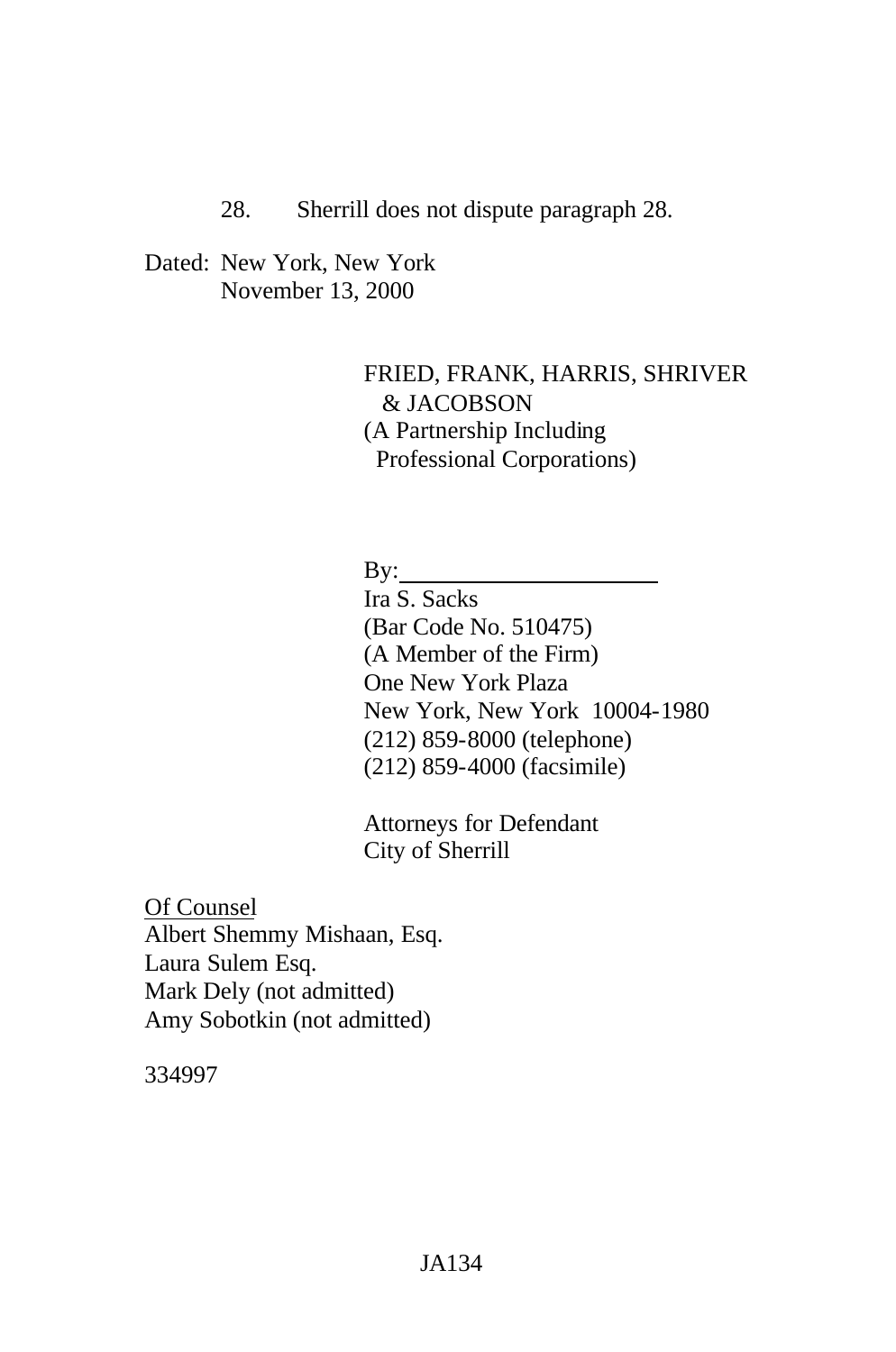### 28. Sherrill does not dispute paragraph 28.

Dated: New York, New York November 13, 2000

> FRIED, FRANK, HARRIS, SHRIVER & JACOBSON (A Partnership Including Professional Corporations)

By:

Ira S. Sacks (Bar Code No. 510475) (A Member of the Firm) One New York Plaza New York, New York 10004-1980 (212) 859-8000 (telephone) (212) 859-4000 (facsimile)

Attorneys for Defendant City of Sherrill

Of Counsel Albert Shemmy Mishaan, Esq. Laura Sulem Esq. Mark Dely (not admitted) Amy Sobotkin (not admitted)

334997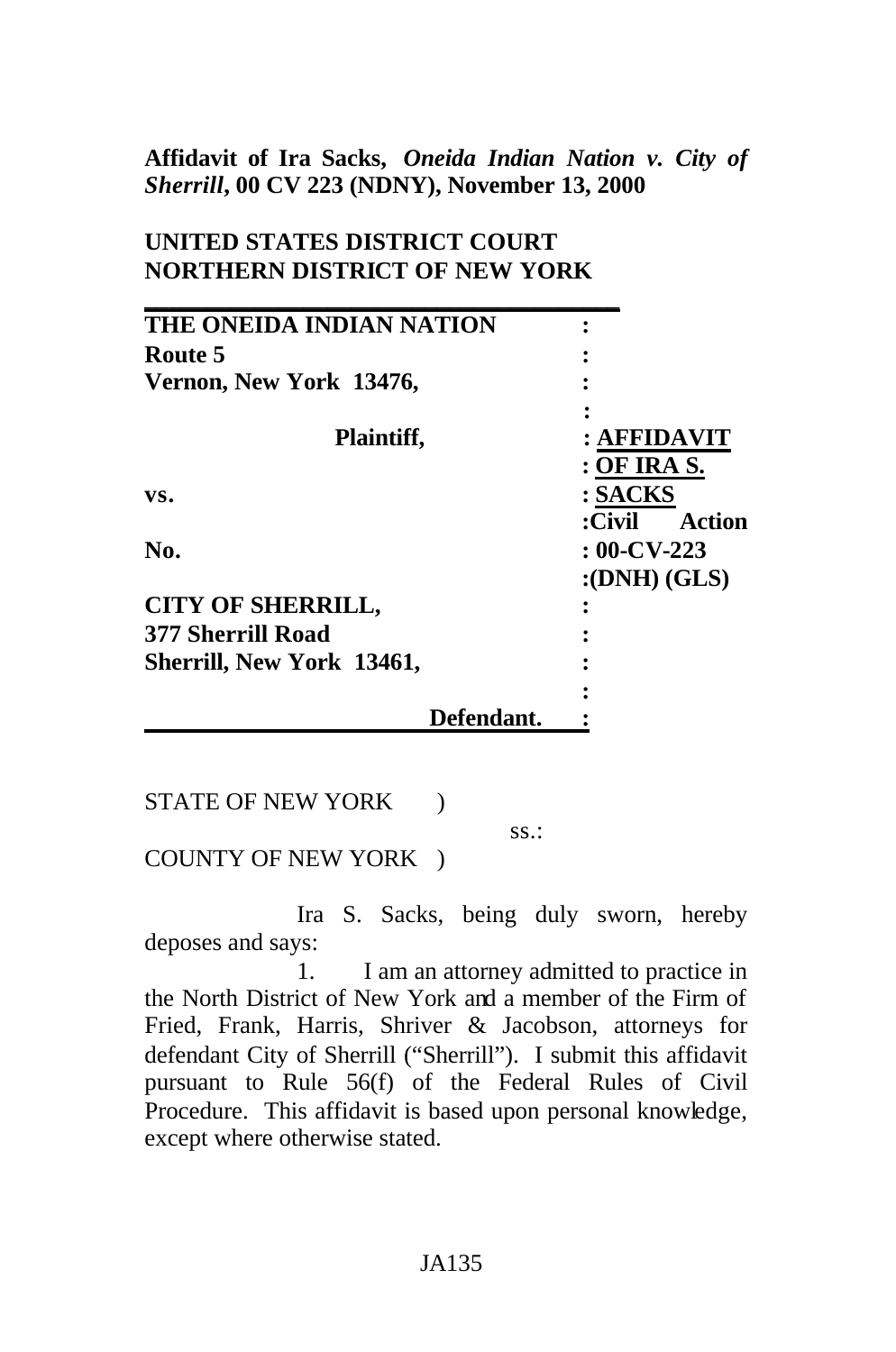# **Affidavit of Ira Sacks,** *Oneida Indian Nation v. City of Sherrill***, 00 CV 223 (NDNY), November 13, 2000**

# **UNITED STATES DISTRICT COURT NORTHERN DISTRICT OF NEW YORK**

| THE ONEIDA INDIAN NATION  |                  |
|---------------------------|------------------|
| Route 5                   |                  |
| Vernon, New York 13476,   |                  |
|                           |                  |
| Plaintiff,                | : AFFIDAVIT      |
|                           | : OF IRA S.      |
| VS.                       | : SACKS          |
|                           | Action<br>:Civil |
| No.                       | $: 00$ -CV-223   |
|                           | : (DNH) (GLS)    |
| <b>CITY OF SHERRILL,</b>  |                  |
| <b>377 Sherrill Road</b>  |                  |
| Sherrill, New York 13461, |                  |
|                           |                  |
| Defendant.                |                  |

STATE OF NEW YORK )

ss.:

COUNTY OF NEW YORK )

Ira S. Sacks, being duly sworn, hereby deposes and says:

1. I am an attorney admitted to practice in the North District of New York and a member of the Firm of Fried, Frank, Harris, Shriver & Jacobson, attorneys for defendant City of Sherrill ("Sherrill"). I submit this affidavit pursuant to Rule 56(f) of the Federal Rules of Civil Procedure. This affidavit is based upon personal knowledge, except where otherwise stated.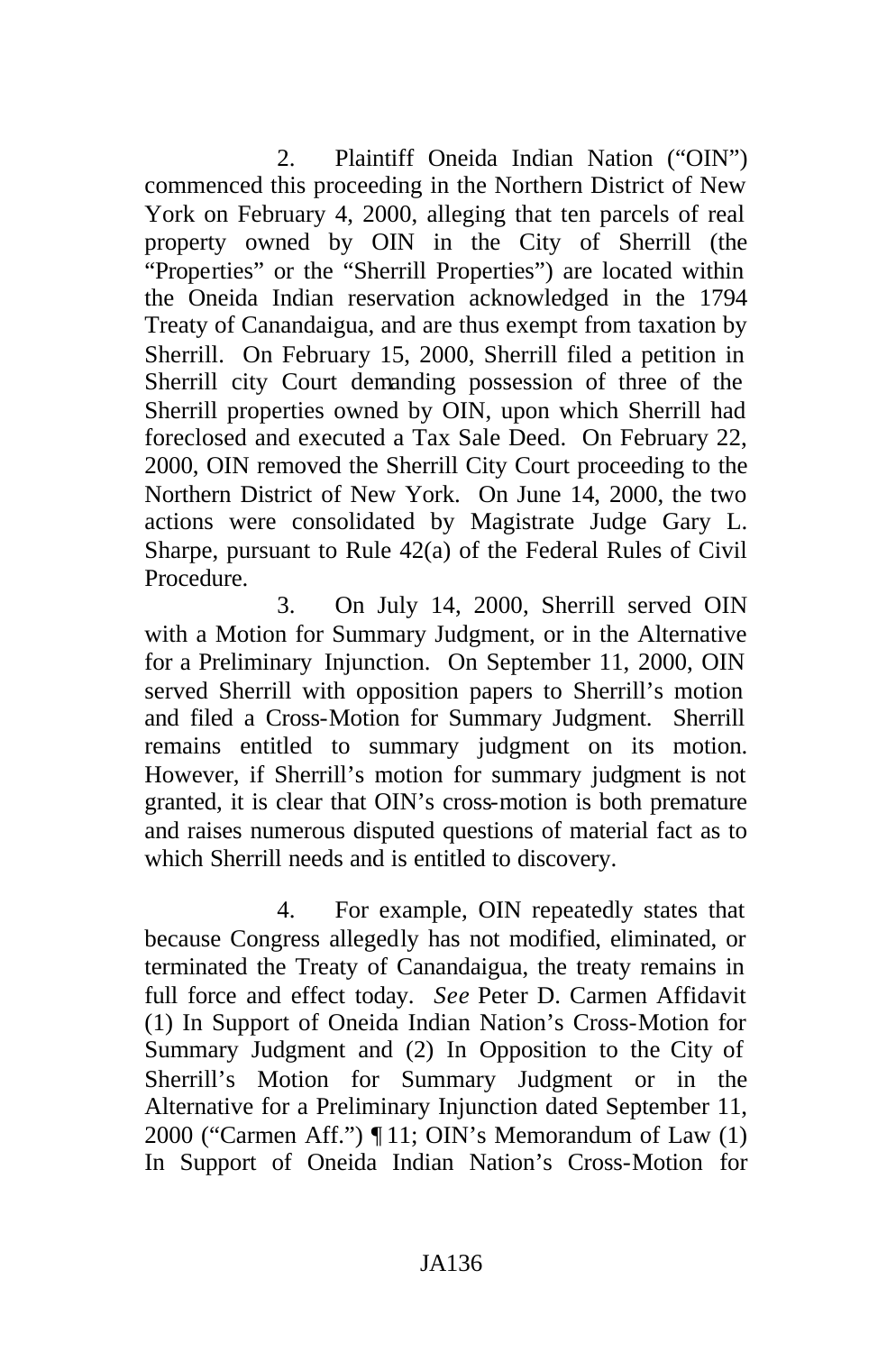2. Plaintiff Oneida Indian Nation ("OIN") commenced this proceeding in the Northern District of New York on February 4, 2000, alleging that ten parcels of real property owned by OIN in the City of Sherrill (the "Properties" or the "Sherrill Properties") are located within the Oneida Indian reservation acknowledged in the 1794 Treaty of Canandaigua, and are thus exempt from taxation by Sherrill. On February 15, 2000, Sherrill filed a petition in Sherrill city Court demanding possession of three of the Sherrill properties owned by OIN, upon which Sherrill had foreclosed and executed a Tax Sale Deed. On February 22, 2000, OIN removed the Sherrill City Court proceeding to the Northern District of New York. On June 14, 2000, the two actions were consolidated by Magistrate Judge Gary L. Sharpe, pursuant to Rule 42(a) of the Federal Rules of Civil Procedure.

3. On July 14, 2000, Sherrill served OIN with a Motion for Summary Judgment, or in the Alternative for a Preliminary Injunction. On September 11, 2000, OIN served Sherrill with opposition papers to Sherrill's motion and filed a Cross-Motion for Summary Judgment. Sherrill remains entitled to summary judgment on its motion. However, if Sherrill's motion for summary judgment is not granted, it is clear that OIN's cross-motion is both premature and raises numerous disputed questions of material fact as to which Sherrill needs and is entitled to discovery.

4. For example, OIN repeatedly states that because Congress allegedly has not modified, eliminated, or terminated the Treaty of Canandaigua, the treaty remains in full force and effect today. *See* Peter D. Carmen Affidavit (1) In Support of Oneida Indian Nation's Cross-Motion for Summary Judgment and (2) In Opposition to the City of Sherrill's Motion for Summary Judgment or in the Alternative for a Preliminary Injunction dated September 11, 2000 ("Carmen Aff.") ¶ 11; OIN's Memorandum of Law (1) In Support of Oneida Indian Nation's Cross-Motion for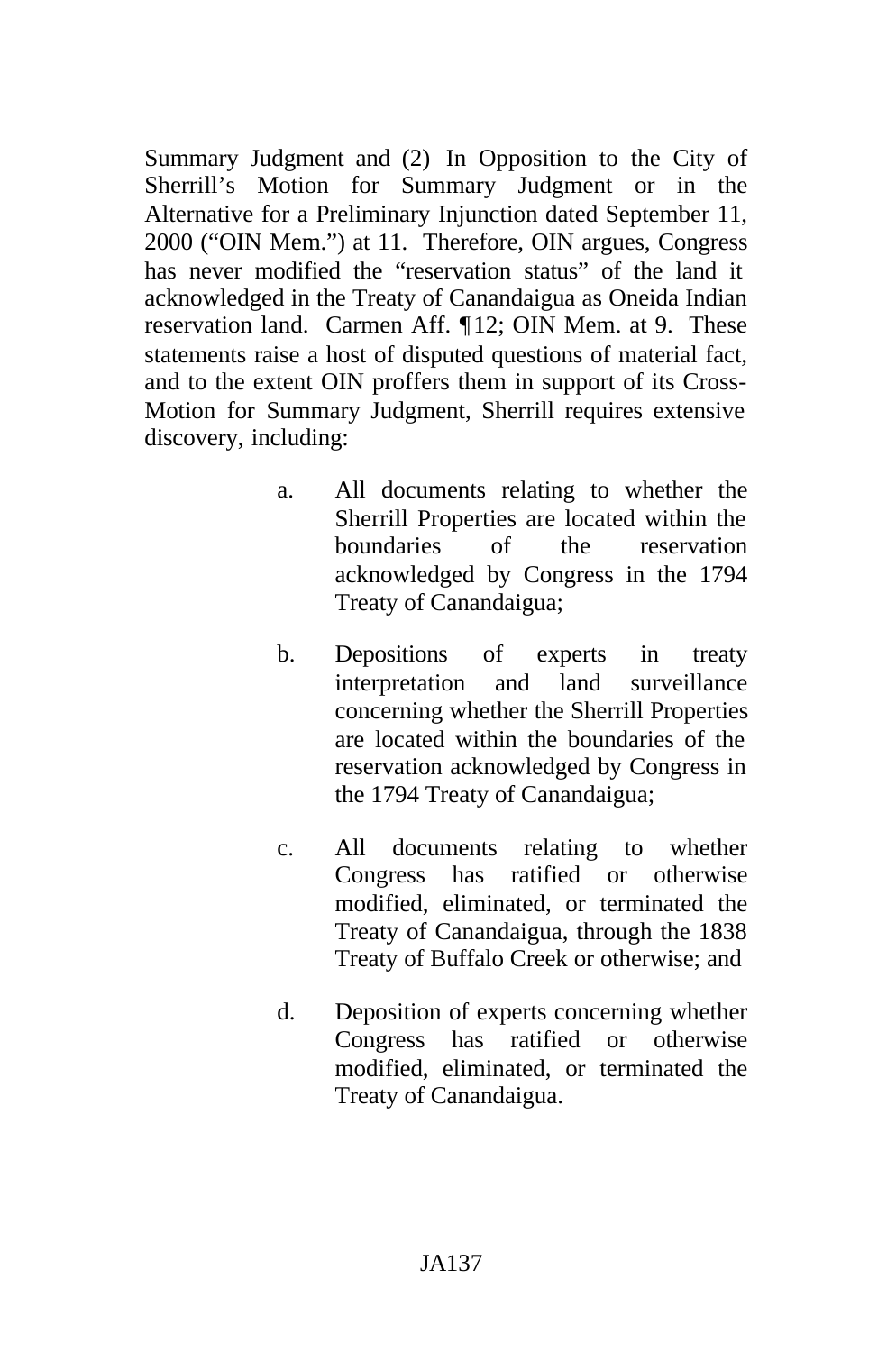Summary Judgment and (2) In Opposition to the City of Sherrill's Motion for Summary Judgment or in the Alternative for a Preliminary Injunction dated September 11, 2000 ("OIN Mem.") at 11. Therefore, OIN argues, Congress has never modified the "reservation status" of the land it acknowledged in the Treaty of Canandaigua as Oneida Indian reservation land. Carmen Aff. ¶12; OIN Mem. at 9. These statements raise a host of disputed questions of material fact, and to the extent OIN proffers them in support of its Cross-Motion for Summary Judgment, Sherrill requires extensive discovery, including:

- a. All documents relating to whether the Sherrill Properties are located within the boundaries of the reservation acknowledged by Congress in the 1794 Treaty of Canandaigua;
- b. Depositions of experts in treaty interpretation and land surveillance concerning whether the Sherrill Properties are located within the boundaries of the reservation acknowledged by Congress in the 1794 Treaty of Canandaigua;
- c. All documents relating to whether Congress has ratified or otherwise modified, eliminated, or terminated the Treaty of Canandaigua, through the 1838 Treaty of Buffalo Creek or otherwise; and
- d. Deposition of experts concerning whether Congress has ratified or otherwise modified, eliminated, or terminated the Treaty of Canandaigua.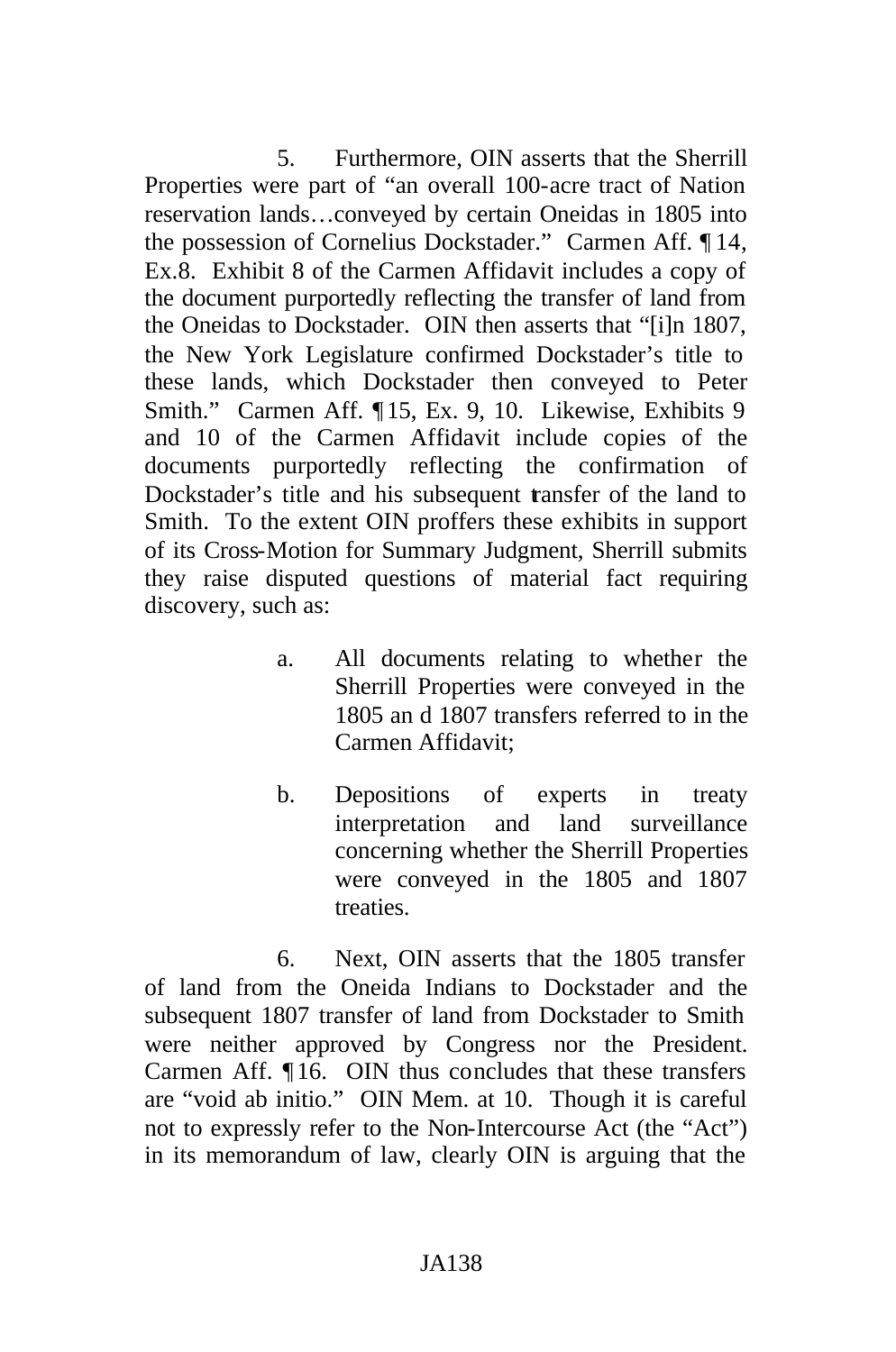5. Furthermore, OIN asserts that the Sherrill Properties were part of "an overall 100-acre tract of Nation reservation lands…conveyed by certain Oneidas in 1805 into the possession of Cornelius Dockstader." Carmen Aff. ¶ 14, Ex.8. Exhibit 8 of the Carmen Affidavit includes a copy of the document purportedly reflecting the transfer of land from the Oneidas to Dockstader. OIN then asserts that "[i]n 1807, the New York Legislature confirmed Dockstader's title to these lands, which Dockstader then conveyed to Peter Smith." Carmen Aff. ¶15, Ex. 9, 10. Likewise, Exhibits 9 and 10 of the Carmen Affidavit include copies of the documents purportedly reflecting the confirmation of Dockstader's title and his subsequent transfer of the land to Smith. To the extent OIN proffers these exhibits in support of its Cross-Motion for Summary Judgment, Sherrill submits they raise disputed questions of material fact requiring discovery, such as:

- a. All documents relating to whether the Sherrill Properties were conveyed in the 1805 an d 1807 transfers referred to in the Carmen Affidavit;
- b. Depositions of experts in treaty interpretation and land surveillance concerning whether the Sherrill Properties were conveyed in the 1805 and 1807 treaties.

6. Next, OIN asserts that the 1805 transfer of land from the Oneida Indians to Dockstader and the subsequent 1807 transfer of land from Dockstader to Smith were neither approved by Congress nor the President. Carmen Aff. ¶ 16. OIN thus concludes that these transfers are "void ab initio." OIN Mem. at 10. Though it is careful not to expressly refer to the Non-Intercourse Act (the "Act") in its memorandum of law, clearly OIN is arguing that the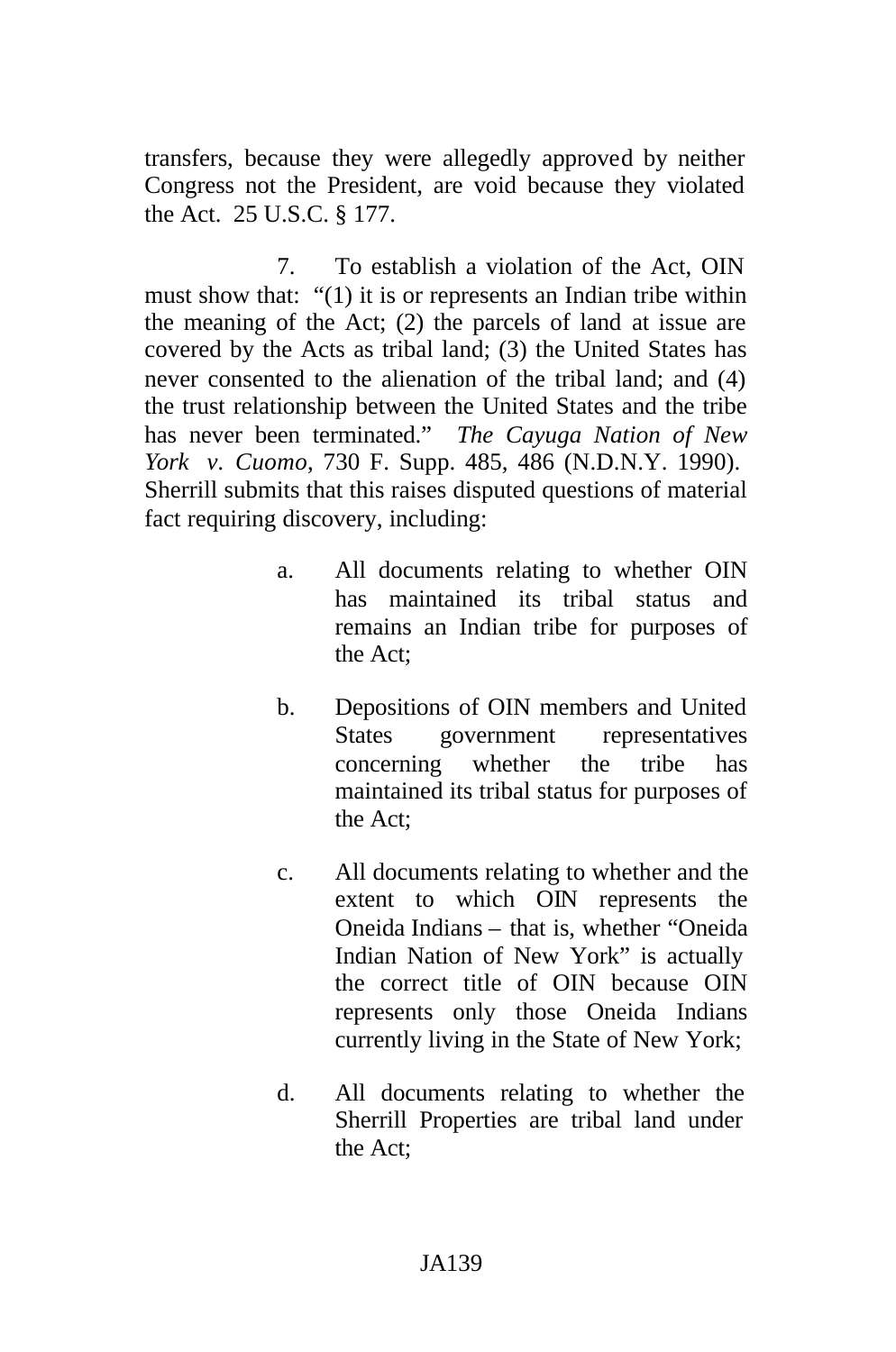transfers, because they were allegedly approved by neither Congress not the President, are void because they violated the Act. 25 U.S.C. § 177.

7. To establish a violation of the Act, OIN must show that: "(1) it is or represents an Indian tribe within the meaning of the Act; (2) the parcels of land at issue are covered by the Acts as tribal land; (3) the United States has never consented to the alienation of the tribal land; and (4) the trust relationship between the United States and the tribe has never been terminated." *The Cayuga Nation of New York v. Cuomo*, 730 F. Supp. 485, 486 (N.D.N.Y. 1990). Sherrill submits that this raises disputed questions of material fact requiring discovery, including:

- a. All documents relating to whether OIN has maintained its tribal status and remains an Indian tribe for purposes of the Act;
- b. Depositions of OIN members and United States government representatives concerning whether the tribe has maintained its tribal status for purposes of the Act;
- c. All documents relating to whether and the extent to which OIN represents the Oneida Indians – that is, whether "Oneida Indian Nation of New York" is actually the correct title of OIN because OIN represents only those Oneida Indians currently living in the State of New York;
- d. All documents relating to whether the Sherrill Properties are tribal land under the Act;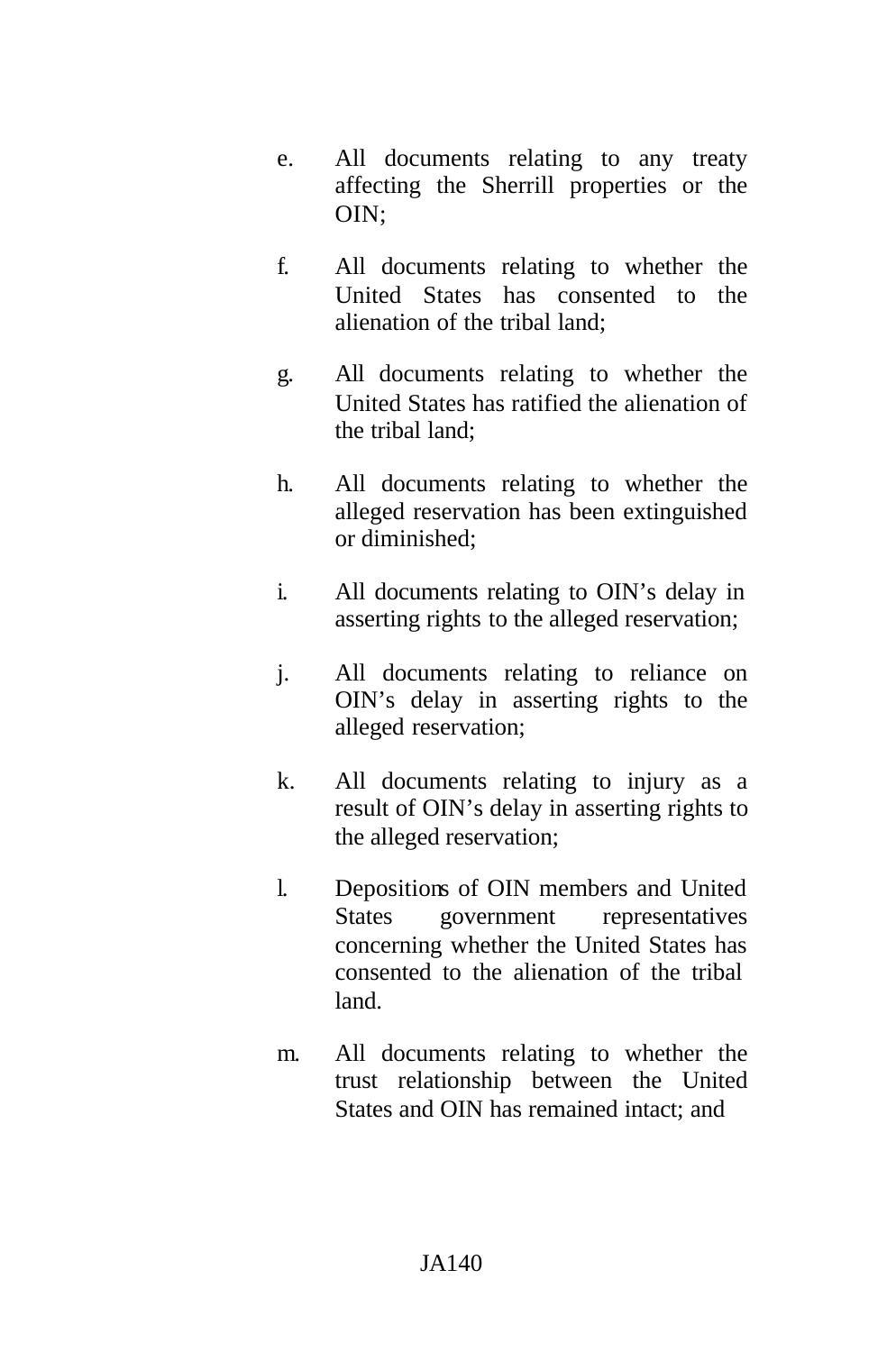- e. All documents relating to any treaty affecting the Sherrill properties or the OIN;
- f. All documents relating to whether the United States has consented to the alienation of the tribal land;
- g. All documents relating to whether the United States has ratified the alienation of the tribal land;
- h. All documents relating to whether the alleged reservation has been extinguished or diminished;
- i. All documents relating to OIN's delay in asserting rights to the alleged reservation;
- j. All documents relating to reliance on OIN's delay in asserting rights to the alleged reservation;
- k. All documents relating to injury as a result of OIN's delay in asserting rights to the alleged reservation;
- l. Depositions of OIN members and United States government representatives concerning whether the United States has consented to the alienation of the tribal land.
- m. All documents relating to whether the trust relationship between the United States and OIN has remained intact; and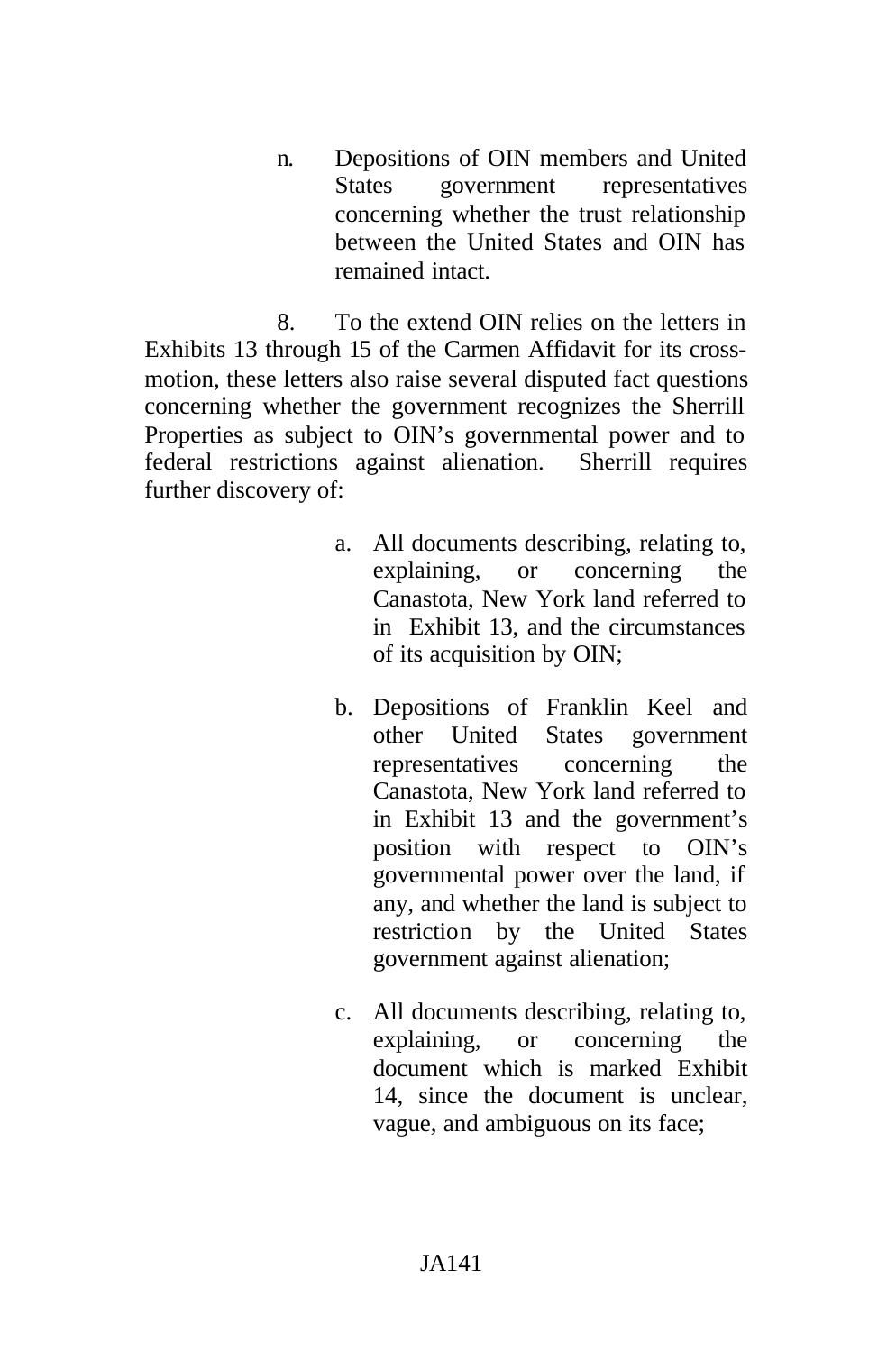n. Depositions of OIN members and United States government representatives concerning whether the trust relationship between the United States and OIN has remained intact.

8. To the extend OIN relies on the letters in Exhibits 13 through 15 of the Carmen Affidavit for its crossmotion, these letters also raise several disputed fact questions concerning whether the government recognizes the Sherrill Properties as subject to OIN's governmental power and to federal restrictions against alienation. Sherrill requires further discovery of:

- a. All documents describing, relating to, explaining, or concerning the Canastota, New York land referred to in Exhibit 13, and the circumstances of its acquisition by OIN;
- b. Depositions of Franklin Keel and other United States government representatives concerning the Canastota, New York land referred to in Exhibit 13 and the government's position with respect to OIN's governmental power over the land, if any, and whether the land is subject to restriction by the United States government against alienation;
- c. All documents describing, relating to, explaining, or concerning the document which is marked Exhibit 14, since the document is unclear, vague, and ambiguous on its face;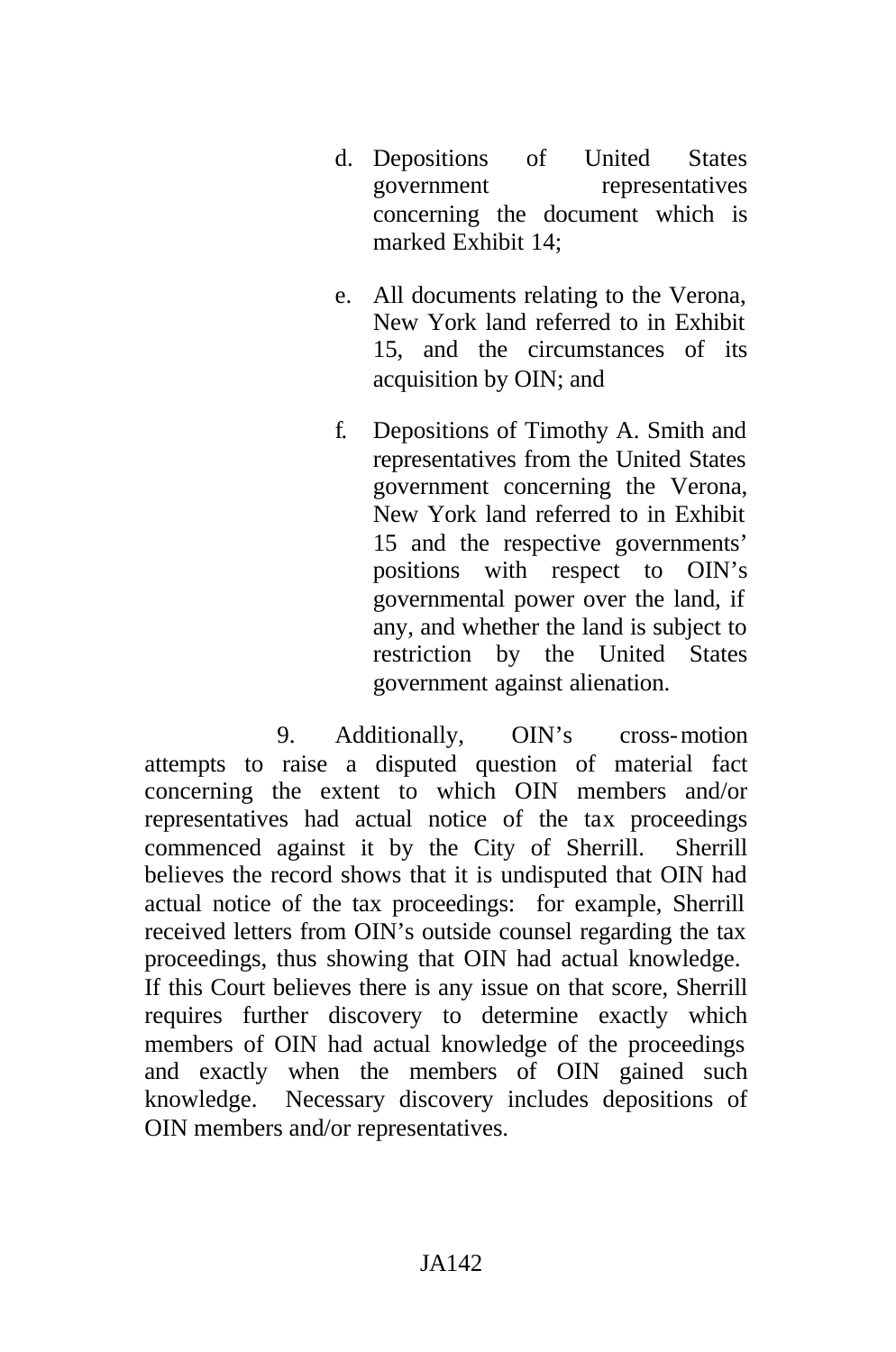- d. Depositions of United States government representatives concerning the document which is marked Exhibit 14;
- e. All documents relating to the Verona, New York land referred to in Exhibit 15, and the circumstances of its acquisition by OIN; and
- f. Depositions of Timothy A. Smith and representatives from the United States government concerning the Verona, New York land referred to in Exhibit 15 and the respective governments' positions with respect to OIN's governmental power over the land, if any, and whether the land is subject to restriction by the United States government against alienation.

9. Additionally, OIN's cross-motion attempts to raise a disputed question of material fact concerning the extent to which OIN members and/or representatives had actual notice of the tax proceedings commenced against it by the City of Sherrill. Sherrill believes the record shows that it is undisputed that OIN had actual notice of the tax proceedings: for example, Sherrill received letters from OIN's outside counsel regarding the tax proceedings, thus showing that OIN had actual knowledge. If this Court believes there is any issue on that score, Sherrill requires further discovery to determine exactly which members of OIN had actual knowledge of the proceedings and exactly when the members of OIN gained such knowledge. Necessary discovery includes depositions of OIN members and/or representatives.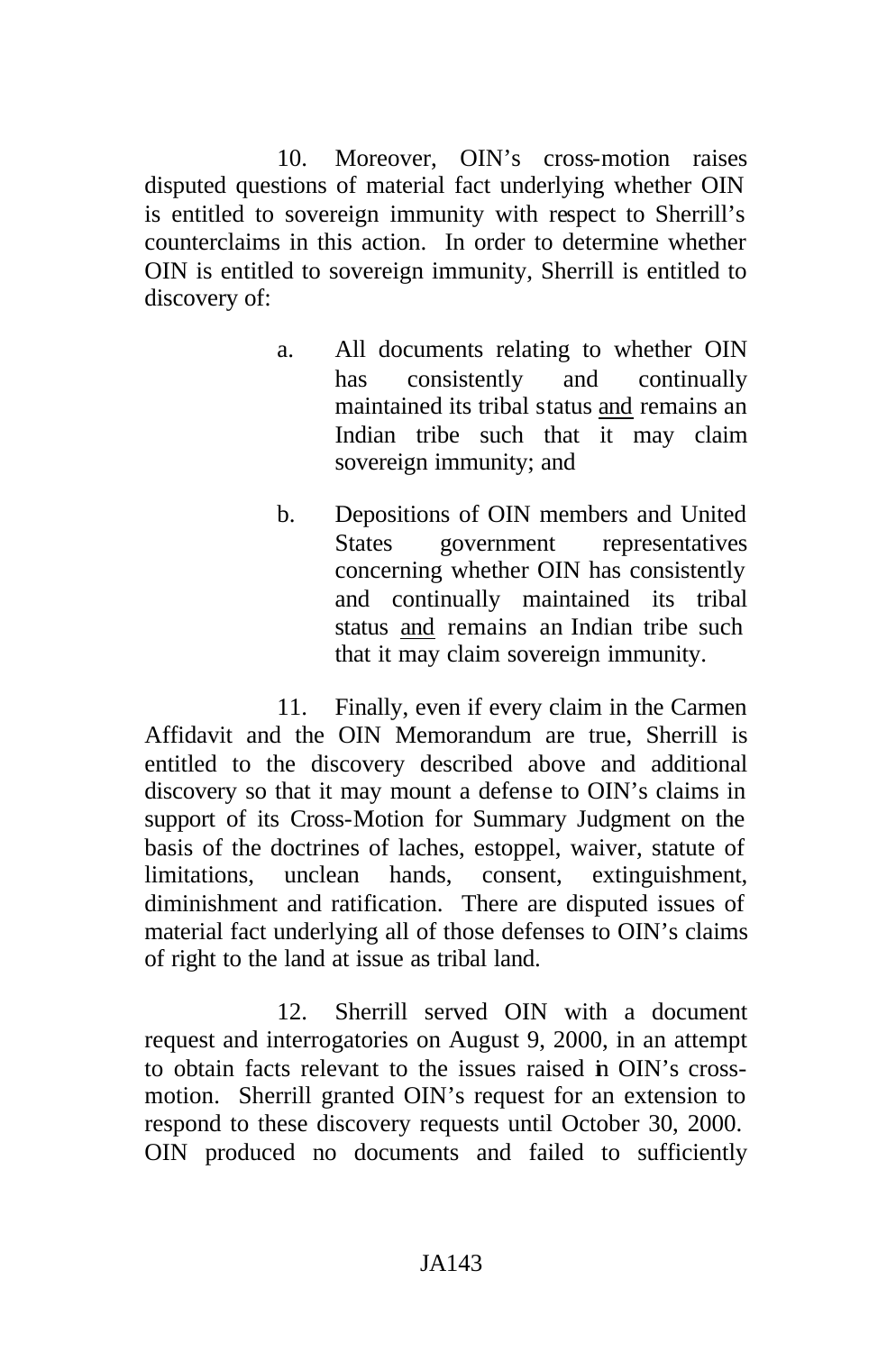10. Moreover, OIN's cross-motion raises disputed questions of material fact underlying whether OIN is entitled to sovereign immunity with respect to Sherrill's counterclaims in this action. In order to determine whether OIN is entitled to sovereign immunity, Sherrill is entitled to discovery of:

- a. All documents relating to whether OIN has consistently and continually maintained its tribal status and remains an Indian tribe such that it may claim sovereign immunity; and
- b. Depositions of OIN members and United States government representatives concerning whether OIN has consistently and continually maintained its tribal status and remains an Indian tribe such that it may claim sovereign immunity.

11. Finally, even if every claim in the Carmen Affidavit and the OIN Memorandum are true, Sherrill is entitled to the discovery described above and additional discovery so that it may mount a defense to OIN's claims in support of its Cross-Motion for Summary Judgment on the basis of the doctrines of laches, estoppel, waiver, statute of limitations, unclean hands, consent, extinguishment, diminishment and ratification. There are disputed issues of material fact underlying all of those defenses to OIN's claims of right to the land at issue as tribal land.

12. Sherrill served OIN with a document request and interrogatories on August 9, 2000, in an attempt to obtain facts relevant to the issues raised in OIN's crossmotion. Sherrill granted OIN's request for an extension to respond to these discovery requests until October 30, 2000. OIN produced no documents and failed to sufficiently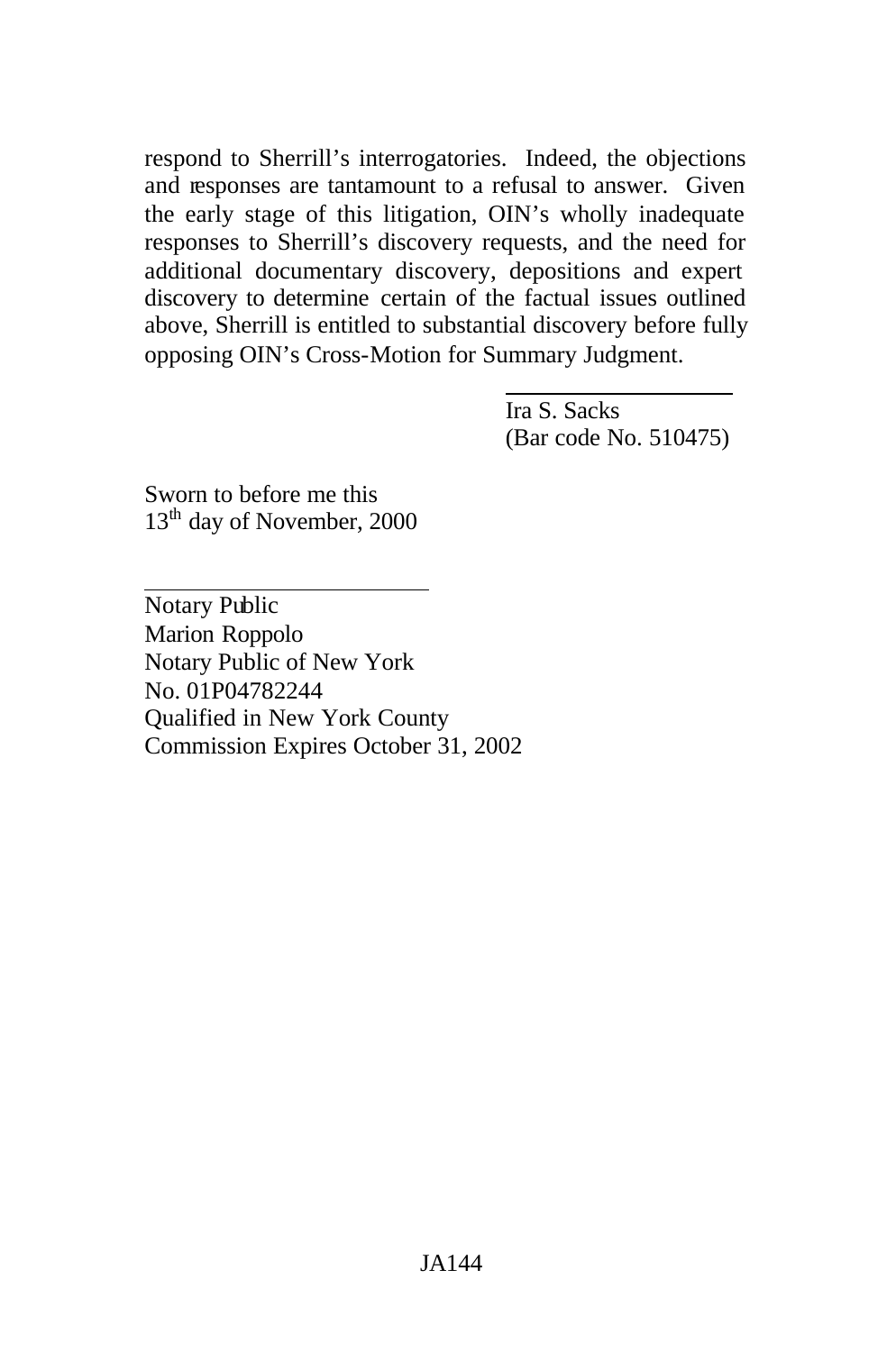respond to Sherrill's interrogatories. Indeed, the objections and responses are tantamount to a refusal to answer. Given the early stage of this litigation, OIN's wholly inadequate responses to Sherrill's discovery requests, and the need for additional documentary discovery, depositions and expert discovery to determine certain of the factual issues outlined above, Sherrill is entitled to substantial discovery before fully opposing OIN's Cross-Motion for Summary Judgment.

> Ira S. Sacks (Bar code No. 510475)

Sworn to before me this 13<sup>th</sup> day of November, 2000

Notary Public Marion Roppolo Notary Public of New York No. 01P04782244 Qualified in New York County Commission Expires October 31, 2002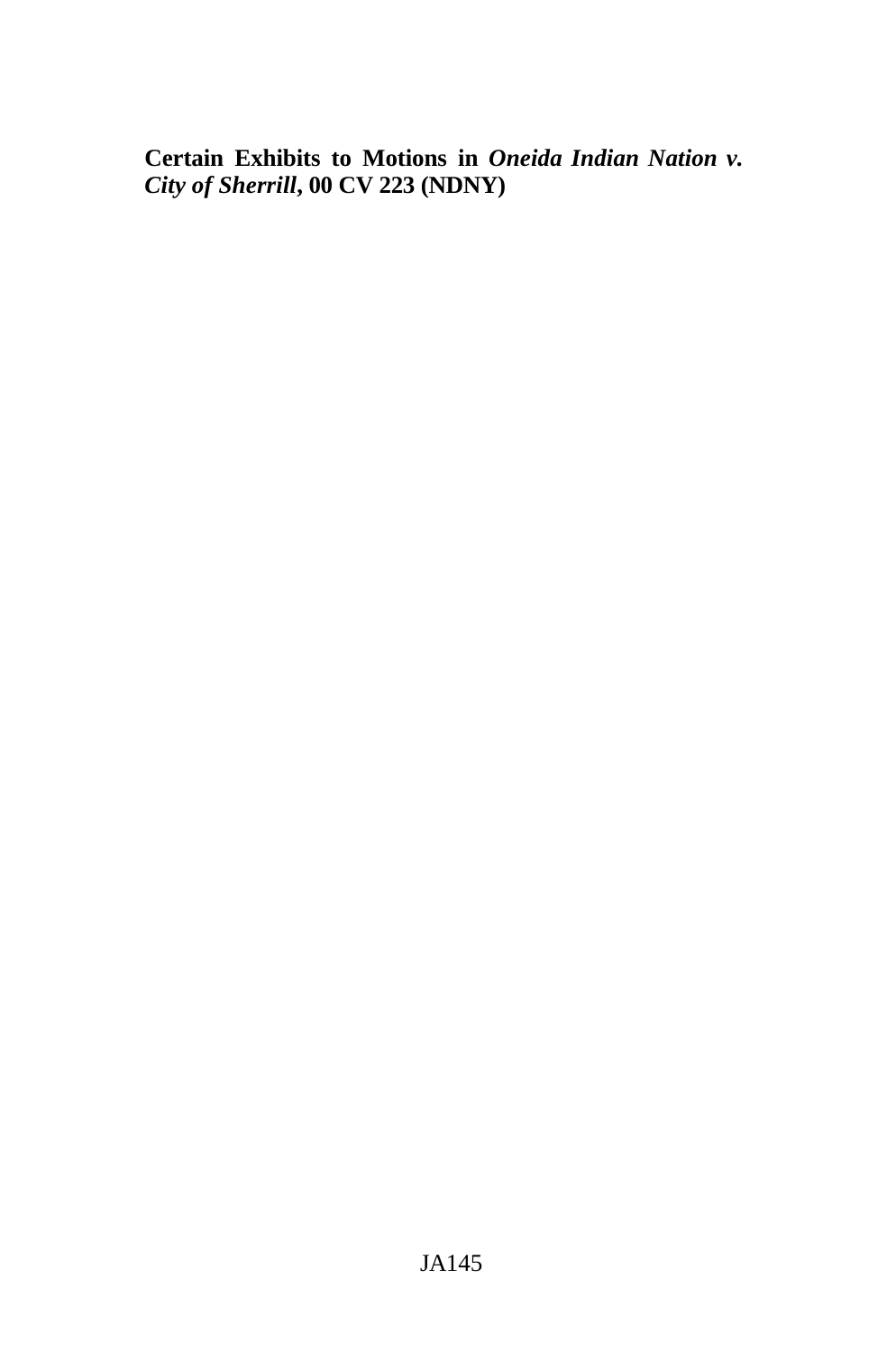**Certain Exhibits to Motions in** *Oneida Indian Nation v. City of Sherrill***, 00 CV 223 (NDNY)**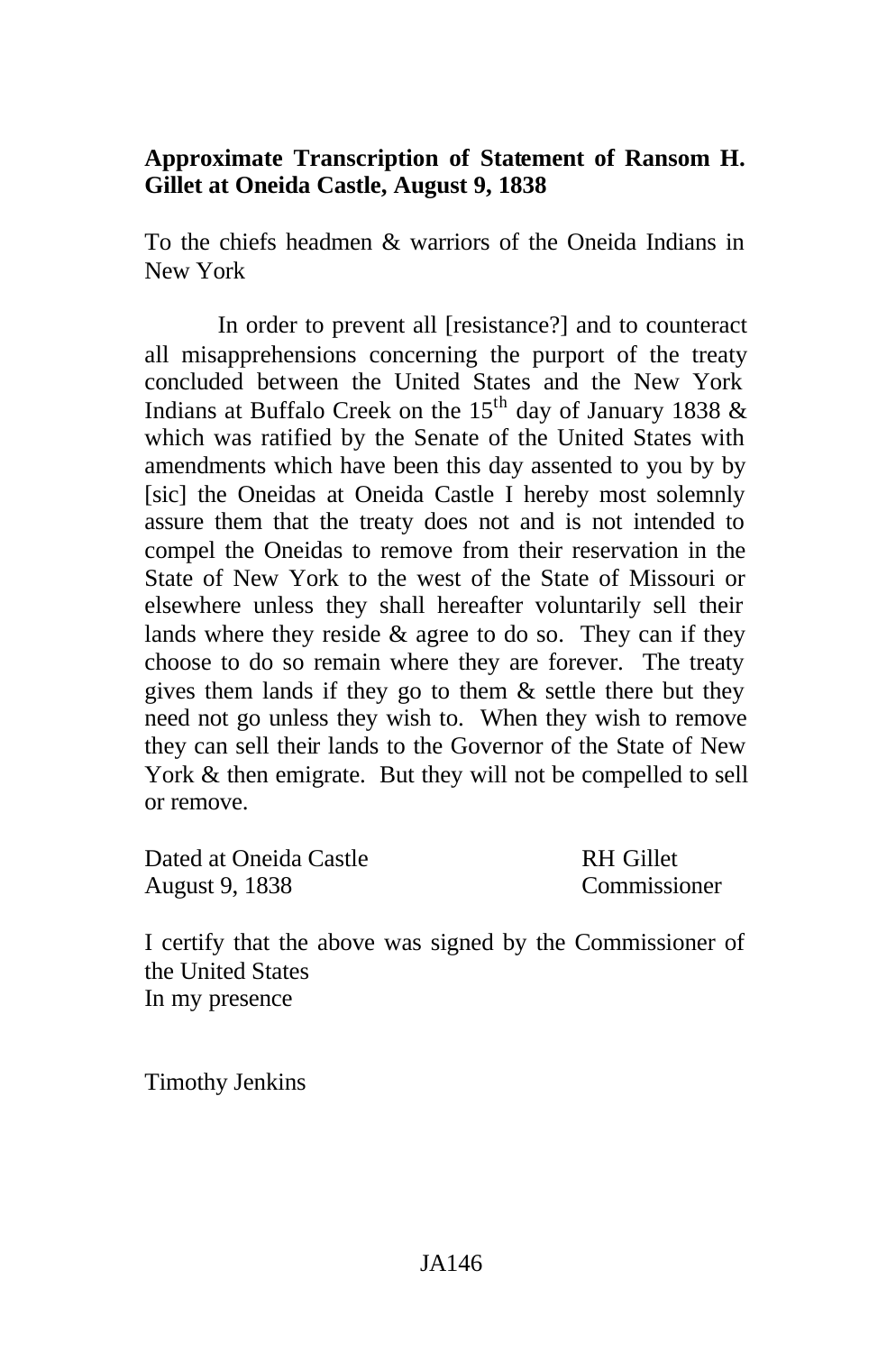## **Approximate Transcription of Statement of Ransom H. Gillet at Oneida Castle, August 9, 1838**

To the chiefs headmen & warriors of the Oneida Indians in New York

In order to prevent all [resistance?] and to counteract all misapprehensions concerning the purport of the treaty concluded between the United States and the New York Indians at Buffalo Creek on the 15<sup>th</sup> day of January 1838  $\&$ which was ratified by the Senate of the United States with amendments which have been this day assented to you by by [sic] the Oneidas at Oneida Castle I hereby most solemnly assure them that the treaty does not and is not intended to compel the Oneidas to remove from their reservation in the State of New York to the west of the State of Missouri or elsewhere unless they shall hereafter voluntarily sell their lands where they reside & agree to do so. They can if they choose to do so remain where they are forever. The treaty gives them lands if they go to them  $\&$  settle there but they need not go unless they wish to. When they wish to remove they can sell their lands to the Governor of the State of New York & then emigrate. But they will not be compelled to sell or remove.

| Dated at Oneida Castle | RH Gillet    |
|------------------------|--------------|
| August 9, 1838         | Commissioner |

I certify that the above was signed by the Commissioner of the United States In my presence

Timothy Jenkins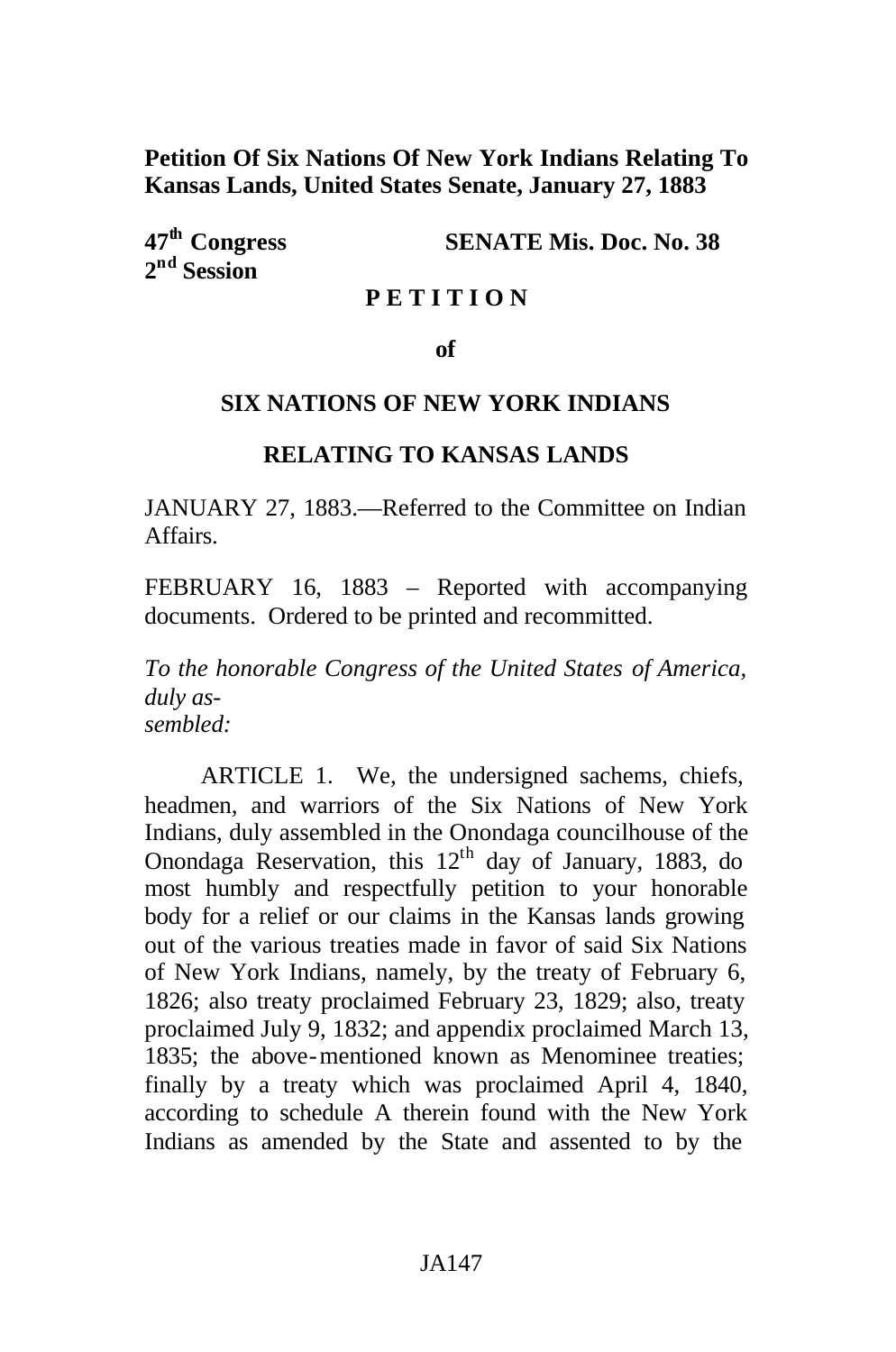**Petition Of Six Nations Of New York Indians Relating To Kansas Lands, United States Senate, January 27, 1883**

**2 nd Session**

**47th Congress SENATE Mis. Doc. No. 38**

#### **P E T I T I O N**

#### **of**

#### **SIX NATIONS OF NEW YORK INDIANS**

#### **RELATING TO KANSAS LANDS**

JANUARY 27, 1883.—Referred to the Committee on Indian Affairs.

FEBRUARY 16, 1883 – Reported with accompanying documents. Ordered to be printed and recommitted.

*To the honorable Congress of the United States of America, duly assembled:*

ARTICLE 1. We, the undersigned sachems, chiefs, headmen, and warriors of the Six Nations of New York Indians, duly assembled in the Onondaga councilhouse of the Onondaga Reservation, this  $12<sup>th</sup>$  day of January, 1883, do most humbly and respectfully petition to your honorable body for a relief or our claims in the Kansas lands growing out of the various treaties made in favor of said Six Nations of New York Indians, namely, by the treaty of February 6, 1826; also treaty proclaimed February 23, 1829; also, treaty proclaimed July 9, 1832; and appendix proclaimed March 13, 1835; the above-mentioned known as Menominee treaties; finally by a treaty which was proclaimed April 4, 1840, according to schedule A therein found with the New York Indians as amended by the State and assented to by the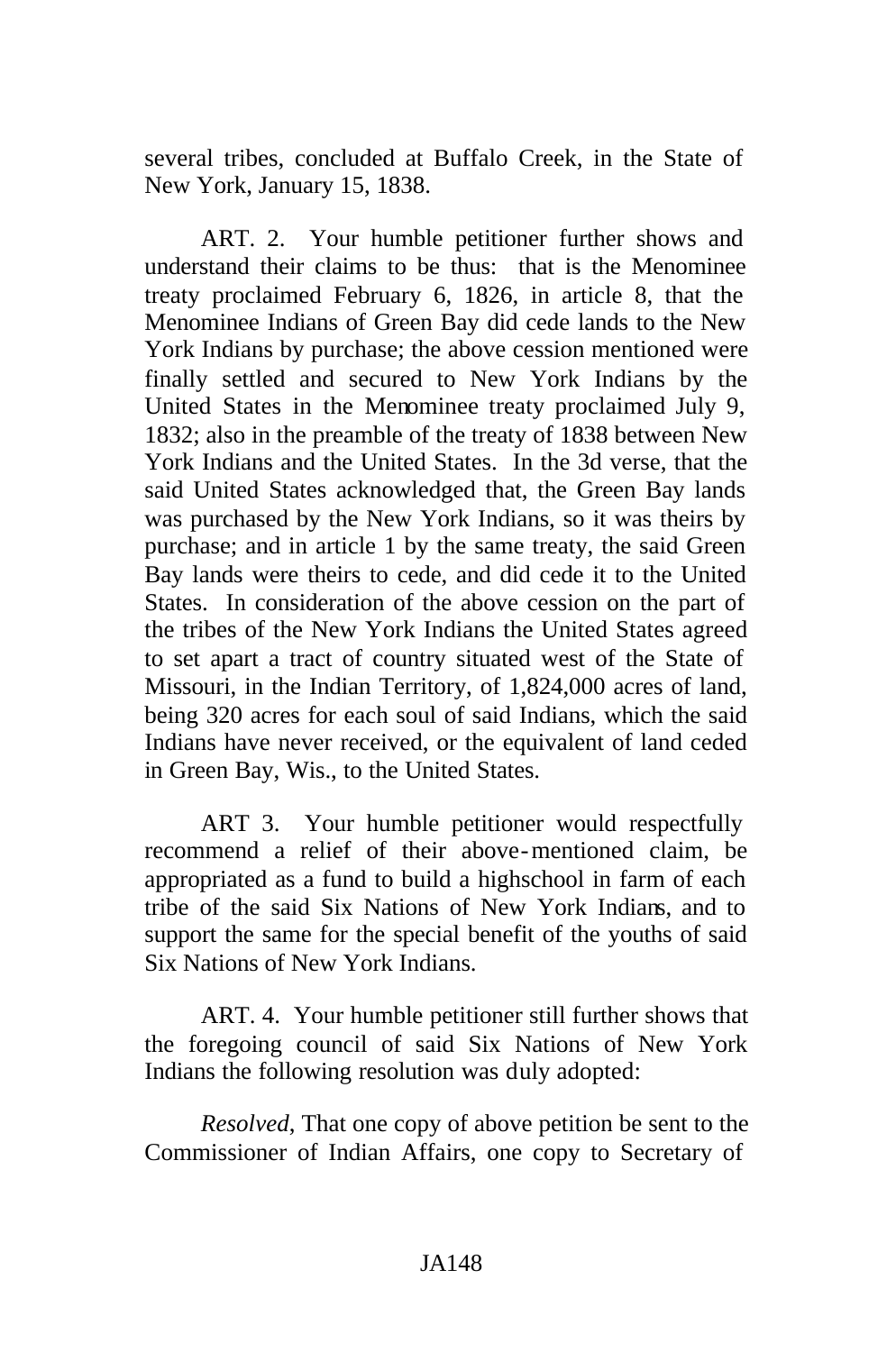several tribes, concluded at Buffalo Creek, in the State of New York, January 15, 1838.

ART. 2. Your humble petitioner further shows and understand their claims to be thus: that is the Menominee treaty proclaimed February 6, 1826, in article 8, that the Menominee Indians of Green Bay did cede lands to the New York Indians by purchase; the above cession mentioned were finally settled and secured to New York Indians by the United States in the Menominee treaty proclaimed July 9, 1832; also in the preamble of the treaty of 1838 between New York Indians and the United States. In the 3d verse, that the said United States acknowledged that, the Green Bay lands was purchased by the New York Indians, so it was theirs by purchase; and in article 1 by the same treaty, the said Green Bay lands were theirs to cede, and did cede it to the United States. In consideration of the above cession on the part of the tribes of the New York Indians the United States agreed to set apart a tract of country situated west of the State of Missouri, in the Indian Territory, of 1,824,000 acres of land, being 320 acres for each soul of said Indians, which the said Indians have never received, or the equivalent of land ceded in Green Bay, Wis., to the United States.

ART 3. Your humble petitioner would respectfully recommend a relief of their above-mentioned claim, be appropriated as a fund to build a highschool in farm of each tribe of the said Six Nations of New York Indians, and to support the same for the special benefit of the youths of said Six Nations of New York Indians.

ART. 4. Your humble petitioner still further shows that the foregoing council of said Six Nations of New York Indians the following resolution was duly adopted:

*Resolved*, That one copy of above petition be sent to the Commissioner of Indian Affairs, one copy to Secretary of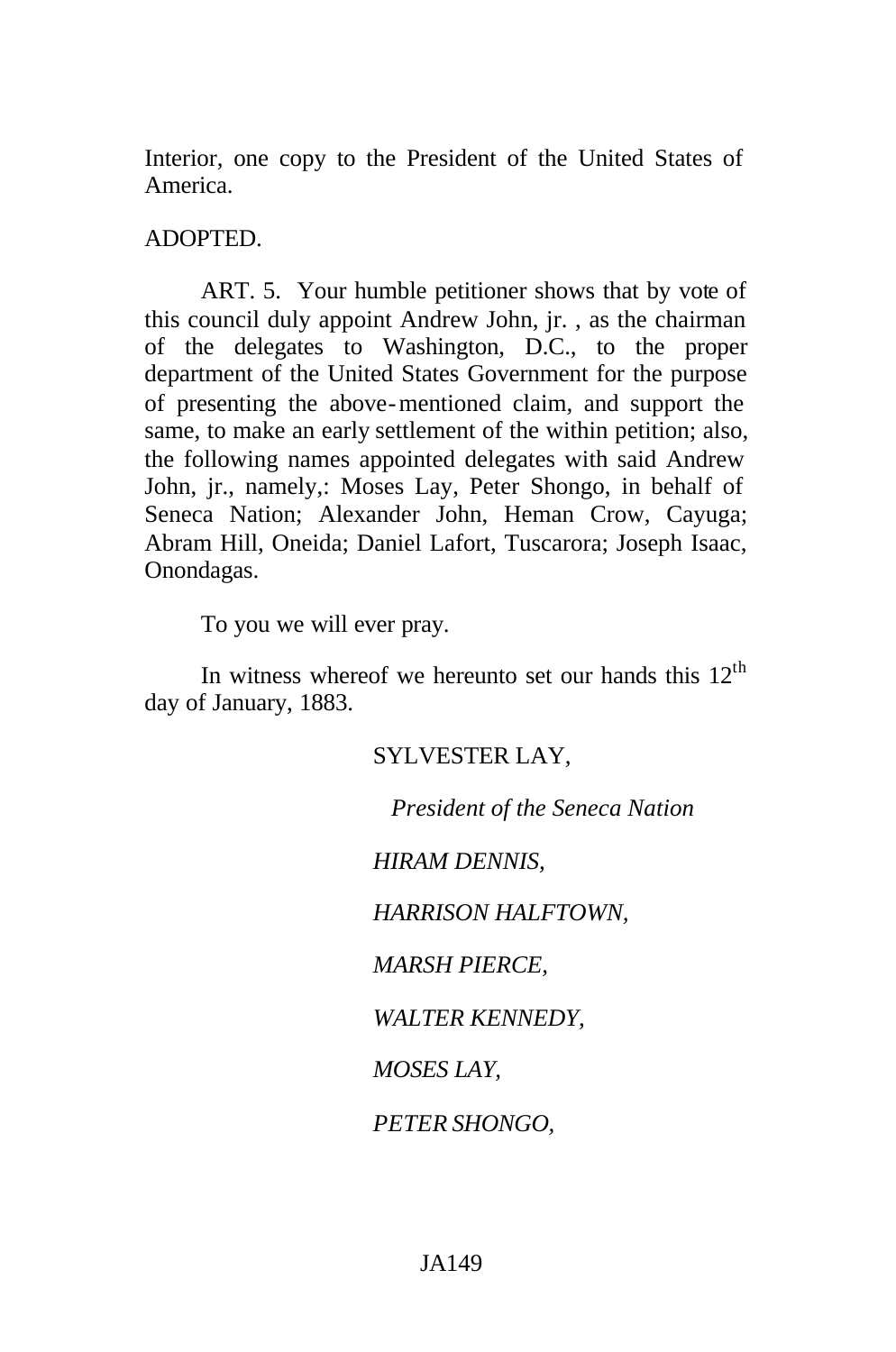Interior, one copy to the President of the United States of America.

#### ADOPTED.

ART. 5. Your humble petitioner shows that by vote of this council duly appoint Andrew John, jr. , as the chairman of the delegates to Washington, D.C., to the proper department of the United States Government for the purpose of presenting the above-mentioned claim, and support the same, to make an early settlement of the within petition; also, the following names appointed delegates with said Andrew John, jr., namely,: Moses Lay, Peter Shongo, in behalf of Seneca Nation; Alexander John, Heman Crow, Cayuga; Abram Hill, Oneida; Daniel Lafort, Tuscarora; Joseph Isaac, Onondagas.

To you we will ever pray.

In witness whereof we hereunto set our hands this  $12<sup>th</sup>$ day of January, 1883.

#### SYLVESTER LAY,

*President of the Seneca Nation*

*HIRAM DENNIS,*

*HARRISON HALFTOWN,*

*MARSH PIERCE,*

*WALTER KENNEDY,*

*MOSES LAY,*

*PETER SHONGO,*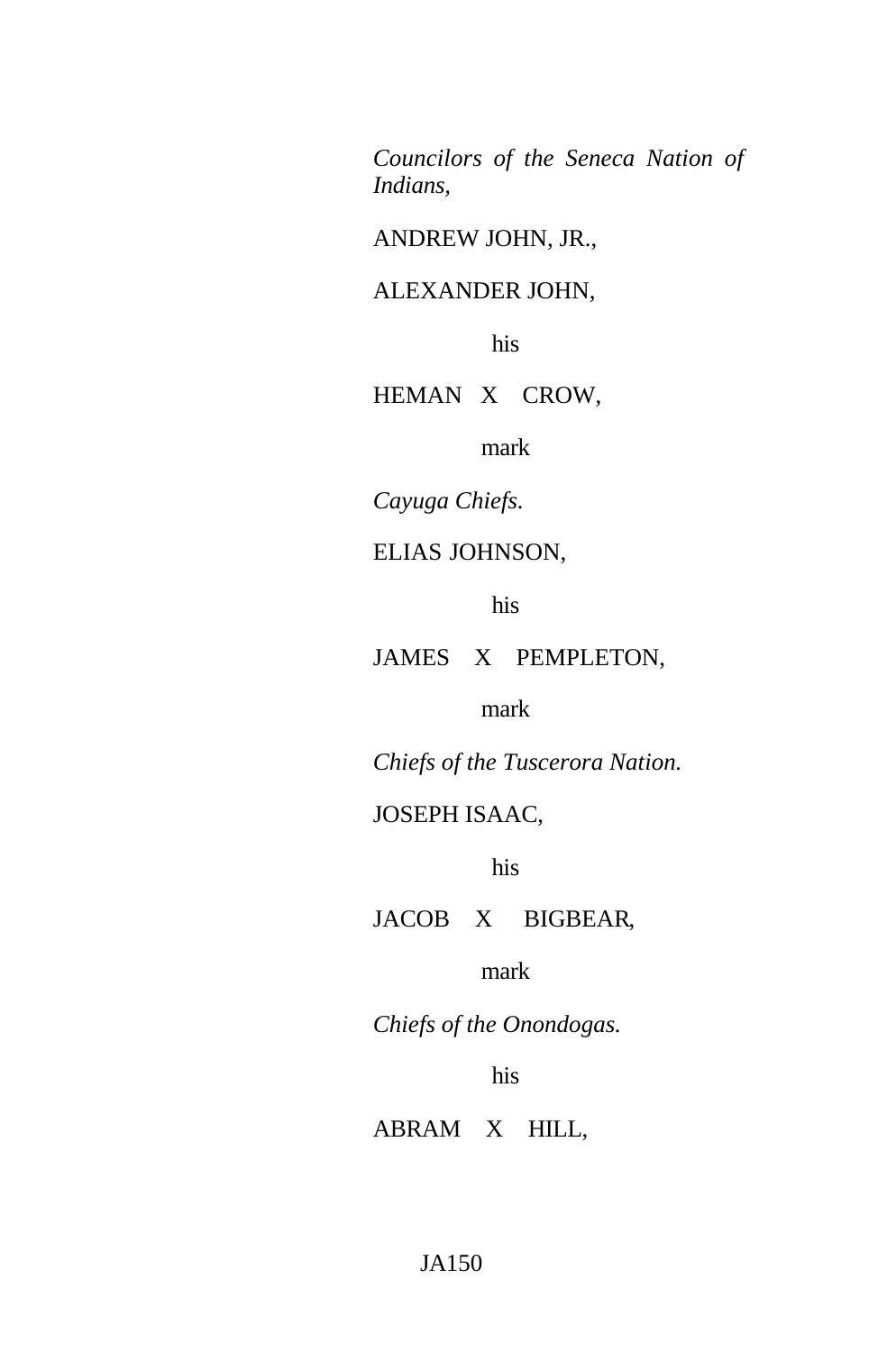*Councilors of the Seneca Nation of Indians,*

ANDREW JOHN, JR.,

## ALEXANDER JOHN,

his

HEMAN X CROW,

mark

*Cayuga Chiefs.*

### ELIAS JOHNSON,

his

JAMES X PEMPLETON,

mark

*Chiefs of the Tuscerora Nation.*

## JOSEPH ISAAC,

his

JACOB X BIGBEAR,

mark

*Chiefs of the Onondogas.*

his

ABRAM X HILL,

#### JA150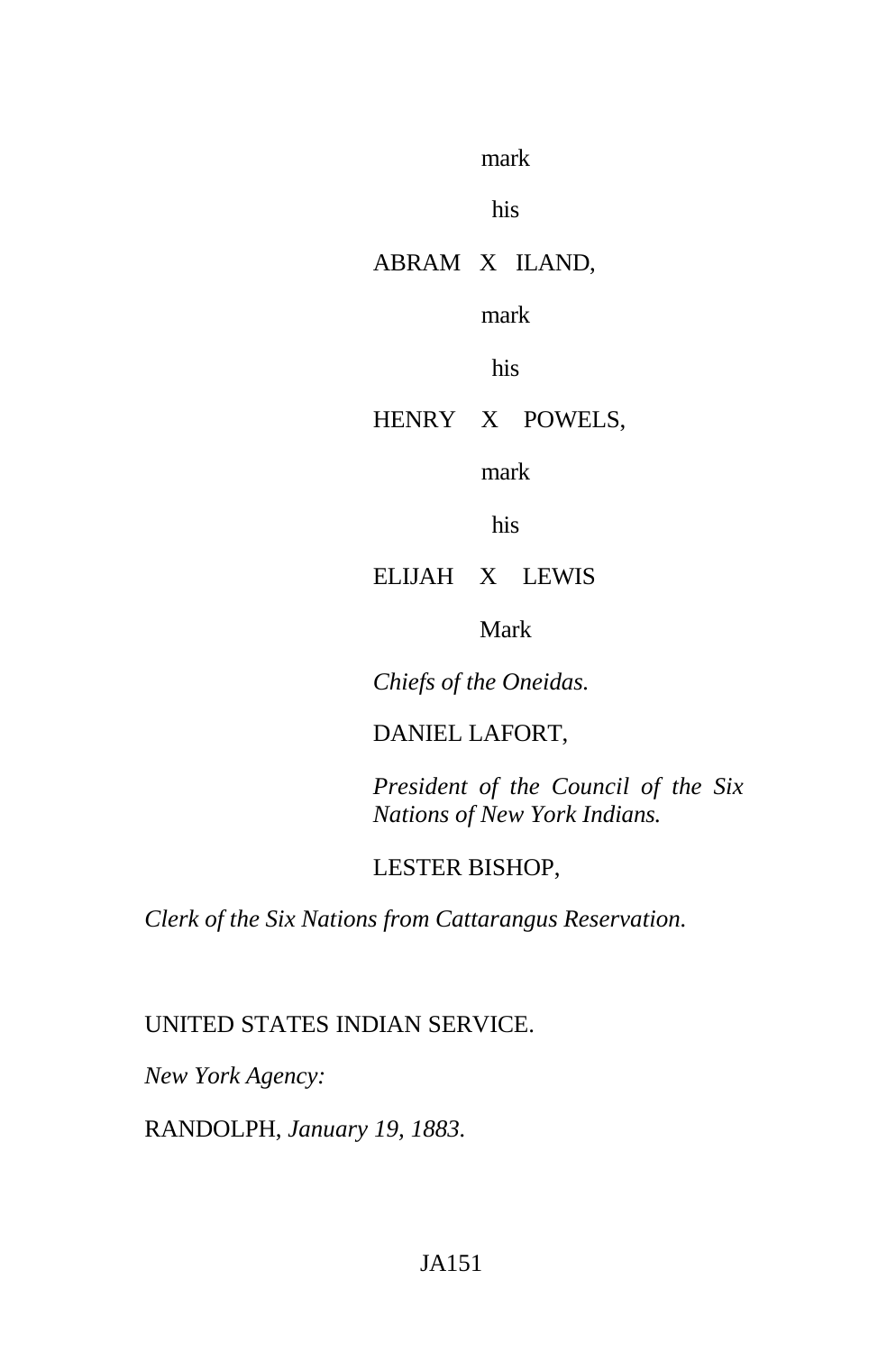mark

his

## ABRAM X ILAND,

mark

his

## HENRY X POWELS,

mark

his

## ELIJAH X LEWIS

### Mark

*Chiefs of the Oneidas.*

## DANIEL LAFORT,

*President of the Council of the Six Nations of New York Indians.*

## LESTER BISHOP,

*Clerk of the Six Nations from Cattarangus Reservation.*

## UNITED STATES INDIAN SERVICE.

*New York Agency:*

RANDOLPH, *January 19, 1883.*

## JA151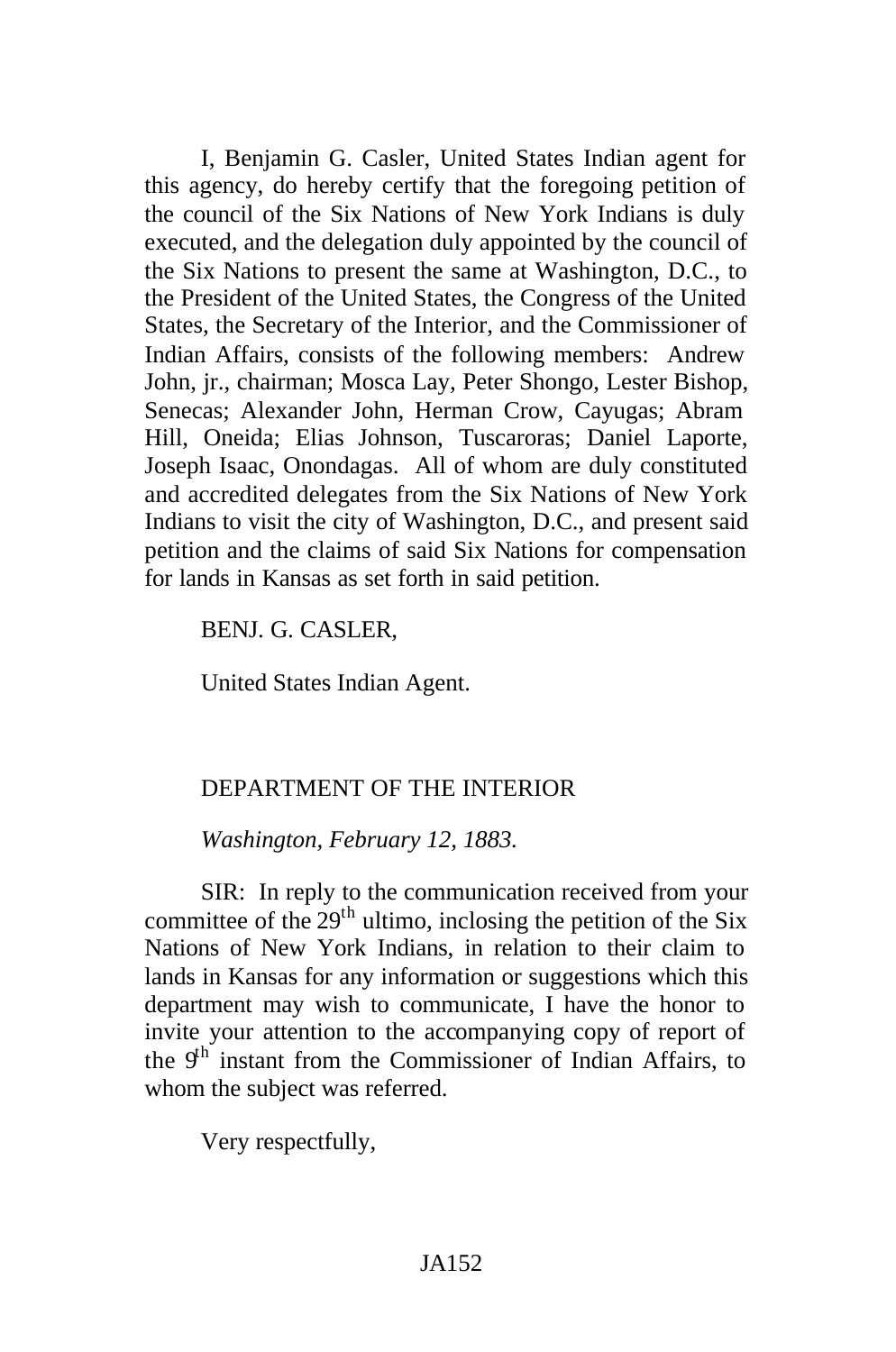I, Benjamin G. Casler, United States Indian agent for this agency, do hereby certify that the foregoing petition of the council of the Six Nations of New York Indians is duly executed, and the delegation duly appointed by the council of the Six Nations to present the same at Washington, D.C., to the President of the United States, the Congress of the United States, the Secretary of the Interior, and the Commissioner of Indian Affairs, consists of the following members: Andrew John, jr., chairman; Mosca Lay, Peter Shongo, Lester Bishop, Senecas; Alexander John, Herman Crow, Cayugas; Abram Hill, Oneida; Elias Johnson, Tuscaroras; Daniel Laporte, Joseph Isaac, Onondagas. All of whom are duly constituted and accredited delegates from the Six Nations of New York Indians to visit the city of Washington, D.C., and present said petition and the claims of said Six Nations for compensation for lands in Kansas as set forth in said petition.

BENJ. G. CASLER,

United States Indian Agent.

#### DEPARTMENT OF THE INTERIOR

*Washington, February 12, 1883.*

SIR: In reply to the communication received from your committee of the  $29<sup>th</sup>$  ultimo, inclosing the petition of the Six Nations of New York Indians, in relation to their claim to lands in Kansas for any information or suggestions which this department may wish to communicate, I have the honor to invite your attention to the accompanying copy of report of the  $9<sup>th</sup>$  instant from the Commissioner of Indian Affairs, to whom the subject was referred.

Very respectfully,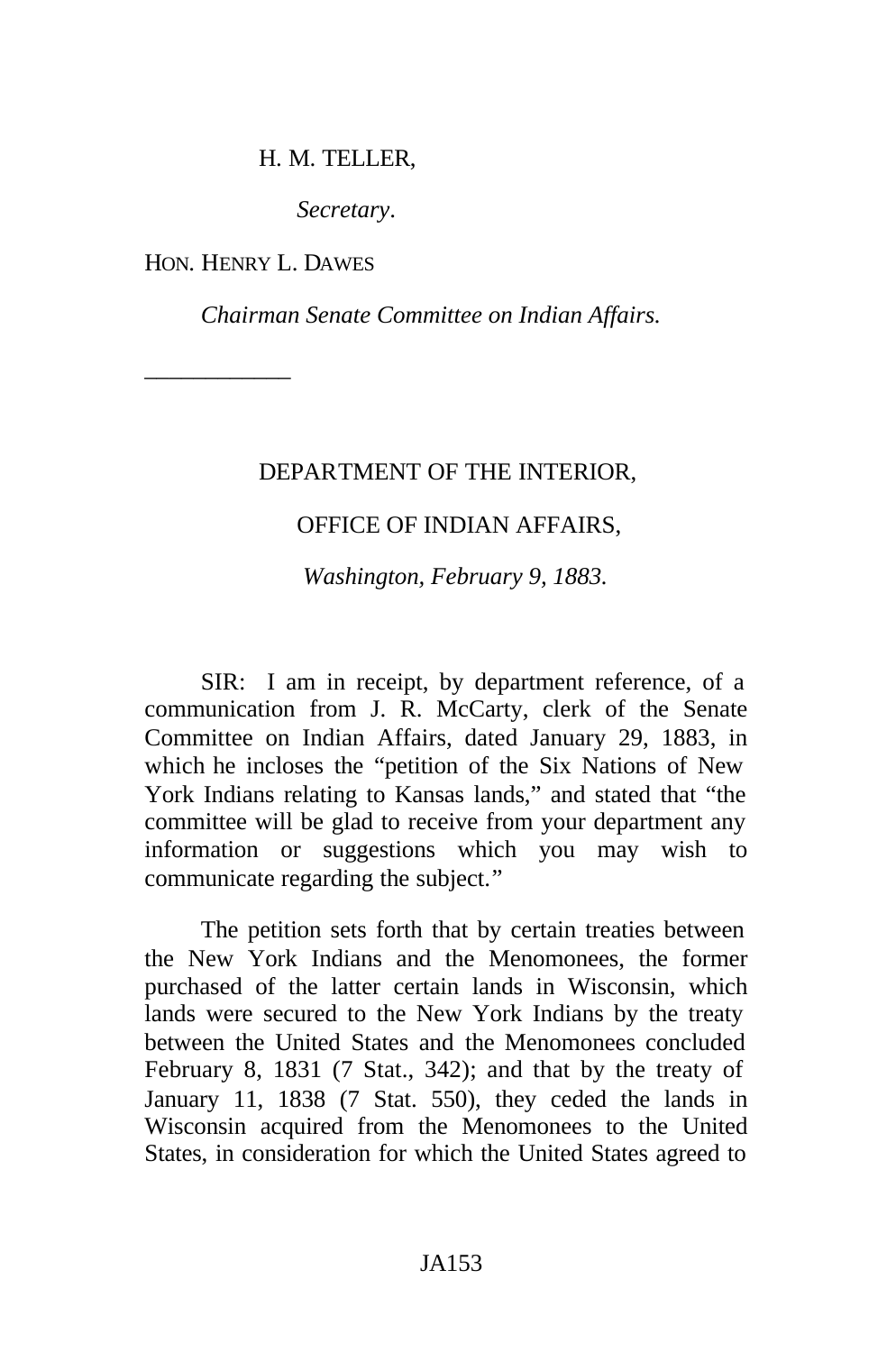#### H. M. TELLER,

*Secretary*.

HON. HENRY L. DAWES

\_\_\_\_\_\_\_\_\_\_\_\_

*Chairman Senate Committee on Indian Affairs.*

#### DEPARTMENT OF THE INTERIOR,

### OFFICE OF INDIAN AFFAIRS,

*Washington, February 9, 1883.*

SIR: I am in receipt, by department reference, of a communication from J. R. McCarty, clerk of the Senate Committee on Indian Affairs, dated January 29, 1883, in which he incloses the "petition of the Six Nations of New York Indians relating to Kansas lands," and stated that "the committee will be glad to receive from your department any information or suggestions which you may wish to communicate regarding the subject."

The petition sets forth that by certain treaties between the New York Indians and the Menomonees, the former purchased of the latter certain lands in Wisconsin, which lands were secured to the New York Indians by the treaty between the United States and the Menomonees concluded February 8, 1831 (7 Stat., 342); and that by the treaty of January 11, 1838 (7 Stat. 550), they ceded the lands in Wisconsin acquired from the Menomonees to the United States, in consideration for which the United States agreed to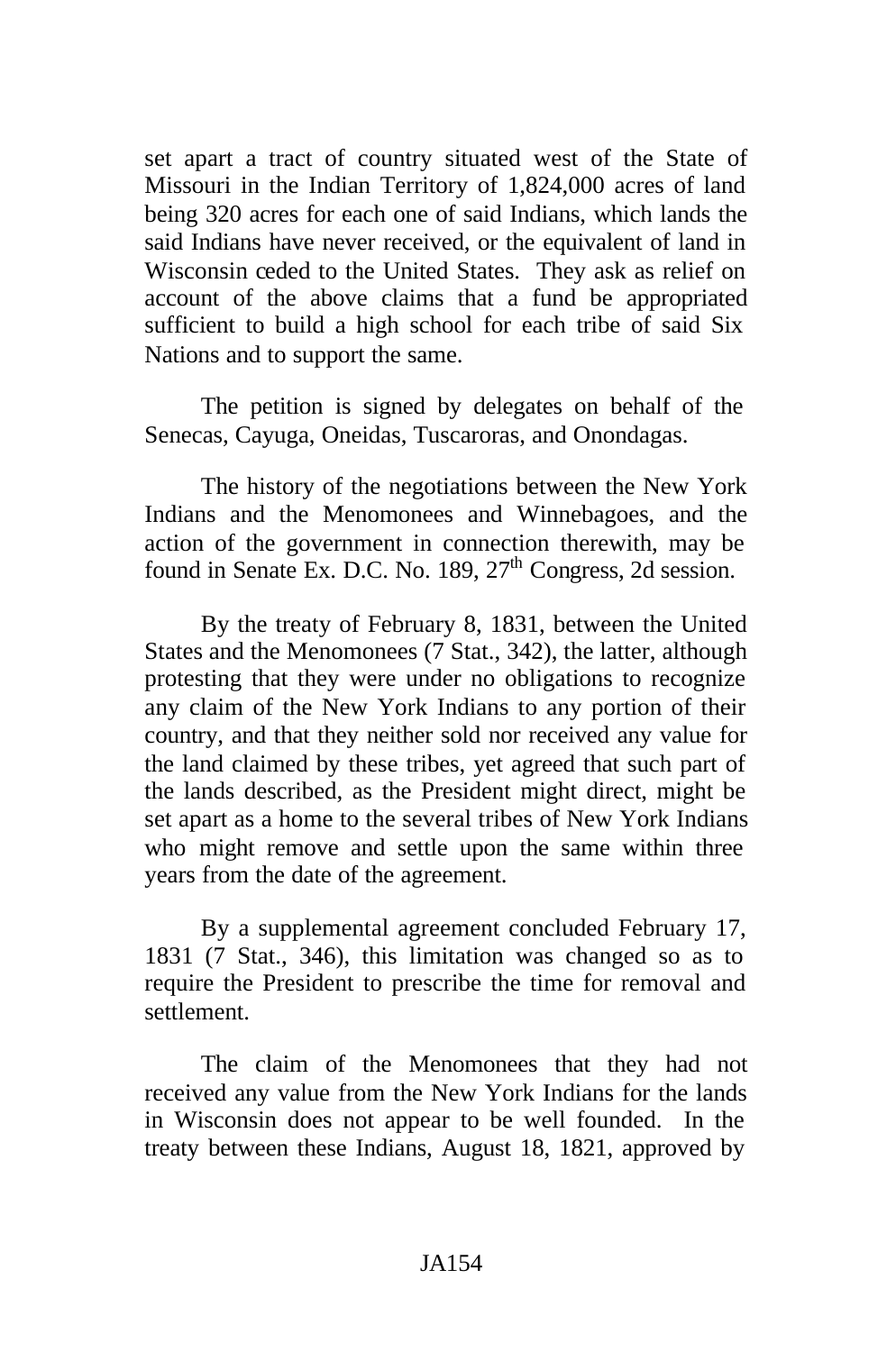set apart a tract of country situated west of the State of Missouri in the Indian Territory of 1,824,000 acres of land being 320 acres for each one of said Indians, which lands the said Indians have never received, or the equivalent of land in Wisconsin ceded to the United States. They ask as relief on account of the above claims that a fund be appropriated sufficient to build a high school for each tribe of said Six Nations and to support the same.

The petition is signed by delegates on behalf of the Senecas, Cayuga, Oneidas, Tuscaroras, and Onondagas.

The history of the negotiations between the New York Indians and the Menomonees and Winnebagoes, and the action of the government in connection therewith, may be found in Senate Ex. D.C. No. 189,  $27<sup>th</sup>$  Congress, 2d session.

By the treaty of February 8, 1831, between the United States and the Menomonees (7 Stat., 342), the latter, although protesting that they were under no obligations to recognize any claim of the New York Indians to any portion of their country, and that they neither sold nor received any value for the land claimed by these tribes, yet agreed that such part of the lands described, as the President might direct, might be set apart as a home to the several tribes of New York Indians who might remove and settle upon the same within three years from the date of the agreement.

By a supplemental agreement concluded February 17, 1831 (7 Stat., 346), this limitation was changed so as to require the President to prescribe the time for removal and settlement.

The claim of the Menomonees that they had not received any value from the New York Indians for the lands in Wisconsin does not appear to be well founded. In the treaty between these Indians, August 18, 1821, approved by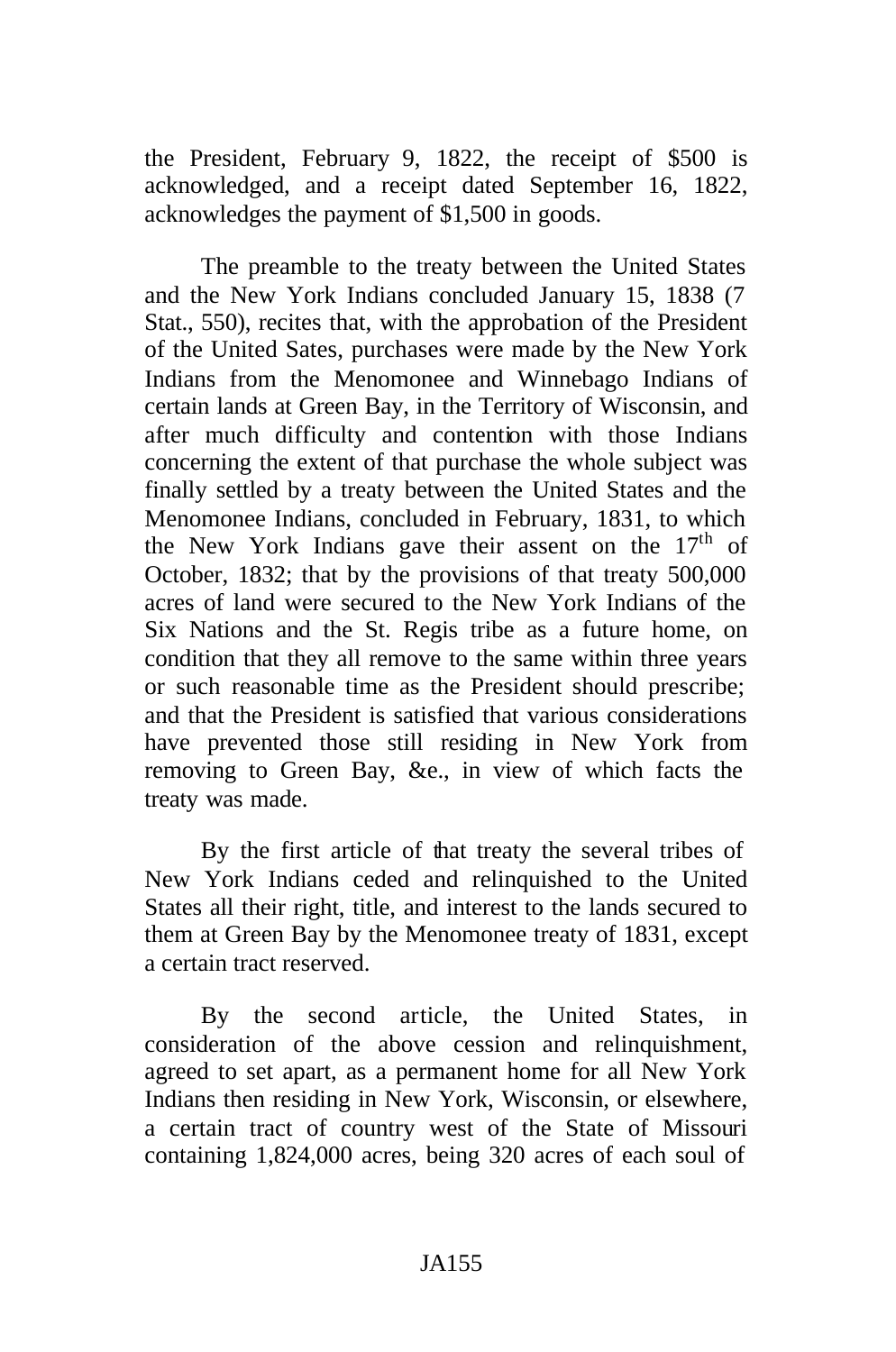the President, February 9, 1822, the receipt of \$500 is acknowledged, and a receipt dated September 16, 1822, acknowledges the payment of \$1,500 in goods.

The preamble to the treaty between the United States and the New York Indians concluded January 15, 1838 (7 Stat., 550), recites that, with the approbation of the President of the United Sates, purchases were made by the New York Indians from the Menomonee and Winnebago Indians of certain lands at Green Bay, in the Territory of Wisconsin, and after much difficulty and contention with those Indians concerning the extent of that purchase the whole subject was finally settled by a treaty between the United States and the Menomonee Indians, concluded in February, 1831, to which the New York Indians gave their assent on the  $17<sup>th</sup>$  of October, 1832; that by the provisions of that treaty 500,000 acres of land were secured to the New York Indians of the Six Nations and the St. Regis tribe as a future home, on condition that they all remove to the same within three years or such reasonable time as the President should prescribe; and that the President is satisfied that various considerations have prevented those still residing in New York from removing to Green Bay, &e., in view of which facts the treaty was made.

By the first article of that treaty the several tribes of New York Indians ceded and relinquished to the United States all their right, title, and interest to the lands secured to them at Green Bay by the Menomonee treaty of 1831, except a certain tract reserved.

By the second article, the United States, in consideration of the above cession and relinquishment, agreed to set apart, as a permanent home for all New York Indians then residing in New York, Wisconsin, or elsewhere, a certain tract of country west of the State of Missouri containing 1,824,000 acres, being 320 acres of each soul of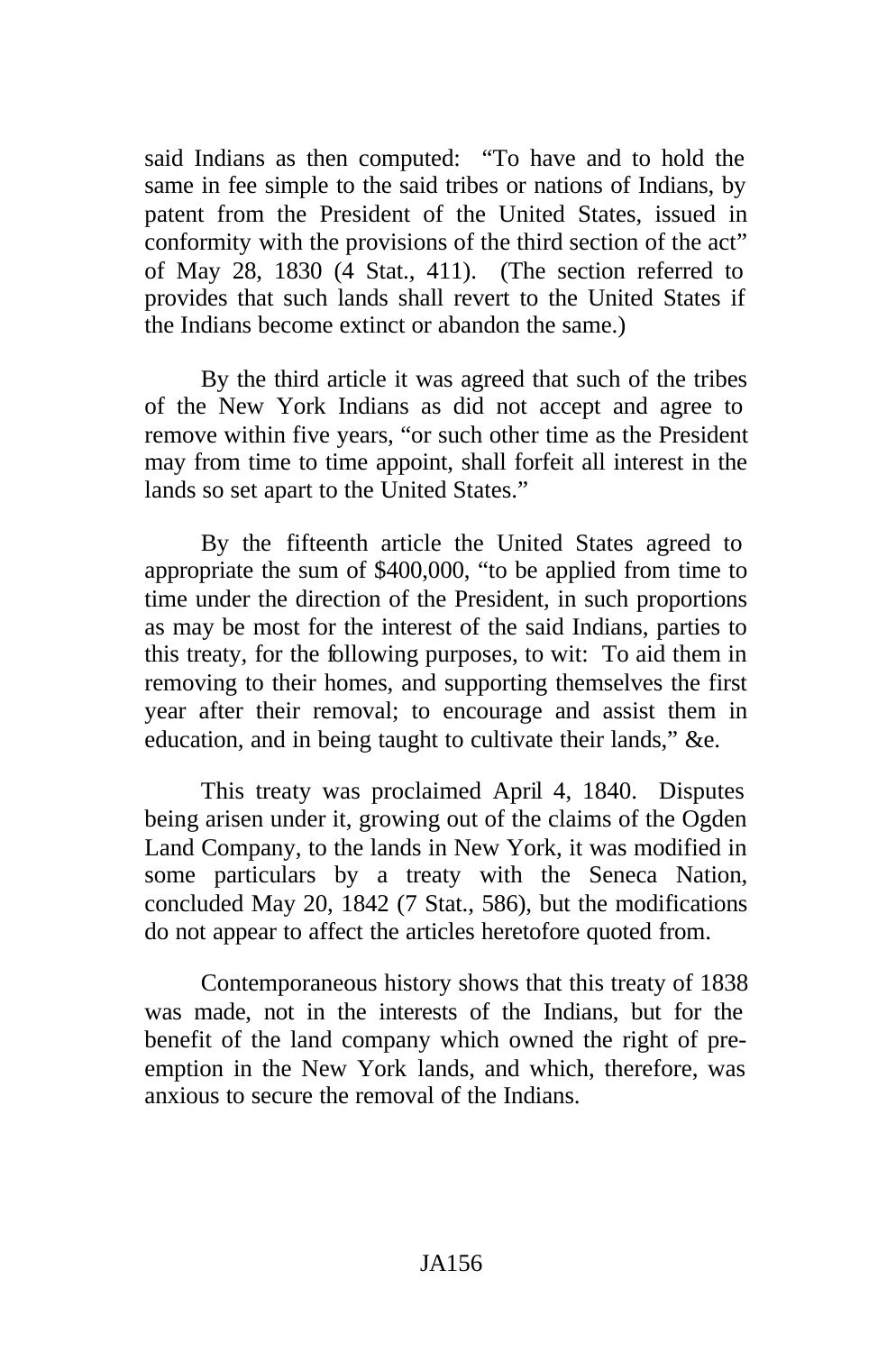said Indians as then computed: "To have and to hold the same in fee simple to the said tribes or nations of Indians, by patent from the President of the United States, issued in conformity with the provisions of the third section of the act" of May 28, 1830 (4 Stat., 411). (The section referred to provides that such lands shall revert to the United States if the Indians become extinct or abandon the same.)

By the third article it was agreed that such of the tribes of the New York Indians as did not accept and agree to remove within five years, "or such other time as the President may from time to time appoint, shall forfeit all interest in the lands so set apart to the United States."

By the fifteenth article the United States agreed to appropriate the sum of \$400,000, "to be applied from time to time under the direction of the President, in such proportions as may be most for the interest of the said Indians, parties to this treaty, for the following purposes, to wit: To aid them in removing to their homes, and supporting themselves the first year after their removal; to encourage and assist them in education, and in being taught to cultivate their lands," &e.

This treaty was proclaimed April 4, 1840. Disputes being arisen under it, growing out of the claims of the Ogden Land Company, to the lands in New York, it was modified in some particulars by a treaty with the Seneca Nation, concluded May 20, 1842 (7 Stat., 586), but the modifications do not appear to affect the articles heretofore quoted from.

Contemporaneous history shows that this treaty of 1838 was made, not in the interests of the Indians, but for the benefit of the land company which owned the right of preemption in the New York lands, and which, therefore, was anxious to secure the removal of the Indians.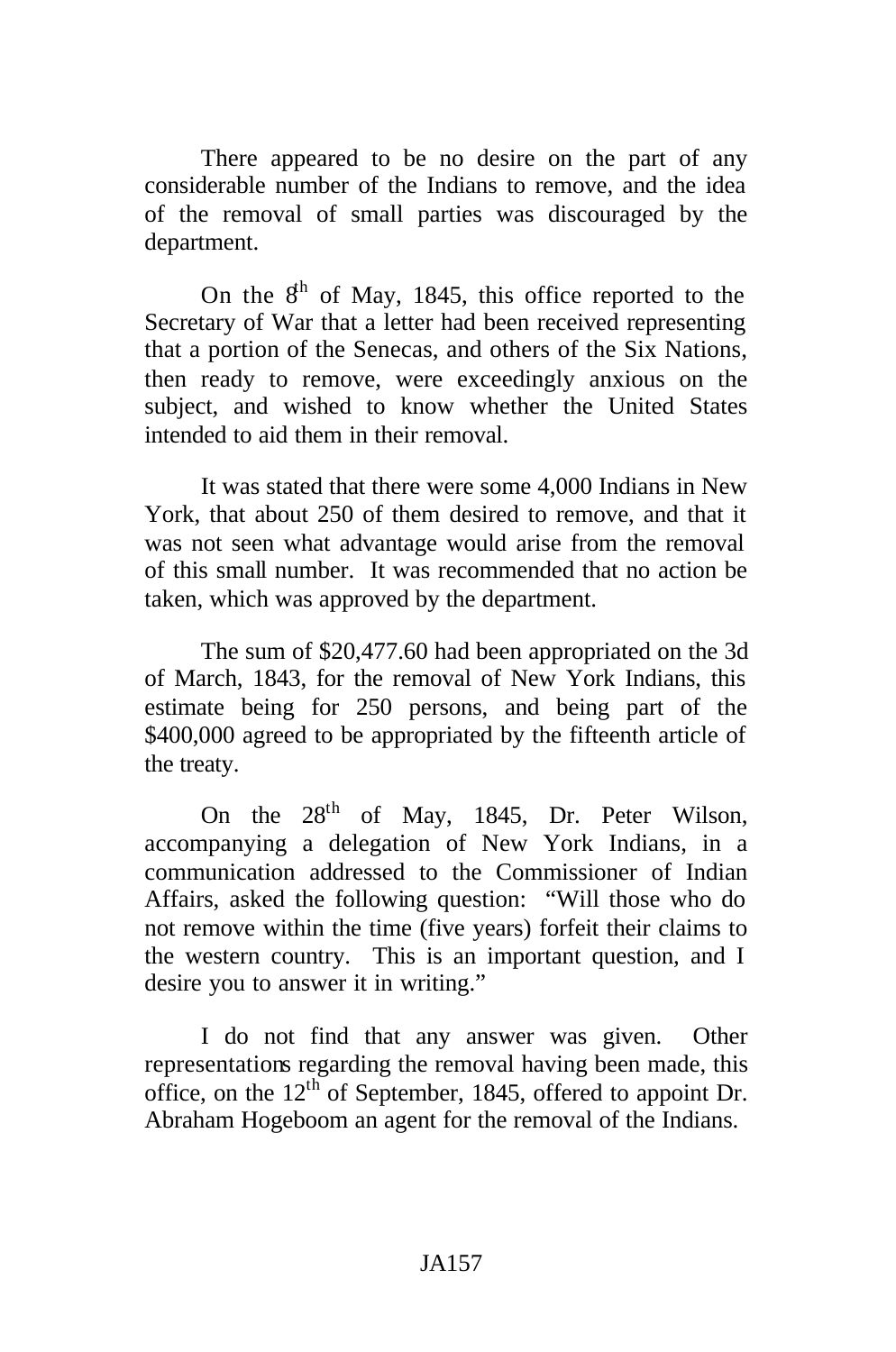There appeared to be no desire on the part of any considerable number of the Indians to remove, and the idea of the removal of small parties was discouraged by the department.

On the  $8<sup>th</sup>$  of May, 1845, this office reported to the Secretary of War that a letter had been received representing that a portion of the Senecas, and others of the Six Nations, then ready to remove, were exceedingly anxious on the subject, and wished to know whether the United States intended to aid them in their removal.

It was stated that there were some 4,000 Indians in New York, that about 250 of them desired to remove, and that it was not seen what advantage would arise from the removal of this small number. It was recommended that no action be taken, which was approved by the department.

The sum of \$20,477.60 had been appropriated on the 3d of March, 1843, for the removal of New York Indians, this estimate being for 250 persons, and being part of the \$400,000 agreed to be appropriated by the fifteenth article of the treaty.

On the  $28<sup>th</sup>$  of May, 1845, Dr. Peter Wilson, accompanying a delegation of New York Indians, in a communication addressed to the Commissioner of Indian Affairs, asked the following question: "Will those who do not remove within the time (five years) forfeit their claims to the western country. This is an important question, and I desire you to answer it in writing."

I do not find that any answer was given. Other representations regarding the removal having been made, this office, on the 12<sup>th</sup> of September, 1845, offered to appoint Dr. Abraham Hogeboom an agent for the removal of the Indians.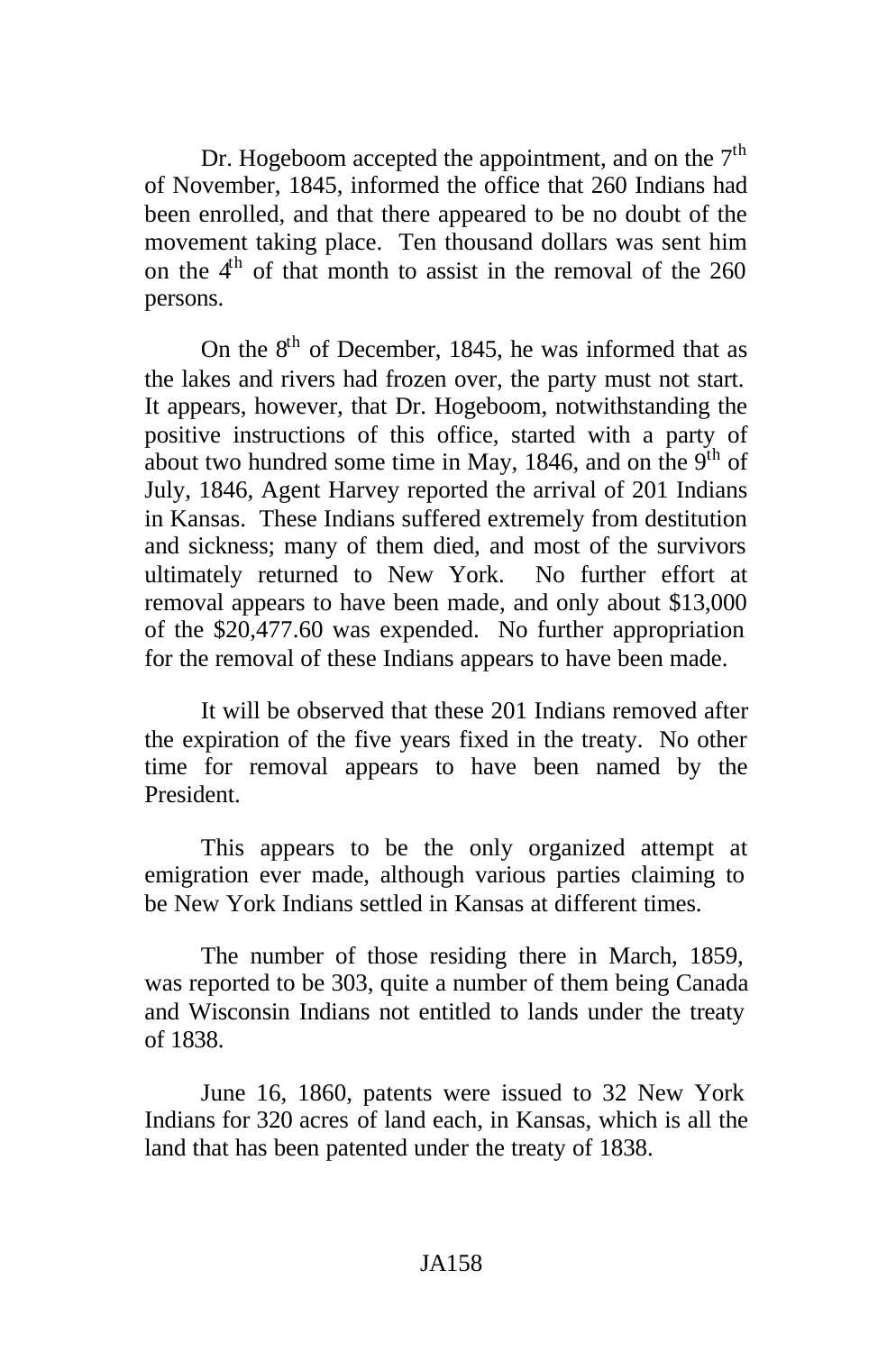Dr. Hogeboom accepted the appointment, and on the  $7<sup>th</sup>$ of November, 1845, informed the office that 260 Indians had been enrolled, and that there appeared to be no doubt of the movement taking place. Ten thousand dollars was sent him on the  $4<sup>th</sup>$  of that month to assist in the removal of the 260 persons.

On the  $8<sup>th</sup>$  of December, 1845, he was informed that as the lakes and rivers had frozen over, the party must not start. It appears, however, that Dr. Hogeboom, notwithstanding the positive instructions of this office, started with a party of about two hundred some time in May, 1846, and on the  $9<sup>th</sup>$  of July, 1846, Agent Harvey reported the arrival of 201 Indians in Kansas. These Indians suffered extremely from destitution and sickness; many of them died, and most of the survivors ultimately returned to New York. No further effort at removal appears to have been made, and only about \$13,000 of the \$20,477.60 was expended. No further appropriation for the removal of these Indians appears to have been made.

It will be observed that these 201 Indians removed after the expiration of the five years fixed in the treaty. No other time for removal appears to have been named by the President.

This appears to be the only organized attempt at emigration ever made, although various parties claiming to be New York Indians settled in Kansas at different times.

The number of those residing there in March, 1859, was reported to be 303, quite a number of them being Canada and Wisconsin Indians not entitled to lands under the treaty of 1838.

June 16, 1860, patents were issued to 32 New York Indians for 320 acres of land each, in Kansas, which is all the land that has been patented under the treaty of 1838.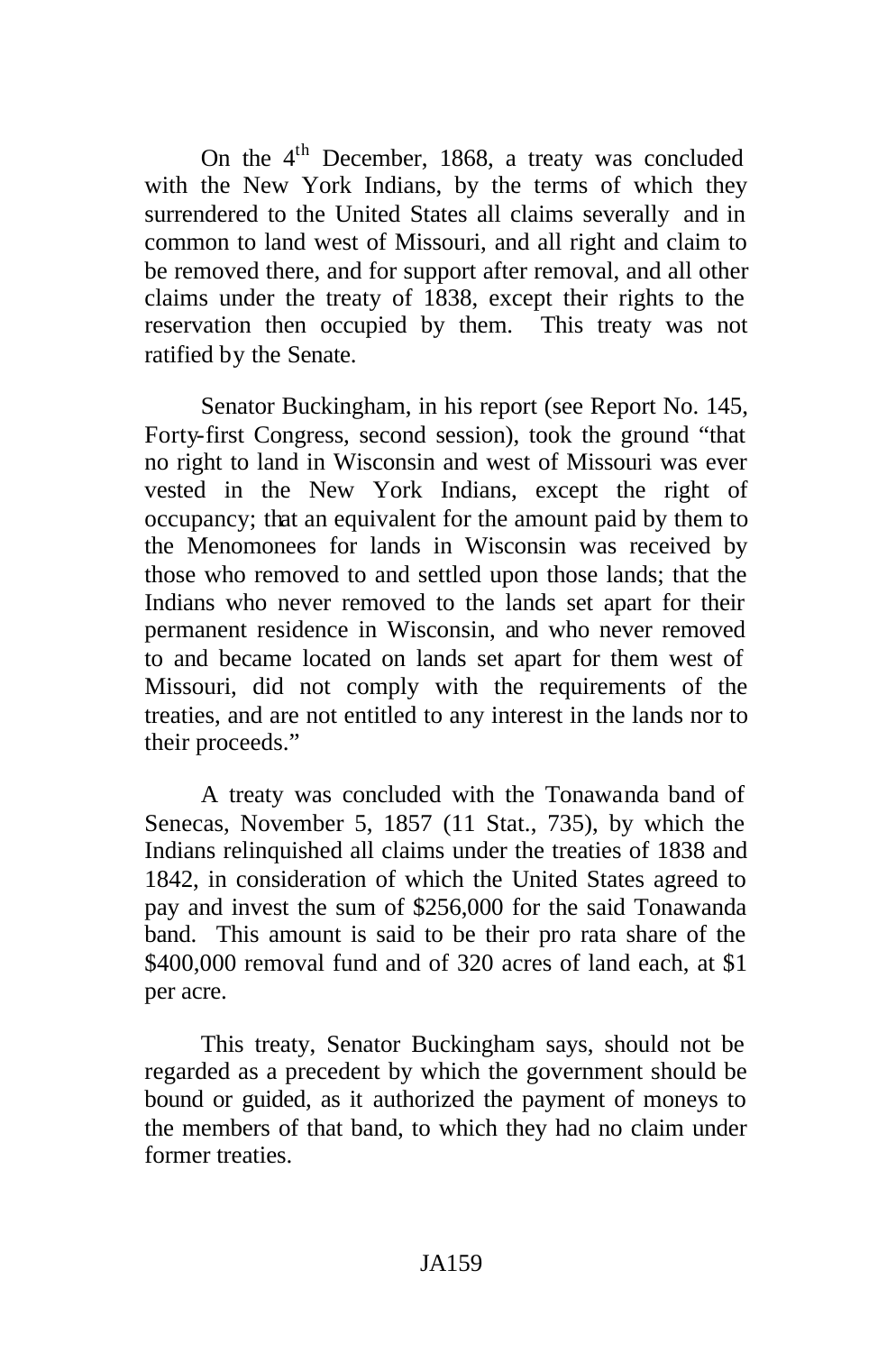On the 4<sup>th</sup> December, 1868, a treaty was concluded with the New York Indians, by the terms of which they surrendered to the United States all claims severally and in common to land west of Missouri, and all right and claim to be removed there, and for support after removal, and all other claims under the treaty of 1838, except their rights to the reservation then occupied by them. This treaty was not ratified by the Senate.

Senator Buckingham, in his report (see Report No. 145, Forty-first Congress, second session), took the ground "that no right to land in Wisconsin and west of Missouri was ever vested in the New York Indians, except the right of occupancy; that an equivalent for the amount paid by them to the Menomonees for lands in Wisconsin was received by those who removed to and settled upon those lands; that the Indians who never removed to the lands set apart for their permanent residence in Wisconsin, and who never removed to and became located on lands set apart for them west of Missouri, did not comply with the requirements of the treaties, and are not entitled to any interest in the lands nor to their proceeds."

A treaty was concluded with the Tonawanda band of Senecas, November 5, 1857 (11 Stat., 735), by which the Indians relinquished all claims under the treaties of 1838 and 1842, in consideration of which the United States agreed to pay and invest the sum of \$256,000 for the said Tonawanda band. This amount is said to be their pro rata share of the \$400,000 removal fund and of 320 acres of land each, at \$1 per acre.

This treaty, Senator Buckingham says, should not be regarded as a precedent by which the government should be bound or guided, as it authorized the payment of moneys to the members of that band, to which they had no claim under former treaties.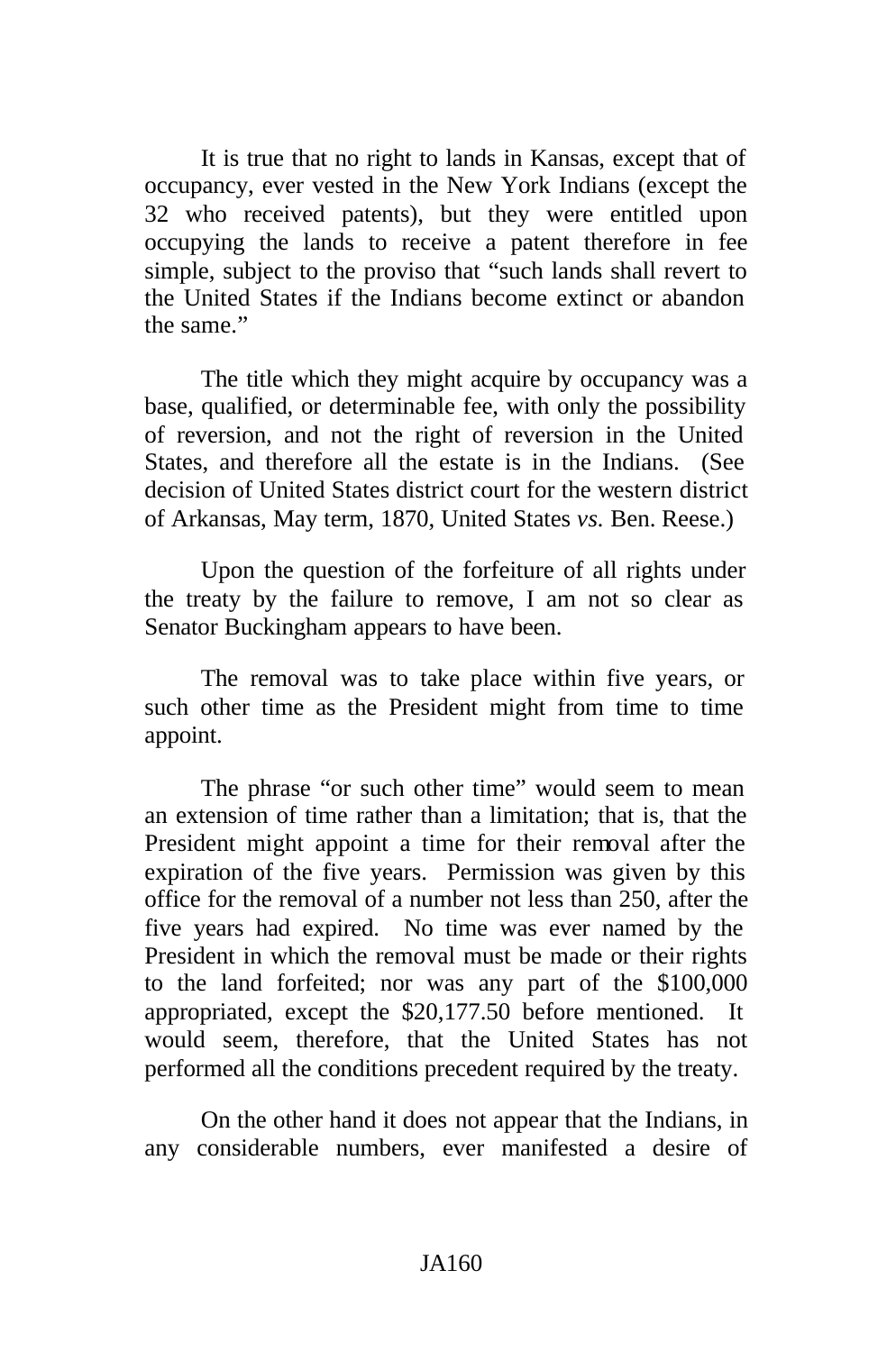It is true that no right to lands in Kansas, except that of occupancy, ever vested in the New York Indians (except the 32 who received patents), but they were entitled upon occupying the lands to receive a patent therefore in fee simple, subject to the proviso that "such lands shall revert to the United States if the Indians become extinct or abandon the same."

The title which they might acquire by occupancy was a base, qualified, or determinable fee, with only the possibility of reversion, and not the right of reversion in the United States, and therefore all the estate is in the Indians. (See decision of United States district court for the western district of Arkansas, May term, 1870, United States *vs.* Ben. Reese.)

Upon the question of the forfeiture of all rights under the treaty by the failure to remove, I am not so clear as Senator Buckingham appears to have been.

The removal was to take place within five years, or such other time as the President might from time to time appoint.

The phrase "or such other time" would seem to mean an extension of time rather than a limitation; that is, that the President might appoint a time for their removal after the expiration of the five years. Permission was given by this office for the removal of a number not less than 250, after the five years had expired. No time was ever named by the President in which the removal must be made or their rights to the land forfeited; nor was any part of the \$100,000 appropriated, except the \$20,177.50 before mentioned. It would seem, therefore, that the United States has not performed all the conditions precedent required by the treaty.

On the other hand it does not appear that the Indians, in any considerable numbers, ever manifested a desire of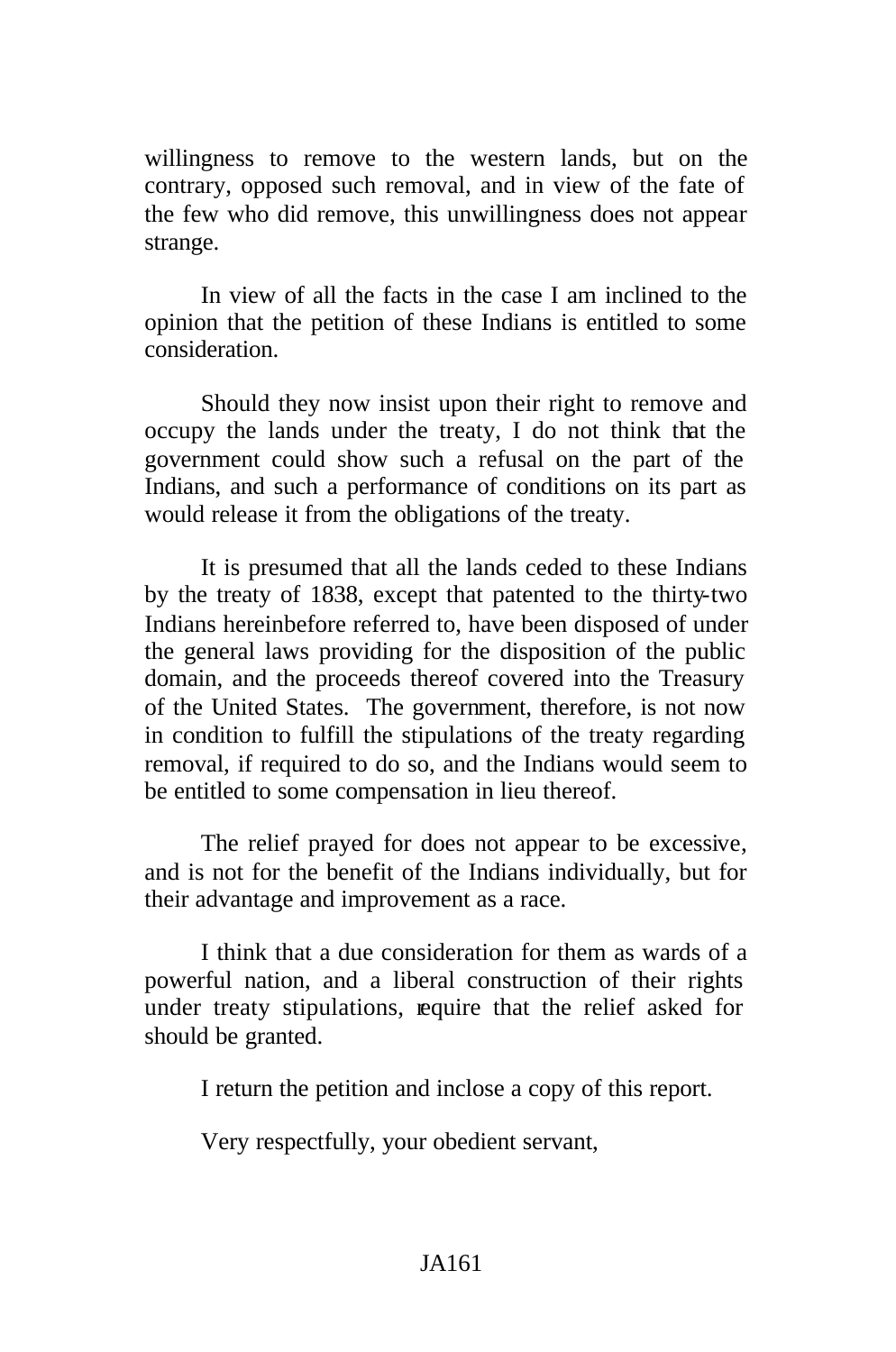willingness to remove to the western lands, but on the contrary, opposed such removal, and in view of the fate of the few who did remove, this unwillingness does not appear strange.

In view of all the facts in the case I am inclined to the opinion that the petition of these Indians is entitled to some consideration.

Should they now insist upon their right to remove and occupy the lands under the treaty, I do not think that the government could show such a refusal on the part of the Indians, and such a performance of conditions on its part as would release it from the obligations of the treaty.

It is presumed that all the lands ceded to these Indians by the treaty of 1838, except that patented to the thirty-two Indians hereinbefore referred to, have been disposed of under the general laws providing for the disposition of the public domain, and the proceeds thereof covered into the Treasury of the United States. The government, therefore, is not now in condition to fulfill the stipulations of the treaty regarding removal, if required to do so, and the Indians would seem to be entitled to some compensation in lieu thereof.

The relief prayed for does not appear to be excessive, and is not for the benefit of the Indians individually, but for their advantage and improvement as a race.

I think that a due consideration for them as wards of a powerful nation, and a liberal construction of their rights under treaty stipulations, require that the relief asked for should be granted.

I return the petition and inclose a copy of this report.

Very respectfully, your obedient servant,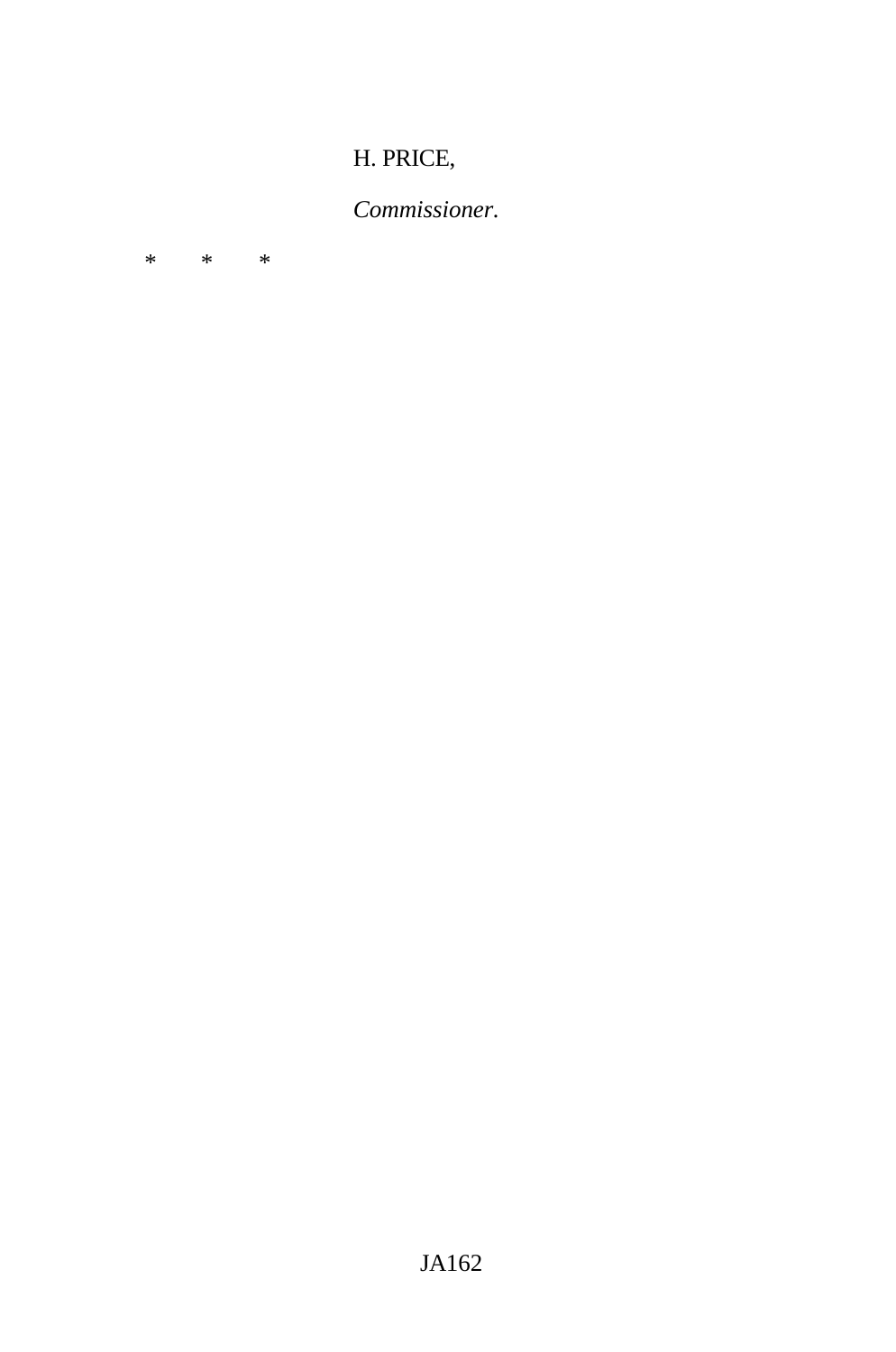## H. PRICE,

# *Commissioner.*

\* \* \*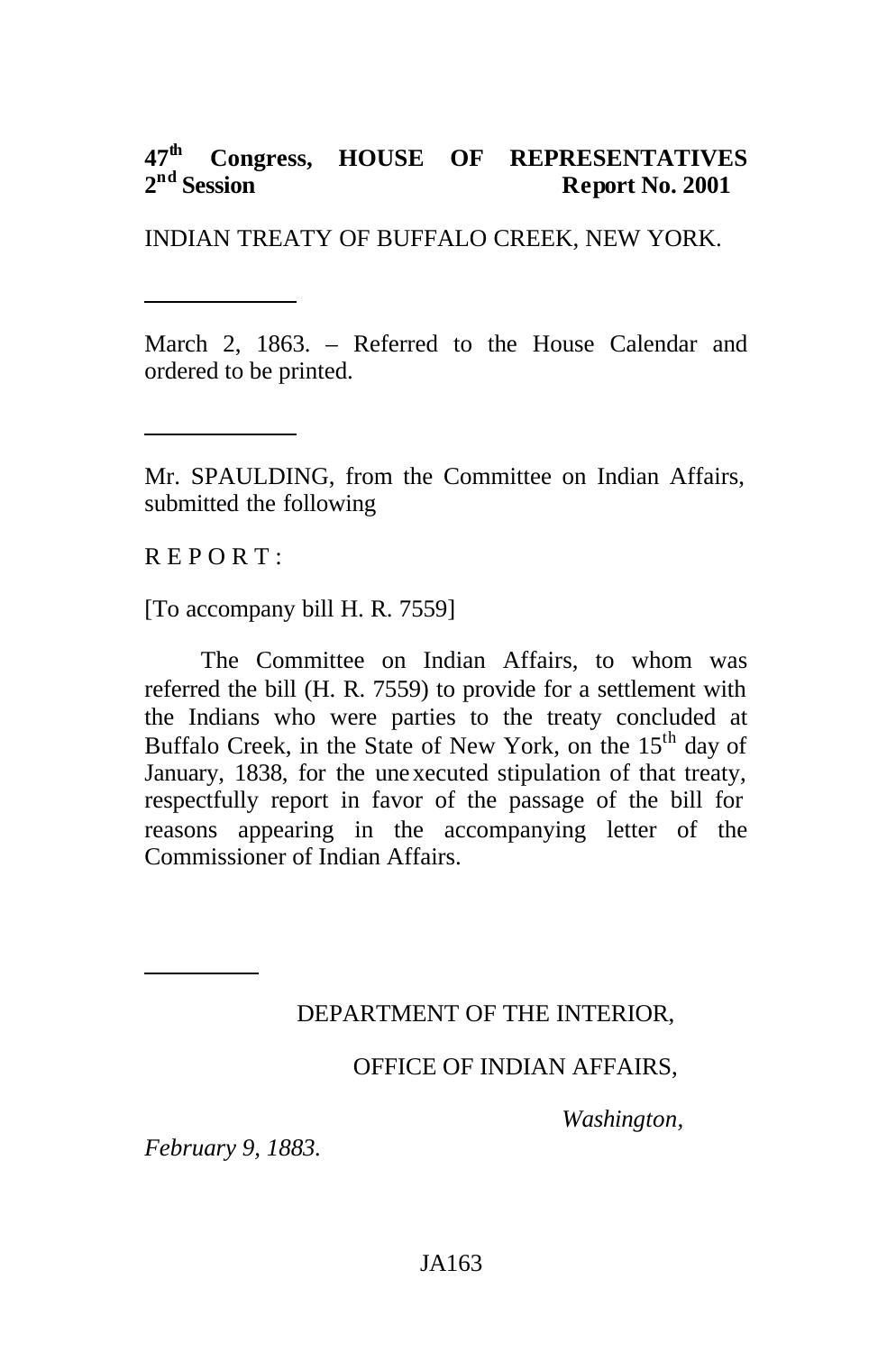#### **47th Congress, HOUSE OF REPRESENTATIVES**   $2<sup>nd</sup>$  Session **Report No. 2001**

INDIAN TREATY OF BUFFALO CREEK, NEW YORK.

March 2, 1863. – Referred to the House Calendar and ordered to be printed.

Mr. SPAULDING, from the Committee on Indian Affairs, submitted the following

 $R$  E P O R T :

[To accompany bill H. R. 7559]

The Committee on Indian Affairs, to whom was referred the bill (H. R. 7559) to provide for a settlement with the Indians who were parties to the treaty concluded at Buffalo Creek, in the State of New York, on the 15<sup>th</sup> day of January, 1838, for the unexecuted stipulation of that treaty, respectfully report in favor of the passage of the bill for reasons appearing in the accompanying letter of the Commissioner of Indian Affairs.

## DEPARTMENT OF THE INTERIOR,

### OFFICE OF INDIAN AFFAIRS,

*Washington,* 

*February 9, 1883.*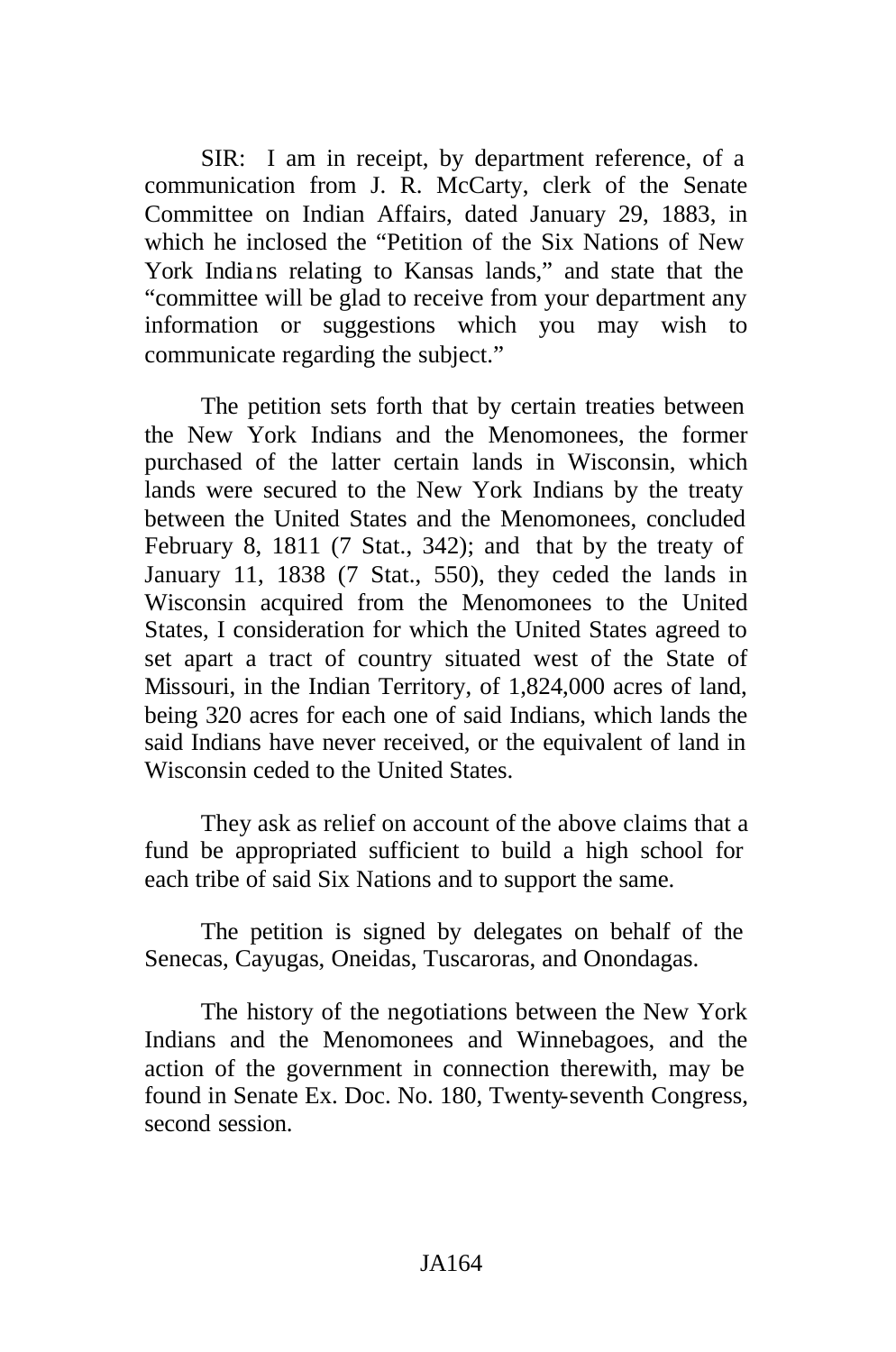SIR: I am in receipt, by department reference, of a communication from J. R. McCarty, clerk of the Senate Committee on Indian Affairs, dated January 29, 1883, in which he inclosed the "Petition of the Six Nations of New York Indians relating to Kansas lands," and state that the "committee will be glad to receive from your department any information or suggestions which you may wish to communicate regarding the subject."

The petition sets forth that by certain treaties between the New York Indians and the Menomonees, the former purchased of the latter certain lands in Wisconsin, which lands were secured to the New York Indians by the treaty between the United States and the Menomonees, concluded February 8, 1811 (7 Stat., 342); and that by the treaty of January 11, 1838 (7 Stat., 550), they ceded the lands in Wisconsin acquired from the Menomonees to the United States, I consideration for which the United States agreed to set apart a tract of country situated west of the State of Missouri, in the Indian Territory, of 1,824,000 acres of land, being 320 acres for each one of said Indians, which lands the said Indians have never received, or the equivalent of land in Wisconsin ceded to the United States.

They ask as relief on account of the above claims that a fund be appropriated sufficient to build a high school for each tribe of said Six Nations and to support the same.

The petition is signed by delegates on behalf of the Senecas, Cayugas, Oneidas, Tuscaroras, and Onondagas.

The history of the negotiations between the New York Indians and the Menomonees and Winnebagoes, and the action of the government in connection therewith, may be found in Senate Ex. Doc. No. 180, Twenty-seventh Congress, second session.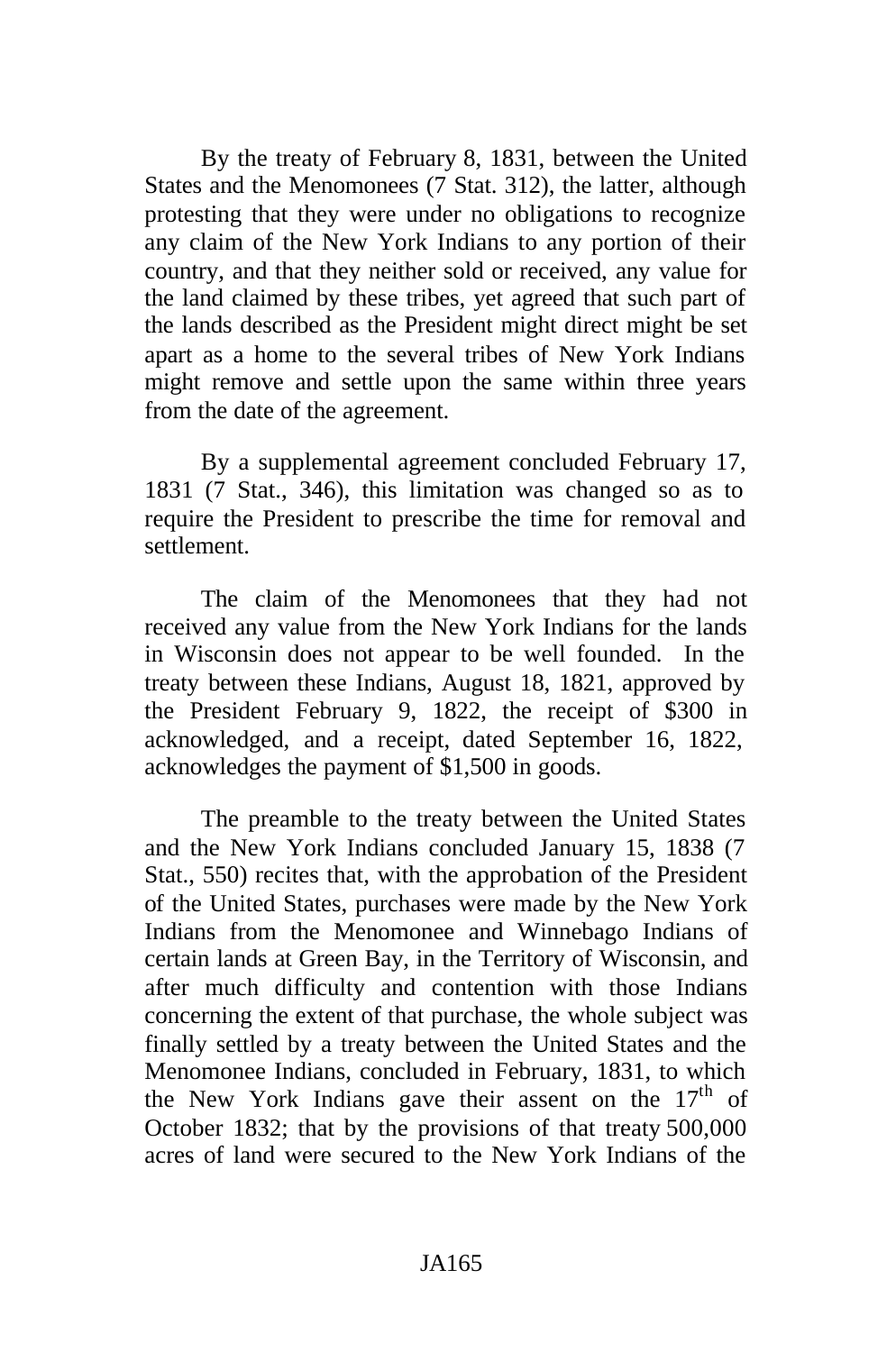By the treaty of February 8, 1831, between the United States and the Menomonees (7 Stat. 312), the latter, although protesting that they were under no obligations to recognize any claim of the New York Indians to any portion of their country, and that they neither sold or received, any value for the land claimed by these tribes, yet agreed that such part of the lands described as the President might direct might be set apart as a home to the several tribes of New York Indians might remove and settle upon the same within three years from the date of the agreement.

By a supplemental agreement concluded February 17, 1831 (7 Stat., 346), this limitation was changed so as to require the President to prescribe the time for removal and settlement.

The claim of the Menomonees that they had not received any value from the New York Indians for the lands in Wisconsin does not appear to be well founded. In the treaty between these Indians, August 18, 1821, approved by the President February 9, 1822, the receipt of \$300 in acknowledged, and a receipt, dated September 16, 1822, acknowledges the payment of \$1,500 in goods.

The preamble to the treaty between the United States and the New York Indians concluded January 15, 1838 (7 Stat., 550) recites that, with the approbation of the President of the United States, purchases were made by the New York Indians from the Menomonee and Winnebago Indians of certain lands at Green Bay, in the Territory of Wisconsin, and after much difficulty and contention with those Indians concerning the extent of that purchase, the whole subject was finally settled by a treaty between the United States and the Menomonee Indians, concluded in February, 1831, to which the New York Indians gave their assent on the  $17<sup>th</sup>$  of October 1832; that by the provisions of that treaty 500,000 acres of land were secured to the New York Indians of the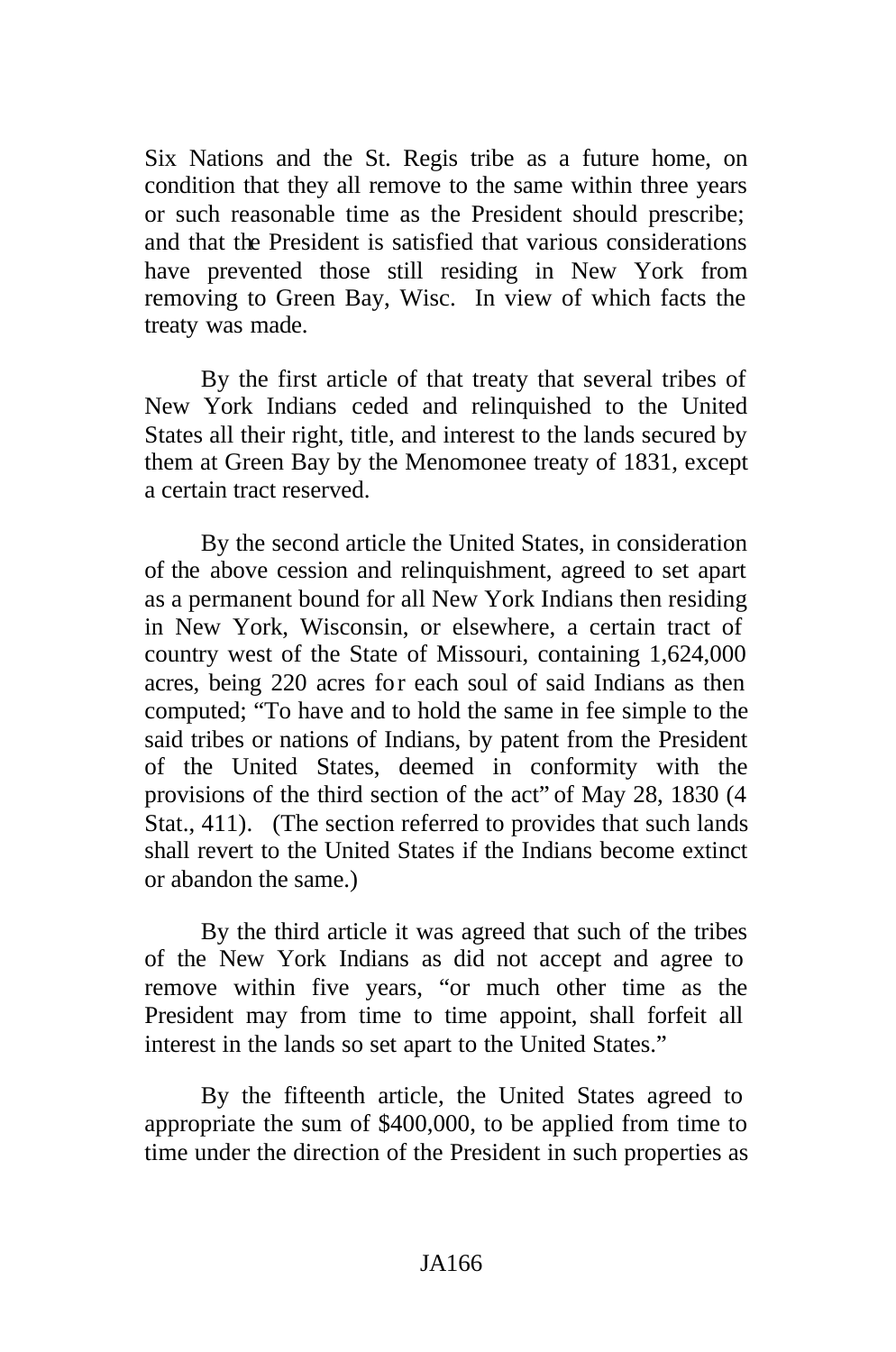Six Nations and the St. Regis tribe as a future home, on condition that they all remove to the same within three years or such reasonable time as the President should prescribe; and that the President is satisfied that various considerations have prevented those still residing in New York from removing to Green Bay, Wisc. In view of which facts the treaty was made.

By the first article of that treaty that several tribes of New York Indians ceded and relinquished to the United States all their right, title, and interest to the lands secured by them at Green Bay by the Menomonee treaty of 1831, except a certain tract reserved.

By the second article the United States, in consideration of the above cession and relinquishment, agreed to set apart as a permanent bound for all New York Indians then residing in New York, Wisconsin, or elsewhere, a certain tract of country west of the State of Missouri, containing 1,624,000 acres, being 220 acres for each soul of said Indians as then computed; "To have and to hold the same in fee simple to the said tribes or nations of Indians, by patent from the President of the United States, deemed in conformity with the provisions of the third section of the act" of May 28, 1830 (4 Stat., 411). (The section referred to provides that such lands shall revert to the United States if the Indians become extinct or abandon the same.)

By the third article it was agreed that such of the tribes of the New York Indians as did not accept and agree to remove within five years, "or much other time as the President may from time to time appoint, shall forfeit all interest in the lands so set apart to the United States."

By the fifteenth article, the United States agreed to appropriate the sum of \$400,000, to be applied from time to time under the direction of the President in such properties as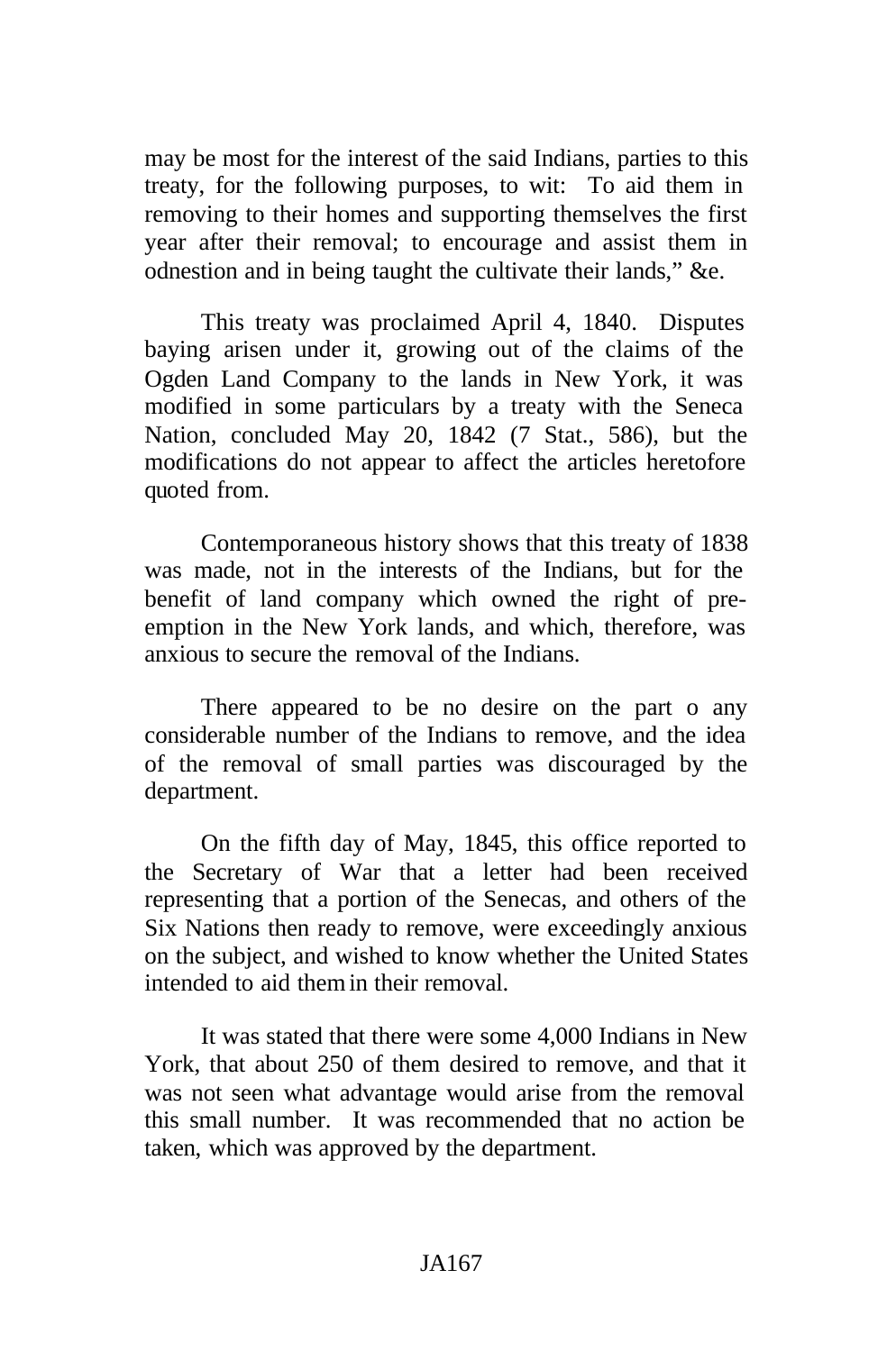may be most for the interest of the said Indians, parties to this treaty, for the following purposes, to wit: To aid them in removing to their homes and supporting themselves the first year after their removal; to encourage and assist them in odnestion and in being taught the cultivate their lands," &e.

This treaty was proclaimed April 4, 1840. Disputes baying arisen under it, growing out of the claims of the Ogden Land Company to the lands in New York, it was modified in some particulars by a treaty with the Seneca Nation, concluded May 20, 1842 (7 Stat., 586), but the modifications do not appear to affect the articles heretofore quoted from.

Contemporaneous history shows that this treaty of 1838 was made, not in the interests of the Indians, but for the benefit of land company which owned the right of preemption in the New York lands, and which, therefore, was anxious to secure the removal of the Indians.

There appeared to be no desire on the part o any considerable number of the Indians to remove, and the idea of the removal of small parties was discouraged by the department.

On the fifth day of May, 1845, this office reported to the Secretary of War that a letter had been received representing that a portion of the Senecas, and others of the Six Nations then ready to remove, were exceedingly anxious on the subject, and wished to know whether the United States intended to aid them in their removal.

It was stated that there were some 4,000 Indians in New York, that about 250 of them desired to remove, and that it was not seen what advantage would arise from the removal this small number. It was recommended that no action be taken, which was approved by the department.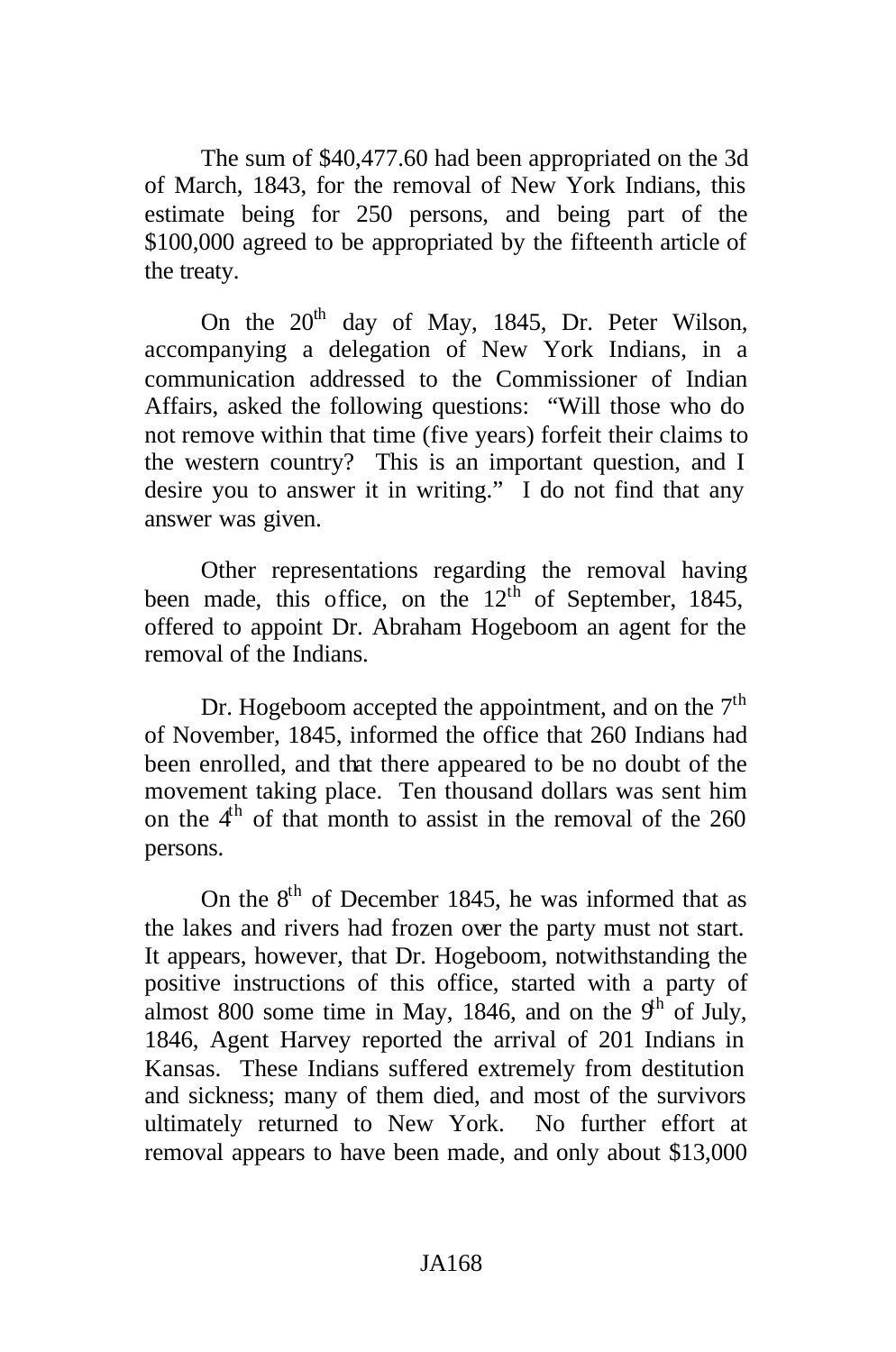The sum of \$40,477.60 had been appropriated on the 3d of March, 1843, for the removal of New York Indians, this estimate being for 250 persons, and being part of the \$100,000 agreed to be appropriated by the fifteenth article of the treaty.

On the  $20<sup>th</sup>$  day of May, 1845, Dr. Peter Wilson, accompanying a delegation of New York Indians, in a communication addressed to the Commissioner of Indian Affairs, asked the following questions: "Will those who do not remove within that time (five years) forfeit their claims to the western country? This is an important question, and I desire you to answer it in writing." I do not find that any answer was given.

Other representations regarding the removal having been made, this office, on the  $12<sup>th</sup>$  of September, 1845, offered to appoint Dr. Abraham Hogeboom an agent for the removal of the Indians.

Dr. Hogeboom accepted the appointment, and on the  $7<sup>th</sup>$ of November, 1845, informed the office that 260 Indians had been enrolled, and that there appeared to be no doubt of the movement taking place. Ten thousand dollars was sent him on the  $4<sup>th</sup>$  of that month to assist in the removal of the 260 persons.

On the  $8<sup>th</sup>$  of December 1845, he was informed that as the lakes and rivers had frozen over the party must not start. It appears, however, that Dr. Hogeboom, notwithstanding the positive instructions of this office, started with a party of almost 800 some time in May, 1846, and on the  $9<sup>th</sup>$  of July, 1846, Agent Harvey reported the arrival of 201 Indians in Kansas. These Indians suffered extremely from destitution and sickness; many of them died, and most of the survivors ultimately returned to New York. No further effort at removal appears to have been made, and only about \$13,000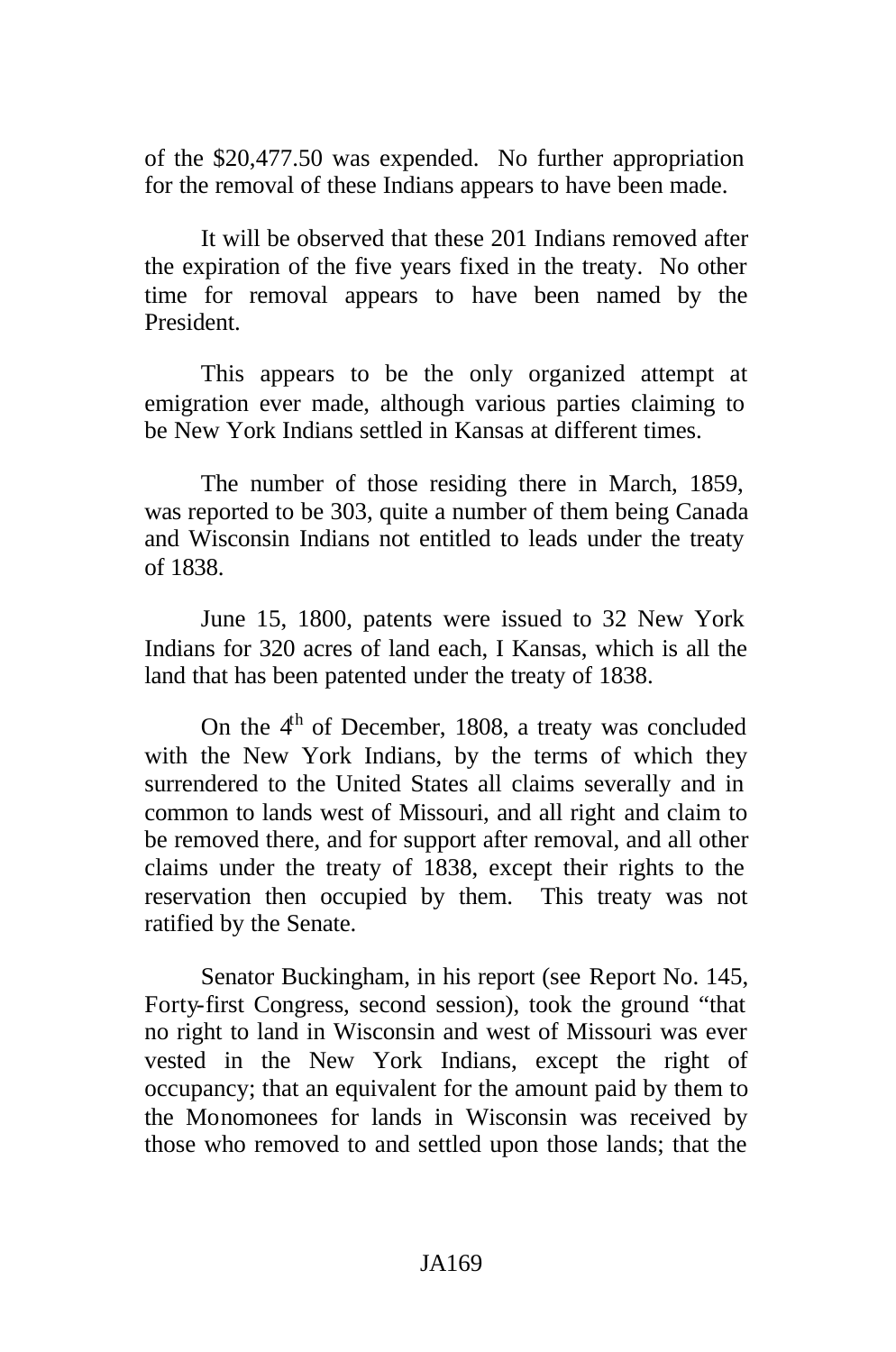of the \$20,477.50 was expended. No further appropriation for the removal of these Indians appears to have been made.

It will be observed that these 201 Indians removed after the expiration of the five years fixed in the treaty. No other time for removal appears to have been named by the President.

This appears to be the only organized attempt at emigration ever made, although various parties claiming to be New York Indians settled in Kansas at different times.

The number of those residing there in March, 1859, was reported to be 303, quite a number of them being Canada and Wisconsin Indians not entitled to leads under the treaty of 1838.

June 15, 1800, patents were issued to 32 New York Indians for 320 acres of land each, I Kansas, which is all the land that has been patented under the treaty of 1838.

On the 4<sup>th</sup> of December, 1808, a treaty was concluded with the New York Indians, by the terms of which they surrendered to the United States all claims severally and in common to lands west of Missouri, and all right and claim to be removed there, and for support after removal, and all other claims under the treaty of 1838, except their rights to the reservation then occupied by them. This treaty was not ratified by the Senate.

Senator Buckingham, in his report (see Report No. 145, Forty-first Congress, second session), took the ground "that no right to land in Wisconsin and west of Missouri was ever vested in the New York Indians, except the right of occupancy; that an equivalent for the amount paid by them to the Monomonees for lands in Wisconsin was received by those who removed to and settled upon those lands; that the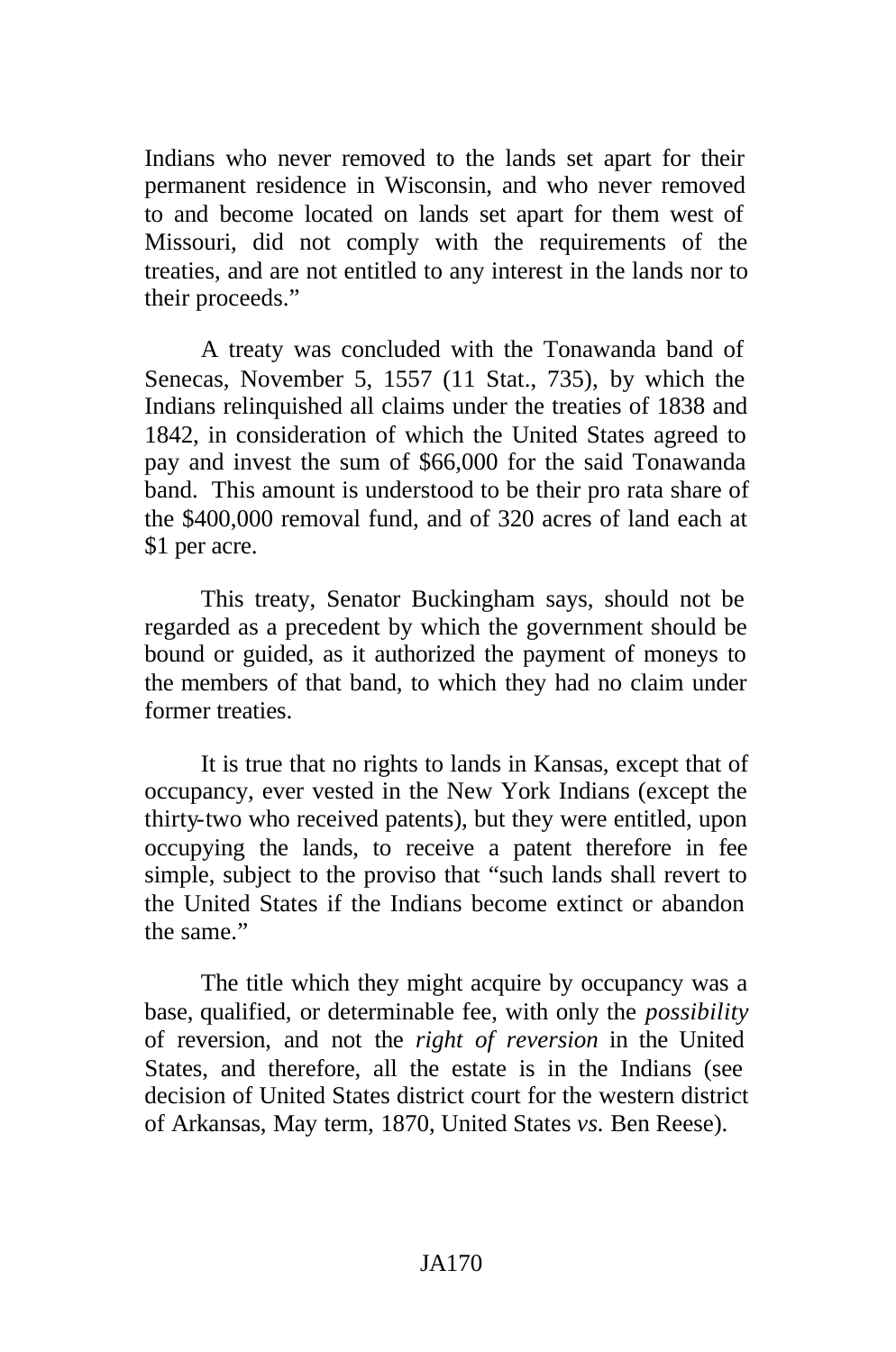Indians who never removed to the lands set apart for their permanent residence in Wisconsin, and who never removed to and become located on lands set apart for them west of Missouri, did not comply with the requirements of the treaties, and are not entitled to any interest in the lands nor to their proceeds."

A treaty was concluded with the Tonawanda band of Senecas, November 5, 1557 (11 Stat., 735), by which the Indians relinquished all claims under the treaties of 1838 and 1842, in consideration of which the United States agreed to pay and invest the sum of \$66,000 for the said Tonawanda band. This amount is understood to be their pro rata share of the \$400,000 removal fund, and of 320 acres of land each at \$1 per acre.

This treaty, Senator Buckingham says, should not be regarded as a precedent by which the government should be bound or guided, as it authorized the payment of moneys to the members of that band, to which they had no claim under former treaties.

It is true that no rights to lands in Kansas, except that of occupancy, ever vested in the New York Indians (except the thirty-two who received patents), but they were entitled, upon occupying the lands, to receive a patent therefore in fee simple, subject to the proviso that "such lands shall revert to the United States if the Indians become extinct or abandon the same."

The title which they might acquire by occupancy was a base, qualified, or determinable fee, with only the *possibility* of reversion, and not the *right of reversion* in the United States, and therefore, all the estate is in the Indians (see decision of United States district court for the western district of Arkansas, May term, 1870, United States *vs.* Ben Reese).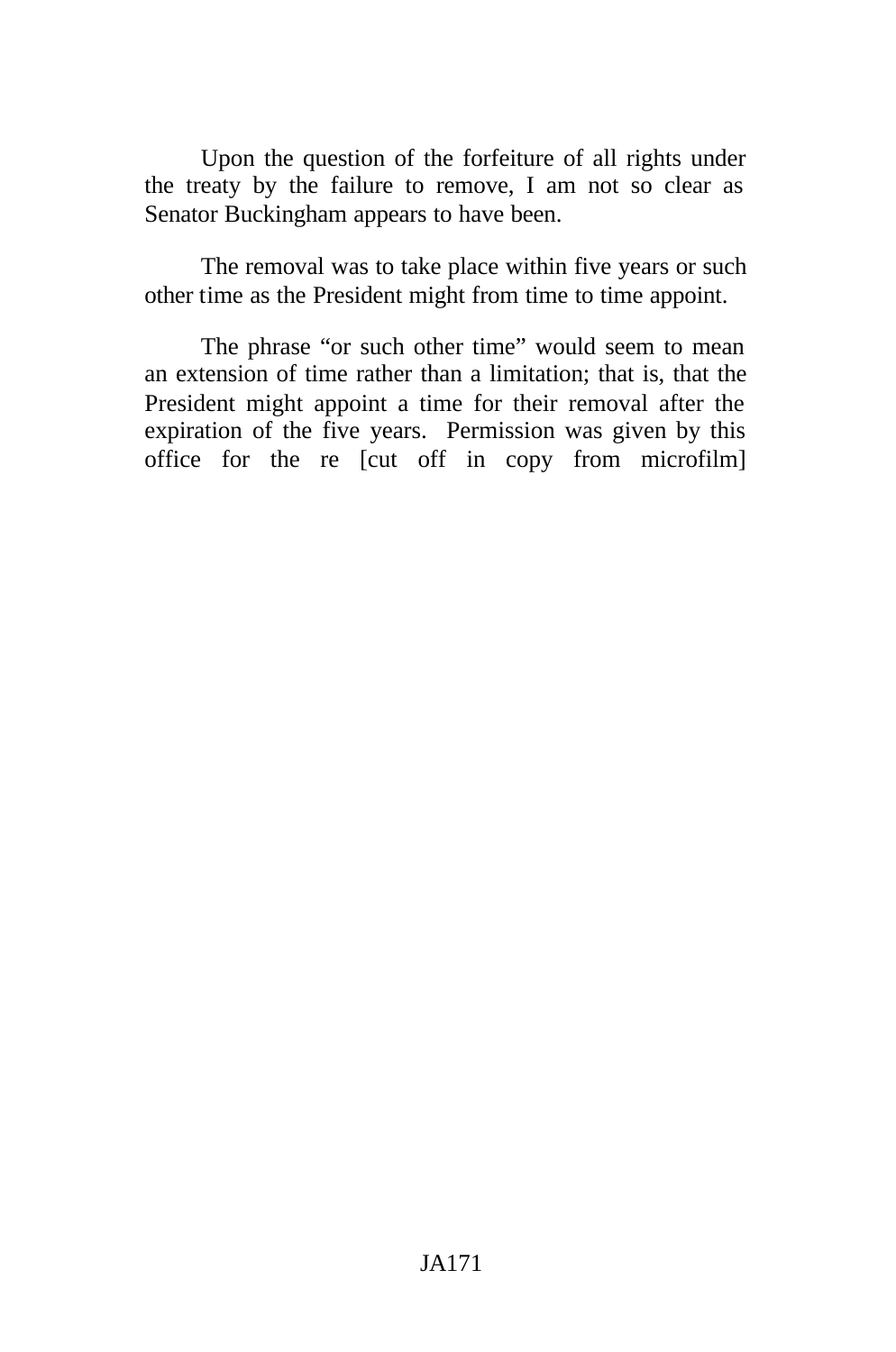Upon the question of the forfeiture of all rights under the treaty by the failure to remove, I am not so clear as Senator Buckingham appears to have been.

The removal was to take place within five years or such other time as the President might from time to time appoint.

The phrase "or such other time" would seem to mean an extension of time rather than a limitation; that is, that the President might appoint a time for their removal after the expiration of the five years. Permission was given by this office for the re [cut off in copy from microfilm]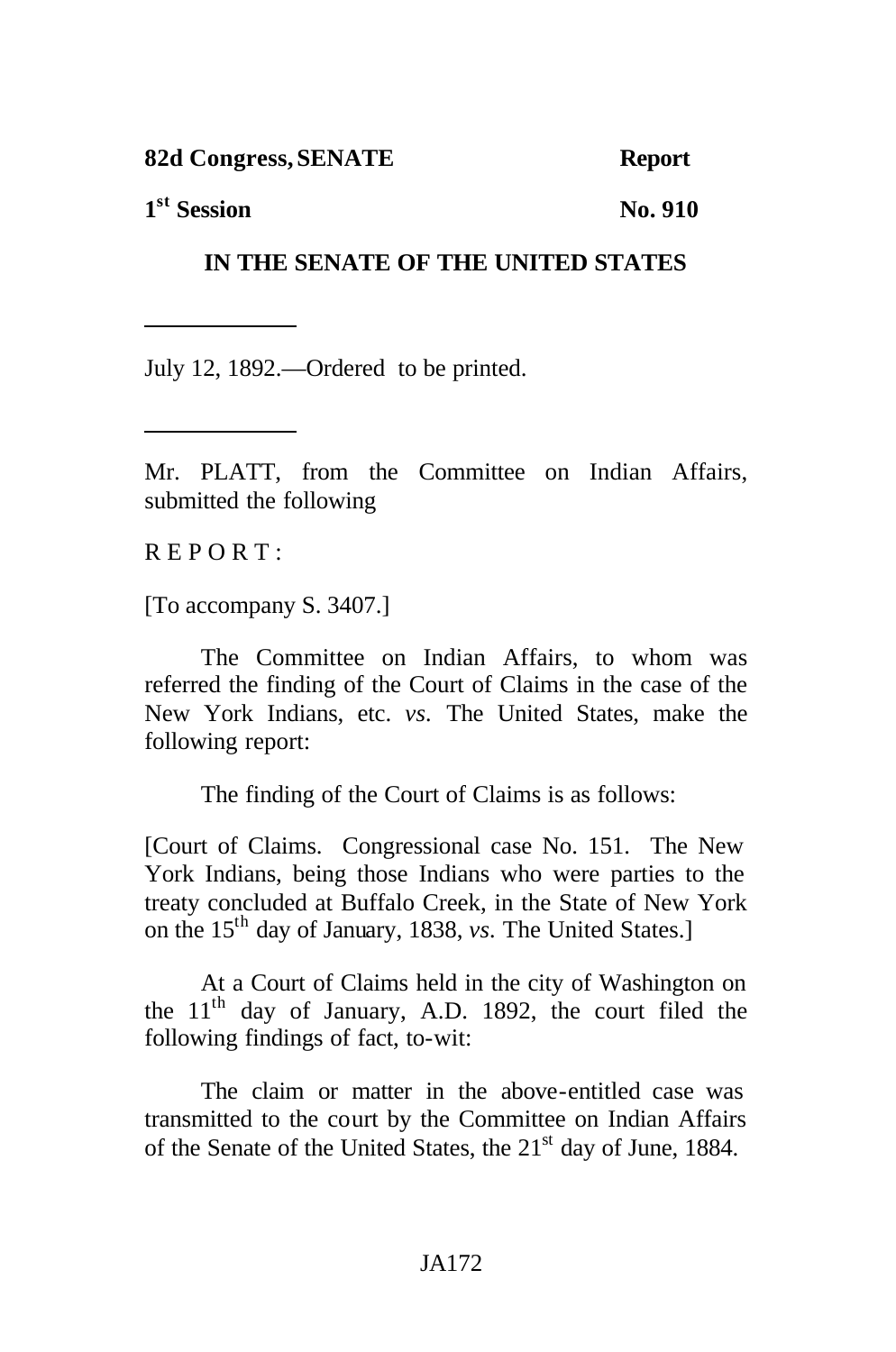**82d Congress,SENATE Report**

**1**<sup>st</sup> Session No. 910

## **IN THE SENATE OF THE UNITED STATES**

July 12, 1892.—Ordered to be printed.

Mr. PLATT, from the Committee on Indian Affairs, submitted the following

 $R$  E P O R T :

[To accompany S. 3407.]

The Committee on Indian Affairs, to whom was referred the finding of the Court of Claims in the case of the New York Indians, etc. *vs.* The United States, make the following report:

The finding of the Court of Claims is as follows:

[Court of Claims. Congressional case No. 151. The New York Indians, being those Indians who were parties to the treaty concluded at Buffalo Creek, in the State of New York on the 15th day of January, 1838, *vs.* The United States.]

At a Court of Claims held in the city of Washington on the  $11<sup>th</sup>$  day of January, A.D. 1892, the court filed the following findings of fact, to-wit:

The claim or matter in the above-entitled case was transmitted to the court by the Committee on Indian Affairs of the Senate of the United States, the 21<sup>st</sup> day of June, 1884.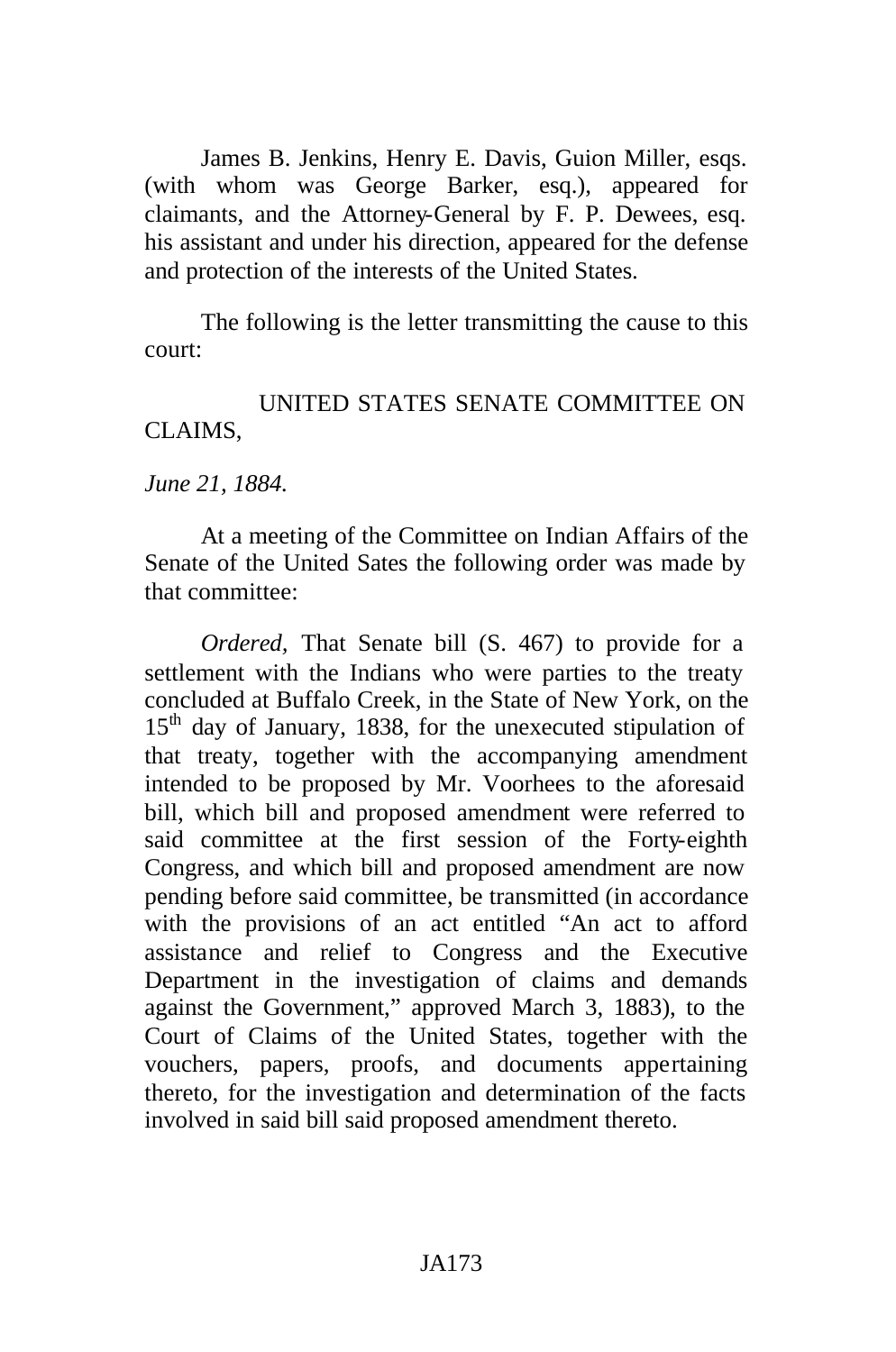James B. Jenkins, Henry E. Davis, Guion Miller, esqs. (with whom was George Barker, esq.), appeared for claimants, and the Attorney-General by F. P. Dewees, esq. his assistant and under his direction, appeared for the defense and protection of the interests of the United States.

The following is the letter transmitting the cause to this court:

## UNITED STATES SENATE COMMITTEE ON CLAIMS,

*June 21, 1884.*

At a meeting of the Committee on Indian Affairs of the Senate of the United Sates the following order was made by that committee:

*Ordered,* That Senate bill (S. 467) to provide for a settlement with the Indians who were parties to the treaty concluded at Buffalo Creek, in the State of New York, on the  $15<sup>th</sup>$  day of January, 1838, for the unexecuted stipulation of that treaty, together with the accompanying amendment intended to be proposed by Mr. Voorhees to the aforesaid bill, which bill and proposed amendment were referred to said committee at the first session of the Forty-eighth Congress, and which bill and proposed amendment are now pending before said committee, be transmitted (in accordance with the provisions of an act entitled "An act to afford assistance and relief to Congress and the Executive Department in the investigation of claims and demands against the Government," approved March 3, 1883), to the Court of Claims of the United States, together with the vouchers, papers, proofs, and documents appertaining thereto, for the investigation and determination of the facts involved in said bill said proposed amendment thereto.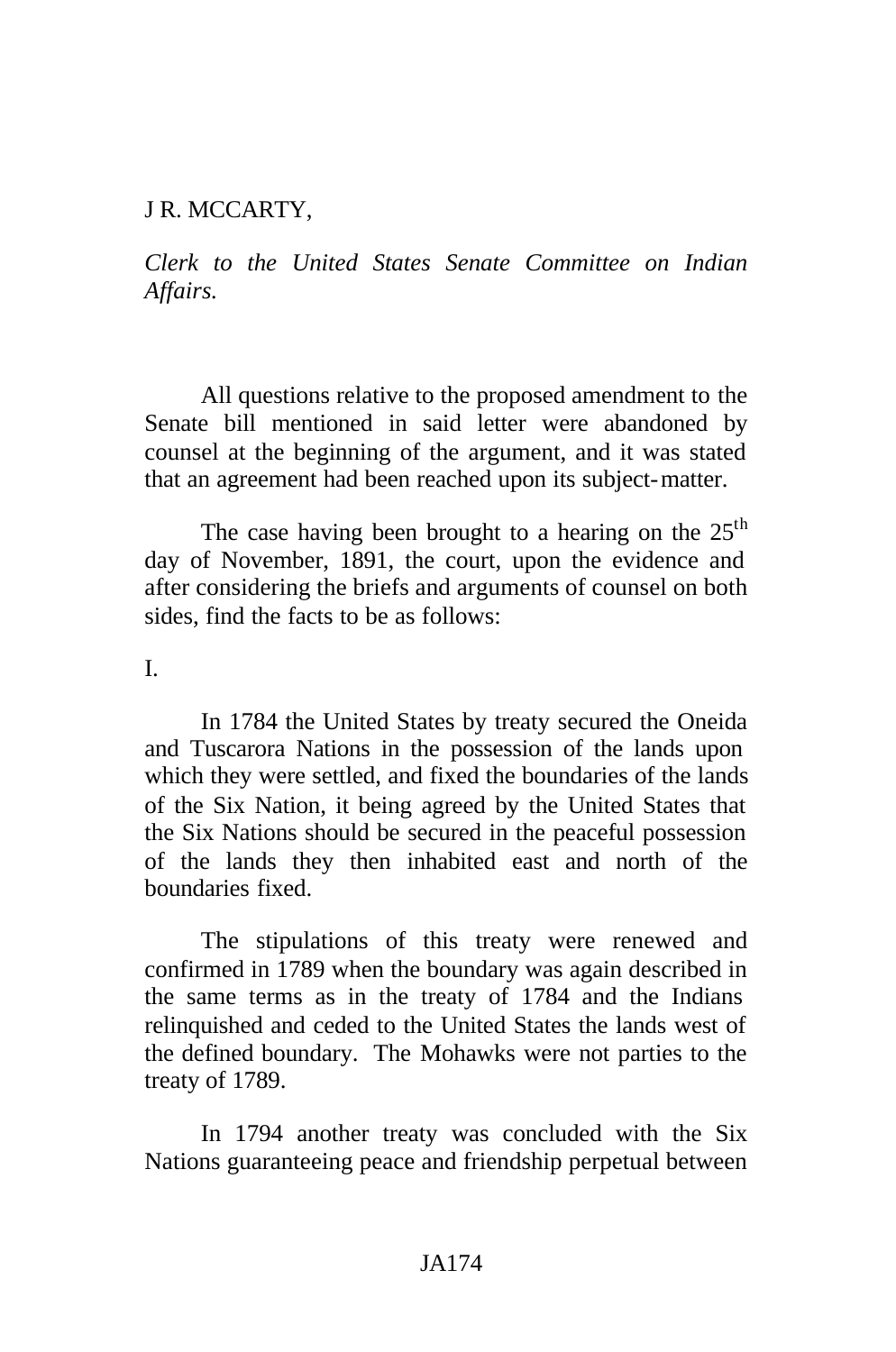#### J R. MCCARTY,

*Clerk to the United States Senate Committee on Indian Affairs.*

All questions relative to the proposed amendment to the Senate bill mentioned in said letter were abandoned by counsel at the beginning of the argument, and it was stated that an agreement had been reached upon its subject-matter.

The case having been brought to a hearing on the  $25<sup>th</sup>$ day of November, 1891, the court, upon the evidence and after considering the briefs and arguments of counsel on both sides, find the facts to be as follows:

I.

In 1784 the United States by treaty secured the Oneida and Tuscarora Nations in the possession of the lands upon which they were settled, and fixed the boundaries of the lands of the Six Nation, it being agreed by the United States that the Six Nations should be secured in the peaceful possession of the lands they then inhabited east and north of the boundaries fixed.

The stipulations of this treaty were renewed and confirmed in 1789 when the boundary was again described in the same terms as in the treaty of 1784 and the Indians relinquished and ceded to the United States the lands west of the defined boundary. The Mohawks were not parties to the treaty of 1789.

In 1794 another treaty was concluded with the Six Nations guaranteeing peace and friendship perpetual between

#### JA174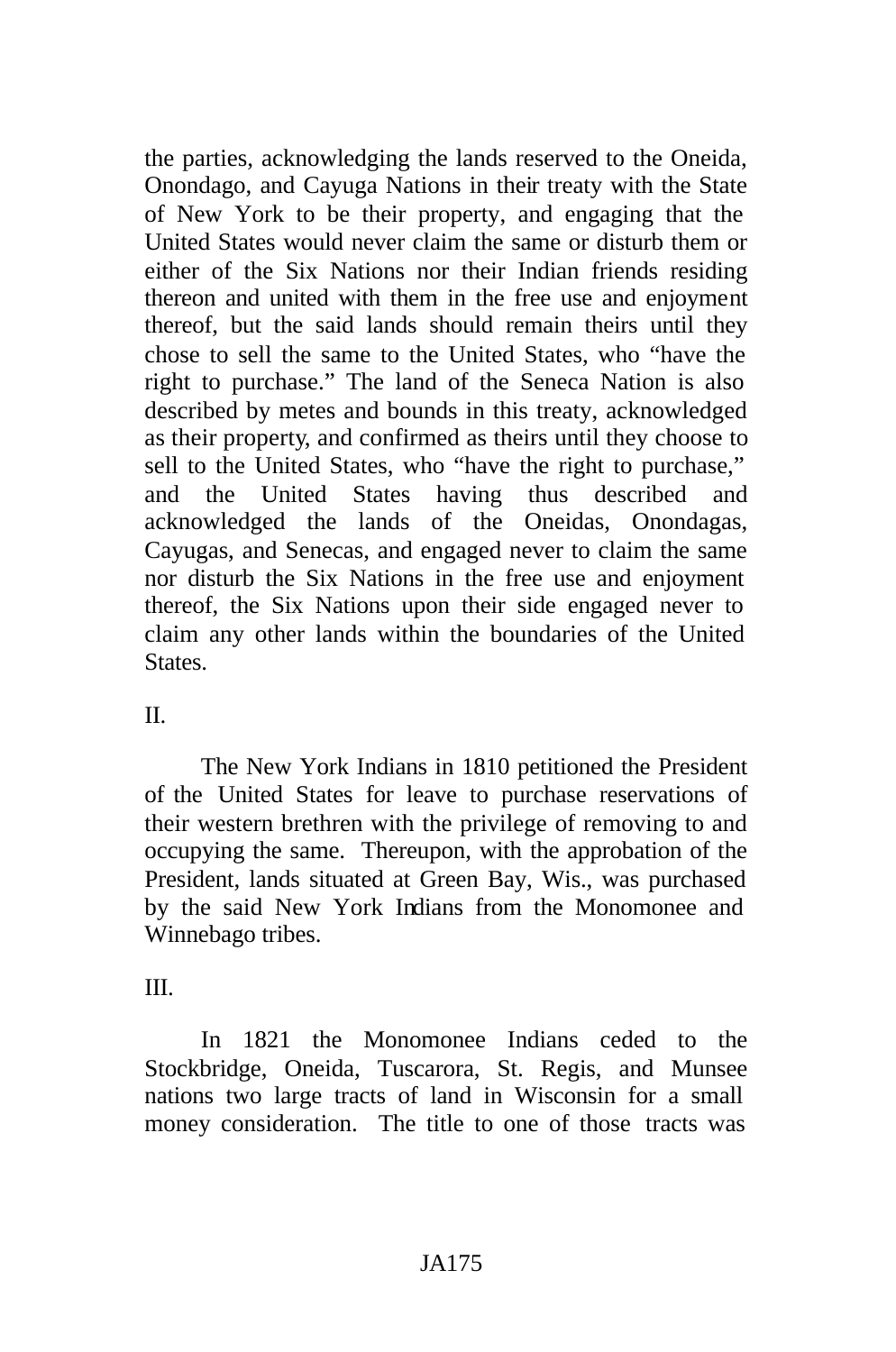the parties, acknowledging the lands reserved to the Oneida, Onondago, and Cayuga Nations in their treaty with the State of New York to be their property, and engaging that the United States would never claim the same or disturb them or either of the Six Nations nor their Indian friends residing thereon and united with them in the free use and enjoyment thereof, but the said lands should remain theirs until they chose to sell the same to the United States, who "have the right to purchase." The land of the Seneca Nation is also described by metes and bounds in this treaty, acknowledged as their property, and confirmed as theirs until they choose to sell to the United States, who "have the right to purchase," and the United States having thus described and acknowledged the lands of the Oneidas, Onondagas, Cayugas, and Senecas, and engaged never to claim the same nor disturb the Six Nations in the free use and enjoyment thereof, the Six Nations upon their side engaged never to claim any other lands within the boundaries of the United **States** 

## $II$ .

The New York Indians in 1810 petitioned the President of the United States for leave to purchase reservations of their western brethren with the privilege of removing to and occupying the same. Thereupon, with the approbation of the President, lands situated at Green Bay, Wis., was purchased by the said New York Indians from the Monomonee and Winnebago tribes.

## III.

In 1821 the Monomonee Indians ceded to the Stockbridge, Oneida, Tuscarora, St. Regis, and Munsee nations two large tracts of land in Wisconsin for a small money consideration. The title to one of those tracts was

## JA175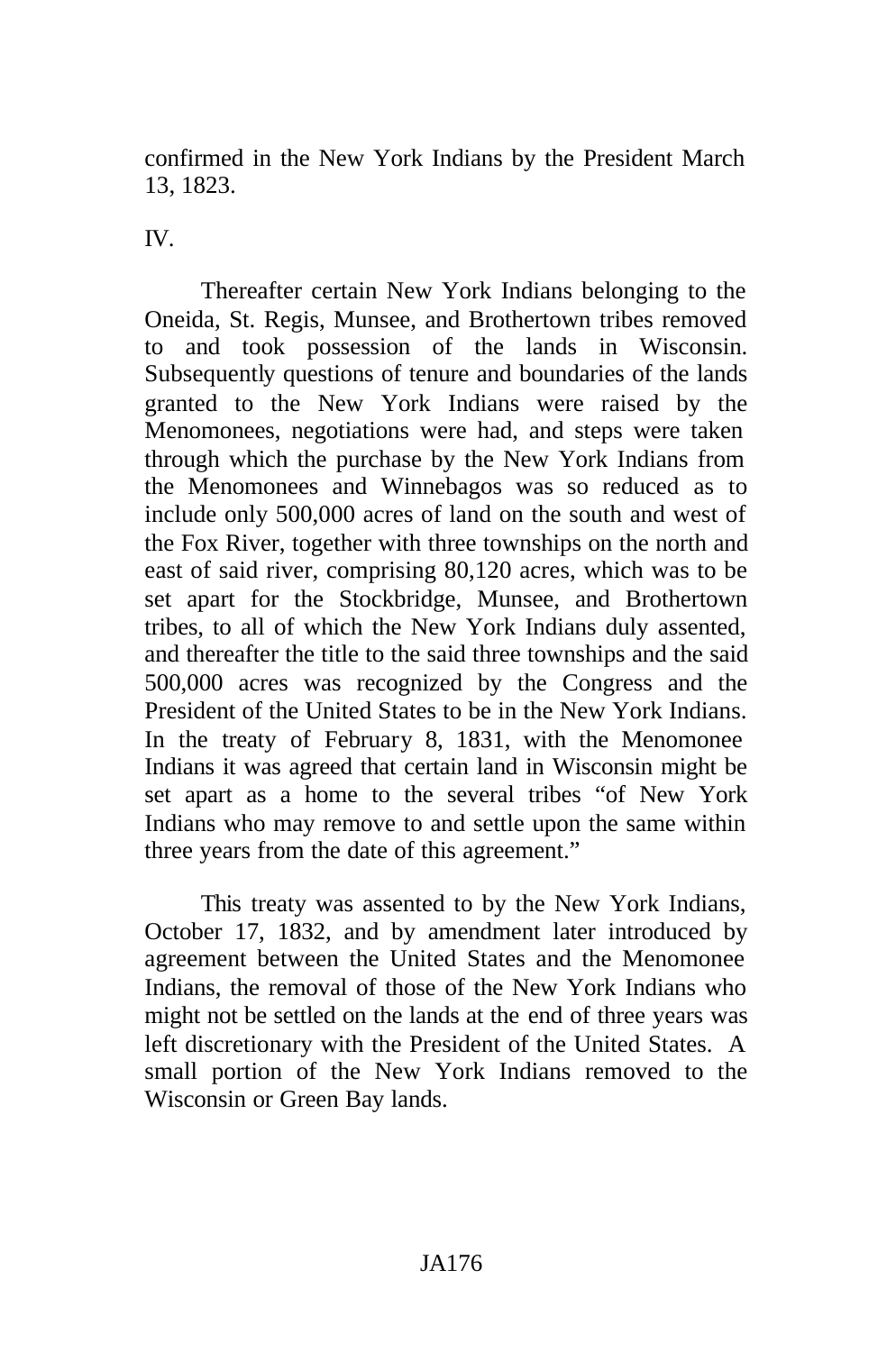confirmed in the New York Indians by the President March 13, 1823.

IV.

Thereafter certain New York Indians belonging to the Oneida, St. Regis, Munsee, and Brothertown tribes removed to and took possession of the lands in Wisconsin. Subsequently questions of tenure and boundaries of the lands granted to the New York Indians were raised by the Menomonees, negotiations were had, and steps were taken through which the purchase by the New York Indians from the Menomonees and Winnebagos was so reduced as to include only 500,000 acres of land on the south and west of the Fox River, together with three townships on the north and east of said river, comprising 80,120 acres, which was to be set apart for the Stockbridge, Munsee, and Brothertown tribes, to all of which the New York Indians duly assented, and thereafter the title to the said three townships and the said 500,000 acres was recognized by the Congress and the President of the United States to be in the New York Indians. In the treaty of February 8, 1831, with the Menomonee Indians it was agreed that certain land in Wisconsin might be set apart as a home to the several tribes "of New York Indians who may remove to and settle upon the same within three years from the date of this agreement."

This treaty was assented to by the New York Indians, October 17, 1832, and by amendment later introduced by agreement between the United States and the Menomonee Indians, the removal of those of the New York Indians who might not be settled on the lands at the end of three years was left discretionary with the President of the United States. A small portion of the New York Indians removed to the Wisconsin or Green Bay lands.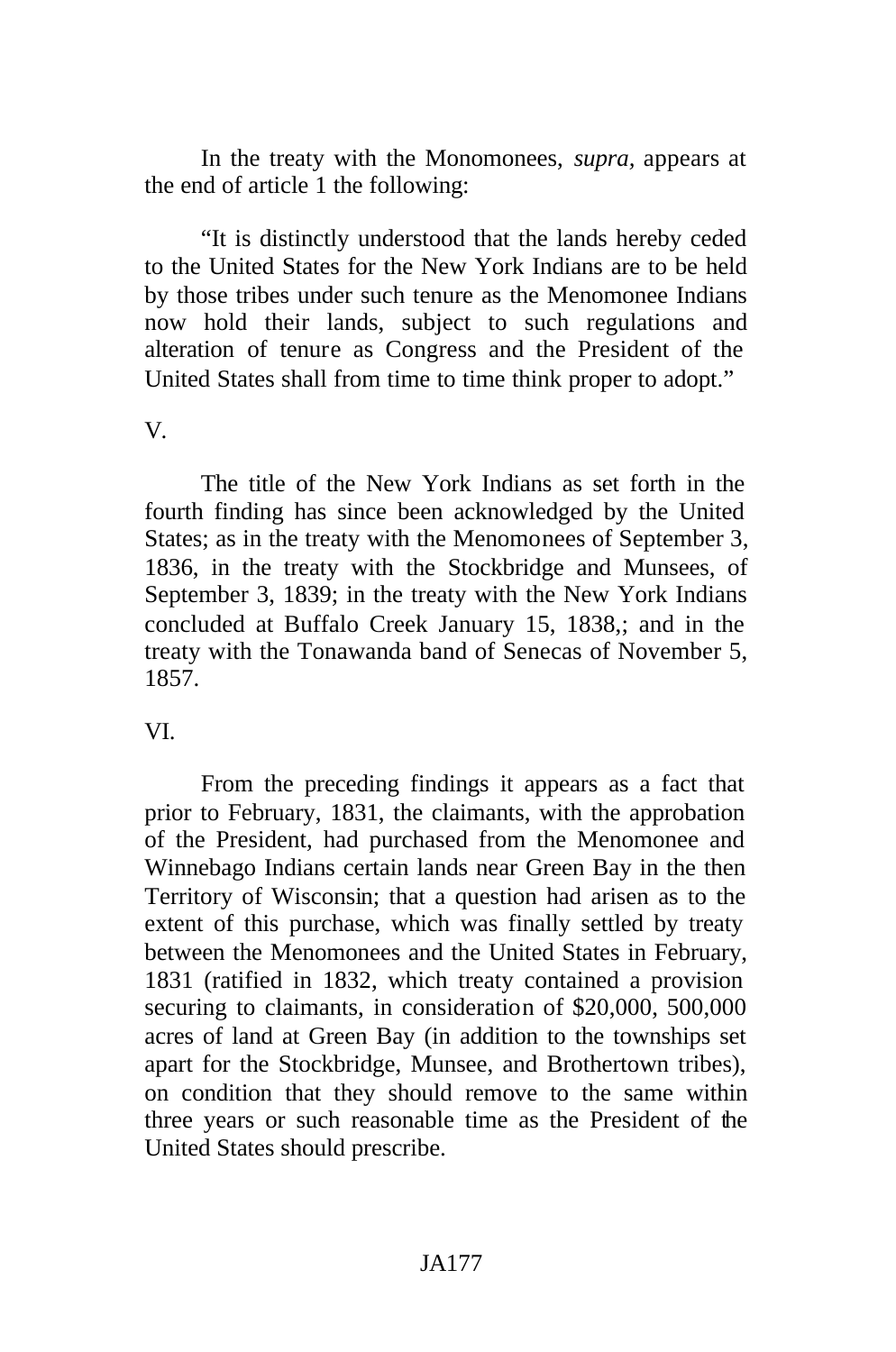In the treaty with the Monomonees, *supra,* appears at the end of article 1 the following:

"It is distinctly understood that the lands hereby ceded to the United States for the New York Indians are to be held by those tribes under such tenure as the Menomonee Indians now hold their lands, subject to such regulations and alteration of tenure as Congress and the President of the United States shall from time to time think proper to adopt."

#### V.

The title of the New York Indians as set forth in the fourth finding has since been acknowledged by the United States; as in the treaty with the Menomonees of September 3, 1836, in the treaty with the Stockbridge and Munsees, of September 3, 1839; in the treaty with the New York Indians concluded at Buffalo Creek January 15, 1838,; and in the treaty with the Tonawanda band of Senecas of November 5, 1857.

### VI.

From the preceding findings it appears as a fact that prior to February, 1831, the claimants, with the approbation of the President, had purchased from the Menomonee and Winnebago Indians certain lands near Green Bay in the then Territory of Wisconsin; that a question had arisen as to the extent of this purchase, which was finally settled by treaty between the Menomonees and the United States in February, 1831 (ratified in 1832, which treaty contained a provision securing to claimants, in consideration of \$20,000, 500,000 acres of land at Green Bay (in addition to the townships set apart for the Stockbridge, Munsee, and Brothertown tribes), on condition that they should remove to the same within three years or such reasonable time as the President of the United States should prescribe.

### JA177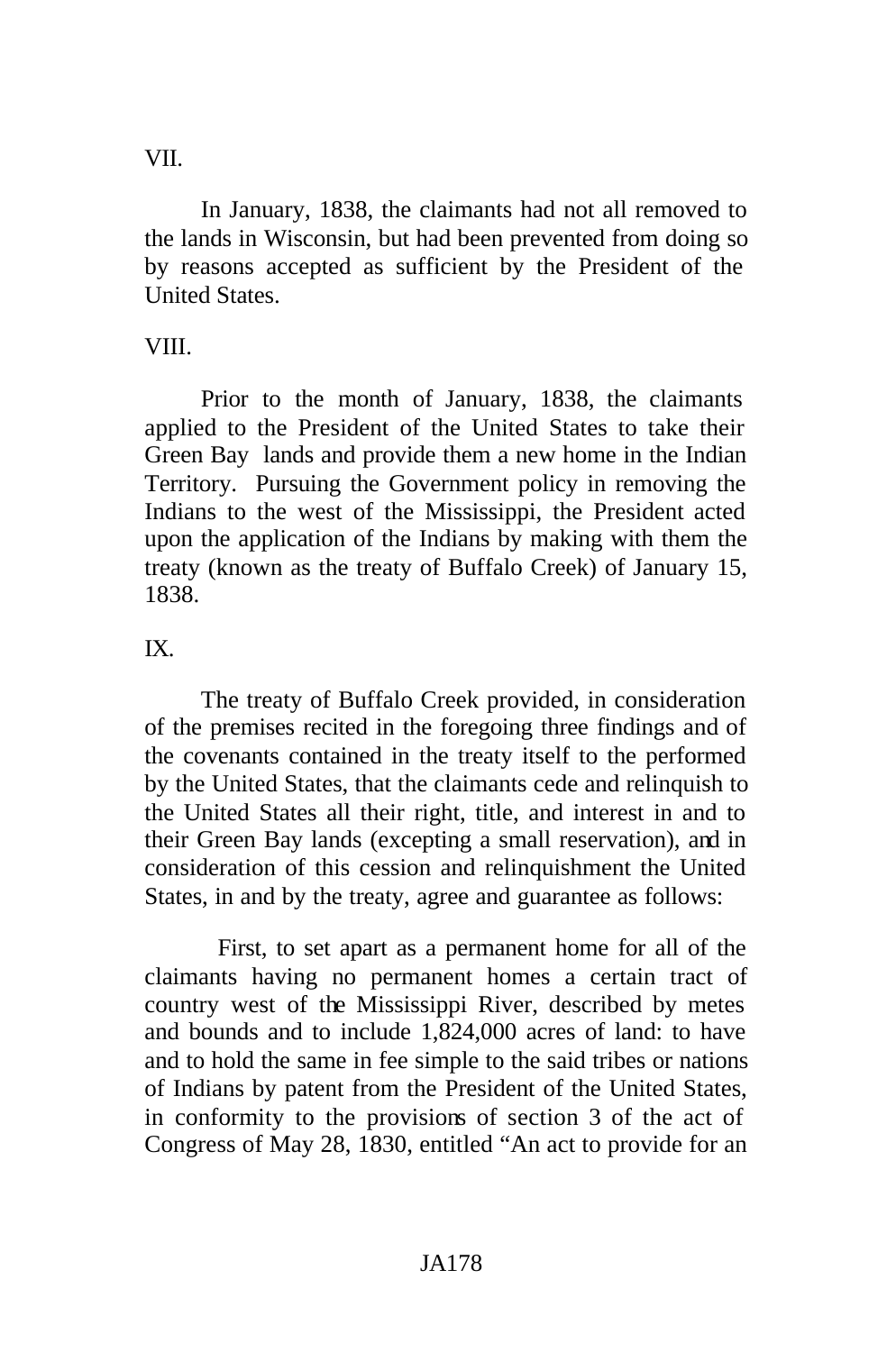VII.

In January, 1838, the claimants had not all removed to the lands in Wisconsin, but had been prevented from doing so by reasons accepted as sufficient by the President of the United States.

# VIII.

Prior to the month of January, 1838, the claimants applied to the President of the United States to take their Green Bay lands and provide them a new home in the Indian Territory. Pursuing the Government policy in removing the Indians to the west of the Mississippi, the President acted upon the application of the Indians by making with them the treaty (known as the treaty of Buffalo Creek) of January 15, 1838.

## IX.

The treaty of Buffalo Creek provided, in consideration of the premises recited in the foregoing three findings and of the covenants contained in the treaty itself to the performed by the United States, that the claimants cede and relinquish to the United States all their right, title, and interest in and to their Green Bay lands (excepting a small reservation), and in consideration of this cession and relinquishment the United States, in and by the treaty, agree and guarantee as follows:

First, to set apart as a permanent home for all of the claimants having no permanent homes a certain tract of country west of the Mississippi River, described by metes and bounds and to include 1,824,000 acres of land: to have and to hold the same in fee simple to the said tribes or nations of Indians by patent from the President of the United States, in conformity to the provisions of section 3 of the act of Congress of May 28, 1830, entitled "An act to provide for an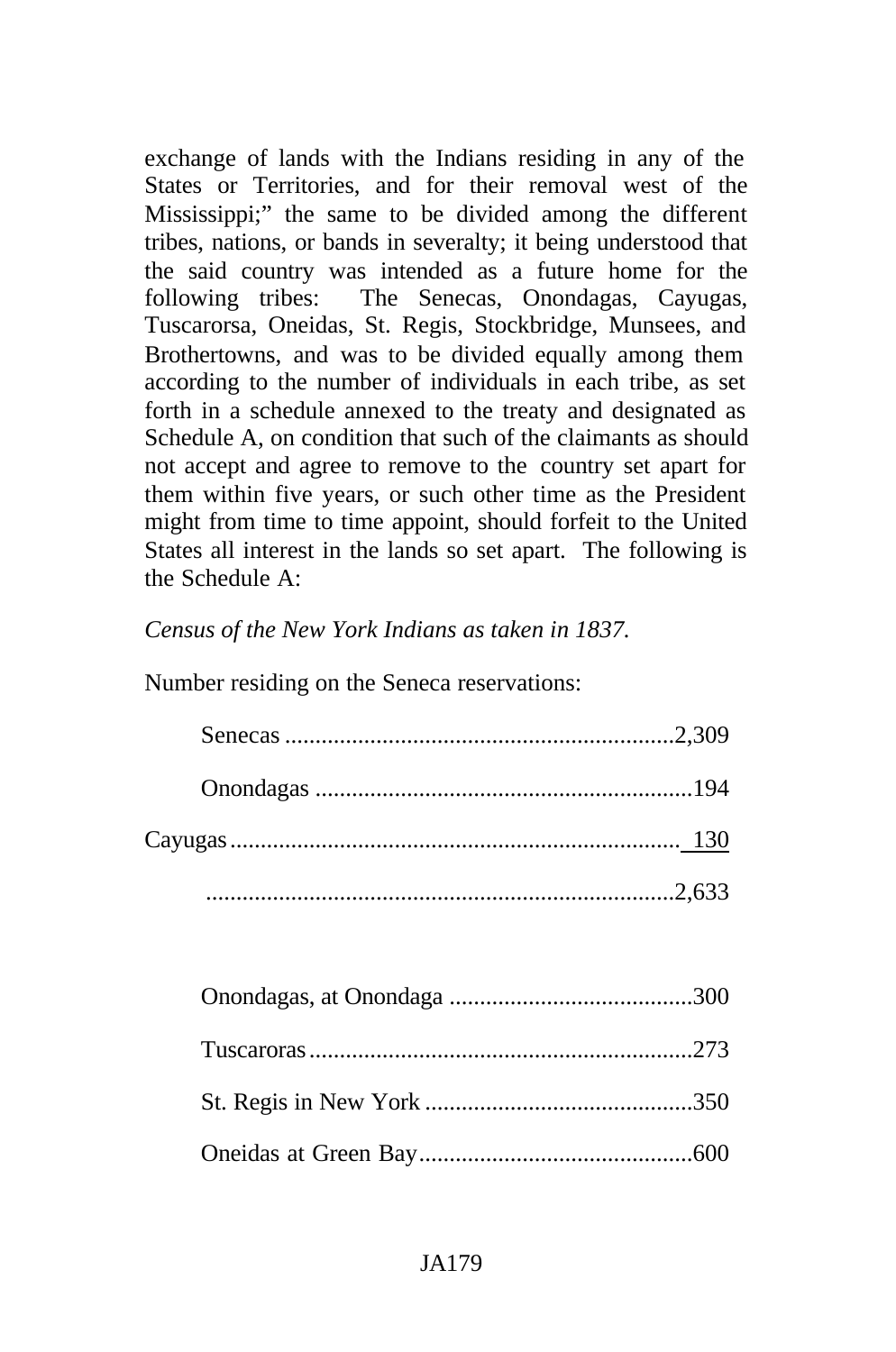exchange of lands with the Indians residing in any of the States or Territories, and for their removal west of the Mississippi;" the same to be divided among the different tribes, nations, or bands in severalty; it being understood that the said country was intended as a future home for the following tribes: The Senecas, Onondagas, Cayugas, Tuscarorsa, Oneidas, St. Regis, Stockbridge, Munsees, and Brothertowns, and was to be divided equally among them according to the number of individuals in each tribe, as set forth in a schedule annexed to the treaty and designated as Schedule A, on condition that such of the claimants as should not accept and agree to remove to the country set apart for them within five years, or such other time as the President might from time to time appoint, should forfeit to the United States all interest in the lands so set apart. The following is the Schedule A:

*Census of the New York Indians as taken in 1837.*

Number residing on the Seneca reservations: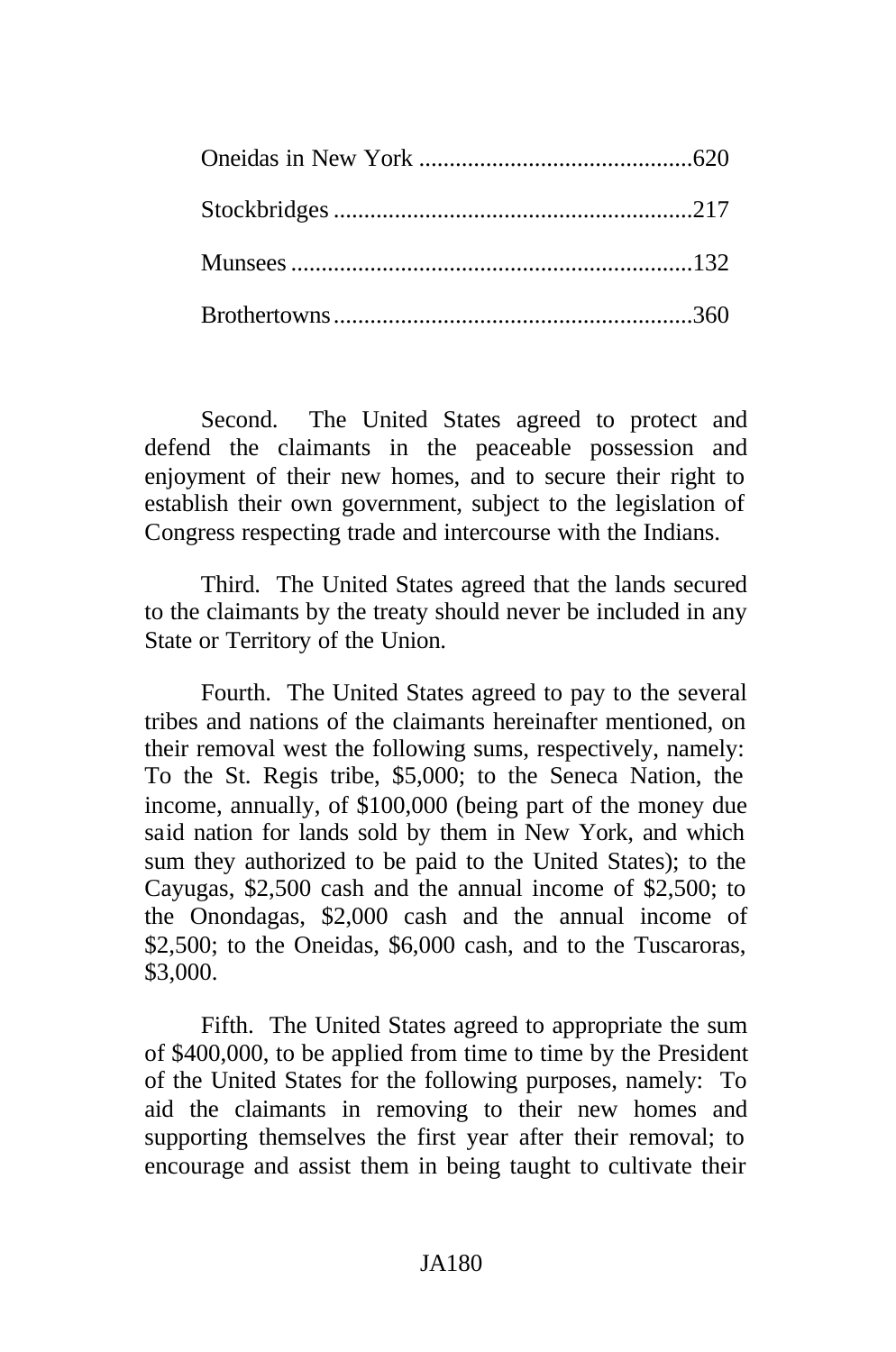Second. The United States agreed to protect and defend the claimants in the peaceable possession and enjoyment of their new homes, and to secure their right to establish their own government, subject to the legislation of Congress respecting trade and intercourse with the Indians.

Third. The United States agreed that the lands secured to the claimants by the treaty should never be included in any State or Territory of the Union.

Fourth. The United States agreed to pay to the several tribes and nations of the claimants hereinafter mentioned, on their removal west the following sums, respectively, namely: To the St. Regis tribe, \$5,000; to the Seneca Nation, the income, annually, of \$100,000 (being part of the money due said nation for lands sold by them in New York, and which sum they authorized to be paid to the United States); to the Cayugas, \$2,500 cash and the annual income of \$2,500; to the Onondagas, \$2,000 cash and the annual income of \$2,500; to the Oneidas, \$6,000 cash, and to the Tuscaroras, \$3,000.

Fifth. The United States agreed to appropriate the sum of \$400,000, to be applied from time to time by the President of the United States for the following purposes, namely: To aid the claimants in removing to their new homes and supporting themselves the first year after their removal; to encourage and assist them in being taught to cultivate their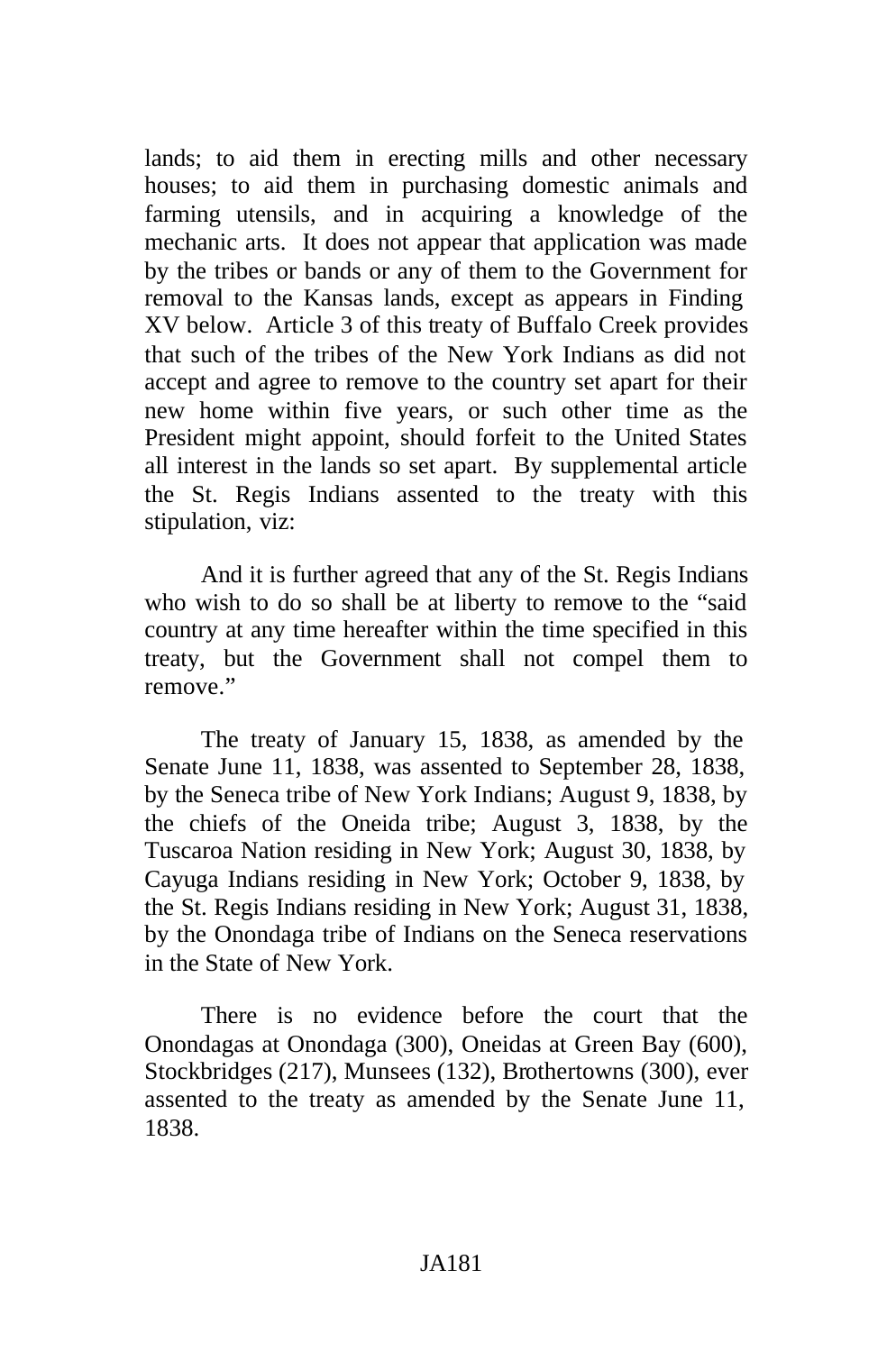lands; to aid them in erecting mills and other necessary houses; to aid them in purchasing domestic animals and farming utensils, and in acquiring a knowledge of the mechanic arts. It does not appear that application was made by the tribes or bands or any of them to the Government for removal to the Kansas lands, except as appears in Finding XV below. Article 3 of this treaty of Buffalo Creek provides that such of the tribes of the New York Indians as did not accept and agree to remove to the country set apart for their new home within five years, or such other time as the President might appoint, should forfeit to the United States all interest in the lands so set apart. By supplemental article the St. Regis Indians assented to the treaty with this stipulation, viz:

And it is further agreed that any of the St. Regis Indians who wish to do so shall be at liberty to remove to the "said country at any time hereafter within the time specified in this treaty, but the Government shall not compel them to remove."

The treaty of January 15, 1838, as amended by the Senate June 11, 1838, was assented to September 28, 1838, by the Seneca tribe of New York Indians; August 9, 1838, by the chiefs of the Oneida tribe; August 3, 1838, by the Tuscaroa Nation residing in New York; August 30, 1838, by Cayuga Indians residing in New York; October 9, 1838, by the St. Regis Indians residing in New York; August 31, 1838, by the Onondaga tribe of Indians on the Seneca reservations in the State of New York.

There is no evidence before the court that the Onondagas at Onondaga (300), Oneidas at Green Bay (600), Stockbridges (217), Munsees (132), Brothertowns (300), ever assented to the treaty as amended by the Senate June 11, 1838.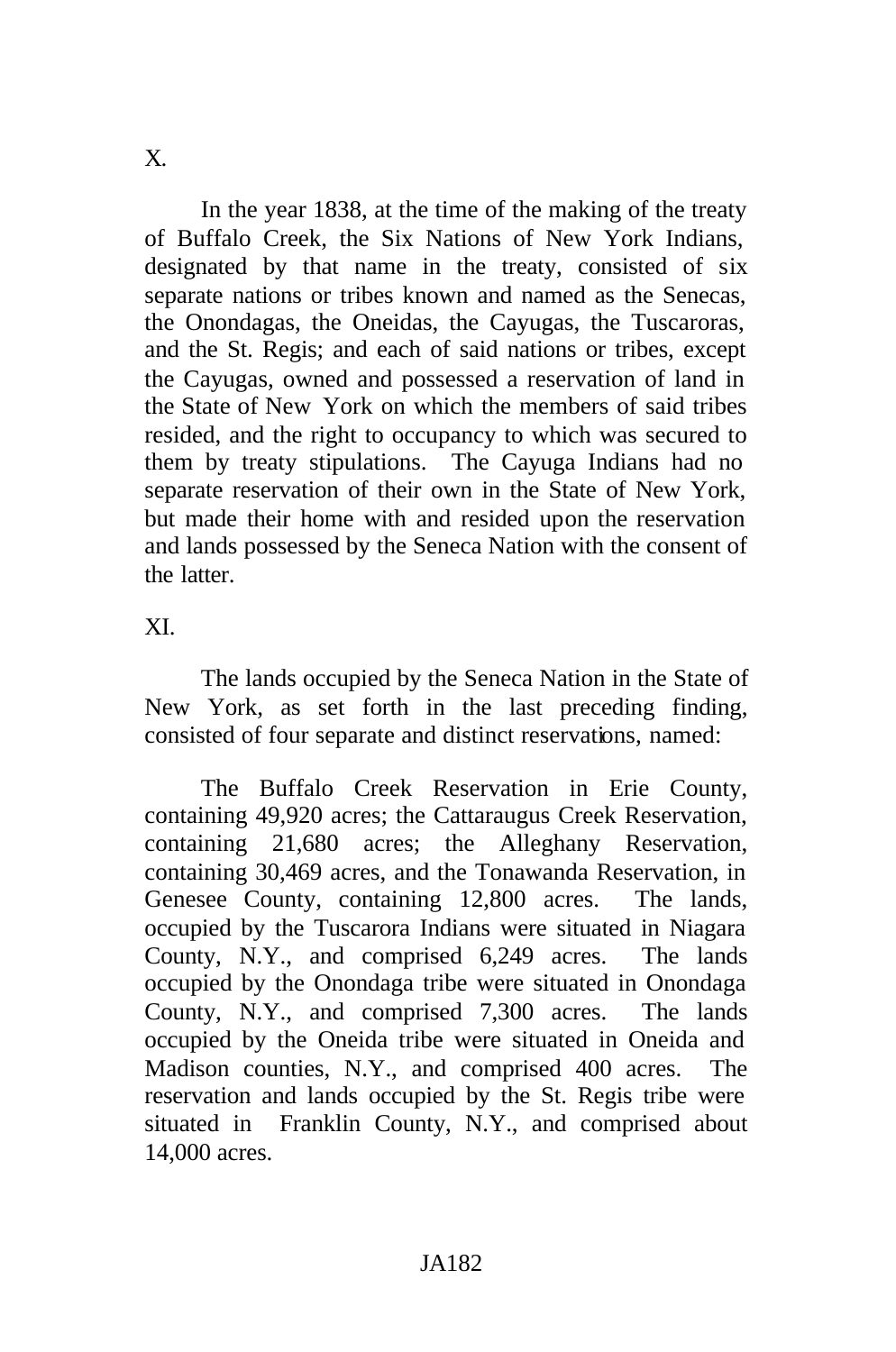In the year 1838, at the time of the making of the treaty of Buffalo Creek, the Six Nations of New York Indians, designated by that name in the treaty, consisted of six separate nations or tribes known and named as the Senecas, the Onondagas, the Oneidas, the Cayugas, the Tuscaroras, and the St. Regis; and each of said nations or tribes, except the Cayugas, owned and possessed a reservation of land in the State of New York on which the members of said tribes resided, and the right to occupancy to which was secured to them by treaty stipulations. The Cayuga Indians had no separate reservation of their own in the State of New York, but made their home with and resided upon the reservation and lands possessed by the Seneca Nation with the consent of the latter.

XI.

The lands occupied by the Seneca Nation in the State of New York, as set forth in the last preceding finding, consisted of four separate and distinct reservations, named:

The Buffalo Creek Reservation in Erie County, containing 49,920 acres; the Cattaraugus Creek Reservation, containing 21,680 acres; the Alleghany Reservation, containing 30,469 acres, and the Tonawanda Reservation, in Genesee County, containing 12,800 acres. The lands, occupied by the Tuscarora Indians were situated in Niagara County, N.Y., and comprised 6,249 acres. The lands occupied by the Onondaga tribe were situated in Onondaga County, N.Y., and comprised 7,300 acres. The lands occupied by the Oneida tribe were situated in Oneida and Madison counties, N.Y., and comprised 400 acres. The reservation and lands occupied by the St. Regis tribe were situated in Franklin County, N.Y., and comprised about 14,000 acres.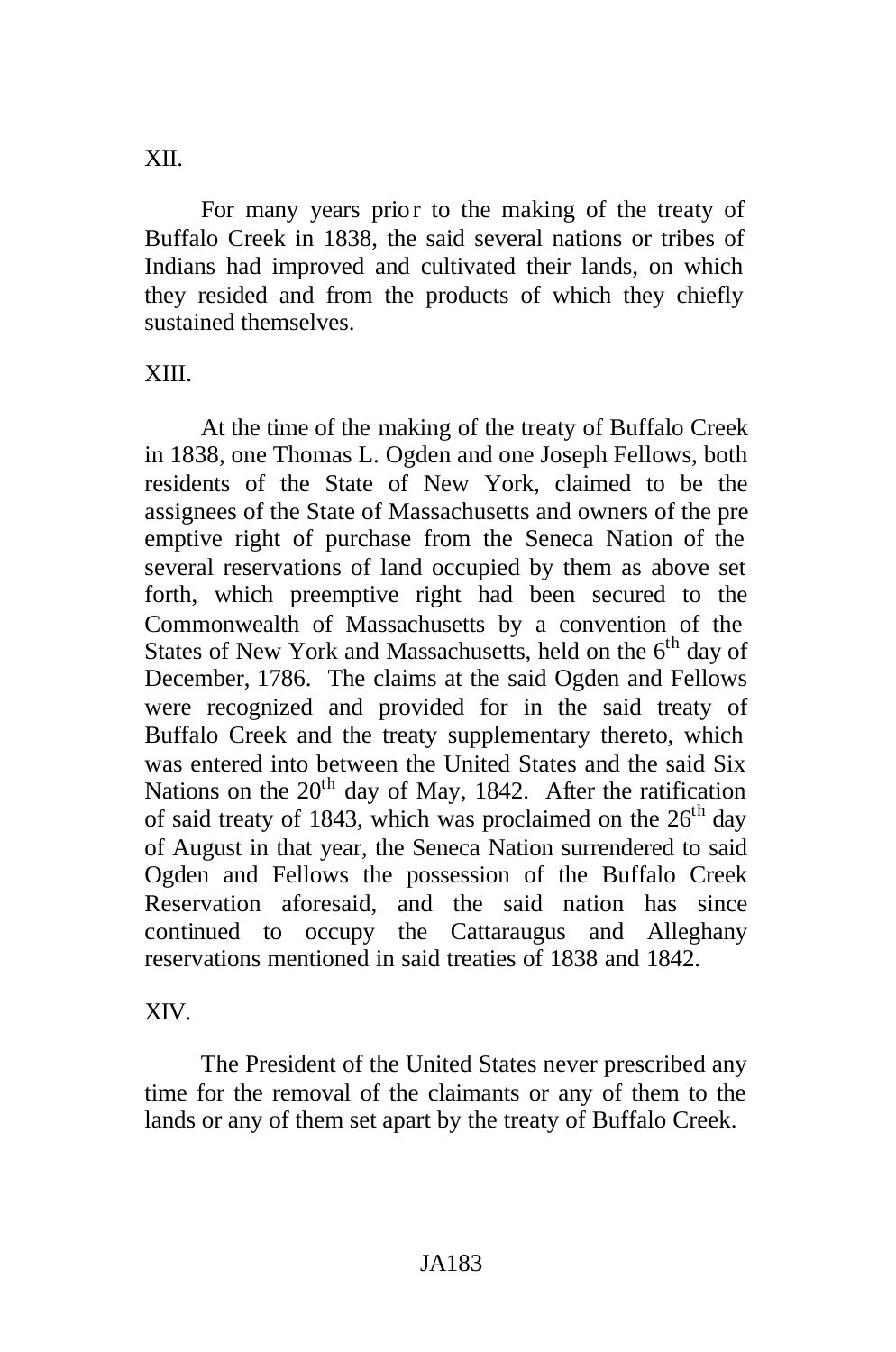XII.

For many years prior to the making of the treaty of Buffalo Creek in 1838, the said several nations or tribes of Indians had improved and cultivated their lands, on which they resided and from the products of which they chiefly sustained themselves.

### XIII.

At the time of the making of the treaty of Buffalo Creek in 1838, one Thomas L. Ogden and one Joseph Fellows, both residents of the State of New York, claimed to be the assignees of the State of Massachusetts and owners of the pre emptive right of purchase from the Seneca Nation of the several reservations of land occupied by them as above set forth, which preemptive right had been secured to the Commonwealth of Massachusetts by a convention of the States of New York and Massachusetts, held on the  $6<sup>th</sup>$  day of December, 1786. The claims at the said Ogden and Fellows were recognized and provided for in the said treaty of Buffalo Creek and the treaty supplementary thereto, which was entered into between the United States and the said Six Nations on the  $20<sup>th</sup>$  day of May, 1842. After the ratification of said treaty of 1843, which was proclaimed on the  $26<sup>th</sup>$  day of August in that year, the Seneca Nation surrendered to said Ogden and Fellows the possession of the Buffalo Creek Reservation aforesaid, and the said nation has since continued to occupy the Cattaraugus and Alleghany reservations mentioned in said treaties of 1838 and 1842.

### XIV.

The President of the United States never prescribed any time for the removal of the claimants or any of them to the lands or any of them set apart by the treaty of Buffalo Creek.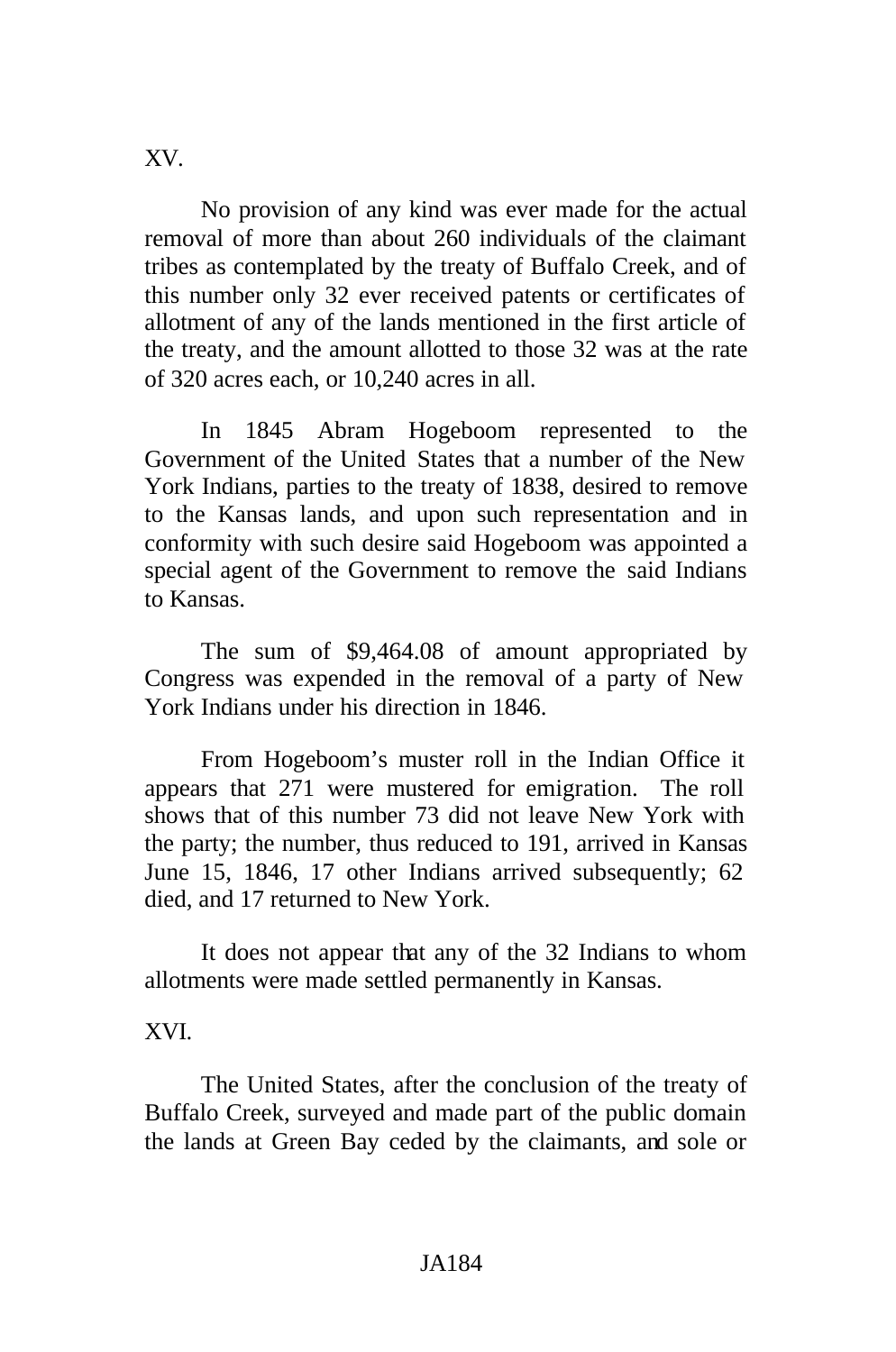XV.

No provision of any kind was ever made for the actual removal of more than about 260 individuals of the claimant tribes as contemplated by the treaty of Buffalo Creek, and of this number only 32 ever received patents or certificates of allotment of any of the lands mentioned in the first article of the treaty, and the amount allotted to those 32 was at the rate of 320 acres each, or 10,240 acres in all.

In 1845 Abram Hogeboom represented to the Government of the United States that a number of the New York Indians, parties to the treaty of 1838, desired to remove to the Kansas lands, and upon such representation and in conformity with such desire said Hogeboom was appointed a special agent of the Government to remove the said Indians to Kansas.

The sum of \$9,464.08 of amount appropriated by Congress was expended in the removal of a party of New York Indians under his direction in 1846.

From Hogeboom's muster roll in the Indian Office it appears that 271 were mustered for emigration. The roll shows that of this number 73 did not leave New York with the party; the number, thus reduced to 191, arrived in Kansas June 15, 1846, 17 other Indians arrived subsequently; 62 died, and 17 returned to New York.

It does not appear that any of the 32 Indians to whom allotments were made settled permanently in Kansas.

# XVI.

The United States, after the conclusion of the treaty of Buffalo Creek, surveyed and made part of the public domain the lands at Green Bay ceded by the claimants, and sole or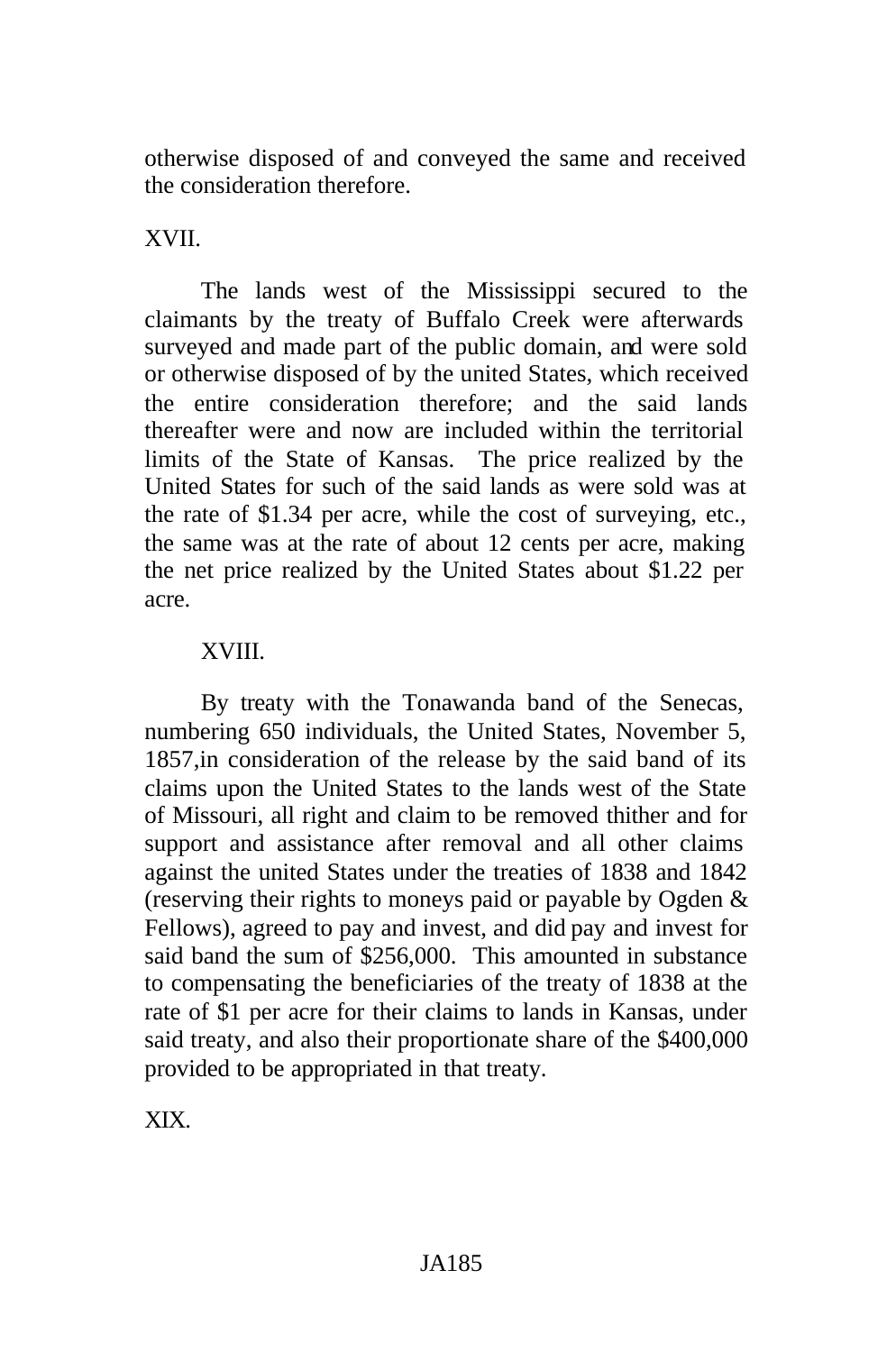otherwise disposed of and conveyed the same and received the consideration therefore.

XVII.

The lands west of the Mississippi secured to the claimants by the treaty of Buffalo Creek were afterwards surveyed and made part of the public domain, and were sold or otherwise disposed of by the united States, which received the entire consideration therefore; and the said lands thereafter were and now are included within the territorial limits of the State of Kansas. The price realized by the United States for such of the said lands as were sold was at the rate of \$1.34 per acre, while the cost of surveying, etc., the same was at the rate of about 12 cents per acre, making the net price realized by the United States about \$1.22 per acre.

### XVIII.

By treaty with the Tonawanda band of the Senecas, numbering 650 individuals, the United States, November 5, 1857,in consideration of the release by the said band of its claims upon the United States to the lands west of the State of Missouri, all right and claim to be removed thither and for support and assistance after removal and all other claims against the united States under the treaties of 1838 and 1842 (reserving their rights to moneys paid or payable by Ogden & Fellows), agreed to pay and invest, and did pay and invest for said band the sum of \$256,000. This amounted in substance to compensating the beneficiaries of the treaty of 1838 at the rate of \$1 per acre for their claims to lands in Kansas, under said treaty, and also their proportionate share of the \$400,000 provided to be appropriated in that treaty.

XIX.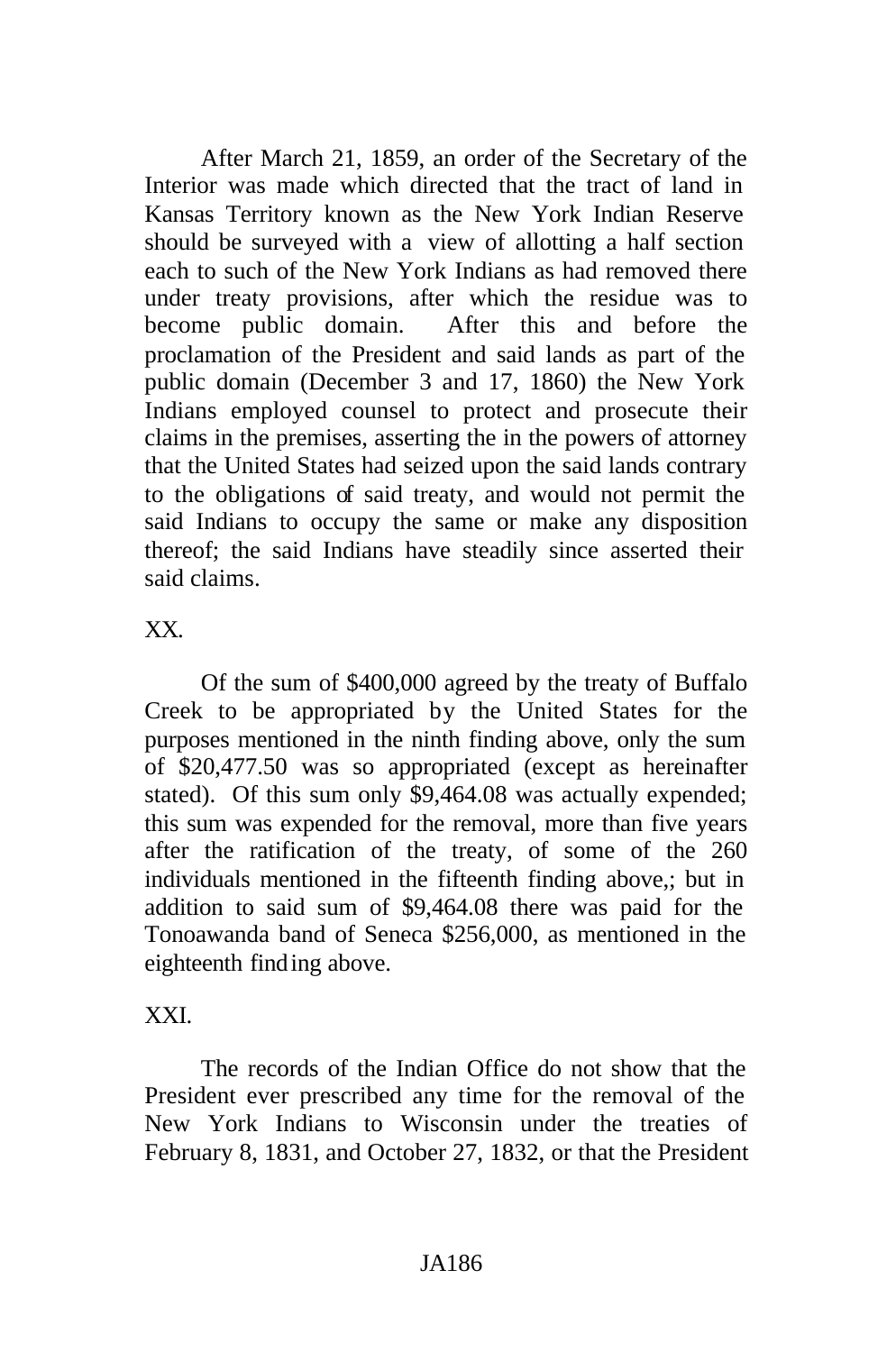After March 21, 1859, an order of the Secretary of the Interior was made which directed that the tract of land in Kansas Territory known as the New York Indian Reserve should be surveyed with a view of allotting a half section each to such of the New York Indians as had removed there under treaty provisions, after which the residue was to become public domain. After this and before the proclamation of the President and said lands as part of the public domain (December 3 and 17, 1860) the New York Indians employed counsel to protect and prosecute their claims in the premises, asserting the in the powers of attorney that the United States had seized upon the said lands contrary to the obligations of said treaty, and would not permit the said Indians to occupy the same or make any disposition thereof; the said Indians have steadily since asserted their said claims.

XX.

Of the sum of \$400,000 agreed by the treaty of Buffalo Creek to be appropriated by the United States for the purposes mentioned in the ninth finding above, only the sum of \$20,477.50 was so appropriated (except as hereinafter stated). Of this sum only \$9,464.08 was actually expended; this sum was expended for the removal, more than five years after the ratification of the treaty, of some of the 260 individuals mentioned in the fifteenth finding above,; but in addition to said sum of \$9,464.08 there was paid for the Tonoawanda band of Seneca \$256,000, as mentioned in the eighteenth finding above.

# XXI.

The records of the Indian Office do not show that the President ever prescribed any time for the removal of the New York Indians to Wisconsin under the treaties of February 8, 1831, and October 27, 1832, or that the President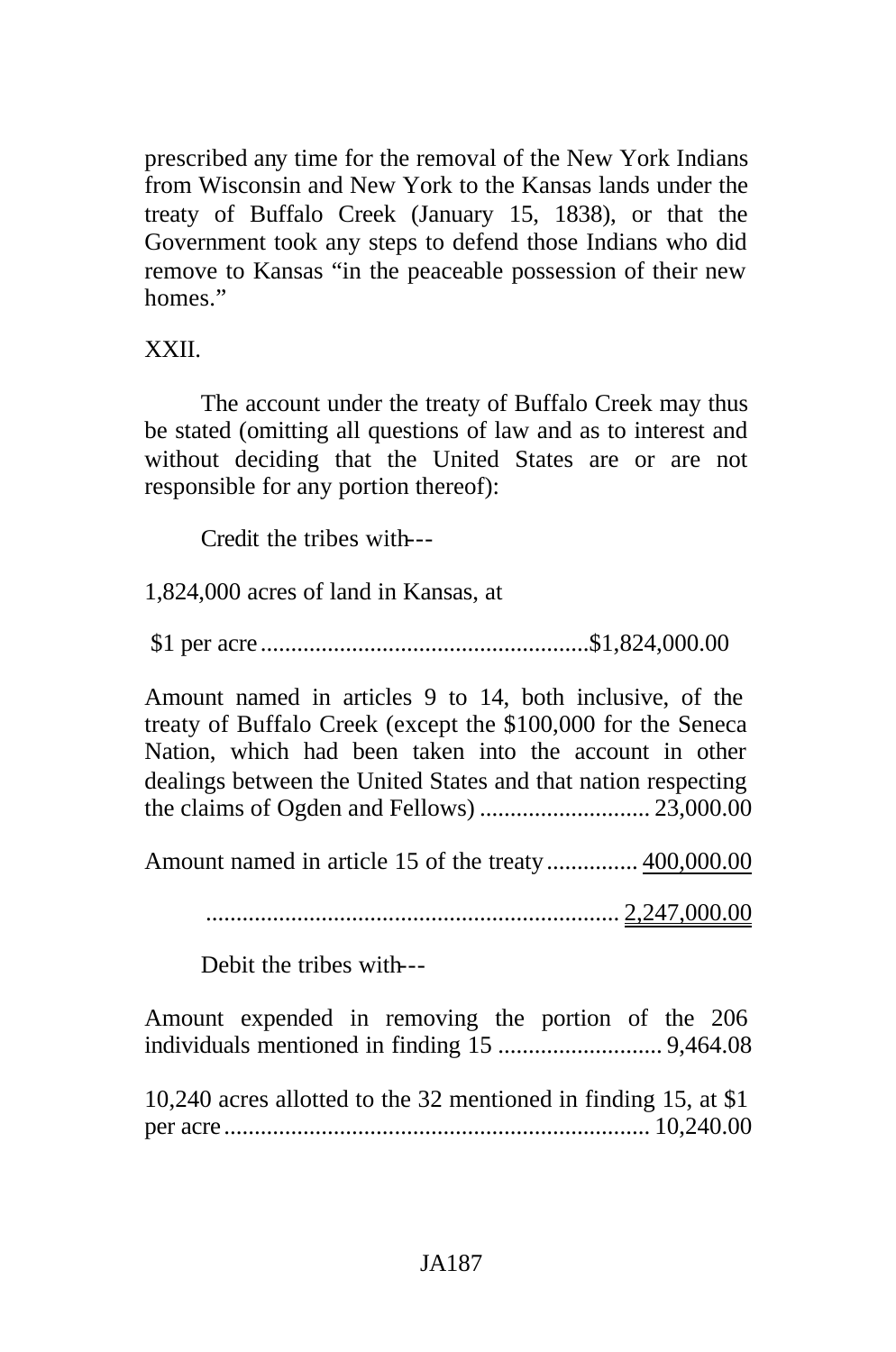prescribed any time for the removal of the New York Indians from Wisconsin and New York to the Kansas lands under the treaty of Buffalo Creek (January 15, 1838), or that the Government took any steps to defend those Indians who did remove to Kansas "in the peaceable possession of their new homes."

### XXII.

The account under the treaty of Buffalo Creek may thus be stated (omitting all questions of law and as to interest and without deciding that the United States are or are not responsible for any portion thereof):

Credit the tribes with---

1,824,000 acres of land in Kansas, at

\$1 per acre ......................................................\$1,824,000.00

Amount named in articles 9 to 14, both inclusive, of the treaty of Buffalo Creek (except the \$100,000 for the Seneca Nation, which had been taken into the account in other dealings between the United States and that nation respecting the claims of Ogden and Fellows) ............................ 23,000.00

Amount named in article 15 of the treaty............... 400,000.00

.................................................................... 2,247,000.00

Debit the tribes with---

Amount expended in removing the portion of the 206 individuals mentioned in finding 15 ........................... 9,464.08

10,240 acres allotted to the 32 mentioned in finding 15, at \$1 per acre ...................................................................... 10,240.00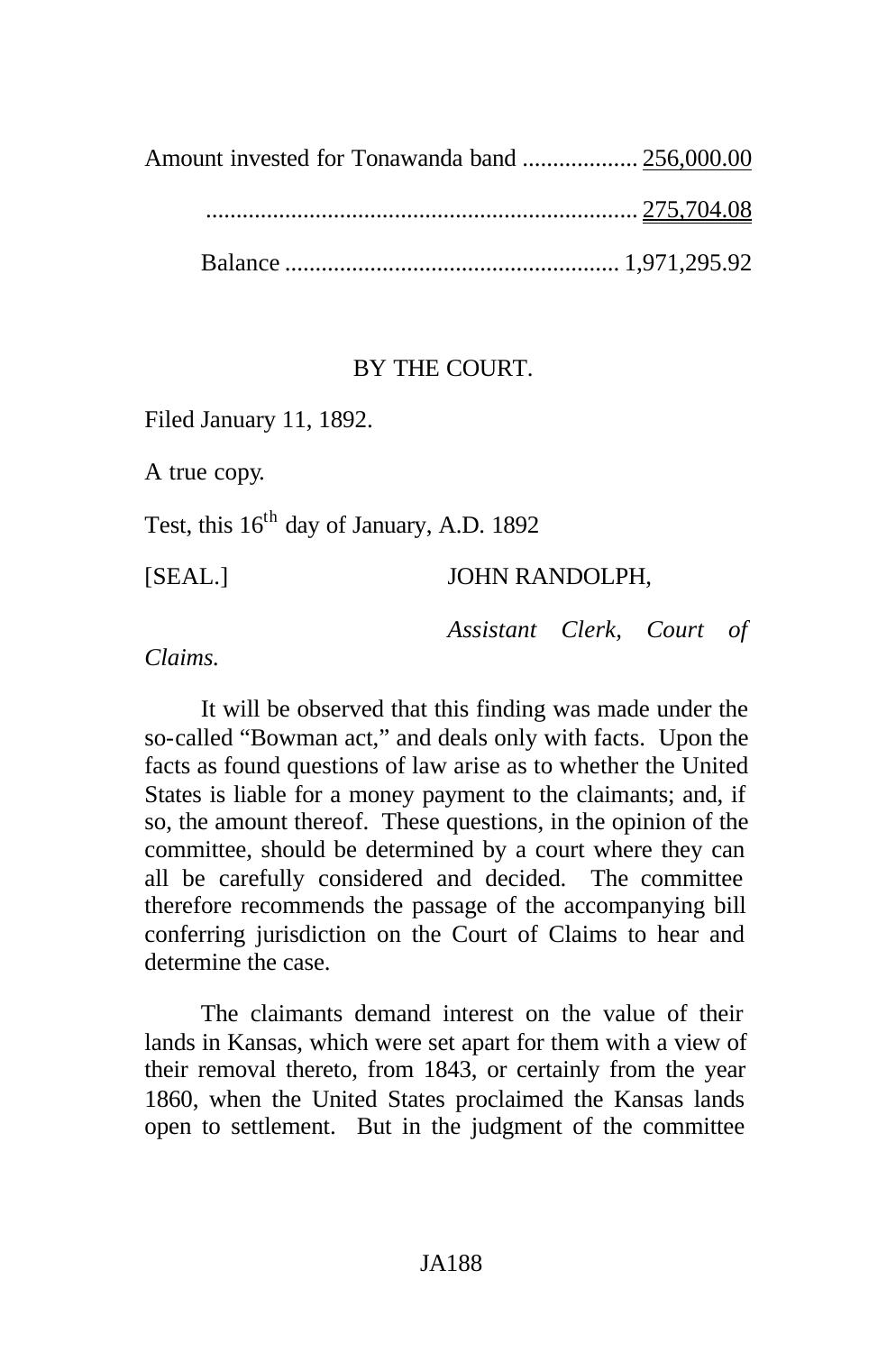....................................................................... 275,704.08

Balance ....................................................... 1,971,295.92

# BY THE COURT.

Filed January 11, 1892.

A true copy.

Test, this  $16<sup>th</sup>$  day of January, A.D. 1892

# [SEAL.] JOHN RANDOLPH,

*Assistant Clerk, Court of*

*Claims.*

It will be observed that this finding was made under the so-called "Bowman act," and deals only with facts. Upon the facts as found questions of law arise as to whether the United States is liable for a money payment to the claimants; and, if so, the amount thereof. These questions, in the opinion of the committee, should be determined by a court where they can all be carefully considered and decided. The committee therefore recommends the passage of the accompanying bill conferring jurisdiction on the Court of Claims to hear and determine the case.

The claimants demand interest on the value of their lands in Kansas, which were set apart for them with a view of their removal thereto, from 1843, or certainly from the year 1860, when the United States proclaimed the Kansas lands open to settlement. But in the judgment of the committee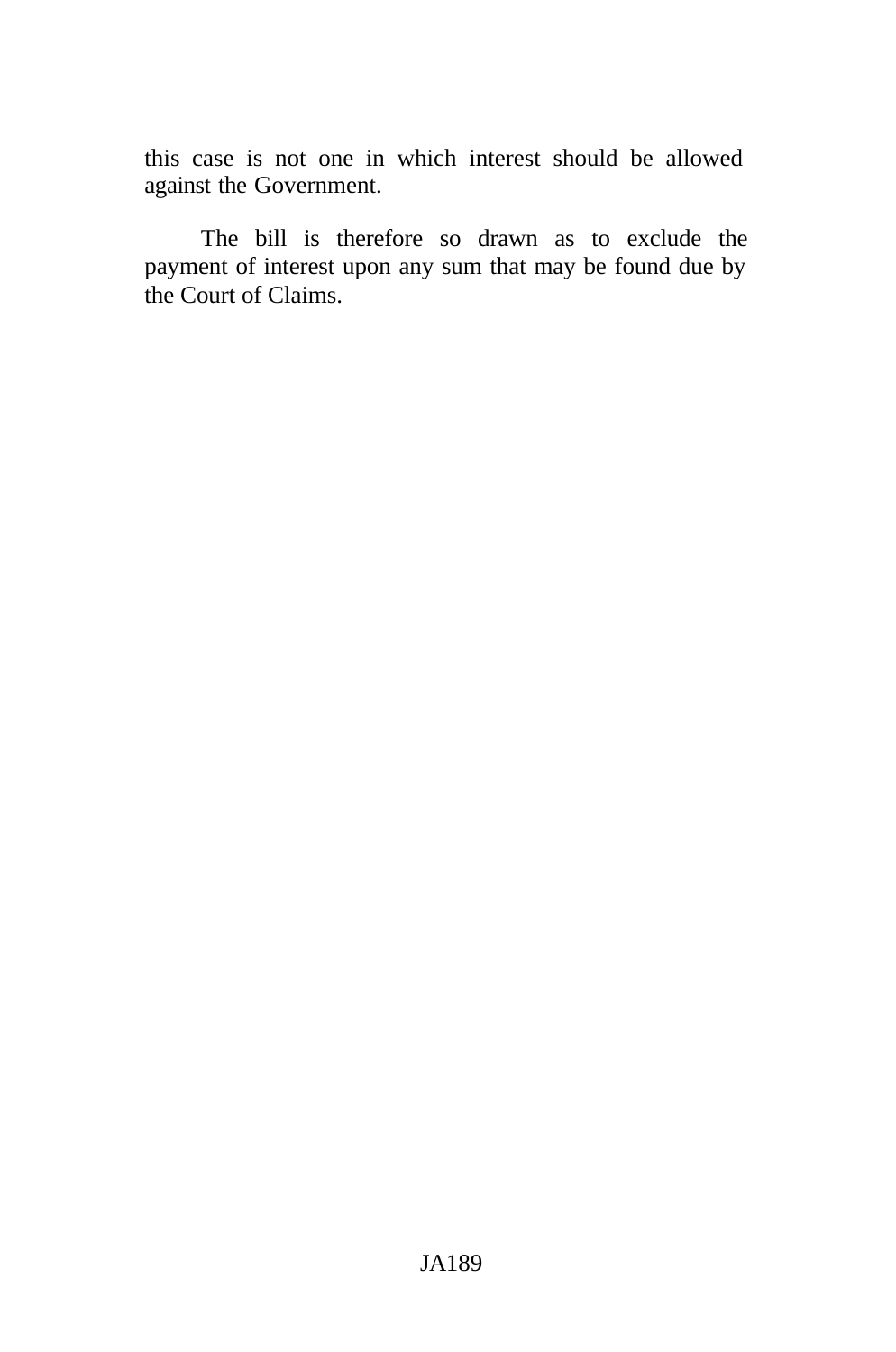this case is not one in which interest should be allowed against the Government.

The bill is therefore so drawn as to exclude the payment of interest upon any sum that may be found due by the Court of Claims.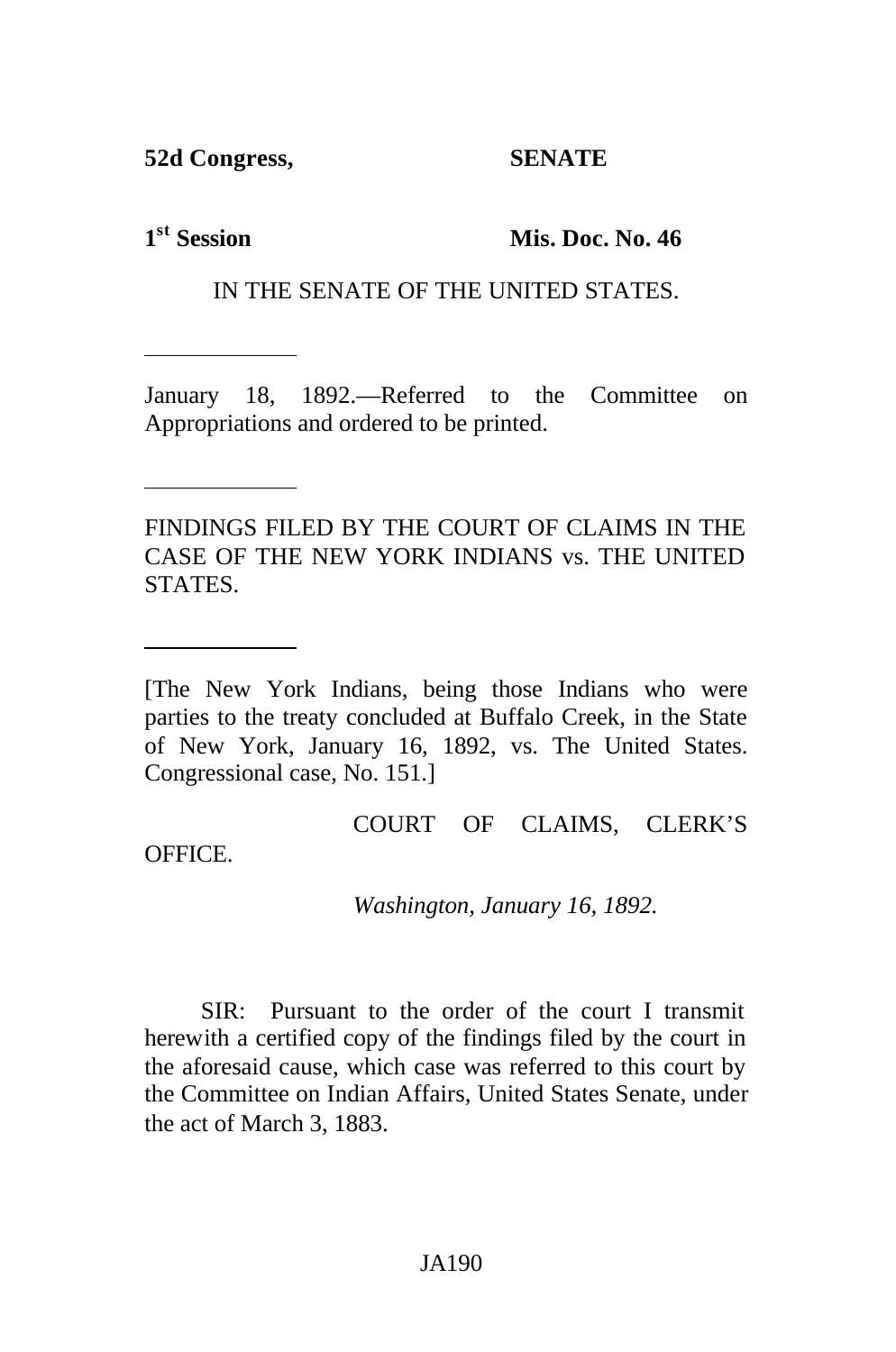**52d Congress, SENATE**

1<sup>st</sup> Session

**Mis. Doc. No. 46** 

IN THE SENATE OF THE UNITED STATES.

January 18, 1892.—Referred to the Committee on Appropriations and ordered to be printed.

FINDINGS FILED BY THE COURT OF CLAIMS IN THE CASE OF THE NEW YORK INDIANS vs. THE UNITED STATES.

[The New York Indians, being those Indians who were parties to the treaty concluded at Buffalo Creek, in the State of New York, January 16, 1892, vs. The United States. Congressional case, No. 151.]

## COURT OF CLAIMS, CLERK'S

OFFICE.

*Washington, January 16, 1892.*

SIR: Pursuant to the order of the court I transmit herewith a certified copy of the findings filed by the court in the aforesaid cause, which case was referred to this court by the Committee on Indian Affairs, United States Senate, under the act of March 3, 1883.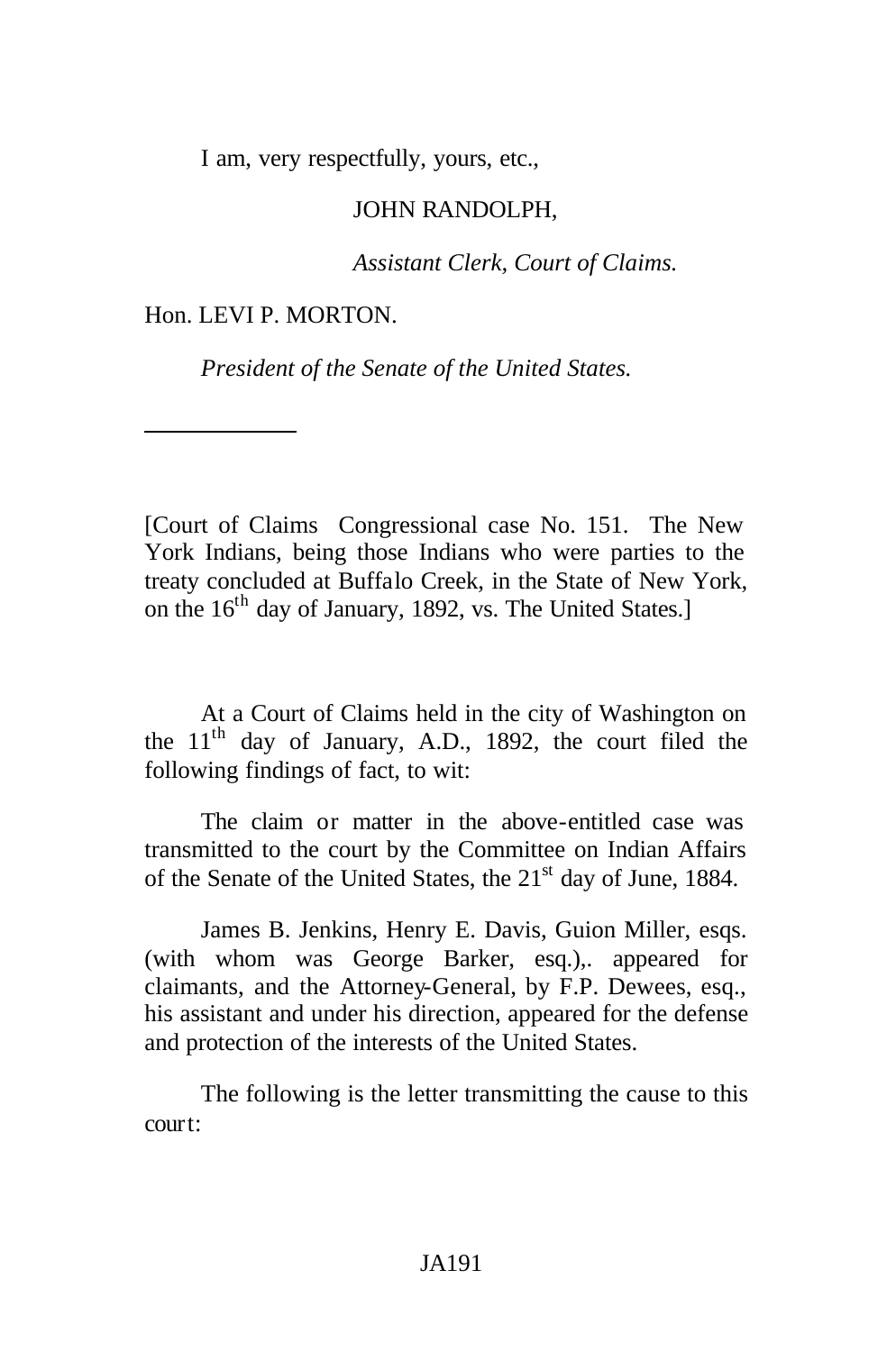I am, very respectfully, yours, etc.,

### JOHN RANDOLPH,

*Assistant Clerk, Court of Claims.*

#### Hon. LEVI P. MORTON.

*President of the Senate of the United States.*

[Court of Claims Congressional case No. 151. The New York Indians, being those Indians who were parties to the treaty concluded at Buffalo Creek, in the State of New York, on the 16<sup>th</sup> day of January, 1892, vs. The United States.]

At a Court of Claims held in the city of Washington on the 11<sup>th</sup> day of January, A.D., 1892, the court filed the following findings of fact, to wit:

The claim or matter in the above-entitled case was transmitted to the court by the Committee on Indian Affairs of the Senate of the United States, the 21<sup>st</sup> day of June, 1884.

James B. Jenkins, Henry E. Davis, Guion Miller, esqs. (with whom was George Barker, esq.),. appeared for claimants, and the Attorney-General, by F.P. Dewees, esq., his assistant and under his direction, appeared for the defense and protection of the interests of the United States.

The following is the letter transmitting the cause to this court: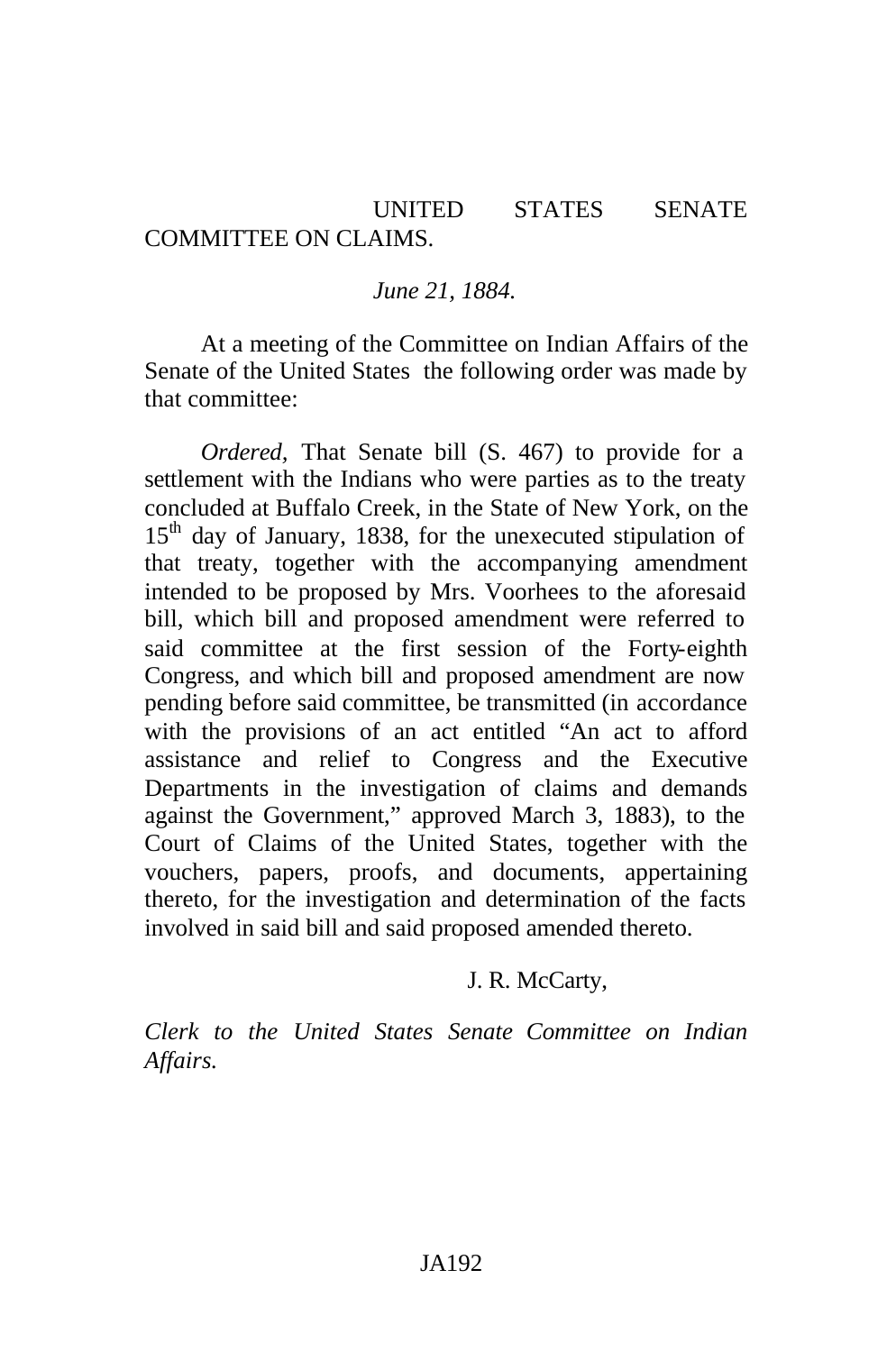## UNITED STATES SENATE COMMITTEE ON CLAIMS.

#### *June 21, 1884.*

At a meeting of the Committee on Indian Affairs of the Senate of the United States the following order was made by that committee:

*Ordered,* That Senate bill (S. 467) to provide for a settlement with the Indians who were parties as to the treaty concluded at Buffalo Creek, in the State of New York, on the  $15<sup>th</sup>$  day of January, 1838, for the unexecuted stipulation of that treaty, together with the accompanying amendment intended to be proposed by Mrs. Voorhees to the aforesaid bill, which bill and proposed amendment were referred to said committee at the first session of the Forty-eighth Congress, and which bill and proposed amendment are now pending before said committee, be transmitted (in accordance with the provisions of an act entitled "An act to afford assistance and relief to Congress and the Executive Departments in the investigation of claims and demands against the Government," approved March 3, 1883), to the Court of Claims of the United States, together with the vouchers, papers, proofs, and documents, appertaining thereto, for the investigation and determination of the facts involved in said bill and said proposed amended thereto.

#### J. R. McCarty,

*Clerk to the United States Senate Committee on Indian Affairs.*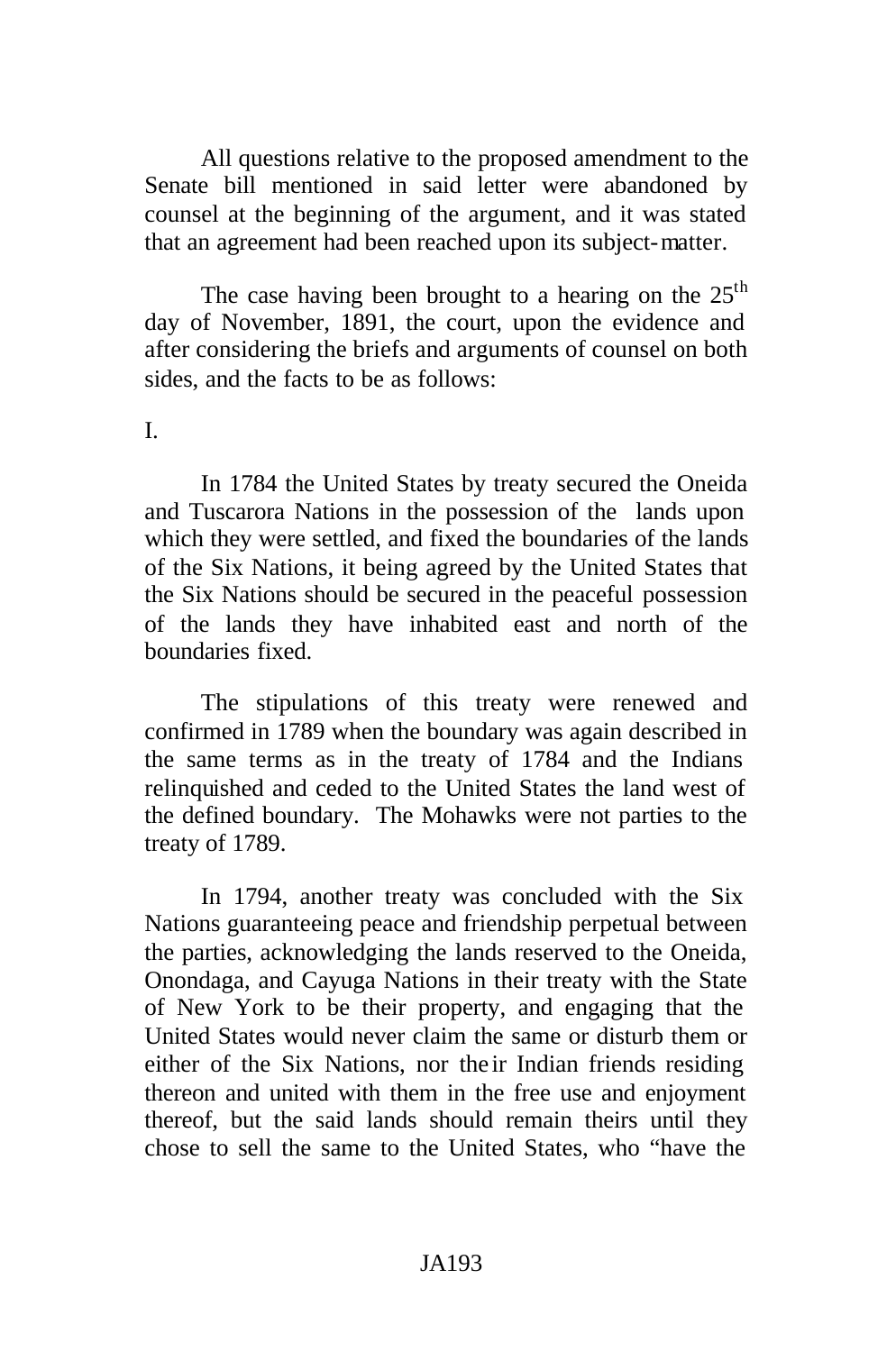All questions relative to the proposed amendment to the Senate bill mentioned in said letter were abandoned by counsel at the beginning of the argument, and it was stated that an agreement had been reached upon its subject-matter.

The case having been brought to a hearing on the  $25<sup>th</sup>$ day of November, 1891, the court, upon the evidence and after considering the briefs and arguments of counsel on both sides, and the facts to be as follows:

#### I.

In 1784 the United States by treaty secured the Oneida and Tuscarora Nations in the possession of the lands upon which they were settled, and fixed the boundaries of the lands of the Six Nations, it being agreed by the United States that the Six Nations should be secured in the peaceful possession of the lands they have inhabited east and north of the boundaries fixed.

The stipulations of this treaty were renewed and confirmed in 1789 when the boundary was again described in the same terms as in the treaty of 1784 and the Indians relinquished and ceded to the United States the land west of the defined boundary. The Mohawks were not parties to the treaty of 1789.

In 1794, another treaty was concluded with the Six Nations guaranteeing peace and friendship perpetual between the parties, acknowledging the lands reserved to the Oneida, Onondaga, and Cayuga Nations in their treaty with the State of New York to be their property, and engaging that the United States would never claim the same or disturb them or either of the Six Nations, nor the ir Indian friends residing thereon and united with them in the free use and enjoyment thereof, but the said lands should remain theirs until they chose to sell the same to the United States, who "have the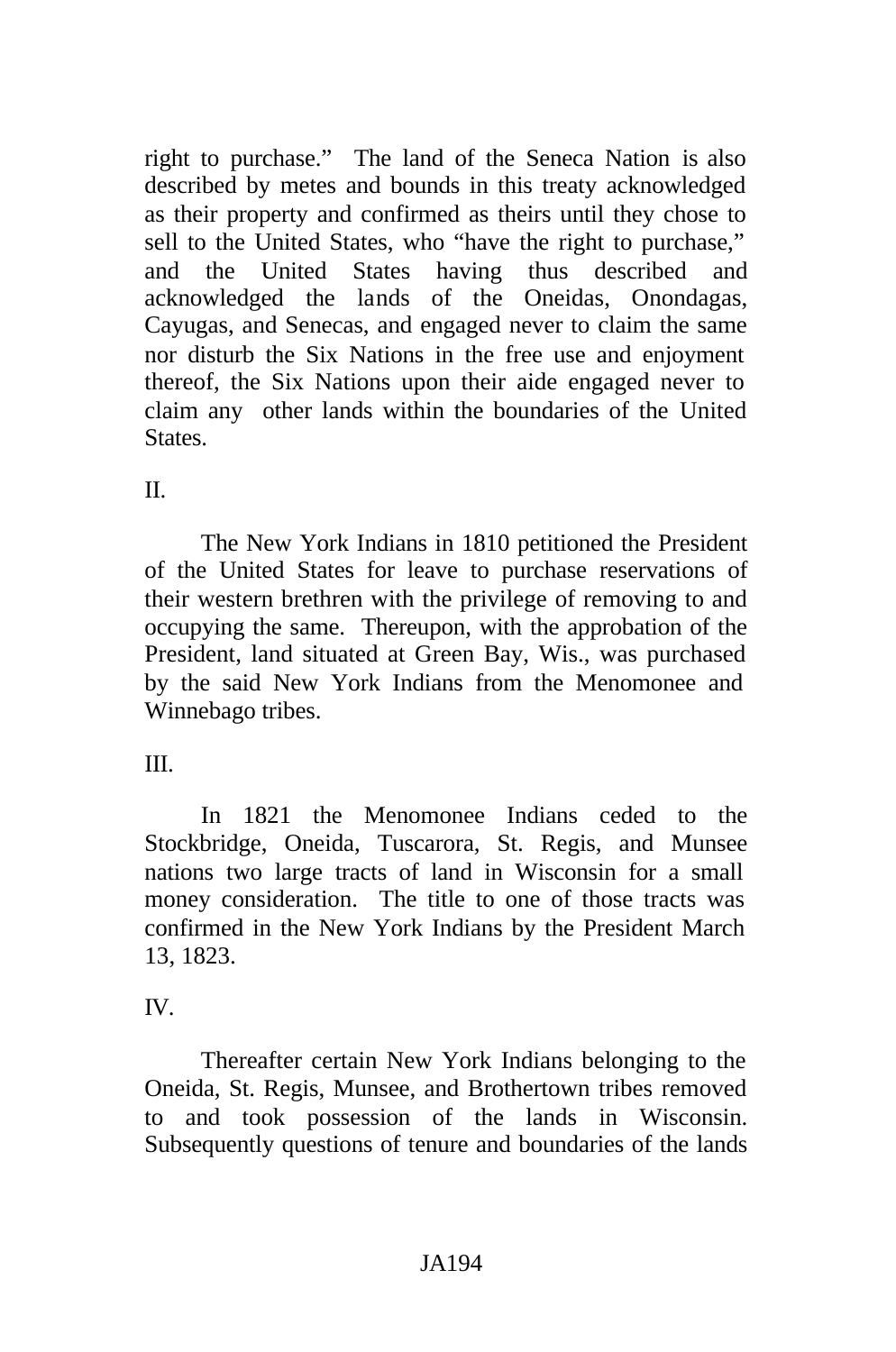right to purchase." The land of the Seneca Nation is also described by metes and bounds in this treaty acknowledged as their property and confirmed as theirs until they chose to sell to the United States, who "have the right to purchase," and the United States having thus described and acknowledged the lands of the Oneidas, Onondagas, Cayugas, and Senecas, and engaged never to claim the same nor disturb the Six Nations in the free use and enjoyment thereof, the Six Nations upon their aide engaged never to claim any other lands within the boundaries of the United **States** 

# $II$ .

The New York Indians in 1810 petitioned the President of the United States for leave to purchase reservations of their western brethren with the privilege of removing to and occupying the same. Thereupon, with the approbation of the President, land situated at Green Bay, Wis., was purchased by the said New York Indians from the Menomonee and Winnebago tribes.

# III.

In 1821 the Menomonee Indians ceded to the Stockbridge, Oneida, Tuscarora, St. Regis, and Munsee nations two large tracts of land in Wisconsin for a small money consideration. The title to one of those tracts was confirmed in the New York Indians by the President March 13, 1823.

# IV.

Thereafter certain New York Indians belonging to the Oneida, St. Regis, Munsee, and Brothertown tribes removed to and took possession of the lands in Wisconsin. Subsequently questions of tenure and boundaries of the lands

# JA194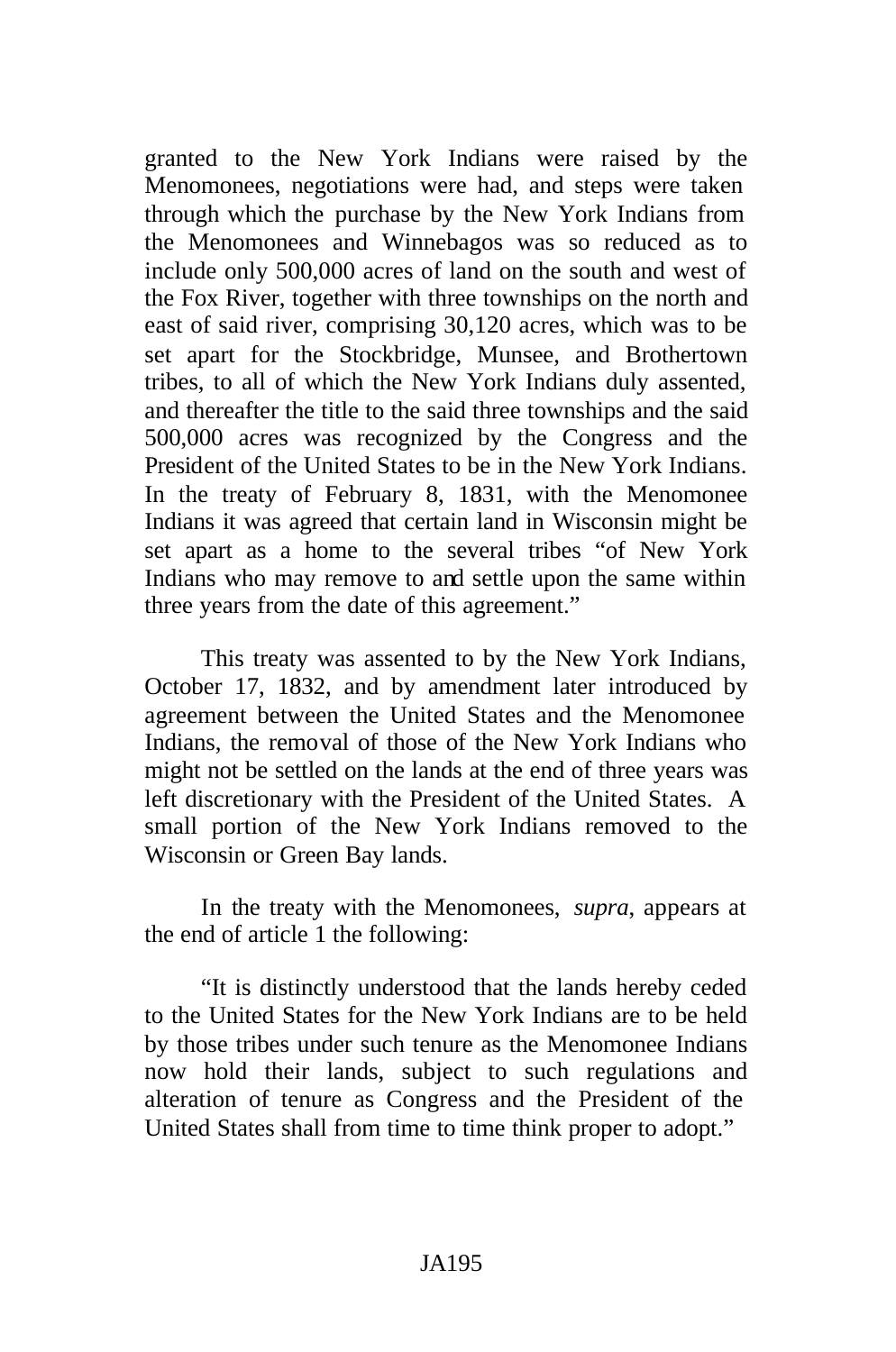granted to the New York Indians were raised by the Menomonees, negotiations were had, and steps were taken through which the purchase by the New York Indians from the Menomonees and Winnebagos was so reduced as to include only 500,000 acres of land on the south and west of the Fox River, together with three townships on the north and east of said river, comprising 30,120 acres, which was to be set apart for the Stockbridge, Munsee, and Brothertown tribes, to all of which the New York Indians duly assented, and thereafter the title to the said three townships and the said 500,000 acres was recognized by the Congress and the President of the United States to be in the New York Indians. In the treaty of February 8, 1831, with the Menomonee Indians it was agreed that certain land in Wisconsin might be set apart as a home to the several tribes "of New York Indians who may remove to and settle upon the same within three years from the date of this agreement."

This treaty was assented to by the New York Indians, October 17, 1832, and by amendment later introduced by agreement between the United States and the Menomonee Indians, the removal of those of the New York Indians who might not be settled on the lands at the end of three years was left discretionary with the President of the United States. A small portion of the New York Indians removed to the Wisconsin or Green Bay lands.

In the treaty with the Menomonees, *supra*, appears at the end of article 1 the following:

"It is distinctly understood that the lands hereby ceded to the United States for the New York Indians are to be held by those tribes under such tenure as the Menomonee Indians now hold their lands, subject to such regulations and alteration of tenure as Congress and the President of the United States shall from time to time think proper to adopt."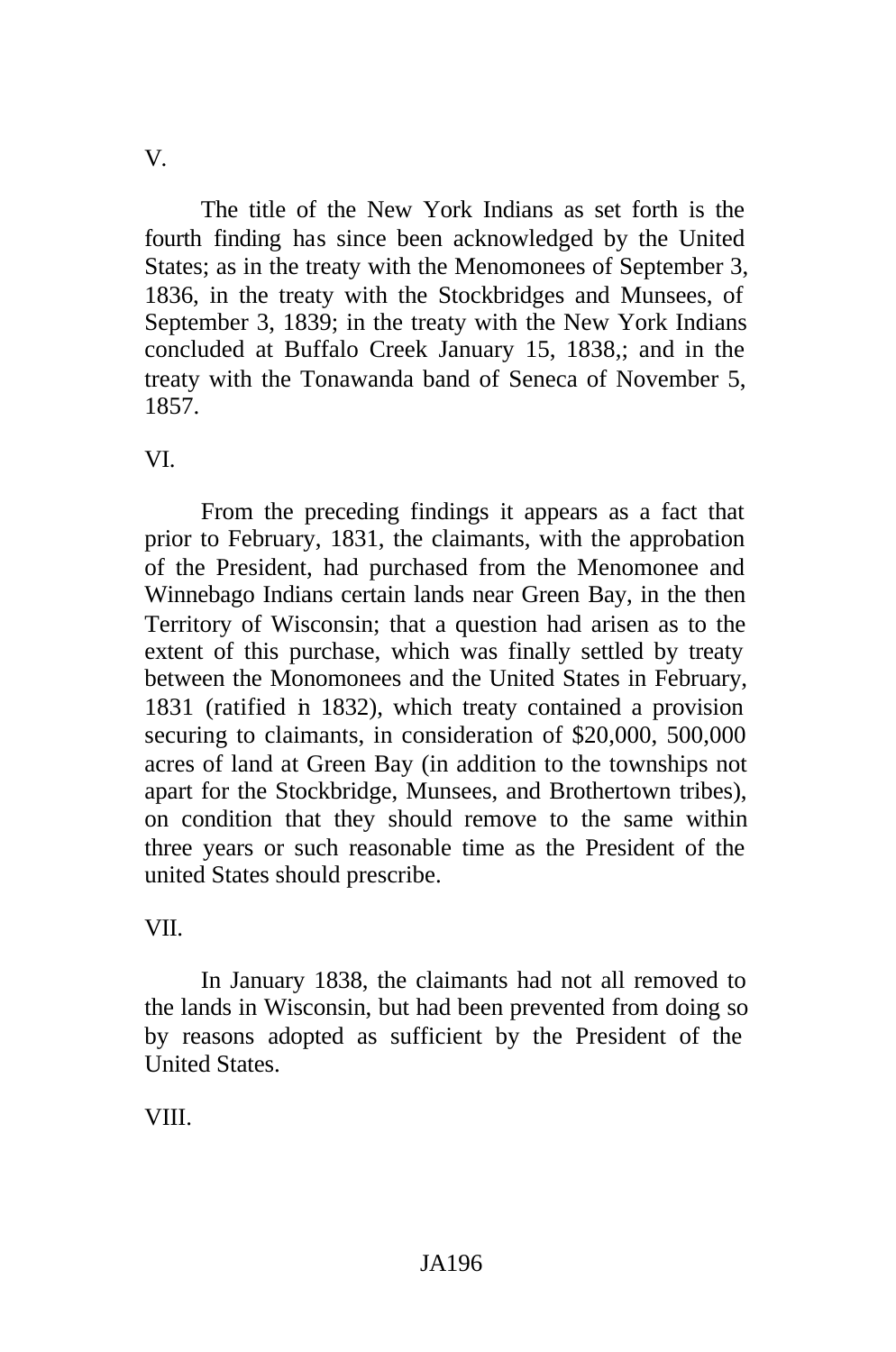V.

The title of the New York Indians as set forth is the fourth finding has since been acknowledged by the United States; as in the treaty with the Menomonees of September 3, 1836, in the treaty with the Stockbridges and Munsees, of September 3, 1839; in the treaty with the New York Indians concluded at Buffalo Creek January 15, 1838,; and in the treaty with the Tonawanda band of Seneca of November 5, 1857.

VI.

From the preceding findings it appears as a fact that prior to February, 1831, the claimants, with the approbation of the President, had purchased from the Menomonee and Winnebago Indians certain lands near Green Bay, in the then Territory of Wisconsin; that a question had arisen as to the extent of this purchase, which was finally settled by treaty between the Monomonees and the United States in February, 1831 (ratified in 1832), which treaty contained a provision securing to claimants, in consideration of \$20,000, 500,000 acres of land at Green Bay (in addition to the townships not apart for the Stockbridge, Munsees, and Brothertown tribes), on condition that they should remove to the same within three years or such reasonable time as the President of the united States should prescribe.

VII.

In January 1838, the claimants had not all removed to the lands in Wisconsin, but had been prevented from doing so by reasons adopted as sufficient by the President of the United States.

VIII.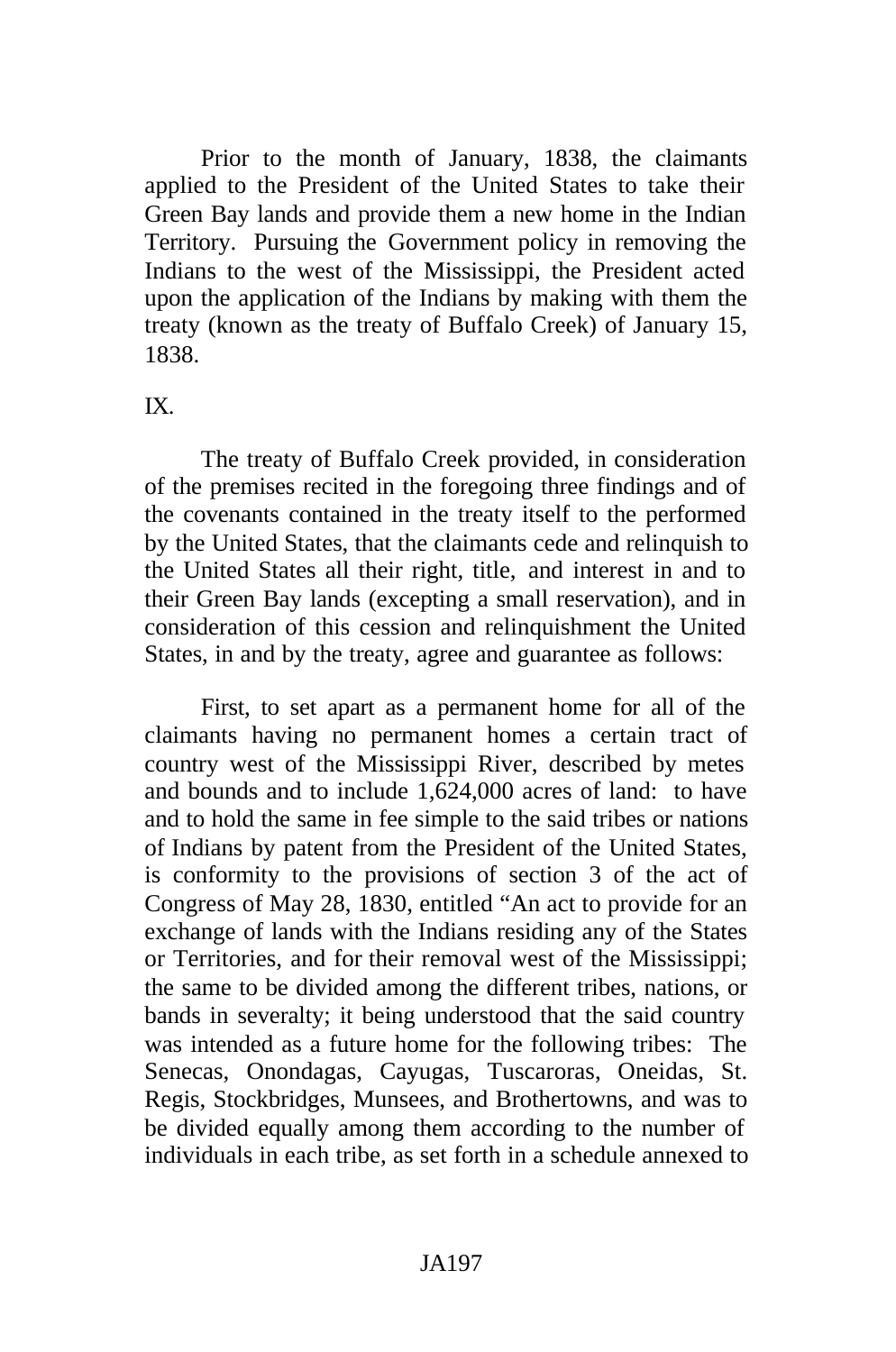Prior to the month of January, 1838, the claimants applied to the President of the United States to take their Green Bay lands and provide them a new home in the Indian Territory. Pursuing the Government policy in removing the Indians to the west of the Mississippi, the President acted upon the application of the Indians by making with them the treaty (known as the treaty of Buffalo Creek) of January 15, 1838.

### IX.

The treaty of Buffalo Creek provided, in consideration of the premises recited in the foregoing three findings and of the covenants contained in the treaty itself to the performed by the United States, that the claimants cede and relinquish to the United States all their right, title, and interest in and to their Green Bay lands (excepting a small reservation), and in consideration of this cession and relinquishment the United States, in and by the treaty, agree and guarantee as follows:

First, to set apart as a permanent home for all of the claimants having no permanent homes a certain tract of country west of the Mississippi River, described by metes and bounds and to include 1,624,000 acres of land: to have and to hold the same in fee simple to the said tribes or nations of Indians by patent from the President of the United States, is conformity to the provisions of section 3 of the act of Congress of May 28, 1830, entitled "An act to provide for an exchange of lands with the Indians residing any of the States or Territories, and for their removal west of the Mississippi; the same to be divided among the different tribes, nations, or bands in severalty; it being understood that the said country was intended as a future home for the following tribes: The Senecas, Onondagas, Cayugas, Tuscaroras, Oneidas, St. Regis, Stockbridges, Munsees, and Brothertowns, and was to be divided equally among them according to the number of individuals in each tribe, as set forth in a schedule annexed to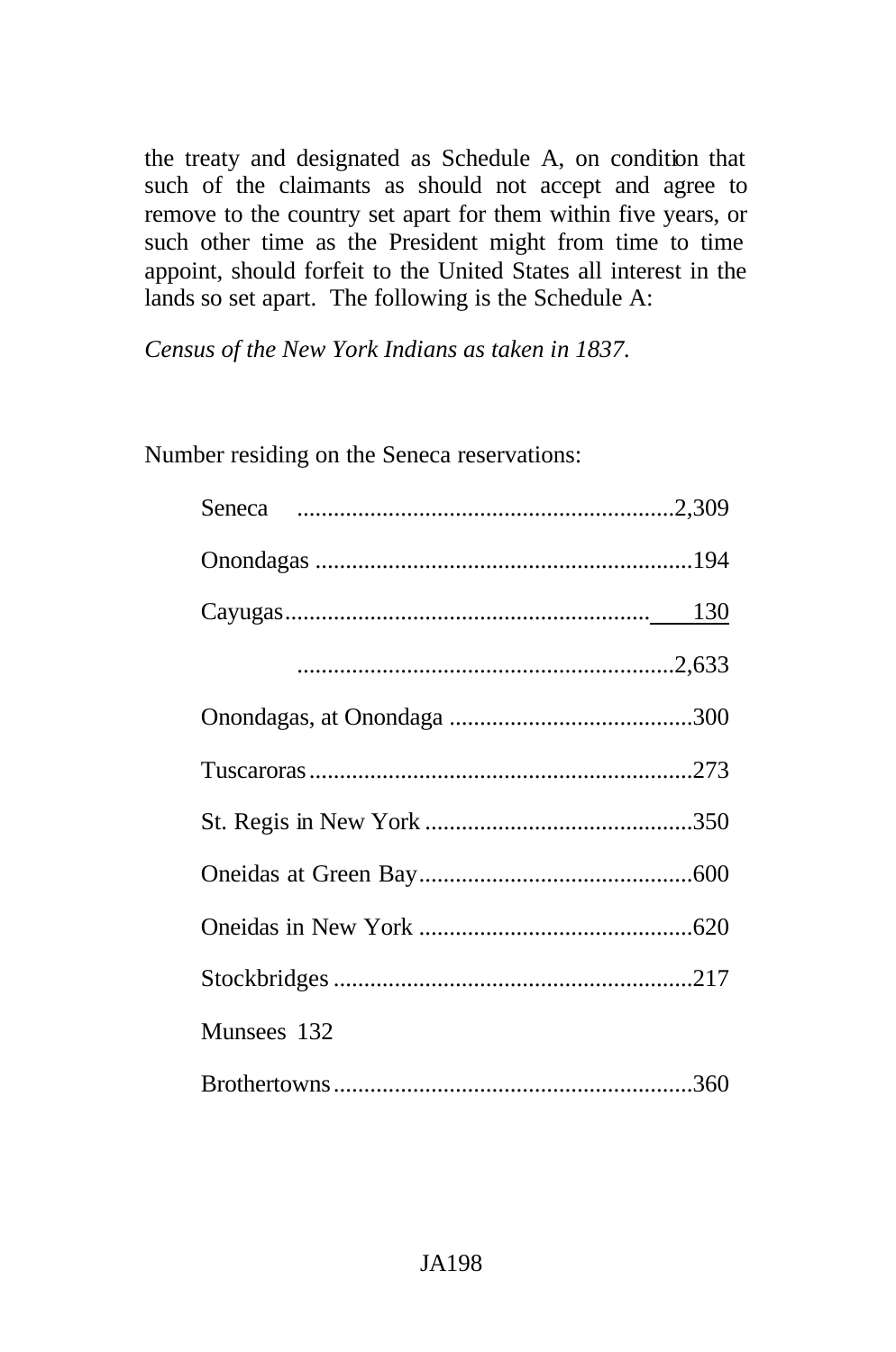the treaty and designated as Schedule A, on condition that such of the claimants as should not accept and agree to remove to the country set apart for them within five years, or such other time as the President might from time to time appoint, should forfeit to the United States all interest in the lands so set apart. The following is the Schedule A:

*Census of the New York Indians as taken in 1837.*

Number residing on the Seneca reservations:

| Munsees 132 |
|-------------|
|             |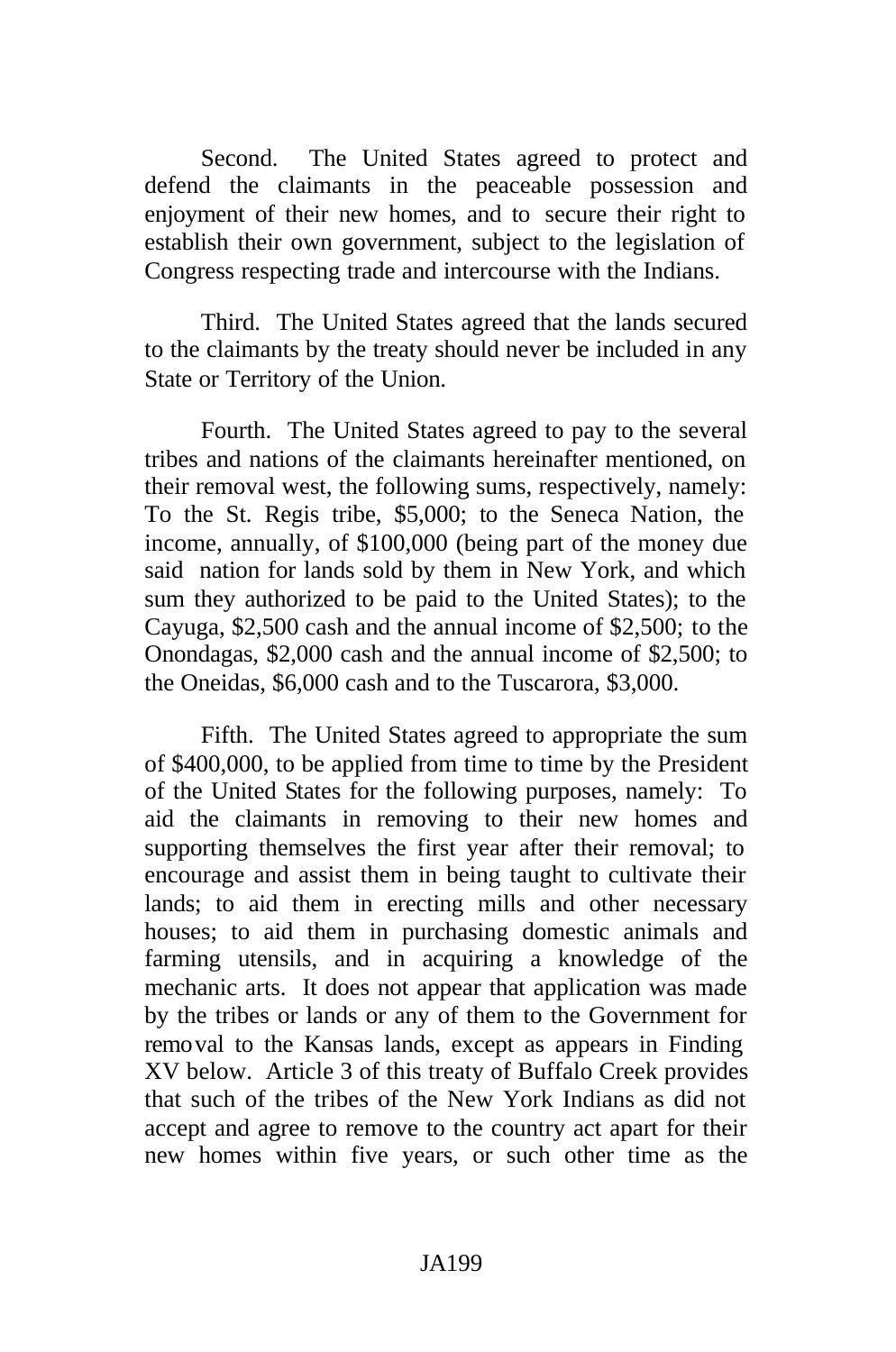Second. The United States agreed to protect and defend the claimants in the peaceable possession and enjoyment of their new homes, and to secure their right to establish their own government, subject to the legislation of Congress respecting trade and intercourse with the Indians.

Third. The United States agreed that the lands secured to the claimants by the treaty should never be included in any State or Territory of the Union.

Fourth. The United States agreed to pay to the several tribes and nations of the claimants hereinafter mentioned, on their removal west, the following sums, respectively, namely: To the St. Regis tribe, \$5,000; to the Seneca Nation, the income, annually, of \$100,000 (being part of the money due said nation for lands sold by them in New York, and which sum they authorized to be paid to the United States); to the Cayuga, \$2,500 cash and the annual income of \$2,500; to the Onondagas, \$2,000 cash and the annual income of \$2,500; to the Oneidas, \$6,000 cash and to the Tuscarora, \$3,000.

Fifth. The United States agreed to appropriate the sum of \$400,000, to be applied from time to time by the President of the United States for the following purposes, namely: To aid the claimants in removing to their new homes and supporting themselves the first year after their removal; to encourage and assist them in being taught to cultivate their lands; to aid them in erecting mills and other necessary houses; to aid them in purchasing domestic animals and farming utensils, and in acquiring a knowledge of the mechanic arts. It does not appear that application was made by the tribes or lands or any of them to the Government for removal to the Kansas lands, except as appears in Finding XV below. Article 3 of this treaty of Buffalo Creek provides that such of the tribes of the New York Indians as did not accept and agree to remove to the country act apart for their new homes within five years, or such other time as the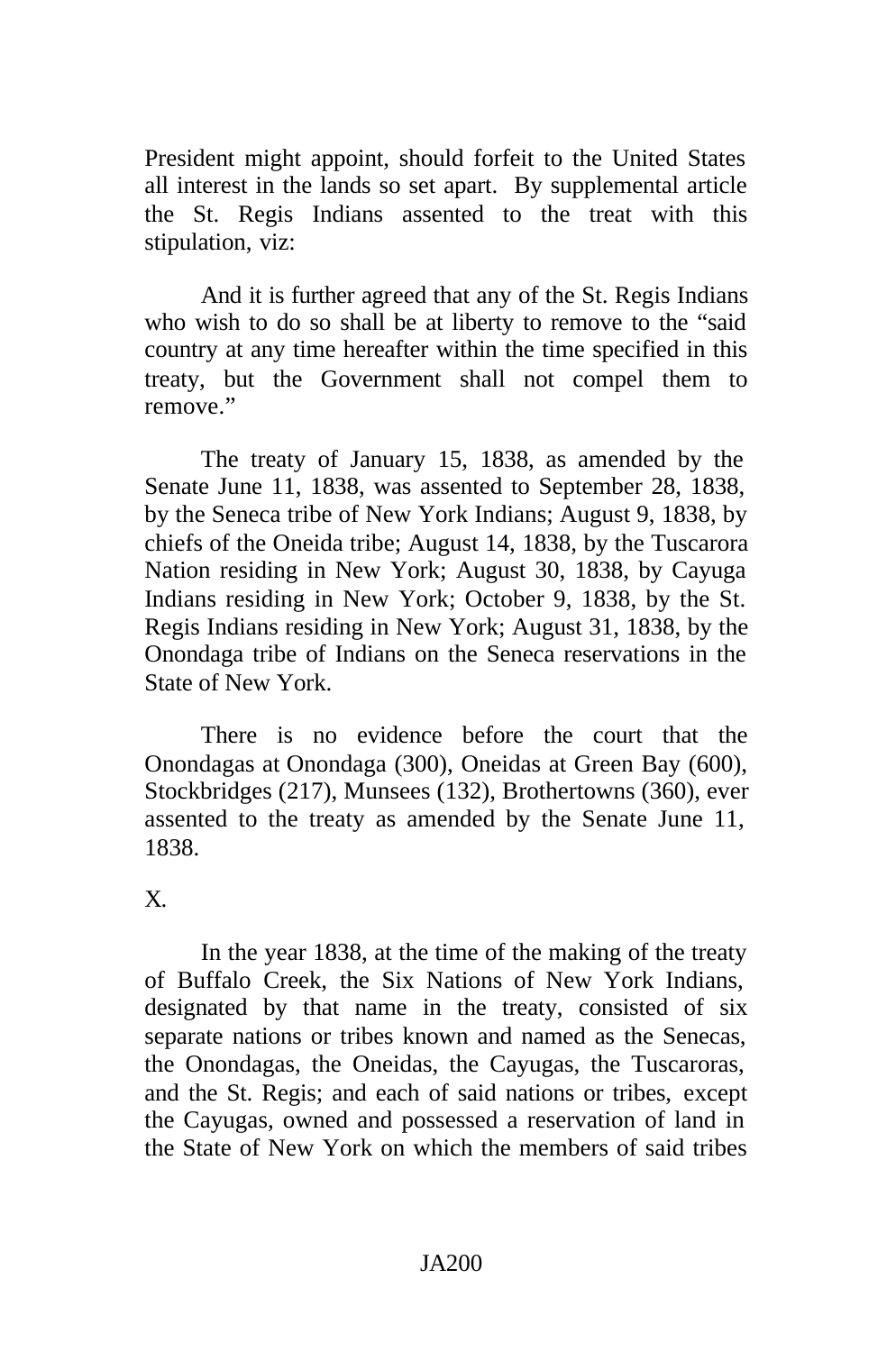President might appoint, should forfeit to the United States all interest in the lands so set apart. By supplemental article the St. Regis Indians assented to the treat with this stipulation, viz:

And it is further agreed that any of the St. Regis Indians who wish to do so shall be at liberty to remove to the "said country at any time hereafter within the time specified in this treaty, but the Government shall not compel them to remove."

The treaty of January 15, 1838, as amended by the Senate June 11, 1838, was assented to September 28, 1838, by the Seneca tribe of New York Indians; August 9, 1838, by chiefs of the Oneida tribe; August 14, 1838, by the Tuscarora Nation residing in New York; August 30, 1838, by Cayuga Indians residing in New York; October 9, 1838, by the St. Regis Indians residing in New York; August 31, 1838, by the Onondaga tribe of Indians on the Seneca reservations in the State of New York.

There is no evidence before the court that the Onondagas at Onondaga (300), Oneidas at Green Bay (600), Stockbridges (217), Munsees (132), Brothertowns (360), ever assented to the treaty as amended by the Senate June 11, 1838.

# X.

In the year 1838, at the time of the making of the treaty of Buffalo Creek, the Six Nations of New York Indians, designated by that name in the treaty, consisted of six separate nations or tribes known and named as the Senecas, the Onondagas, the Oneidas, the Cayugas, the Tuscaroras, and the St. Regis; and each of said nations or tribes, except the Cayugas, owned and possessed a reservation of land in the State of New York on which the members of said tribes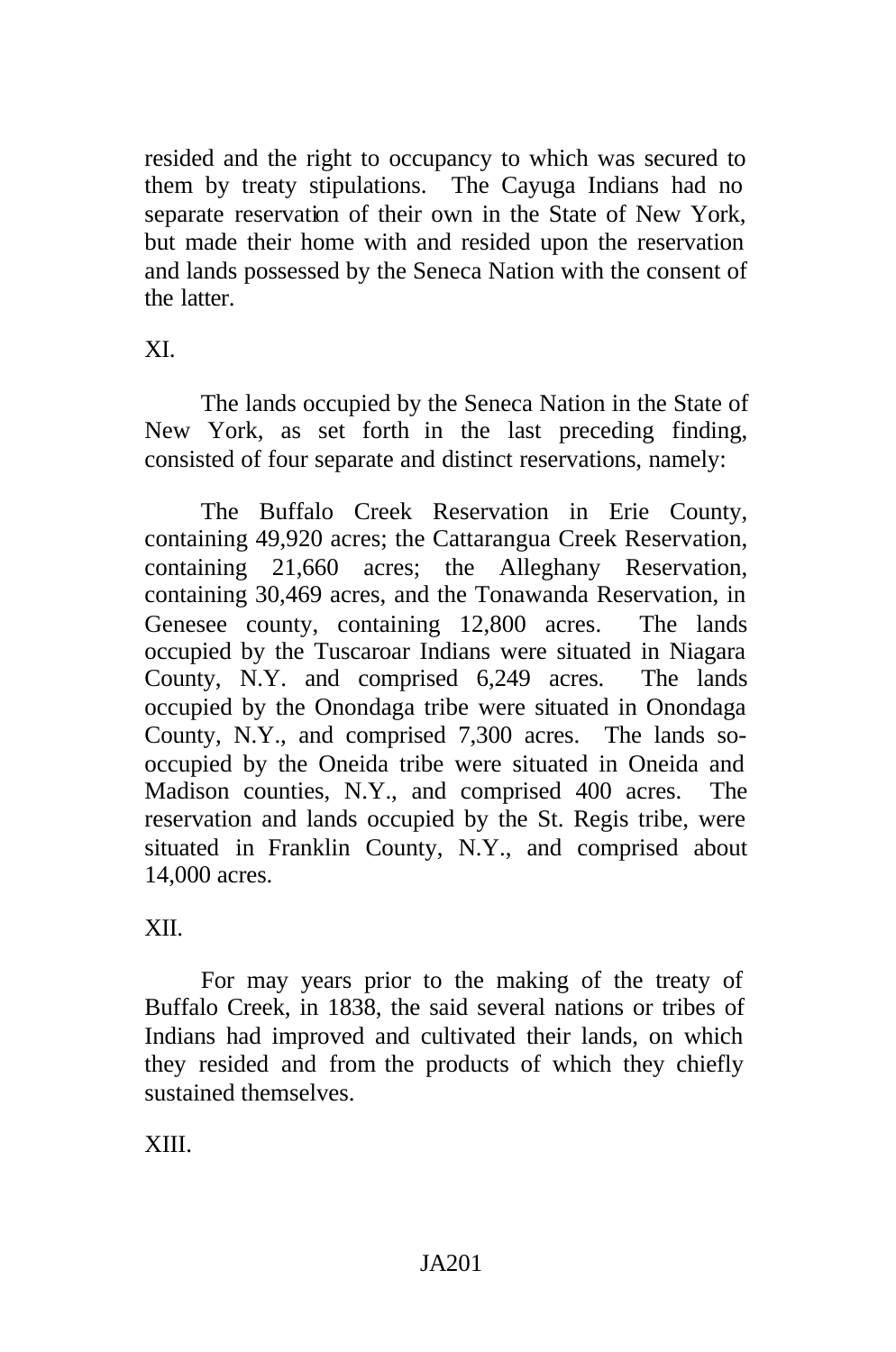resided and the right to occupancy to which was secured to them by treaty stipulations. The Cayuga Indians had no separate reservation of their own in the State of New York, but made their home with and resided upon the reservation and lands possessed by the Seneca Nation with the consent of the latter.

# XI.

The lands occupied by the Seneca Nation in the State of New York, as set forth in the last preceding finding, consisted of four separate and distinct reservations, namely:

The Buffalo Creek Reservation in Erie County, containing 49,920 acres; the Cattarangua Creek Reservation, containing 21,660 acres; the Alleghany Reservation, containing 30,469 acres, and the Tonawanda Reservation, in Genesee county, containing 12,800 acres. The lands occupied by the Tuscaroar Indians were situated in Niagara County, N.Y. and comprised 6,249 acres. The lands occupied by the Onondaga tribe were situated in Onondaga County, N.Y., and comprised 7,300 acres. The lands sooccupied by the Oneida tribe were situated in Oneida and Madison counties, N.Y., and comprised 400 acres. The reservation and lands occupied by the St. Regis tribe, were situated in Franklin County, N.Y., and comprised about 14,000 acres.

# XII.

For may years prior to the making of the treaty of Buffalo Creek, in 1838, the said several nations or tribes of Indians had improved and cultivated their lands, on which they resided and from the products of which they chiefly sustained themselves.

XIII.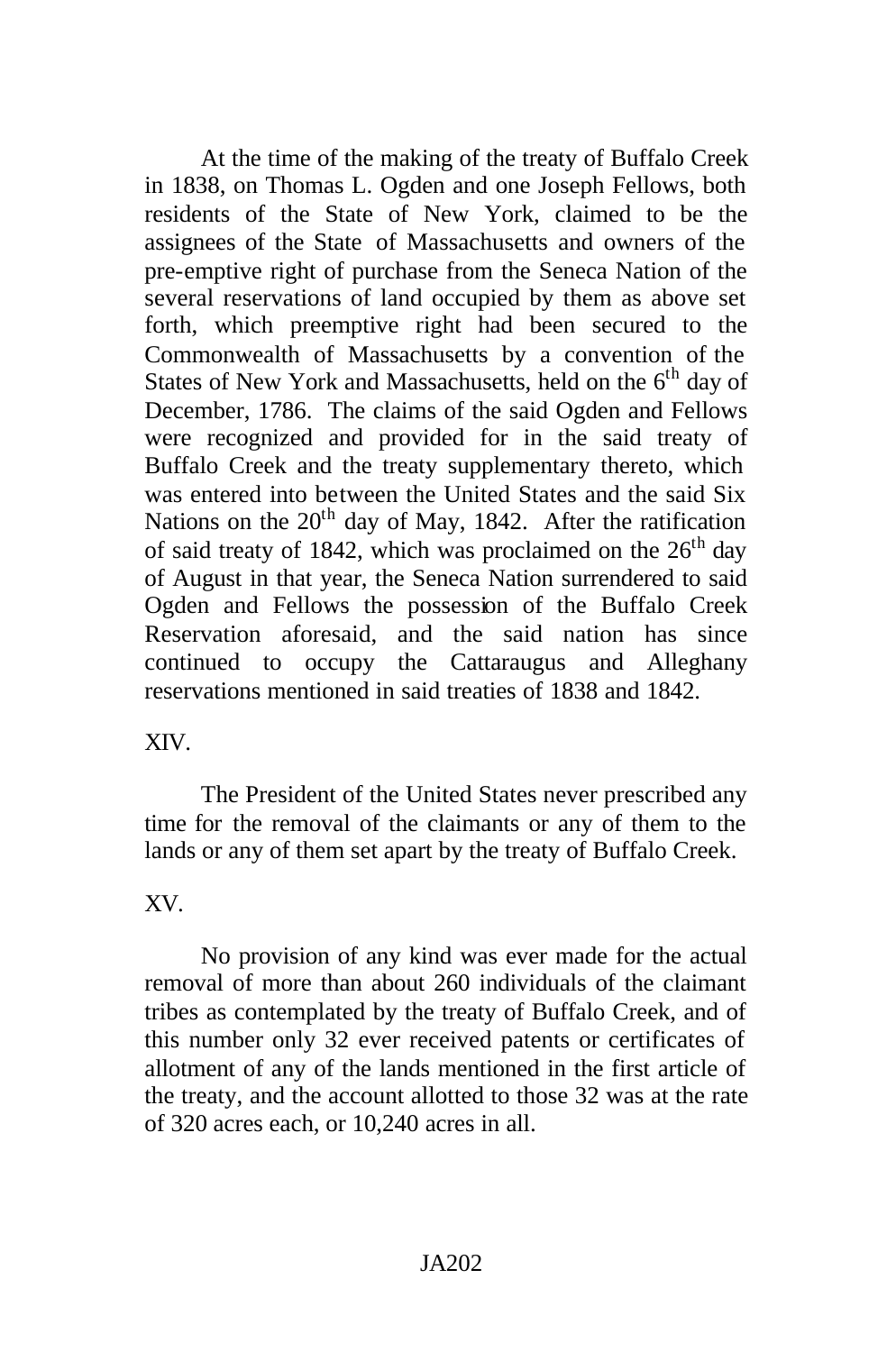At the time of the making of the treaty of Buffalo Creek in 1838, on Thomas L. Ogden and one Joseph Fellows, both residents of the State of New York, claimed to be the assignees of the State of Massachusetts and owners of the pre-emptive right of purchase from the Seneca Nation of the several reservations of land occupied by them as above set forth, which preemptive right had been secured to the Commonwealth of Massachusetts by a convention of the States of New York and Massachusetts, held on the  $6<sup>th</sup>$  day of December, 1786. The claims of the said Ogden and Fellows were recognized and provided for in the said treaty of Buffalo Creek and the treaty supplementary thereto, which was entered into between the United States and the said Six Nations on the  $20<sup>th</sup>$  day of May, 1842. After the ratification of said treaty of 1842, which was proclaimed on the  $26<sup>th</sup>$  day of August in that year, the Seneca Nation surrendered to said Ogden and Fellows the possession of the Buffalo Creek Reservation aforesaid, and the said nation has since continued to occupy the Cattaraugus and Alleghany reservations mentioned in said treaties of 1838 and 1842.

XIV.

The President of the United States never prescribed any time for the removal of the claimants or any of them to the lands or any of them set apart by the treaty of Buffalo Creek.

# XV.

No provision of any kind was ever made for the actual removal of more than about 260 individuals of the claimant tribes as contemplated by the treaty of Buffalo Creek, and of this number only 32 ever received patents or certificates of allotment of any of the lands mentioned in the first article of the treaty, and the account allotted to those 32 was at the rate of 320 acres each, or 10,240 acres in all.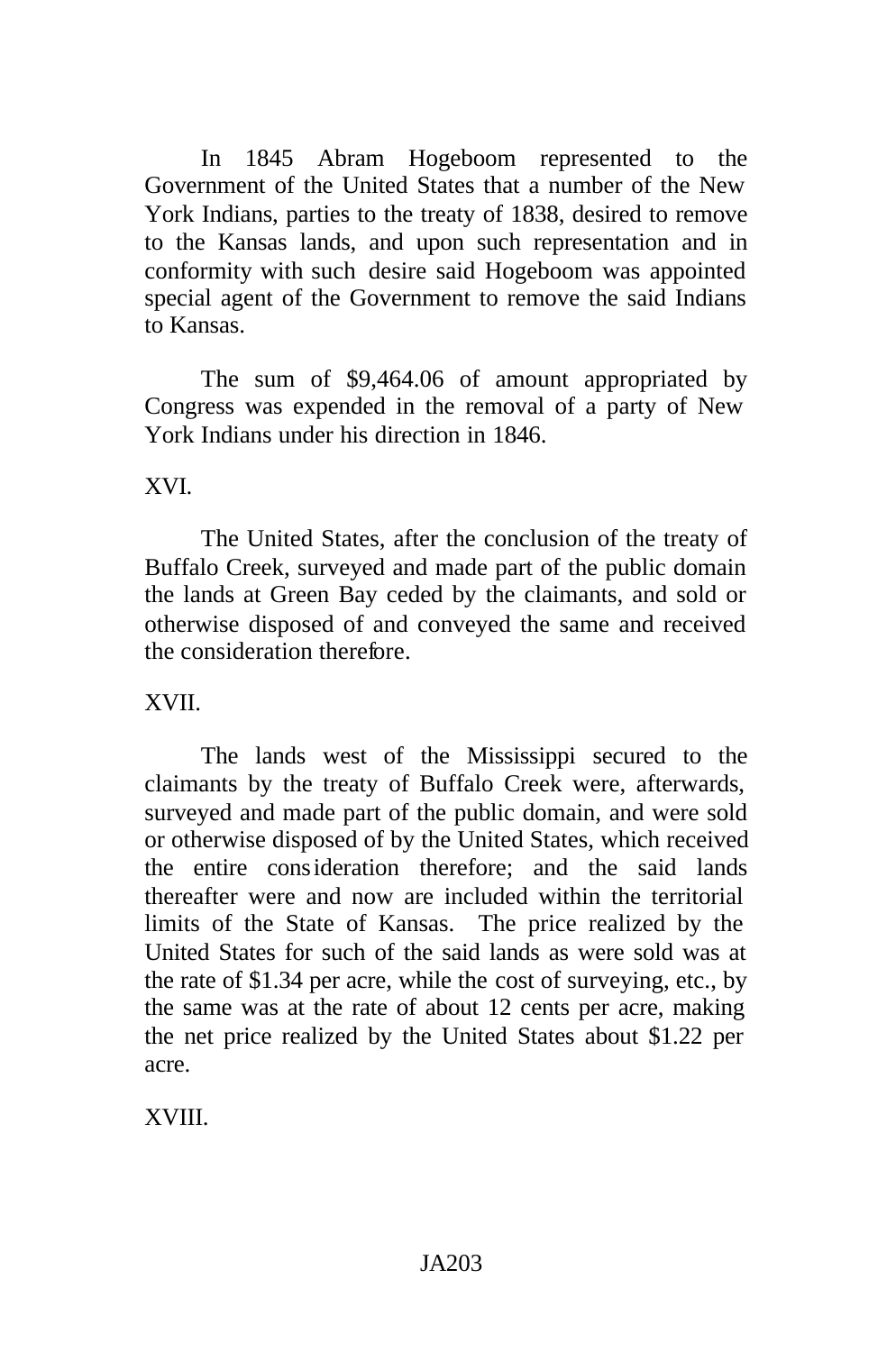In 1845 Abram Hogeboom represented to the Government of the United States that a number of the New York Indians, parties to the treaty of 1838, desired to remove to the Kansas lands, and upon such representation and in conformity with such desire said Hogeboom was appointed special agent of the Government to remove the said Indians to Kansas.

The sum of \$9,464.06 of amount appropriated by Congress was expended in the removal of a party of New York Indians under his direction in 1846.

XVI.

The United States, after the conclusion of the treaty of Buffalo Creek, surveyed and made part of the public domain the lands at Green Bay ceded by the claimants, and sold or otherwise disposed of and conveyed the same and received the consideration therefore.

### XVII.

The lands west of the Mississippi secured to the claimants by the treaty of Buffalo Creek were, afterwards, surveyed and made part of the public domain, and were sold or otherwise disposed of by the United States, which received the entire consideration therefore; and the said lands thereafter were and now are included within the territorial limits of the State of Kansas. The price realized by the United States for such of the said lands as were sold was at the rate of \$1.34 per acre, while the cost of surveying, etc., by the same was at the rate of about 12 cents per acre, making the net price realized by the United States about \$1.22 per acre.

XVIII.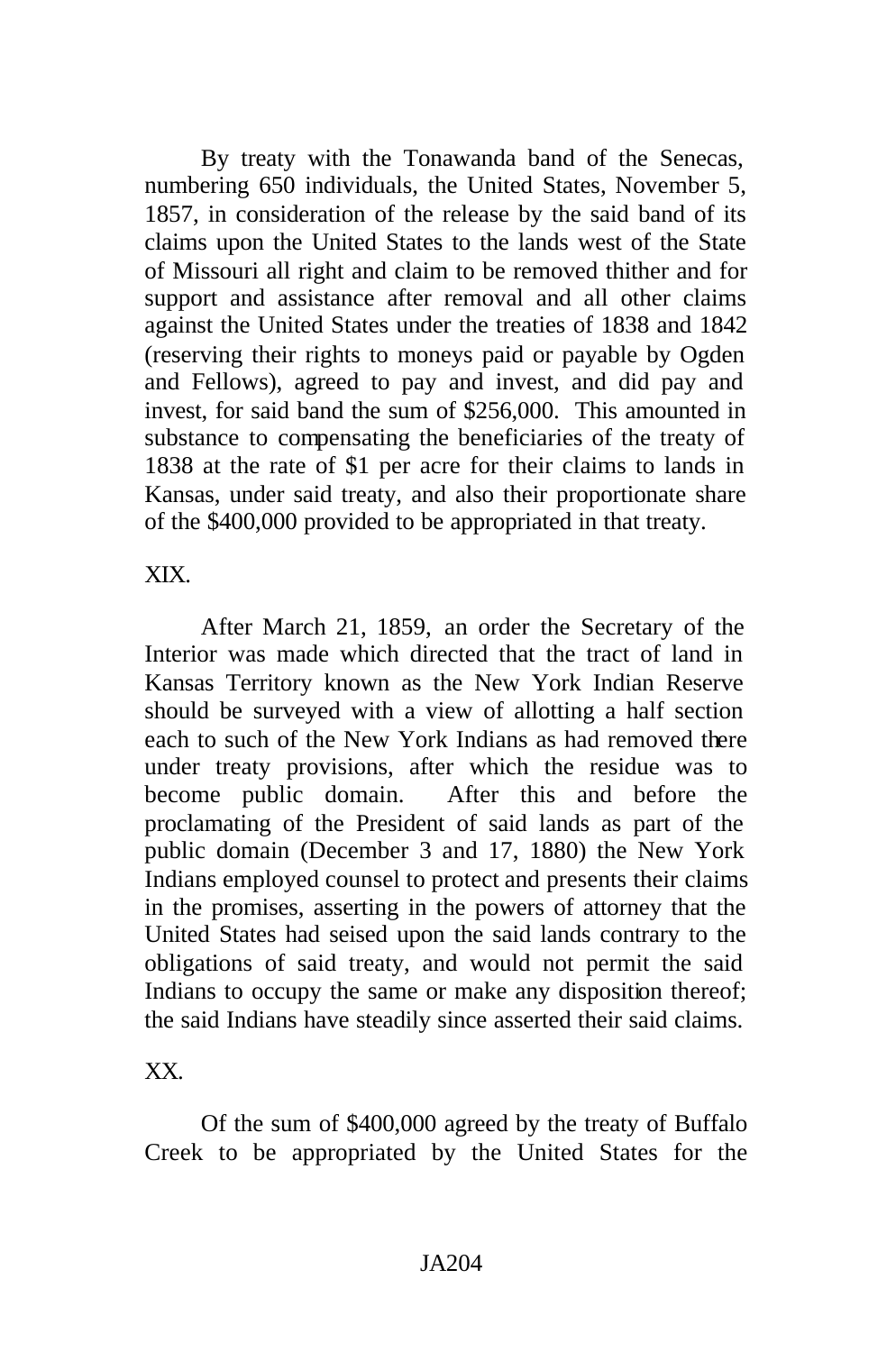By treaty with the Tonawanda band of the Senecas, numbering 650 individuals, the United States, November 5, 1857, in consideration of the release by the said band of its claims upon the United States to the lands west of the State of Missouri all right and claim to be removed thither and for support and assistance after removal and all other claims against the United States under the treaties of 1838 and 1842 (reserving their rights to moneys paid or payable by Ogden and Fellows), agreed to pay and invest, and did pay and invest, for said band the sum of \$256,000. This amounted in substance to compensating the beneficiaries of the treaty of 1838 at the rate of \$1 per acre for their claims to lands in Kansas, under said treaty, and also their proportionate share of the \$400,000 provided to be appropriated in that treaty.

XIX.

After March 21, 1859, an order the Secretary of the Interior was made which directed that the tract of land in Kansas Territory known as the New York Indian Reserve should be surveyed with a view of allotting a half section each to such of the New York Indians as had removed there under treaty provisions, after which the residue was to become public domain. After this and before the proclamating of the President of said lands as part of the public domain (December 3 and 17, 1880) the New York Indians employed counsel to protect and presents their claims in the promises, asserting in the powers of attorney that the United States had seised upon the said lands contrary to the obligations of said treaty, and would not permit the said Indians to occupy the same or make any disposition thereof; the said Indians have steadily since asserted their said claims.

XX.

Of the sum of \$400,000 agreed by the treaty of Buffalo Creek to be appropriated by the United States for the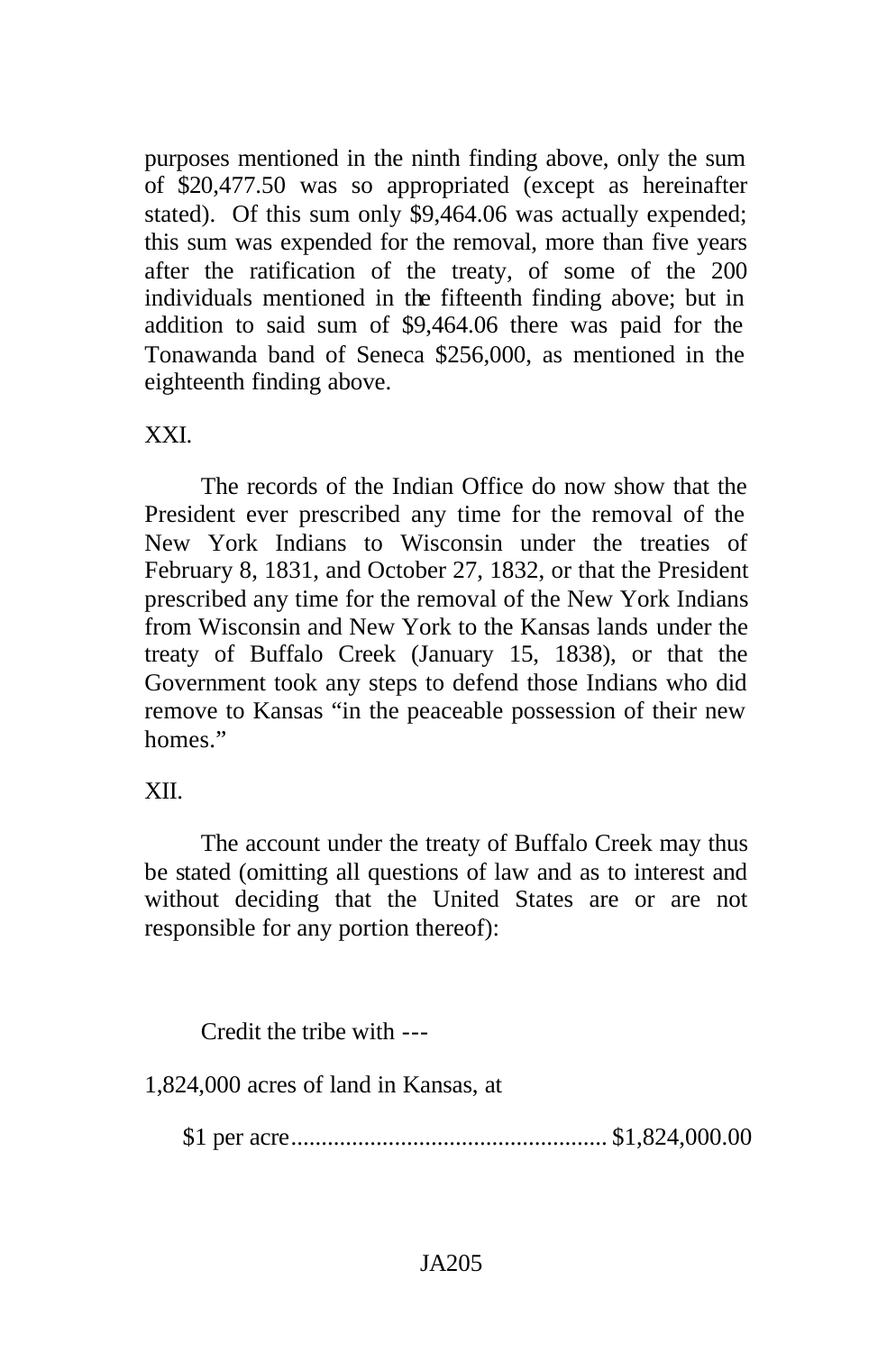purposes mentioned in the ninth finding above, only the sum of \$20,477.50 was so appropriated (except as hereinafter stated). Of this sum only \$9,464.06 was actually expended; this sum was expended for the removal, more than five years after the ratification of the treaty, of some of the 200 individuals mentioned in the fifteenth finding above; but in addition to said sum of \$9,464.06 there was paid for the Tonawanda band of Seneca \$256,000, as mentioned in the eighteenth finding above.

### XXI.

The records of the Indian Office do now show that the President ever prescribed any time for the removal of the New York Indians to Wisconsin under the treaties of February 8, 1831, and October 27, 1832, or that the President prescribed any time for the removal of the New York Indians from Wisconsin and New York to the Kansas lands under the treaty of Buffalo Creek (January 15, 1838), or that the Government took any steps to defend those Indians who did remove to Kansas "in the peaceable possession of their new homes."

## XII.

The account under the treaty of Buffalo Creek may thus be stated (omitting all questions of law and as to interest and without deciding that the United States are or are not responsible for any portion thereof):

Credit the tribe with ---

1,824,000 acres of land in Kansas, at

\$1 per acre.................................................... \$1,824,000.00

## JA205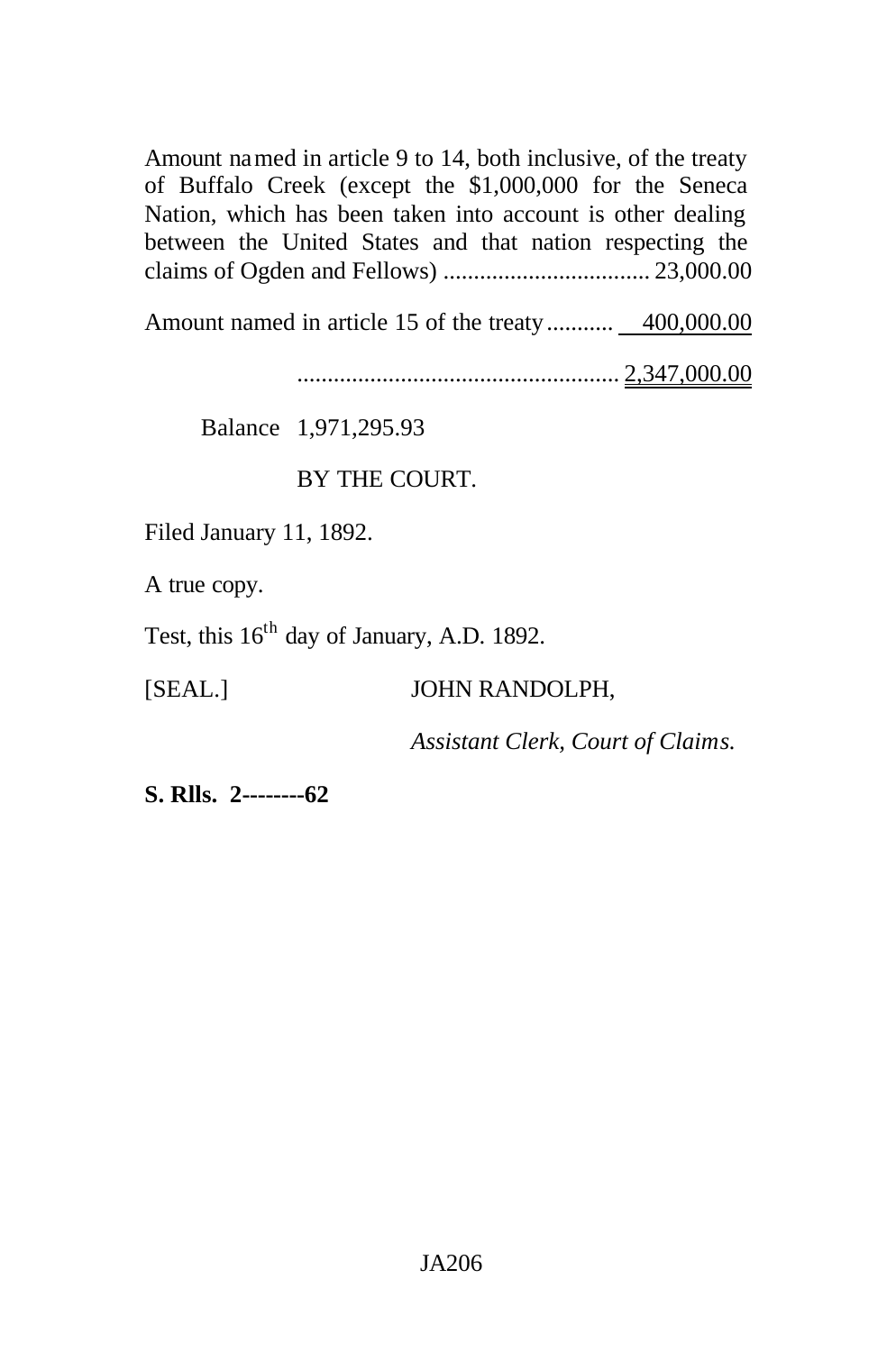Amount named in article 9 to 14, both inclusive, of the treaty of Buffalo Creek (except the \$1,000,000 for the Seneca Nation, which has been taken into account is other dealing between the United States and that nation respecting the claims of Ogden and Fellows) .................................. 23,000.00

Amount named in article 15 of the treaty........... 400,000.00

..................................................... 2,347,000.00

Balance 1,971,295.93

# BY THE COURT.

Filed January 11, 1892.

A true copy.

Test, this  $16<sup>th</sup>$  day of January, A.D. 1892.

### [SEAL.] JOHN RANDOLPH,

*Assistant Clerk, Court of Claims.*

**S. Rlls. 2--------62**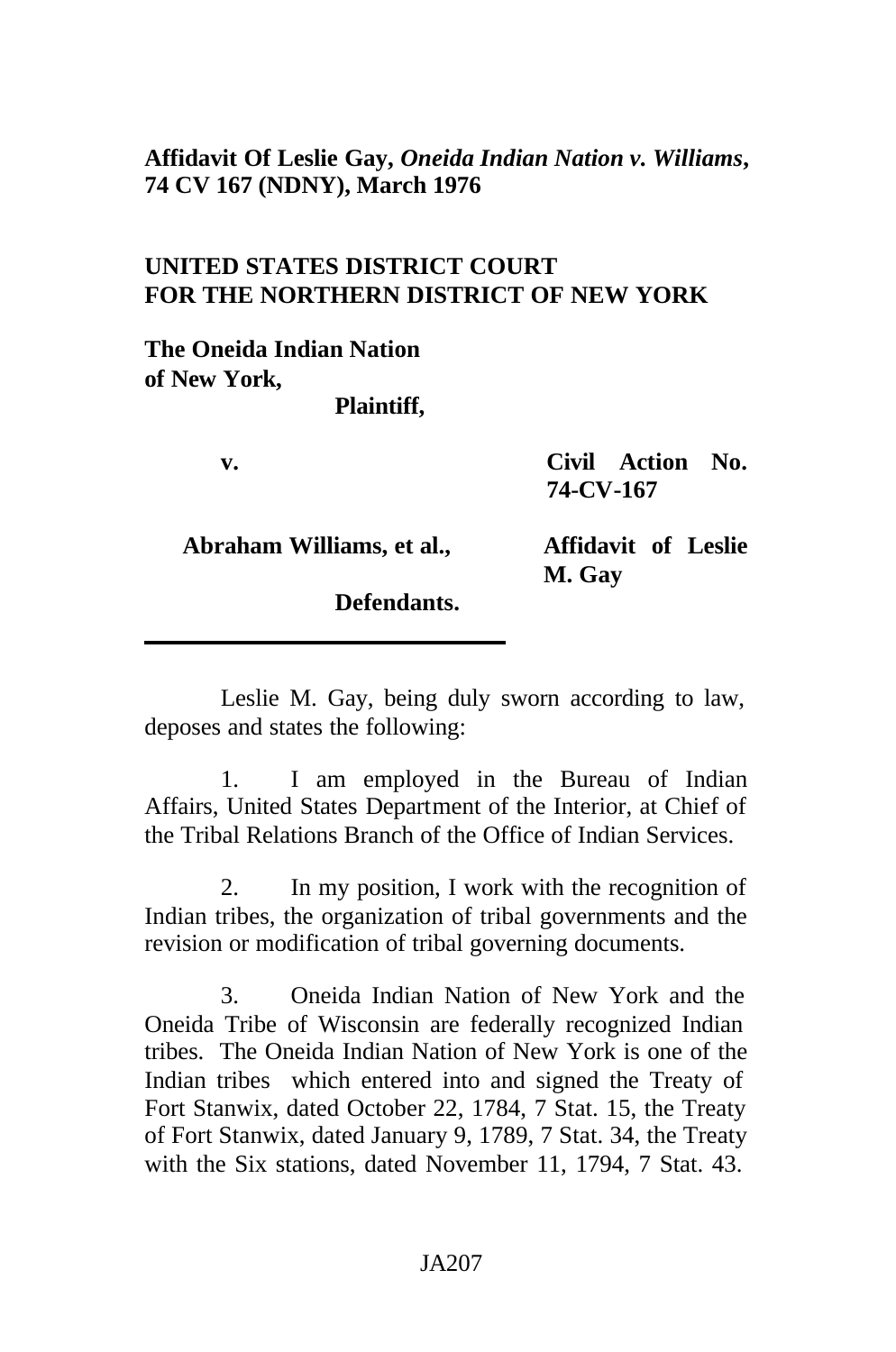## **Affidavit Of Leslie Gay,** *Oneida Indian Nation v. Williams***, 74 CV 167 (NDNY), March 1976**

# **UNITED STATES DISTRICT COURT FOR THE NORTHERN DISTRICT OF NEW YORK**

**The Oneida Indian Nation of New York,**

**Plaintiff,**

**v. Civil Action No. 74-CV-167**

**Abraham Williams, et al., Affidavit of Leslie**

**M. Gay**

**Defendants.**

Leslie M. Gay, being duly sworn according to law, deposes and states the following:

1. I am employed in the Bureau of Indian Affairs, United States Department of the Interior, at Chief of the Tribal Relations Branch of the Office of Indian Services.

2. In my position, I work with the recognition of Indian tribes, the organization of tribal governments and the revision or modification of tribal governing documents.

3. Oneida Indian Nation of New York and the Oneida Tribe of Wisconsin are federally recognized Indian tribes. The Oneida Indian Nation of New York is one of the Indian tribes which entered into and signed the Treaty of Fort Stanwix, dated October 22, 1784, 7 Stat. 15, the Treaty of Fort Stanwix, dated January 9, 1789, 7 Stat. 34, the Treaty with the Six stations, dated November 11, 1794, 7 Stat. 43.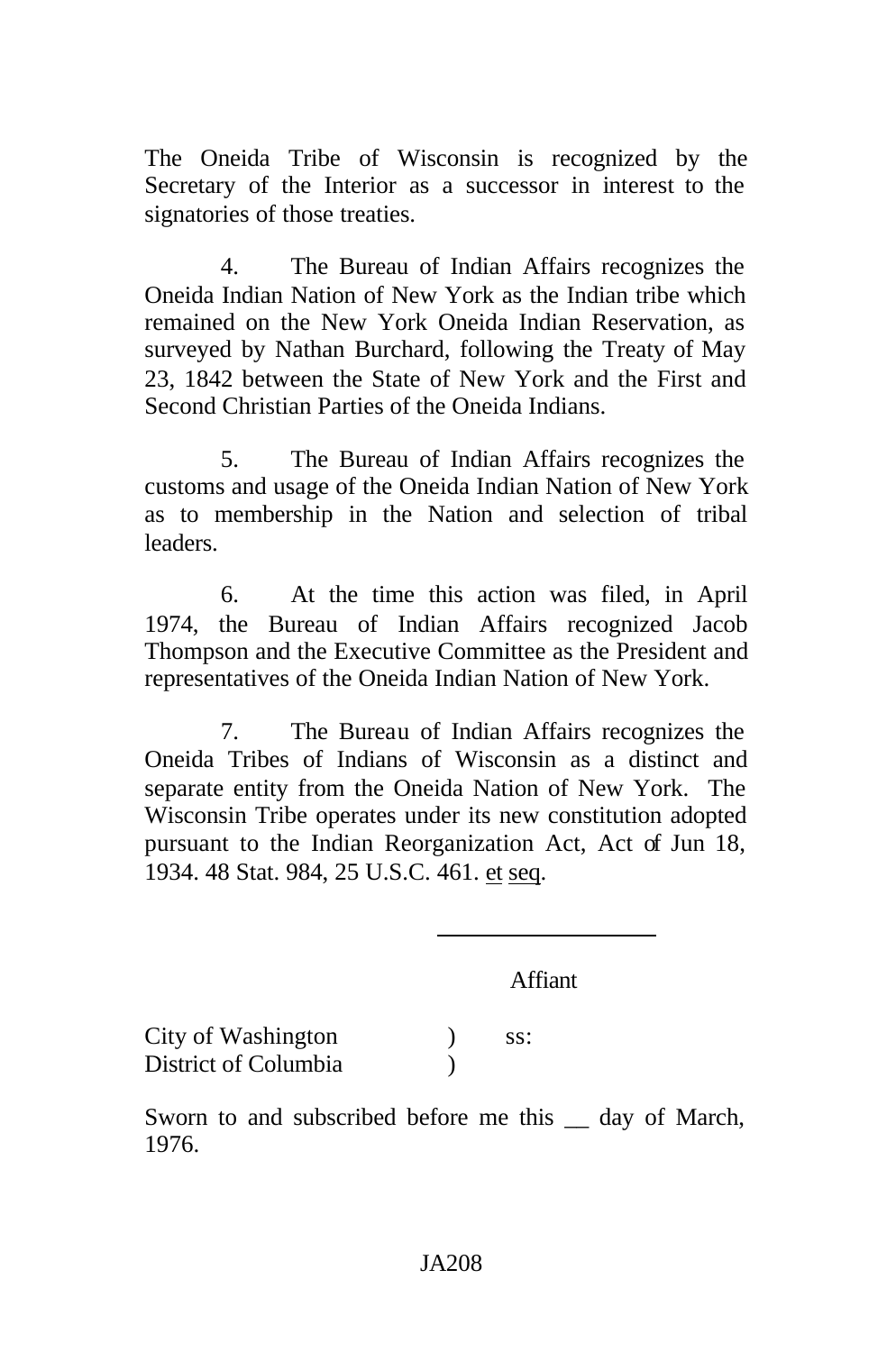The Oneida Tribe of Wisconsin is recognized by the Secretary of the Interior as a successor in interest to the signatories of those treaties.

4. The Bureau of Indian Affairs recognizes the Oneida Indian Nation of New York as the Indian tribe which remained on the New York Oneida Indian Reservation, as surveyed by Nathan Burchard, following the Treaty of May 23, 1842 between the State of New York and the First and Second Christian Parties of the Oneida Indians.

5. The Bureau of Indian Affairs recognizes the customs and usage of the Oneida Indian Nation of New York as to membership in the Nation and selection of tribal leaders.

6. At the time this action was filed, in April 1974, the Bureau of Indian Affairs recognized Jacob Thompson and the Executive Committee as the President and representatives of the Oneida Indian Nation of New York.

7. The Bureau of Indian Affairs recognizes the Oneida Tribes of Indians of Wisconsin as a distinct and separate entity from the Oneida Nation of New York. The Wisconsin Tribe operates under its new constitution adopted pursuant to the Indian Reorganization Act, Act of Jun 18, 1934. 48 Stat. 984, 25 U.S.C. 461. et seq.

Affiant

City of Washington (b) ss: District of Columbia (1944)

Sworn to and subscribed before me this  $\_\_$  day of March, 1976.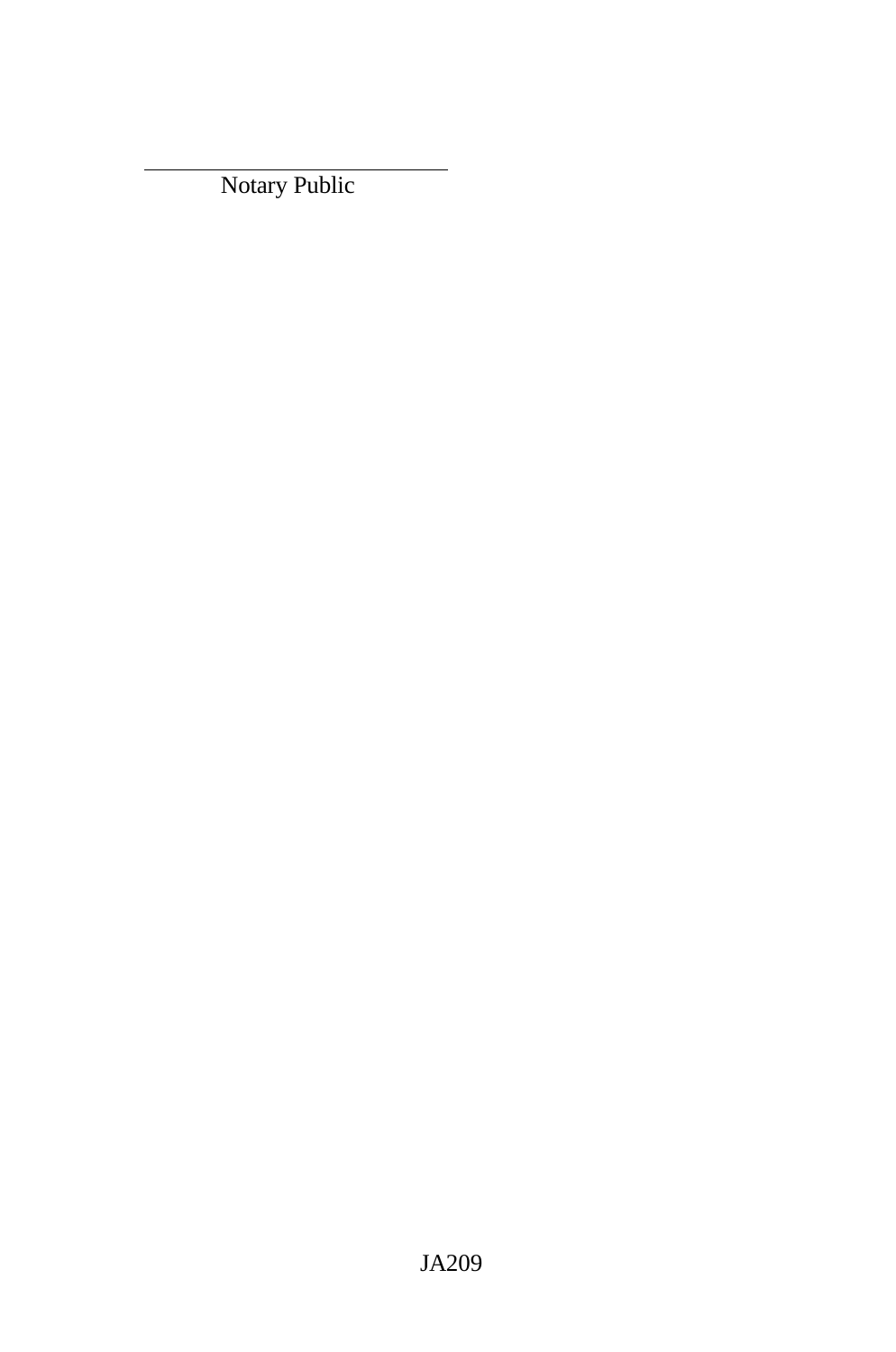Notary Public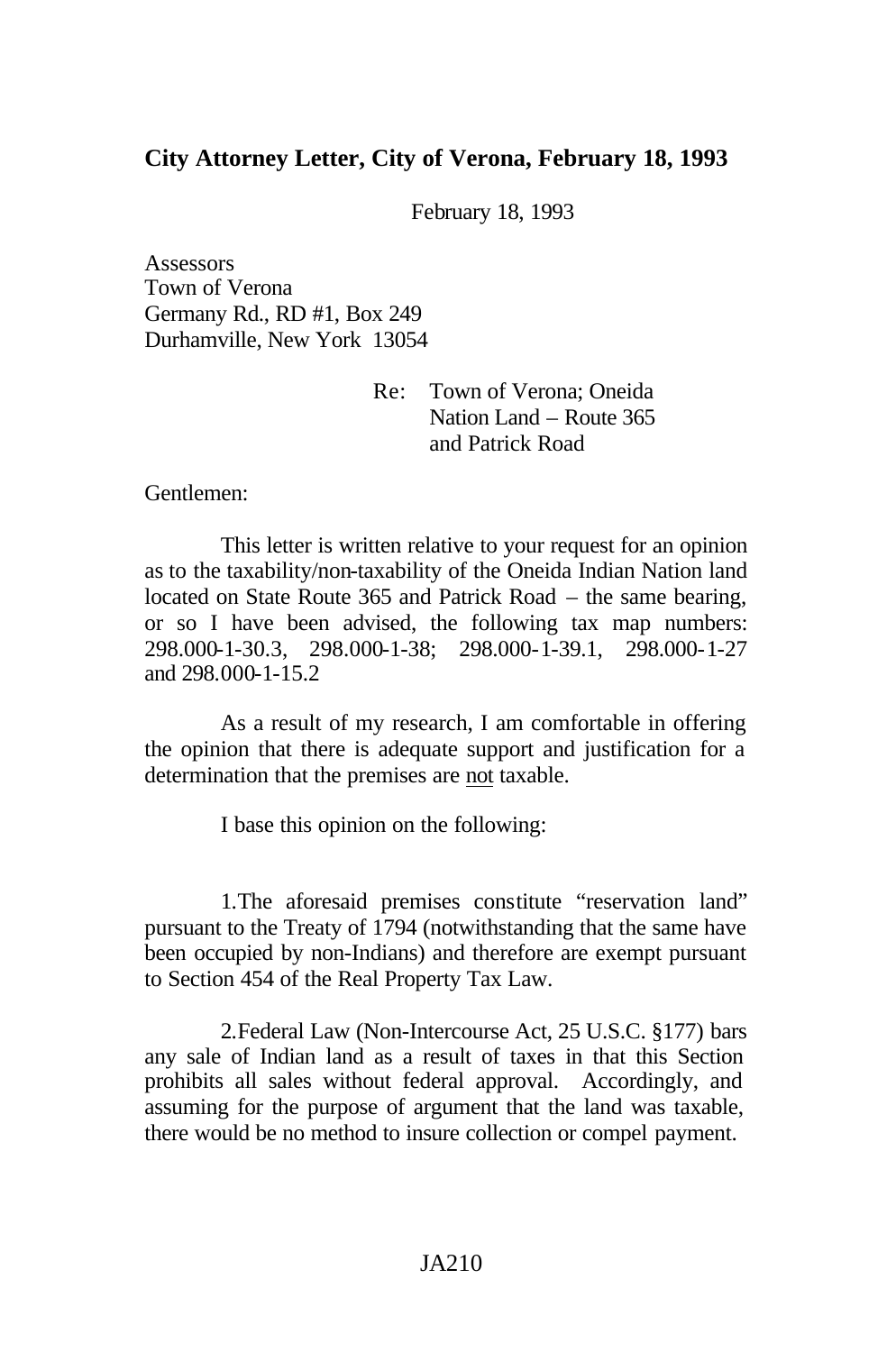#### **City Attorney Letter, City of Verona, February 18, 1993**

February 18, 1993

**Assessors** Town of Verona Germany Rd., RD #1, Box 249 Durhamville, New York 13054

> Re: Town of Verona; Oneida Nation Land – Route 365 and Patrick Road

Gentlemen:

This letter is written relative to your request for an opinion as to the taxability/non-taxability of the Oneida Indian Nation land located on State Route 365 and Patrick Road – the same bearing, or so I have been advised, the following tax map numbers: 298.000-1-30.3, 298.000-1-38; 298.000-1-39.1, 298.000-1-27 and 298.000-1-15.2

As a result of my research, I am comfortable in offering the opinion that there is adequate support and justification for a determination that the premises are not taxable.

I base this opinion on the following:

1.The aforesaid premises constitute "reservation land" pursuant to the Treaty of 1794 (notwithstanding that the same have been occupied by non-Indians) and therefore are exempt pursuant to Section 454 of the Real Property Tax Law.

2.Federal Law (Non-Intercourse Act, 25 U.S.C. §177) bars any sale of Indian land as a result of taxes in that this Section prohibits all sales without federal approval. Accordingly, and assuming for the purpose of argument that the land was taxable, there would be no method to insure collection or compel payment.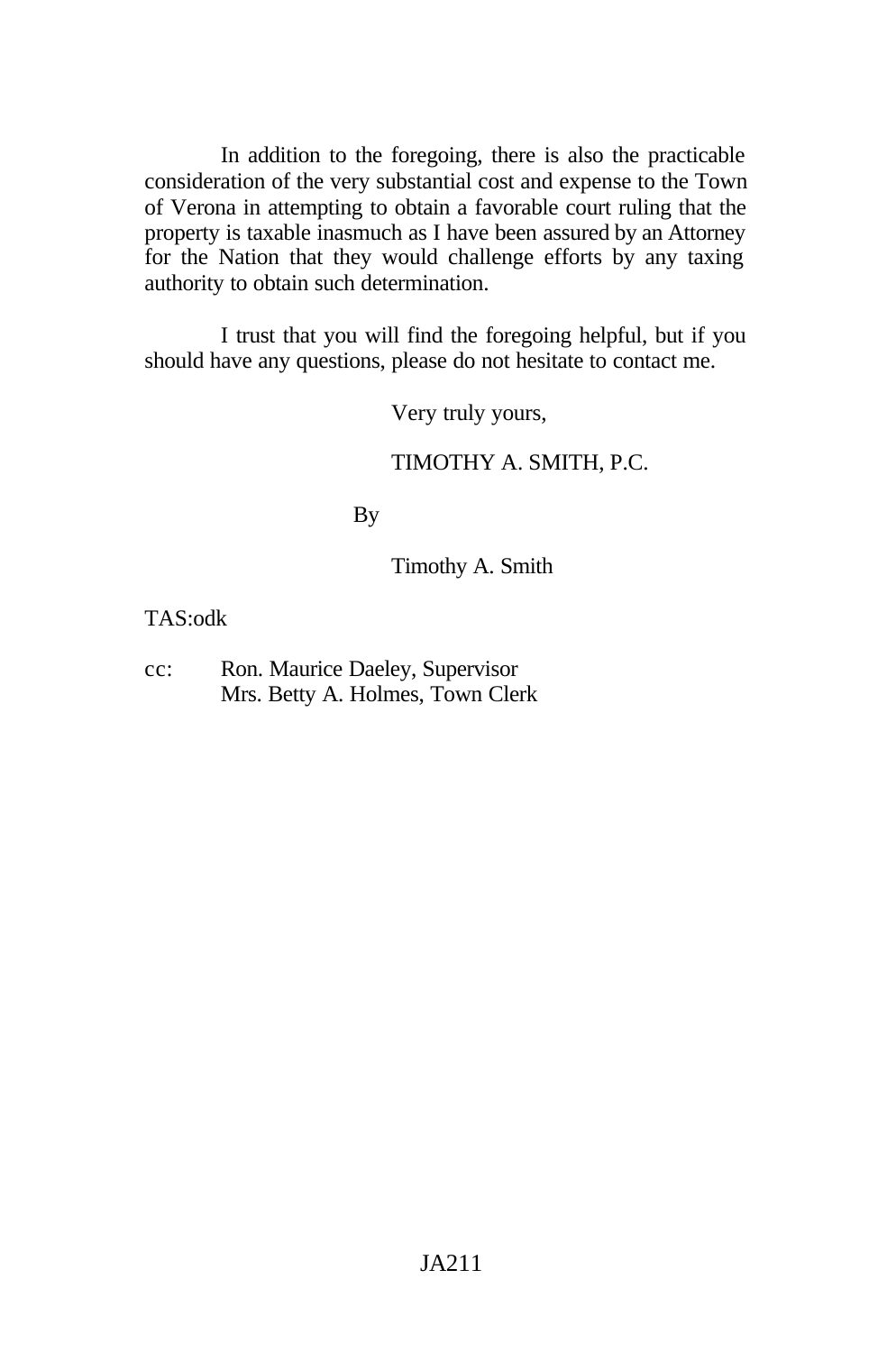In addition to the foregoing, there is also the practicable consideration of the very substantial cost and expense to the Town of Verona in attempting to obtain a favorable court ruling that the property is taxable inasmuch as I have been assured by an Attorney for the Nation that they would challenge efforts by any taxing authority to obtain such determination.

I trust that you will find the foregoing helpful, but if you should have any questions, please do not hesitate to contact me.

Very truly yours,

#### TIMOTHY A. SMITH, P.C.

By

Timothy A. Smith

TAS:odk

cc: Ron. Maurice Daeley, Supervisor Mrs. Betty A. Holmes, Town Clerk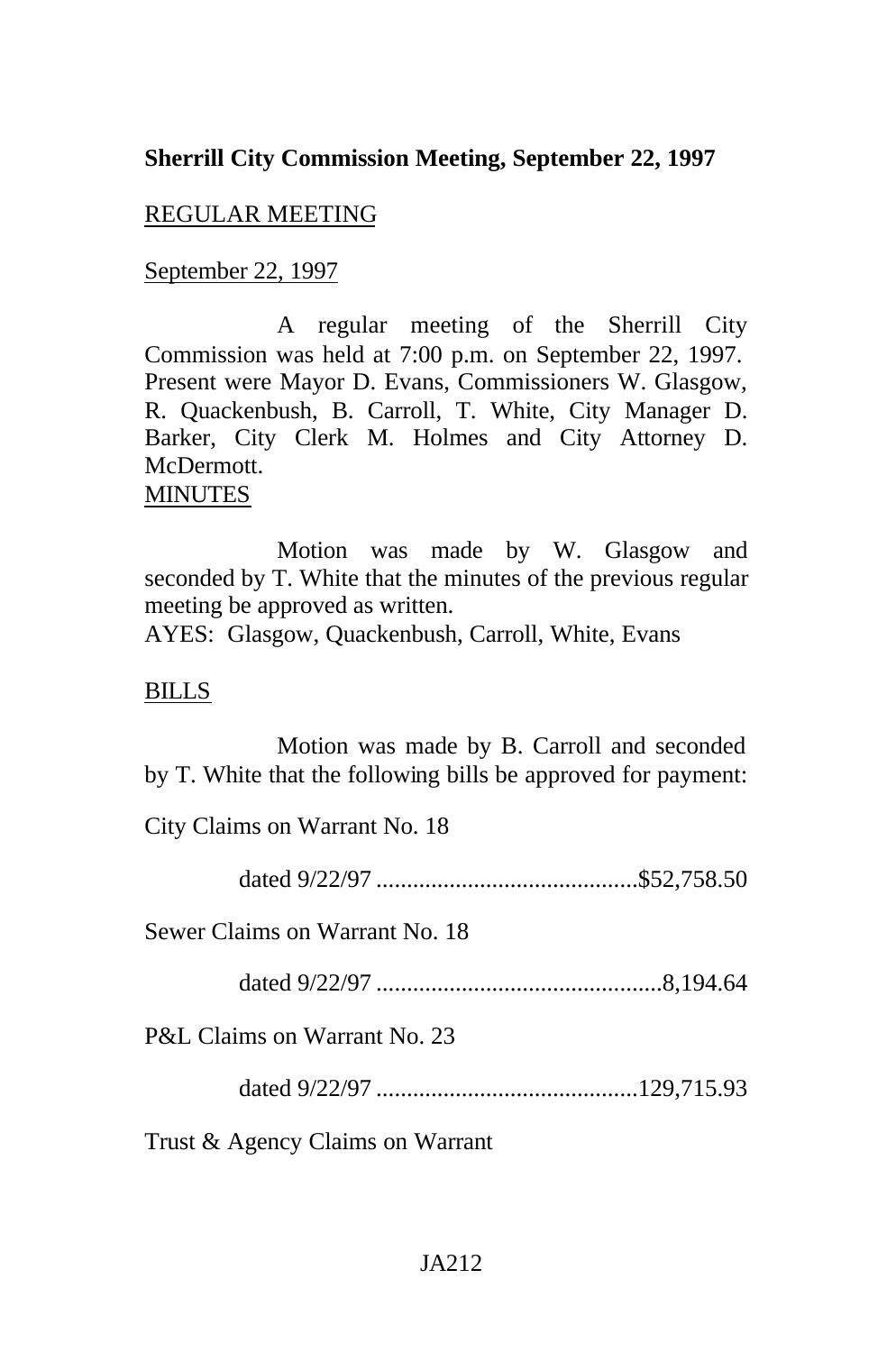## **Sherrill City Commission Meeting, September 22, 1997**

## REGULAR MEETING

#### September 22, 1997

A regular meeting of the Sherrill City Commission was held at 7:00 p.m. on September 22, 1997. Present were Mayor D. Evans, Commissioners W. Glasgow, R. Quackenbush, B. Carroll, T. White, City Manager D. Barker, City Clerk M. Holmes and City Attorney D. McDermott.

# **MINUTES**

Motion was made by W. Glasgow and seconded by T. White that the minutes of the previous regular meeting be approved as written.

AYES: Glasgow, Quackenbush, Carroll, White, Evans

### BILLS

Motion was made by B. Carroll and seconded by T. White that the following bills be approved for payment:

City Claims on Warrant No. 18

dated 9/22/97 ...........................................\$52,758.50

Sewer Claims on Warrant No. 18

dated 9/22/97 ...............................................8,194.64

P&L Claims on Warrant No. 23

dated 9/22/97 ...........................................129,715.93

Trust & Agency Claims on Warrant

### JA212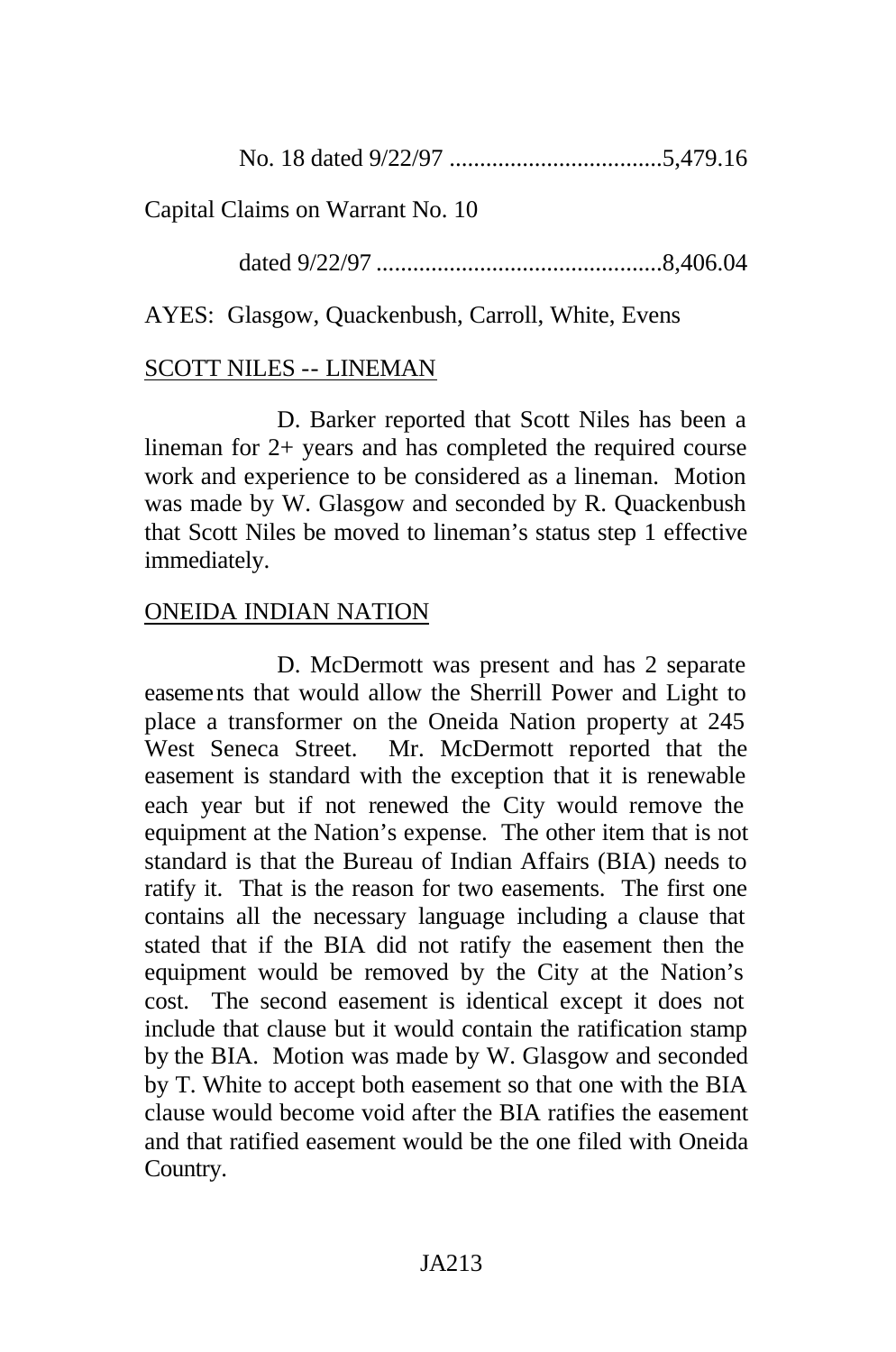No. 18 dated 9/22/97 ...................................5,479.16

Capital Claims on Warrant No. 10

dated 9/22/97 ...............................................8,406.04

AYES: Glasgow, Quackenbush, Carroll, White, Evens

# SCOTT NILES -- LINEMAN

D. Barker reported that Scott Niles has been a lineman for 2+ years and has completed the required course work and experience to be considered as a lineman. Motion was made by W. Glasgow and seconded by R. Quackenbush that Scott Niles be moved to lineman's status step 1 effective immediately.

# ONEIDA INDIAN NATION

D. McDermott was present and has 2 separate easements that would allow the Sherrill Power and Light to place a transformer on the Oneida Nation property at 245 West Seneca Street. Mr. McDermott reported that the easement is standard with the exception that it is renewable each year but if not renewed the City would remove the equipment at the Nation's expense. The other item that is not standard is that the Bureau of Indian Affairs (BIA) needs to ratify it. That is the reason for two easements. The first one contains all the necessary language including a clause that stated that if the BIA did not ratify the easement then the equipment would be removed by the City at the Nation's cost. The second easement is identical except it does not include that clause but it would contain the ratification stamp by the BIA. Motion was made by W. Glasgow and seconded by T. White to accept both easement so that one with the BIA clause would become void after the BIA ratifies the easement and that ratified easement would be the one filed with Oneida Country.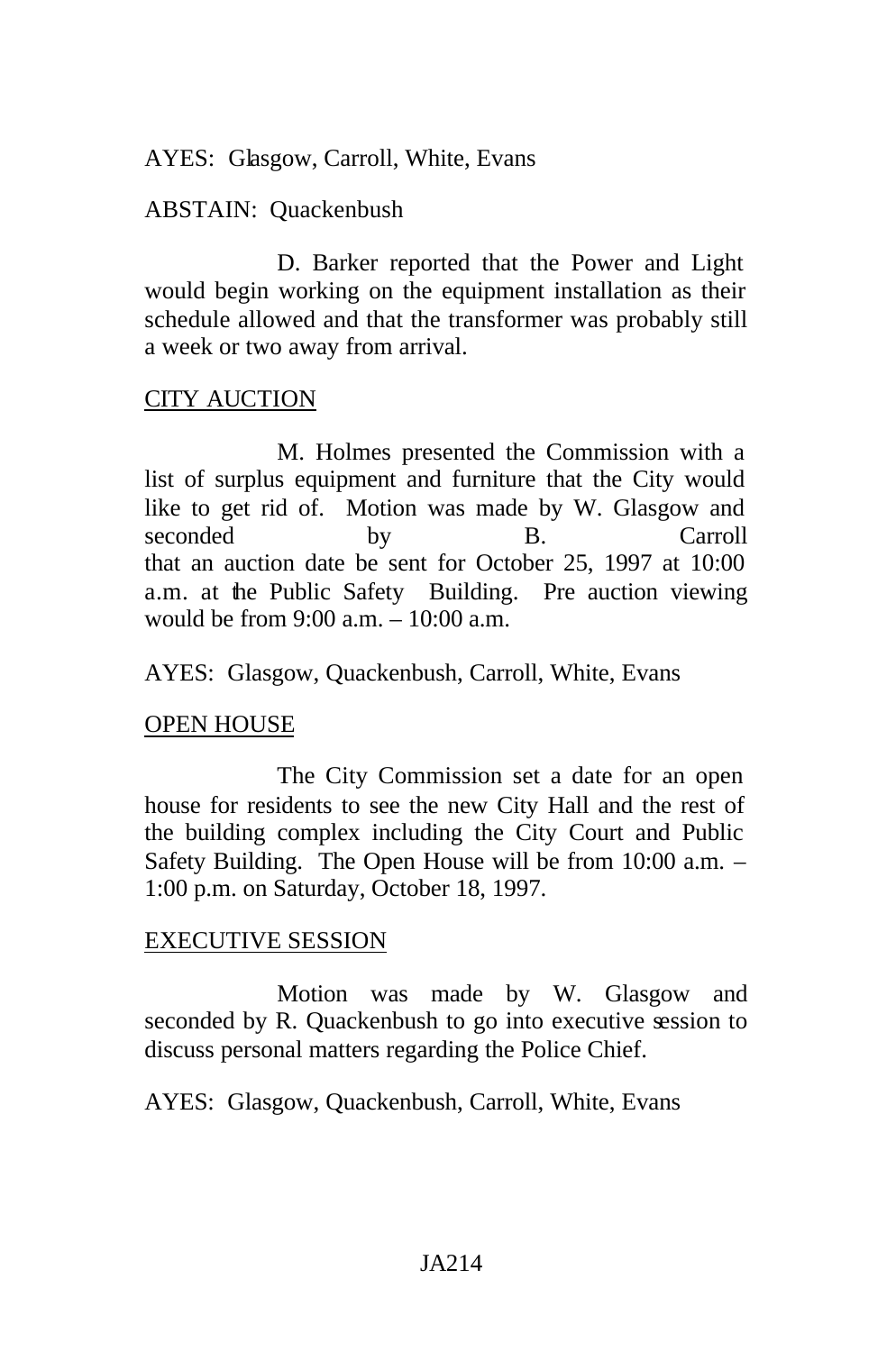### AYES: Glasgow, Carroll, White, Evans

### ABSTAIN: Quackenbush

D. Barker reported that the Power and Light would begin working on the equipment installation as their schedule allowed and that the transformer was probably still a week or two away from arrival.

### CITY AUCTION

M. Holmes presented the Commission with a list of surplus equipment and furniture that the City would like to get rid of. Motion was made by W. Glasgow and seconded by B. Carroll that an auction date be sent for October 25, 1997 at 10:00 a.m. at the Public Safety Building. Pre auction viewing would be from 9:00 a.m. – 10:00 a.m.

AYES: Glasgow, Quackenbush, Carroll, White, Evans

## OPEN HOUSE

The City Commission set a date for an open house for residents to see the new City Hall and the rest of the building complex including the City Court and Public Safety Building. The Open House will be from 10:00 a.m. – 1:00 p.m. on Saturday, October 18, 1997.

## EXECUTIVE SESSION

Motion was made by W. Glasgow and seconded by R. Quackenbush to go into executive session to discuss personal matters regarding the Police Chief.

AYES: Glasgow, Quackenbush, Carroll, White, Evans

### JA214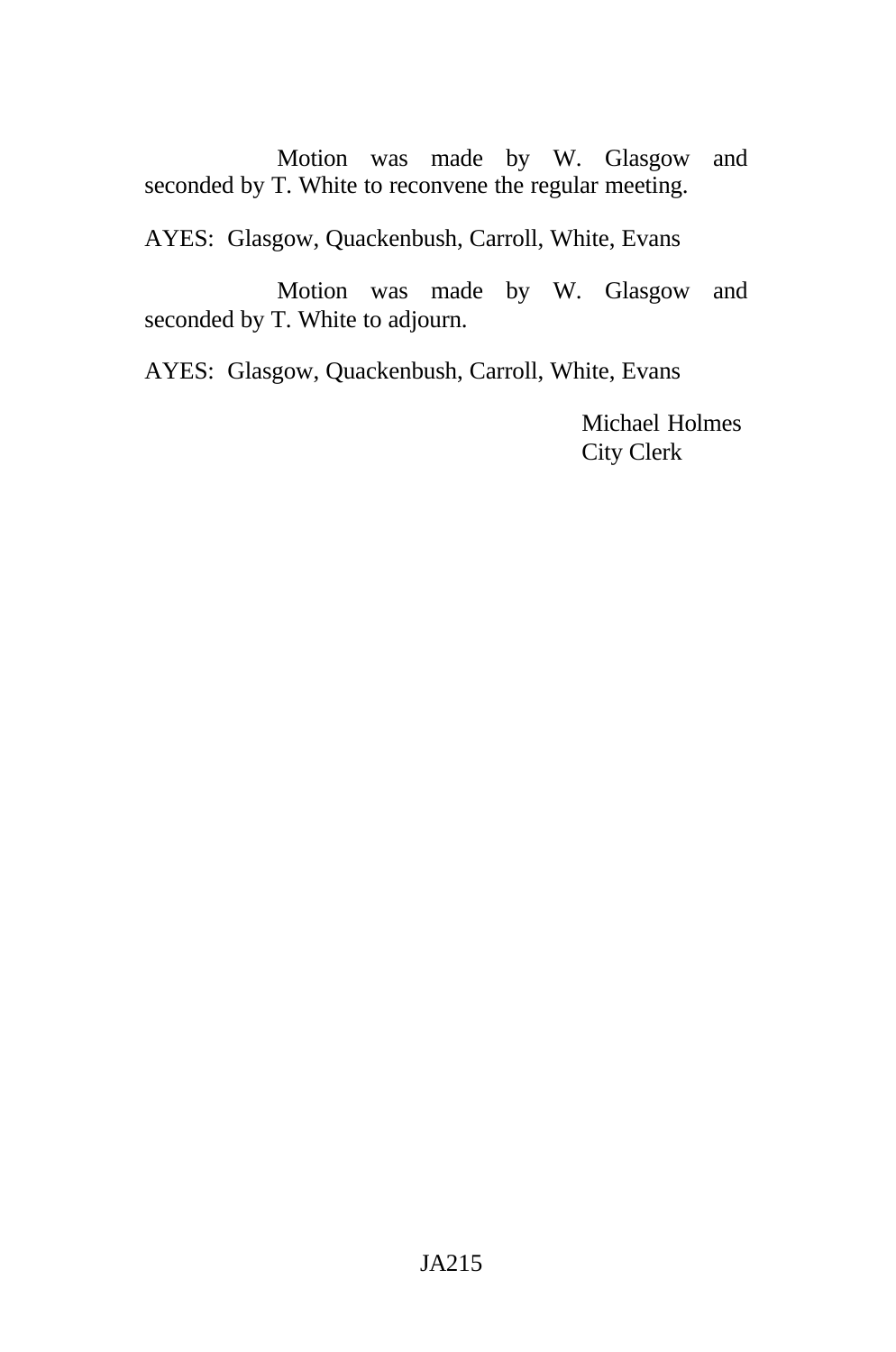Motion was made by W. Glasgow and seconded by T. White to reconvene the regular meeting.

AYES: Glasgow, Quackenbush, Carroll, White, Evans

Motion was made by W. Glasgow and seconded by T. White to adjourn.

AYES: Glasgow, Quackenbush, Carroll, White, Evans

Michael Holmes City Clerk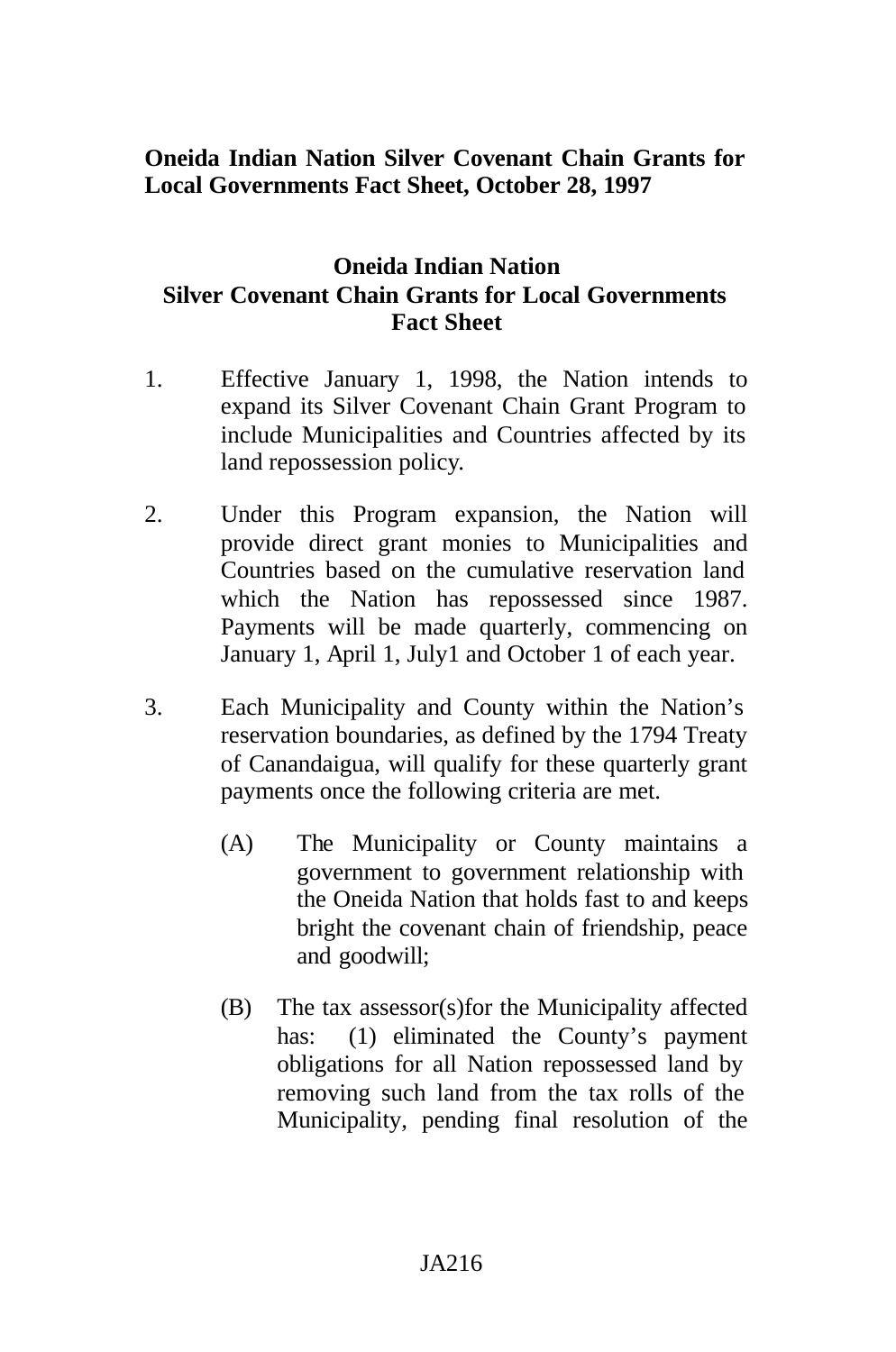# **Oneida Indian Nation Silver Covenant Chain Grants for Local Governments Fact Sheet, October 28, 1997**

# **Oneida Indian Nation Silver Covenant Chain Grants for Local Governments Fact Sheet**

- 1. Effective January 1, 1998, the Nation intends to expand its Silver Covenant Chain Grant Program to include Municipalities and Countries affected by its land repossession policy.
- 2. Under this Program expansion, the Nation will provide direct grant monies to Municipalities and Countries based on the cumulative reservation land which the Nation has repossessed since 1987. Payments will be made quarterly, commencing on January 1, April 1, July1 and October 1 of each year.
- 3. Each Municipality and County within the Nation's reservation boundaries, as defined by the 1794 Treaty of Canandaigua, will qualify for these quarterly grant payments once the following criteria are met.
	- (A) The Municipality or County maintains a government to government relationship with the Oneida Nation that holds fast to and keeps bright the covenant chain of friendship, peace and goodwill;
	- (B) The tax assessor(s)for the Municipality affected has: (1) eliminated the County's payment obligations for all Nation repossessed land by removing such land from the tax rolls of the Municipality, pending final resolution of the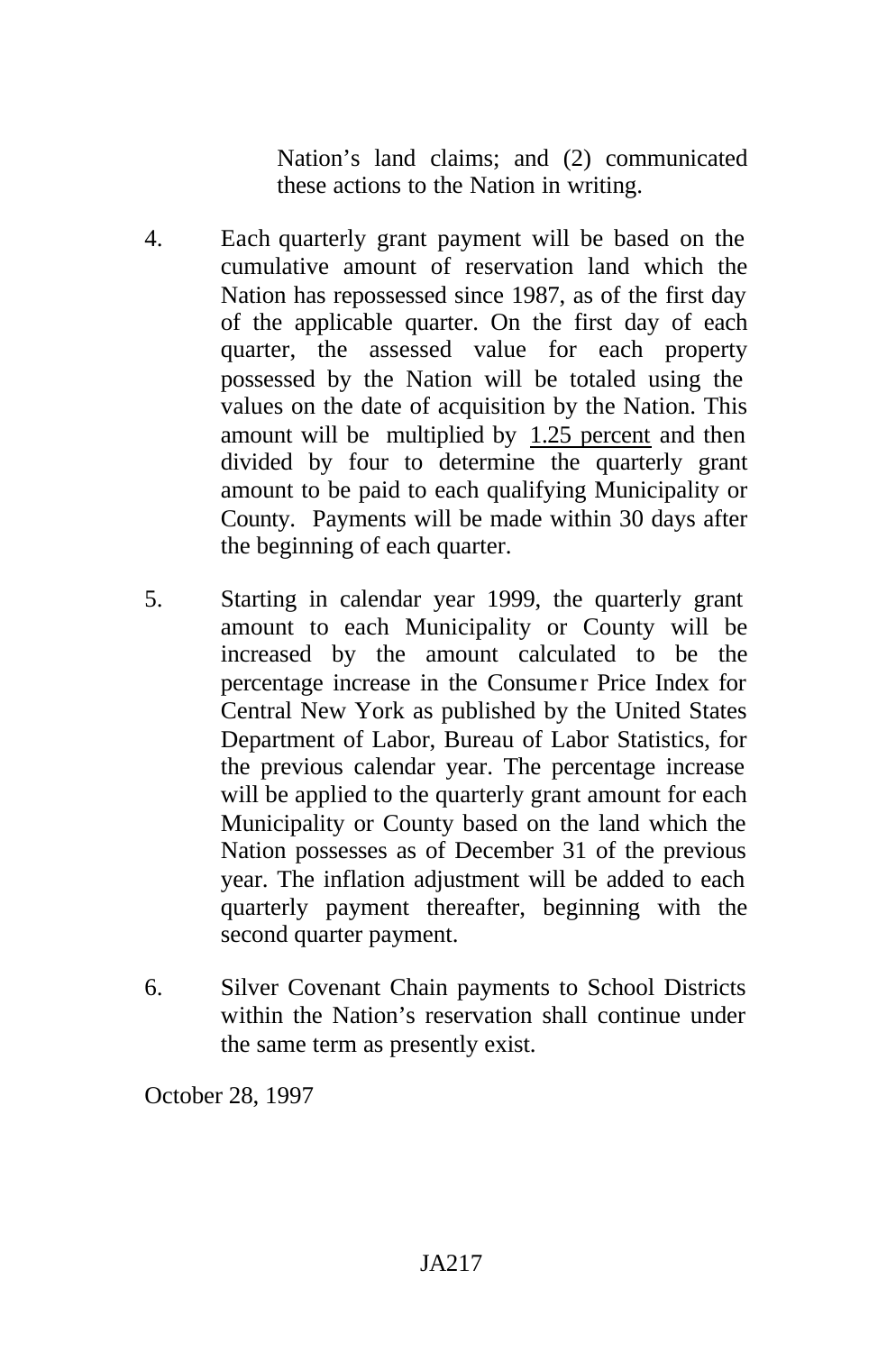Nation's land claims; and (2) communicated these actions to the Nation in writing.

- 4. Each quarterly grant payment will be based on the cumulative amount of reservation land which the Nation has repossessed since 1987, as of the first day of the applicable quarter. On the first day of each quarter, the assessed value for each property possessed by the Nation will be totaled using the values on the date of acquisition by the Nation. This amount will be multiplied by 1.25 percent and then divided by four to determine the quarterly grant amount to be paid to each qualifying Municipality or County. Payments will be made within 30 days after the beginning of each quarter.
- 5. Starting in calendar year 1999, the quarterly grant amount to each Municipality or County will be increased by the amount calculated to be the percentage increase in the Consumer Price Index for Central New York as published by the United States Department of Labor, Bureau of Labor Statistics, for the previous calendar year. The percentage increase will be applied to the quarterly grant amount for each Municipality or County based on the land which the Nation possesses as of December 31 of the previous year. The inflation adjustment will be added to each quarterly payment thereafter, beginning with the second quarter payment.
- 6. Silver Covenant Chain payments to School Districts within the Nation's reservation shall continue under the same term as presently exist.

October 28, 1997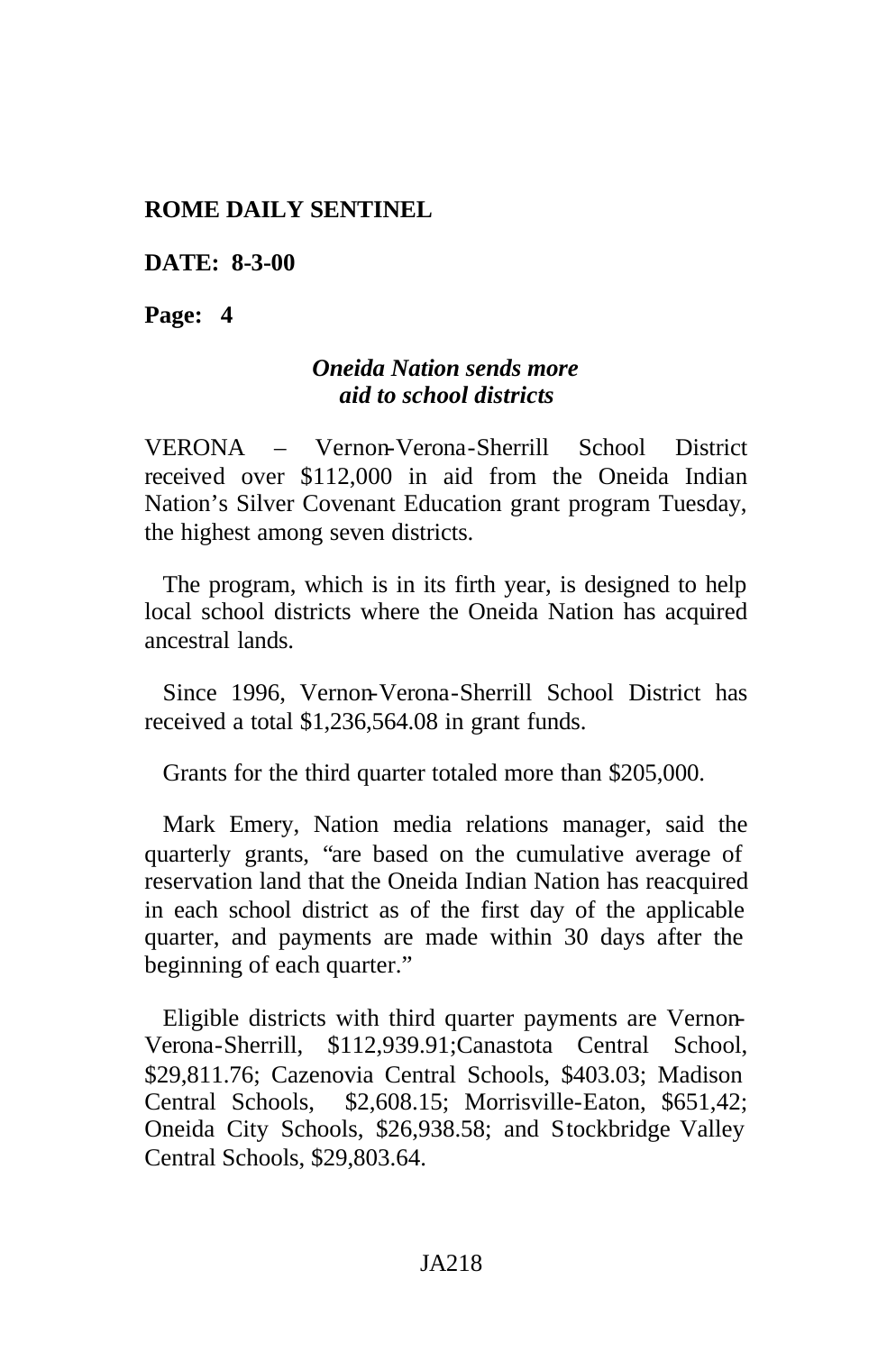#### **ROME DAILY SENTINEL**

**DATE: 8-3-00**

**Page: 4**

## *Oneida Nation sends more aid to school districts*

VERONA – Vernon-Verona-Sherrill School District received over \$112,000 in aid from the Oneida Indian Nation's Silver Covenant Education grant program Tuesday, the highest among seven districts.

The program, which is in its firth year, is designed to help local school districts where the Oneida Nation has acquired ancestral lands.

Since 1996, Vernon-Verona-Sherrill School District has received a total \$1,236,564.08 in grant funds.

Grants for the third quarter totaled more than \$205,000.

Mark Emery, Nation media relations manager, said the quarterly grants, "are based on the cumulative average of reservation land that the Oneida Indian Nation has reacquired in each school district as of the first day of the applicable quarter, and payments are made within 30 days after the beginning of each quarter."

Eligible districts with third quarter payments are Vernon-Verona-Sherrill, \$112,939.91;Canastota Central School, \$29,811.76; Cazenovia Central Schools, \$403.03; Madison Central Schools, \$2,608.15; Morrisville-Eaton, \$651,42; Oneida City Schools, \$26,938.58; and Stockbridge Valley Central Schools, \$29,803.64.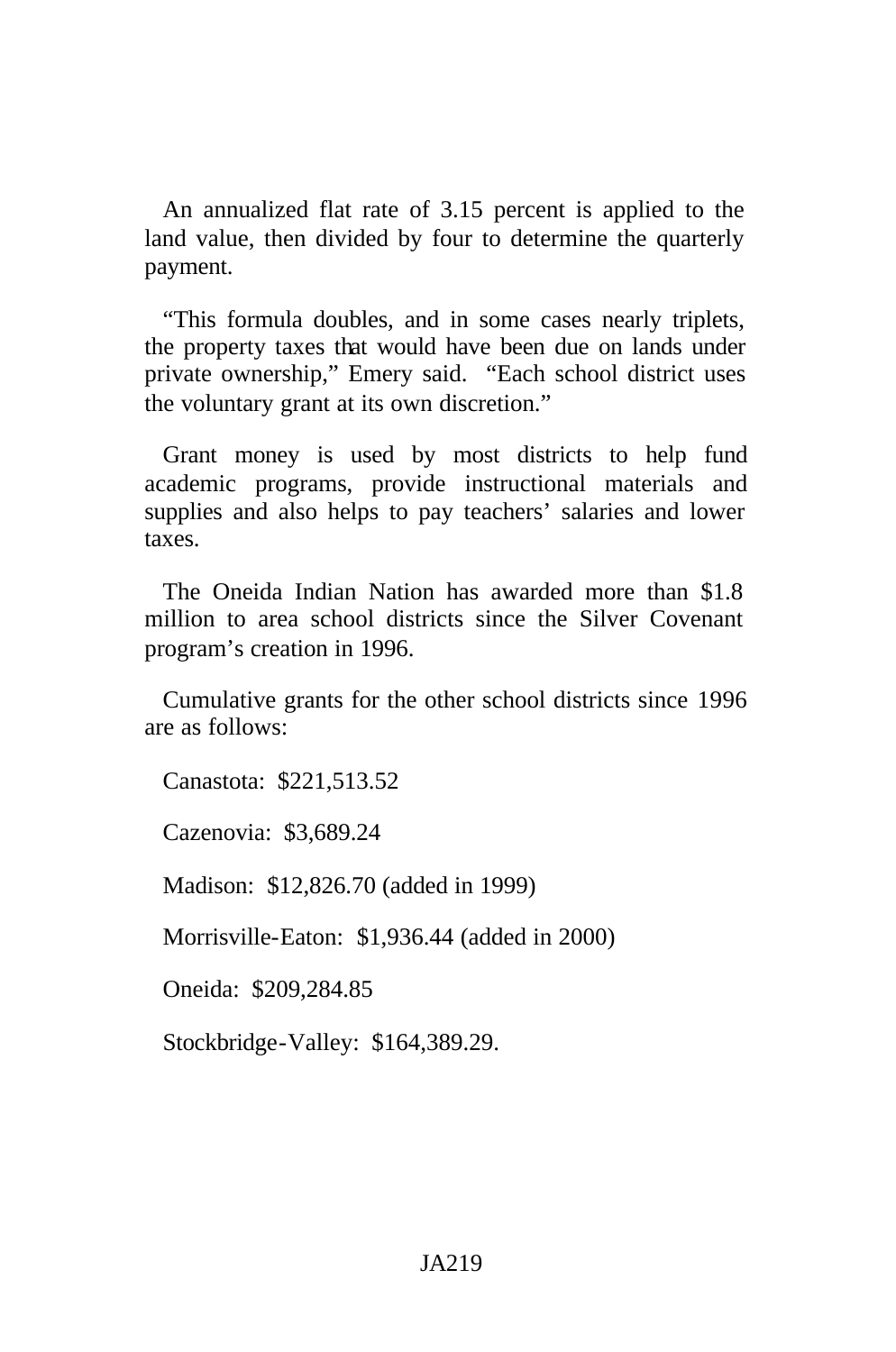An annualized flat rate of 3.15 percent is applied to the land value, then divided by four to determine the quarterly payment.

"This formula doubles, and in some cases nearly triplets, the property taxes that would have been due on lands under private ownership," Emery said. "Each school district uses the voluntary grant at its own discretion."

Grant money is used by most districts to help fund academic programs, provide instructional materials and supplies and also helps to pay teachers' salaries and lower taxes.

The Oneida Indian Nation has awarded more than \$1.8 million to area school districts since the Silver Covenant program's creation in 1996.

Cumulative grants for the other school districts since 1996 are as follows:

Canastota: \$221,513.52

Cazenovia: \$3,689.24

Madison: \$12,826.70 (added in 1999)

Morrisville-Eaton: \$1,936.44 (added in 2000)

Oneida: \$209,284.85

Stockbridge-Valley: \$164,389.29.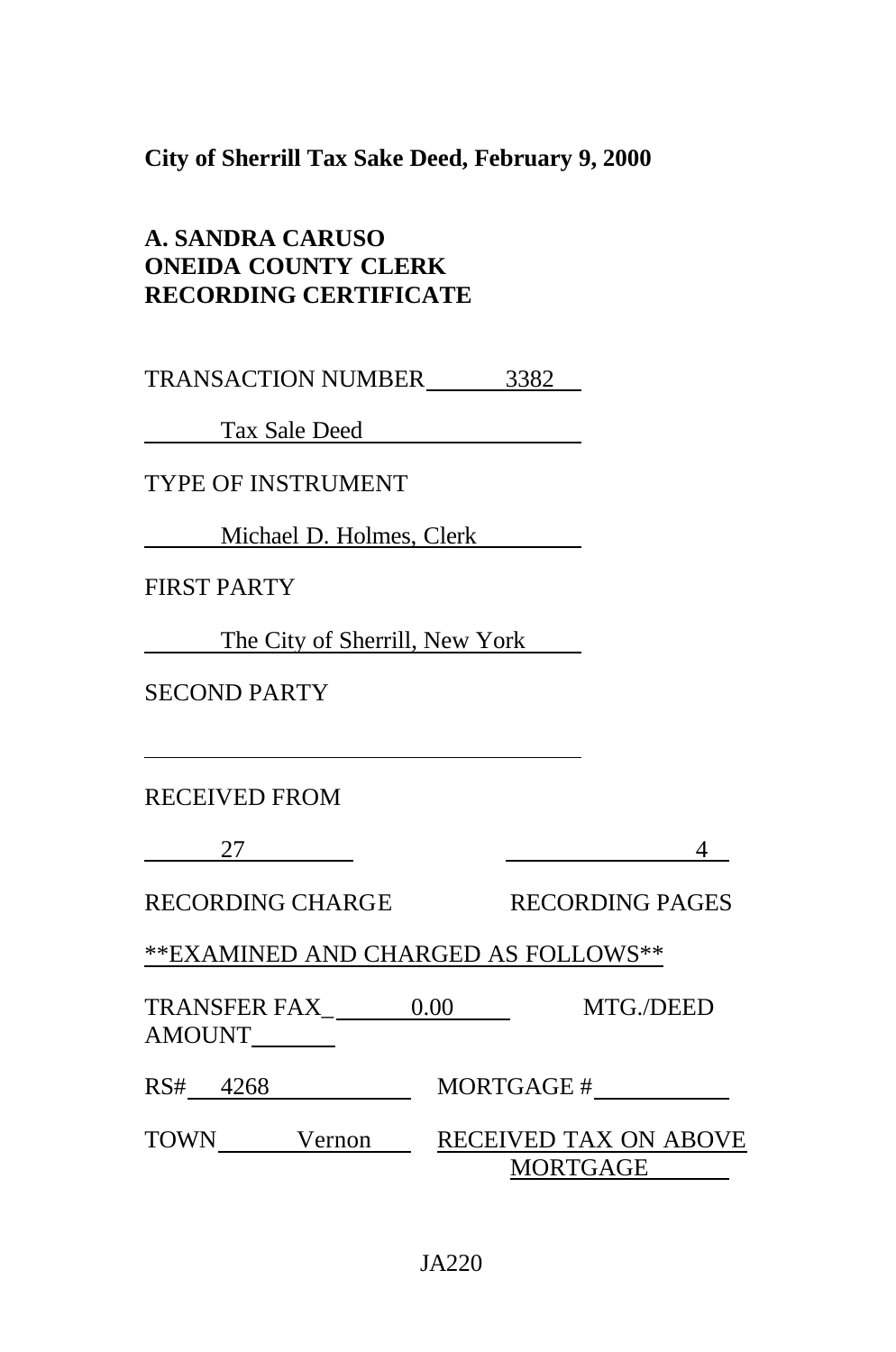**City of Sherrill Tax Sake Deed, February 9, 2000**

| A. SANDRA CARUSO             |
|------------------------------|
| <b>ONEIDA COUNTY CLERK</b>   |
| <b>RECORDING CERTIFICATE</b> |

TRANSACTION NUMBER 3382

Tax Sale Deed

TYPE OF INSTRUMENT

Michael D. Holmes, Clerk

FIRST PARTY

The City of Sherrill, New York

SECOND PARTY

RECEIVED FROM

27 21 4

RECORDING CHARGE RECORDING PAGES

\*\*EXAMINED AND CHARGED AS FOLLOWS\*\*

TRANSFER FAX\_ 0.00 MTG./DEED AMOUNT

RS# 4268 MORTGAGE #

TOWN Vernon RECEIVED TAX ON ABOVE MORTGAGE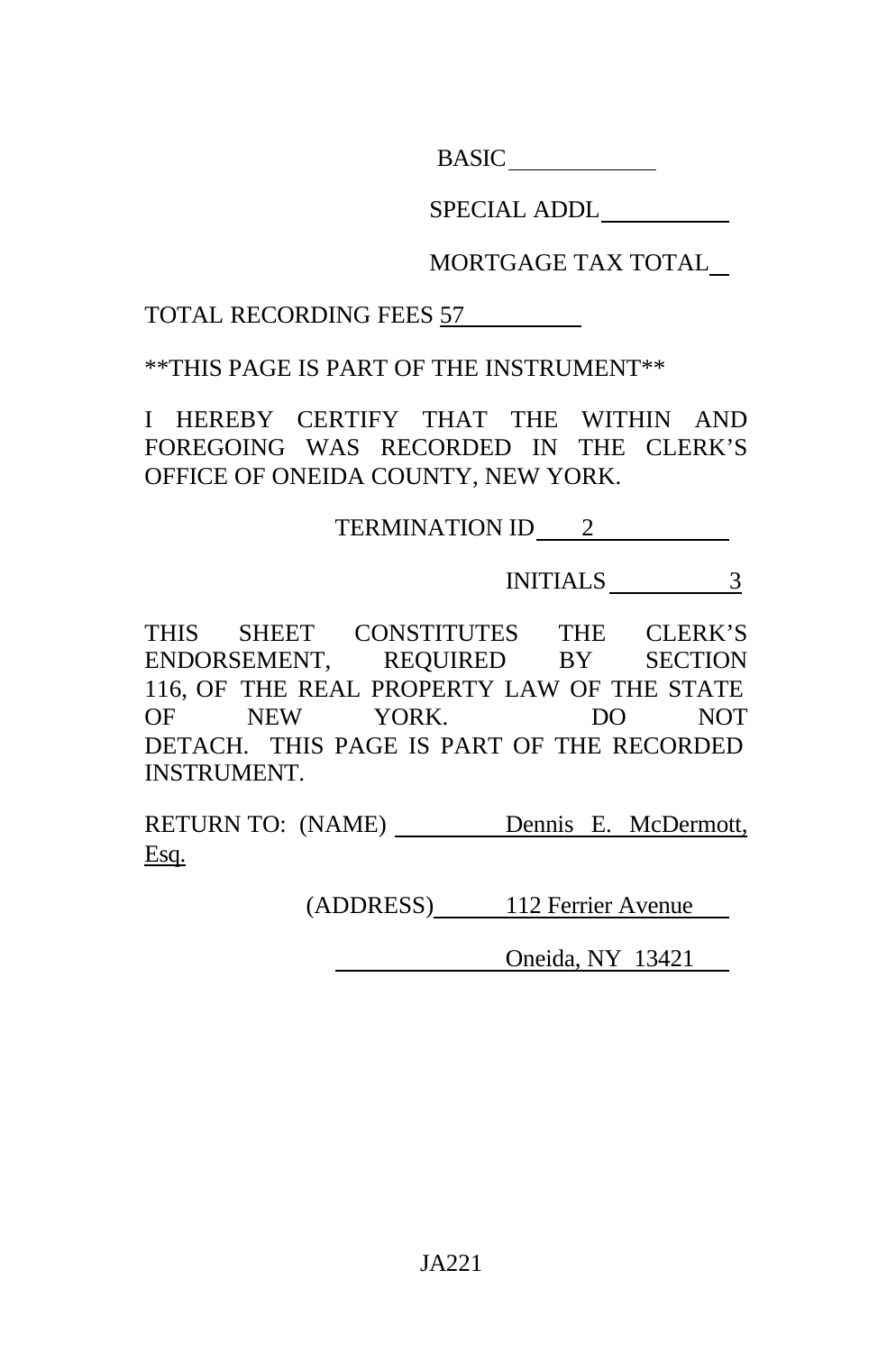**BASIC** 

SPECIAL ADDL

MORTGAGE TAX TOTAL

TOTAL RECORDING FEES 57

\*\*THIS PAGE IS PART OF THE INSTRUMENT\*\*

I HEREBY CERTIFY THAT THE WITHIN AND FOREGOING WAS RECORDED IN THE CLERK'S OFFICE OF ONEIDA COUNTY, NEW YORK.

TERMINATION ID 2

INITIALS 3

THIS SHEET CONSTITUTES THE CLERK'S ENDORSEMENT, REQUIRED BY SECTION 116, OF THE REAL PROPERTY LAW OF THE STATE OF NEW YORK. DO NOT DETACH. THIS PAGE IS PART OF THE RECORDED INSTRUMENT.

RETURN TO: (NAME) Dennis E. McDermott, Esq.

(ADDRESS) 112 Ferrier Avenue

Oneida, NY 13421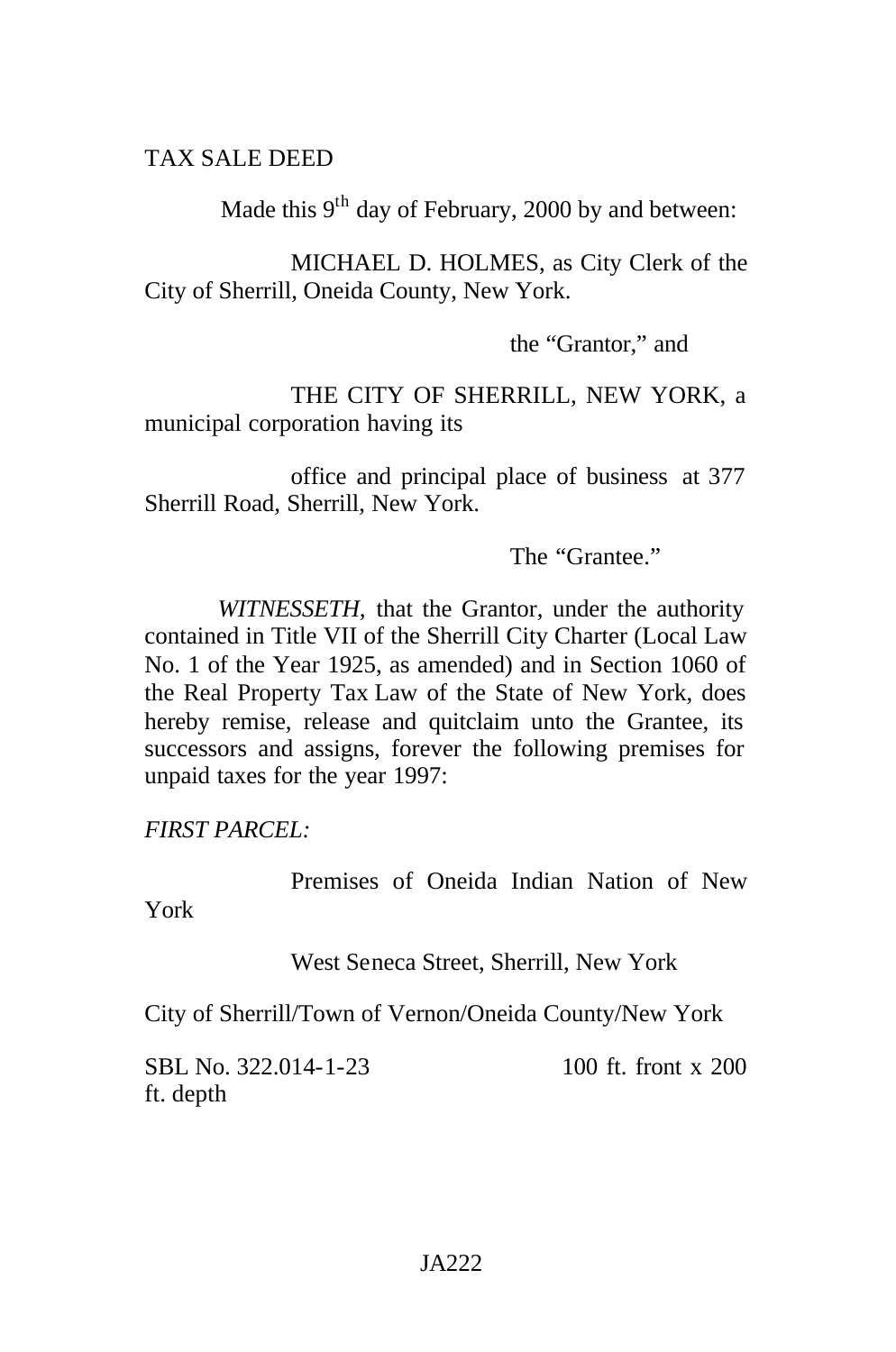### TAX SALE DEED

Made this  $9<sup>th</sup>$  day of February, 2000 by and between:

MICHAEL D. HOLMES, as City Clerk of the City of Sherrill, Oneida County, New York.

the "Grantor," and

THE CITY OF SHERRILL, NEW YORK, a municipal corporation having its

office and principal place of business at 377 Sherrill Road, Sherrill, New York.

The "Grantee."

*WITNESSETH,* that the Grantor, under the authority contained in Title VII of the Sherrill City Charter (Local Law No. 1 of the Year 1925, as amended) and in Section 1060 of the Real Property Tax Law of the State of New York, does hereby remise, release and quitclaim unto the Grantee, its successors and assigns, forever the following premises for unpaid taxes for the year 1997:

*FIRST PARCEL:*

Premises of Oneida Indian Nation of New

York

West Seneca Street, Sherrill, New York

City of Sherrill/Town of Vernon/Oneida County/New York

SBL No. 322.014-1-23 100 ft. front x 200 ft. depth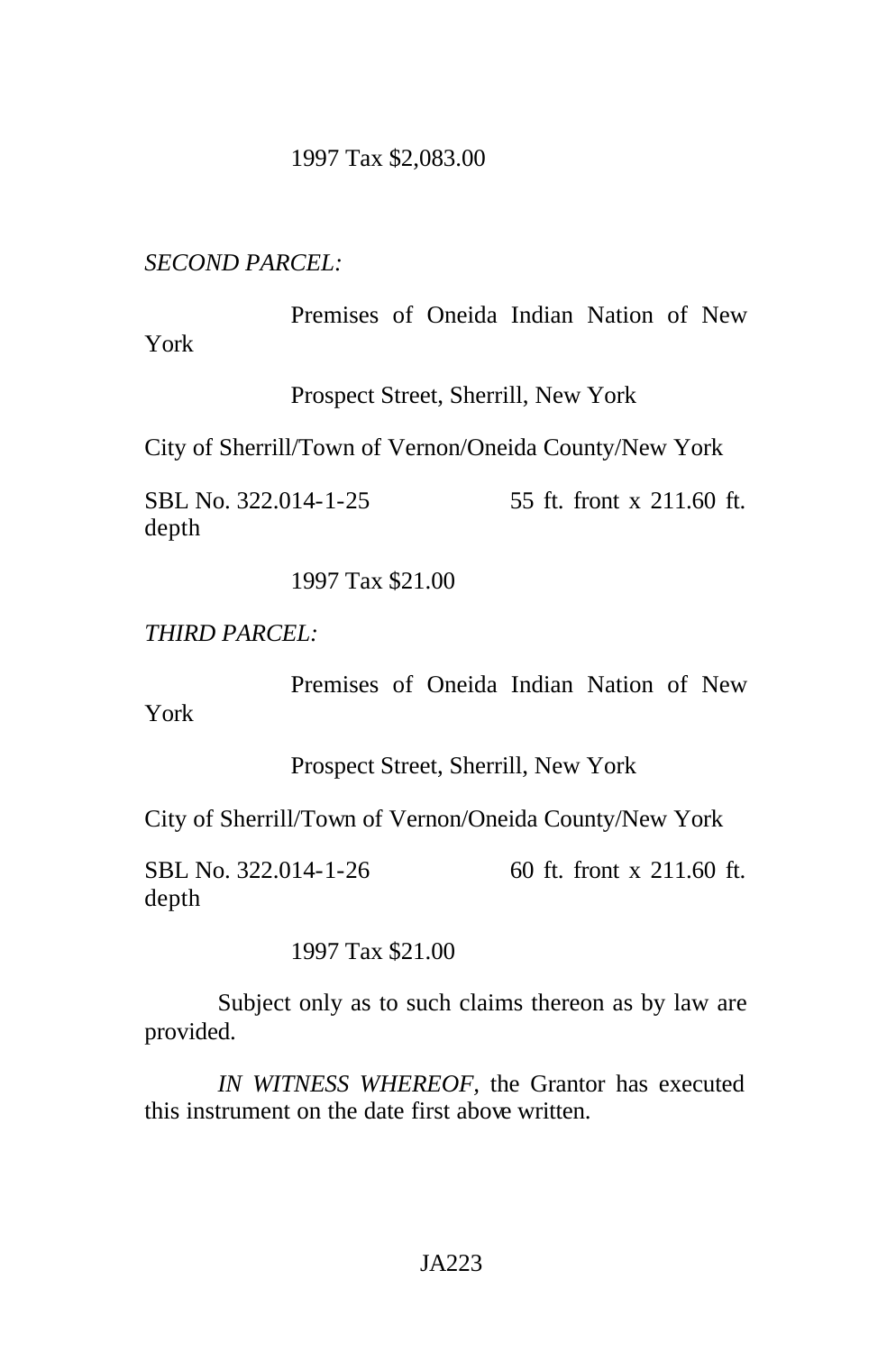### 1997 Tax \$2,083.00

*SECOND PARCEL:*

Premises of Oneida Indian Nation of New York

Prospect Street, Sherrill, New York

City of Sherrill/Town of Vernon/Oneida County/New York

SBL No. 322.014-1-25 55 ft. front x 211.60 ft. depth

1997 Tax \$21.00

*THIRD PARCEL:*

Premises of Oneida Indian Nation of New

York

Prospect Street, Sherrill, New York

City of Sherrill/Town of Vernon/Oneida County/New York

SBL No. 322.014-1-26 60 ft. front x 211.60 ft. depth

1997 Tax \$21.00

Subject only as to such claims thereon as by law are provided.

*IN WITNESS WHEREOF,* the Grantor has executed this instrument on the date first above written.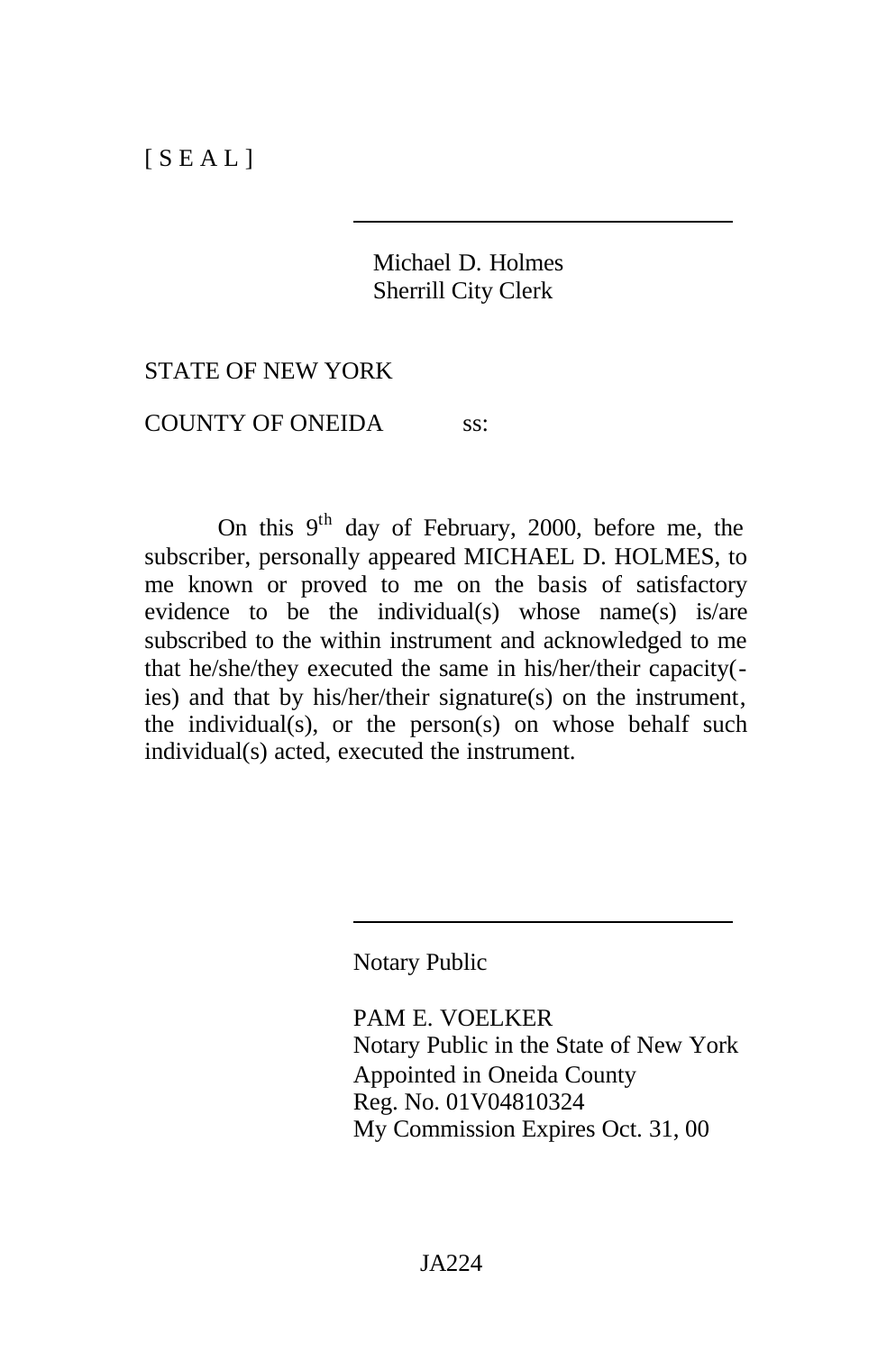## Michael D. Holmes Sherrill City Clerk

### STATE OF NEW YORK

COUNTY OF ONEIDA ss:

On this  $9<sup>th</sup>$  day of February, 2000, before me, the subscriber, personally appeared MICHAEL D. HOLMES, to me known or proved to me on the basis of satisfactory evidence to be the individual(s) whose name(s) is/are subscribed to the within instrument and acknowledged to me that he/she/they executed the same in his/her/their capacity( ies) and that by his/her/their signature(s) on the instrument, the individual(s), or the person(s) on whose behalf such individual(s) acted, executed the instrument.

Notary Public

PAM E. VOELKER Notary Public in the State of New York Appointed in Oneida County Reg. No. 01V04810324 My Commission Expires Oct. 31, 00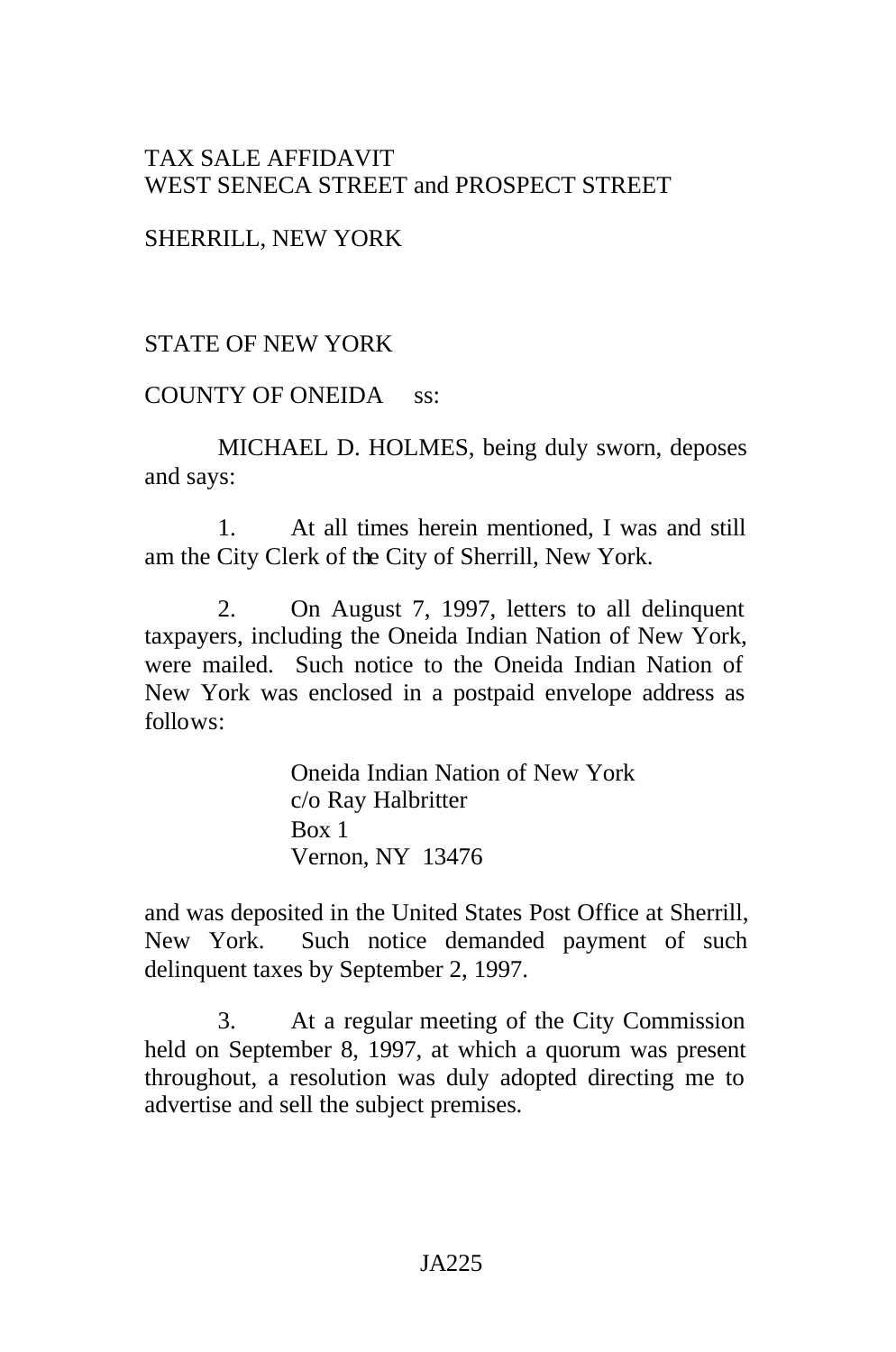# TAX SALE AFFIDAVIT WEST SENECA STREET and PROSPECT STREET

## SHERRILL, NEW YORK

## STATE OF NEW YORK

### COUNTY OF ONEIDA ss:

MICHAEL D. HOLMES, being duly sworn, deposes and says:

1. At all times herein mentioned, I was and still am the City Clerk of the City of Sherrill, New York.

2. On August 7, 1997, letters to all delinquent taxpayers, including the Oneida Indian Nation of New York, were mailed. Such notice to the Oneida Indian Nation of New York was enclosed in a postpaid envelope address as follows:

> Oneida Indian Nation of New York c/o Ray Halbritter Box 1 Vernon, NY 13476

and was deposited in the United States Post Office at Sherrill, New York. Such notice demanded payment of such delinquent taxes by September 2, 1997.

3. At a regular meeting of the City Commission held on September 8, 1997, at which a quorum was present throughout, a resolution was duly adopted directing me to advertise and sell the subject premises.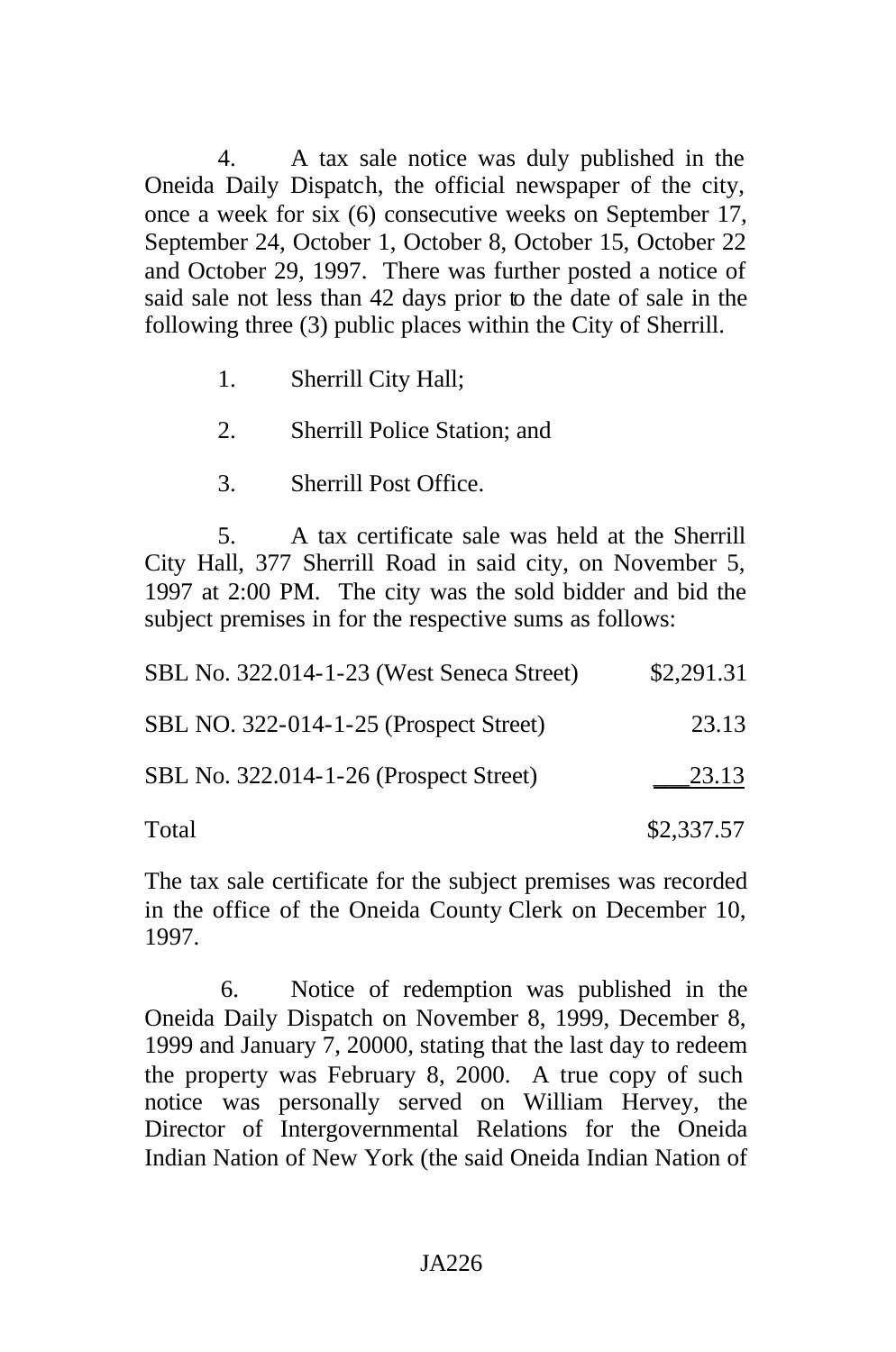4. A tax sale notice was duly published in the Oneida Daily Dispatch, the official newspaper of the city, once a week for six (6) consecutive weeks on September 17, September 24, October 1, October 8, October 15, October 22 and October 29, 1997. There was further posted a notice of said sale not less than 42 days prior to the date of sale in the following three (3) public places within the City of Sherrill.

- 1. Sherrill City Hall;
- 2. Sherrill Police Station; and
- 3. Sherrill Post Office.

5. A tax certificate sale was held at the Sherrill City Hall, 377 Sherrill Road in said city, on November 5, 1997 at 2:00 PM. The city was the sold bidder and bid the subject premises in for the respective sums as follows:

| SBL No. 322.014-1-23 (West Seneca Street) | \$2,291.31 |
|-------------------------------------------|------------|
| SBL NO. 322-014-1-25 (Prospect Street)    | 23.13      |
| SBL No. 322.014-1-26 (Prospect Street)    | 23.13      |
| Total                                     | \$2,337.57 |

The tax sale certificate for the subject premises was recorded in the office of the Oneida County Clerk on December 10, 1997.

6. Notice of redemption was published in the Oneida Daily Dispatch on November 8, 1999, December 8, 1999 and January 7, 20000, stating that the last day to redeem the property was February 8, 2000. A true copy of such notice was personally served on William Hervey, the Director of Intergovernmental Relations for the Oneida Indian Nation of New York (the said Oneida Indian Nation of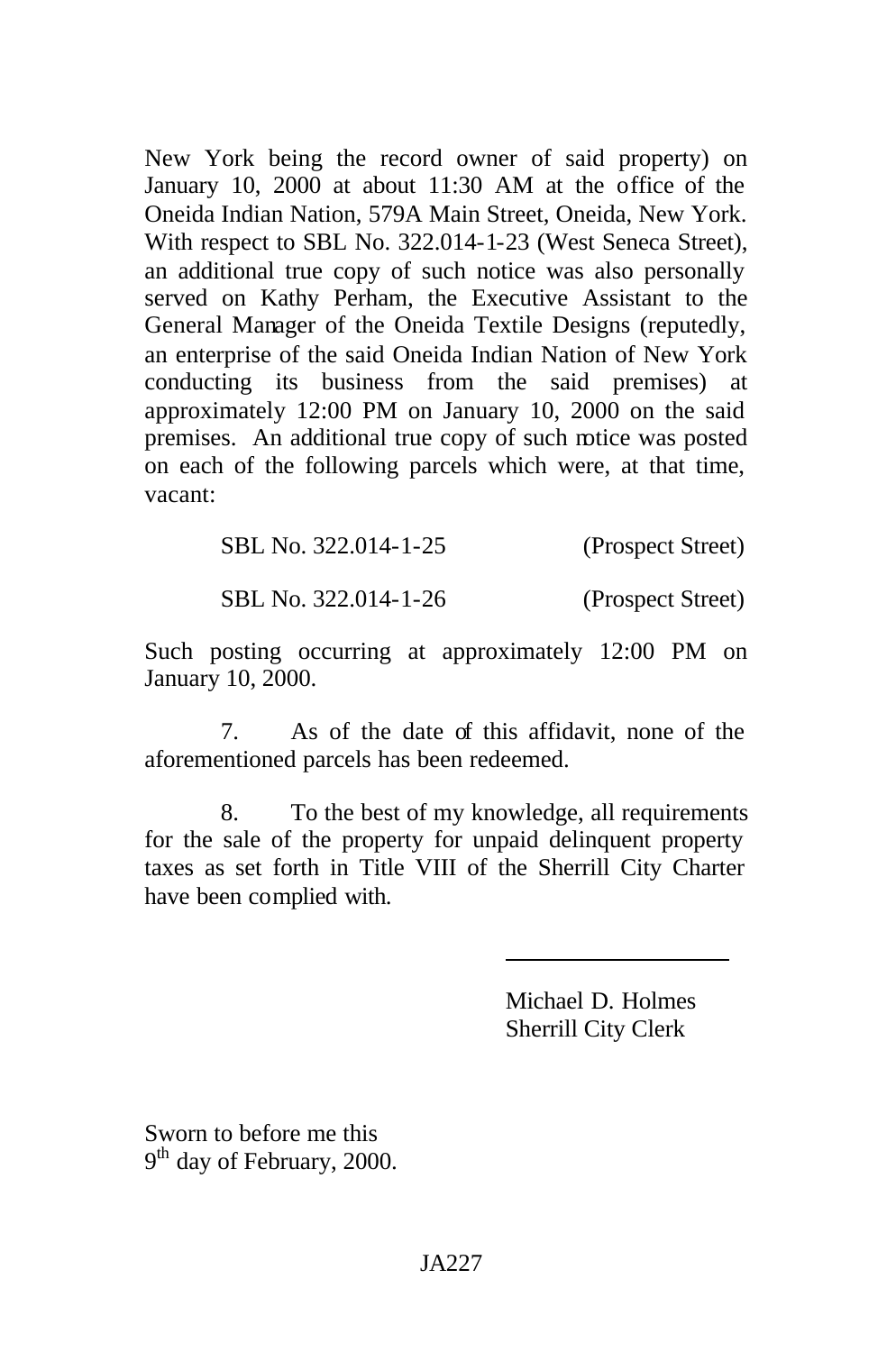New York being the record owner of said property) on January 10, 2000 at about 11:30 AM at the office of the Oneida Indian Nation, 579A Main Street, Oneida, New York. With respect to SBL No. 322.014-1-23 (West Seneca Street), an additional true copy of such notice was also personally served on Kathy Perham, the Executive Assistant to the General Manager of the Oneida Textile Designs (reputedly, an enterprise of the said Oneida Indian Nation of New York conducting its business from the said premises) at approximately 12:00 PM on January 10, 2000 on the said premises. An additional true copy of such notice was posted on each of the following parcels which were, at that time, vacant:

| SBL No. 322.014-1-25 | (Prospect Street) |
|----------------------|-------------------|
| SBL No. 322.014-1-26 | (Prospect Street) |

Such posting occurring at approximately 12:00 PM on January 10, 2000.

7. As of the date of this affidavit, none of the aforementioned parcels has been redeemed.

8. To the best of my knowledge, all requirements for the sale of the property for unpaid delinquent property taxes as set forth in Title VIII of the Sherrill City Charter have been complied with.

> Michael D. Holmes Sherrill City Clerk

Sworn to before me this 9<sup>th</sup> day of February, 2000.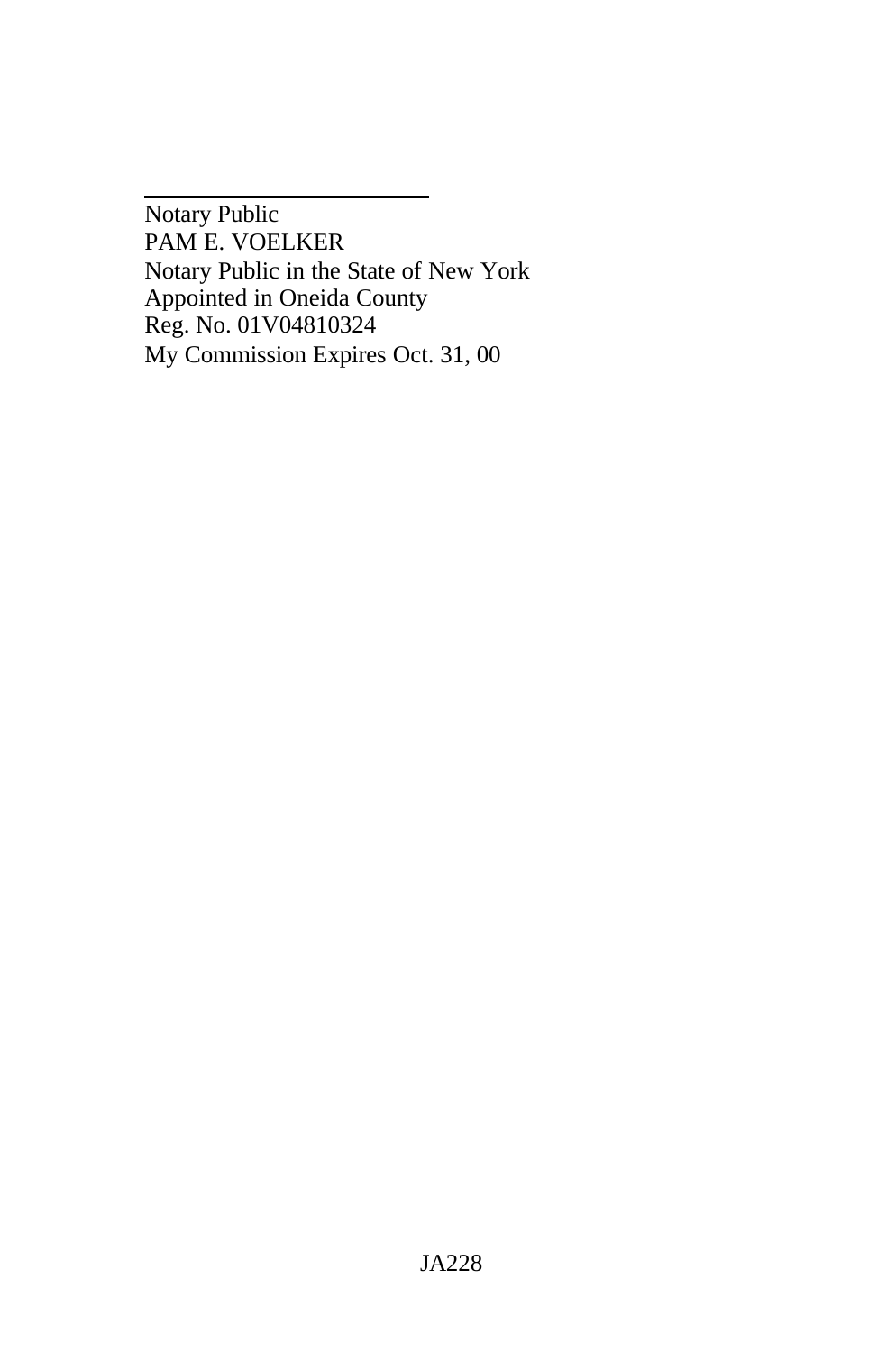Notary Public PAM E. VOELKER Notary Public in the State of New York Appointed in Oneida County Reg. No. 01V04810324 My Commission Expires Oct. 31, 00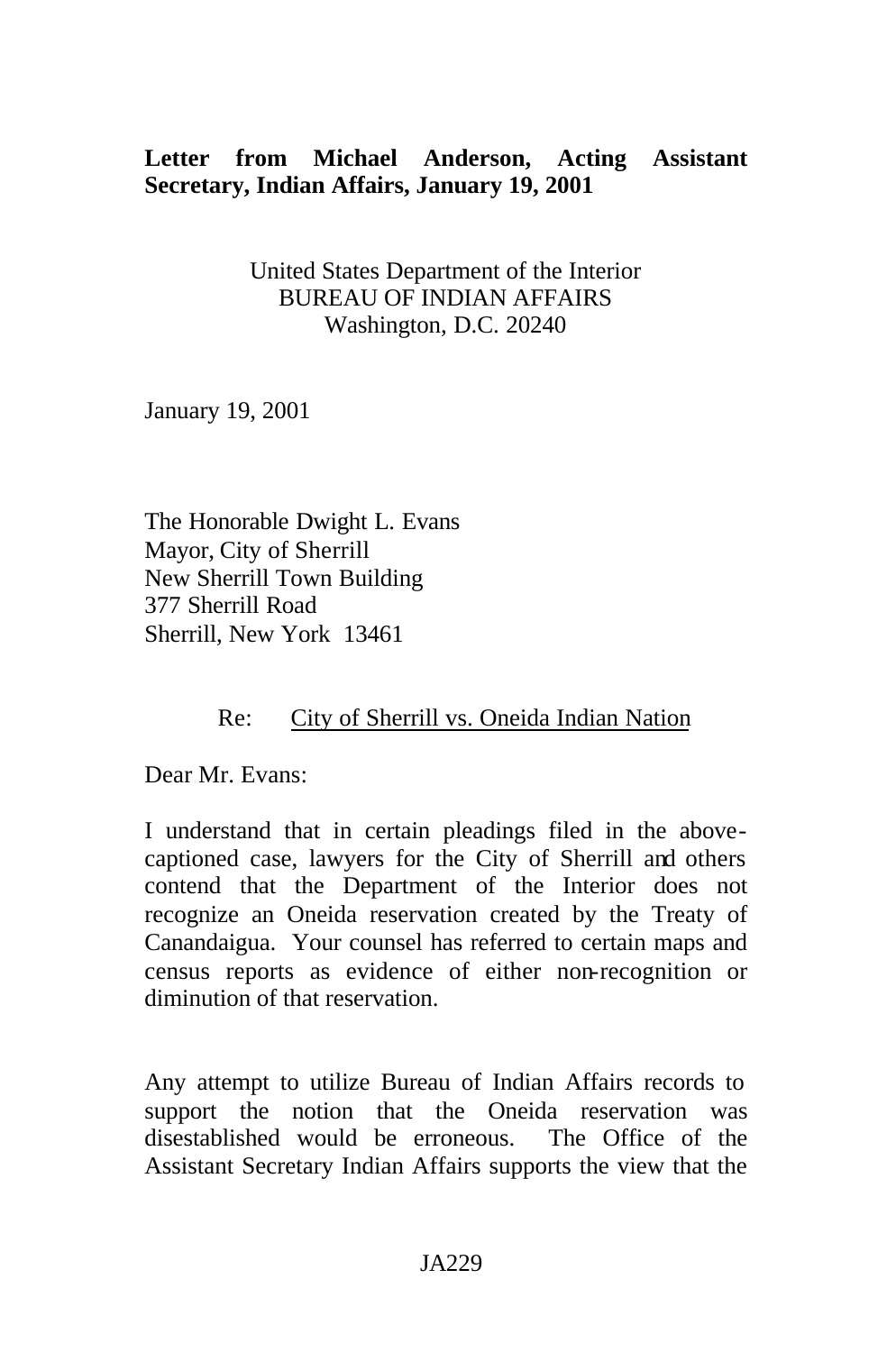# **Letter from Michael Anderson, Acting Assistant Secretary, Indian Affairs, January 19, 2001**

United States Department of the Interior BUREAU OF INDIAN AFFAIRS Washington, D.C. 20240

January 19, 2001

The Honorable Dwight L. Evans Mayor, City of Sherrill New Sherrill Town Building 377 Sherrill Road Sherrill, New York 13461

## Re: City of Sherrill vs. Oneida Indian Nation

Dear Mr. Evans:

I understand that in certain pleadings filed in the abovecaptioned case, lawyers for the City of Sherrill and others contend that the Department of the Interior does not recognize an Oneida reservation created by the Treaty of Canandaigua. Your counsel has referred to certain maps and census reports as evidence of either non-recognition or diminution of that reservation.

Any attempt to utilize Bureau of Indian Affairs records to support the notion that the Oneida reservation was disestablished would be erroneous. The Office of the Assistant Secretary Indian Affairs supports the view that the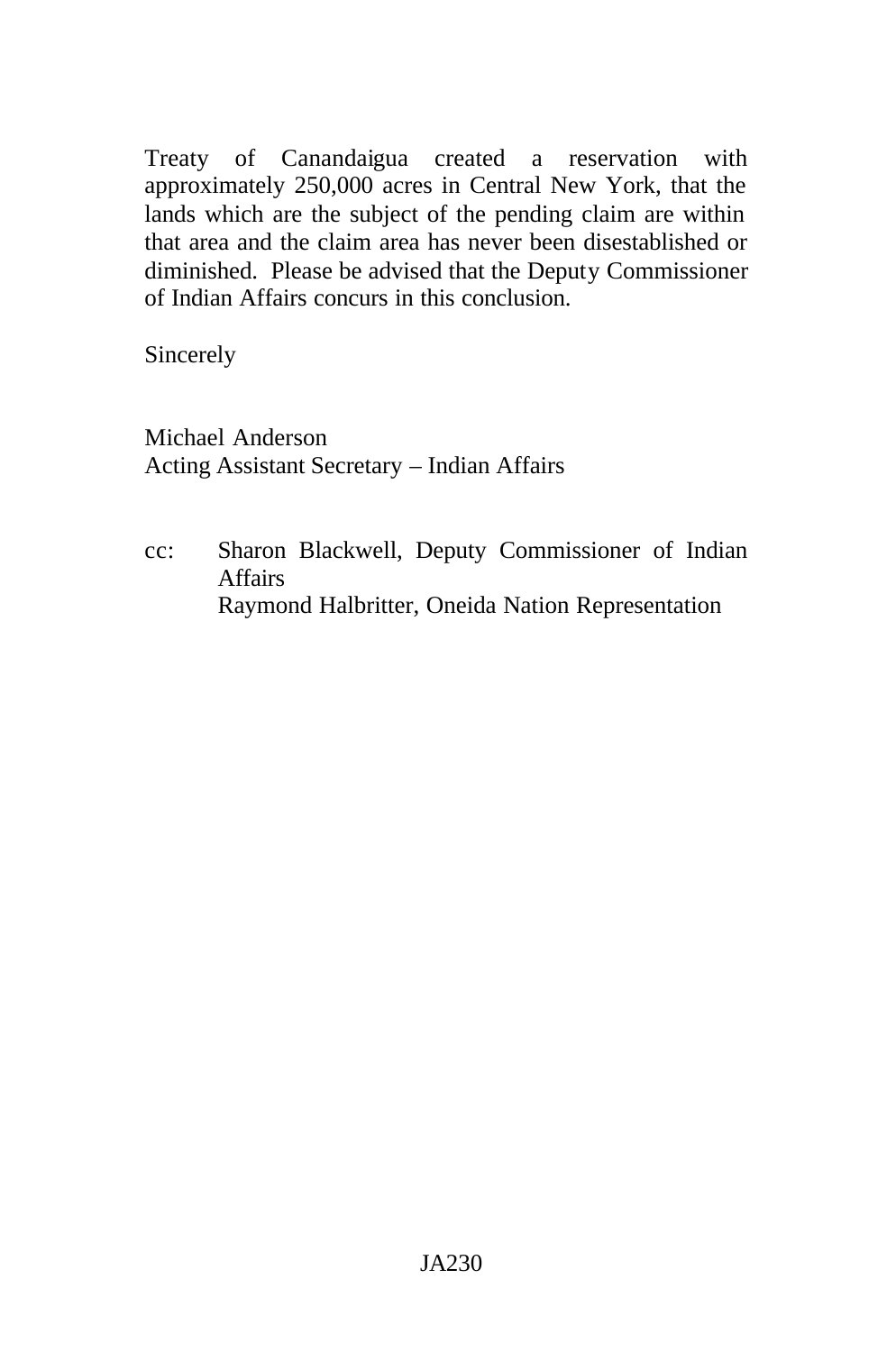Treaty of Canandaigua created a reservation with approximately 250,000 acres in Central New York, that the lands which are the subject of the pending claim are within that area and the claim area has never been disestablished or diminished. Please be advised that the Deputy Commissioner of Indian Affairs concurs in this conclusion.

Sincerely

Michael Anderson Acting Assistant Secretary – Indian Affairs

cc: Sharon Blackwell, Deputy Commissioner of Indian Affairs Raymond Halbritter, Oneida Nation Representation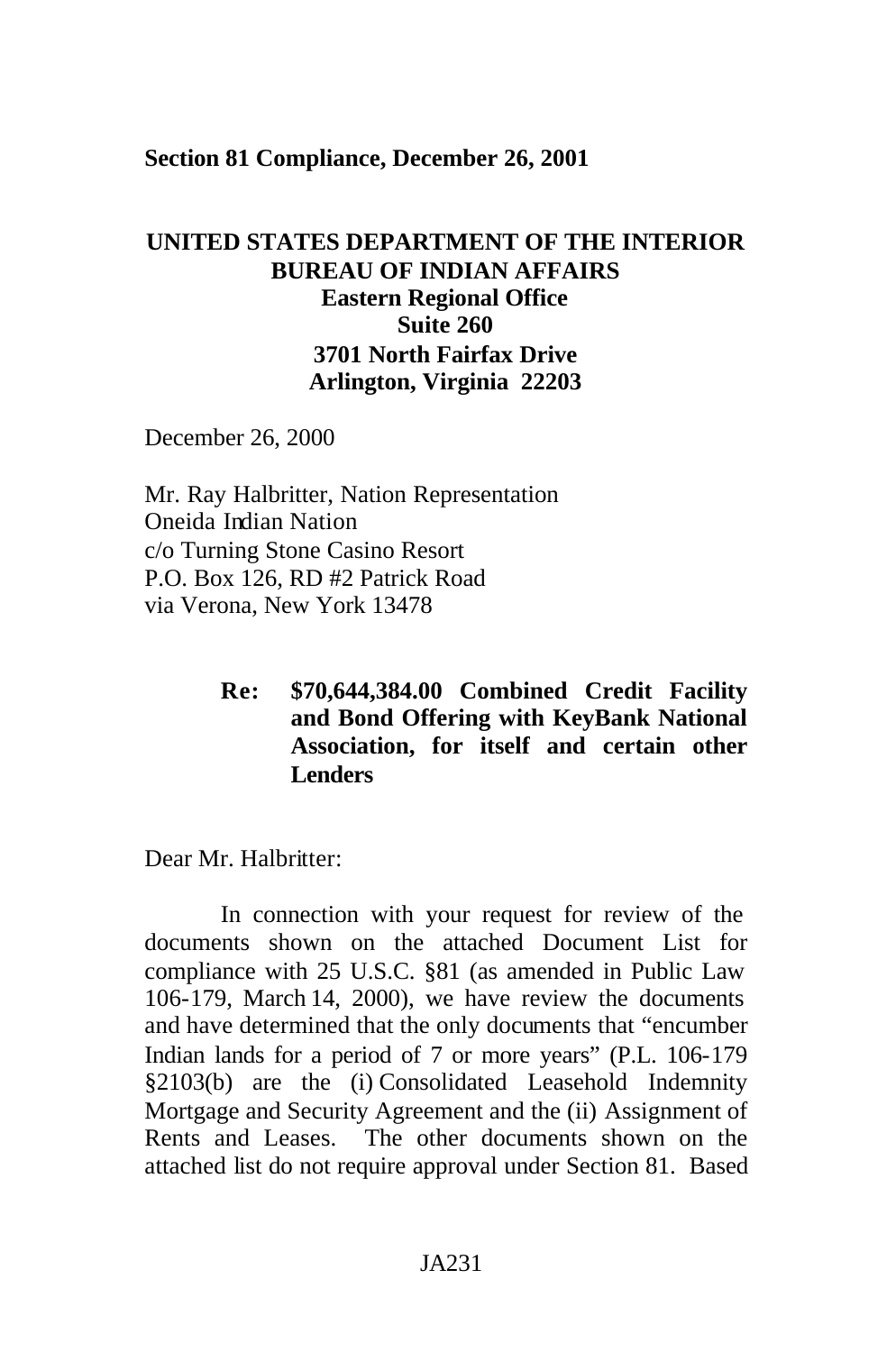### **Section 81 Compliance, December 26, 2001**

# **UNITED STATES DEPARTMENT OF THE INTERIOR BUREAU OF INDIAN AFFAIRS Eastern Regional Office Suite 260 3701 North Fairfax Drive Arlington, Virginia 22203**

December 26, 2000

Mr. Ray Halbritter, Nation Representation Oneida Indian Nation c/o Turning Stone Casino Resort P.O. Box 126, RD #2 Patrick Road via Verona, New York 13478

> **Re: \$70,644,384.00 Combined Credit Facility and Bond Offering with KeyBank National Association, for itself and certain other Lenders**

Dear Mr. Halbritter:

In connection with your request for review of the documents shown on the attached Document List for compliance with 25 U.S.C. §81 (as amended in Public Law 106-179, March 14, 2000), we have review the documents and have determined that the only documents that "encumber Indian lands for a period of 7 or more years" (P.L. 106-179 §2103(b) are the (i) Consolidated Leasehold Indemnity Mortgage and Security Agreement and the (ii) Assignment of Rents and Leases. The other documents shown on the attached list do not require approval under Section 81. Based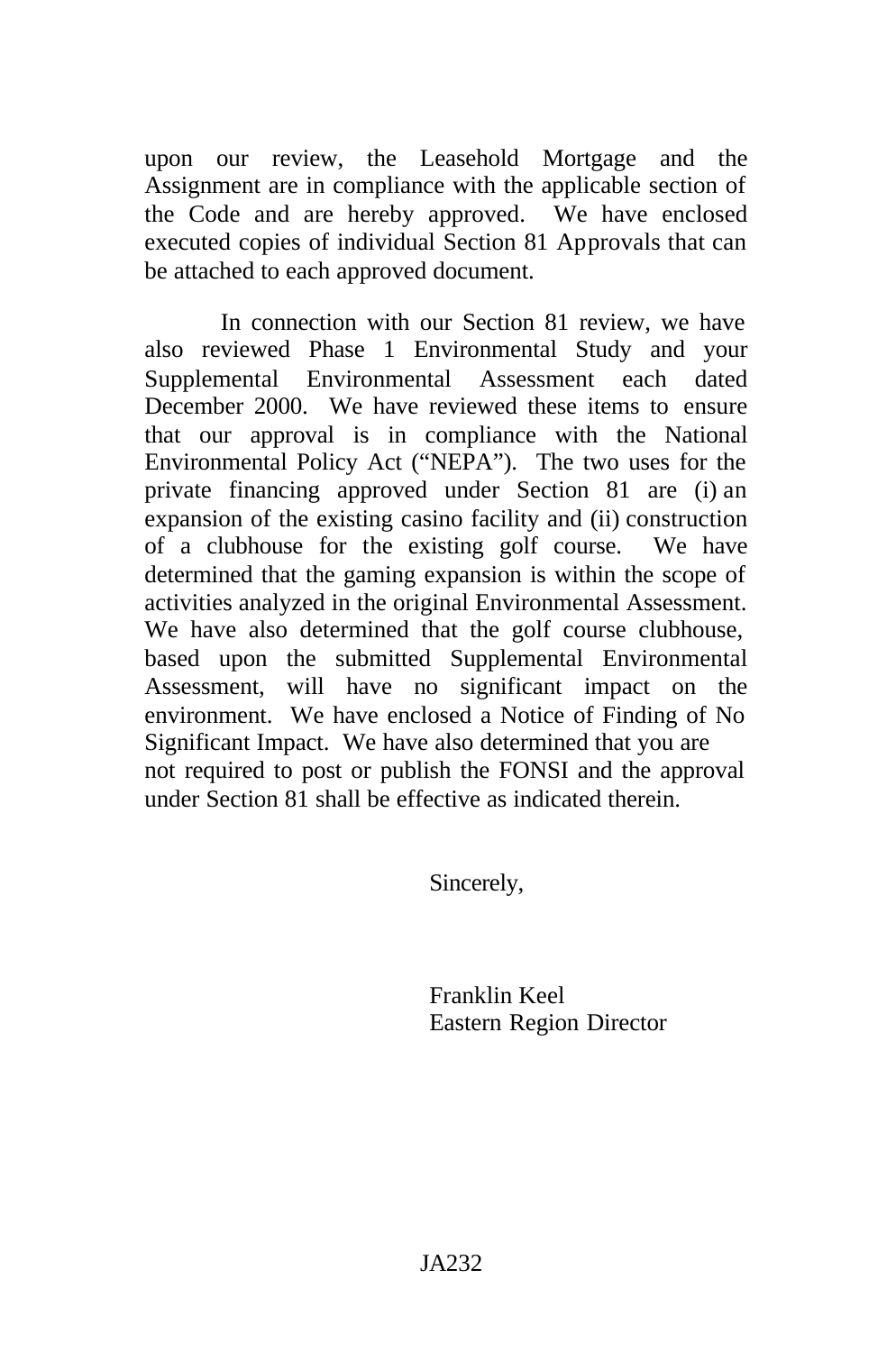upon our review, the Leasehold Mortgage and the Assignment are in compliance with the applicable section of the Code and are hereby approved. We have enclosed executed copies of individual Section 81 Approvals that can be attached to each approved document.

In connection with our Section 81 review, we have also reviewed Phase 1 Environmental Study and your Supplemental Environmental Assessment each dated December 2000. We have reviewed these items to ensure that our approval is in compliance with the National Environmental Policy Act ("NEPA"). The two uses for the private financing approved under Section 81 are (i) an expansion of the existing casino facility and (ii) construction of a clubhouse for the existing golf course. We have determined that the gaming expansion is within the scope of activities analyzed in the original Environmental Assessment. We have also determined that the golf course clubhouse, based upon the submitted Supplemental Environmental Assessment, will have no significant impact on the environment. We have enclosed a Notice of Finding of No Significant Impact. We have also determined that you are not required to post or publish the FONSI and the approval under Section 81 shall be effective as indicated therein.

Sincerely,

Franklin Keel Eastern Region Director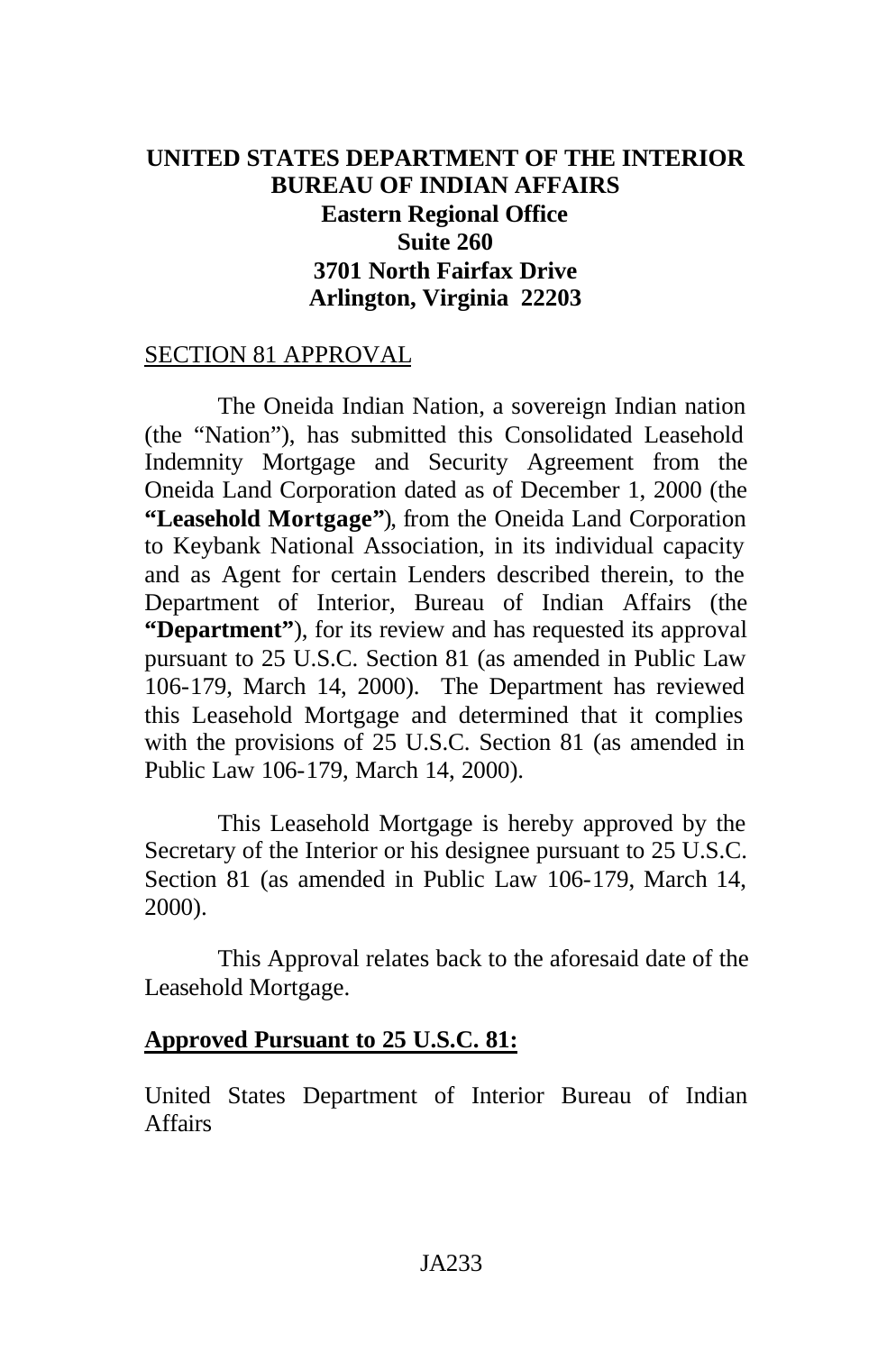# **UNITED STATES DEPARTMENT OF THE INTERIOR BUREAU OF INDIAN AFFAIRS Eastern Regional Office Suite 260 3701 North Fairfax Drive Arlington, Virginia 22203**

### SECTION 81 APPROVAL

The Oneida Indian Nation, a sovereign Indian nation (the "Nation"), has submitted this Consolidated Leasehold Indemnity Mortgage and Security Agreement from the Oneida Land Corporation dated as of December 1, 2000 (the **"Leasehold Mortgage"**), from the Oneida Land Corporation to Keybank National Association, in its individual capacity and as Agent for certain Lenders described therein, to the Department of Interior, Bureau of Indian Affairs (the **"Department"**), for its review and has requested its approval pursuant to 25 U.S.C. Section 81 (as amended in Public Law 106-179, March 14, 2000). The Department has reviewed this Leasehold Mortgage and determined that it complies with the provisions of 25 U.S.C. Section 81 (as amended in Public Law 106-179, March 14, 2000).

This Leasehold Mortgage is hereby approved by the Secretary of the Interior or his designee pursuant to 25 U.S.C. Section 81 (as amended in Public Law 106-179, March 14, 2000).

This Approval relates back to the aforesaid date of the Leasehold Mortgage.

### **Approved Pursuant to 25 U.S.C. 81:**

United States Department of Interior Bureau of Indian Affairs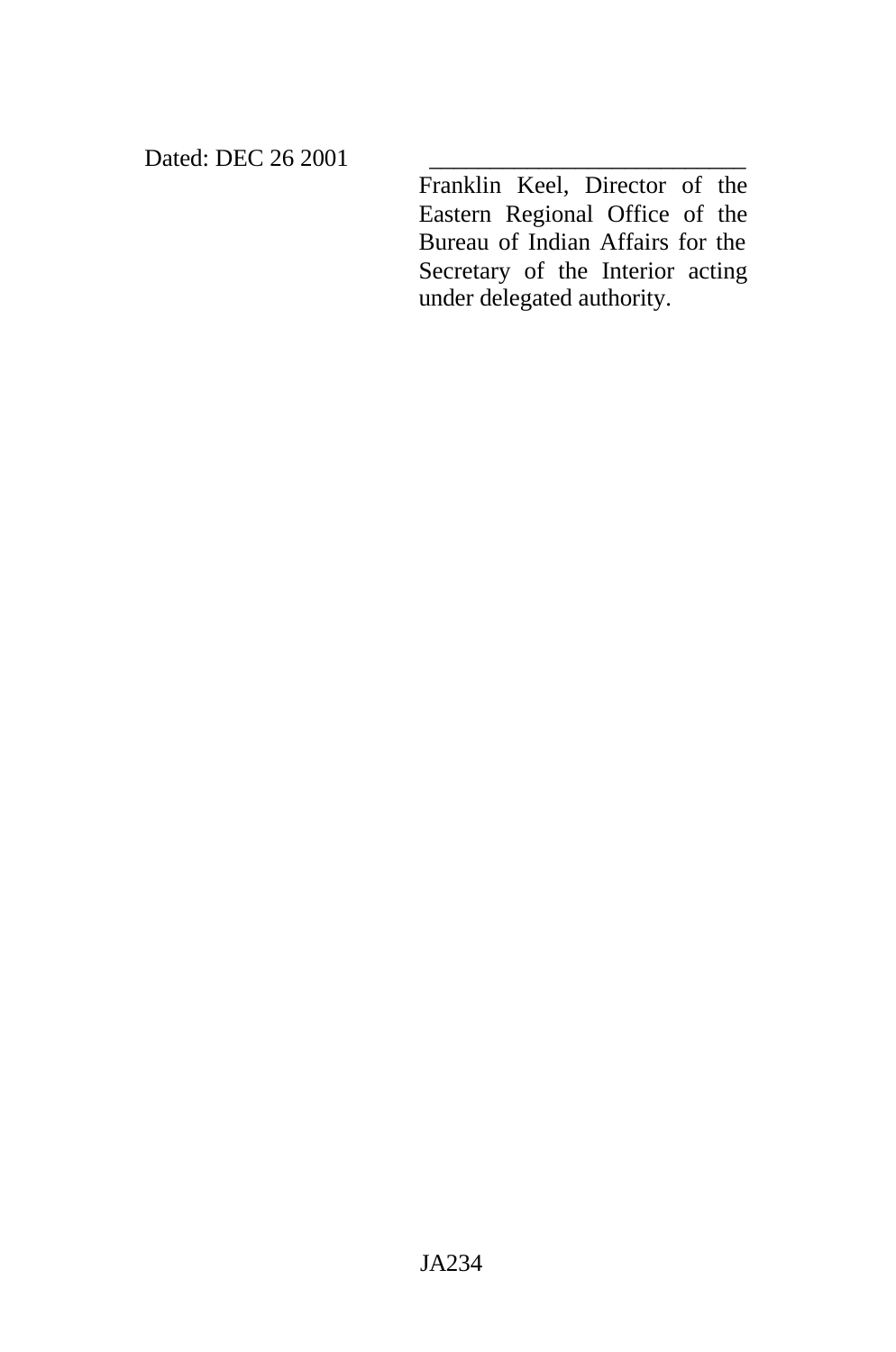Dated: DEC 26 2001

Franklin Keel, Director of the Eastern Regional Office of the Bureau of Indian Affairs for the Secretary of the Interior acting under delegated authority.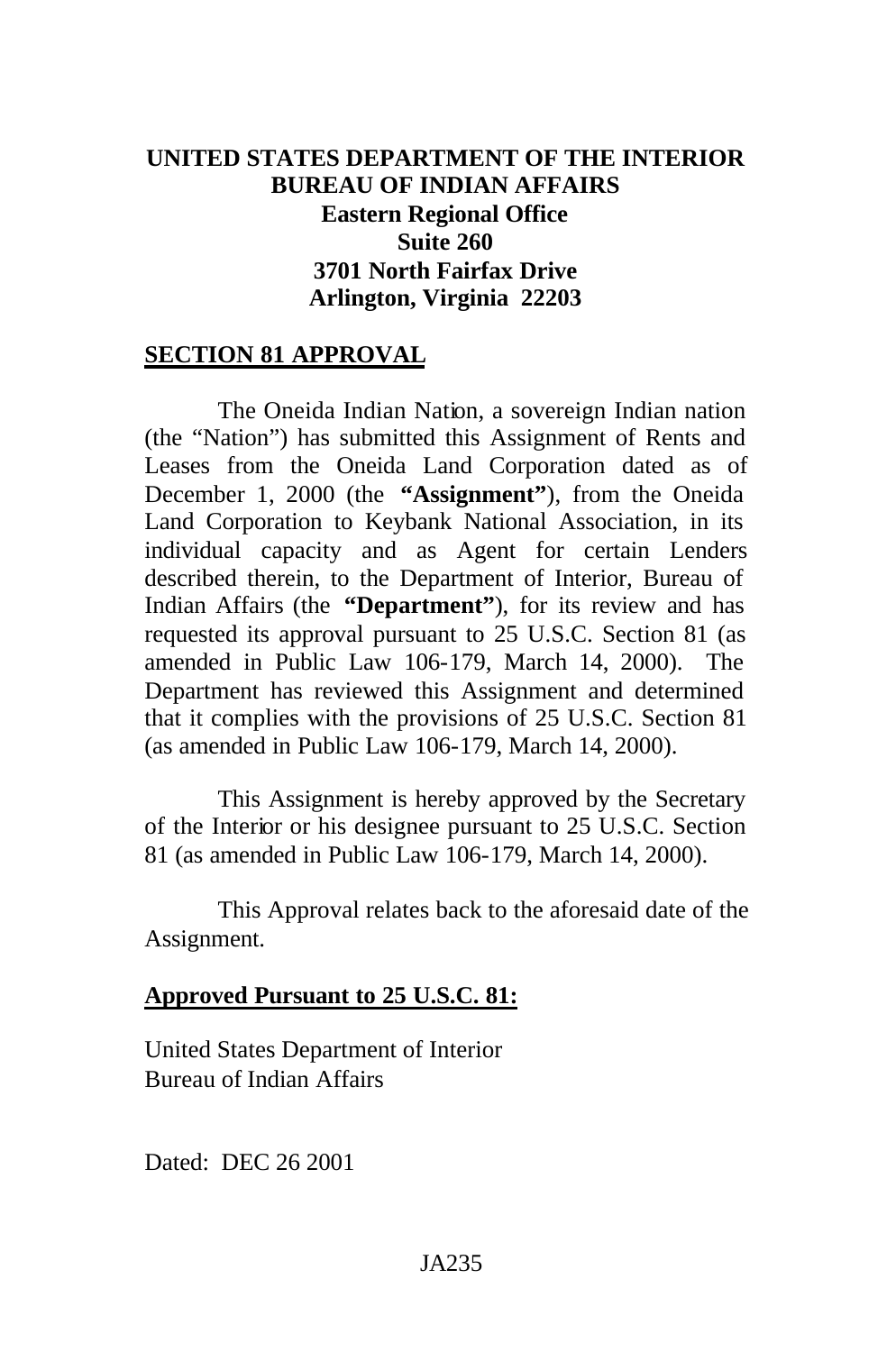# **UNITED STATES DEPARTMENT OF THE INTERIOR BUREAU OF INDIAN AFFAIRS Eastern Regional Office Suite 260 3701 North Fairfax Drive Arlington, Virginia 22203**

# **SECTION 81 APPROVAL**

The Oneida Indian Nation, a sovereign Indian nation (the "Nation") has submitted this Assignment of Rents and Leases from the Oneida Land Corporation dated as of December 1, 2000 (the **"Assignment"**), from the Oneida Land Corporation to Keybank National Association, in its individual capacity and as Agent for certain Lenders described therein, to the Department of Interior, Bureau of Indian Affairs (the **"Department"**), for its review and has requested its approval pursuant to 25 U.S.C. Section 81 (as amended in Public Law 106-179, March 14, 2000). The Department has reviewed this Assignment and determined that it complies with the provisions of 25 U.S.C. Section 81 (as amended in Public Law 106-179, March 14, 2000).

This Assignment is hereby approved by the Secretary of the Interior or his designee pursuant to 25 U.S.C. Section 81 (as amended in Public Law 106-179, March 14, 2000).

This Approval relates back to the aforesaid date of the Assignment.

#### **Approved Pursuant to 25 U.S.C. 81:**

United States Department of Interior Bureau of Indian Affairs

Dated: DEC 26 2001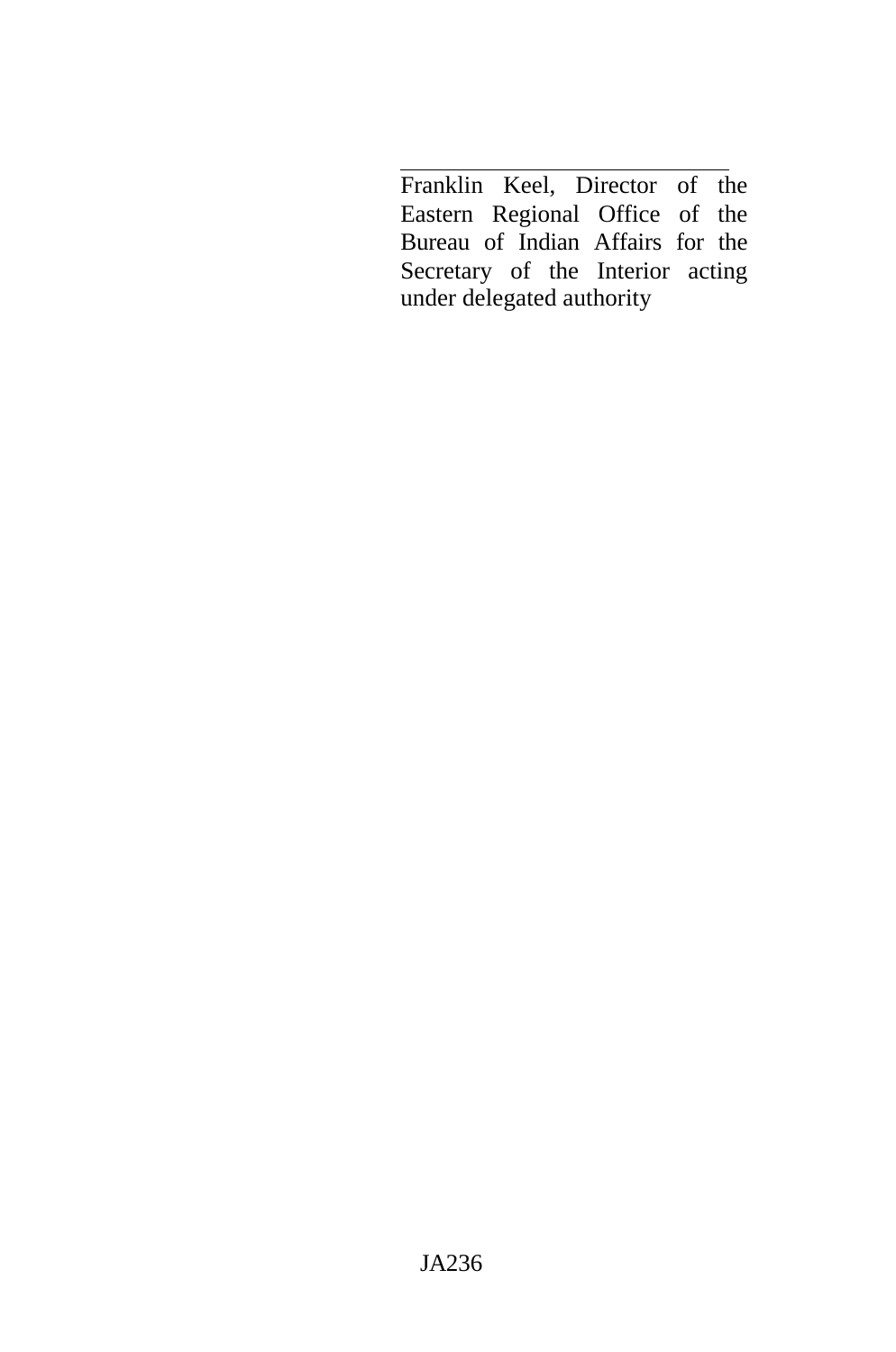Franklin Keel, Director of the Eastern Regional Office of the Bureau of Indian Affairs for the Secretary of the Interior acting under delegated authority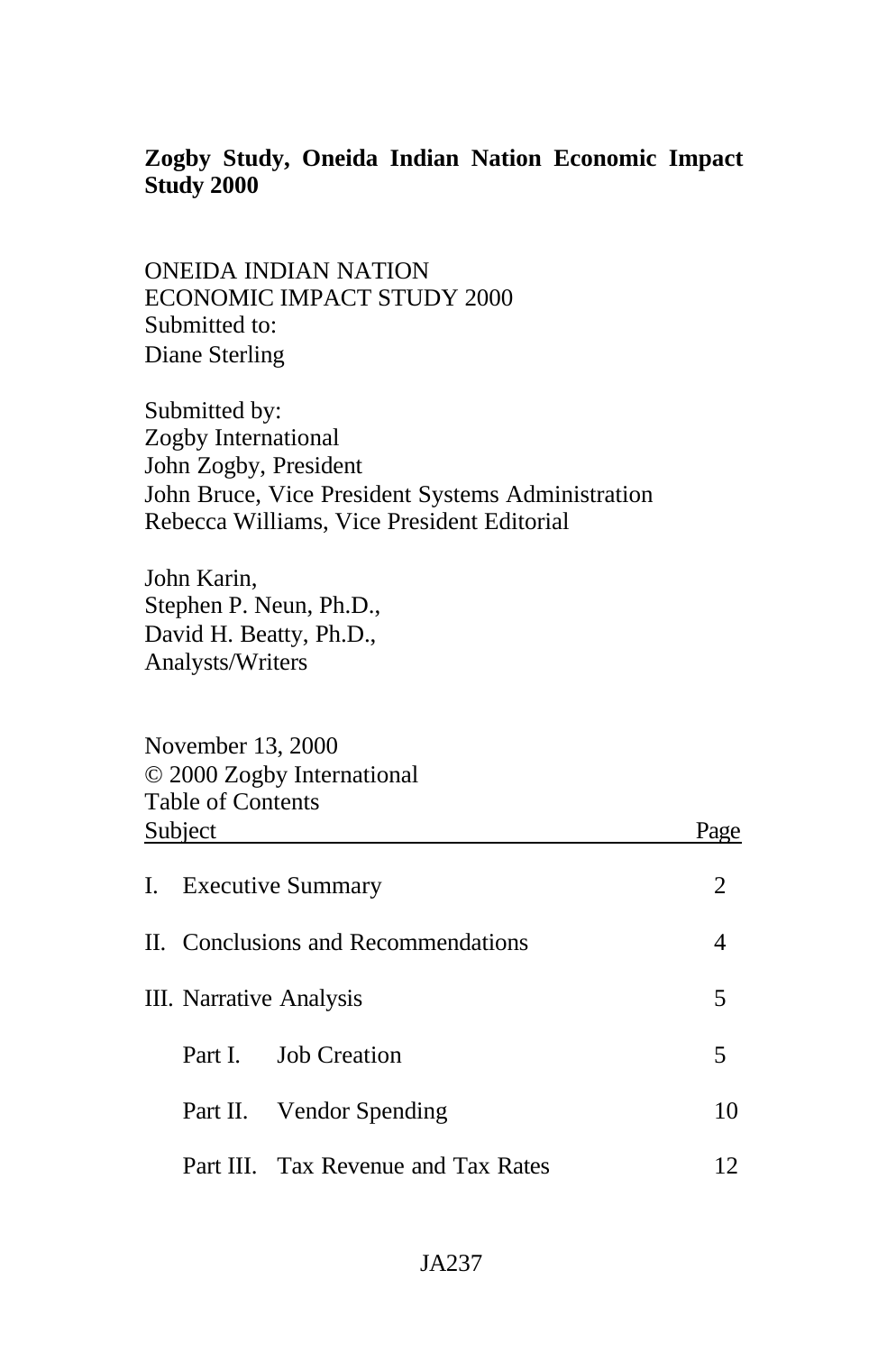# **Zogby Study, Oneida Indian Nation Economic Impact Study 2000**

ONEIDA INDIAN NATION ECONOMIC IMPACT STUDY 2000 Submitted to: Diane Sterling

Submitted by: Zogby International John Zogby, President John Bruce, Vice President Systems Administration Rebecca Williams, Vice President Editorial

John Karin, Stephen P. Neun, Ph.D., David H. Beatty, Ph.D., Analysts/Writers

November 13, 2000 © 2000 Zogby International Table of Contents Subject Page

| I. Executive Summary                |                                     |    |
|-------------------------------------|-------------------------------------|----|
| II. Conclusions and Recommendations |                                     |    |
| III. Narrative Analysis             |                                     | 5  |
|                                     | Part I. Job Creation                | 5  |
|                                     | Part II. Vendor Spending            | 10 |
|                                     | Part III. Tax Revenue and Tax Rates |    |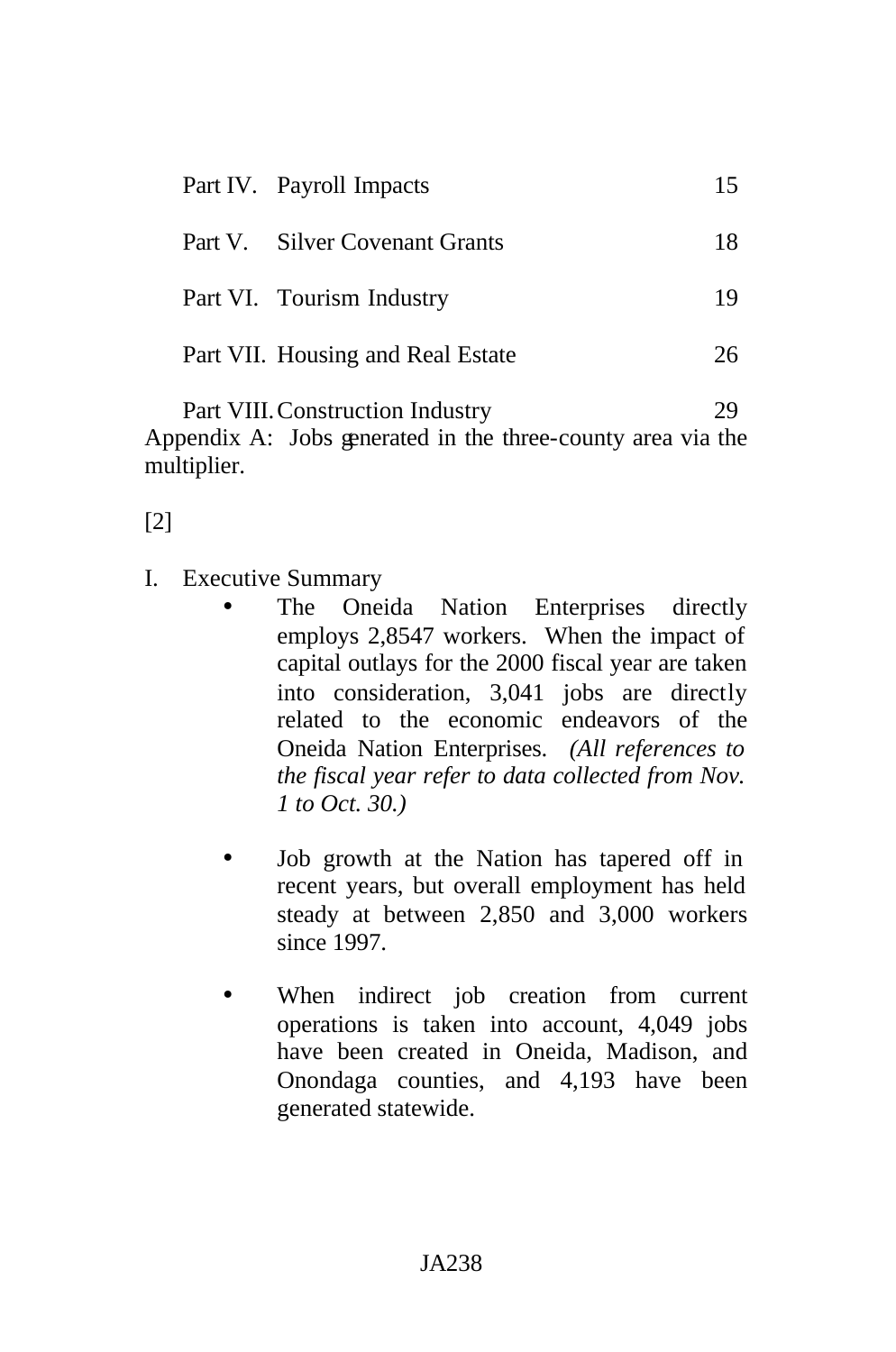| 15.                                                                                                                          |
|------------------------------------------------------------------------------------------------------------------------------|
| 18.                                                                                                                          |
| 19                                                                                                                           |
| 26.                                                                                                                          |
| Part IV. Payroll Impacts<br>Part V. Silver Covenant Grants<br>Part VI. Tourism Industry<br>Part VII. Housing and Real Estate |

Part VIII. Construction Industry 29 Appendix A: Jobs generated in the three-county area via the multiplier.

[2]

- I. Executive Summary
	- The Oneida Nation Enterprises directly employs 2,8547 workers. When the impact of capital outlays for the 2000 fiscal year are taken into consideration, 3,041 jobs are directly related to the economic endeavors of the Oneida Nation Enterprises. *(All references to the fiscal year refer to data collected from Nov. 1 to Oct. 30.)*
	- Job growth at the Nation has tapered off in recent years, but overall employment has held steady at between 2,850 and 3,000 workers since 1997.
	- When indirect job creation from current operations is taken into account, 4,049 jobs have been created in Oneida, Madison, and Onondaga counties, and 4,193 have been generated statewide.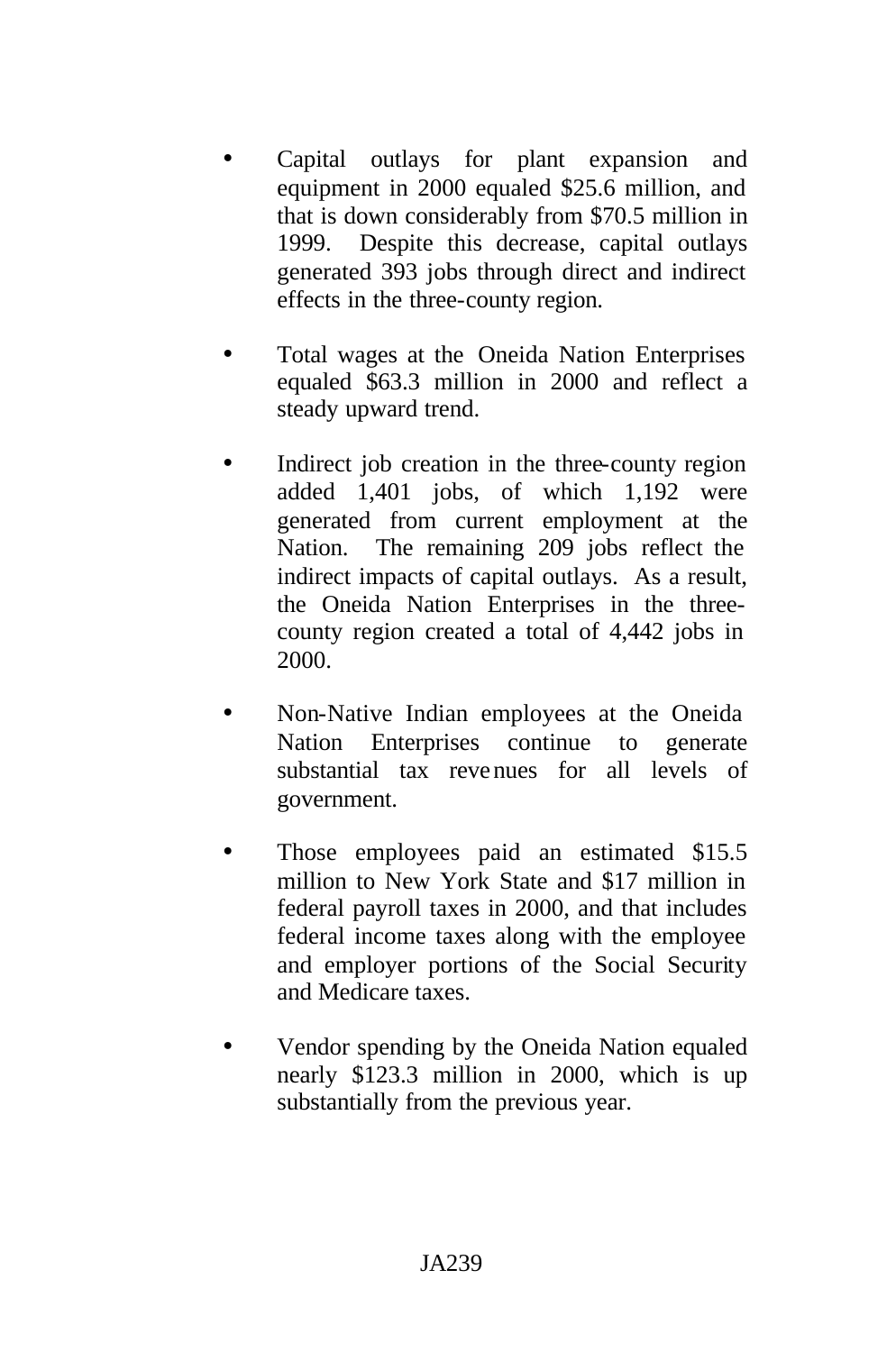- Capital outlays for plant expansion and equipment in 2000 equaled \$25.6 million, and that is down considerably from \$70.5 million in 1999. Despite this decrease, capital outlays generated 393 jobs through direct and indirect effects in the three-county region.
- Total wages at the Oneida Nation Enterprises equaled \$63.3 million in 2000 and reflect a steady upward trend.
- Indirect job creation in the three-county region added 1,401 jobs, of which 1,192 were generated from current employment at the Nation. The remaining 209 jobs reflect the indirect impacts of capital outlays. As a result, the Oneida Nation Enterprises in the threecounty region created a total of 4,442 jobs in 2000.
- Non-Native Indian employees at the Oneida Nation Enterprises continue to generate substantial tax revenues for all levels of government.
- Those employees paid an estimated \$15.5 million to New York State and \$17 million in federal payroll taxes in 2000, and that includes federal income taxes along with the employee and employer portions of the Social Security and Medicare taxes.
- Vendor spending by the Oneida Nation equaled nearly \$123.3 million in 2000, which is up substantially from the previous year.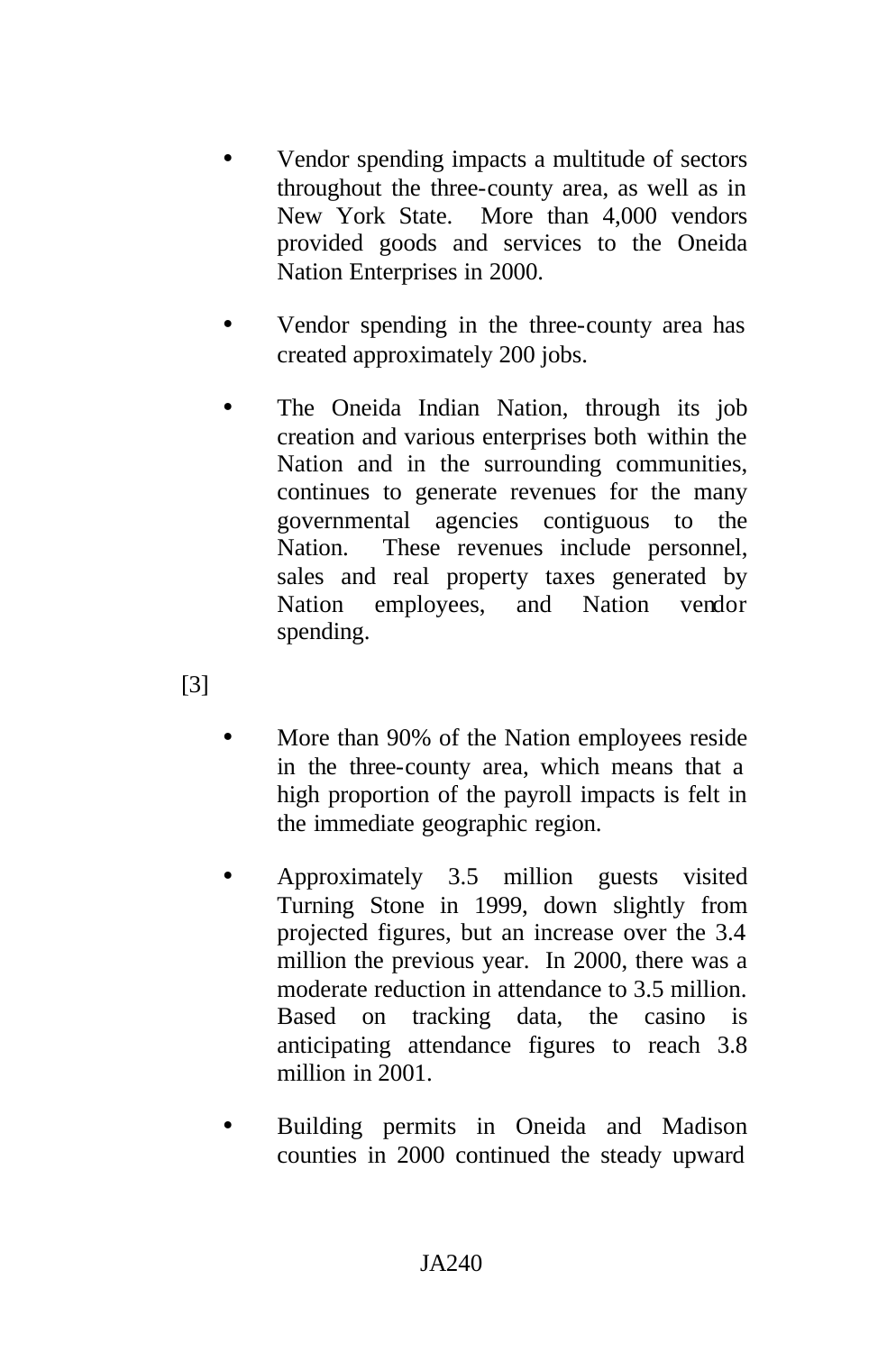- Vendor spending impacts a multitude of sectors throughout the three-county area, as well as in New York State. More than 4,000 vendors provided goods and services to the Oneida Nation Enterprises in 2000.
- Vendor spending in the three-county area has created approximately 200 jobs.
- The Oneida Indian Nation, through its job creation and various enterprises both within the Nation and in the surrounding communities, continues to generate revenues for the many governmental agencies contiguous to the Nation. These revenues include personnel, sales and real property taxes generated by Nation employees, and Nation vendor spending.

[3]

- More than 90% of the Nation employees reside in the three-county area, which means that a high proportion of the payroll impacts is felt in the immediate geographic region.
- Approximately 3.5 million guests visited Turning Stone in 1999, down slightly from projected figures, but an increase over the 3.4 million the previous year. In 2000, there was a moderate reduction in attendance to 3.5 million. Based on tracking data, the casino is anticipating attendance figures to reach 3.8 million in 2001.
- Building permits in Oneida and Madison counties in 2000 continued the steady upward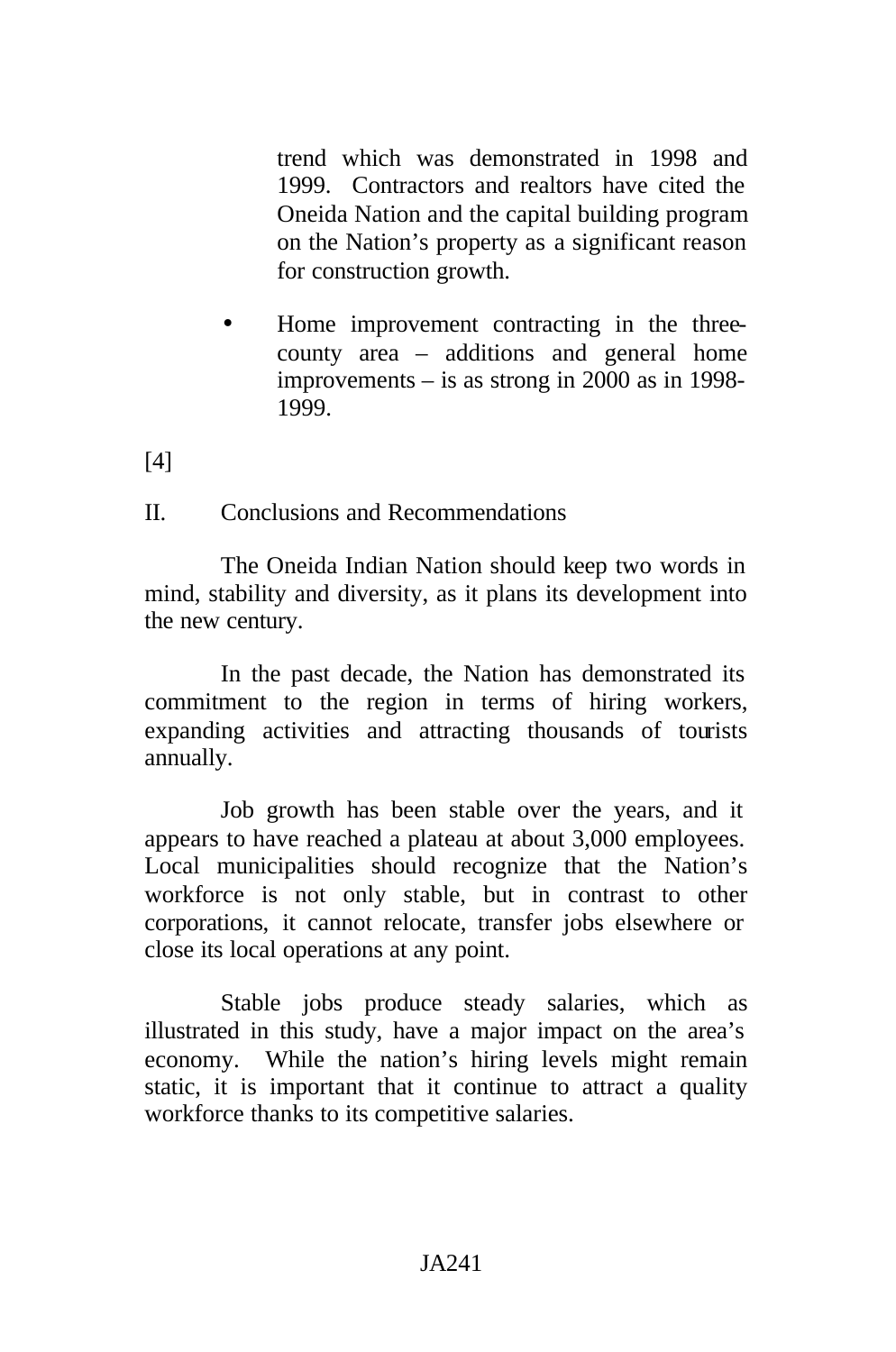trend which was demonstrated in 1998 and 1999. Contractors and realtors have cited the Oneida Nation and the capital building program on the Nation's property as a significant reason for construction growth.

• Home improvement contracting in the threecounty area – additions and general home improvements – is as strong in 2000 as in 1998- 1999.

[4]

II. Conclusions and Recommendations

The Oneida Indian Nation should keep two words in mind, stability and diversity, as it plans its development into the new century.

In the past decade, the Nation has demonstrated its commitment to the region in terms of hiring workers, expanding activities and attracting thousands of tourists annually.

Job growth has been stable over the years, and it appears to have reached a plateau at about 3,000 employees. Local municipalities should recognize that the Nation's workforce is not only stable, but in contrast to other corporations, it cannot relocate, transfer jobs elsewhere or close its local operations at any point.

Stable jobs produce steady salaries, which as illustrated in this study, have a major impact on the area's economy. While the nation's hiring levels might remain static, it is important that it continue to attract a quality workforce thanks to its competitive salaries.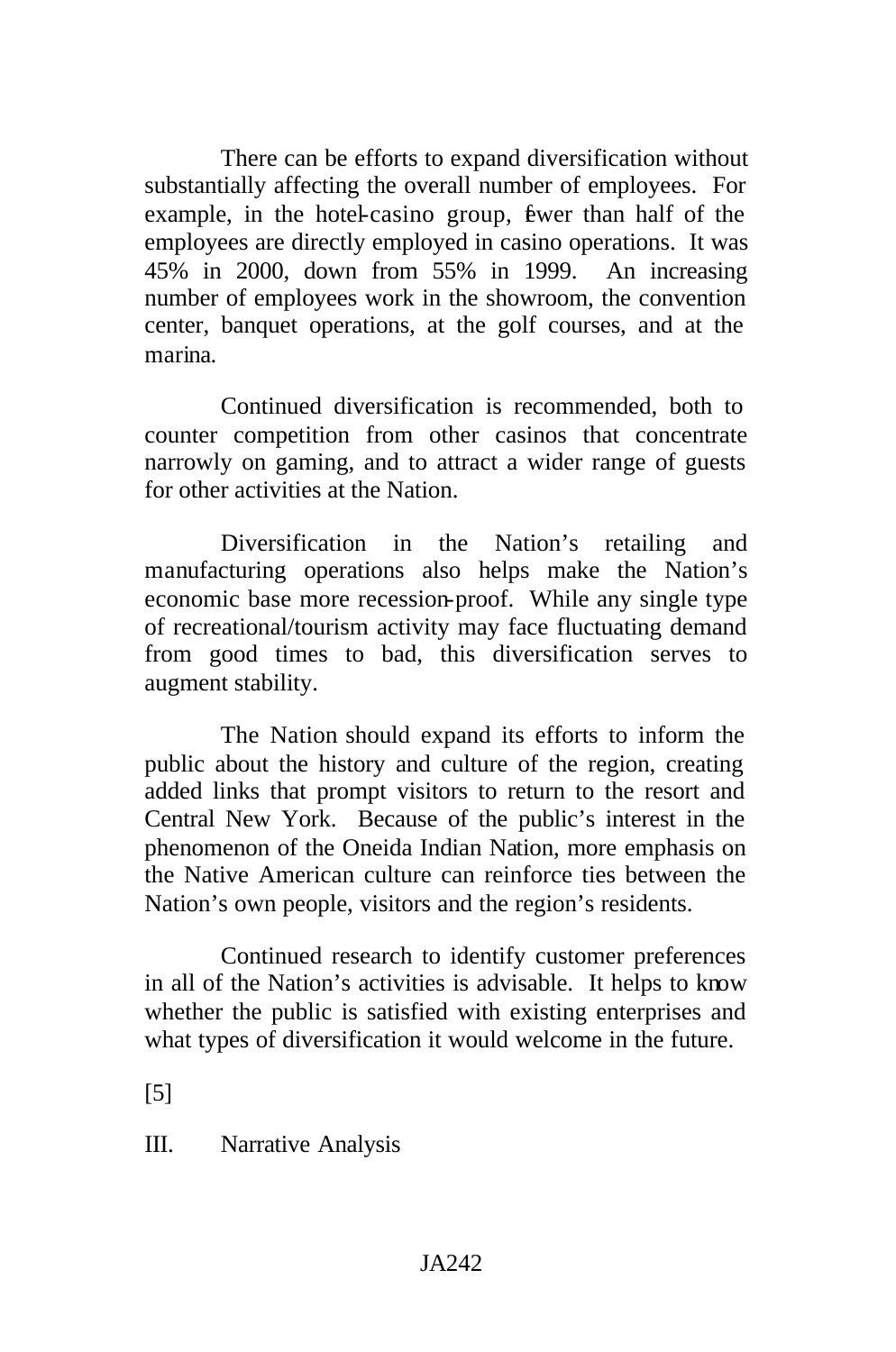There can be efforts to expand diversification without substantially affecting the overall number of employees. For example, in the hotel-casino group, fewer than half of the employees are directly employed in casino operations. It was 45% in 2000, down from 55% in 1999. An increasing number of employees work in the showroom, the convention center, banquet operations, at the golf courses, and at the marina.

Continued diversification is recommended, both to counter competition from other casinos that concentrate narrowly on gaming, and to attract a wider range of guests for other activities at the Nation.

Diversification in the Nation's retailing and manufacturing operations also helps make the Nation's economic base more recession-proof. While any single type of recreational/tourism activity may face fluctuating demand from good times to bad, this diversification serves to augment stability.

The Nation should expand its efforts to inform the public about the history and culture of the region, creating added links that prompt visitors to return to the resort and Central New York. Because of the public's interest in the phenomenon of the Oneida Indian Nation, more emphasis on the Native American culture can reinforce ties between the Nation's own people, visitors and the region's residents.

Continued research to identify customer preferences in all of the Nation's activities is advisable. It helps to know whether the public is satisfied with existing enterprises and what types of diversification it would welcome in the future.

[5]

III. Narrative Analysis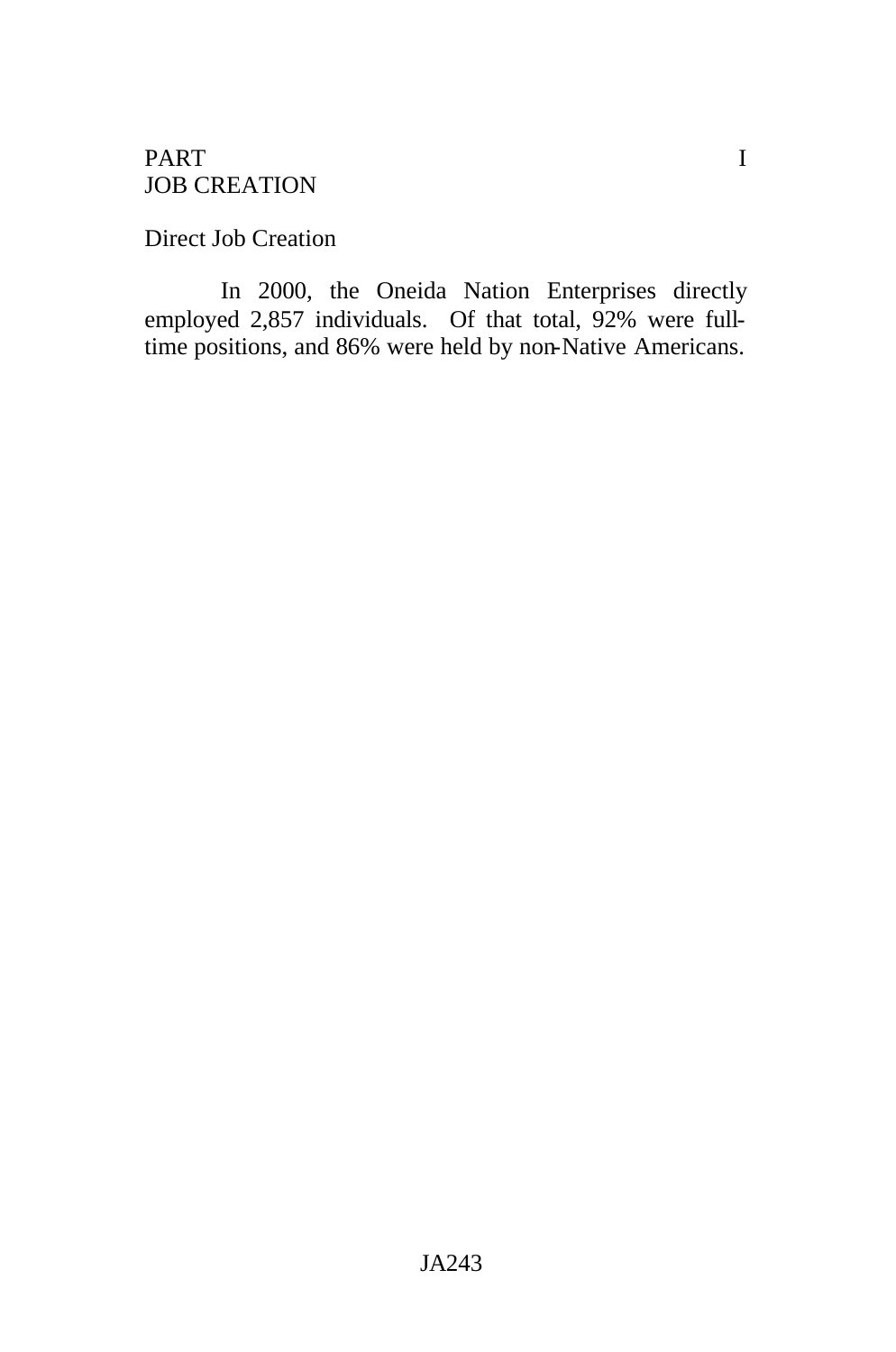## PART I JOB CREATION

Direct Job Creation

In 2000, the Oneida Nation Enterprises directly employed 2,857 individuals. Of that total, 92% were fulltime positions, and 86% were held by non-Native Americans.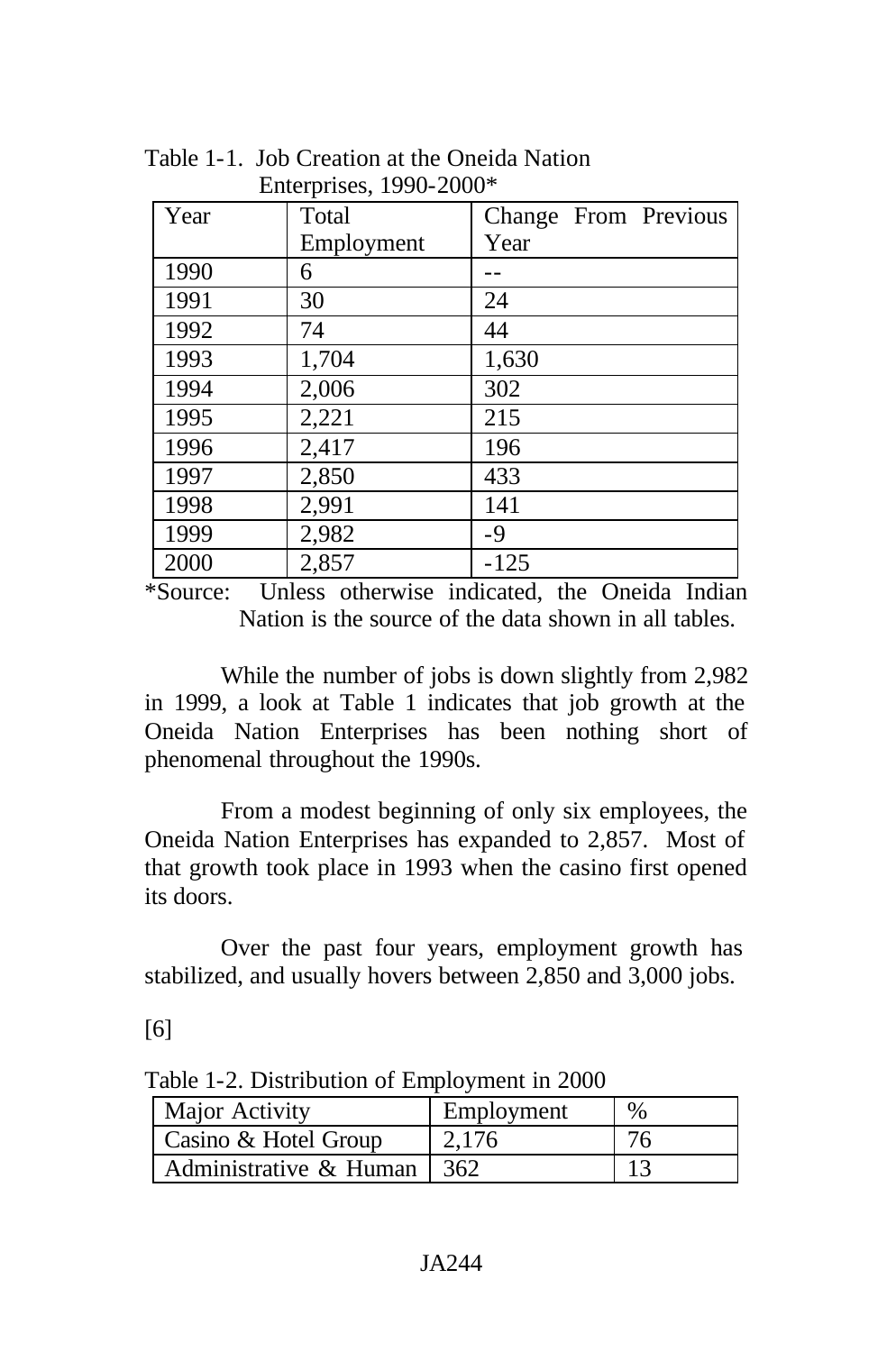| Year | Total      | Change From Previous |  |  |
|------|------------|----------------------|--|--|
|      | Employment | Year                 |  |  |
| 1990 | 6          |                      |  |  |
| 1991 | 30         | 24                   |  |  |
| 1992 | 74         | 44                   |  |  |
| 1993 | 1,704      | 1,630                |  |  |
| 1994 | 2,006      | 302                  |  |  |
| 1995 | 2,221      | 215                  |  |  |
| 1996 | 2,417      | 196                  |  |  |
| 1997 | 2,850      | 433                  |  |  |
| 1998 | 2,991      | 141                  |  |  |
| 1999 | 2,982      | $-9$                 |  |  |
| 2000 | 2,857      | $-125$               |  |  |

Table 1-1. Job Creation at the Oneida Nation Enterprises, 1990-2000\*

\*Source: Unless otherwise indicated, the Oneida Indian Nation is the source of the data shown in all tables.

While the number of jobs is down slightly from 2,982 in 1999, a look at Table 1 indicates that job growth at the Oneida Nation Enterprises has been nothing short of phenomenal throughout the 1990s.

From a modest beginning of only six employees, the Oneida Nation Enterprises has expanded to 2,857. Most of that growth took place in 1993 when the casino first opened its doors.

Over the past four years, employment growth has stabilized, and usually hovers between 2,850 and 3,000 jobs.

[6]

Major Activity | Employment | % Casino & Hotel Group  $\begin{array}{|c|c|c|c|c|} \hline 2,176 & 76 \hline \end{array}$ 

Administrative  $\&$  Human  $\vert$  362 13

Table 1-2. Distribution of Employment in 2000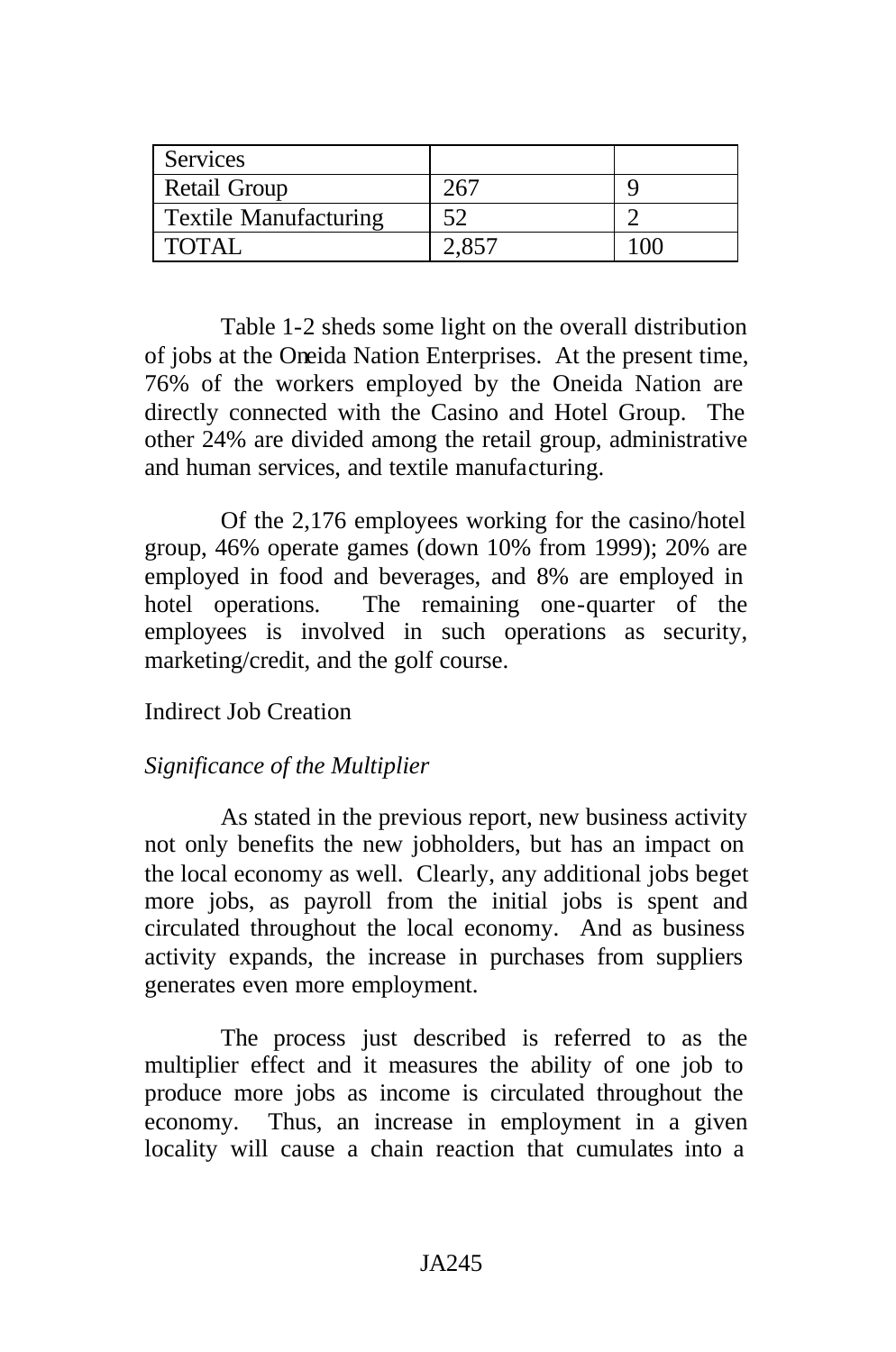| <b>Services</b>              |    |  |
|------------------------------|----|--|
| Retail Group                 |    |  |
| <b>Textile Manufacturing</b> | <າ |  |
| <b>TOTAL</b>                 |    |  |

Table 1-2 sheds some light on the overall distribution of jobs at the Oneida Nation Enterprises. At the present time, 76% of the workers employed by the Oneida Nation are directly connected with the Casino and Hotel Group. The other 24% are divided among the retail group, administrative and human services, and textile manufacturing.

Of the 2,176 employees working for the casino/hotel group, 46% operate games (down 10% from 1999); 20% are employed in food and beverages, and 8% are employed in hotel operations. The remaining one-quarter of the employees is involved in such operations as security, marketing/credit, and the golf course.

# Indirect Job Creation

## *Significance of the Multiplier*

As stated in the previous report, new business activity not only benefits the new jobholders, but has an impact on the local economy as well. Clearly, any additional jobs beget more jobs, as payroll from the initial jobs is spent and circulated throughout the local economy. And as business activity expands, the increase in purchases from suppliers generates even more employment.

The process just described is referred to as the multiplier effect and it measures the ability of one job to produce more jobs as income is circulated throughout the economy. Thus, an increase in employment in a given locality will cause a chain reaction that cumulates into a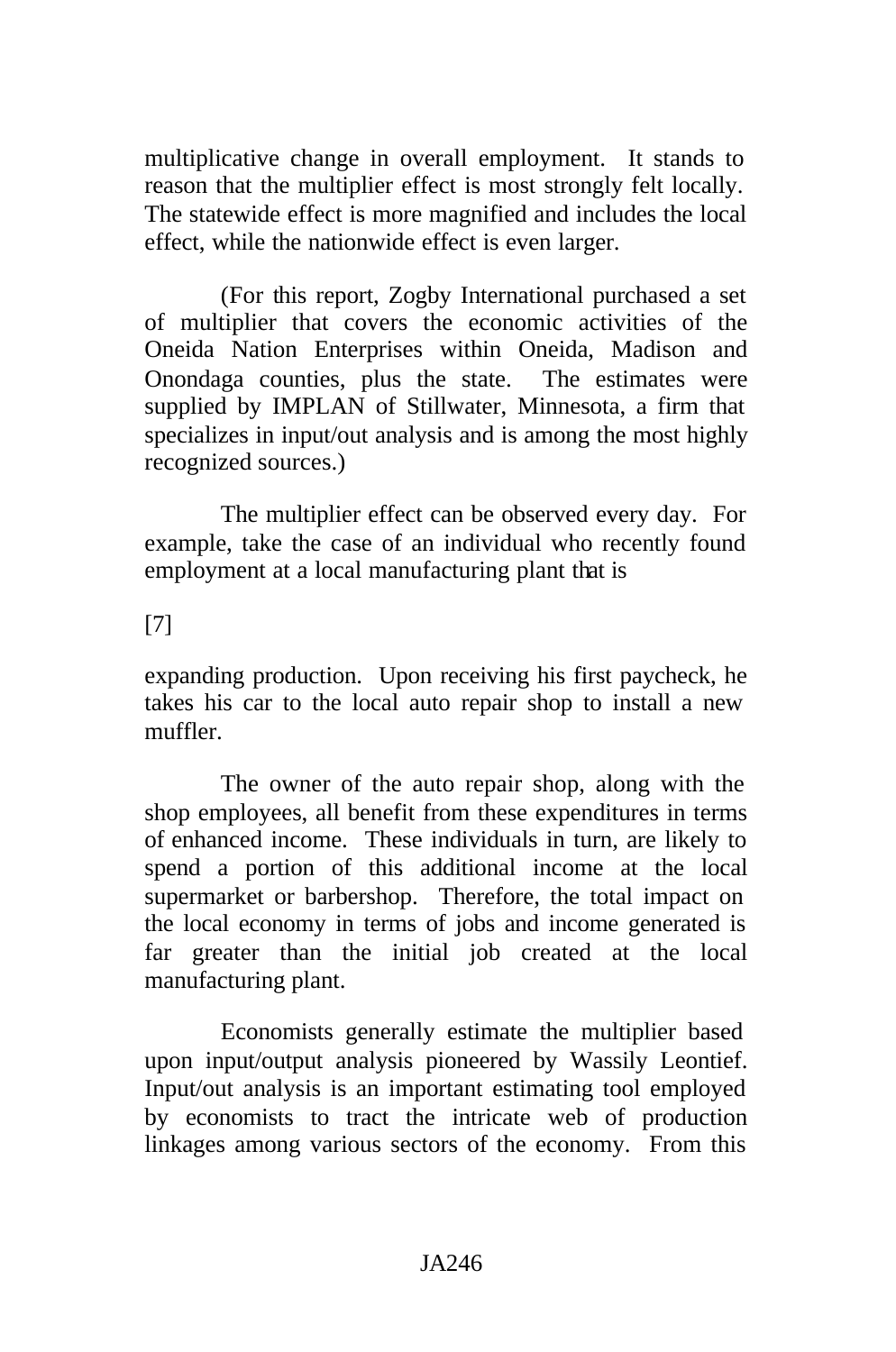multiplicative change in overall employment. It stands to reason that the multiplier effect is most strongly felt locally. The statewide effect is more magnified and includes the local effect, while the nationwide effect is even larger.

(For this report, Zogby International purchased a set of multiplier that covers the economic activities of the Oneida Nation Enterprises within Oneida, Madison and Onondaga counties, plus the state. The estimates were supplied by IMPLAN of Stillwater, Minnesota, a firm that specializes in input/out analysis and is among the most highly recognized sources.)

The multiplier effect can be observed every day. For example, take the case of an individual who recently found employment at a local manufacturing plant that is

# [7]

expanding production. Upon receiving his first paycheck, he takes his car to the local auto repair shop to install a new muffler.

The owner of the auto repair shop, along with the shop employees, all benefit from these expenditures in terms of enhanced income. These individuals in turn, are likely to spend a portion of this additional income at the local supermarket or barbershop. Therefore, the total impact on the local economy in terms of jobs and income generated is far greater than the initial job created at the local manufacturing plant.

Economists generally estimate the multiplier based upon input/output analysis pioneered by Wassily Leontief. Input/out analysis is an important estimating tool employed by economists to tract the intricate web of production linkages among various sectors of the economy. From this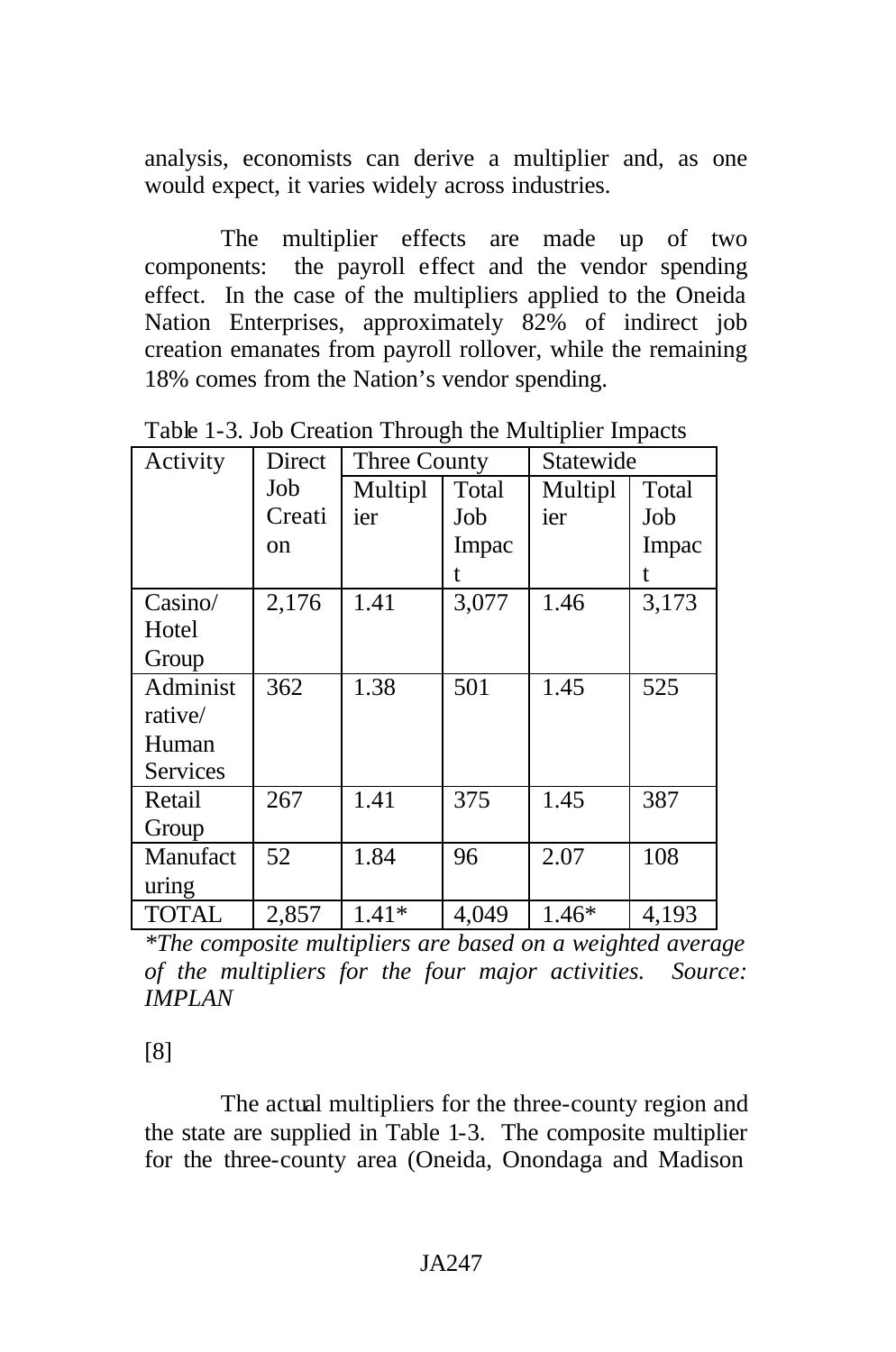analysis, economists can derive a multiplier and, as one would expect, it varies widely across industries.

The multiplier effects are made up of two components: the payroll effect and the vendor spending effect. In the case of the multipliers applied to the Oneida Nation Enterprises, approximately 82% of indirect job creation emanates from payroll rollover, while the remaining 18% comes from the Nation's vendor spending.

| Activity        | Direct | Three County |       | Statewide |       |
|-----------------|--------|--------------|-------|-----------|-------|
|                 | Job    | Multipl      | Total | Multipl   | Total |
|                 | Creati | ier          | Job   | ier       | Job   |
|                 | on     |              | Impac |           | Impac |
|                 |        |              | t.    |           | t     |
| Casino/         | 2,176  | 1.41         | 3,077 | 1.46      | 3,173 |
| Hotel           |        |              |       |           |       |
| Group           |        |              |       |           |       |
| Administ        | 362    | 1.38         | 501   | 1.45      | 525   |
| rative/         |        |              |       |           |       |
| Human           |        |              |       |           |       |
| <b>Services</b> |        |              |       |           |       |
| Retail          | 267    | 1.41         | 375   | 1.45      | 387   |
| Group           |        |              |       |           |       |
| Manufact        | 52     | 1.84         | 96    | 2.07      | 108   |
| uring           |        |              |       |           |       |
| <b>TOTAL</b>    | 2,857  | $1.41*$      | 4,049 | $1.46*$   | 4,193 |

Table 1-3. Job Creation Through the Multiplier Impacts

*\*The composite multipliers are based on a weighted average of the multipliers for the four major activities. Source: IMPLAN*

[8]

The actual multipliers for the three-county region and the state are supplied in Table 1-3. The composite multiplier for the three-county area (Oneida, Onondaga and Madison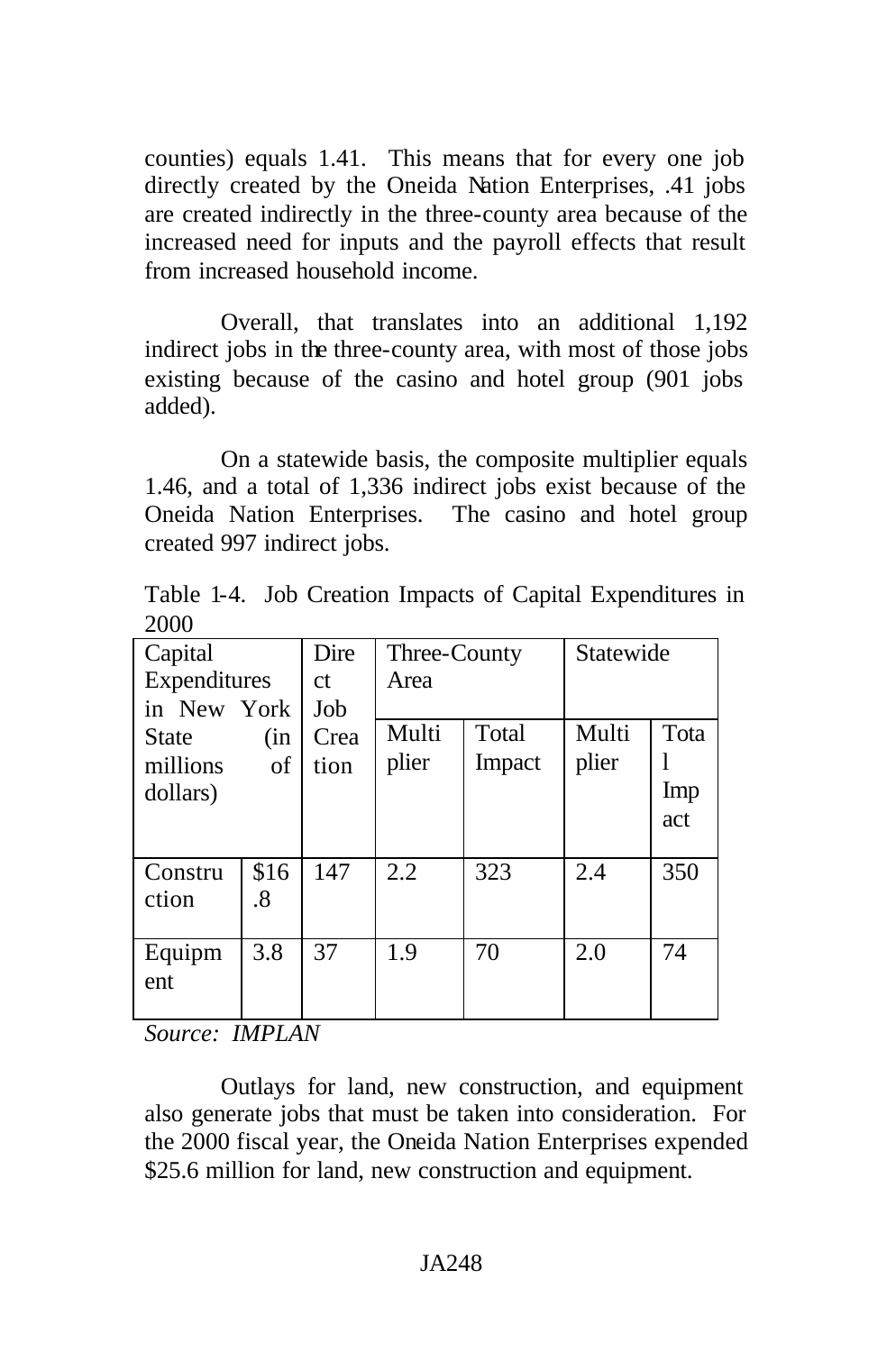counties) equals 1.41. This means that for every one job directly created by the Oneida Nation Enterprises, .41 jobs are created indirectly in the three-county area because of the increased need for inputs and the payroll effects that result from increased household income.

Overall, that translates into an additional 1,192 indirect jobs in the three-county area, with most of those jobs existing because of the casino and hotel group (901 jobs added).

On a statewide basis, the composite multiplier equals 1.46, and a total of 1,336 indirect jobs exist because of the Oneida Nation Enterprises. The casino and hotel group created 997 indirect jobs.

Table 1-4. Job Creation Impacts of Capital Expenditures in 2000

| Capital      |      | Dire          | Three-County |        | Statewide |      |
|--------------|------|---------------|--------------|--------|-----------|------|
| Expenditures |      | <sub>ct</sub> | Area         |        |           |      |
| in New York  |      | Job           |              |        |           |      |
| <b>State</b> | (in  | Crea          | Multi        | Total  | Multi     | Tota |
| millions     | οf   | tion          | plier        | Impact | plier     |      |
| dollars)     |      |               |              |        |           | Imp  |
|              |      |               |              |        |           | act  |
|              |      |               |              |        |           |      |
| Constru      | \$16 | 147           | 2.2          | 323    | 2.4       | 350  |
| ction        | .8   |               |              |        |           |      |
|              |      |               |              |        |           |      |
| Equipm       | 3.8  | 37            | 1.9          | 70     | 2.0       | 74   |
| ent          |      |               |              |        |           |      |
|              |      |               |              |        |           |      |

*Source: IMPLAN*

Outlays for land, new construction, and equipment also generate jobs that must be taken into consideration. For the 2000 fiscal year, the Oneida Nation Enterprises expended \$25.6 million for land, new construction and equipment.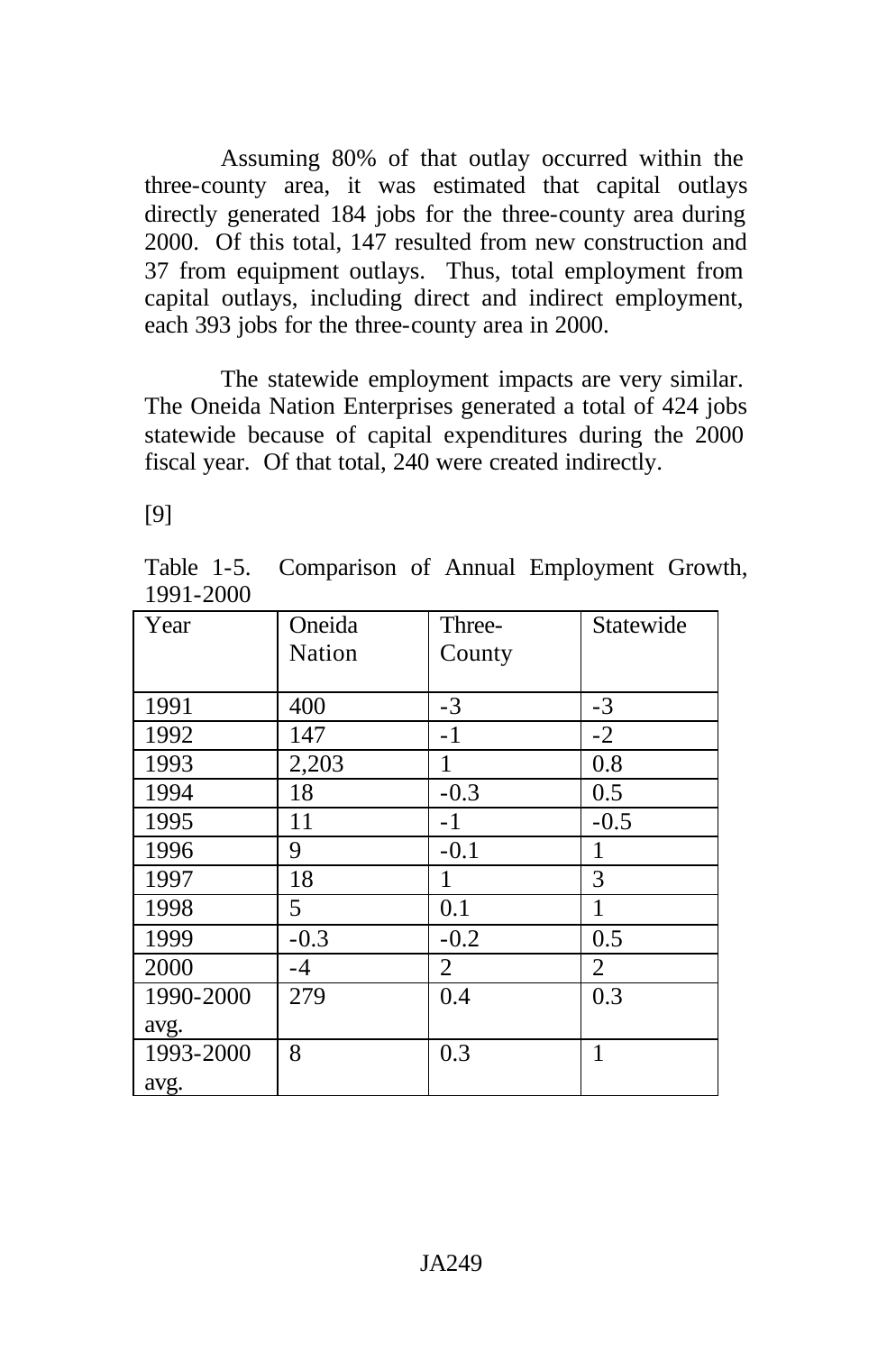Assuming 80% of that outlay occurred within the three-county area, it was estimated that capital outlays directly generated 184 jobs for the three-county area during 2000. Of this total, 147 resulted from new construction and 37 from equipment outlays. Thus, total employment from capital outlays, including direct and indirect employment, each 393 jobs for the three-county area in 2000.

The statewide employment impacts are very similar. The Oneida Nation Enterprises generated a total of 424 jobs statewide because of capital expenditures during the 2000 fiscal year. Of that total, 240 were created indirectly.

[9]

Table 1-5. Comparison of Annual Employment Growth, 1991-2000

| Year      | Oneida | Three-         | Statewide |
|-----------|--------|----------------|-----------|
|           | Nation | County         |           |
|           |        |                |           |
| 1991      | 400    | $-3$           | $-3$      |
| 1992      | 147    | $-1$           | $-2$      |
| 1993      | 2,203  | 1              | 0.8       |
| 1994      | 18     | $-0.3$         | 0.5       |
| 1995      | 11     | $-1$           | $-0.5$    |
| 1996      | 9      | $-0.1$         | 1         |
| 1997      | 18     | 1              | 3         |
| 1998      | 5      | 0.1            | 1         |
| 1999      | $-0.3$ | $-0.2$         | 0.5       |
| 2000      | $-4$   | $\overline{2}$ | 2         |
| 1990-2000 | 279    | 0.4            | 0.3       |
| avg.      |        |                |           |
| 1993-2000 | 8      | 0.3            | 1         |
| avg.      |        |                |           |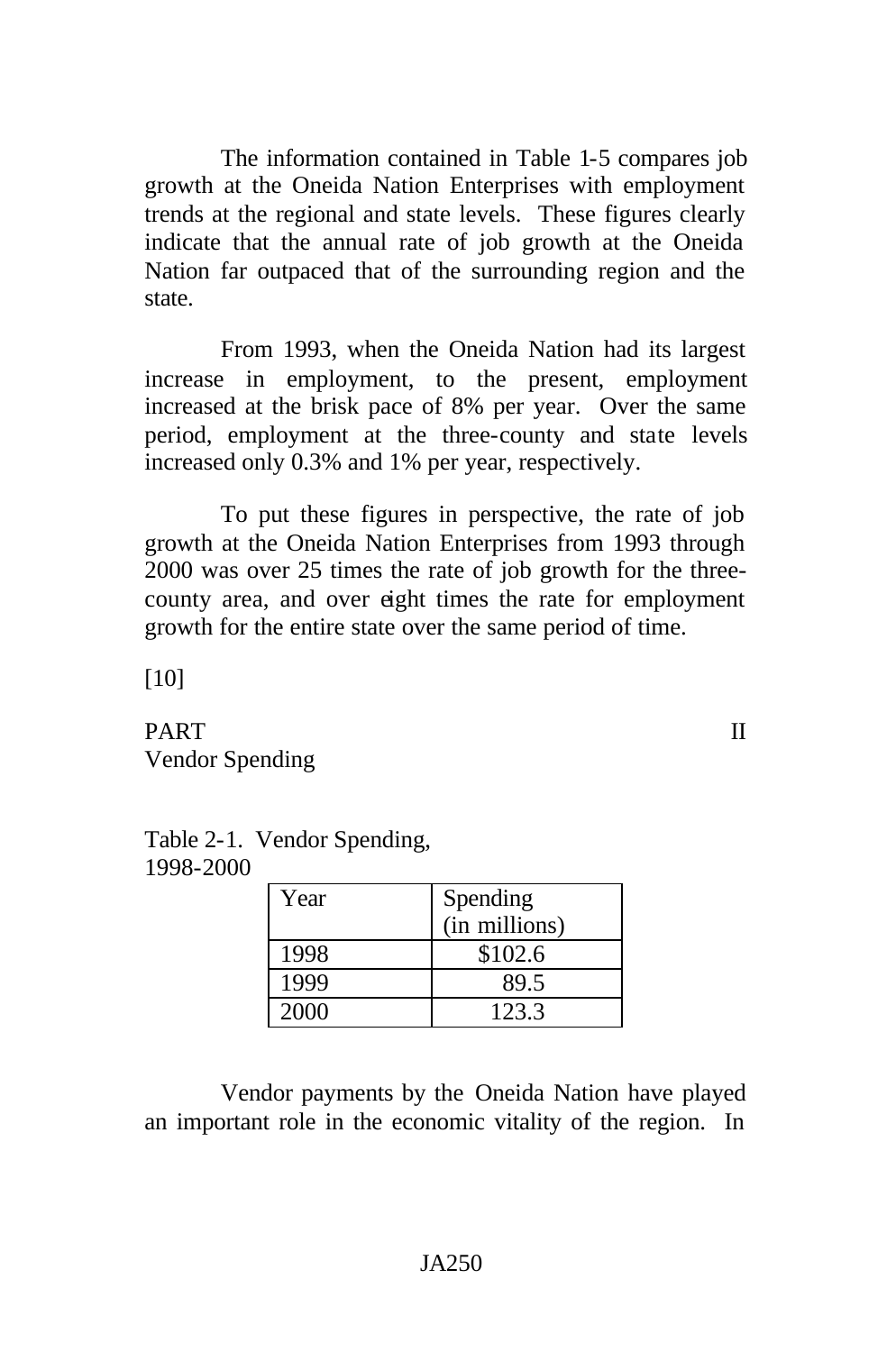The information contained in Table 1-5 compares job growth at the Oneida Nation Enterprises with employment trends at the regional and state levels. These figures clearly indicate that the annual rate of job growth at the Oneida Nation far outpaced that of the surrounding region and the state.

From 1993, when the Oneida Nation had its largest increase in employment, to the present, employment increased at the brisk pace of 8% per year. Over the same period, employment at the three-county and state levels increased only 0.3% and 1% per year, respectively.

To put these figures in perspective, the rate of job growth at the Oneida Nation Enterprises from 1993 through 2000 was over 25 times the rate of job growth for the threecounty area, and over eight times the rate for employment growth for the entire state over the same period of time.

[10]

PART II Vendor Spending

| ZUUU |      |               |
|------|------|---------------|
|      | Year | Spending      |
|      |      | (in millions) |
|      | 1998 | \$102.6       |

Table 2-1. Vendor Spending, 1998-2000

Vendor payments by the Oneida Nation have played an important role in the economic vitality of the region. In

1999 89.5 2000 123.3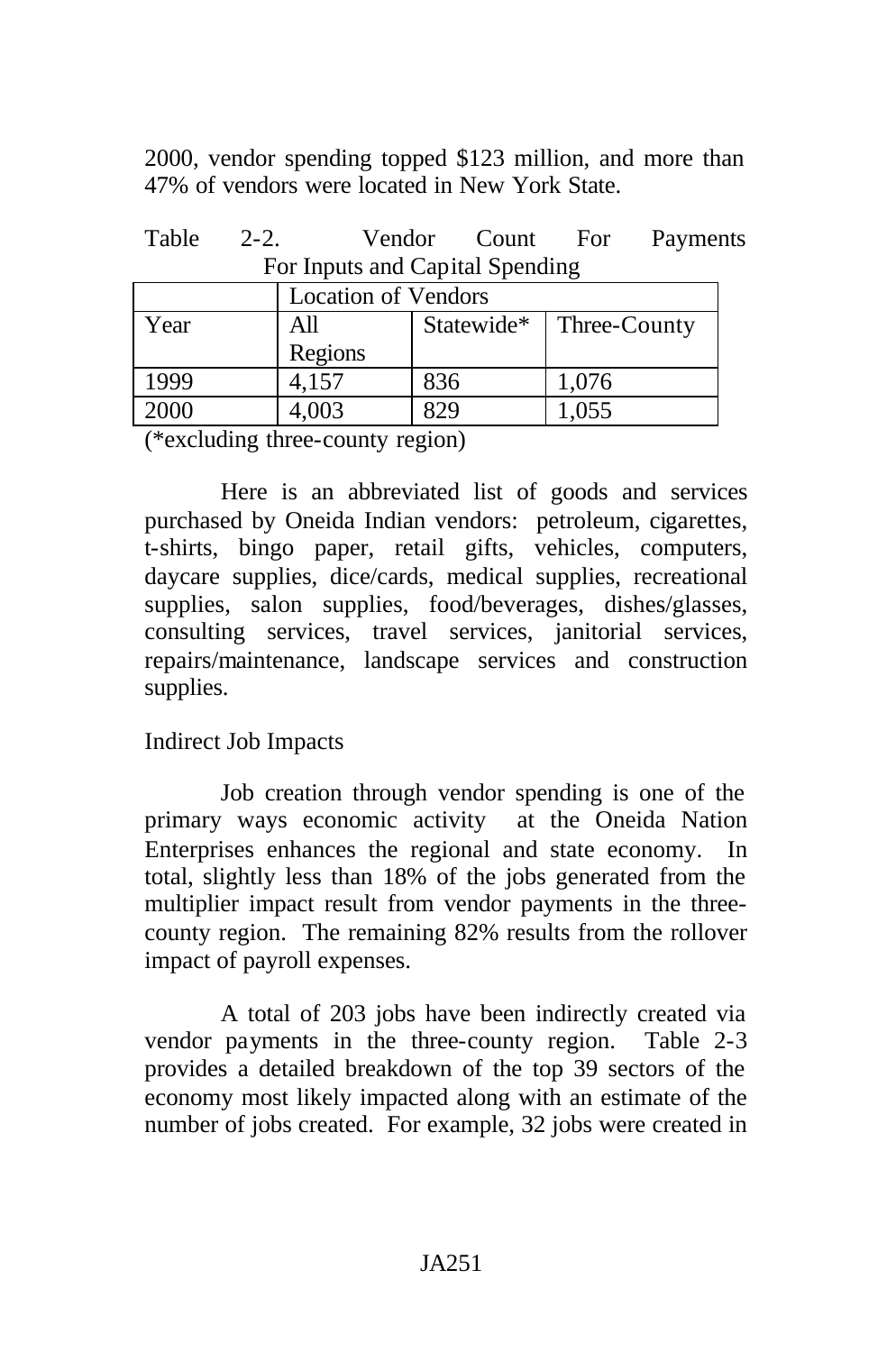2000, vendor spending topped \$123 million, and more than 47% of vendors were located in New York State.

| Table 2-2.                      |  |  |  | Vendor Count For Payments |
|---------------------------------|--|--|--|---------------------------|
| For Inputs and Capital Spending |  |  |  |                           |

|      | <b>Location of Vendors</b> |              |       |  |  |
|------|----------------------------|--------------|-------|--|--|
| Year | All                        | Three-County |       |  |  |
|      | Regions                    |              |       |  |  |
| 1999 | 4,157                      | 836          | 1,076 |  |  |
| 2000 | 4,003                      | 22 G         | 1,055 |  |  |

(\*excluding three-county region)

Here is an abbreviated list of goods and services purchased by Oneida Indian vendors: petroleum, cigarettes, t-shirts, bingo paper, retail gifts, vehicles, computers, daycare supplies, dice/cards, medical supplies, recreational supplies, salon supplies, food/beverages, dishes/glasses, consulting services, travel services, janitorial services, repairs/maintenance, landscape services and construction supplies.

## Indirect Job Impacts

Job creation through vendor spending is one of the primary ways economic activity at the Oneida Nation Enterprises enhances the regional and state economy. In total, slightly less than 18% of the jobs generated from the multiplier impact result from vendor payments in the threecounty region. The remaining 82% results from the rollover impact of payroll expenses.

A total of 203 jobs have been indirectly created via vendor payments in the three-county region. Table 2-3 provides a detailed breakdown of the top 39 sectors of the economy most likely impacted along with an estimate of the number of jobs created. For example, 32 jobs were created in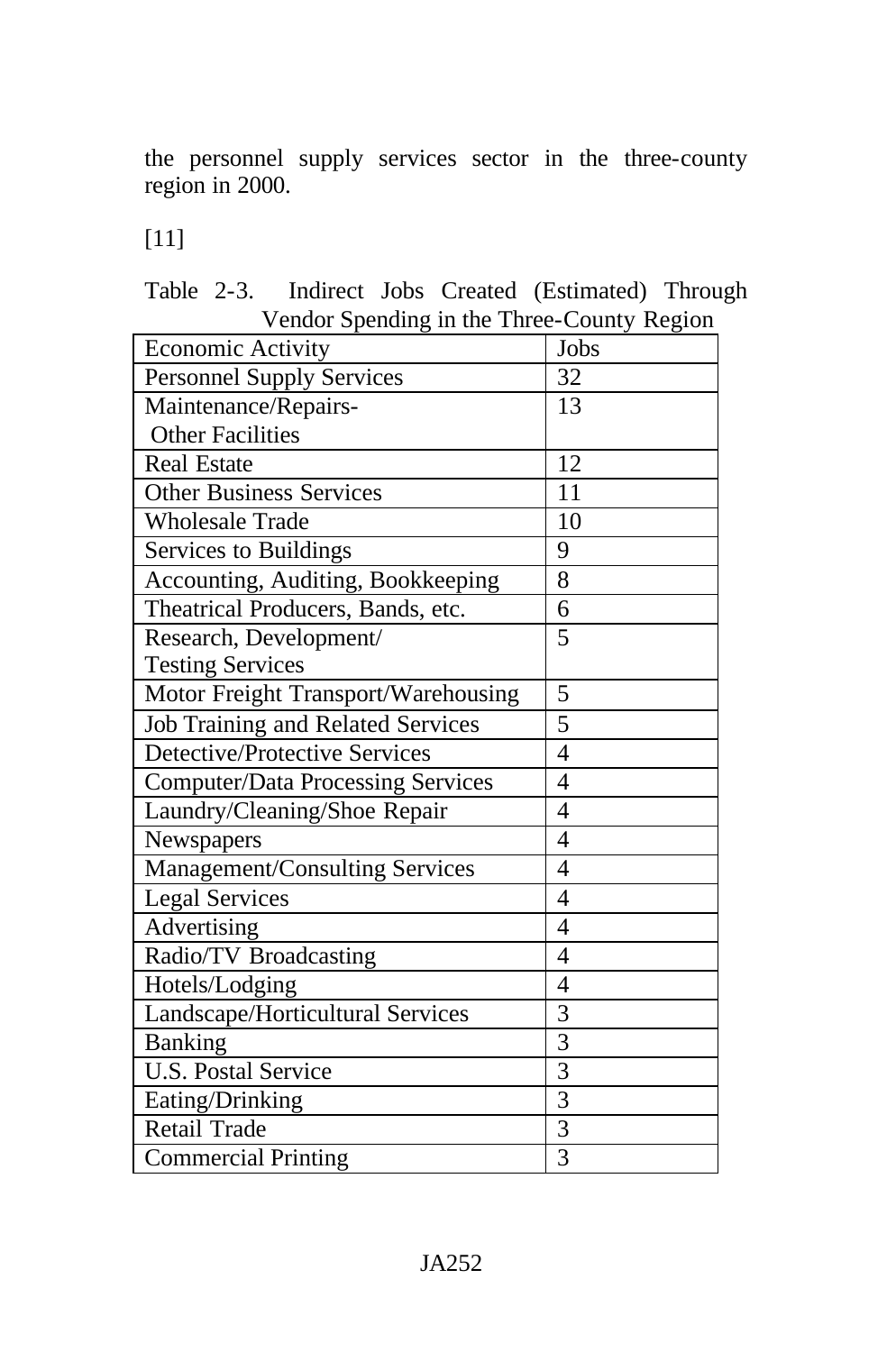the personnel supply services sector in the three-county region in 2000.

[11]

|  |  | Table 2-3. Indirect Jobs Created (Estimated) Through |  |
|--|--|------------------------------------------------------|--|
|  |  | Vendor Spending in the Three-County Region           |  |

| <b>Economic Activity</b>                 | Jobs           |
|------------------------------------------|----------------|
| <b>Personnel Supply Services</b>         | 32             |
| Maintenance/Repairs-                     | 13             |
| <b>Other Facilities</b>                  |                |
| <b>Real Estate</b>                       | 12             |
| <b>Other Business Services</b>           | 11             |
| <b>Wholesale Trade</b>                   | 10             |
| Services to Buildings                    | 9              |
| Accounting, Auditing, Bookkeeping        | 8              |
| Theatrical Producers, Bands, etc.        | 6              |
| Research, Development/                   | 5              |
| <b>Testing Services</b>                  |                |
| Motor Freight Transport/Warehousing      | 5              |
| <b>Job Training and Related Services</b> | 5              |
| Detective/Protective Services            | $\overline{4}$ |
| <b>Computer/Data Processing Services</b> | $\overline{4}$ |
| Laundry/Cleaning/Shoe Repair             | $\overline{4}$ |
| Newspapers                               | $\overline{4}$ |
| Management/Consulting Services           | $\overline{4}$ |
| <b>Legal Services</b>                    | $\overline{4}$ |
| Advertising                              | $\overline{4}$ |
| Radio/TV Broadcasting                    | $\overline{4}$ |
| Hotels/Lodging                           | $\overline{4}$ |
| Landscape/Horticultural Services         | 3              |
| <b>Banking</b>                           | $\overline{3}$ |
| <b>U.S.</b> Postal Service               | $\overline{3}$ |
| Eating/Drinking                          | $\overline{3}$ |
| Retail Trade                             | $\overline{3}$ |
| <b>Commercial Printing</b>               | 3              |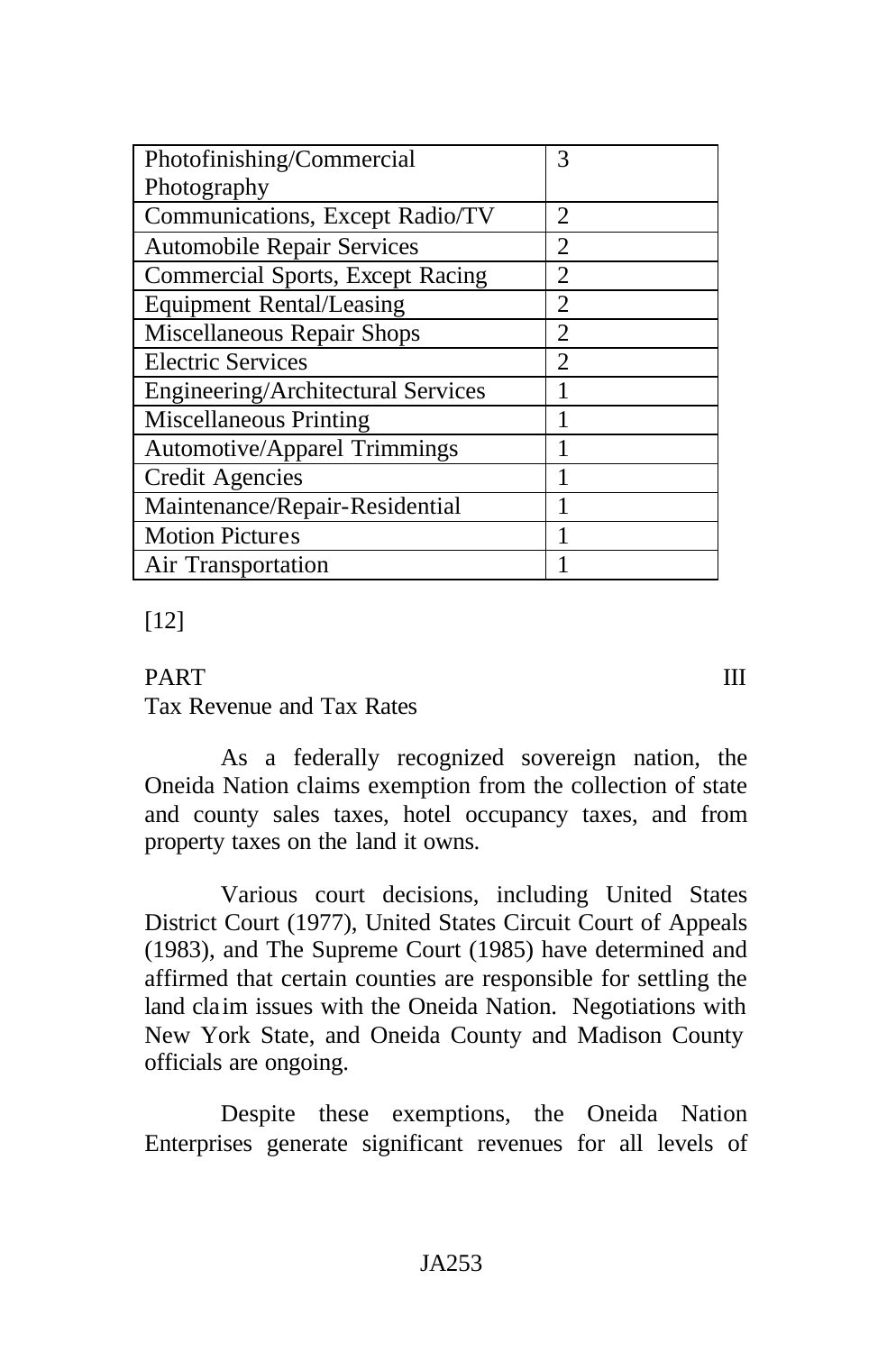| Photofinishing/Commercial               | 3                           |
|-----------------------------------------|-----------------------------|
| Photography                             |                             |
| Communications, Except Radio/TV         | $\mathcal{D}_{\mathcal{L}}$ |
| <b>Automobile Repair Services</b>       | $\mathcal{D}_{\mathcal{A}}$ |
| <b>Commercial Sports, Except Racing</b> | $\mathcal{D}_{\cdot}$       |
| <b>Equipment Rental/Leasing</b>         | $\mathcal{D}_{\cdot}$       |
| Miscellaneous Repair Shops              | $\mathcal{D}_{\mathcal{A}}$ |
| <b>Electric Services</b>                | $\mathcal{D}_{\mathcal{A}}$ |
| Engineering/Architectural Services      |                             |
| <b>Miscellaneous Printing</b>           |                             |
| <b>Automotive/Apparel Trimmings</b>     | 1                           |
| <b>Credit Agencies</b>                  |                             |
| Maintenance/Repair-Residential          |                             |
| <b>Motion Pictures</b>                  |                             |
| Air Transportation                      |                             |

## [12]

### PART III

Tax Revenue and Tax Rates

As a federally recognized sovereign nation, the Oneida Nation claims exemption from the collection of state and county sales taxes, hotel occupancy taxes, and from property taxes on the land it owns.

Various court decisions, including United States District Court (1977), United States Circuit Court of Appeals (1983), and The Supreme Court (1985) have determined and affirmed that certain counties are responsible for settling the land claim issues with the Oneida Nation. Negotiations with New York State, and Oneida County and Madison County officials are ongoing.

Despite these exemptions, the Oneida Nation Enterprises generate significant revenues for all levels of

#### JA253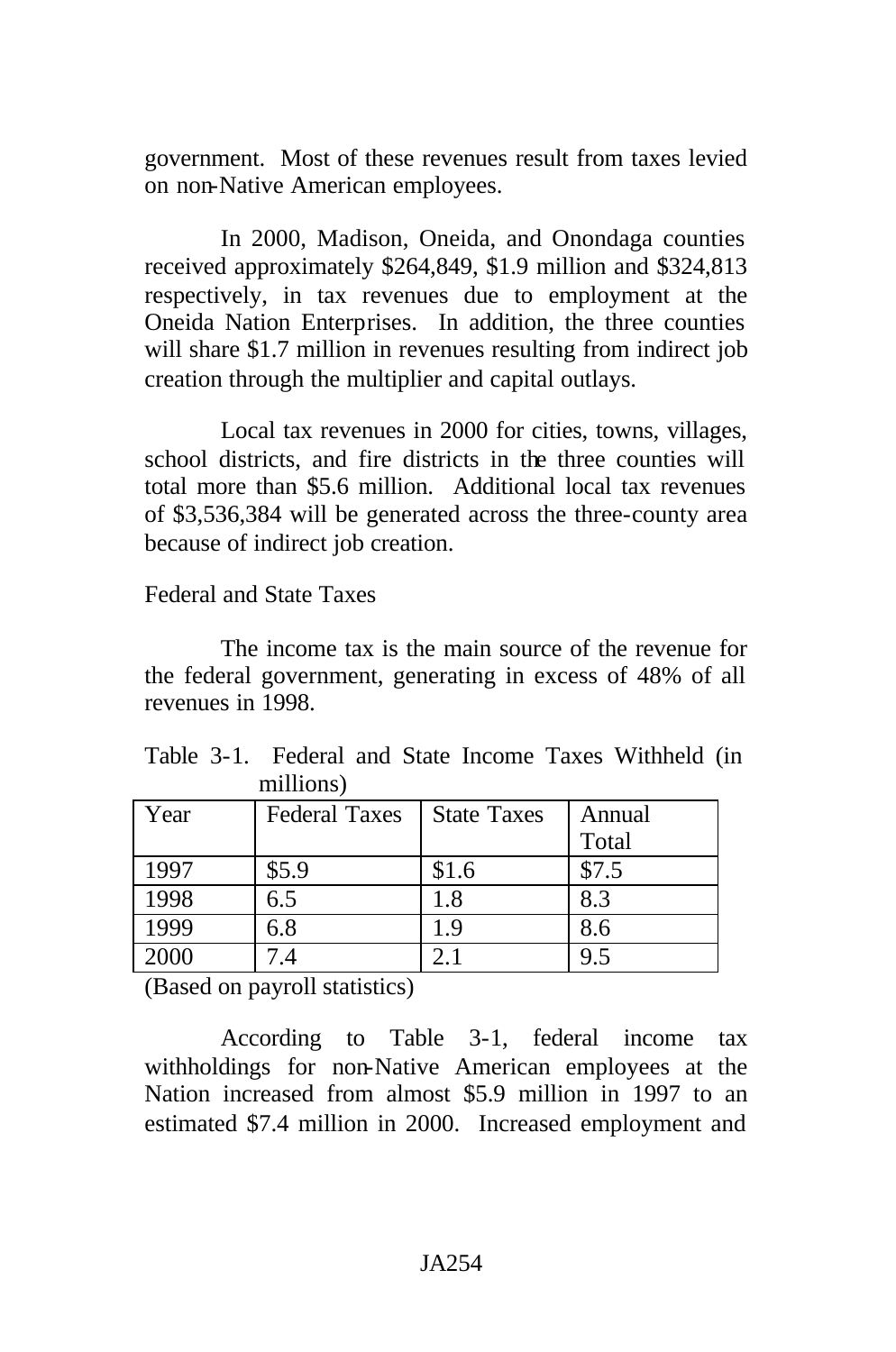government. Most of these revenues result from taxes levied on non-Native American employees.

In 2000, Madison, Oneida, and Onondaga counties received approximately \$264,849, \$1.9 million and \$324,813 respectively, in tax revenues due to employment at the Oneida Nation Enterprises. In addition, the three counties will share \$1.7 million in revenues resulting from indirect job creation through the multiplier and capital outlays.

Local tax revenues in 2000 for cities, towns, villages, school districts, and fire districts in the three counties will total more than \$5.6 million. Additional local tax revenues of \$3,536,384 will be generated across the three-county area because of indirect job creation.

#### Federal and State Taxes

The income tax is the main source of the revenue for the federal government, generating in excess of 48% of all revenues in 1998.

|  |           |  |  | Table 3-1. Federal and State Income Taxes Withheld (in |  |
|--|-----------|--|--|--------------------------------------------------------|--|
|  | millions) |  |  |                                                        |  |

| Year | <b>Federal Taxes</b> | <b>State Taxes</b> | Annual |
|------|----------------------|--------------------|--------|
|      |                      |                    | Total  |
| 1997 | \$5.9                | \$1.6              | \$7.5  |
| 1998 | 6.5                  | $1.8\,$            | 8.3    |
| 1999 | 6.8                  | 1.9                | 8.6    |
| 2000 | 7 A                  |                    | 9.5    |

(Based on payroll statistics)

According to Table 3-1, federal income tax withholdings for non-Native American employees at the Nation increased from almost \$5.9 million in 1997 to an estimated \$7.4 million in 2000. Increased employment and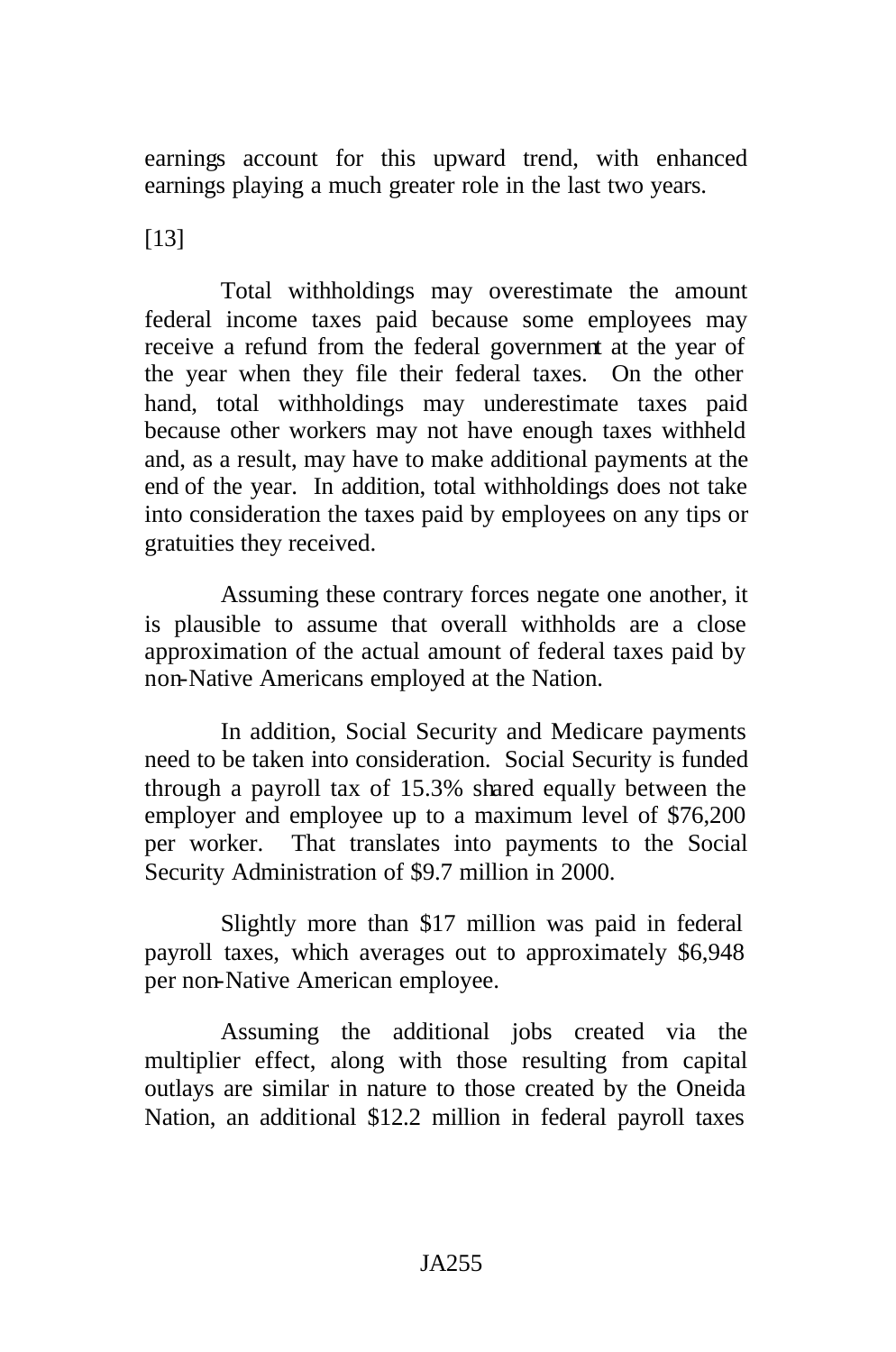earnings account for this upward trend, with enhanced earnings playing a much greater role in the last two years.

[13]

Total withholdings may overestimate the amount federal income taxes paid because some employees may receive a refund from the federal government at the year of the year when they file their federal taxes. On the other hand, total withholdings may underestimate taxes paid because other workers may not have enough taxes withheld and, as a result, may have to make additional payments at the end of the year. In addition, total withholdings does not take into consideration the taxes paid by employees on any tips or gratuities they received.

Assuming these contrary forces negate one another, it is plausible to assume that overall withholds are a close approximation of the actual amount of federal taxes paid by non-Native Americans employed at the Nation.

In addition, Social Security and Medicare payments need to be taken into consideration. Social Security is funded through a payroll tax of 15.3% shared equally between the employer and employee up to a maximum level of \$76,200 per worker. That translates into payments to the Social Security Administration of \$9.7 million in 2000.

Slightly more than \$17 million was paid in federal payroll taxes, which averages out to approximately \$6,948 per non-Native American employee.

Assuming the additional jobs created via the multiplier effect, along with those resulting from capital outlays are similar in nature to those created by the Oneida Nation, an additional \$12.2 million in federal payroll taxes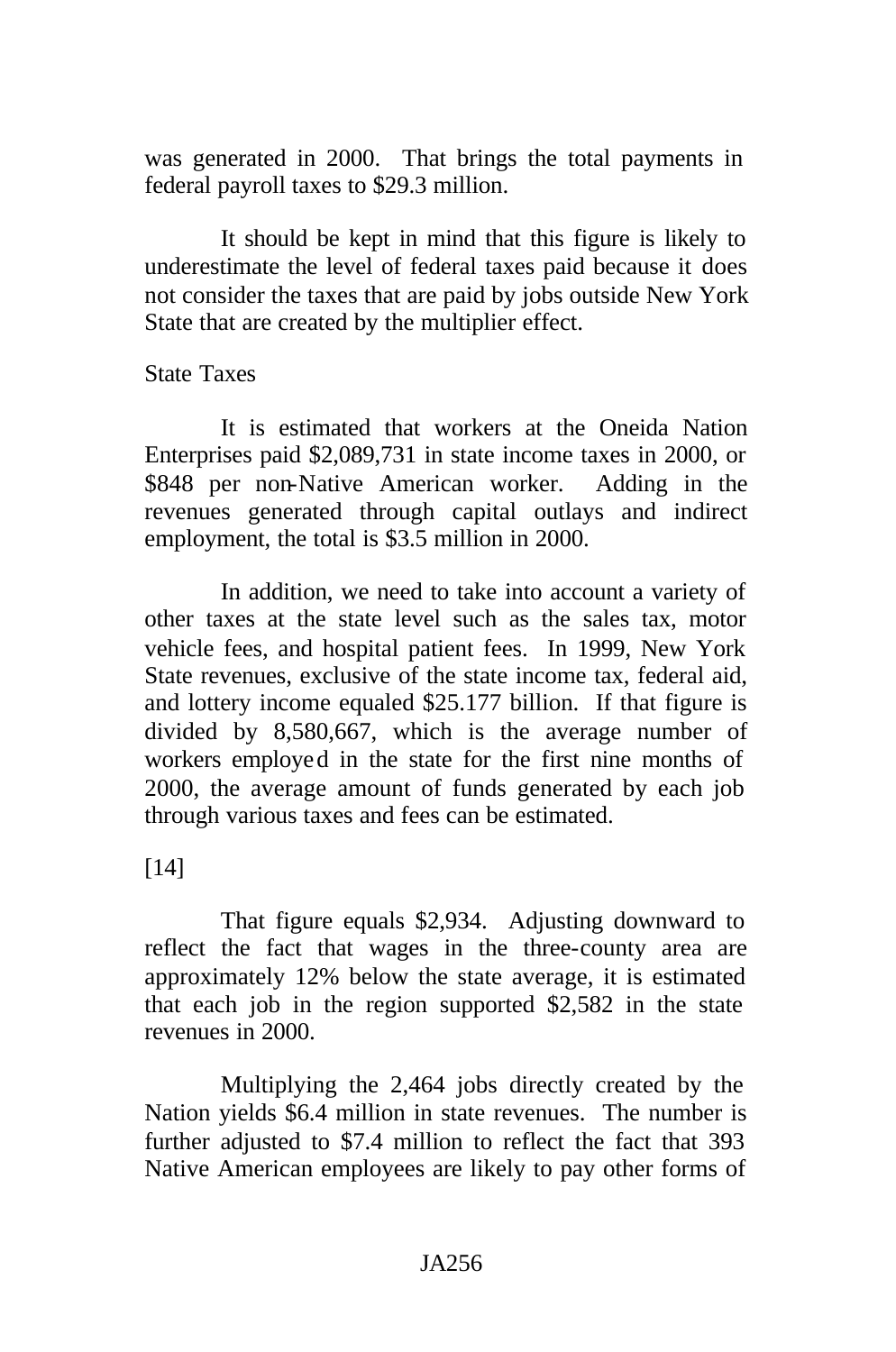was generated in 2000. That brings the total payments in federal payroll taxes to \$29.3 million.

It should be kept in mind that this figure is likely to underestimate the level of federal taxes paid because it does not consider the taxes that are paid by jobs outside New York State that are created by the multiplier effect.

#### State Taxes

It is estimated that workers at the Oneida Nation Enterprises paid \$2,089,731 in state income taxes in 2000, or \$848 per non-Native American worker. Adding in the revenues generated through capital outlays and indirect employment, the total is \$3.5 million in 2000.

In addition, we need to take into account a variety of other taxes at the state level such as the sales tax, motor vehicle fees, and hospital patient fees. In 1999, New York State revenues, exclusive of the state income tax, federal aid, and lottery income equaled \$25.177 billion. If that figure is divided by 8,580,667, which is the average number of workers employed in the state for the first nine months of 2000, the average amount of funds generated by each job through various taxes and fees can be estimated.

[14]

That figure equals \$2,934. Adjusting downward to reflect the fact that wages in the three-county area are approximately 12% below the state average, it is estimated that each job in the region supported \$2,582 in the state revenues in 2000.

Multiplying the 2,464 jobs directly created by the Nation yields \$6.4 million in state revenues. The number is further adjusted to \$7.4 million to reflect the fact that 393 Native American employees are likely to pay other forms of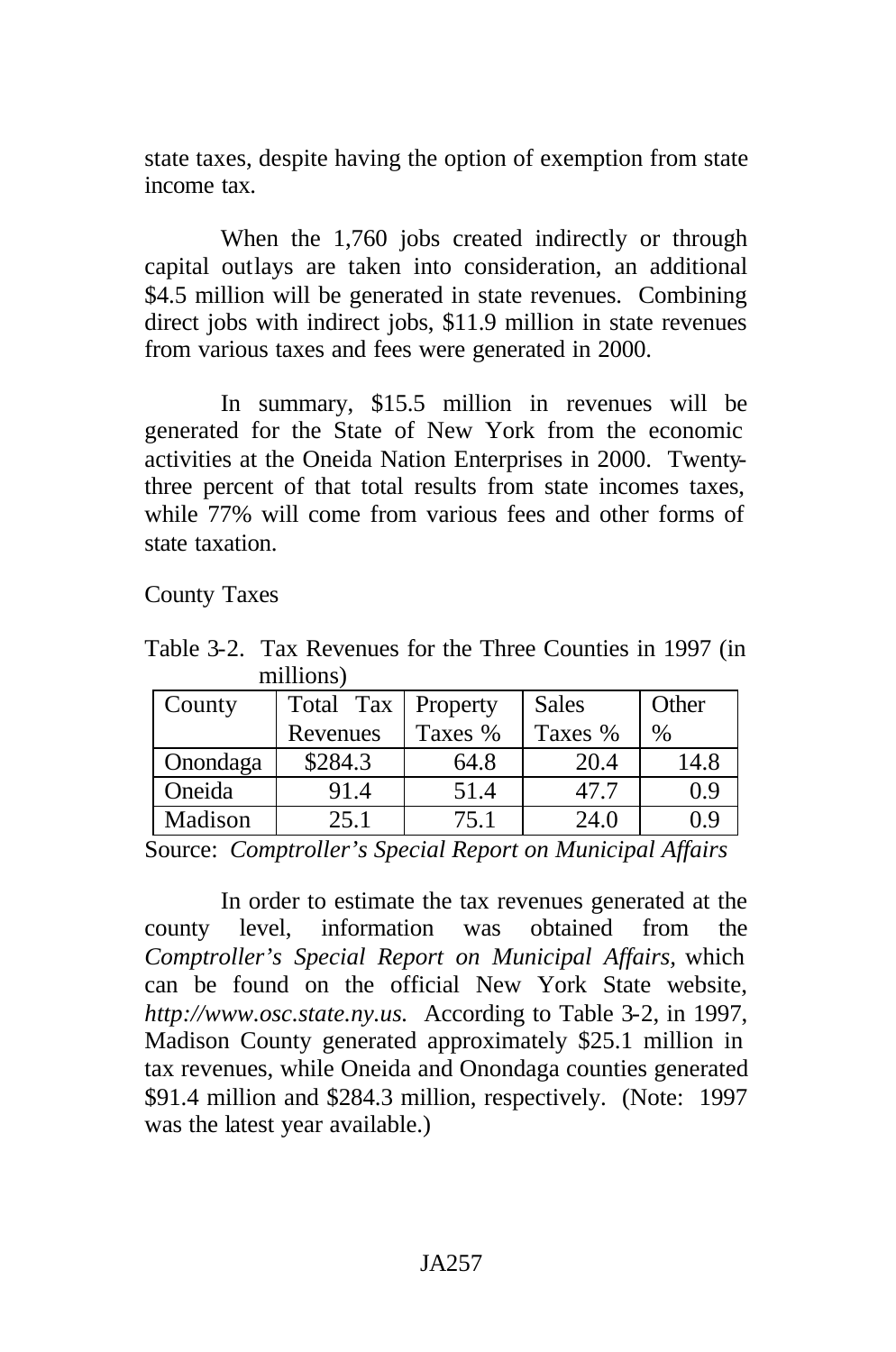state taxes, despite having the option of exemption from state income tax.

When the 1,760 jobs created indirectly or through capital outlays are taken into consideration, an additional \$4.5 million will be generated in state revenues. Combining direct jobs with indirect jobs, \$11.9 million in state revenues from various taxes and fees were generated in 2000.

In summary, \$15.5 million in revenues will be generated for the State of New York from the economic activities at the Oneida Nation Enterprises in 2000. Twentythree percent of that total results from state incomes taxes, while 77% will come from various fees and other forms of state taxation.

County Taxes

Table 3-2. Tax Revenues for the Three Counties in 1997 (in millions)

| County   | Total Tax | Property | <b>Sales</b> | Other |
|----------|-----------|----------|--------------|-------|
|          | Revenues  | Taxes %  | Taxes %      | $\%$  |
| Onondaga | \$284.3   | 64.8     | 20.4         | 14.8  |
| Oneida   | 91.4      | 51.4     | 47.7         | 0.9   |
| Madison  | 25.1      | 75.1     | 24.0         | 0 ና   |

Source: *Comptroller's Special Report on Municipal Affairs*

In order to estimate the tax revenues generated at the county level, information was obtained from the *Comptroller's Special Report on Municipal Affairs,* which can be found on the official New York State website, *http://www.osc.state.ny.us.* According to Table 3-2, in 1997, Madison County generated approximately \$25.1 million in tax revenues, while Oneida and Onondaga counties generated \$91.4 million and \$284.3 million, respectively. (Note: 1997 was the latest year available.)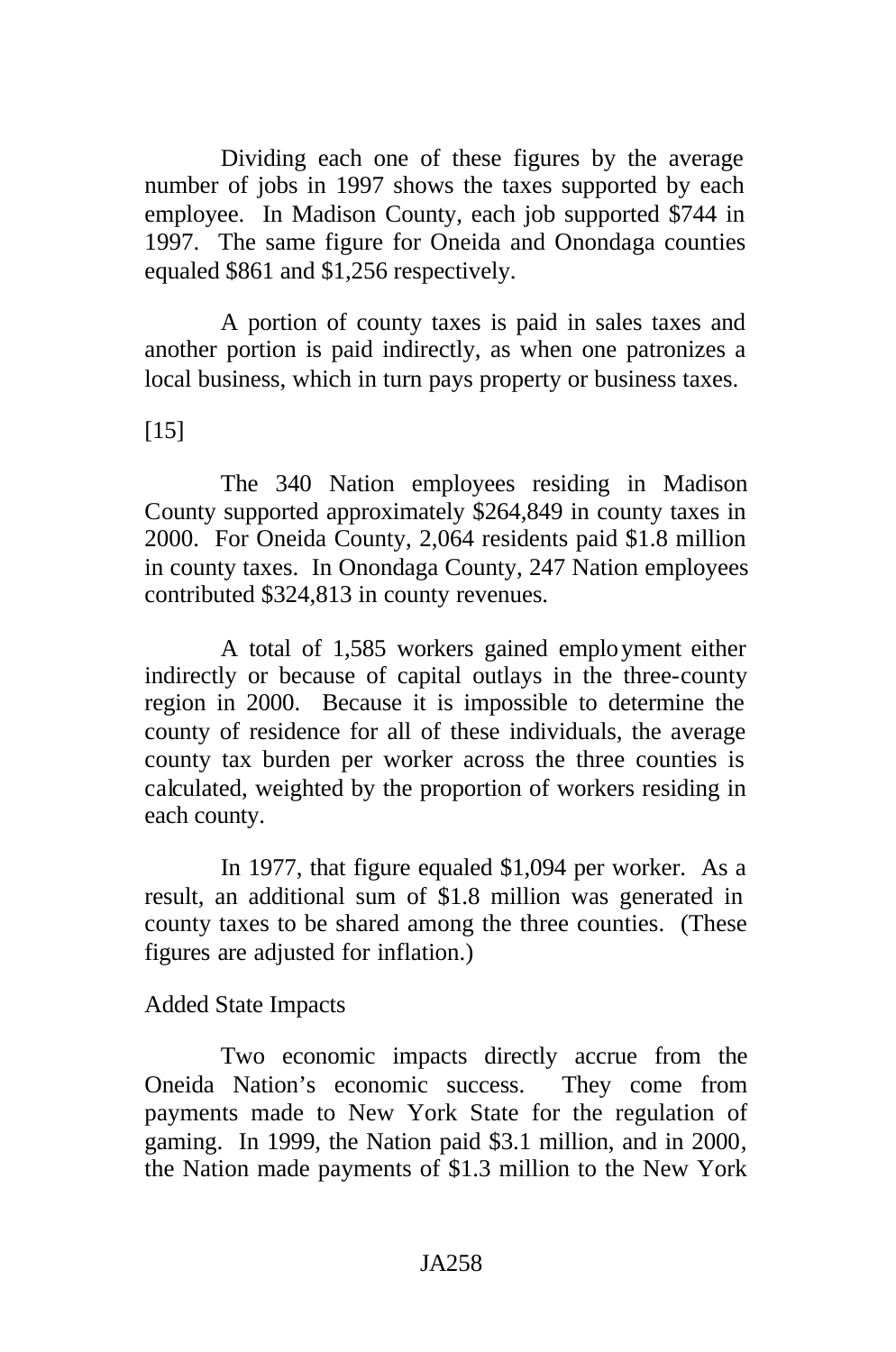Dividing each one of these figures by the average number of jobs in 1997 shows the taxes supported by each employee. In Madison County, each job supported \$744 in 1997. The same figure for Oneida and Onondaga counties equaled \$861 and \$1,256 respectively.

A portion of county taxes is paid in sales taxes and another portion is paid indirectly, as when one patronizes a local business, which in turn pays property or business taxes.

[15]

The 340 Nation employees residing in Madison County supported approximately \$264,849 in county taxes in 2000. For Oneida County, 2,064 residents paid \$1.8 million in county taxes. In Onondaga County, 247 Nation employees contributed \$324,813 in county revenues.

A total of 1,585 workers gained employment either indirectly or because of capital outlays in the three-county region in 2000. Because it is impossible to determine the county of residence for all of these individuals, the average county tax burden per worker across the three counties is calculated, weighted by the proportion of workers residing in each county.

In 1977, that figure equaled \$1,094 per worker. As a result, an additional sum of \$1.8 million was generated in county taxes to be shared among the three counties. (These figures are adjusted for inflation.)

Added State Impacts

Two economic impacts directly accrue from the Oneida Nation's economic success. They come from payments made to New York State for the regulation of gaming. In 1999, the Nation paid \$3.1 million, and in 2000, the Nation made payments of \$1.3 million to the New York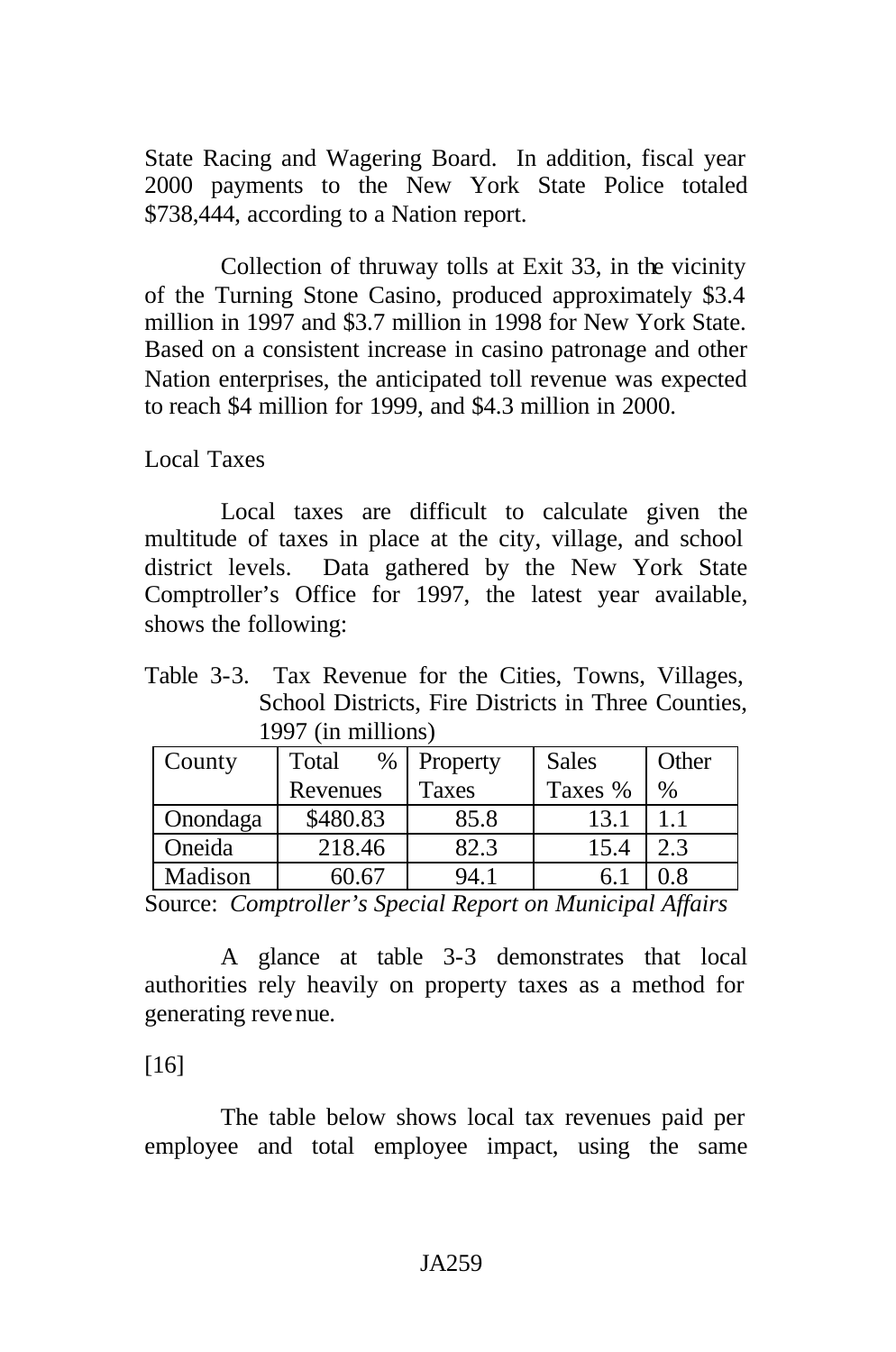State Racing and Wagering Board. In addition, fiscal year 2000 payments to the New York State Police totaled \$738,444, according to a Nation report.

Collection of thruway tolls at Exit 33, in the vicinity of the Turning Stone Casino, produced approximately \$3.4 million in 1997 and \$3.7 million in 1998 for New York State. Based on a consistent increase in casino patronage and other Nation enterprises, the anticipated toll revenue was expected to reach \$4 million for 1999, and \$4.3 million in 2000.

Local Taxes

Local taxes are difficult to calculate given the multitude of taxes in place at the city, village, and school district levels. Data gathered by the New York State Comptroller's Office for 1997, the latest year available, shows the following:

Table 3-3. Tax Revenue for the Cities, Towns, Villages, School Districts, Fire Districts in Three Counties, 1997 (in millions)

| County   | Total<br>% | Property | <b>Sales</b> | Other |
|----------|------------|----------|--------------|-------|
|          | Revenues   | Taxes    | Taxes %      | $\%$  |
| Onondaga | \$480.83   | 85.8     | 13.1         |       |
| Oneida   | 218.46     | 82.3     | 15.4         | 2.3   |
| Madison  | SO 67      | 94.1     | n.           |       |

Source: *Comptroller's Special Report on Municipal Affairs*

A glance at table 3-3 demonstrates that local authorities rely heavily on property taxes as a method for generating revenue.

[16]

The table below shows local tax revenues paid per employee and total employee impact, using the same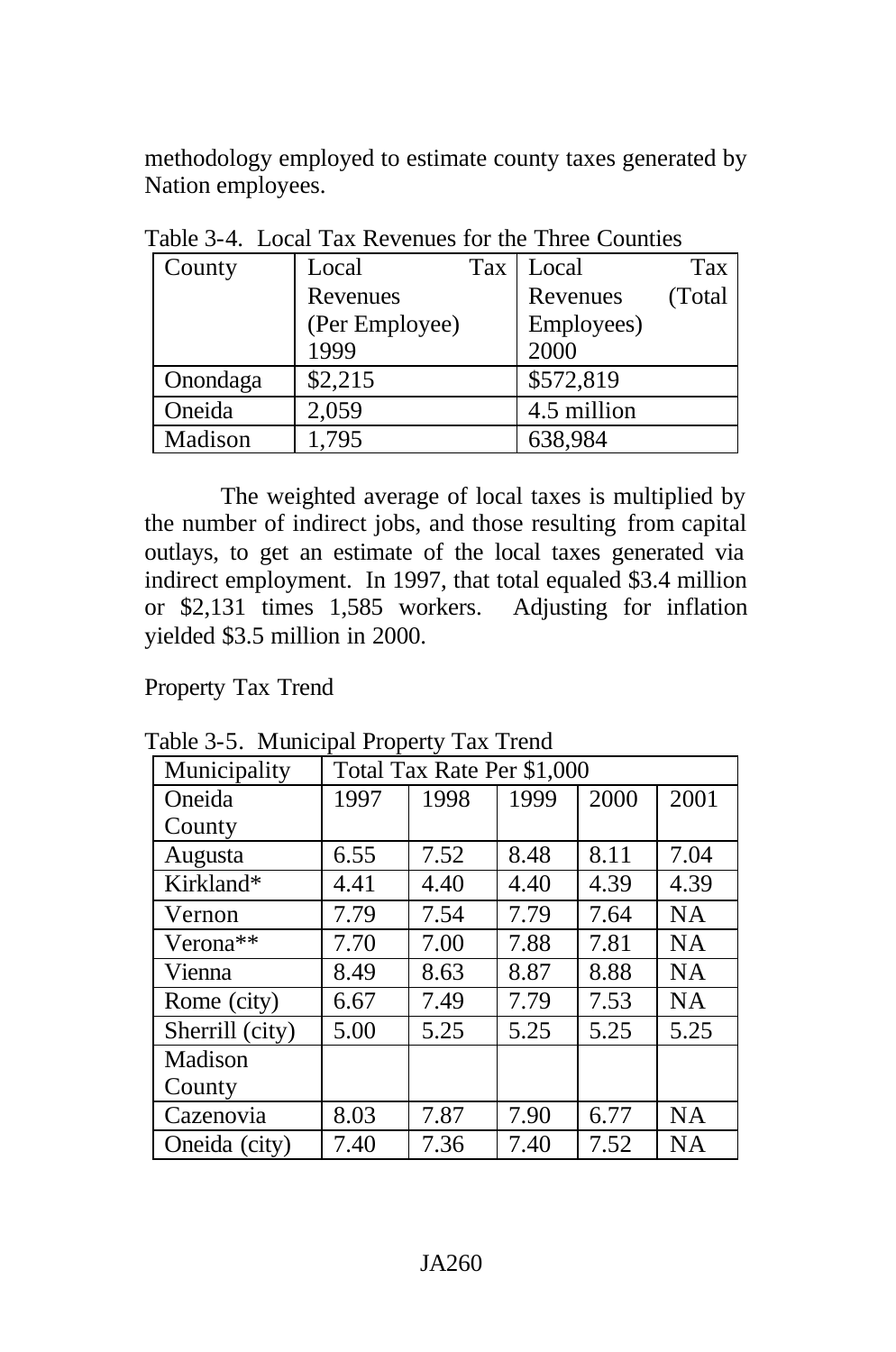methodology employed to estimate county taxes generated by Nation employees.

| Table 5- <del>4</del> . Edgal Tax Revenues for the Time Counties |                |     |             |        |  |
|------------------------------------------------------------------|----------------|-----|-------------|--------|--|
| County                                                           | Local          | Tax | Local       | Tax    |  |
|                                                                  | Revenues       |     | Revenues    | (Total |  |
|                                                                  | (Per Employee) |     | Employees)  |        |  |
|                                                                  | 1999           |     | 2000        |        |  |
| Onondaga                                                         | \$2,215        |     | \$572,819   |        |  |
| Oneida                                                           | 2,059          |     | 4.5 million |        |  |
| Madison                                                          | 1,795          |     | 638,984     |        |  |

Table 3-4. Local Tax Revenues for the Three Counties

The weighted average of local taxes is multiplied by the number of indirect jobs, and those resulting from capital outlays, to get an estimate of the local taxes generated via indirect employment. In 1997, that total equaled \$3.4 million or \$2,131 times 1,585 workers. Adjusting for inflation yielded \$3.5 million in 2000.

Property Tax Trend

| Municipality         | Total Tax Rate Per \$1,000 |      |      |      |           |
|----------------------|----------------------------|------|------|------|-----------|
| Oneida               | 1997                       | 1998 | 1999 | 2000 | 2001      |
| County               |                            |      |      |      |           |
| Augusta              | 6.55                       | 7.52 | 8.48 | 8.11 | 7.04      |
| Kirkland*            | 4.41                       | 4.40 | 4.40 | 4.39 | 4.39      |
| Vernon               | 7.79                       | 7.54 | 7.79 | 7.64 | <b>NA</b> |
| Verona <sup>**</sup> | 7.70                       | 7.00 | 7.88 | 7.81 | NA        |
| Vienna               | 8.49                       | 8.63 | 8.87 | 8.88 | <b>NA</b> |
| Rome (city)          | 6.67                       | 7.49 | 7.79 | 7.53 | <b>NA</b> |
| Sherrill (city)      | 5.00                       | 5.25 | 5.25 | 5.25 | 5.25      |
| Madison              |                            |      |      |      |           |
| County               |                            |      |      |      |           |
| Cazenovia            | 8.03                       | 7.87 | 7.90 | 6.77 | <b>NA</b> |
| Oneida (city)        | 7.40                       | 7.36 | 7.40 | 7.52 | <b>NA</b> |

Table 3-5. Municipal Property Tax Trend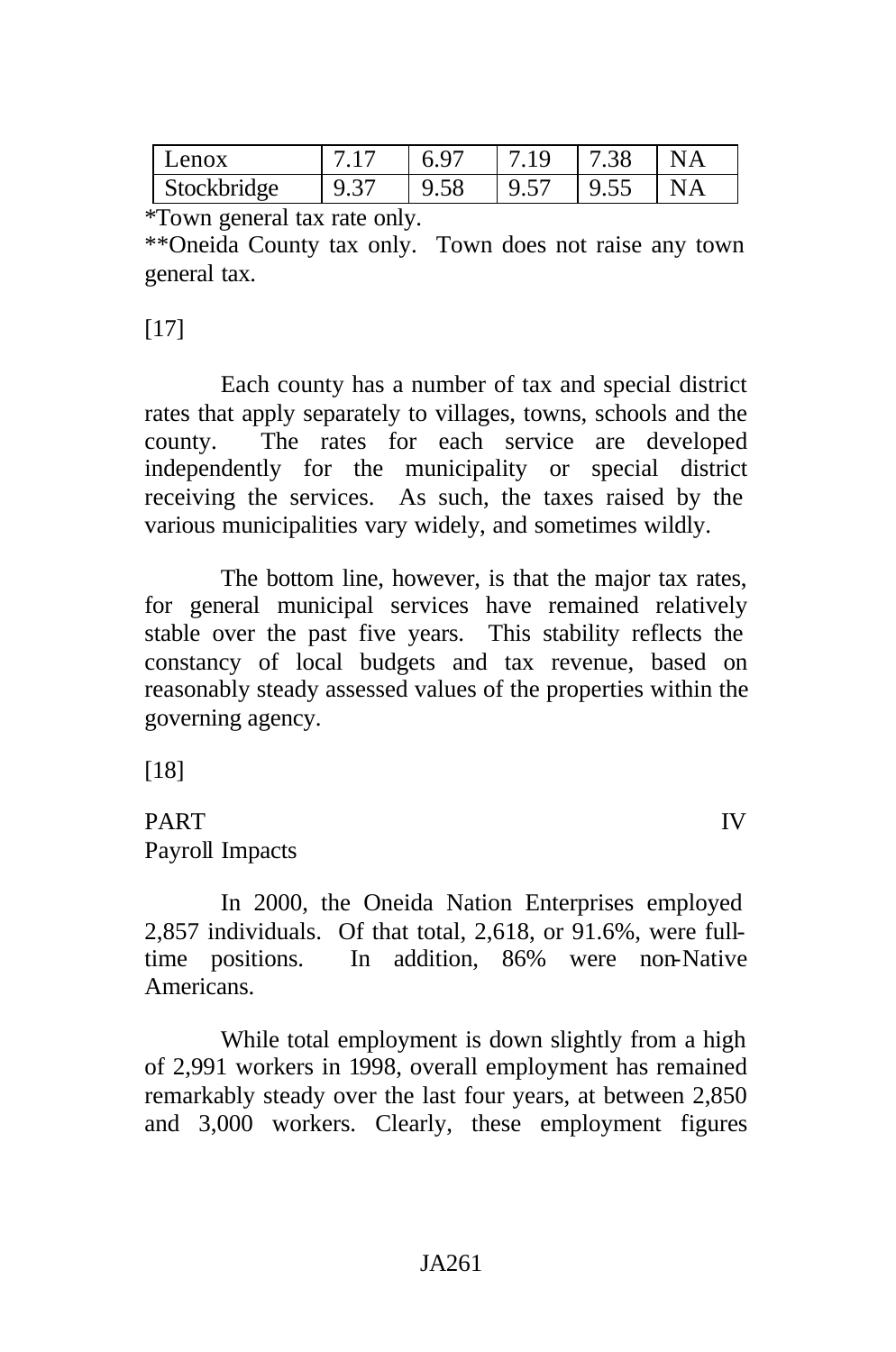|                     | 6.97 |      | 7.38 | N A |
|---------------------|------|------|------|-----|
| Stockbridge<br>9.37 | 9.58 | 9.57 | 9.55 |     |

\*Town general tax rate only.

\*\*Oneida County tax only. Town does not raise any town general tax.

# [17]

Each county has a number of tax and special district rates that apply separately to villages, towns, schools and the county. The rates for each service are developed independently for the municipality or special district receiving the services. As such, the taxes raised by the various municipalities vary widely, and sometimes wildly.

The bottom line, however, is that the major tax rates, for general municipal services have remained relatively stable over the past five years. This stability reflects the constancy of local budgets and tax revenue, based on reasonably steady assessed values of the properties within the governing agency.

[18]

# PART IV Payroll Impacts

In 2000, the Oneida Nation Enterprises employed 2,857 individuals. Of that total, 2,618, or 91.6%, were fulltime positions. In addition, 86% were non-Native Americans.

While total employment is down slightly from a high of 2,991 workers in 1998, overall employment has remained remarkably steady over the last four years, at between 2,850 and 3,000 workers. Clearly, these employment figures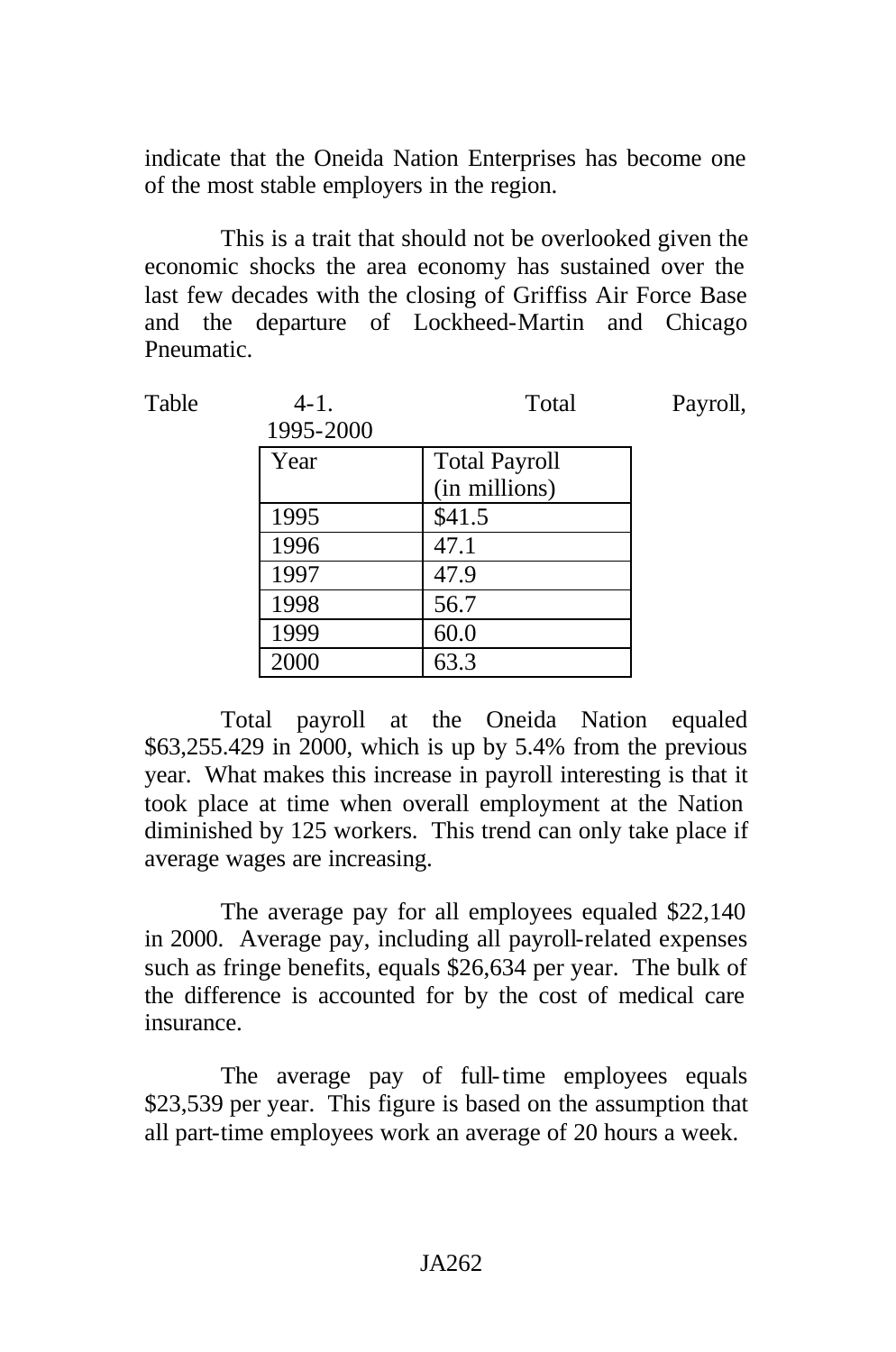indicate that the Oneida Nation Enterprises has become one of the most stable employers in the region.

This is a trait that should not be overlooked given the economic shocks the area economy has sustained over the last few decades with the closing of Griffiss Air Force Base and the departure of Lockheed-Martin and Chicago Pneumatic.

| $4 - 1$ . | Total                | Payroll, |
|-----------|----------------------|----------|
| 1995-2000 |                      |          |
| Year      | <b>Total Payroll</b> |          |
|           | (in millions)        |          |
| 1995      | \$41.5               |          |
| 1996      | 47.1                 |          |
| 1997      | 47.9                 |          |
| 1998      | 56.7                 |          |
| 1999      | 60.0                 |          |
| 2000      | 63.3                 |          |
|           |                      |          |

Total payroll at the Oneida Nation equaled \$63,255.429 in 2000, which is up by 5.4% from the previous year. What makes this increase in payroll interesting is that it took place at time when overall employment at the Nation diminished by 125 workers. This trend can only take place if average wages are increasing.

The average pay for all employees equaled \$22,140 in 2000. Average pay, including all payroll-related expenses such as fringe benefits, equals \$26,634 per year. The bulk of the difference is accounted for by the cost of medical care insurance.

The average pay of full-time employees equals \$23,539 per year. This figure is based on the assumption that all part-time employees work an average of 20 hours a week.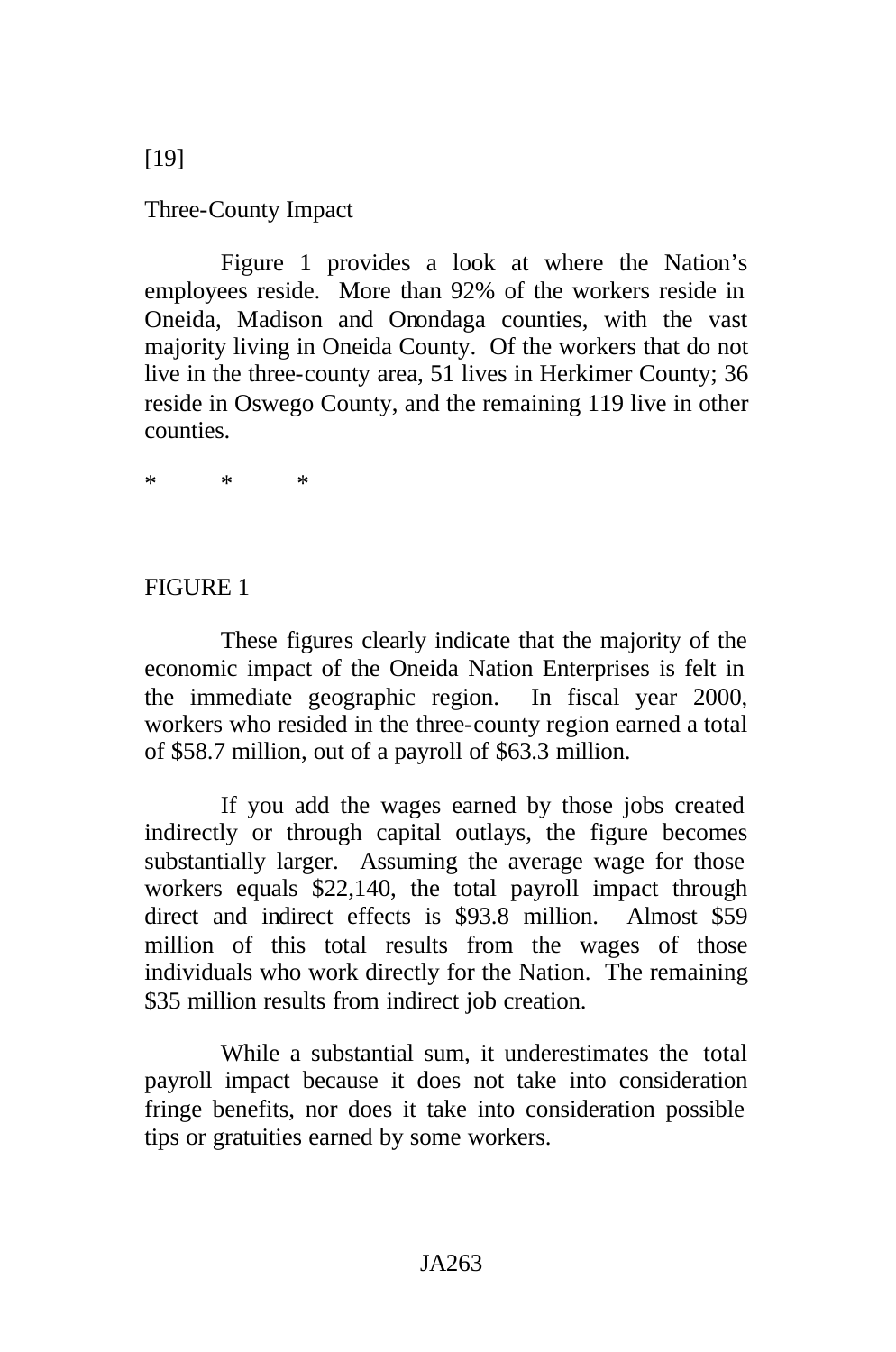Three-County Impact

Figure 1 provides a look at where the Nation's employees reside. More than 92% of the workers reside in Oneida, Madison and Onondaga counties, with the vast majority living in Oneida County. Of the workers that do not live in the three-county area, 51 lives in Herkimer County; 36 reside in Oswego County, and the remaining 119 live in other counties.

\* \* \*

## FIGURE 1

These figures clearly indicate that the majority of the economic impact of the Oneida Nation Enterprises is felt in the immediate geographic region. In fiscal year 2000, workers who resided in the three-county region earned a total of \$58.7 million, out of a payroll of \$63.3 million.

If you add the wages earned by those jobs created indirectly or through capital outlays, the figure becomes substantially larger. Assuming the average wage for those workers equals \$22,140, the total payroll impact through direct and indirect effects is \$93.8 million. Almost \$59 million of this total results from the wages of those individuals who work directly for the Nation. The remaining \$35 million results from indirect job creation.

While a substantial sum, it underestimates the total payroll impact because it does not take into consideration fringe benefits, nor does it take into consideration possible tips or gratuities earned by some workers.

[19]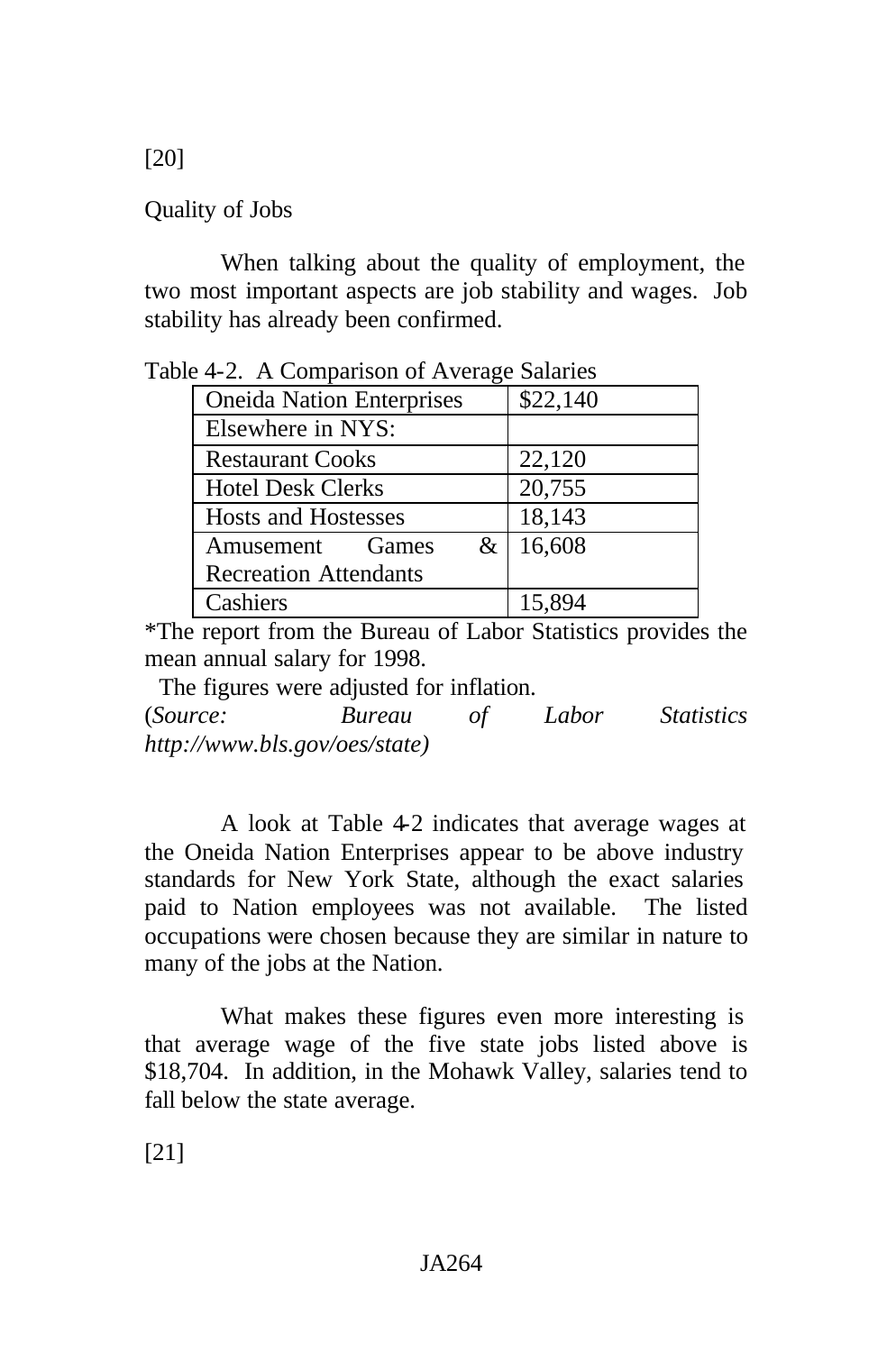[20]

Quality of Jobs

When talking about the quality of employment, the two most important aspects are job stability and wages. Job stability has already been confirmed.

| $\alpha$ +-2. A Companison of Average Salaries |          |  |  |  |
|------------------------------------------------|----------|--|--|--|
| <b>Oneida Nation Enterprises</b>               | \$22,140 |  |  |  |
| Elsewhere in NYS:                              |          |  |  |  |
| <b>Restaurant Cooks</b>                        | 22,120   |  |  |  |
| <b>Hotel Desk Clerks</b>                       | 20,755   |  |  |  |
| <b>Hosts and Hostesses</b>                     | 18,143   |  |  |  |
| &<br>Amusement<br><b>Games</b>                 | 16,608   |  |  |  |
| <b>Recreation Attendants</b>                   |          |  |  |  |
| Cashiers                                       | 15,894   |  |  |  |

Table 4-2. A Comparison of Average Salaries

\*The report from the Bureau of Labor Statistics provides the mean annual salary for 1998.

The figures were adjusted for inflation.

(*Source: Bureau of Labor Statistics http://www.bls.gov/oes/state)*

A look at Table 4-2 indicates that average wages at the Oneida Nation Enterprises appear to be above industry standards for New York State, although the exact salaries paid to Nation employees was not available. The listed occupations were chosen because they are similar in nature to many of the jobs at the Nation.

What makes these figures even more interesting is that average wage of the five state jobs listed above is \$18,704. In addition, in the Mohawk Valley, salaries tend to fall below the state average.

[21]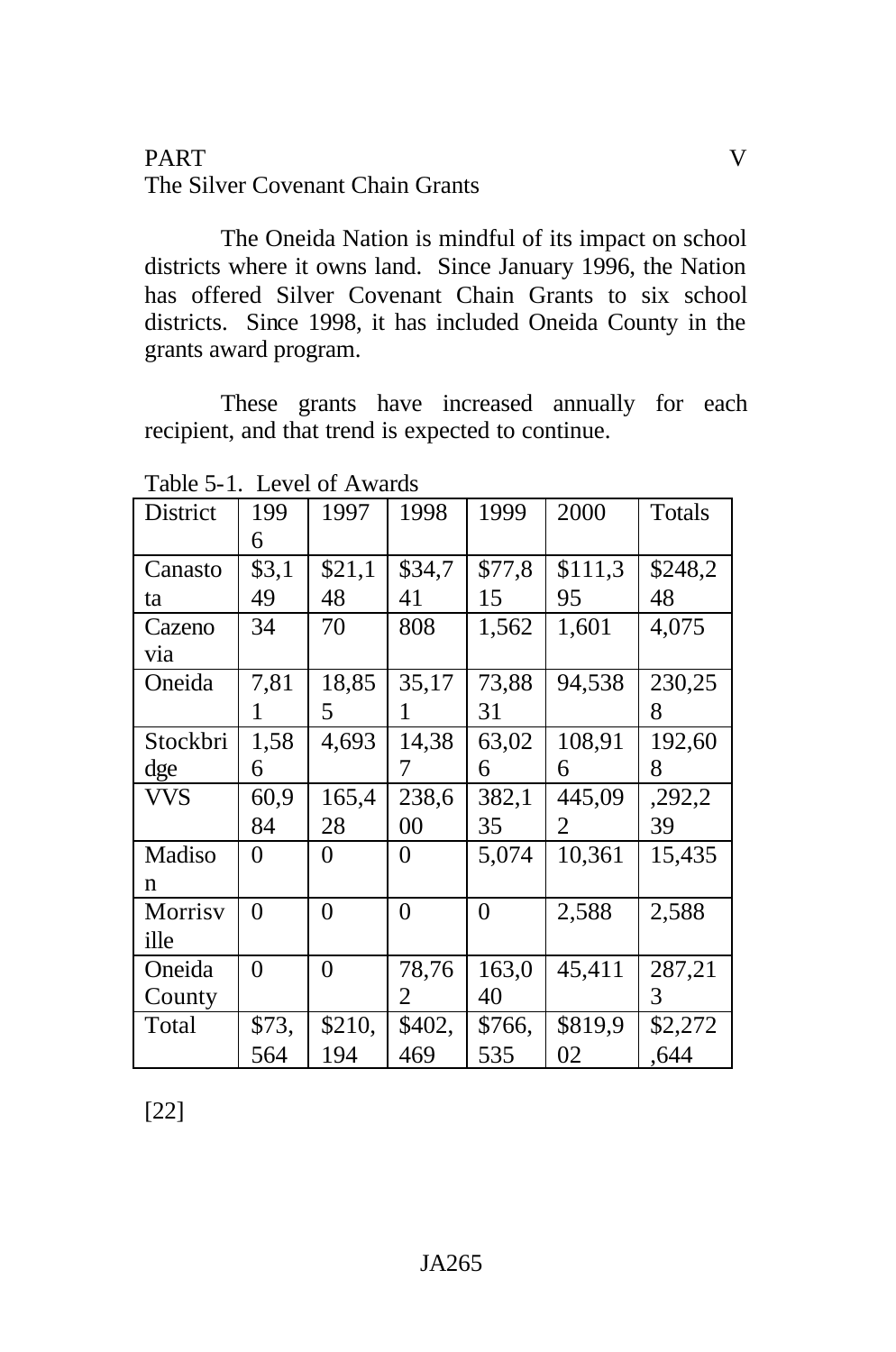### PART V The Silver Covenant Chain Grants

The Oneida Nation is mindful of its impact on school districts where it owns land. Since January 1996, the Nation has offered Silver Covenant Chain Grants to six school districts. Since 1998, it has included Oneida County in the grants award program.

These grants have increased annually for each recipient, and that trend is expected to continue.

| District   | 199            | 1997           | 1998           | 1999           | 2000    | Totals  |
|------------|----------------|----------------|----------------|----------------|---------|---------|
|            | 6              |                |                |                |         |         |
| Canasto    | \$3,1          | \$21,1         | \$34,7         | \$77,8         | \$111,3 | \$248,2 |
| ta         | 49             | 48             | 41             | 15             | 95      | 48      |
| Cazeno     | 34             | 70             | 808            | 1,562          | 1,601   | 4,075   |
| via        |                |                |                |                |         |         |
| Oneida     | 7,81           | 18,85          | 35,17          | 73,88          | 94,538  | 230,25  |
|            | 1              | 5              | 1              | 31             |         | 8       |
| Stockbri   | 1,58           | 4,693          | 14,38          | 63,02          | 108,91  | 192,60  |
| dge        | 6              |                | 7              | 6              | 6       | 8       |
| <b>VVS</b> |                |                |                |                |         |         |
|            | 60,9           | 165,4          | 238,6          | 382,1          | 445,09  | ,292,2  |
|            | 84             | 28             | 00             | 35             | 2       | 39      |
| Madiso     | 0              | 0              | $\overline{0}$ | 5,074          | 10,361  | 15,435  |
| n          |                |                |                |                |         |         |
| Morrisv    | $\overline{0}$ | $\overline{0}$ | $\overline{0}$ | $\overline{0}$ | 2,588   | 2,588   |
| ille       |                |                |                |                |         |         |
| Oneida     | $\overline{0}$ | $\overline{0}$ | 78,76          | 163,0          | 45,411  | 287,21  |
| County     |                |                | 2              | 40             |         | 3       |
| Total      | \$73,          | \$210,         | \$402,         | \$766,         | \$819,9 | \$2,272 |

Table 5-1. Level of Awards

[22]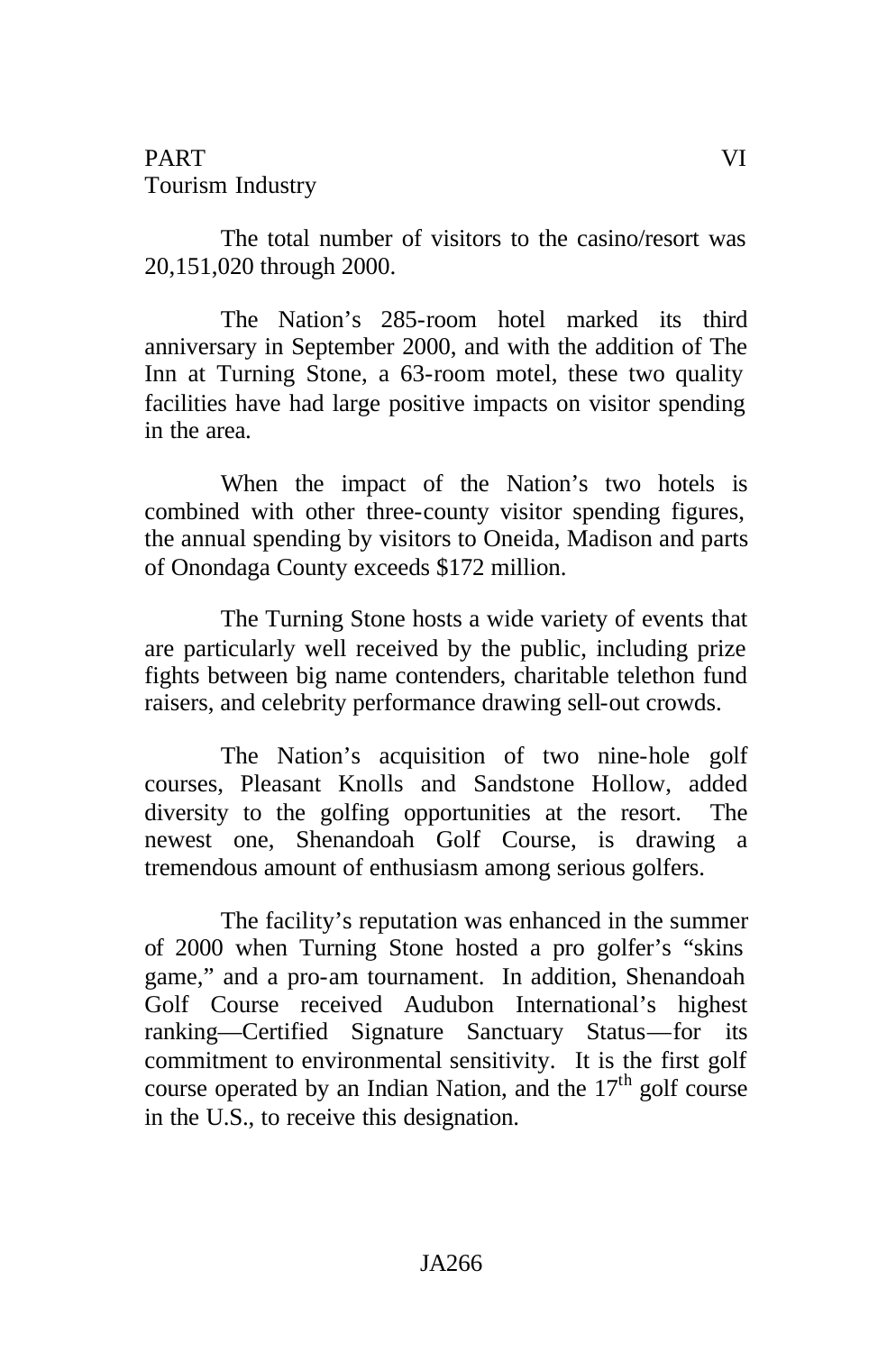# PART VI Tourism Industry

The total number of visitors to the casino/resort was 20,151,020 through 2000.

The Nation's 285-room hotel marked its third anniversary in September 2000, and with the addition of The Inn at Turning Stone, a 63-room motel, these two quality facilities have had large positive impacts on visitor spending in the area.

When the impact of the Nation's two hotels is combined with other three-county visitor spending figures, the annual spending by visitors to Oneida, Madison and parts of Onondaga County exceeds \$172 million.

The Turning Stone hosts a wide variety of events that are particularly well received by the public, including prize fights between big name contenders, charitable telethon fund raisers, and celebrity performance drawing sell-out crowds.

The Nation's acquisition of two nine-hole golf courses, Pleasant Knolls and Sandstone Hollow, added diversity to the golfing opportunities at the resort. The newest one, Shenandoah Golf Course, is drawing a tremendous amount of enthusiasm among serious golfers.

The facility's reputation was enhanced in the summer of 2000 when Turning Stone hosted a pro golfer's "skins game," and a pro-am tournament. In addition, Shenandoah Golf Course received Audubon International's highest ranking—Certified Signature Sanctuary Status—for its commitment to environmental sensitivity. It is the first golf course operated by an Indian Nation, and the  $17<sup>th</sup>$  golf course in the U.S., to receive this designation.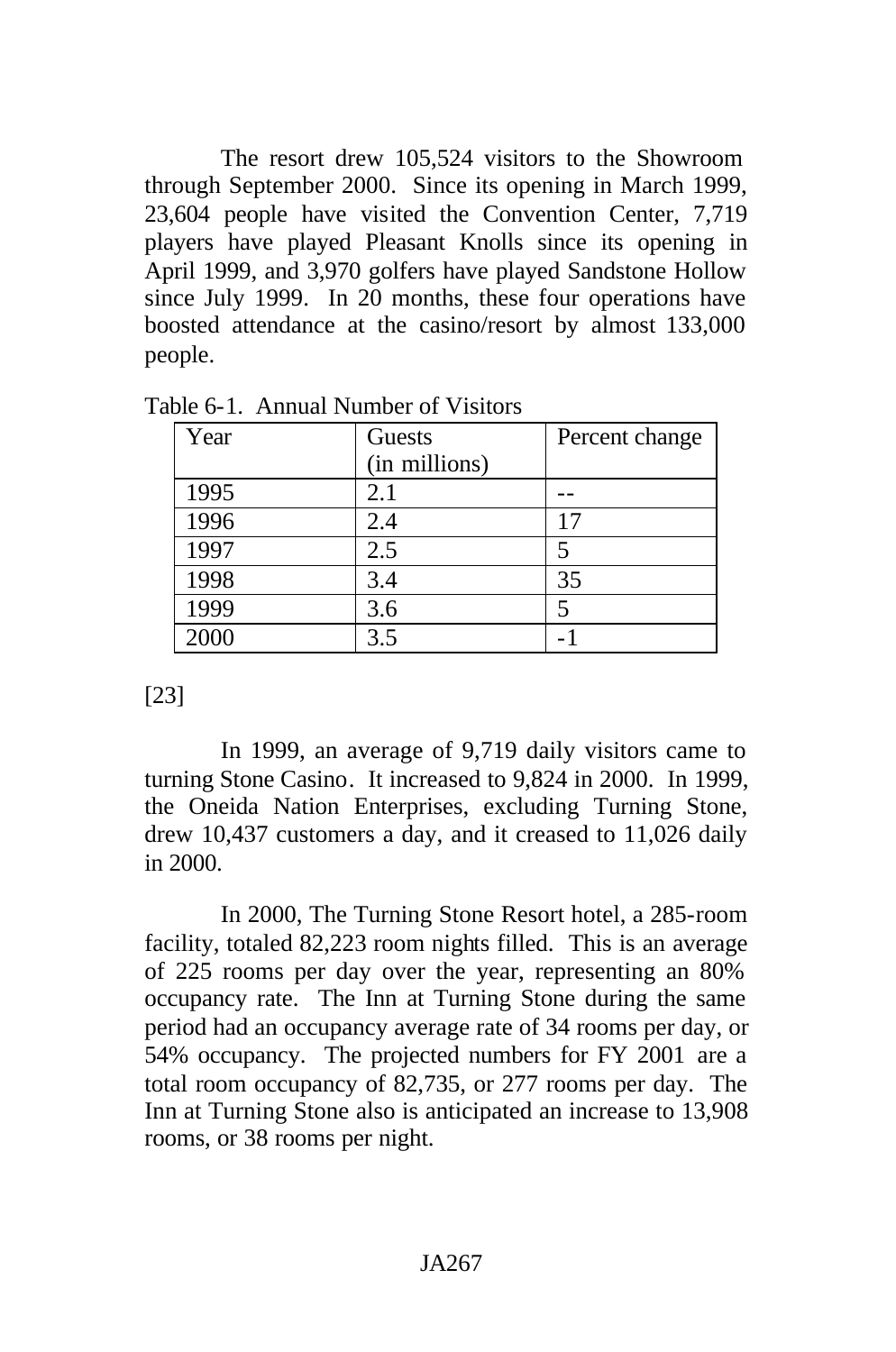The resort drew 105,524 visitors to the Showroom through September 2000. Since its opening in March 1999, 23,604 people have visited the Convention Center, 7,719 players have played Pleasant Knolls since its opening in April 1999, and 3,970 golfers have played Sandstone Hollow since July 1999. In 20 months, these four operations have boosted attendance at the casino/resort by almost 133,000 people.

| Year | Guests        | Percent change |
|------|---------------|----------------|
|      | (in millions) |                |
| 1995 | 2.1           |                |
| 1996 | 2.4           | 17             |
| 1997 | 2.5           | 5              |
| 1998 | 3.4           | 35             |
| 1999 | 3.6           | 5              |
| 2000 | 3.5           |                |

Table 6-1. Annual Number of Visitors

[23]

In 1999, an average of 9,719 daily visitors came to turning Stone Casino. It increased to 9,824 in 2000. In 1999, the Oneida Nation Enterprises, excluding Turning Stone, drew 10,437 customers a day, and it creased to 11,026 daily in 2000.

In 2000, The Turning Stone Resort hotel, a 285-room facility, totaled 82,223 room nights filled. This is an average of 225 rooms per day over the year, representing an 80% occupancy rate. The Inn at Turning Stone during the same period had an occupancy average rate of 34 rooms per day, or 54% occupancy. The projected numbers for FY 2001 are a total room occupancy of 82,735, or 277 rooms per day. The Inn at Turning Stone also is anticipated an increase to 13,908 rooms, or 38 rooms per night.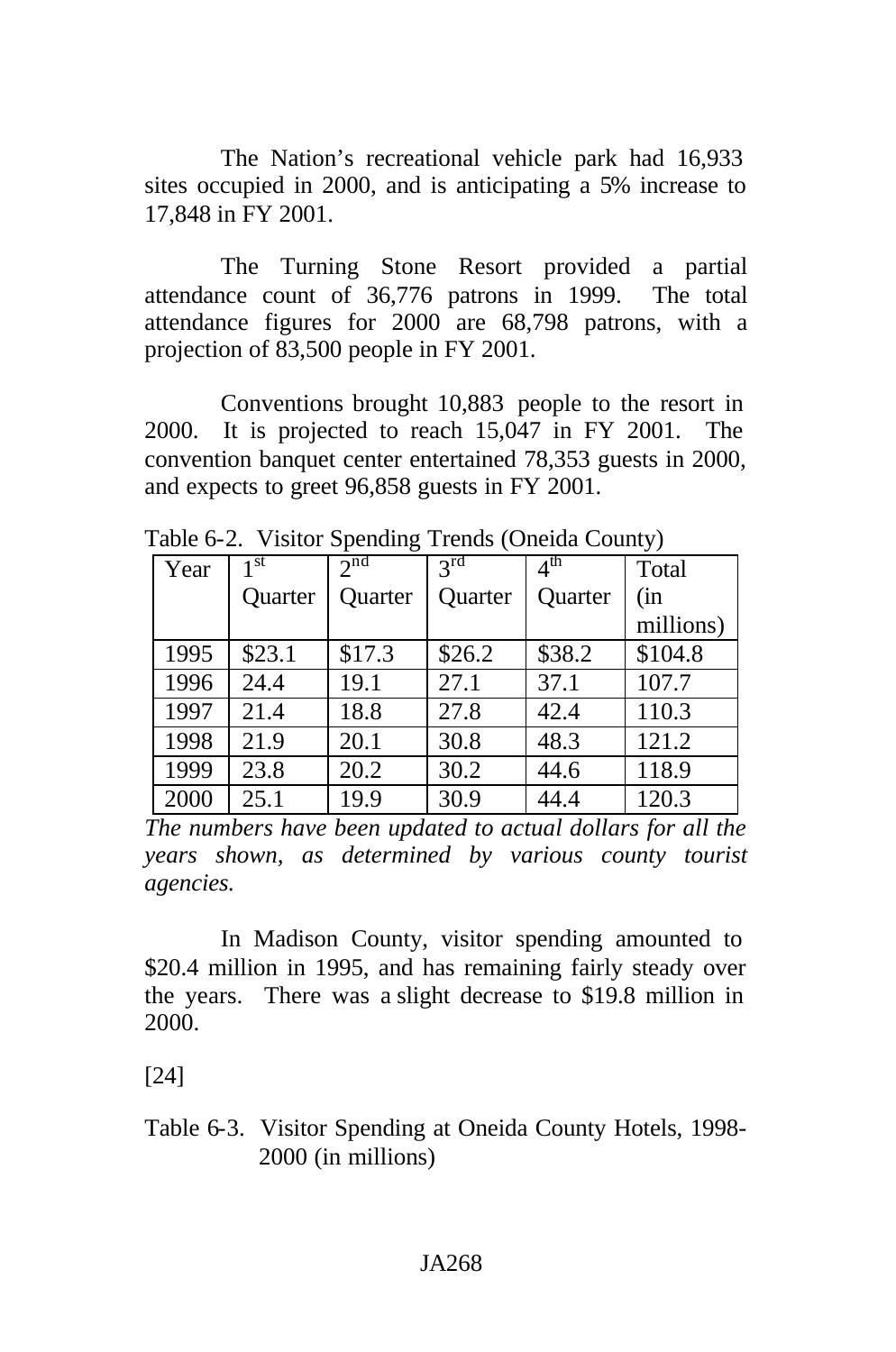The Nation's recreational vehicle park had 16,933 sites occupied in 2000, and is anticipating a 5% increase to 17,848 in FY 2001.

The Turning Stone Resort provided a partial attendance count of 36,776 patrons in 1999. The total attendance figures for 2000 are 68,798 patrons, with a projection of 83,500 people in FY 2001.

Conventions brought 10,883 people to the resort in 2000. It is projected to reach 15,047 in FY 2001. The convention banquet center entertained 78,353 guests in 2000, and expects to greet 96,858 guests in FY 2001.

| Year | 1 <sup>st</sup> | 2 <sup>nd</sup> | $3^{rd}$ | $4^{\text{th}}$ | Total     |
|------|-----------------|-----------------|----------|-----------------|-----------|
|      | Quarter         | Quarter         | Quarter  | Quarter         | (in       |
|      |                 |                 |          |                 | millions) |
| 1995 | \$23.1          | \$17.3          | \$26.2   | \$38.2          | \$104.8   |
| 1996 | 24.4            | 19.1            | 27.1     | 37.1            | 107.7     |
| 1997 | 21.4            | 18.8            | 27.8     | 42.4            | 110.3     |
| 1998 | 21.9            | 20.1            | 30.8     | 48.3            | 121.2     |
| 1999 | 23.8            | 20.2            | 30.2     | 44.6            | 118.9     |
| 2000 | 25.1            | 19.9            | 30.9     | 44.4            | 120.3     |

Table 6-2. Visitor Spending Trends (Oneida County)

*The numbers have been updated to actual dollars for all the years shown, as determined by various county tourist agencies.*

In Madison County, visitor spending amounted to \$20.4 million in 1995, and has remaining fairly steady over the years. There was a slight decrease to \$19.8 million in 2000.

[24]

Table 6-3. Visitor Spending at Oneida County Hotels, 1998- 2000 (in millions)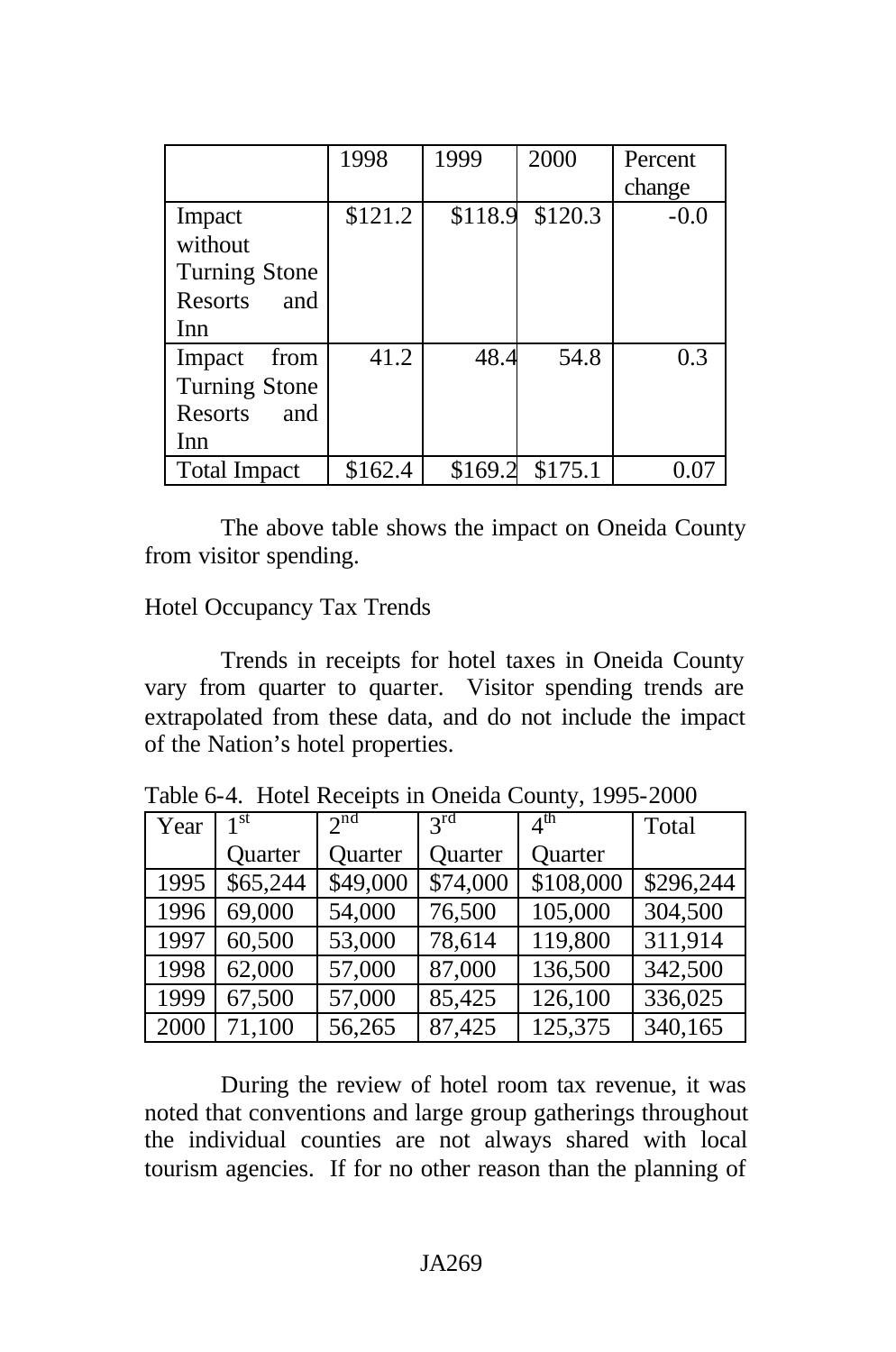|                      | 1998    | 1999    | 2000    | Percent |
|----------------------|---------|---------|---------|---------|
|                      |         |         |         | change  |
| Impact               | \$121.2 | \$118.9 | \$120.3 | $-0.0$  |
| without              |         |         |         |         |
| <b>Turning Stone</b> |         |         |         |         |
| Resorts<br>and       |         |         |         |         |
| Inn                  |         |         |         |         |
| Impact<br>from       | 41.2    | 48.4    | 54.8    | 0.3     |
| <b>Turning Stone</b> |         |         |         |         |
| Resorts<br>and       |         |         |         |         |
| Inn                  |         |         |         |         |
| <b>Total Impact</b>  | \$162.4 | \$169.2 | \$175.1 |         |

The above table shows the impact on Oneida County from visitor spending.

Hotel Occupancy Tax Trends

Trends in receipts for hotel taxes in Oneida County vary from quarter to quarter. Visitor spending trends are extrapolated from these data, and do not include the impact of the Nation's hotel properties.

| Year | 1 <sup>st</sup> | $2^{nd}$ | $2^{\text{rd}}$      | $4^{\text{th}}$ | Total     |
|------|-----------------|----------|----------------------|-----------------|-----------|
|      | Quarter         | Quarter  | Quarter              | Quarter         |           |
| 1995 | \$65,244        | \$49,000 | $\overline{$}74,000$ | \$108,000       | \$296,244 |
| 1996 | 69,000          | 54,000   | 76,500               | 105,000         | 304,500   |
| 1997 | 60,500          | 53,000   | 78,614               | 119,800         | 311,914   |
| 1998 | 62,000          | 57,000   | 87,000               | 136,500         | 342,500   |
| 1999 | 67,500          | 57,000   | 85,425               | 126,100         | 336,025   |
| 2000 | 71,100          | 56,265   | 87,425               | 125,375         | 340,165   |

During the review of hotel room tax revenue, it was noted that conventions and large group gatherings throughout the individual counties are not always shared with local tourism agencies. If for no other reason than the planning of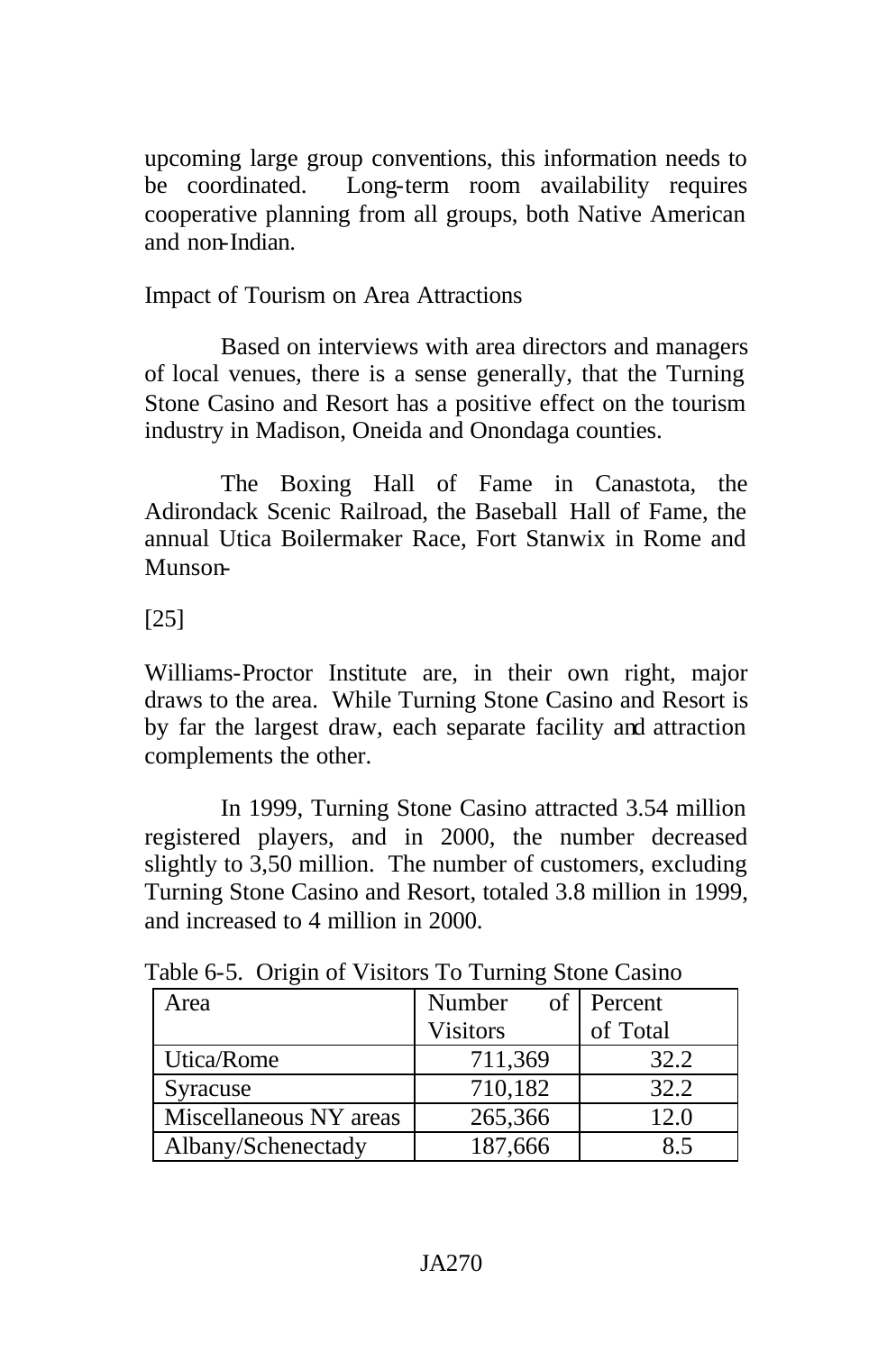upcoming large group conventions, this information needs to be coordinated. Long-term room availability requires cooperative planning from all groups, both Native American and non-Indian.

# Impact of Tourism on Area Attractions

Based on interviews with area directors and managers of local venues, there is a sense generally, that the Turning Stone Casino and Resort has a positive effect on the tourism industry in Madison, Oneida and Onondaga counties.

The Boxing Hall of Fame in Canastota, the Adirondack Scenic Railroad, the Baseball Hall of Fame, the annual Utica Boilermaker Race, Fort Stanwix in Rome and Munson-

# [25]

Williams-Proctor Institute are, in their own right, major draws to the area. While Turning Stone Casino and Resort is by far the largest draw, each separate facility and attraction complements the other.

In 1999, Turning Stone Casino attracted 3.54 million registered players, and in 2000, the number decreased slightly to 3,50 million. The number of customers, excluding Turning Stone Casino and Resort, totaled 3.8 million in 1999, and increased to 4 million in 2000.

| Area                   | Number          | of Percent |
|------------------------|-----------------|------------|
|                        | <b>Visitors</b> | of Total   |
| Utica/Rome             | 711,369         | 32.2       |
| Syracuse               | 710,182         | 32.2       |
| Miscellaneous NY areas | 265,366         | 12.0       |
| Albany/Schenectady     | 187,666         | 85         |

Table 6-5. Origin of Visitors To Turning Stone Casino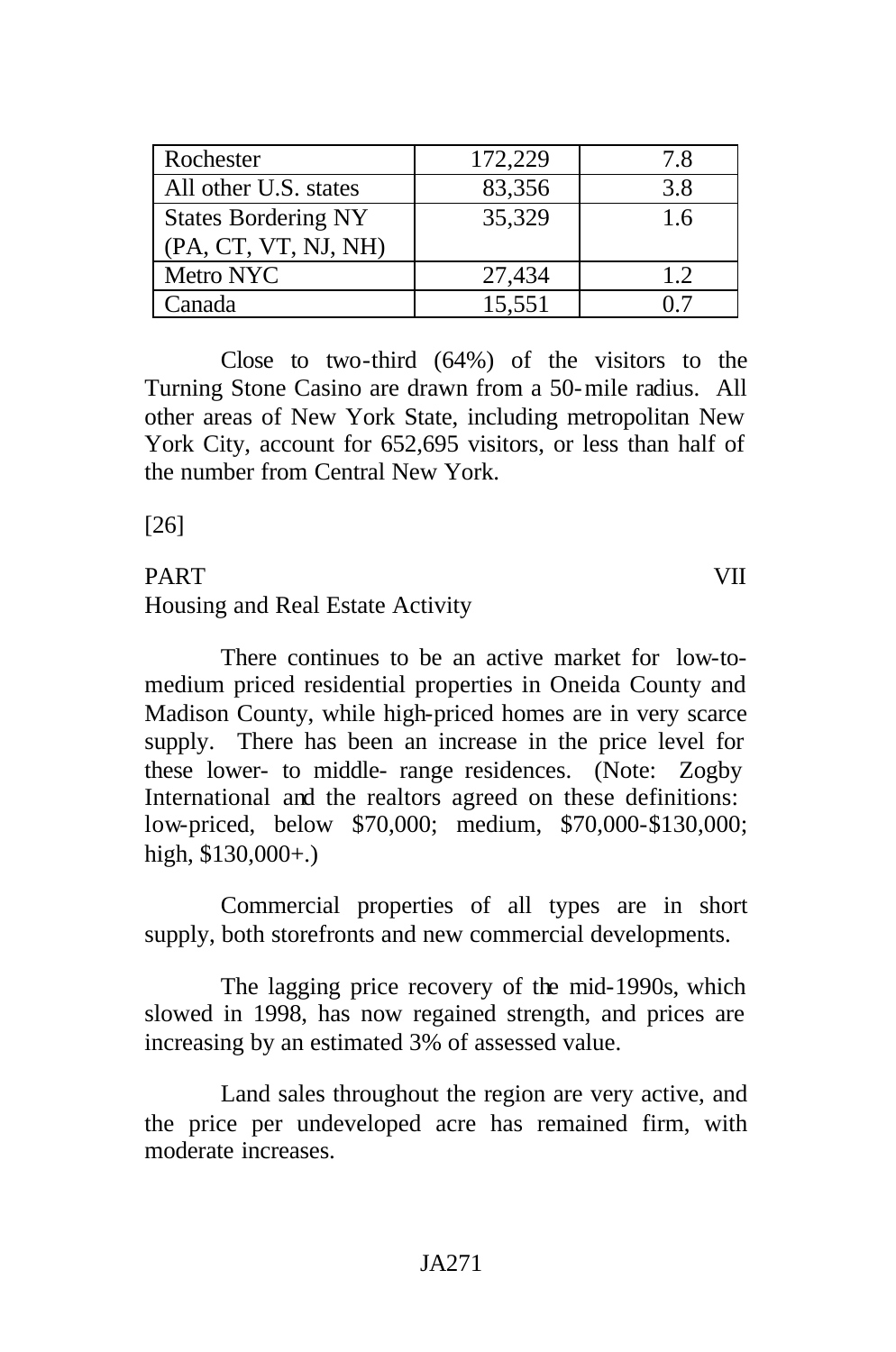| Rochester                  | 172,229 | 7.8 |
|----------------------------|---------|-----|
| All other U.S. states      | 83,356  | 3.8 |
| <b>States Bordering NY</b> | 35,329  | 1.6 |
| (PA, CT, VT, NJ, NH)       |         |     |
| Metro NYC                  | 27,434  | 1.2 |
| Canada                     | 15,551  |     |

Close to two-third (64%) of the visitors to the Turning Stone Casino are drawn from a 50-mile radius. All other areas of New York State, including metropolitan New York City, account for 652,695 visitors, or less than half of the number from Central New York.

[26]

# PART VII Housing and Real Estate Activity

There continues to be an active market for low-tomedium priced residential properties in Oneida County and Madison County, while high-priced homes are in very scarce supply. There has been an increase in the price level for these lower- to middle- range residences. (Note: Zogby International and the realtors agreed on these definitions: low-priced, below \$70,000; medium, \$70,000-\$130,000; high,  $$130,000+$ .)

Commercial properties of all types are in short supply, both storefronts and new commercial developments.

The lagging price recovery of the mid-1990s, which slowed in 1998, has now regained strength, and prices are increasing by an estimated 3% of assessed value.

Land sales throughout the region are very active, and the price per undeveloped acre has remained firm, with moderate increases.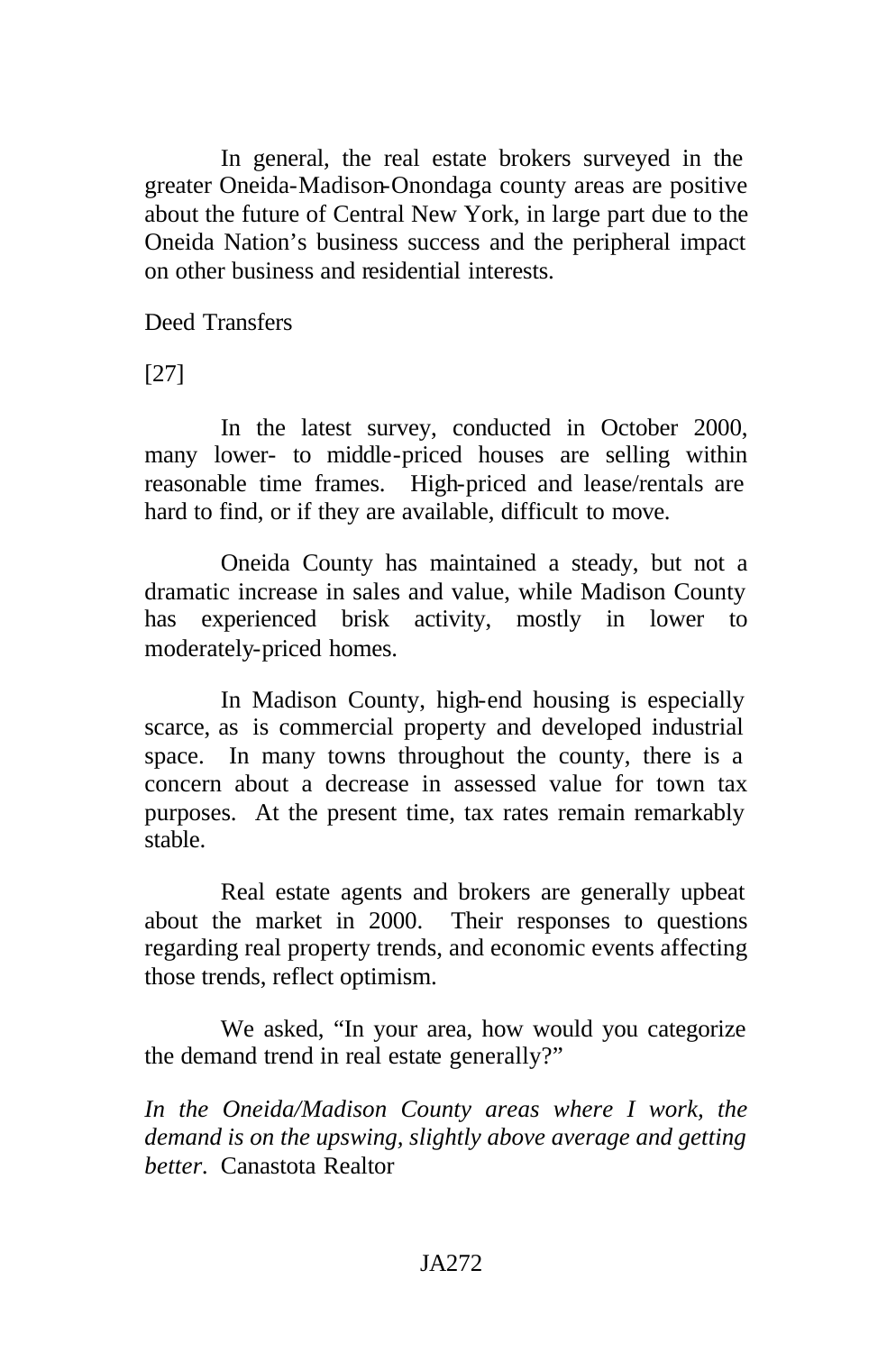In general, the real estate brokers surveyed in the greater Oneida-Madison-Onondaga county areas are positive about the future of Central New York, in large part due to the Oneida Nation's business success and the peripheral impact on other business and residential interests.

Deed Transfers

[27]

In the latest survey, conducted in October 2000, many lower- to middle-priced houses are selling within reasonable time frames. High-priced and lease/rentals are hard to find, or if they are available, difficult to move.

Oneida County has maintained a steady, but not a dramatic increase in sales and value, while Madison County has experienced brisk activity, mostly in lower to moderately-priced homes.

In Madison County, high-end housing is especially scarce, as is commercial property and developed industrial space. In many towns throughout the county, there is a concern about a decrease in assessed value for town tax purposes. At the present time, tax rates remain remarkably stable.

Real estate agents and brokers are generally upbeat about the market in 2000. Their responses to questions regarding real property trends, and economic events affecting those trends, reflect optimism.

We asked, "In your area, how would you categorize the demand trend in real estate generally?"

*In the Oneida/Madison County areas where I work, the demand is on the upswing, slightly above average and getting better.* Canastota Realtor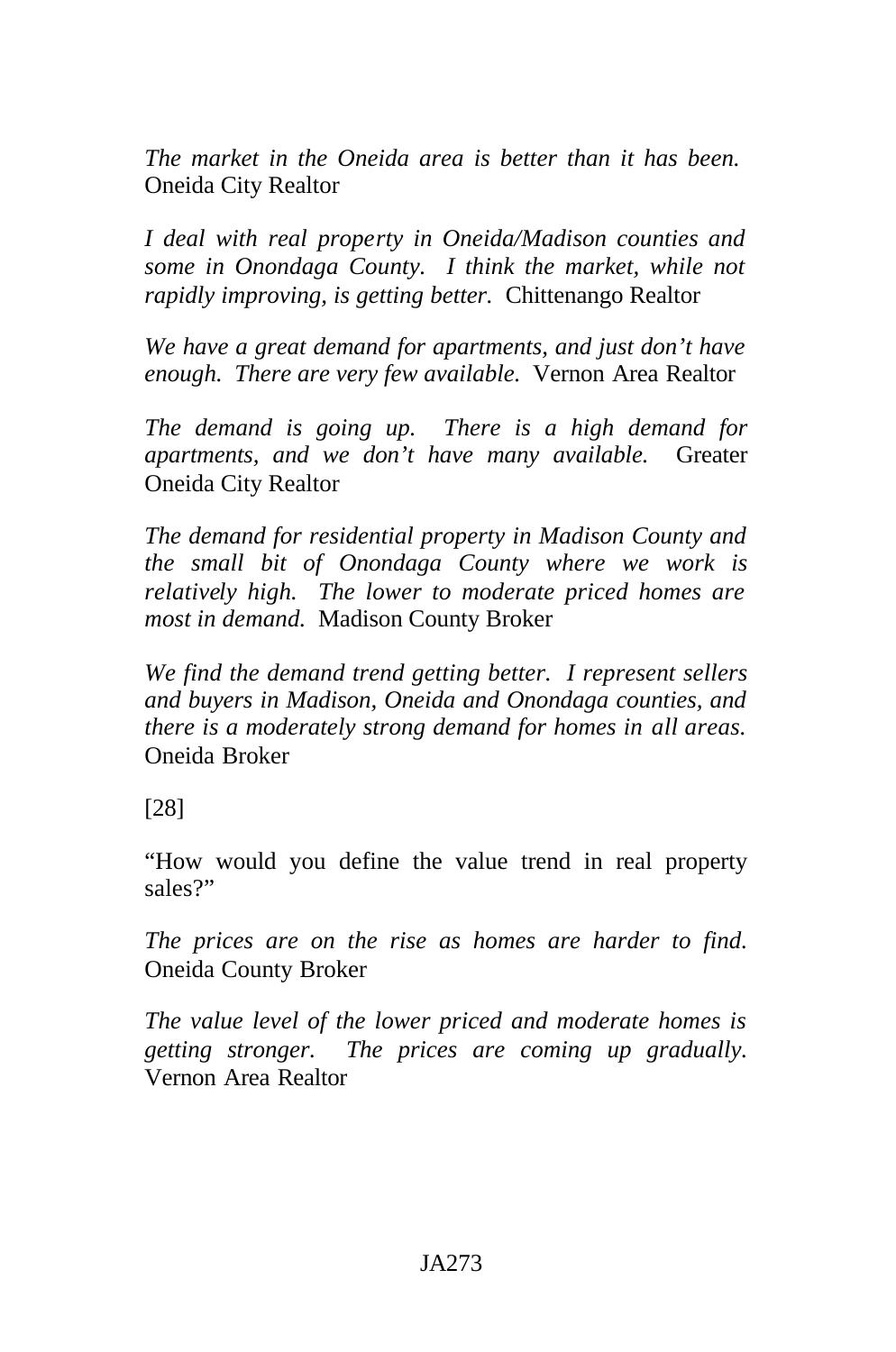*The market in the Oneida area is better than it has been.*  Oneida City Realtor

*I deal with real property in Oneida/Madison counties and some in Onondaga County. I think the market, while not rapidly improving, is getting better.* Chittenango Realtor

*We have a great demand for apartments, and just don't have enough. There are very few available.* Vernon Area Realtor

*The demand is going up. There is a high demand for apartments, and we don't have many available.* Greater Oneida City Realtor

*The demand for residential property in Madison County and the small bit of Onondaga County where we work is relatively high. The lower to moderate priced homes are most in demand.* Madison County Broker

*We find the demand trend getting better. I represent sellers and buyers in Madison, Oneida and Onondaga counties, and there is a moderately strong demand for homes in all areas.*  Oneida Broker

[28]

"How would you define the value trend in real property sales?"

*The prices are on the rise as homes are harder to find.*  Oneida County Broker

*The value level of the lower priced and moderate homes is getting stronger. The prices are coming up gradually.*  Vernon Area Realtor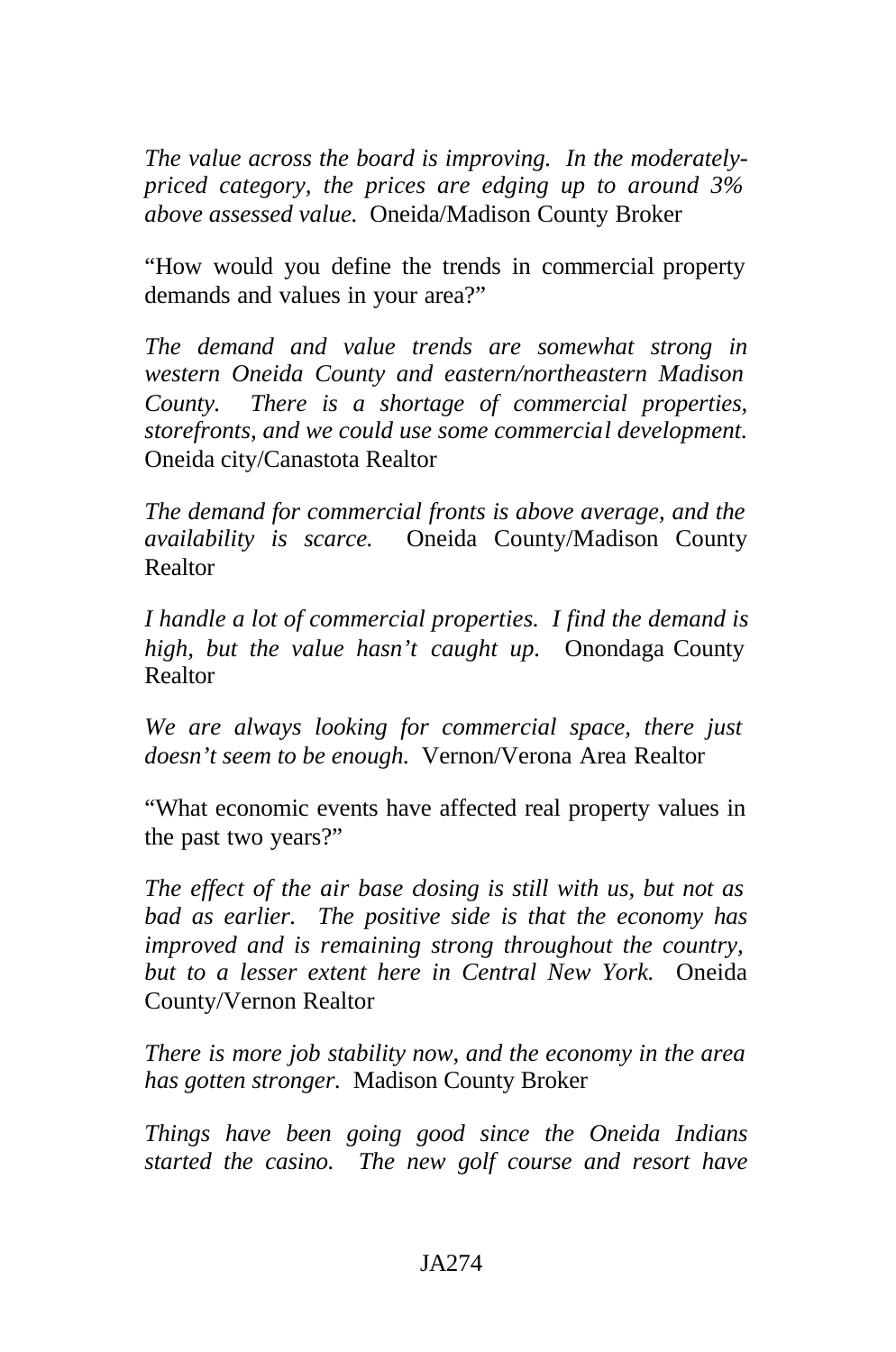*The value across the board is improving. In the moderatelypriced category, the prices are edging up to around 3% above assessed value.* Oneida/Madison County Broker

"How would you define the trends in commercial property demands and values in your area?"

*The demand and value trends are somewhat strong in western Oneida County and eastern/northeastern Madison County. There is a shortage of commercial properties, storefronts, and we could use some commercial development.*  Oneida city/Canastota Realtor

*The demand for commercial fronts is above average, and the availability is scarce.* Oneida County/Madison County Realtor

*I handle a lot of commercial properties. I find the demand is high, but the value hasn't caught up.* Onondaga County Realtor

*We are always looking for commercial space, there just doesn't seem to be enough.* Vernon/Verona Area Realtor

"What economic events have affected real property values in the past two years?"

*The effect of the air base closing is still with us, but not as bad as earlier. The positive side is that the economy has improved and is remaining strong throughout the country, but to a lesser extent here in Central New York.* Oneida County/Vernon Realtor

*There is more job stability now, and the economy in the area has gotten stronger.* Madison County Broker

*Things have been going good since the Oneida Indians started the casino. The new golf course and resort have*

#### JA274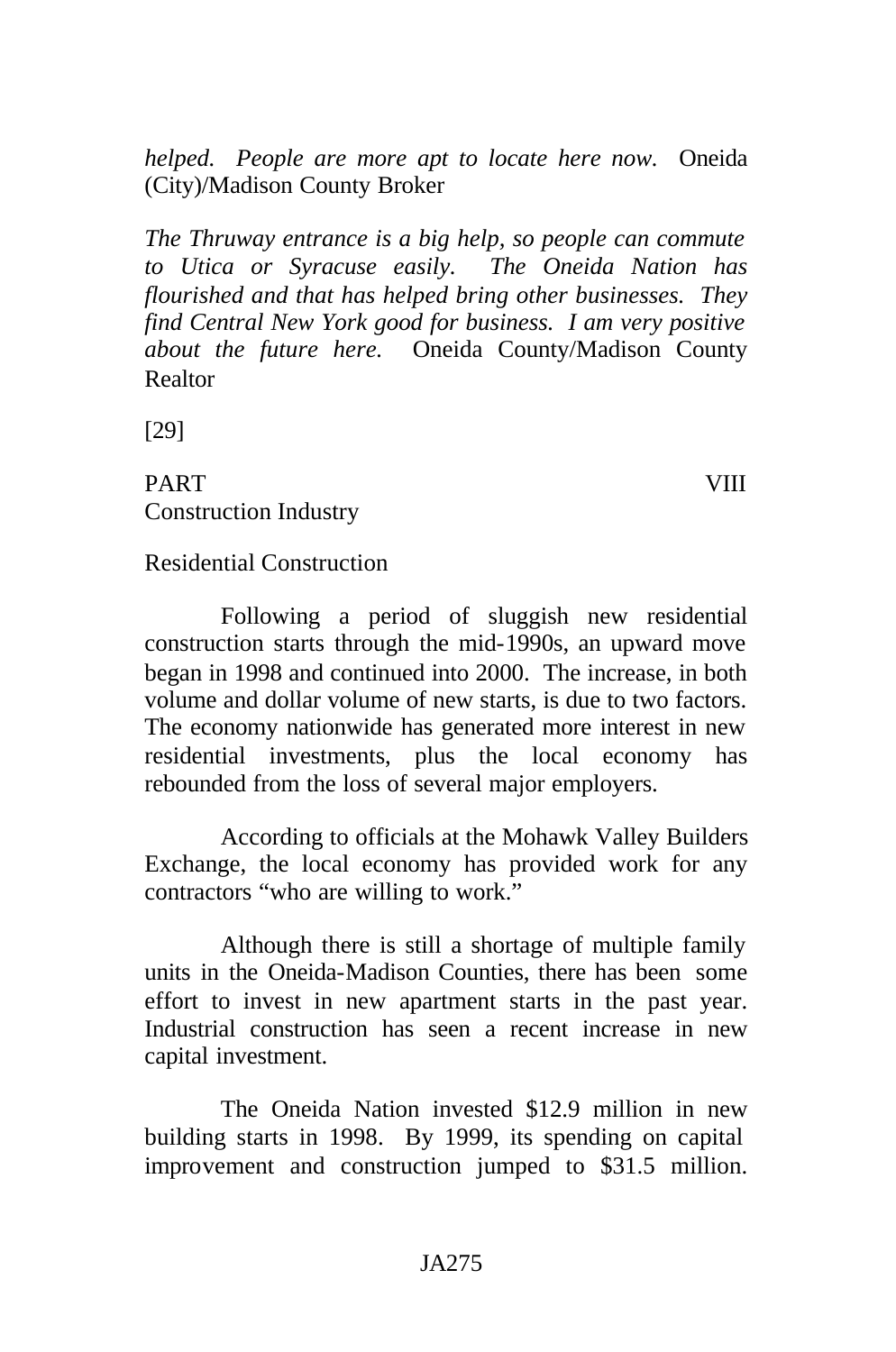*helped. People are more apt to locate here now.* Oneida (City)/Madison County Broker

*The Thruway entrance is a big help, so people can commute to Utica or Syracuse easily. The Oneida Nation has flourished and that has helped bring other businesses. They find Central New York good for business. I am very positive about the future here.* Oneida County/Madison County Realtor

[29]

PART VIII Construction Industry

#### Residential Construction

Following a period of sluggish new residential construction starts through the mid-1990s, an upward move began in 1998 and continued into 2000. The increase, in both volume and dollar volume of new starts, is due to two factors. The economy nationwide has generated more interest in new residential investments, plus the local economy has rebounded from the loss of several major employers.

According to officials at the Mohawk Valley Builders Exchange, the local economy has provided work for any contractors "who are willing to work."

Although there is still a shortage of multiple family units in the Oneida-Madison Counties, there has been some effort to invest in new apartment starts in the past year. Industrial construction has seen a recent increase in new capital investment.

The Oneida Nation invested \$12.9 million in new building starts in 1998. By 1999, its spending on capital improvement and construction jumped to \$31.5 million.

#### JA275